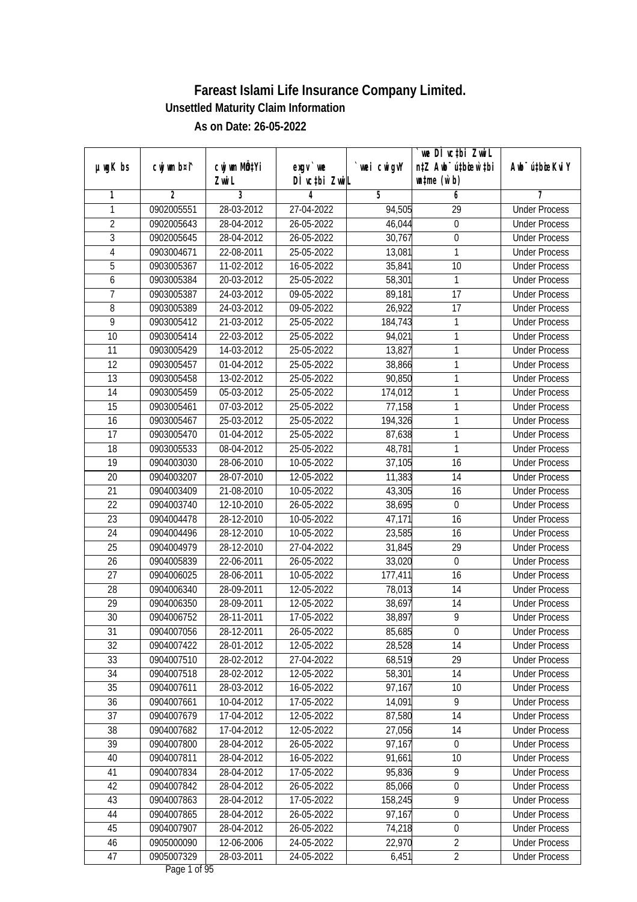|                 |                |              |               |                | we DI vctbi Zwil                             |                             |
|-----------------|----------------|--------------|---------------|----------------|----------------------------------------------|-----------------------------|
| $µ$ ug $K$ bs   | cwj wm b¤i^    | cwj wm MQtYi | $exgV$ we     | `wei cwigvY    | n‡Z Awb <sup>-</sup> ú‡bioen`‡bi             | Awb <sup>-</sup> ú‡bioeKviY |
|                 |                | Zwi L        | DÌ vctbi ZwiL |                | $\n  un \uparrow me \left(\vec{v}, b\right)$ |                             |
| 1               | $\overline{2}$ | 3            | 4             | $\overline{5}$ | 6                                            | 7                           |
| 1               | 0902005551     | 28-03-2012   | 27-04-2022    | 94,505         | $\overline{29}$                              | <b>Under Process</b>        |
| $\overline{2}$  | 0902005643     | 28-04-2012   | 26-05-2022    | 46,044         | $\boldsymbol{0}$                             | <b>Under Process</b>        |
| $\overline{3}$  | 0902005645     | 28-04-2012   | 26-05-2022    | 30,767         | $\pmb{0}$                                    | <b>Under Process</b>        |
| 4               | 0903004671     | 22-08-2011   | 25-05-2022    | 13,081         | 1                                            | <b>Under Process</b>        |
| 5               | 0903005367     | $11-02-2012$ | 16-05-2022    | 35,841         | $\overline{10}$                              | <b>Under Process</b>        |
| 6               | 0903005384     | 20-03-2012   | 25-05-2022    | 58,301         | 1                                            | <b>Under Process</b>        |
| $\overline{7}$  | 0903005387     | 24-03-2012   | 09-05-2022    | 89,181         | $\overline{17}$                              | <b>Under Process</b>        |
| $\overline{8}$  | 0903005389     | 24-03-2012   | 09-05-2022    | 26,922         | $\overline{17}$                              | <b>Under Process</b>        |
| $\overline{9}$  | 0903005412     | 21-03-2012   | 25-05-2022    | 184,743        | 1                                            | <b>Under Process</b>        |
| 10              | 0903005414     | 22-03-2012   | 25-05-2022    | 94,021         | 1                                            | <b>Under Process</b>        |
| $\overline{11}$ | 0903005429     | 14-03-2012   | 25-05-2022    | 13,827         | 1                                            | <b>Under Process</b>        |
| 12              | 0903005457     | 01-04-2012   | 25-05-2022    | 38,866         | 1                                            | <b>Under Process</b>        |
| $\overline{13}$ | 0903005458     | 13-02-2012   | 25-05-2022    | 90,850         | 1                                            | <b>Under Process</b>        |
| 14              | 0903005459     | 05-03-2012   | 25-05-2022    | 174,012        | 1                                            | <b>Under Process</b>        |
| 15              | 0903005461     | 07-03-2012   | 25-05-2022    | 77,158         | 1                                            | <b>Under Process</b>        |
| 16              | 0903005467     | 25-03-2012   | 25-05-2022    | 194,326        | 1                                            | <b>Under Process</b>        |
| 17              | 0903005470     | 01-04-2012   | 25-05-2022    | 87,638         | 1                                            | <b>Under Process</b>        |
| 18              | 0903005533     | 08-04-2012   | 25-05-2022    | 48,781         | 1                                            | <b>Under Process</b>        |
| 19              | 0904003030     | 28-06-2010   | 10-05-2022    | 37,105         | 16                                           | <b>Under Process</b>        |
| 20              | 0904003207     | 28-07-2010   | 12-05-2022    | 11,383         | 14                                           | <b>Under Process</b>        |
| 21              | 0904003409     | 21-08-2010   | 10-05-2022    | 43,305         | 16                                           | <b>Under Process</b>        |
| 22              | 0904003740     | 12-10-2010   | 26-05-2022    | 38,695         | 0                                            | <b>Under Process</b>        |
| 23              | 0904004478     | 28-12-2010   | 10-05-2022    | 47,171         | 16                                           | <b>Under Process</b>        |
| 24              | 0904004496     | 28-12-2010   | 10-05-2022    | 23,585         | 16                                           | <b>Under Process</b>        |
| 25              | 0904004979     | 28-12-2010   | 27-04-2022    | 31,845         | 29                                           | <b>Under Process</b>        |
| 26              | 0904005839     | 22-06-2011   | 26-05-2022    | 33,020         | $\mathbf 0$                                  | <b>Under Process</b>        |
| 27              | 0904006025     | 28-06-2011   | 10-05-2022    | 177,411        | 16                                           | <b>Under Process</b>        |
| 28              | 0904006340     | 28-09-2011   | 12-05-2022    | 78,013         | 14                                           | <b>Under Process</b>        |
| 29              | 0904006350     | 28-09-2011   | 12-05-2022    | 38,697         | 14                                           | <b>Under Process</b>        |
| 30              | 0904006752     | 28-11-2011   | 17-05-2022    | 38,897         | 9                                            | <b>Under Process</b>        |
| 31              | 0904007056     | 28-12-2011   | 26-05-2022    | 85,685         | $\boldsymbol{0}$                             | <b>Under Process</b>        |
| 32              | 0904007422     | 28-01-2012   | 12-05-2022    | 28,528         | 14                                           | <b>Under Process</b>        |
| 33              | 0904007510     | 28-02-2012   | 27-04-2022    | 68,519         | 29                                           | <b>Under Process</b>        |
| 34              | 0904007518     | 28-02-2012   | 12-05-2022    | 58,301         | 14                                           | <b>Under Process</b>        |
| 35              | 0904007611     | 28-03-2012   | 16-05-2022    | 97,167         | 10                                           | <b>Under Process</b>        |
| 36              | 0904007661     | 10-04-2012   | 17-05-2022    | 14,091         | 9                                            | <b>Under Process</b>        |
| 37              | 0904007679     | 17-04-2012   | 12-05-2022    | 87,580         | 14                                           | <b>Under Process</b>        |
| 38              | 0904007682     | 17-04-2012   | 12-05-2022    | 27,056         | 14                                           | <b>Under Process</b>        |
| 39              | 0904007800     | 28-04-2012   | 26-05-2022    | 97,167         | $\boldsymbol{0}$                             | <b>Under Process</b>        |
| 40              | 0904007811     | 28-04-2012   | 16-05-2022    | 91,661         | 10                                           | <b>Under Process</b>        |
| 41              | 0904007834     | 28-04-2012   | 17-05-2022    | 95,836         | 9                                            | <b>Under Process</b>        |
| 42              | 0904007842     | 28-04-2012   | 26-05-2022    | 85,066         | $\boldsymbol{0}$                             | <b>Under Process</b>        |
| 43              | 0904007863     | 28-04-2012   | 17-05-2022    | 158,245        | $\overline{9}$                               | <b>Under Process</b>        |
| 44              | 0904007865     | 28-04-2012   | 26-05-2022    | 97,167         | $\overline{0}$                               | <b>Under Process</b>        |
| 45              | 0904007907     | 28-04-2012   | 26-05-2022    | 74,218         | $\boldsymbol{0}$                             | <b>Under Process</b>        |
| 46              | 0905000090     | 12-06-2006   | 24-05-2022    | 22,970         | $\overline{2}$                               | <b>Under Process</b>        |
| 47              | 0905007329     | 28-03-2011   | 24-05-2022    | 6,451          | $\overline{2}$                               | <b>Under Process</b>        |
|                 |                |              |               |                |                                              |                             |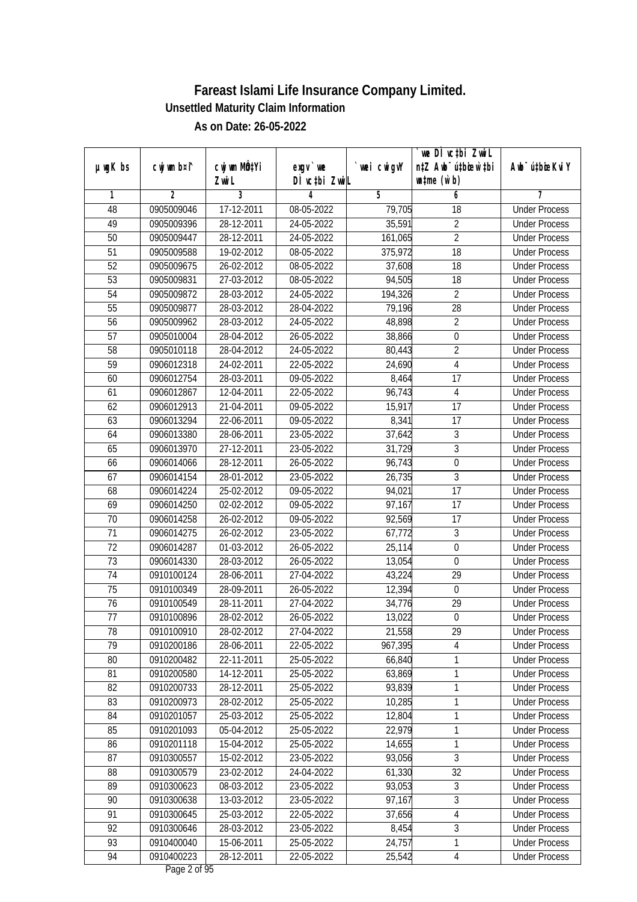|                 |                |                  |               |                | we DI vctbi Zwil                 |                             |
|-----------------|----------------|------------------|---------------|----------------|----------------------------------|-----------------------------|
| $µ$ ug $K$ bs   | cwj wm b¤i^    | cwj wm MQtYi     | exgv `we      | `wei cwigvY    | n‡Z Awb <sup>-</sup> ú‡bioar`‡bi | Awb <sup>-</sup> ú‡bioeKviY |
|                 |                | Zwi L            | DÌ vctbi ZwiL |                | $\n  untime\n  (u`b)\n$          |                             |
| 1               | $\overline{2}$ | 3                | 4             | $\overline{5}$ | 6                                | 7                           |
| 48              | 0905009046     | 17-12-2011       | 08-05-2022    | 79,705         | $\overline{18}$                  | <b>Under Process</b>        |
| 49              | 0905009396     | 28-12-2011       | 24-05-2022    | 35,591         | $\overline{2}$                   | <b>Under Process</b>        |
| 50              | 0905009447     | 28-12-2011       | 24-05-2022    | 161,065        | $\overline{2}$                   | <b>Under Process</b>        |
| 51              | 0905009588     | 19-02-2012       | 08-05-2022    | 375,972        | 18                               | <b>Under Process</b>        |
| 52              | 0905009675     | $26 - 02 - 2012$ | 08-05-2022    | 37,608         | $\overline{18}$                  | <b>Under Process</b>        |
| 53              | 0905009831     | 27-03-2012       | 08-05-2022    | 94,505         | 18                               | <b>Under Process</b>        |
| 54              | 0905009872     | 28-03-2012       | 24-05-2022    | 194,326        | $\overline{2}$                   | <b>Under Process</b>        |
| 55              | 0905009877     | 28-03-2012       | 28-04-2022    | 79,196         | $\overline{28}$                  | <b>Under Process</b>        |
| $\overline{56}$ | 0905009962     | 28-03-2012       | 24-05-2022    | 48,898         | $\overline{2}$                   | <b>Under Process</b>        |
| 57              | 0905010004     | 28-04-2012       | 26-05-2022    | 38,866         | $\boldsymbol{0}$                 | <b>Under Process</b>        |
| 58              | 0905010118     | 28-04-2012       | 24-05-2022    | 80,443         | $\overline{2}$                   | <b>Under Process</b>        |
| 59              | 0906012318     | 24-02-2011       | 22-05-2022    | 24,690         | $\overline{4}$                   | <b>Under Process</b>        |
| 60              | 0906012754     | 28-03-2011       | 09-05-2022    | 8,464          | $\overline{17}$                  | <b>Under Process</b>        |
| 61              | 0906012867     | 12-04-2011       | 22-05-2022    | 96,743         | $\sqrt{4}$                       | <b>Under Process</b>        |
| 62              | 0906012913     | 21-04-2011       | 09-05-2022    | 15,917         | 17                               | <b>Under Process</b>        |
| 63              | 0906013294     | 22-06-2011       | 09-05-2022    | 8,341          | 17                               | <b>Under Process</b>        |
| 64              | 0906013380     | 28-06-2011       | 23-05-2022    | 37,642         | $\overline{3}$                   | <b>Under Process</b>        |
| 65              | 0906013970     | 27-12-2011       | 23-05-2022    | 31,729         | $\overline{3}$                   | <b>Under Process</b>        |
| 66              | 0906014066     | 28-12-2011       | 26-05-2022    | 96,743         | $\boldsymbol{0}$                 | <b>Under Process</b>        |
| 67              | 0906014154     | 28-01-2012       | 23-05-2022    | 26,735         | 3                                | <b>Under Process</b>        |
| 68              | 0906014224     | 25-02-2012       | 09-05-2022    | 94,021         | $\overline{17}$                  | <b>Under Process</b>        |
| 69              | 0906014250     | 02-02-2012       | 09-05-2022    | 97,167         | 17                               | <b>Under Process</b>        |
| 70              | 0906014258     | 26-02-2012       | 09-05-2022    | 92,569         | 17                               | <b>Under Process</b>        |
| 71              | 0906014275     | 26-02-2012       | 23-05-2022    | 67,772         | $\overline{3}$                   | <b>Under Process</b>        |
| 72              | 0906014287     | 01-03-2012       | 26-05-2022    | 25,114         | $\boldsymbol{0}$                 | <b>Under Process</b>        |
| 73              | 0906014330     | 28-03-2012       | 26-05-2022    | 13,054         | $\mathbf 0$                      | <b>Under Process</b>        |
| 74              | 0910100124     | 28-06-2011       | 27-04-2022    | 43,224         | 29                               | <b>Under Process</b>        |
| 75              | 0910100349     | 28-09-2011       | 26-05-2022    | 12,394         | $\boldsymbol{0}$                 | <b>Under Process</b>        |
| 76              | 0910100549     | 28-11-2011       | 27-04-2022    | 34,776         | 29                               | <b>Under Process</b>        |
| 77              | 0910100896     | 28-02-2012       | 26-05-2022    | 13,022         | $\boldsymbol{0}$                 | <b>Under Process</b>        |
| 78              | 0910100910     | 28-02-2012       | 27-04-2022    | 21,558         | 29                               | <b>Under Process</b>        |
| 79              | 0910200186     | 28-06-2011       | 22-05-2022    | 967,395        | 4                                | <b>Under Process</b>        |
| 80              | 0910200482     | 22-11-2011       | 25-05-2022    | 66,840         | 1                                | <b>Under Process</b>        |
| 81              | 0910200580     | 14-12-2011       | 25-05-2022    | 63,869         | 1                                | <b>Under Process</b>        |
| 82              | 0910200733     | 28-12-2011       | 25-05-2022    | 93,839         | 1                                | <b>Under Process</b>        |
| 83              | 0910200973     | 28-02-2012       | 25-05-2022    | 10,285         | 1                                | <b>Under Process</b>        |
| 84              | 0910201057     | 25-03-2012       | 25-05-2022    | 12,804         | 1                                | <b>Under Process</b>        |
| 85              | 0910201093     | 05-04-2012       | 25-05-2022    | 22,979         | 1                                | <b>Under Process</b>        |
| 86              | 0910201118     | 15-04-2012       | 25-05-2022    | 14,655         | 1                                | <b>Under Process</b>        |
| 87              | 0910300557     | 15-02-2012       | 23-05-2022    | 93,056         | $\overline{3}$                   | <b>Under Process</b>        |
| 88              | 0910300579     | 23-02-2012       | 24-04-2022    | 61,330         | 32                               | <b>Under Process</b>        |
| 89              | 0910300623     | 08-03-2012       | 23-05-2022    | 93,053         | 3                                | <b>Under Process</b>        |
| 90              | 0910300638     | 13-03-2012       | 23-05-2022    | 97,167         | 3                                | <b>Under Process</b>        |
| 91              | 0910300645     | 25-03-2012       | 22-05-2022    | 37,656         | 4                                | <b>Under Process</b>        |
| 92              | 0910300646     | 28-03-2012       | 23-05-2022    | 8,454          | $\overline{3}$                   | <b>Under Process</b>        |
| 93              | 0910400040     | 15-06-2011       | 25-05-2022    | 24,757         | 1                                | <b>Under Process</b>        |
| 94              | 0910400223     | 28-12-2011       | 22-05-2022    | 25,542         | 4                                | <b>Under Process</b>        |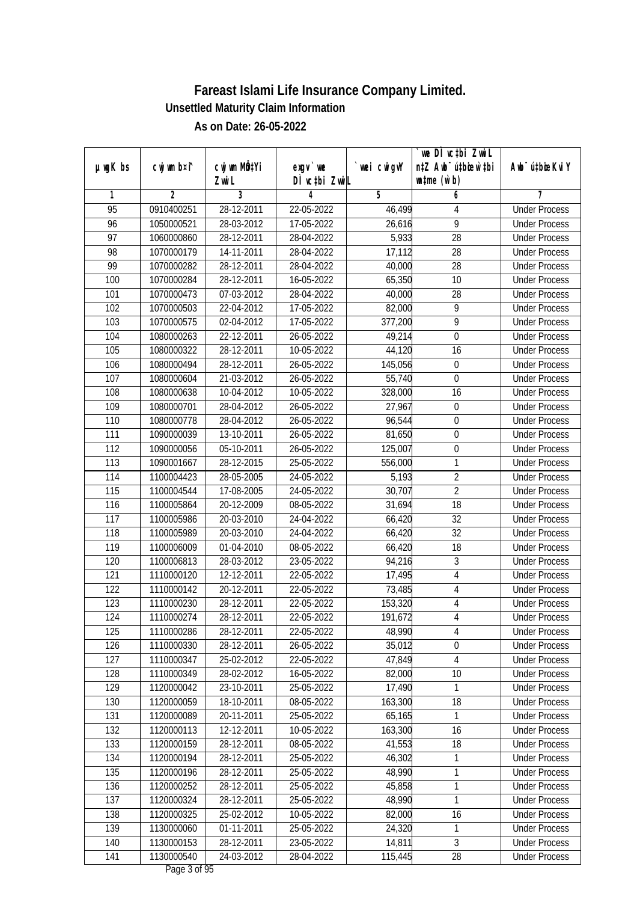|                 |                |              |               |                | we DI vctbi Zwil                 |                             |
|-----------------|----------------|--------------|---------------|----------------|----------------------------------|-----------------------------|
| $µ$ ug $K$ bs   | cwj wm b¤i^    | cwj wm MQtYi | $exgV$ we     | `wei cwigvY    | n‡Z Awb <sup>-</sup> ú‡bioar`‡bi | Awb <sup>-</sup> ú‡bioeKviY |
|                 |                | Zwi L        | DÌ vctbi ZwiL |                | $\n  untime\n  (u`b)\n$          |                             |
| 1               | $\overline{2}$ | 3            | 4             | $\overline{5}$ | 6                                | 7                           |
| $\overline{95}$ | 0910400251     | 28-12-2011   | 22-05-2022    | 46,499         | 4                                | <b>Under Process</b>        |
| 96              | 1050000521     | 28-03-2012   | 17-05-2022    | 26,616         | $\overline{9}$                   | <b>Under Process</b>        |
| $\overline{97}$ | 1060000860     | 28-12-2011   | 28-04-2022    | 5,933          | $\overline{28}$                  | <b>Under Process</b>        |
| 98              | 1070000179     | 14-11-2011   | 28-04-2022    | 17,112         | 28                               | <b>Under Process</b>        |
| 99              | 1070000282     | 28-12-2011   | 28-04-2022    | 40,000         | $\overline{28}$                  | <b>Under Process</b>        |
| 100             | 1070000284     | 28-12-2011   | 16-05-2022    | 65,350         | 10                               | <b>Under Process</b>        |
| 101             | 1070000473     | 07-03-2012   | 28-04-2022    | 40,000         | 28                               | <b>Under Process</b>        |
| 102             | 1070000503     | 22-04-2012   | 17-05-2022    | 82,000         | 9                                | <b>Under Process</b>        |
| 103             | 1070000575     | 02-04-2012   | 17-05-2022    | 377,200        | $\overline{9}$                   | <b>Under Process</b>        |
| 104             | 1080000263     | 22-12-2011   | 26-05-2022    | 49,214         | $\mathbf 0$                      | <b>Under Process</b>        |
| 105             | 1080000322     | 28-12-2011   | 10-05-2022    | 44,120         | $\overline{16}$                  | <b>Under Process</b>        |
| 106             | 1080000494     | 28-12-2011   | 26-05-2022    | 145,056        | 0                                | <b>Under Process</b>        |
| 107             | 1080000604     | 21-03-2012   | 26-05-2022    | 55,740         | $\overline{0}$                   | <b>Under Process</b>        |
| 108             | 1080000638     | 10-04-2012   | 10-05-2022    | 328,000        | 16                               | <b>Under Process</b>        |
| 109             | 1080000701     | 28-04-2012   | 26-05-2022    | 27,967         | $\boldsymbol{0}$                 | <b>Under Process</b>        |
| 110             | 1080000778     | 28-04-2012   | 26-05-2022    | 96,544         | $\boldsymbol{0}$                 | <b>Under Process</b>        |
| 111             | 1090000039     | 13-10-2011   | 26-05-2022    | 81,650         | $\boldsymbol{0}$                 | <b>Under Process</b>        |
| 112             | 1090000056     | 05-10-2011   | 26-05-2022    | 125,007        | $\boldsymbol{0}$                 | <b>Under Process</b>        |
| 113             | 1090001667     | 28-12-2015   | 25-05-2022    | 556,000        | $\mathbf{1}$                     | <b>Under Process</b>        |
| 114             | 1100004423     | 28-05-2005   | 24-05-2022    | 5,193          | $\sqrt{2}$                       | <b>Under Process</b>        |
| 115             | 1100004544     | 17-08-2005   | 24-05-2022    | 30,707         | $\overline{2}$                   | <b>Under Process</b>        |
| 116             | 1100005864     | 20-12-2009   | 08-05-2022    | 31,694         | 18                               | <b>Under Process</b>        |
| 117             | 1100005986     | 20-03-2010   | 24-04-2022    | 66,420         | 32                               | <b>Under Process</b>        |
| 118             | 1100005989     | 20-03-2010   | 24-04-2022    | 66,420         | 32                               | <b>Under Process</b>        |
| 119             | 1100006009     | 01-04-2010   | 08-05-2022    | 66,420         | 18                               | <b>Under Process</b>        |
| 120             | 1100006813     | 28-03-2012   | 23-05-2022    | 94,216         | 3                                | <b>Under Process</b>        |
| 121             | 1110000120     | 12-12-2011   | 22-05-2022    | 17,495         | 4                                | <b>Under Process</b>        |
| 122             | 1110000142     | 20-12-2011   | 22-05-2022    | 73,485         | 4                                | <b>Under Process</b>        |
| 123             | 1110000230     | 28-12-2011   | 22-05-2022    | 153,320        | $\overline{4}$                   | <b>Under Process</b>        |
| 124             | 1110000274     | 28-12-2011   | 22-05-2022    | 191,672        | $\overline{4}$                   | <b>Under Process</b>        |
| 125             | 1110000286     | 28-12-2011   | 22-05-2022    | 48,990         | 4                                | <b>Under Process</b>        |
| 126             | 1110000330     | 28-12-2011   | 26-05-2022    | 35,012         | 0                                | <b>Under Process</b>        |
| 127             | 1110000347     | 25-02-2012   | 22-05-2022    | 47,849         | 4                                | <b>Under Process</b>        |
| 128             | 1110000349     | 28-02-2012   | 16-05-2022    | 82,000         | 10                               | <b>Under Process</b>        |
| 129             | 1120000042     | 23-10-2011   | 25-05-2022    | 17,490         | 1                                | <b>Under Process</b>        |
| 130             | 1120000059     | 18-10-2011   | 08-05-2022    | 163,300        | 18                               | <b>Under Process</b>        |
| 131             | 1120000089     | 20-11-2011   | 25-05-2022    | 65,165         | 1                                | <b>Under Process</b>        |
| 132             | 1120000113     | 12-12-2011   | 10-05-2022    | 163,300        | 16                               | <b>Under Process</b>        |
| 133             | 1120000159     | 28-12-2011   | 08-05-2022    | 41,553         | 18                               | <b>Under Process</b>        |
| 134             | 1120000194     | 28-12-2011   | 25-05-2022    | 46,302         | 1                                | <b>Under Process</b>        |
| 135             | 1120000196     | 28-12-2011   | 25-05-2022    | 48,990         | 1                                | <b>Under Process</b>        |
| 136             | 1120000252     | 28-12-2011   | 25-05-2022    | 45,858         | 1                                | <b>Under Process</b>        |
| 137             | 1120000324     | 28-12-2011   | 25-05-2022    | 48,990         | 1                                | <b>Under Process</b>        |
| 138             | 1120000325     | 25-02-2012   | 10-05-2022    | 82,000         | 16                               | <b>Under Process</b>        |
| 139             | 1130000060     | 01-11-2011   | 25-05-2022    | 24,320         | 1                                | <b>Under Process</b>        |
| 140             | 1130000153     | 28-12-2011   | 23-05-2022    | 14,811         | $\overline{3}$                   | <b>Under Process</b>        |
| 141             | 1130000540     | 24-03-2012   | 28-04-2022    | 115,445        | 28                               | <b>Under Process</b>        |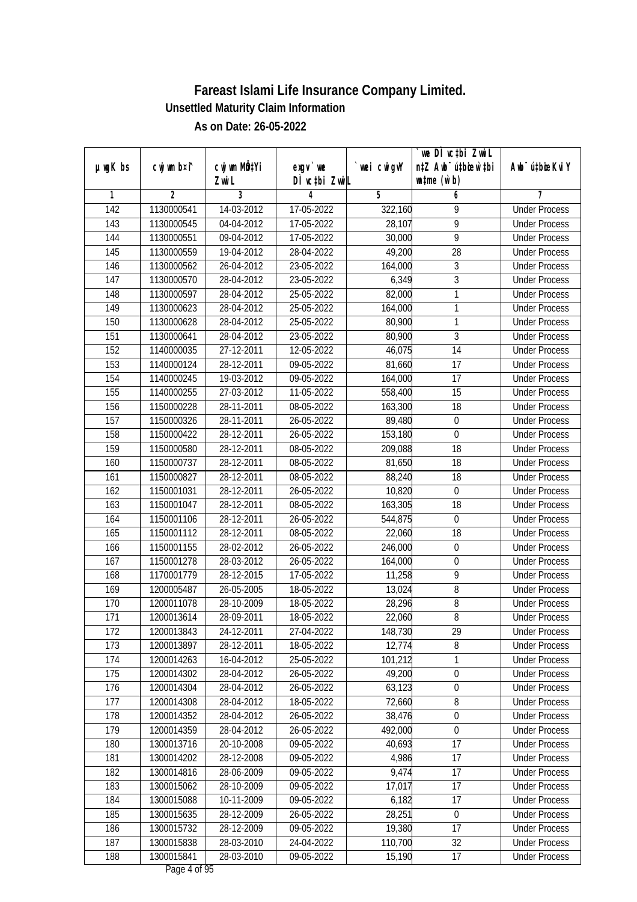|                  |                |              |               |             | we DI vctbi Zwil                 |                             |
|------------------|----------------|--------------|---------------|-------------|----------------------------------|-----------------------------|
| $µ$ ug $K$ bs    | cwj wm b¤i^    | cwj wm MQtYi | $exgV$ we     | `wei cwigvY | n‡Z Awb <sup>-</sup> ú‡bioar`‡bi | Awb <sup>-</sup> ú‡bioeKviY |
|                  |                | Zwi L        | DÌ vctbi ZwiL |             | $\n  untime\n  (u`b)\n$          |                             |
| 1                | $\overline{2}$ | 3            | 4             | 5           | 6                                | 7                           |
| $\overline{142}$ | 1130000541     | 14-03-2012   | 17-05-2022    | 322,160     | 9                                | <b>Under Process</b>        |
| 143              | 1130000545     | 04-04-2012   | 17-05-2022    | 28,107      | $\overline{9}$                   | <b>Under Process</b>        |
| 144              | 1130000551     | 09-04-2012   | 17-05-2022    | 30,000      | $\overline{9}$                   | <b>Under Process</b>        |
| 145              | 1130000559     | 19-04-2012   | 28-04-2022    | 49,200      | 28                               | <b>Under Process</b>        |
| 146              | 1130000562     | 26-04-2012   | 23-05-2022    | 164,000     | $\overline{3}$                   | <b>Under Process</b>        |
| 147              | 1130000570     | 28-04-2012   | 23-05-2022    | 6,349       | 3                                | <b>Under Process</b>        |
| 148              | 1130000597     | 28-04-2012   | 25-05-2022    | 82,000      | 1                                | <b>Under Process</b>        |
| 149              | 1130000623     | 28-04-2012   | 25-05-2022    | 164,000     | 1                                | <b>Under Process</b>        |
| 150              | 1130000628     | 28-04-2012   | 25-05-2022    | 80,900      | 1                                | <b>Under Process</b>        |
| 151              | 1130000641     | 28-04-2012   | 23-05-2022    | 80,900      | $\overline{3}$                   | <b>Under Process</b>        |
| 152              | 1140000035     | 27-12-2011   | 12-05-2022    | 46,075      | $\overline{14}$                  | <b>Under Process</b>        |
| 153              | 1140000124     | 28-12-2011   | 09-05-2022    | 81,660      | 17                               | <b>Under Process</b>        |
| 154              | 1140000245     | 19-03-2012   | 09-05-2022    | 164,000     | $\overline{17}$                  | <b>Under Process</b>        |
| 155              | 1140000255     | 27-03-2012   | 11-05-2022    | 558,400     | 15                               | <b>Under Process</b>        |
| 156              | 1150000228     | 28-11-2011   | 08-05-2022    | 163,300     | 18                               | <b>Under Process</b>        |
| 157              | 1150000326     | 28-11-2011   | 26-05-2022    | 89,480      | $\boldsymbol{0}$                 | <b>Under Process</b>        |
| 158              | 1150000422     | 28-12-2011   | 26-05-2022    | 153,180     | $\mathbf 0$                      | <b>Under Process</b>        |
| 159              | 1150000580     | 28-12-2011   | 08-05-2022    | 209,088     | 18                               | <b>Under Process</b>        |
| 160              | 1150000737     | 28-12-2011   | 08-05-2022    | 81,650      | 18                               | <b>Under Process</b>        |
| 161              | 1150000827     | 28-12-2011   | 08-05-2022    | 88,240      | 18                               | <b>Under Process</b>        |
| 162              | 1150001031     | 28-12-2011   | 26-05-2022    | 10,820      | $\mathbf 0$                      | <b>Under Process</b>        |
| 163              | 1150001047     | 28-12-2011   | 08-05-2022    | 163,305     | 18                               | <b>Under Process</b>        |
| 164              | 1150001106     | 28-12-2011   | 26-05-2022    | 544,875     | $\boldsymbol{0}$                 | <b>Under Process</b>        |
| 165              | 1150001112     | 28-12-2011   | 08-05-2022    | 22,060      | 18                               | <b>Under Process</b>        |
| 166              | 1150001155     | 28-02-2012   | 26-05-2022    | 246,000     | $\boldsymbol{0}$                 | <b>Under Process</b>        |
| 167              | 1150001278     | 28-03-2012   | 26-05-2022    | 164,000     | $\boldsymbol{0}$                 | <b>Under Process</b>        |
| 168              | 1170001779     | 28-12-2015   | 17-05-2022    | 11,258      | 9                                | <b>Under Process</b>        |
| 169              | 1200005487     | 26-05-2005   | 18-05-2022    | 13,024      | 8                                | <b>Under Process</b>        |
| 170              | 1200011078     | 28-10-2009   | 18-05-2022    | 28,296      | $\sqrt{8}$                       | <b>Under Process</b>        |
| 171              | 1200013614     | 28-09-2011   | 18-05-2022    | 22,060      | $8\,$                            | <b>Under Process</b>        |
| 172              | 1200013843     | 24-12-2011   | 27-04-2022    | 148,730     | 29                               | <b>Under Process</b>        |
| 173              | 1200013897     | 28-12-2011   | 18-05-2022    | 12,774      | 8                                | <b>Under Process</b>        |
| 174              | 1200014263     | 16-04-2012   | 25-05-2022    | 101,212     | 1                                | <b>Under Process</b>        |
| 175              | 1200014302     | 28-04-2012   | 26-05-2022    | 49,200      | $\overline{0}$                   | <b>Under Process</b>        |
| 176              | 1200014304     | 28-04-2012   | 26-05-2022    | 63,123      | $\boldsymbol{0}$                 | <b>Under Process</b>        |
| 177              | 1200014308     | 28-04-2012   | 18-05-2022    | 72,660      | 8                                | <b>Under Process</b>        |
| 178              | 1200014352     | 28-04-2012   | 26-05-2022    | 38,476      | $\boldsymbol{0}$                 | <b>Under Process</b>        |
| 179              | 1200014359     | 28-04-2012   | 26-05-2022    | 492,000     | $\mathbf 0$                      | <b>Under Process</b>        |
| 180              | 1300013716     | 20-10-2008   | 09-05-2022    | 40,693      | 17                               | <b>Under Process</b>        |
| 181              | 1300014202     | 28-12-2008   | 09-05-2022    | 4,986       | 17                               | <b>Under Process</b>        |
| 182              | 1300014816     | 28-06-2009   | 09-05-2022    | 9,474       | 17                               | <b>Under Process</b>        |
| 183              | 1300015062     | 28-10-2009   | 09-05-2022    | 17,017      | 17                               | <b>Under Process</b>        |
| 184              | 1300015088     | 10-11-2009   | 09-05-2022    | 6,182       | $\overline{17}$                  | <b>Under Process</b>        |
| 185              | 1300015635     | 28-12-2009   | 26-05-2022    | 28,251      | $\overline{0}$                   | <b>Under Process</b>        |
| 186              | 1300015732     | 28-12-2009   | 09-05-2022    | 19,380      | 17                               | <b>Under Process</b>        |
| 187              | 1300015838     | 28-03-2010   | 24-04-2022    | 110,700     | 32                               | <b>Under Process</b>        |
| 188              | 1300015841     | 28-03-2010   | 09-05-2022    | 15,190      | 17                               | <b>Under Process</b>        |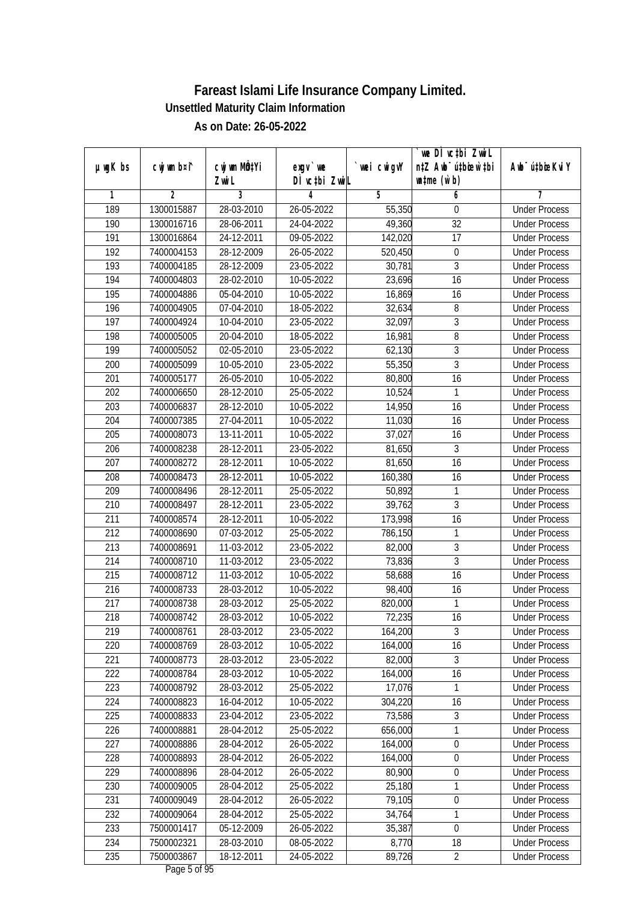|                  |                |              |               |                | we DI vctbi ZwiL                 |                             |
|------------------|----------------|--------------|---------------|----------------|----------------------------------|-----------------------------|
| $µ$ ug $K$ bs    | cwj wm b¤i^    | cwj wm MQtYi | $exgV$ we     | `wei cwigvY    | n‡Z Awb <sup>-</sup> ú‡bioar`‡bi | Awb <sup>-</sup> ú‡bioeKviY |
|                  |                | Zwi L        | DÌ vctbi ZwiL |                | $\n  untime\n  (u`b)\n$          |                             |
| 1                | $\overline{2}$ | 3            | 4             | $\overline{5}$ | 6                                | 7                           |
| 189              | 1300015887     | 28-03-2010   | 26-05-2022    | 55,350         | 0                                | <b>Under Process</b>        |
| 190              | 1300016716     | 28-06-2011   | 24-04-2022    | 49,360         | $\overline{32}$                  | <b>Under Process</b>        |
| 191              | 1300016864     | 24-12-2011   | 09-05-2022    | 142,020        | $\overline{17}$                  | <b>Under Process</b>        |
| 192              | 7400004153     | 28-12-2009   | 26-05-2022    | 520,450        | $\boldsymbol{0}$                 | <b>Under Process</b>        |
| 193              | 7400004185     | 28-12-2009   | 23-05-2022    | 30,781         | $\overline{3}$                   | <b>Under Process</b>        |
| 194              | 7400004803     | 28-02-2010   | 10-05-2022    | 23,696         | $\overline{16}$                  | <b>Under Process</b>        |
| 195              | 7400004886     | 05-04-2010   | $10-05-2022$  | 16,869         | 16                               | <b>Under Process</b>        |
| 196              | 7400004905     | 07-04-2010   | 18-05-2022    | 32,634         | 8                                | <b>Under Process</b>        |
| $\overline{197}$ | 7400004924     | 10-04-2010   | 23-05-2022    | 32,097         | $\overline{3}$                   | <b>Under Process</b>        |
| 198              | 7400005005     | 20-04-2010   | 18-05-2022    | 16,981         | 8                                | <b>Under Process</b>        |
| 199              | 7400005052     | 02-05-2010   | 23-05-2022    | 62,130         | $\overline{3}$                   | <b>Under Process</b>        |
| 200              | 7400005099     | 10-05-2010   | 23-05-2022    | 55,350         | 3                                | <b>Under Process</b>        |
| 201              | 7400005177     | 26-05-2010   | 10-05-2022    | 80,800         | $\overline{16}$                  | <b>Under Process</b>        |
| 202              | 7400006650     | 28-12-2010   | 25-05-2022    | 10,524         | 1                                | <b>Under Process</b>        |
| 203              | 7400006837     | 28-12-2010   | 10-05-2022    | 14,950         | 16                               | <b>Under Process</b>        |
| 204              | 7400007385     | 27-04-2011   | 10-05-2022    | 11,030         | 16                               | <b>Under Process</b>        |
| 205              | 7400008073     | 13-11-2011   | 10-05-2022    | 37,027         | 16                               | <b>Under Process</b>        |
| 206              | 7400008238     | 28-12-2011   | 23-05-2022    | 81,650         | 3                                | <b>Under Process</b>        |
| 207              | 7400008272     | 28-12-2011   | 10-05-2022    | 81,650         | 16                               | <b>Under Process</b>        |
| 208              | 7400008473     | 28-12-2011   | 10-05-2022    | 160,380        | 16                               | <b>Under Process</b>        |
| 209              | 7400008496     | 28-12-2011   | 25-05-2022    | 50,892         | $\mathbf{1}$                     | <b>Under Process</b>        |
| 210              | 7400008497     | 28-12-2011   | 23-05-2022    | 39,762         | $\mathfrak{Z}$                   | <b>Under Process</b>        |
| 211              | 7400008574     | 28-12-2011   | 10-05-2022    | 173,998        | $\overline{16}$                  | <b>Under Process</b>        |
| 212              | 7400008690     | 07-03-2012   | 25-05-2022    | 786,150        | $\mathbf{1}$                     | <b>Under Process</b>        |
| 213              | 7400008691     | 11-03-2012   | 23-05-2022    | 82,000         | $\mathfrak{Z}$                   | <b>Under Process</b>        |
| 214              | 7400008710     | 11-03-2012   | 23-05-2022    | 73,836         | $\overline{3}$                   | <b>Under Process</b>        |
| 215              | 7400008712     | 11-03-2012   | 10-05-2022    | 58,688         | 16                               | <b>Under Process</b>        |
| 216              | 7400008733     | 28-03-2012   | 10-05-2022    | 98,400         | 16                               | <b>Under Process</b>        |
| 217              | 7400008738     | 28-03-2012   | 25-05-2022    | 820,000        | 1                                | <b>Under Process</b>        |
| 218              | 7400008742     | 28-03-2012   | 10-05-2022    | 72,235         | 16                               | <b>Under Process</b>        |
| 219              | 7400008761     | 28-03-2012   | 23-05-2022    | 164,200        | 3                                | <b>Under Process</b>        |
| 220              | 7400008769     | 28-03-2012   | 10-05-2022    | 164,000        | 16                               | <b>Under Process</b>        |
| 221              | 7400008773     | 28-03-2012   | 23-05-2022    | 82,000         | $\overline{3}$                   | <b>Under Process</b>        |
| 222              | 7400008784     | 28-03-2012   | 10-05-2022    | 164,000        | 16                               | <b>Under Process</b>        |
| 223              | 7400008792     | 28-03-2012   | 25-05-2022    | 17,076         | 1                                | <b>Under Process</b>        |
| 224              | 7400008823     | 16-04-2012   | 10-05-2022    | 304,220        | 16                               | <b>Under Process</b>        |
| 225              | 7400008833     | 23-04-2012   | 23-05-2022    | 73,586         | $\overline{3}$                   | <b>Under Process</b>        |
| 226              | 7400008881     | 28-04-2012   | 25-05-2022    | 656,000        | 1                                | <b>Under Process</b>        |
| 227              | 7400008886     | 28-04-2012   | 26-05-2022    | 164,000        | $\boldsymbol{0}$                 | <b>Under Process</b>        |
| 228              | 7400008893     | 28-04-2012   | 26-05-2022    | 164,000        | $\boldsymbol{0}$                 | <b>Under Process</b>        |
| 229              | 7400008896     | 28-04-2012   | 26-05-2022    | 80,900         | $\boldsymbol{0}$                 | <b>Under Process</b>        |
| 230              | 7400009005     | 28-04-2012   | 25-05-2022    | 25,180         | 1                                | <b>Under Process</b>        |
| 231              | 7400009049     | 28-04-2012   | 26-05-2022    | 79,105         | $\boldsymbol{0}$                 | <b>Under Process</b>        |
| 232              | 7400009064     | 28-04-2012   | 25-05-2022    | 34,764         | 1                                | <b>Under Process</b>        |
| 233              | 7500001417     | 05-12-2009   | 26-05-2022    | 35,387         | $\boldsymbol{0}$                 | <b>Under Process</b>        |
| 234              | 7500002321     | 28-03-2010   | 08-05-2022    | 8,770          | 18                               | <b>Under Process</b>        |
| 235              | 7500003867     | 18-12-2011   | 24-05-2022    | 89,726         | $\overline{2}$                   | <b>Under Process</b>        |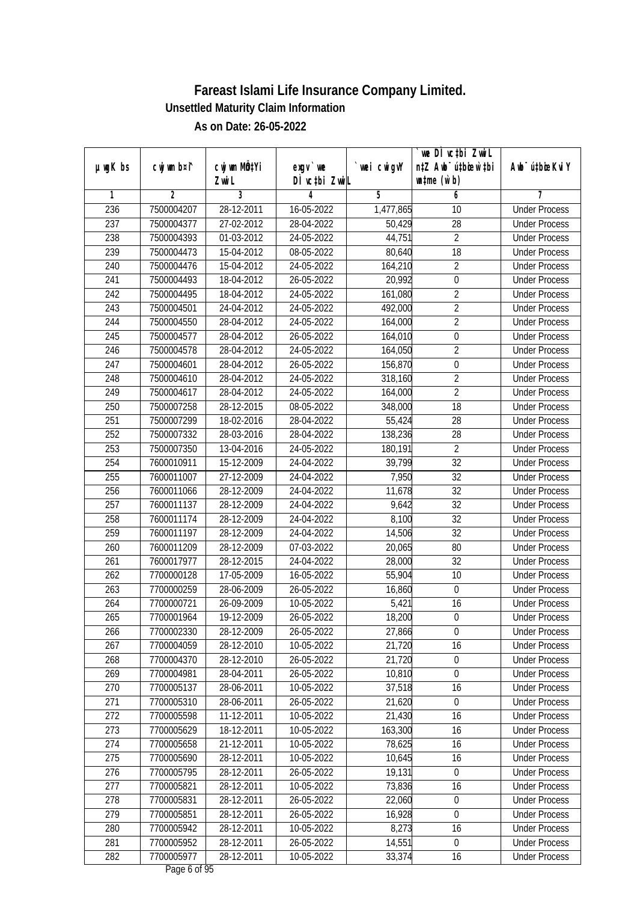|                  |                |              |               |            | we DI vctbi Zwil                 |                             |
|------------------|----------------|--------------|---------------|------------|----------------------------------|-----------------------------|
| $µ$ ug $K$ bs    | cwj wm b¤i^    | cwj wm MQtYi | $exqu$ we     | wei cwigvY | n‡Z Awb <sup>-</sup> ú‡bioen`‡bi | Awb <sup>-</sup> ú‡bioeKviY |
|                  |                | Zwi L        | DÌ vctbi ZwiL |            | $\n  untime\n  (u`b)\n$          |                             |
| 1                | $\overline{2}$ | 3            | 4             | 5          | 6                                | 7                           |
| 236              | 7500004207     | 28-12-2011   | 16-05-2022    | 1,477,865  | 10                               | <b>Under Process</b>        |
| 237              | 7500004377     | 27-02-2012   | 28-04-2022    | 50,429     | 28                               | <b>Under Process</b>        |
| 238              | 7500004393     | 01-03-2012   | 24-05-2022    | 44,751     | $\overline{2}$                   | <b>Under Process</b>        |
| 239              | 7500004473     | 15-04-2012   | 08-05-2022    | 80,640     | 18                               | <b>Under Process</b>        |
| 240              | 7500004476     | 15-04-2012   | 24-05-2022    | 164,210    | $\overline{2}$                   | <b>Under Process</b>        |
| 241              | 7500004493     | 18-04-2012   | 26-05-2022    | 20,992     | 0                                | <b>Under Process</b>        |
| $\overline{242}$ | 7500004495     | 18-04-2012   | 24-05-2022    | 161,080    | $\overline{2}$                   | <b>Under Process</b>        |
| 243              | 7500004501     | 24-04-2012   | 24-05-2022    | 492,000    | $\overline{2}$                   | <b>Under Process</b>        |
| 244              | 7500004550     | 28-04-2012   | 24-05-2022    | 164,000    | $\overline{2}$                   | <b>Under Process</b>        |
| 245              | 7500004577     | 28-04-2012   | 26-05-2022    | 164,010    | $\boldsymbol{0}$                 | <b>Under Process</b>        |
| 246              | 7500004578     | 28-04-2012   | 24-05-2022    | 164,050    | $\overline{2}$                   | <b>Under Process</b>        |
| 247              | 7500004601     | 28-04-2012   | 26-05-2022    | 156,870    | $\boldsymbol{0}$                 | <b>Under Process</b>        |
| 248              | 7500004610     | 28-04-2012   | 24-05-2022    | 318,160    | $\overline{2}$                   | <b>Under Process</b>        |
| 249              | 7500004617     | 28-04-2012   | 24-05-2022    | 164,000    | $\overline{2}$                   | <b>Under Process</b>        |
| 250              | 7500007258     | $28-12-2015$ | 08-05-2022    | 348,000    | 18                               | <b>Under Process</b>        |
| 251              | 7500007299     | 18-02-2016   | 28-04-2022    | 55,424     | 28                               | <b>Under Process</b>        |
| 252              | 7500007332     | 28-03-2016   | 28-04-2022    | 138,236    | 28                               | <b>Under Process</b>        |
| 253              | 7500007350     | 13-04-2016   | 24-05-2022    | 180,191    | $\overline{2}$                   | <b>Under Process</b>        |
| 254              | 7600010911     | 15-12-2009   | 24-04-2022    | 39,799     | 32                               | <b>Under Process</b>        |
| 255              | 7600011007     | 27-12-2009   | 24-04-2022    | 7,950      | 32                               | <b>Under Process</b>        |
| 256              | 7600011066     | 28-12-2009   | 24-04-2022    | 11,678     | $\overline{32}$                  | <b>Under Process</b>        |
| 257              | 7600011137     | 28-12-2009   | 24-04-2022    | 9,642      | 32                               | <b>Under Process</b>        |
| 258              | 7600011174     | 28-12-2009   | 24-04-2022    | 8,100      | 32                               | <b>Under Process</b>        |
| 259              | 7600011197     | 28-12-2009   | 24-04-2022    | 14,506     | 32                               | <b>Under Process</b>        |
| 260              | 7600011209     | 28-12-2009   | 07-03-2022    | 20,065     | 80                               | <b>Under Process</b>        |
| 261              | 7600017977     | 28-12-2015   | 24-04-2022    | 28,000     | 32                               | <b>Under Process</b>        |
| 262              | 7700000128     | 17-05-2009   | 16-05-2022    | 55,904     | 10                               | <b>Under Process</b>        |
| 263              | 7700000259     | 28-06-2009   | 26-05-2022    | 16,860     | $\boldsymbol{0}$                 | <b>Under Process</b>        |
| 264              | 7700000721     | 26-09-2009   | 10-05-2022    | 5,421      | 16                               | <b>Under Process</b>        |
| 265              | 7700001964     | 19-12-2009   | 26-05-2022    | 18,200     | $\pmb{0}$                        | <b>Under Process</b>        |
| 266              | 7700002330     | 28-12-2009   | 26-05-2022    | 27,866     | $\boldsymbol{0}$                 | <b>Under Process</b>        |
| 267              | 7700004059     | 28-12-2010   | 10-05-2022    | 21,720     | 16                               | <b>Under Process</b>        |
| 268              | 7700004370     | 28-12-2010   | 26-05-2022    | 21,720     | 0                                | <b>Under Process</b>        |
| 269              | 7700004981     | 28-04-2011   | 26-05-2022    | 10,810     | $\overline{0}$                   | <b>Under Process</b>        |
| 270              | 7700005137     | 28-06-2011   | 10-05-2022    | 37,518     | 16                               | <b>Under Process</b>        |
| 271              | 7700005310     | 28-06-2011   | 26-05-2022    | 21,620     | $\overline{0}$                   | <b>Under Process</b>        |
| 272              | 7700005598     | 11-12-2011   | 10-05-2022    | 21,430     | 16                               | <b>Under Process</b>        |
| 273              | 7700005629     | 18-12-2011   | 10-05-2022    | 163,300    | 16                               | <b>Under Process</b>        |
| 274              | 7700005658     | 21-12-2011   | 10-05-2022    | 78,625     | 16                               | <b>Under Process</b>        |
| 275              | 7700005690     | 28-12-2011   | 10-05-2022    | 10,645     | 16                               | <b>Under Process</b>        |
| 276              | 7700005795     | 28-12-2011   | 26-05-2022    | 19,131     | $\mathbf 0$                      | <b>Under Process</b>        |
| 277              | 7700005821     | 28-12-2011   | 10-05-2022    | 73,836     | 16                               | <b>Under Process</b>        |
| 278              | 7700005831     | 28-12-2011   | 26-05-2022    | 22,060     | 0                                | <b>Under Process</b>        |
| 279              | 7700005851     | 28-12-2011   | 26-05-2022    | 16,928     | $\boldsymbol{0}$                 | <b>Under Process</b>        |
| 280              | 7700005942     | 28-12-2011   | 10-05-2022    | 8,273      | 16                               | <b>Under Process</b>        |
| 281              | 7700005952     | 28-12-2011   | 26-05-2022    | 14,551     | $\overline{0}$                   | <b>Under Process</b>        |
| 282              | 7700005977     | 28-12-2011   | 10-05-2022    | 33,374     | 16                               | <b>Under Process</b>        |
|                  |                |              |               |            |                                  |                             |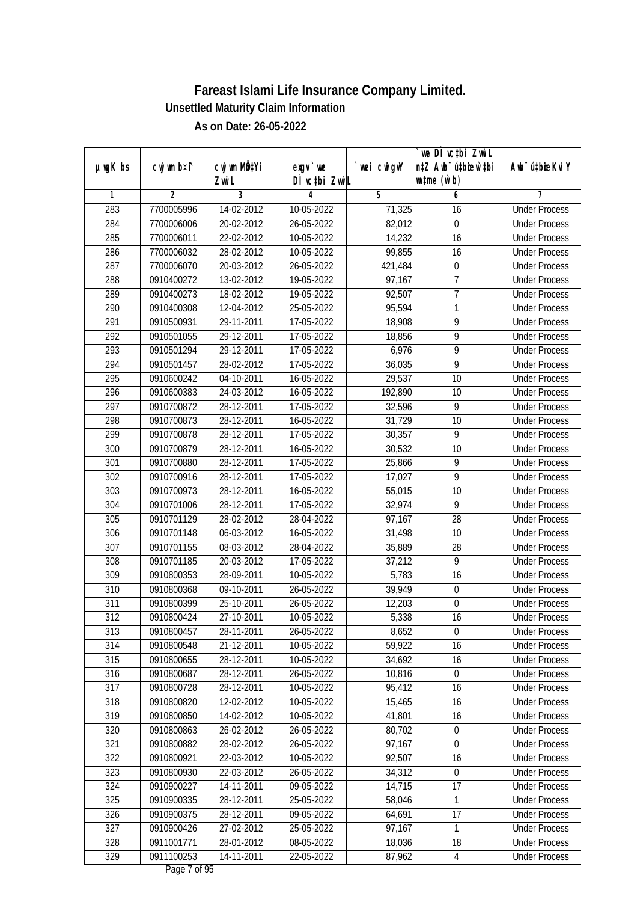|               |                |                  |               |                | we DI vctbi ZwiL                 |                             |
|---------------|----------------|------------------|---------------|----------------|----------------------------------|-----------------------------|
| $µ$ ug $K$ bs | cwj wm b¤i^    | cwj wm MQtYi     | $exgV$ we     | `wei cwigvY    | n‡Z Awb <sup>-</sup> ú‡bioar`‡bi | Awb <sup>-</sup> ú‡bioeKviY |
|               |                | Zwi L            | DÌ vctbi ZwiL |                | $\n  untime\n  (u`b)\n$          |                             |
| 1             | $\overline{2}$ | 3                | 4             | $\overline{5}$ | 6                                | 7                           |
| 283           | 7700005996     | 14-02-2012       | 10-05-2022    | 71,325         | 16                               | <b>Under Process</b>        |
| 284           | 7700006006     | 20-02-2012       | 26-05-2022    | 82,012         | $\boldsymbol{0}$                 | <b>Under Process</b>        |
| 285           | 7700006011     | 22-02-2012       | 10-05-2022    | 14,232         | $\overline{16}$                  | <b>Under Process</b>        |
| 286           | 7700006032     | 28-02-2012       | 10-05-2022    | 99,855         | 16                               | <b>Under Process</b>        |
| 287           | 7700006070     | 20-03-2012       | 26-05-2022    | 421,484        | $\boldsymbol{0}$                 | <b>Under Process</b>        |
| 288           | 0910400272     | 13-02-2012       | 19-05-2022    | 97,167         | 7                                | <b>Under Process</b>        |
| 289           | 0910400273     | 18-02-2012       | 19-05-2022    | 92,507         | $\overline{7}$                   | <b>Under Process</b>        |
| 290           | 0910400308     | 12-04-2012       | 25-05-2022    | 95,594         | 1                                | <b>Under Process</b>        |
| 291           | 0910500931     | 29-11-2011       | 17-05-2022    | 18,908         | 9                                | <b>Under Process</b>        |
| 292           | 0910501055     | 29-12-2011       | 17-05-2022    | 18,856         | 9                                | <b>Under Process</b>        |
| 293           | 0910501294     | 29-12-2011       | 17-05-2022    | 6,976          | 9                                | <b>Under Process</b>        |
| 294           | 0910501457     | 28-02-2012       | 17-05-2022    | 36,035         | 9                                | <b>Under Process</b>        |
| 295           | 0910600242     | 04-10-2011       | 16-05-2022    | 29,537         | $\overline{10}$                  | <b>Under Process</b>        |
| 296           | 0910600383     | 24-03-2012       | 16-05-2022    | 192,890        | 10                               | <b>Under Process</b>        |
| 297           | 0910700872     | 28-12-2011       | 17-05-2022    | 32,596         | 9                                | <b>Under Process</b>        |
| 298           | 0910700873     | 28-12-2011       | 16-05-2022    | 31,729         | 10                               | <b>Under Process</b>        |
| 299           | 0910700878     | 28-12-2011       | 17-05-2022    | 30,357         | 9                                | <b>Under Process</b>        |
| 300           | 0910700879     | 28-12-2011       | 16-05-2022    | 30,532         | 10                               | <b>Under Process</b>        |
| 301           | 0910700880     | 28-12-2011       | 17-05-2022    | 25,866         | 9                                | <b>Under Process</b>        |
| 302           | 0910700916     | 28-12-2011       | 17-05-2022    | 17,027         | 9                                | <b>Under Process</b>        |
| 303           | 0910700973     | 28-12-2011       | 16-05-2022    | 55,015         | 10                               | <b>Under Process</b>        |
| 304           | 0910701006     | 28-12-2011       | 17-05-2022    | 32,974         | 9                                | <b>Under Process</b>        |
| 305           | 0910701129     | 28-02-2012       | 28-04-2022    | 97,167         | 28                               | <b>Under Process</b>        |
| 306           | 0910701148     | 06-03-2012       | 16-05-2022    | 31,498         | 10                               | <b>Under Process</b>        |
| 307           | 0910701155     | 08-03-2012       | 28-04-2022    | 35,889         | 28                               | <b>Under Process</b>        |
| 308           | 0910701185     | 20-03-2012       | 17-05-2022    | 37,212         | 9                                | <b>Under Process</b>        |
| 309           | 0910800353     | 28-09-2011       | 10-05-2022    | 5,783          | 16                               | <b>Under Process</b>        |
| 310           | 0910800368     | 09-10-2011       | 26-05-2022    | 39,949         | $\boldsymbol{0}$                 | <b>Under Process</b>        |
| 311           | 0910800399     | 25-10-2011       | 26-05-2022    | 12,203         | $\overline{0}$                   | <b>Under Process</b>        |
| 312           | 0910800424     | 27-10-2011       | 10-05-2022    | 5,338          | 16                               | <b>Under Process</b>        |
| 313           | 0910800457     | 28-11-2011       | 26-05-2022    | 8,652          | $\boldsymbol{0}$                 | <b>Under Process</b>        |
| 314           | 0910800548     | 21-12-2011       | 10-05-2022    | 59,922         | 16                               | <b>Under Process</b>        |
| 315           | 0910800655     | 28-12-2011       | 10-05-2022    | 34,692         | 16                               | <b>Under Process</b>        |
| 316           | 0910800687     | 28-12-2011       | 26-05-2022    | 10,816         | $\mathbf 0$                      | <b>Under Process</b>        |
| 317           | 0910800728     | 28-12-2011       | 10-05-2022    | 95,412         | 16                               | <b>Under Process</b>        |
| 318           | 0910800820     | 12-02-2012       | 10-05-2022    | 15,465         | 16                               | <b>Under Process</b>        |
| 319           | 0910800850     | $14 - 02 - 2012$ | 10-05-2022    | 41,801         | 16                               | <b>Under Process</b>        |
| 320           | 0910800863     | 26-02-2012       | 26-05-2022    | 80,702         | $\boldsymbol{0}$                 | <b>Under Process</b>        |
| 321           | 0910800882     | 28-02-2012       | 26-05-2022    | 97,167         | $\boldsymbol{0}$                 | <b>Under Process</b>        |
| 322           | 0910800921     | 22-03-2012       | 10-05-2022    | 92,507         | 16                               | <b>Under Process</b>        |
| 323           | 0910800930     | 22-03-2012       | 26-05-2022    | 34,312         | 0                                | <b>Under Process</b>        |
| 324           | 0910900227     | 14-11-2011       | 09-05-2022    | 14,715         | 17                               | <b>Under Process</b>        |
| 325           | 0910900335     | 28-12-2011       | 25-05-2022    | 58,046         | 1                                | <b>Under Process</b>        |
| 326           | 0910900375     | 28-12-2011       | 09-05-2022    | 64,691         | 17                               | <b>Under Process</b>        |
| 327           | 0910900426     | 27-02-2012       | 25-05-2022    | 97,167         | 1                                | <b>Under Process</b>        |
| 328           | 0911001771     | 28-01-2012       | 08-05-2022    | 18,036         | 18                               | <b>Under Process</b>        |
| 329           | 0911100253     | 14-11-2011       | 22-05-2022    | 87,962         | 4                                | <b>Under Process</b>        |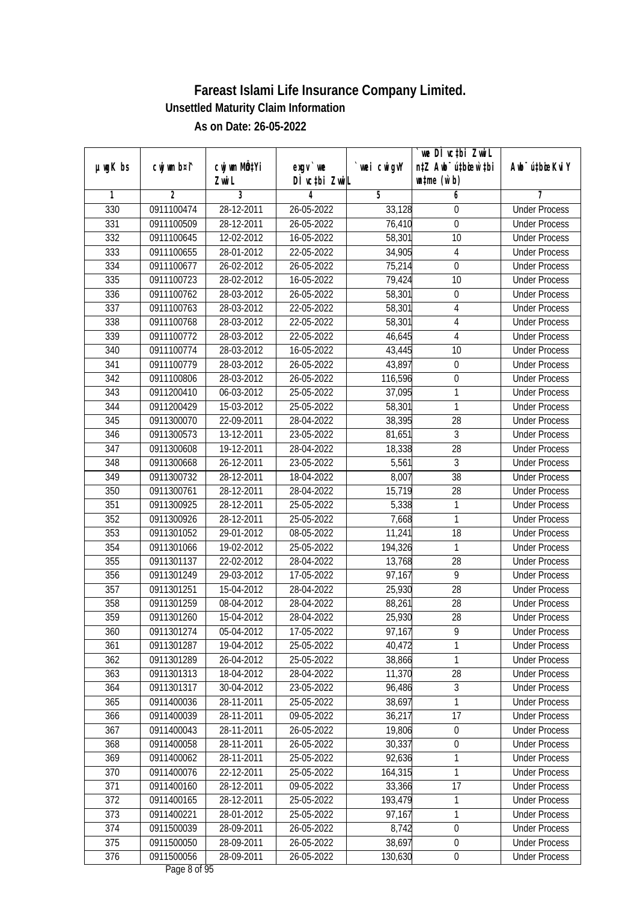|               |                |              |                  |                | we DI vctbi Zwil                 |                             |
|---------------|----------------|--------------|------------------|----------------|----------------------------------|-----------------------------|
| $µ$ ug $K$ bs | cwj wm b¤i^    | cwj wm MQtYi | $exgv$ we        | wei cwigvY     | n‡Z Awb <sup>-</sup> ú‡biosw`‡bi | Awb <sup>-</sup> ú‡bioeKviY |
|               |                | Zwi L        | DÌ vctbi ZwiL    |                | $\n  untime\n  (u`b)\n$          |                             |
| 1             | $\overline{2}$ | 3            | 4                | $\overline{5}$ | 6                                | 7                           |
| 330           | 0911100474     | 28-12-2011   | 26-05-2022       | 33,128         | 0                                | <b>Under Process</b>        |
| 331           | 0911100509     | 28-12-2011   | 26-05-2022       | 76,410         | $\boldsymbol{0}$                 | <b>Under Process</b>        |
| 332           | 0911100645     | 12-02-2012   | 16-05-2022       | 58,301         | $\overline{10}$                  | <b>Under Process</b>        |
| 333           | 0911100655     | 28-01-2012   | 22-05-2022       | 34,905         | 4                                | <b>Under Process</b>        |
| 334           | 0911100677     | 26-02-2012   | 26-05-2022       | 75,214         | $\overline{0}$                   | <b>Under Process</b>        |
| 335           | 0911100723     | 28-02-2012   | 16-05-2022       | 79,424         | 10                               | <b>Under Process</b>        |
| 336           | 0911100762     | 28-03-2012   | $26 - 05 - 2022$ | 58,301         | 0                                | <b>Under Process</b>        |
| 337           | 0911100763     | 28-03-2012   | 22-05-2022       | 58,301         | 4                                | <b>Under Process</b>        |
| 338           | 0911100768     | 28-03-2012   | 22-05-2022       | 58,301         | 4                                | <b>Under Process</b>        |
| 339           | 0911100772     | 28-03-2012   | 22-05-2022       | 46,645         | $\overline{4}$                   | <b>Under Process</b>        |
| 340           | 0911100774     | 28-03-2012   | 16-05-2022       | 43,445         | $\overline{10}$                  | <b>Under Process</b>        |
| 341           | 0911100779     | 28-03-2012   | 26-05-2022       | 43,897         | $\boldsymbol{0}$                 | <b>Under Process</b>        |
| 342           | 0911100806     | 28-03-2012   | 26-05-2022       | 116,596        | $\overline{0}$                   | <b>Under Process</b>        |
| 343           | 0911200410     | 06-03-2012   | 25-05-2022       | 37,095         | 1                                | <b>Under Process</b>        |
| 344           | 0911200429     | 15-03-2012   | 25-05-2022       | 58,301         | 1                                | <b>Under Process</b>        |
| 345           | 0911300070     | 22-09-2011   | 28-04-2022       | 38,395         | 28                               | <b>Under Process</b>        |
| 346           | 0911300573     | 13-12-2011   | 23-05-2022       | 81,651         | $\overline{3}$                   | <b>Under Process</b>        |
| 347           | 0911300608     | 19-12-2011   | 28-04-2022       | 18,338         | 28                               | <b>Under Process</b>        |
| 348           | 0911300668     | 26-12-2011   | 23-05-2022       | 5,561          | 3                                | <b>Under Process</b>        |
| 349           | 0911300732     | 28-12-2011   | 18-04-2022       | 8,007          | 38                               | <b>Under Process</b>        |
| 350           | 0911300761     | 28-12-2011   | 28-04-2022       | 15,719         | 28                               | <b>Under Process</b>        |
| 351           | 0911300925     | 28-12-2011   | 25-05-2022       | 5,338          | 1                                | <b>Under Process</b>        |
| 352           | 0911300926     | 28-12-2011   | 25-05-2022       | 7,668          | $\mathbf{1}$                     | <b>Under Process</b>        |
| 353           | 0911301052     | 29-01-2012   | 08-05-2022       | 11,241         | 18                               | <b>Under Process</b>        |
| 354           | 0911301066     | 19-02-2012   | 25-05-2022       | 194,326        | 1                                | <b>Under Process</b>        |
| 355           | 0911301137     | 22-02-2012   | 28-04-2022       | 13,768         | 28                               | <b>Under Process</b>        |
| 356           | 0911301249     | 29-03-2012   | 17-05-2022       | 97,167         | 9                                | <b>Under Process</b>        |
| 357           | 0911301251     | 15-04-2012   | 28-04-2022       | 25,930         | 28                               | <b>Under Process</b>        |
| 358           | 0911301259     | 08-04-2012   | 28-04-2022       | 88,261         | 28                               | <b>Under Process</b>        |
| 359           | 0911301260     | 15-04-2012   | 28-04-2022       | 25,930         | 28                               | <b>Under Process</b>        |
| 360           | 0911301274     | 05-04-2012   | 17-05-2022       | 97,167         | 9                                | <b>Under Process</b>        |
| 361           | 0911301287     | 19-04-2012   | 25-05-2022       | 40,472         | 1                                | <b>Under Process</b>        |
| 362           | 0911301289     | 26-04-2012   | 25-05-2022       | 38,866         | 1                                | <b>Under Process</b>        |
| 363           | 0911301313     | 18-04-2012   | 28-04-2022       | 11,370         | 28                               | <b>Under Process</b>        |
| 364           | 0911301317     | 30-04-2012   | 23-05-2022       | 96,486         | $\mathfrak{Z}$                   | <b>Under Process</b>        |
| 365           | 0911400036     | 28-11-2011   | 25-05-2022       | 38,697         | 1                                | <b>Under Process</b>        |
| 366           | 0911400039     | 28-11-2011   | 09-05-2022       | 36,217         | 17                               | <b>Under Process</b>        |
| 367           | 0911400043     | 28-11-2011   | 26-05-2022       | 19,806         | 0                                | <b>Under Process</b>        |
| 368           | 0911400058     | 28-11-2011   | 26-05-2022       | 30,337         | $\boldsymbol{0}$                 | <b>Under Process</b>        |
| 369           | 0911400062     | 28-11-2011   | 25-05-2022       | 92,636         | $\mathbf{1}$                     | <b>Under Process</b>        |
| 370           | 0911400076     | 22-12-2011   | 25-05-2022       | 164,315        | 1                                | <b>Under Process</b>        |
| 371           | 0911400160     | 28-12-2011   | 09-05-2022       | 33,366         | 17                               | <b>Under Process</b>        |
| 372           | 0911400165     | 28-12-2011   | 25-05-2022       | 193,479        | 1                                | <b>Under Process</b>        |
| 373           | 0911400221     | 28-01-2012   | 25-05-2022       | 97,167         | 1                                | <b>Under Process</b>        |
| 374           | 0911500039     | 28-09-2011   | 26-05-2022       | 8,742          | $\boldsymbol{0}$                 | <b>Under Process</b>        |
| 375           | 0911500050     | 28-09-2011   | 26-05-2022       | 38,697         | $\pmb{0}$                        | <b>Under Process</b>        |
| 376           | 0911500056     | 28-09-2011   | 26-05-2022       | 130,630        | $\pmb{0}$                        | <b>Under Process</b>        |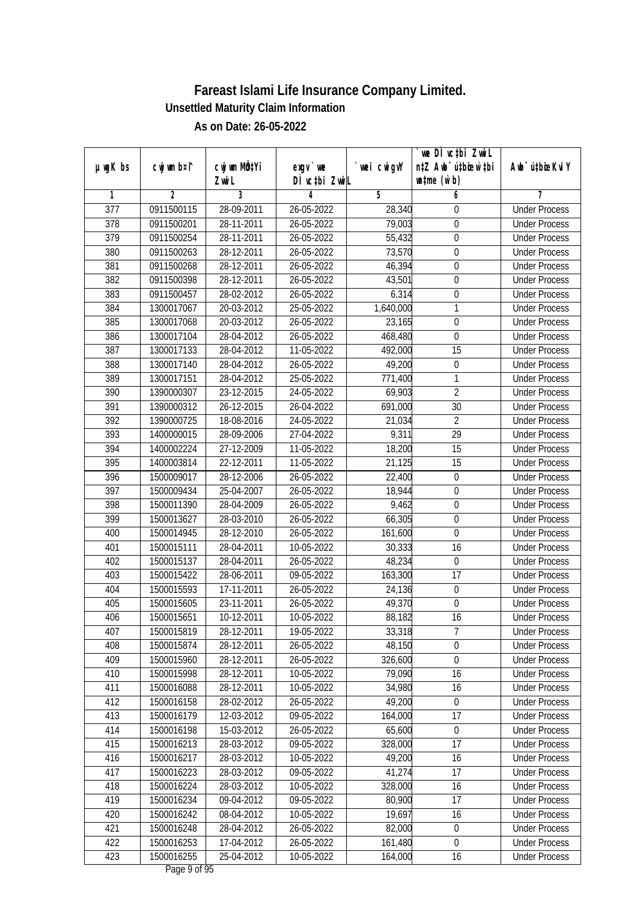|                  |             |                                    |                            |             | we DI vctbi ZwiL                                            |                             |
|------------------|-------------|------------------------------------|----------------------------|-------------|-------------------------------------------------------------|-----------------------------|
| $µ$ ug $K$ bs    | cwj wm b¤i^ | cwj wm MQ <sup>1</sup> Yi<br>Zwi L | $exgV$ we<br>DÌ vctbi ZwiL | `wei cwigvY | n‡Z Awb <sup>-</sup> ú‡bioar`‡bi<br>$\n  untime\n  (u`b)\n$ | Awb <sup>-</sup> ú‡bioeKviY |
| 1                | 2           | 3                                  | 4                          | 5           | 6                                                           | 7                           |
| $\overline{377}$ | 0911500115  | 28-09-2011                         | 26-05-2022                 | 28,340      | 0                                                           | <b>Under Process</b>        |
| 378              | 0911500201  | 28-11-2011                         | 26-05-2022                 | 79,003      | $\boldsymbol{0}$                                            | <b>Under Process</b>        |
| 379              | 0911500254  | 28-11-2011                         | 26-05-2022                 | 55,432      | $\boldsymbol{0}$                                            | <b>Under Process</b>        |
| 380              | 0911500263  | 28-12-2011                         | 26-05-2022                 | 73,570      | $\boldsymbol{0}$                                            | <b>Under Process</b>        |
| 381              | 0911500268  | 28-12-2011                         | 26-05-2022                 | 46,394      | $\boldsymbol{0}$                                            | <b>Under Process</b>        |
| 382              | 0911500398  | 28-12-2011                         | 26-05-2022                 | 43,501      | $\boldsymbol{0}$                                            | <b>Under Process</b>        |
| 383              | 0911500457  | 28-02-2012                         | 26-05-2022                 | 6,314       | $\boldsymbol{0}$                                            | <b>Under Process</b>        |
| 384              | 1300017067  | 20-03-2012                         | 25-05-2022                 | 1,640,000   | 1                                                           | <b>Under Process</b>        |
| 385              | 1300017068  | 20-03-2012                         | 26-05-2022                 | 23,165      | $\boldsymbol{0}$                                            | <b>Under Process</b>        |
| 386              | 1300017104  | 28-04-2012                         | 26-05-2022                 | 468,480     | $\boldsymbol{0}$                                            | <b>Under Process</b>        |
| 387              | 1300017133  | 28-04-2012                         | 11-05-2022                 | 492,000     | 15                                                          | <b>Under Process</b>        |
| 388              | 1300017140  | 28-04-2012                         | 26-05-2022                 | 49,200      | $\boldsymbol{0}$                                            | <b>Under Process</b>        |
| 389              | 1300017151  | 28-04-2012                         | 25-05-2022                 | 771,400     | 1                                                           | <b>Under Process</b>        |
| 390              | 1390000307  | 23-12-2015                         | 24-05-2022                 | 69,903      | $\overline{2}$                                              | <b>Under Process</b>        |
| 391              | 1390000312  | 26-12-2015                         | 26-04-2022                 | 691,000     | 30                                                          | <b>Under Process</b>        |
| 392              | 1390000725  | 18-08-2016                         | 24-05-2022                 | 21,034      | $\overline{2}$                                              | <b>Under Process</b>        |
| 393              | 1400000015  | 28-09-2006                         | 27-04-2022                 | 9,311       | 29                                                          | <b>Under Process</b>        |
| 394              | 1400002224  | 27-12-2009                         | 11-05-2022                 | 18,200      | 15                                                          | <b>Under Process</b>        |
| 395              | 1400003814  | 22-12-2011                         | 11-05-2022                 | 21,125      | 15                                                          | <b>Under Process</b>        |
| 396              | 1500009017  | 28-12-2006                         | 26-05-2022                 | 22,400      | $\boldsymbol{0}$                                            | <b>Under Process</b>        |
| 397              | 1500009434  | 25-04-2007                         | 26-05-2022                 | 18,944      | $\boldsymbol{0}$                                            | <b>Under Process</b>        |
| 398              | 1500011390  | 28-04-2009                         | 26-05-2022                 | 9,462       | 0                                                           | <b>Under Process</b>        |
| 399              | 1500013627  | 28-03-2010                         | 26-05-2022                 | 66,305      | $\boldsymbol{0}$                                            | <b>Under Process</b>        |
| 400              | 1500014945  | 28-12-2010                         | 26-05-2022                 | 161,600     | $\pmb{0}$                                                   | <b>Under Process</b>        |
| 401              | 1500015111  | 28-04-2011                         | 10-05-2022                 | 30,333      | 16                                                          | <b>Under Process</b>        |
| 402              | 1500015137  | 28-04-2011                         | 26-05-2022                 | 48,234      | $\boldsymbol{0}$                                            | <b>Under Process</b>        |
| 403              | 1500015422  | 28-06-2011                         | 09-05-2022                 | 163,300     | 17                                                          | <b>Under Process</b>        |
| 404              | 1500015593  | 17-11-2011                         | 26-05-2022                 | 24,136      | 0                                                           | <b>Under Process</b>        |
| 405              | 1500015605  | 23-11-2011                         | 26-05-2022                 | 49,370      | $\overline{0}$                                              | <b>Under Process</b>        |
| 406              | 1500015651  | 10-12-2011                         | 10-05-2022                 | 88,182      | 16                                                          | <b>Under Process</b>        |
| 407              | 1500015819  | 28-12-2011                         | 19-05-2022                 | 33,318      | 7                                                           | <b>Under Process</b>        |
| 408              | 1500015874  | 28-12-2011                         | 26-05-2022                 | 48,150      | $\mathbf 0$                                                 | <b>Under Process</b>        |
| 409              | 1500015960  | 28-12-2011                         | 26-05-2022                 | 326,600     | 0                                                           | <b>Under Process</b>        |
| 410              | 1500015998  | 28-12-2011                         | 10-05-2022                 | 79,090      | 16                                                          | <b>Under Process</b>        |
| 411              | 1500016088  | 28-12-2011                         | 10-05-2022                 | 34,980      | 16                                                          | <b>Under Process</b>        |
| 412              | 1500016158  | 28-02-2012                         | 26-05-2022                 | 49,200      | 0                                                           | <b>Under Process</b>        |
| 413              | 1500016179  | 12-03-2012                         | 09-05-2022                 | 164,000     | 17                                                          | <b>Under Process</b>        |
| 414              | 1500016198  | 15-03-2012                         | 26-05-2022                 | 65,600      | 0                                                           | <b>Under Process</b>        |
| 415              | 1500016213  | 28-03-2012                         | 09-05-2022                 | 328,000     | 17                                                          | <b>Under Process</b>        |
| 416              | 1500016217  | 28-03-2012                         | 10-05-2022                 | 49,200      | 16                                                          | <b>Under Process</b>        |
| 417              | 1500016223  | 28-03-2012                         | 09-05-2022                 | 41,274      | 17                                                          | <b>Under Process</b>        |
| 418              | 1500016224  | 28-03-2012                         | 10-05-2022                 | 328,000     | 16                                                          | <b>Under Process</b>        |
| 419              | 1500016234  | 09-04-2012                         | $09 - 05 - 2022$           | 80,900      | $\overline{17}$                                             | <b>Under Process</b>        |
| 420              | 1500016242  | 08-04-2012                         | 10-05-2022                 | 19,697      | 16                                                          | <b>Under Process</b>        |
| 421              | 1500016248  | 28-04-2012                         | 26-05-2022                 | 82,000      | $\boldsymbol{0}$                                            | <b>Under Process</b>        |
| 422              | 1500016253  | 17-04-2012                         | 26-05-2022                 | 161,480     | $\boldsymbol{0}$                                            | <b>Under Process</b>        |
| 423              | 1500016255  | 25-04-2012                         | 10-05-2022                 | 164,000     | 16                                                          | <b>Under Process</b>        |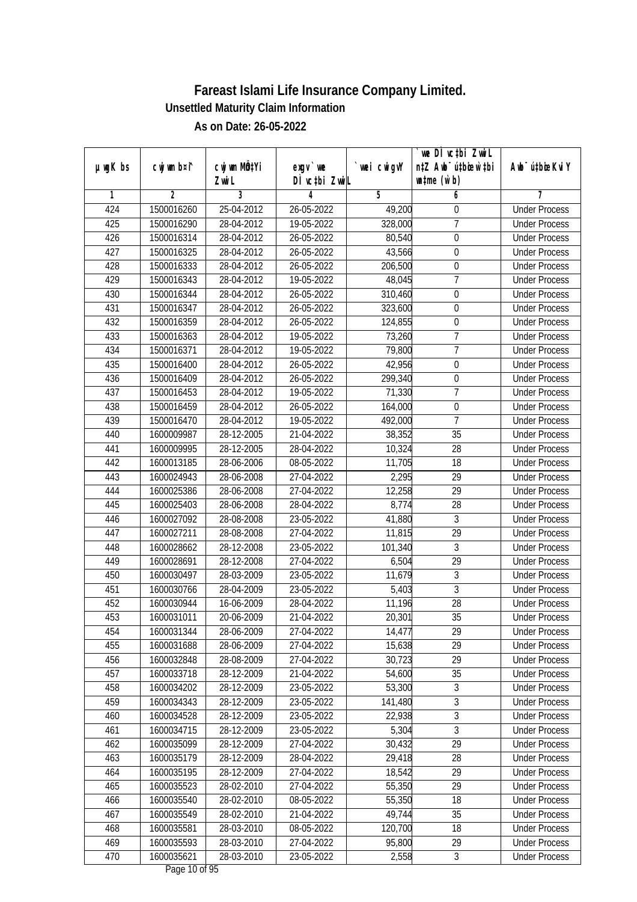| n‡Z Awb <sup>-</sup> ú‡bioar`‡bi<br>cwj wm b¤i^<br>cwj wm MQ <sup>1</sup> Yi<br>$µ$ ug $K$ bs<br>$exgV$ we<br>`wei cwigvY<br>Awb <sup>-</sup> ú‡bioeKviY<br>DÌ vctbi ZwiL<br>$\n  untime\n  (u`b)\n$<br>Zwi L<br>3<br>2<br>5<br>6<br>1<br>4<br>7<br>424<br>1500016260<br>25-04-2012<br>26-05-2022<br><b>Under Process</b><br>49,200<br>0<br>7<br>425<br>28-04-2012<br>19-05-2022<br>328,000<br>1500016290<br><b>Under Process</b><br>426<br>1500016314<br>28-04-2012<br>26-05-2022<br>80,540<br>$\boldsymbol{0}$<br><b>Under Process</b><br>427<br>26-05-2022<br>43,566<br>1500016325<br>28-04-2012<br>$\boldsymbol{0}$<br><b>Under Process</b><br>28-04-2012<br>428<br>1500016333<br>26-05-2022<br>206,500<br>$\boldsymbol{0}$<br><b>Under Process</b><br>$\overline{7}$<br>429<br>28-04-2012<br>1500016343<br>19-05-2022<br>48,045<br><b>Under Process</b><br>430<br>1500016344<br>28-04-2012<br>26-05-2022<br>310,460<br>$\boldsymbol{0}$<br><b>Under Process</b><br>431<br>323,600<br>$\overline{0}$<br>1500016347<br>28-04-2012<br>26-05-2022<br><b>Under Process</b><br>432<br>1500016359<br>28-04-2012<br>26-05-2022<br>124,855<br>$\boldsymbol{0}$<br><b>Under Process</b><br>7<br>433<br>1500016363<br>28-04-2012<br>19-05-2022<br>73,260<br><b>Under Process</b><br>7<br>434<br>1500016371<br>28-04-2012<br>19-05-2022<br>79,800<br><b>Under Process</b><br>435<br>42,956<br>1500016400<br>28-04-2012<br>26-05-2022<br>$\boldsymbol{0}$<br><b>Under Process</b><br>299,340<br>$\pmb{0}$<br>436<br>1500016409<br>28-04-2012<br>26-05-2022<br><b>Under Process</b><br>$\overline{7}$<br>437<br>28-04-2012<br>19-05-2022<br>71,330<br>1500016453<br><b>Under Process</b><br>438<br>28-04-2012<br>$\boldsymbol{0}$<br>1500016459<br>26-05-2022<br>164,000<br><b>Under Process</b><br>$\overline{7}$<br>439<br>1500016470<br>28-04-2012<br>19-05-2022<br>492,000<br><b>Under Process</b><br>440<br>28-12-2005<br>21-04-2022<br>38,352<br>35<br>1600009987<br><b>Under Process</b><br>28<br>441<br>1600009995<br>28-12-2005<br>28-04-2022<br>10,324<br><b>Under Process</b><br>442<br>1600013185<br>28-06-2006<br>08-05-2022<br>11,705<br>18<br><b>Under Process</b><br>443<br>2,295<br>29<br>1600024943<br>28-06-2008<br>27-04-2022<br><b>Under Process</b><br>12,258<br>29<br>444<br>1600025386<br>28-06-2008<br>27-04-2022<br><b>Under Process</b><br>445<br>1600025403<br>28-06-2008<br>28-04-2022<br>8,774<br>28<br><b>Under Process</b><br>23-05-2022<br>41,880<br>3<br>446<br>1600027092<br>28-08-2008<br><b>Under Process</b><br>$\overline{29}$<br>447<br>1600027211<br>28-08-2008<br>27-04-2022<br>11,815<br><b>Under Process</b><br>$\mathfrak{Z}$<br>23-05-2022<br>101,340<br>448<br>1600028662<br>28-12-2008<br><b>Under Process</b><br>29<br>449<br>1600028691<br>28-12-2008<br>27-04-2022<br>6,504<br><b>Under Process</b><br>3<br>450<br>1600030497<br>28-03-2009<br>23-05-2022<br>11,679<br><b>Under Process</b><br>$\overline{3}$<br>451<br>1600030766<br>28-04-2009<br>23-05-2022<br>5,403<br><b>Under Process</b><br>452<br>28<br>1600030944<br>16-06-2009<br>28-04-2022<br>11,196<br><b>Under Process</b><br>453<br>1600031011<br>20-06-2009<br>21-04-2022<br>20,301<br>35<br><b>Under Process</b><br>454<br>1600031344<br>28-06-2009<br>27-04-2022<br>14,477<br>29<br><b>Under Process</b><br>15,638<br>29<br>455<br>1600031688<br>28-06-2009<br>27-04-2022<br><b>Under Process</b><br>29<br>456<br>28-08-2009<br>27-04-2022<br>30,723<br>1600032848<br><b>Under Process</b><br>457<br>54,600<br>35<br>1600033718<br>28-12-2009<br>21-04-2022<br><b>Under Process</b><br>$\overline{3}$<br>458<br>1600034202<br>28-12-2009<br>53,300<br>23-05-2022<br><b>Under Process</b><br>$\overline{3}$<br>459<br>1600034343<br>28-12-2009<br>23-05-2022<br>141,480<br><b>Under Process</b><br>3<br>28-12-2009<br>22,938<br>460<br>1600034528<br>23-05-2022<br><b>Under Process</b><br>5,304<br>3<br>461<br>1600034715<br>28-12-2009<br>23-05-2022<br><b>Under Process</b><br>30,432<br>29<br>462<br>1600035099<br>28-12-2009<br>27-04-2022<br><b>Under Process</b><br>463<br>28-12-2009<br>29,418<br>28<br>1600035179<br>28-04-2022<br><b>Under Process</b><br>464<br>1600035195<br>28-12-2009<br>27-04-2022<br>18,542<br>29<br><b>Under Process</b><br>1600035523<br>28-02-2010<br>55,350<br>29<br>465<br>27-04-2022<br><b>Under Process</b><br>$\overline{18}$<br>28-02-2010<br>$08-05-2022$<br>55,350<br><b>Under Process</b><br>466<br>1600035540<br>467<br>28-02-2010<br>49,744<br>35<br>1600035549<br>21-04-2022<br><b>Under Process</b><br>120,700<br>18<br>468<br>1600035581<br>28-03-2010<br>08-05-2022<br><b>Under Process</b><br>469<br>95,800<br>29<br>1600035593<br>28-03-2010<br>27-04-2022<br><b>Under Process</b><br>2,558<br>470<br>1600035621<br>28-03-2010<br>23-05-2022<br>3<br><b>Under Process</b> |  |  | we DI vctbi ZwiL |  |
|------------------------------------------------------------------------------------------------------------------------------------------------------------------------------------------------------------------------------------------------------------------------------------------------------------------------------------------------------------------------------------------------------------------------------------------------------------------------------------------------------------------------------------------------------------------------------------------------------------------------------------------------------------------------------------------------------------------------------------------------------------------------------------------------------------------------------------------------------------------------------------------------------------------------------------------------------------------------------------------------------------------------------------------------------------------------------------------------------------------------------------------------------------------------------------------------------------------------------------------------------------------------------------------------------------------------------------------------------------------------------------------------------------------------------------------------------------------------------------------------------------------------------------------------------------------------------------------------------------------------------------------------------------------------------------------------------------------------------------------------------------------------------------------------------------------------------------------------------------------------------------------------------------------------------------------------------------------------------------------------------------------------------------------------------------------------------------------------------------------------------------------------------------------------------------------------------------------------------------------------------------------------------------------------------------------------------------------------------------------------------------------------------------------------------------------------------------------------------------------------------------------------------------------------------------------------------------------------------------------------------------------------------------------------------------------------------------------------------------------------------------------------------------------------------------------------------------------------------------------------------------------------------------------------------------------------------------------------------------------------------------------------------------------------------------------------------------------------------------------------------------------------------------------------------------------------------------------------------------------------------------------------------------------------------------------------------------------------------------------------------------------------------------------------------------------------------------------------------------------------------------------------------------------------------------------------------------------------------------------------------------------------------------------------------------------------------------------------------------------------------------------------------------------------------------------------------------------------------------------------------------------------------------------------------------------------------------------------------------------------------------------------------------------------------------------------------------------------------------------------------------------------------------------------------------------------------------------------------------------------------------------------------------------------------------------------------------------------------------------------------------------------------------------------------------------------------------------------------------------------------------------------------------------------------------------------------------------------------------------------------------------------------------------------------------------------------------------------------------------------------------------------------------------------------------------------------------------|--|--|------------------|--|
|                                                                                                                                                                                                                                                                                                                                                                                                                                                                                                                                                                                                                                                                                                                                                                                                                                                                                                                                                                                                                                                                                                                                                                                                                                                                                                                                                                                                                                                                                                                                                                                                                                                                                                                                                                                                                                                                                                                                                                                                                                                                                                                                                                                                                                                                                                                                                                                                                                                                                                                                                                                                                                                                                                                                                                                                                                                                                                                                                                                                                                                                                                                                                                                                                                                                                                                                                                                                                                                                                                                                                                                                                                                                                                                                                                                                                                                                                                                                                                                                                                                                                                                                                                                                                                                                                                                                                                                                                                                                                                                                                                                                                                                                                                                                                                                                                                          |  |  |                  |  |
|                                                                                                                                                                                                                                                                                                                                                                                                                                                                                                                                                                                                                                                                                                                                                                                                                                                                                                                                                                                                                                                                                                                                                                                                                                                                                                                                                                                                                                                                                                                                                                                                                                                                                                                                                                                                                                                                                                                                                                                                                                                                                                                                                                                                                                                                                                                                                                                                                                                                                                                                                                                                                                                                                                                                                                                                                                                                                                                                                                                                                                                                                                                                                                                                                                                                                                                                                                                                                                                                                                                                                                                                                                                                                                                                                                                                                                                                                                                                                                                                                                                                                                                                                                                                                                                                                                                                                                                                                                                                                                                                                                                                                                                                                                                                                                                                                                          |  |  |                  |  |
|                                                                                                                                                                                                                                                                                                                                                                                                                                                                                                                                                                                                                                                                                                                                                                                                                                                                                                                                                                                                                                                                                                                                                                                                                                                                                                                                                                                                                                                                                                                                                                                                                                                                                                                                                                                                                                                                                                                                                                                                                                                                                                                                                                                                                                                                                                                                                                                                                                                                                                                                                                                                                                                                                                                                                                                                                                                                                                                                                                                                                                                                                                                                                                                                                                                                                                                                                                                                                                                                                                                                                                                                                                                                                                                                                                                                                                                                                                                                                                                                                                                                                                                                                                                                                                                                                                                                                                                                                                                                                                                                                                                                                                                                                                                                                                                                                                          |  |  |                  |  |
|                                                                                                                                                                                                                                                                                                                                                                                                                                                                                                                                                                                                                                                                                                                                                                                                                                                                                                                                                                                                                                                                                                                                                                                                                                                                                                                                                                                                                                                                                                                                                                                                                                                                                                                                                                                                                                                                                                                                                                                                                                                                                                                                                                                                                                                                                                                                                                                                                                                                                                                                                                                                                                                                                                                                                                                                                                                                                                                                                                                                                                                                                                                                                                                                                                                                                                                                                                                                                                                                                                                                                                                                                                                                                                                                                                                                                                                                                                                                                                                                                                                                                                                                                                                                                                                                                                                                                                                                                                                                                                                                                                                                                                                                                                                                                                                                                                          |  |  |                  |  |
|                                                                                                                                                                                                                                                                                                                                                                                                                                                                                                                                                                                                                                                                                                                                                                                                                                                                                                                                                                                                                                                                                                                                                                                                                                                                                                                                                                                                                                                                                                                                                                                                                                                                                                                                                                                                                                                                                                                                                                                                                                                                                                                                                                                                                                                                                                                                                                                                                                                                                                                                                                                                                                                                                                                                                                                                                                                                                                                                                                                                                                                                                                                                                                                                                                                                                                                                                                                                                                                                                                                                                                                                                                                                                                                                                                                                                                                                                                                                                                                                                                                                                                                                                                                                                                                                                                                                                                                                                                                                                                                                                                                                                                                                                                                                                                                                                                          |  |  |                  |  |
|                                                                                                                                                                                                                                                                                                                                                                                                                                                                                                                                                                                                                                                                                                                                                                                                                                                                                                                                                                                                                                                                                                                                                                                                                                                                                                                                                                                                                                                                                                                                                                                                                                                                                                                                                                                                                                                                                                                                                                                                                                                                                                                                                                                                                                                                                                                                                                                                                                                                                                                                                                                                                                                                                                                                                                                                                                                                                                                                                                                                                                                                                                                                                                                                                                                                                                                                                                                                                                                                                                                                                                                                                                                                                                                                                                                                                                                                                                                                                                                                                                                                                                                                                                                                                                                                                                                                                                                                                                                                                                                                                                                                                                                                                                                                                                                                                                          |  |  |                  |  |
|                                                                                                                                                                                                                                                                                                                                                                                                                                                                                                                                                                                                                                                                                                                                                                                                                                                                                                                                                                                                                                                                                                                                                                                                                                                                                                                                                                                                                                                                                                                                                                                                                                                                                                                                                                                                                                                                                                                                                                                                                                                                                                                                                                                                                                                                                                                                                                                                                                                                                                                                                                                                                                                                                                                                                                                                                                                                                                                                                                                                                                                                                                                                                                                                                                                                                                                                                                                                                                                                                                                                                                                                                                                                                                                                                                                                                                                                                                                                                                                                                                                                                                                                                                                                                                                                                                                                                                                                                                                                                                                                                                                                                                                                                                                                                                                                                                          |  |  |                  |  |
|                                                                                                                                                                                                                                                                                                                                                                                                                                                                                                                                                                                                                                                                                                                                                                                                                                                                                                                                                                                                                                                                                                                                                                                                                                                                                                                                                                                                                                                                                                                                                                                                                                                                                                                                                                                                                                                                                                                                                                                                                                                                                                                                                                                                                                                                                                                                                                                                                                                                                                                                                                                                                                                                                                                                                                                                                                                                                                                                                                                                                                                                                                                                                                                                                                                                                                                                                                                                                                                                                                                                                                                                                                                                                                                                                                                                                                                                                                                                                                                                                                                                                                                                                                                                                                                                                                                                                                                                                                                                                                                                                                                                                                                                                                                                                                                                                                          |  |  |                  |  |
|                                                                                                                                                                                                                                                                                                                                                                                                                                                                                                                                                                                                                                                                                                                                                                                                                                                                                                                                                                                                                                                                                                                                                                                                                                                                                                                                                                                                                                                                                                                                                                                                                                                                                                                                                                                                                                                                                                                                                                                                                                                                                                                                                                                                                                                                                                                                                                                                                                                                                                                                                                                                                                                                                                                                                                                                                                                                                                                                                                                                                                                                                                                                                                                                                                                                                                                                                                                                                                                                                                                                                                                                                                                                                                                                                                                                                                                                                                                                                                                                                                                                                                                                                                                                                                                                                                                                                                                                                                                                                                                                                                                                                                                                                                                                                                                                                                          |  |  |                  |  |
|                                                                                                                                                                                                                                                                                                                                                                                                                                                                                                                                                                                                                                                                                                                                                                                                                                                                                                                                                                                                                                                                                                                                                                                                                                                                                                                                                                                                                                                                                                                                                                                                                                                                                                                                                                                                                                                                                                                                                                                                                                                                                                                                                                                                                                                                                                                                                                                                                                                                                                                                                                                                                                                                                                                                                                                                                                                                                                                                                                                                                                                                                                                                                                                                                                                                                                                                                                                                                                                                                                                                                                                                                                                                                                                                                                                                                                                                                                                                                                                                                                                                                                                                                                                                                                                                                                                                                                                                                                                                                                                                                                                                                                                                                                                                                                                                                                          |  |  |                  |  |
|                                                                                                                                                                                                                                                                                                                                                                                                                                                                                                                                                                                                                                                                                                                                                                                                                                                                                                                                                                                                                                                                                                                                                                                                                                                                                                                                                                                                                                                                                                                                                                                                                                                                                                                                                                                                                                                                                                                                                                                                                                                                                                                                                                                                                                                                                                                                                                                                                                                                                                                                                                                                                                                                                                                                                                                                                                                                                                                                                                                                                                                                                                                                                                                                                                                                                                                                                                                                                                                                                                                                                                                                                                                                                                                                                                                                                                                                                                                                                                                                                                                                                                                                                                                                                                                                                                                                                                                                                                                                                                                                                                                                                                                                                                                                                                                                                                          |  |  |                  |  |
|                                                                                                                                                                                                                                                                                                                                                                                                                                                                                                                                                                                                                                                                                                                                                                                                                                                                                                                                                                                                                                                                                                                                                                                                                                                                                                                                                                                                                                                                                                                                                                                                                                                                                                                                                                                                                                                                                                                                                                                                                                                                                                                                                                                                                                                                                                                                                                                                                                                                                                                                                                                                                                                                                                                                                                                                                                                                                                                                                                                                                                                                                                                                                                                                                                                                                                                                                                                                                                                                                                                                                                                                                                                                                                                                                                                                                                                                                                                                                                                                                                                                                                                                                                                                                                                                                                                                                                                                                                                                                                                                                                                                                                                                                                                                                                                                                                          |  |  |                  |  |
|                                                                                                                                                                                                                                                                                                                                                                                                                                                                                                                                                                                                                                                                                                                                                                                                                                                                                                                                                                                                                                                                                                                                                                                                                                                                                                                                                                                                                                                                                                                                                                                                                                                                                                                                                                                                                                                                                                                                                                                                                                                                                                                                                                                                                                                                                                                                                                                                                                                                                                                                                                                                                                                                                                                                                                                                                                                                                                                                                                                                                                                                                                                                                                                                                                                                                                                                                                                                                                                                                                                                                                                                                                                                                                                                                                                                                                                                                                                                                                                                                                                                                                                                                                                                                                                                                                                                                                                                                                                                                                                                                                                                                                                                                                                                                                                                                                          |  |  |                  |  |
|                                                                                                                                                                                                                                                                                                                                                                                                                                                                                                                                                                                                                                                                                                                                                                                                                                                                                                                                                                                                                                                                                                                                                                                                                                                                                                                                                                                                                                                                                                                                                                                                                                                                                                                                                                                                                                                                                                                                                                                                                                                                                                                                                                                                                                                                                                                                                                                                                                                                                                                                                                                                                                                                                                                                                                                                                                                                                                                                                                                                                                                                                                                                                                                                                                                                                                                                                                                                                                                                                                                                                                                                                                                                                                                                                                                                                                                                                                                                                                                                                                                                                                                                                                                                                                                                                                                                                                                                                                                                                                                                                                                                                                                                                                                                                                                                                                          |  |  |                  |  |
|                                                                                                                                                                                                                                                                                                                                                                                                                                                                                                                                                                                                                                                                                                                                                                                                                                                                                                                                                                                                                                                                                                                                                                                                                                                                                                                                                                                                                                                                                                                                                                                                                                                                                                                                                                                                                                                                                                                                                                                                                                                                                                                                                                                                                                                                                                                                                                                                                                                                                                                                                                                                                                                                                                                                                                                                                                                                                                                                                                                                                                                                                                                                                                                                                                                                                                                                                                                                                                                                                                                                                                                                                                                                                                                                                                                                                                                                                                                                                                                                                                                                                                                                                                                                                                                                                                                                                                                                                                                                                                                                                                                                                                                                                                                                                                                                                                          |  |  |                  |  |
|                                                                                                                                                                                                                                                                                                                                                                                                                                                                                                                                                                                                                                                                                                                                                                                                                                                                                                                                                                                                                                                                                                                                                                                                                                                                                                                                                                                                                                                                                                                                                                                                                                                                                                                                                                                                                                                                                                                                                                                                                                                                                                                                                                                                                                                                                                                                                                                                                                                                                                                                                                                                                                                                                                                                                                                                                                                                                                                                                                                                                                                                                                                                                                                                                                                                                                                                                                                                                                                                                                                                                                                                                                                                                                                                                                                                                                                                                                                                                                                                                                                                                                                                                                                                                                                                                                                                                                                                                                                                                                                                                                                                                                                                                                                                                                                                                                          |  |  |                  |  |
|                                                                                                                                                                                                                                                                                                                                                                                                                                                                                                                                                                                                                                                                                                                                                                                                                                                                                                                                                                                                                                                                                                                                                                                                                                                                                                                                                                                                                                                                                                                                                                                                                                                                                                                                                                                                                                                                                                                                                                                                                                                                                                                                                                                                                                                                                                                                                                                                                                                                                                                                                                                                                                                                                                                                                                                                                                                                                                                                                                                                                                                                                                                                                                                                                                                                                                                                                                                                                                                                                                                                                                                                                                                                                                                                                                                                                                                                                                                                                                                                                                                                                                                                                                                                                                                                                                                                                                                                                                                                                                                                                                                                                                                                                                                                                                                                                                          |  |  |                  |  |
|                                                                                                                                                                                                                                                                                                                                                                                                                                                                                                                                                                                                                                                                                                                                                                                                                                                                                                                                                                                                                                                                                                                                                                                                                                                                                                                                                                                                                                                                                                                                                                                                                                                                                                                                                                                                                                                                                                                                                                                                                                                                                                                                                                                                                                                                                                                                                                                                                                                                                                                                                                                                                                                                                                                                                                                                                                                                                                                                                                                                                                                                                                                                                                                                                                                                                                                                                                                                                                                                                                                                                                                                                                                                                                                                                                                                                                                                                                                                                                                                                                                                                                                                                                                                                                                                                                                                                                                                                                                                                                                                                                                                                                                                                                                                                                                                                                          |  |  |                  |  |
|                                                                                                                                                                                                                                                                                                                                                                                                                                                                                                                                                                                                                                                                                                                                                                                                                                                                                                                                                                                                                                                                                                                                                                                                                                                                                                                                                                                                                                                                                                                                                                                                                                                                                                                                                                                                                                                                                                                                                                                                                                                                                                                                                                                                                                                                                                                                                                                                                                                                                                                                                                                                                                                                                                                                                                                                                                                                                                                                                                                                                                                                                                                                                                                                                                                                                                                                                                                                                                                                                                                                                                                                                                                                                                                                                                                                                                                                                                                                                                                                                                                                                                                                                                                                                                                                                                                                                                                                                                                                                                                                                                                                                                                                                                                                                                                                                                          |  |  |                  |  |
|                                                                                                                                                                                                                                                                                                                                                                                                                                                                                                                                                                                                                                                                                                                                                                                                                                                                                                                                                                                                                                                                                                                                                                                                                                                                                                                                                                                                                                                                                                                                                                                                                                                                                                                                                                                                                                                                                                                                                                                                                                                                                                                                                                                                                                                                                                                                                                                                                                                                                                                                                                                                                                                                                                                                                                                                                                                                                                                                                                                                                                                                                                                                                                                                                                                                                                                                                                                                                                                                                                                                                                                                                                                                                                                                                                                                                                                                                                                                                                                                                                                                                                                                                                                                                                                                                                                                                                                                                                                                                                                                                                                                                                                                                                                                                                                                                                          |  |  |                  |  |
|                                                                                                                                                                                                                                                                                                                                                                                                                                                                                                                                                                                                                                                                                                                                                                                                                                                                                                                                                                                                                                                                                                                                                                                                                                                                                                                                                                                                                                                                                                                                                                                                                                                                                                                                                                                                                                                                                                                                                                                                                                                                                                                                                                                                                                                                                                                                                                                                                                                                                                                                                                                                                                                                                                                                                                                                                                                                                                                                                                                                                                                                                                                                                                                                                                                                                                                                                                                                                                                                                                                                                                                                                                                                                                                                                                                                                                                                                                                                                                                                                                                                                                                                                                                                                                                                                                                                                                                                                                                                                                                                                                                                                                                                                                                                                                                                                                          |  |  |                  |  |
|                                                                                                                                                                                                                                                                                                                                                                                                                                                                                                                                                                                                                                                                                                                                                                                                                                                                                                                                                                                                                                                                                                                                                                                                                                                                                                                                                                                                                                                                                                                                                                                                                                                                                                                                                                                                                                                                                                                                                                                                                                                                                                                                                                                                                                                                                                                                                                                                                                                                                                                                                                                                                                                                                                                                                                                                                                                                                                                                                                                                                                                                                                                                                                                                                                                                                                                                                                                                                                                                                                                                                                                                                                                                                                                                                                                                                                                                                                                                                                                                                                                                                                                                                                                                                                                                                                                                                                                                                                                                                                                                                                                                                                                                                                                                                                                                                                          |  |  |                  |  |
|                                                                                                                                                                                                                                                                                                                                                                                                                                                                                                                                                                                                                                                                                                                                                                                                                                                                                                                                                                                                                                                                                                                                                                                                                                                                                                                                                                                                                                                                                                                                                                                                                                                                                                                                                                                                                                                                                                                                                                                                                                                                                                                                                                                                                                                                                                                                                                                                                                                                                                                                                                                                                                                                                                                                                                                                                                                                                                                                                                                                                                                                                                                                                                                                                                                                                                                                                                                                                                                                                                                                                                                                                                                                                                                                                                                                                                                                                                                                                                                                                                                                                                                                                                                                                                                                                                                                                                                                                                                                                                                                                                                                                                                                                                                                                                                                                                          |  |  |                  |  |
|                                                                                                                                                                                                                                                                                                                                                                                                                                                                                                                                                                                                                                                                                                                                                                                                                                                                                                                                                                                                                                                                                                                                                                                                                                                                                                                                                                                                                                                                                                                                                                                                                                                                                                                                                                                                                                                                                                                                                                                                                                                                                                                                                                                                                                                                                                                                                                                                                                                                                                                                                                                                                                                                                                                                                                                                                                                                                                                                                                                                                                                                                                                                                                                                                                                                                                                                                                                                                                                                                                                                                                                                                                                                                                                                                                                                                                                                                                                                                                                                                                                                                                                                                                                                                                                                                                                                                                                                                                                                                                                                                                                                                                                                                                                                                                                                                                          |  |  |                  |  |
|                                                                                                                                                                                                                                                                                                                                                                                                                                                                                                                                                                                                                                                                                                                                                                                                                                                                                                                                                                                                                                                                                                                                                                                                                                                                                                                                                                                                                                                                                                                                                                                                                                                                                                                                                                                                                                                                                                                                                                                                                                                                                                                                                                                                                                                                                                                                                                                                                                                                                                                                                                                                                                                                                                                                                                                                                                                                                                                                                                                                                                                                                                                                                                                                                                                                                                                                                                                                                                                                                                                                                                                                                                                                                                                                                                                                                                                                                                                                                                                                                                                                                                                                                                                                                                                                                                                                                                                                                                                                                                                                                                                                                                                                                                                                                                                                                                          |  |  |                  |  |
|                                                                                                                                                                                                                                                                                                                                                                                                                                                                                                                                                                                                                                                                                                                                                                                                                                                                                                                                                                                                                                                                                                                                                                                                                                                                                                                                                                                                                                                                                                                                                                                                                                                                                                                                                                                                                                                                                                                                                                                                                                                                                                                                                                                                                                                                                                                                                                                                                                                                                                                                                                                                                                                                                                                                                                                                                                                                                                                                                                                                                                                                                                                                                                                                                                                                                                                                                                                                                                                                                                                                                                                                                                                                                                                                                                                                                                                                                                                                                                                                                                                                                                                                                                                                                                                                                                                                                                                                                                                                                                                                                                                                                                                                                                                                                                                                                                          |  |  |                  |  |
|                                                                                                                                                                                                                                                                                                                                                                                                                                                                                                                                                                                                                                                                                                                                                                                                                                                                                                                                                                                                                                                                                                                                                                                                                                                                                                                                                                                                                                                                                                                                                                                                                                                                                                                                                                                                                                                                                                                                                                                                                                                                                                                                                                                                                                                                                                                                                                                                                                                                                                                                                                                                                                                                                                                                                                                                                                                                                                                                                                                                                                                                                                                                                                                                                                                                                                                                                                                                                                                                                                                                                                                                                                                                                                                                                                                                                                                                                                                                                                                                                                                                                                                                                                                                                                                                                                                                                                                                                                                                                                                                                                                                                                                                                                                                                                                                                                          |  |  |                  |  |
|                                                                                                                                                                                                                                                                                                                                                                                                                                                                                                                                                                                                                                                                                                                                                                                                                                                                                                                                                                                                                                                                                                                                                                                                                                                                                                                                                                                                                                                                                                                                                                                                                                                                                                                                                                                                                                                                                                                                                                                                                                                                                                                                                                                                                                                                                                                                                                                                                                                                                                                                                                                                                                                                                                                                                                                                                                                                                                                                                                                                                                                                                                                                                                                                                                                                                                                                                                                                                                                                                                                                                                                                                                                                                                                                                                                                                                                                                                                                                                                                                                                                                                                                                                                                                                                                                                                                                                                                                                                                                                                                                                                                                                                                                                                                                                                                                                          |  |  |                  |  |
|                                                                                                                                                                                                                                                                                                                                                                                                                                                                                                                                                                                                                                                                                                                                                                                                                                                                                                                                                                                                                                                                                                                                                                                                                                                                                                                                                                                                                                                                                                                                                                                                                                                                                                                                                                                                                                                                                                                                                                                                                                                                                                                                                                                                                                                                                                                                                                                                                                                                                                                                                                                                                                                                                                                                                                                                                                                                                                                                                                                                                                                                                                                                                                                                                                                                                                                                                                                                                                                                                                                                                                                                                                                                                                                                                                                                                                                                                                                                                                                                                                                                                                                                                                                                                                                                                                                                                                                                                                                                                                                                                                                                                                                                                                                                                                                                                                          |  |  |                  |  |
|                                                                                                                                                                                                                                                                                                                                                                                                                                                                                                                                                                                                                                                                                                                                                                                                                                                                                                                                                                                                                                                                                                                                                                                                                                                                                                                                                                                                                                                                                                                                                                                                                                                                                                                                                                                                                                                                                                                                                                                                                                                                                                                                                                                                                                                                                                                                                                                                                                                                                                                                                                                                                                                                                                                                                                                                                                                                                                                                                                                                                                                                                                                                                                                                                                                                                                                                                                                                                                                                                                                                                                                                                                                                                                                                                                                                                                                                                                                                                                                                                                                                                                                                                                                                                                                                                                                                                                                                                                                                                                                                                                                                                                                                                                                                                                                                                                          |  |  |                  |  |
|                                                                                                                                                                                                                                                                                                                                                                                                                                                                                                                                                                                                                                                                                                                                                                                                                                                                                                                                                                                                                                                                                                                                                                                                                                                                                                                                                                                                                                                                                                                                                                                                                                                                                                                                                                                                                                                                                                                                                                                                                                                                                                                                                                                                                                                                                                                                                                                                                                                                                                                                                                                                                                                                                                                                                                                                                                                                                                                                                                                                                                                                                                                                                                                                                                                                                                                                                                                                                                                                                                                                                                                                                                                                                                                                                                                                                                                                                                                                                                                                                                                                                                                                                                                                                                                                                                                                                                                                                                                                                                                                                                                                                                                                                                                                                                                                                                          |  |  |                  |  |
|                                                                                                                                                                                                                                                                                                                                                                                                                                                                                                                                                                                                                                                                                                                                                                                                                                                                                                                                                                                                                                                                                                                                                                                                                                                                                                                                                                                                                                                                                                                                                                                                                                                                                                                                                                                                                                                                                                                                                                                                                                                                                                                                                                                                                                                                                                                                                                                                                                                                                                                                                                                                                                                                                                                                                                                                                                                                                                                                                                                                                                                                                                                                                                                                                                                                                                                                                                                                                                                                                                                                                                                                                                                                                                                                                                                                                                                                                                                                                                                                                                                                                                                                                                                                                                                                                                                                                                                                                                                                                                                                                                                                                                                                                                                                                                                                                                          |  |  |                  |  |
|                                                                                                                                                                                                                                                                                                                                                                                                                                                                                                                                                                                                                                                                                                                                                                                                                                                                                                                                                                                                                                                                                                                                                                                                                                                                                                                                                                                                                                                                                                                                                                                                                                                                                                                                                                                                                                                                                                                                                                                                                                                                                                                                                                                                                                                                                                                                                                                                                                                                                                                                                                                                                                                                                                                                                                                                                                                                                                                                                                                                                                                                                                                                                                                                                                                                                                                                                                                                                                                                                                                                                                                                                                                                                                                                                                                                                                                                                                                                                                                                                                                                                                                                                                                                                                                                                                                                                                                                                                                                                                                                                                                                                                                                                                                                                                                                                                          |  |  |                  |  |
|                                                                                                                                                                                                                                                                                                                                                                                                                                                                                                                                                                                                                                                                                                                                                                                                                                                                                                                                                                                                                                                                                                                                                                                                                                                                                                                                                                                                                                                                                                                                                                                                                                                                                                                                                                                                                                                                                                                                                                                                                                                                                                                                                                                                                                                                                                                                                                                                                                                                                                                                                                                                                                                                                                                                                                                                                                                                                                                                                                                                                                                                                                                                                                                                                                                                                                                                                                                                                                                                                                                                                                                                                                                                                                                                                                                                                                                                                                                                                                                                                                                                                                                                                                                                                                                                                                                                                                                                                                                                                                                                                                                                                                                                                                                                                                                                                                          |  |  |                  |  |
|                                                                                                                                                                                                                                                                                                                                                                                                                                                                                                                                                                                                                                                                                                                                                                                                                                                                                                                                                                                                                                                                                                                                                                                                                                                                                                                                                                                                                                                                                                                                                                                                                                                                                                                                                                                                                                                                                                                                                                                                                                                                                                                                                                                                                                                                                                                                                                                                                                                                                                                                                                                                                                                                                                                                                                                                                                                                                                                                                                                                                                                                                                                                                                                                                                                                                                                                                                                                                                                                                                                                                                                                                                                                                                                                                                                                                                                                                                                                                                                                                                                                                                                                                                                                                                                                                                                                                                                                                                                                                                                                                                                                                                                                                                                                                                                                                                          |  |  |                  |  |
|                                                                                                                                                                                                                                                                                                                                                                                                                                                                                                                                                                                                                                                                                                                                                                                                                                                                                                                                                                                                                                                                                                                                                                                                                                                                                                                                                                                                                                                                                                                                                                                                                                                                                                                                                                                                                                                                                                                                                                                                                                                                                                                                                                                                                                                                                                                                                                                                                                                                                                                                                                                                                                                                                                                                                                                                                                                                                                                                                                                                                                                                                                                                                                                                                                                                                                                                                                                                                                                                                                                                                                                                                                                                                                                                                                                                                                                                                                                                                                                                                                                                                                                                                                                                                                                                                                                                                                                                                                                                                                                                                                                                                                                                                                                                                                                                                                          |  |  |                  |  |
|                                                                                                                                                                                                                                                                                                                                                                                                                                                                                                                                                                                                                                                                                                                                                                                                                                                                                                                                                                                                                                                                                                                                                                                                                                                                                                                                                                                                                                                                                                                                                                                                                                                                                                                                                                                                                                                                                                                                                                                                                                                                                                                                                                                                                                                                                                                                                                                                                                                                                                                                                                                                                                                                                                                                                                                                                                                                                                                                                                                                                                                                                                                                                                                                                                                                                                                                                                                                                                                                                                                                                                                                                                                                                                                                                                                                                                                                                                                                                                                                                                                                                                                                                                                                                                                                                                                                                                                                                                                                                                                                                                                                                                                                                                                                                                                                                                          |  |  |                  |  |
|                                                                                                                                                                                                                                                                                                                                                                                                                                                                                                                                                                                                                                                                                                                                                                                                                                                                                                                                                                                                                                                                                                                                                                                                                                                                                                                                                                                                                                                                                                                                                                                                                                                                                                                                                                                                                                                                                                                                                                                                                                                                                                                                                                                                                                                                                                                                                                                                                                                                                                                                                                                                                                                                                                                                                                                                                                                                                                                                                                                                                                                                                                                                                                                                                                                                                                                                                                                                                                                                                                                                                                                                                                                                                                                                                                                                                                                                                                                                                                                                                                                                                                                                                                                                                                                                                                                                                                                                                                                                                                                                                                                                                                                                                                                                                                                                                                          |  |  |                  |  |
|                                                                                                                                                                                                                                                                                                                                                                                                                                                                                                                                                                                                                                                                                                                                                                                                                                                                                                                                                                                                                                                                                                                                                                                                                                                                                                                                                                                                                                                                                                                                                                                                                                                                                                                                                                                                                                                                                                                                                                                                                                                                                                                                                                                                                                                                                                                                                                                                                                                                                                                                                                                                                                                                                                                                                                                                                                                                                                                                                                                                                                                                                                                                                                                                                                                                                                                                                                                                                                                                                                                                                                                                                                                                                                                                                                                                                                                                                                                                                                                                                                                                                                                                                                                                                                                                                                                                                                                                                                                                                                                                                                                                                                                                                                                                                                                                                                          |  |  |                  |  |
|                                                                                                                                                                                                                                                                                                                                                                                                                                                                                                                                                                                                                                                                                                                                                                                                                                                                                                                                                                                                                                                                                                                                                                                                                                                                                                                                                                                                                                                                                                                                                                                                                                                                                                                                                                                                                                                                                                                                                                                                                                                                                                                                                                                                                                                                                                                                                                                                                                                                                                                                                                                                                                                                                                                                                                                                                                                                                                                                                                                                                                                                                                                                                                                                                                                                                                                                                                                                                                                                                                                                                                                                                                                                                                                                                                                                                                                                                                                                                                                                                                                                                                                                                                                                                                                                                                                                                                                                                                                                                                                                                                                                                                                                                                                                                                                                                                          |  |  |                  |  |
|                                                                                                                                                                                                                                                                                                                                                                                                                                                                                                                                                                                                                                                                                                                                                                                                                                                                                                                                                                                                                                                                                                                                                                                                                                                                                                                                                                                                                                                                                                                                                                                                                                                                                                                                                                                                                                                                                                                                                                                                                                                                                                                                                                                                                                                                                                                                                                                                                                                                                                                                                                                                                                                                                                                                                                                                                                                                                                                                                                                                                                                                                                                                                                                                                                                                                                                                                                                                                                                                                                                                                                                                                                                                                                                                                                                                                                                                                                                                                                                                                                                                                                                                                                                                                                                                                                                                                                                                                                                                                                                                                                                                                                                                                                                                                                                                                                          |  |  |                  |  |
|                                                                                                                                                                                                                                                                                                                                                                                                                                                                                                                                                                                                                                                                                                                                                                                                                                                                                                                                                                                                                                                                                                                                                                                                                                                                                                                                                                                                                                                                                                                                                                                                                                                                                                                                                                                                                                                                                                                                                                                                                                                                                                                                                                                                                                                                                                                                                                                                                                                                                                                                                                                                                                                                                                                                                                                                                                                                                                                                                                                                                                                                                                                                                                                                                                                                                                                                                                                                                                                                                                                                                                                                                                                                                                                                                                                                                                                                                                                                                                                                                                                                                                                                                                                                                                                                                                                                                                                                                                                                                                                                                                                                                                                                                                                                                                                                                                          |  |  |                  |  |
|                                                                                                                                                                                                                                                                                                                                                                                                                                                                                                                                                                                                                                                                                                                                                                                                                                                                                                                                                                                                                                                                                                                                                                                                                                                                                                                                                                                                                                                                                                                                                                                                                                                                                                                                                                                                                                                                                                                                                                                                                                                                                                                                                                                                                                                                                                                                                                                                                                                                                                                                                                                                                                                                                                                                                                                                                                                                                                                                                                                                                                                                                                                                                                                                                                                                                                                                                                                                                                                                                                                                                                                                                                                                                                                                                                                                                                                                                                                                                                                                                                                                                                                                                                                                                                                                                                                                                                                                                                                                                                                                                                                                                                                                                                                                                                                                                                          |  |  |                  |  |
|                                                                                                                                                                                                                                                                                                                                                                                                                                                                                                                                                                                                                                                                                                                                                                                                                                                                                                                                                                                                                                                                                                                                                                                                                                                                                                                                                                                                                                                                                                                                                                                                                                                                                                                                                                                                                                                                                                                                                                                                                                                                                                                                                                                                                                                                                                                                                                                                                                                                                                                                                                                                                                                                                                                                                                                                                                                                                                                                                                                                                                                                                                                                                                                                                                                                                                                                                                                                                                                                                                                                                                                                                                                                                                                                                                                                                                                                                                                                                                                                                                                                                                                                                                                                                                                                                                                                                                                                                                                                                                                                                                                                                                                                                                                                                                                                                                          |  |  |                  |  |
|                                                                                                                                                                                                                                                                                                                                                                                                                                                                                                                                                                                                                                                                                                                                                                                                                                                                                                                                                                                                                                                                                                                                                                                                                                                                                                                                                                                                                                                                                                                                                                                                                                                                                                                                                                                                                                                                                                                                                                                                                                                                                                                                                                                                                                                                                                                                                                                                                                                                                                                                                                                                                                                                                                                                                                                                                                                                                                                                                                                                                                                                                                                                                                                                                                                                                                                                                                                                                                                                                                                                                                                                                                                                                                                                                                                                                                                                                                                                                                                                                                                                                                                                                                                                                                                                                                                                                                                                                                                                                                                                                                                                                                                                                                                                                                                                                                          |  |  |                  |  |
|                                                                                                                                                                                                                                                                                                                                                                                                                                                                                                                                                                                                                                                                                                                                                                                                                                                                                                                                                                                                                                                                                                                                                                                                                                                                                                                                                                                                                                                                                                                                                                                                                                                                                                                                                                                                                                                                                                                                                                                                                                                                                                                                                                                                                                                                                                                                                                                                                                                                                                                                                                                                                                                                                                                                                                                                                                                                                                                                                                                                                                                                                                                                                                                                                                                                                                                                                                                                                                                                                                                                                                                                                                                                                                                                                                                                                                                                                                                                                                                                                                                                                                                                                                                                                                                                                                                                                                                                                                                                                                                                                                                                                                                                                                                                                                                                                                          |  |  |                  |  |
|                                                                                                                                                                                                                                                                                                                                                                                                                                                                                                                                                                                                                                                                                                                                                                                                                                                                                                                                                                                                                                                                                                                                                                                                                                                                                                                                                                                                                                                                                                                                                                                                                                                                                                                                                                                                                                                                                                                                                                                                                                                                                                                                                                                                                                                                                                                                                                                                                                                                                                                                                                                                                                                                                                                                                                                                                                                                                                                                                                                                                                                                                                                                                                                                                                                                                                                                                                                                                                                                                                                                                                                                                                                                                                                                                                                                                                                                                                                                                                                                                                                                                                                                                                                                                                                                                                                                                                                                                                                                                                                                                                                                                                                                                                                                                                                                                                          |  |  |                  |  |
|                                                                                                                                                                                                                                                                                                                                                                                                                                                                                                                                                                                                                                                                                                                                                                                                                                                                                                                                                                                                                                                                                                                                                                                                                                                                                                                                                                                                                                                                                                                                                                                                                                                                                                                                                                                                                                                                                                                                                                                                                                                                                                                                                                                                                                                                                                                                                                                                                                                                                                                                                                                                                                                                                                                                                                                                                                                                                                                                                                                                                                                                                                                                                                                                                                                                                                                                                                                                                                                                                                                                                                                                                                                                                                                                                                                                                                                                                                                                                                                                                                                                                                                                                                                                                                                                                                                                                                                                                                                                                                                                                                                                                                                                                                                                                                                                                                          |  |  |                  |  |
|                                                                                                                                                                                                                                                                                                                                                                                                                                                                                                                                                                                                                                                                                                                                                                                                                                                                                                                                                                                                                                                                                                                                                                                                                                                                                                                                                                                                                                                                                                                                                                                                                                                                                                                                                                                                                                                                                                                                                                                                                                                                                                                                                                                                                                                                                                                                                                                                                                                                                                                                                                                                                                                                                                                                                                                                                                                                                                                                                                                                                                                                                                                                                                                                                                                                                                                                                                                                                                                                                                                                                                                                                                                                                                                                                                                                                                                                                                                                                                                                                                                                                                                                                                                                                                                                                                                                                                                                                                                                                                                                                                                                                                                                                                                                                                                                                                          |  |  |                  |  |
|                                                                                                                                                                                                                                                                                                                                                                                                                                                                                                                                                                                                                                                                                                                                                                                                                                                                                                                                                                                                                                                                                                                                                                                                                                                                                                                                                                                                                                                                                                                                                                                                                                                                                                                                                                                                                                                                                                                                                                                                                                                                                                                                                                                                                                                                                                                                                                                                                                                                                                                                                                                                                                                                                                                                                                                                                                                                                                                                                                                                                                                                                                                                                                                                                                                                                                                                                                                                                                                                                                                                                                                                                                                                                                                                                                                                                                                                                                                                                                                                                                                                                                                                                                                                                                                                                                                                                                                                                                                                                                                                                                                                                                                                                                                                                                                                                                          |  |  |                  |  |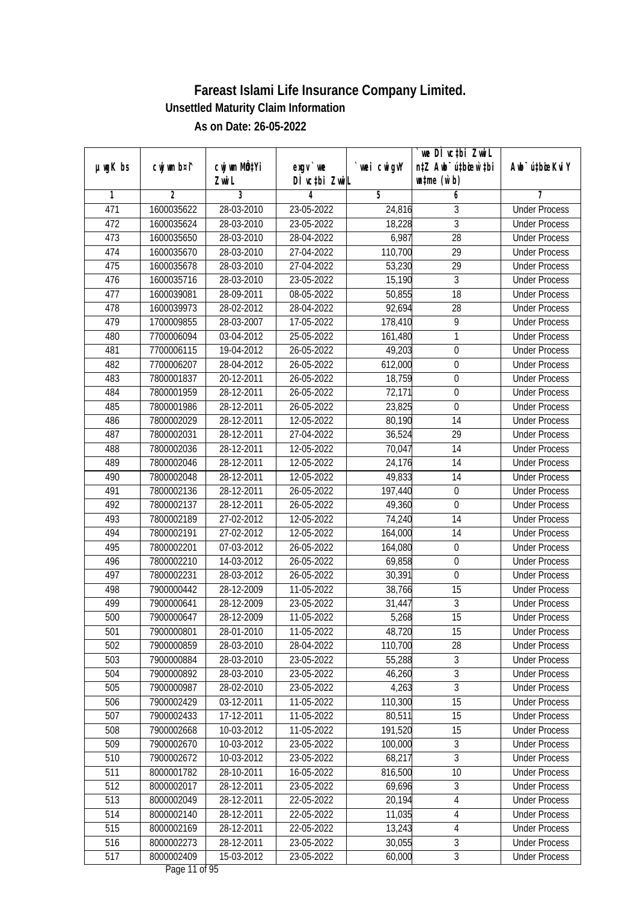|               |                |                          |               |            | we DI vctbi ZwiL                 |                             |
|---------------|----------------|--------------------------|---------------|------------|----------------------------------|-----------------------------|
| $µ$ ug $K$ bs | cwj wm b¤i^    | cwj wm MQtYi             | $exgv$ we     | wei cwigvY | n‡Z Awb <sup>-</sup> ú‡bioen`‡bi | Awb <sup>-</sup> ú‡bioeKviY |
|               |                | Zwi L                    | DÌ vctbi ZwiL |            | $w$ tme $(w b)$                  |                             |
| 1             | $\overline{2}$ | 3                        | 4             | 5          | 6                                | 7                           |
| 471           | 1600035622     | 28-03-2010               | 23-05-2022    | 24,816     | 3                                | <b>Under Process</b>        |
| 472           | 1600035624     | 28-03-2010               | 23-05-2022    | 18,228     | $\overline{3}$                   | <b>Under Process</b>        |
| 473           | 1600035650     | 28-03-2010               | 28-04-2022    | 6,987      | $\overline{28}$                  | <b>Under Process</b>        |
| 474           | 1600035670     | 28-03-2010               | 27-04-2022    | 110,700    | 29                               | <b>Under Process</b>        |
| 475           | 1600035678     | 28-03-2010               | 27-04-2022    | 53,230     | $\overline{29}$                  | <b>Under Process</b>        |
| 476           | 1600035716     | 28-03-2010               | 23-05-2022    | 15,190     | $\mathfrak{Z}$                   | <b>Under Process</b>        |
| 477           | 1600039081     | 28-09-2011               | 08-05-2022    | 50,855     | $\overline{18}$                  | <b>Under Process</b>        |
| 478           | 1600039973     | 28-02-2012               | 28-04-2022    | 92,694     | 28                               | <b>Under Process</b>        |
| 479           | 1700009855     | 28-03-2007               | 17-05-2022    | 178,410    | $\overline{9}$                   | <b>Under Process</b>        |
| 480           | 7700006094     | $\overline{03}$ -04-2012 | 25-05-2022    | 161,480    | 1                                | <b>Under Process</b>        |
| 481           | 7700006115     | 19-04-2012               | 26-05-2022    | 49,203     | $\boldsymbol{0}$                 | <b>Under Process</b>        |
| 482           | 7700006207     | 28-04-2012               | 26-05-2022    | 612,000    | $\boldsymbol{0}$                 | <b>Under Process</b>        |
| 483           | 7800001837     | 20-12-2011               | 26-05-2022    | 18,759     | $\overline{0}$                   | <b>Under Process</b>        |
| 484           | 7800001959     | 28-12-2011               | 26-05-2022    | 72,171     | $\boldsymbol{0}$                 | <b>Under Process</b>        |
| 485           | 7800001986     | 28-12-2011               | 26-05-2022    | 23,825     | 0                                | <b>Under Process</b>        |
| 486           | 7800002029     | 28-12-2011               | 12-05-2022    | 80,190     | 14                               | <b>Under Process</b>        |
| 487           | 7800002031     | 28-12-2011               | 27-04-2022    | 36,524     | 29                               | <b>Under Process</b>        |
| 488           | 7800002036     | 28-12-2011               | 12-05-2022    | 70,047     | 14                               | <b>Under Process</b>        |
| 489           | 7800002046     | 28-12-2011               | 12-05-2022    | 24,176     | 14                               | <b>Under Process</b>        |
| 490           | 7800002048     | 28-12-2011               | 12-05-2022    | 49,833     | 14                               | <b>Under Process</b>        |
| 491           | 7800002136     | 28-12-2011               | 26-05-2022    | 197,440    | $\boldsymbol{0}$                 | <b>Under Process</b>        |
| 492           | 7800002137     | 28-12-2011               | 26-05-2022    | 49,360     | 0                                | <b>Under Process</b>        |
| 493           | 7800002189     | 27-02-2012               | 12-05-2022    | 74,240     | 14                               | <b>Under Process</b>        |
| 494           | 7800002191     | 27-02-2012               | 12-05-2022    | 164,000    | 14                               | <b>Under Process</b>        |
| 495           | 7800002201     | 07-03-2012               | 26-05-2022    | 164,080    | $\boldsymbol{0}$                 | <b>Under Process</b>        |
| 496           | 7800002210     | 14-03-2012               | 26-05-2022    | 69,858     | $\boldsymbol{0}$                 | <b>Under Process</b>        |
| 497           | 7800002231     | 28-03-2012               | 26-05-2022    | 30,391     | 0                                | <b>Under Process</b>        |
| 498           | 7900000442     | 28-12-2009               | 11-05-2022    | 38,766     | 15                               | <b>Under Process</b>        |
| 499           | 7900000641     | 28-12-2009               | 23-05-2022    | 31,447     | $\overline{3}$                   | <b>Under Process</b>        |
| 500           | 7900000647     | 28-12-2009               | 11-05-2022    | 5,268      | 15                               | <b>Under Process</b>        |
| 501           | 7900000801     | 28-01-2010               | 11-05-2022    | 48,720     | 15                               | <b>Under Process</b>        |
| 502           | 7900000859     | 28-03-2010               | 28-04-2022    | 110,700    | 28                               | <b>Under Process</b>        |
| 503           | 7900000884     | 28-03-2010               | 23-05-2022    | 55,288     | $\sqrt{3}$                       | <b>Under Process</b>        |
| 504           | 7900000892     | 28-03-2010               | 23-05-2022    | 46,260     | $\overline{3}$                   | <b>Under Process</b>        |
| 505           | 7900000987     | 28-02-2010               | 23-05-2022    | 4,263      | $\overline{3}$                   | <b>Under Process</b>        |
| 506           | 7900002429     | 03-12-2011               | 11-05-2022    | 110,300    | 15                               | <b>Under Process</b>        |
| 507           | 7900002433     | 17-12-2011               | 11-05-2022    | 80,511     | 15                               | <b>Under Process</b>        |
| 508           | 7900002668     | 10-03-2012               | 11-05-2022    | 191,520    | 15                               | <b>Under Process</b>        |
| 509           | 7900002670     | $10-03-2012$             | 23-05-2022    | 100,000    | 3                                | <b>Under Process</b>        |
| 510           | 7900002672     | 10-03-2012               | 23-05-2022    | 68,217     | $\overline{3}$                   | <b>Under Process</b>        |
| 511           | 8000001782     | 28-10-2011               | 16-05-2022    | 816,500    | 10                               | <b>Under Process</b>        |
| 512           | 8000002017     | 28-12-2011               | 23-05-2022    | 69,696     | $\overline{3}$                   | <b>Under Process</b>        |
| 513           | 8000002049     | 28-12-2011               | 22-05-2022    | 20,194     | $\sqrt{4}$                       | <b>Under Process</b>        |
| 514           | 8000002140     | 28-12-2011               | 22-05-2022    | 11,035     | 4                                | <b>Under Process</b>        |
| 515           | 8000002169     | 28-12-2011               | 22-05-2022    | 13,243     | 4                                | <b>Under Process</b>        |
| 516           | 8000002273     | 28-12-2011               | 23-05-2022    | 30,055     | $\overline{3}$                   | <b>Under Process</b>        |
| 517           | 8000002409     | 15-03-2012               | 23-05-2022    | 60,000     | $\overline{3}$                   | <b>Under Process</b>        |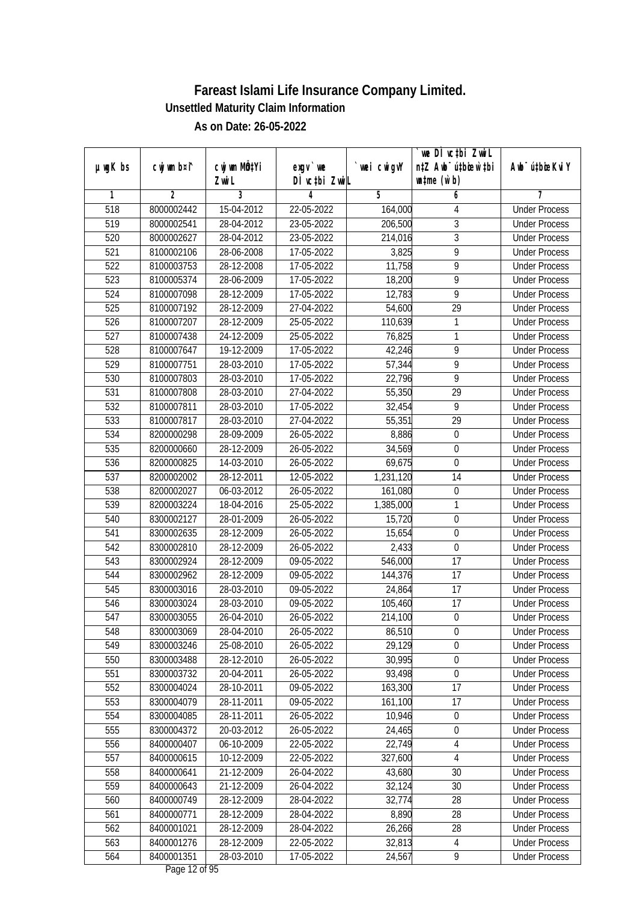| $µ$ ug $K$ bs<br>DÌ vctbi ZwiL<br>$\n  untime\n  (u`b)\n$<br>Zwi L<br>3<br>$\overline{2}$<br>5<br>6<br>1<br>4<br>7<br>518<br><b>Under Process</b><br>8000002442<br>15-04-2012<br>22-05-2022<br>164,000<br>4<br>$\overline{3}$<br>519<br>28-04-2012<br>23-05-2022<br>206,500<br>8000002541<br><b>Under Process</b><br>$\overline{3}$<br>520<br>8000002627<br>28-04-2012<br>23-05-2022<br>214,016<br><b>Under Process</b><br>9<br>521<br>28-06-2008<br>17-05-2022<br>3,825<br>8100002106<br><b>Under Process</b><br>$\overline{9}$<br>522<br>28-12-2008<br>8100003753<br>17-05-2022<br>11,758<br><b>Under Process</b><br>523<br>9<br>8100005374<br>28-06-2009<br>17-05-2022<br>18,200<br><b>Under Process</b><br>9<br>524<br>8100007098<br>28-12-2009<br>17-05-2022<br>12,783<br><b>Under Process</b><br>$\overline{29}$<br>525<br>8100007192<br>28-12-2009<br>27-04-2022<br>54,600<br><b>Under Process</b><br>526<br>8100007207<br>28-12-2009<br>25-05-2022<br>110,639<br>1<br><b>Under Process</b><br>527<br>24-12-2009<br>1<br>8100007438<br>25-05-2022<br>76,825 |             |                           |           |             | we DI vctbi ZwiL                 |                             |
|--------------------------------------------------------------------------------------------------------------------------------------------------------------------------------------------------------------------------------------------------------------------------------------------------------------------------------------------------------------------------------------------------------------------------------------------------------------------------------------------------------------------------------------------------------------------------------------------------------------------------------------------------------------------------------------------------------------------------------------------------------------------------------------------------------------------------------------------------------------------------------------------------------------------------------------------------------------------------------------------------------------------------------------------------------------------|-------------|---------------------------|-----------|-------------|----------------------------------|-----------------------------|
|                                                                                                                                                                                                                                                                                                                                                                                                                                                                                                                                                                                                                                                                                                                                                                                                                                                                                                                                                                                                                                                                    | cwj wm b¤i^ | cwj wm MQ <sup>1</sup> Yi | $exgV$ we | `wei cwigvY | n‡Z Awb <sup>-</sup> ú‡bicen`‡bi | Awb <sup>-</sup> ú‡bioeKviY |
|                                                                                                                                                                                                                                                                                                                                                                                                                                                                                                                                                                                                                                                                                                                                                                                                                                                                                                                                                                                                                                                                    |             |                           |           |             |                                  |                             |
|                                                                                                                                                                                                                                                                                                                                                                                                                                                                                                                                                                                                                                                                                                                                                                                                                                                                                                                                                                                                                                                                    |             |                           |           |             |                                  |                             |
|                                                                                                                                                                                                                                                                                                                                                                                                                                                                                                                                                                                                                                                                                                                                                                                                                                                                                                                                                                                                                                                                    |             |                           |           |             |                                  |                             |
|                                                                                                                                                                                                                                                                                                                                                                                                                                                                                                                                                                                                                                                                                                                                                                                                                                                                                                                                                                                                                                                                    |             |                           |           |             |                                  |                             |
|                                                                                                                                                                                                                                                                                                                                                                                                                                                                                                                                                                                                                                                                                                                                                                                                                                                                                                                                                                                                                                                                    |             |                           |           |             |                                  |                             |
|                                                                                                                                                                                                                                                                                                                                                                                                                                                                                                                                                                                                                                                                                                                                                                                                                                                                                                                                                                                                                                                                    |             |                           |           |             |                                  |                             |
|                                                                                                                                                                                                                                                                                                                                                                                                                                                                                                                                                                                                                                                                                                                                                                                                                                                                                                                                                                                                                                                                    |             |                           |           |             |                                  |                             |
|                                                                                                                                                                                                                                                                                                                                                                                                                                                                                                                                                                                                                                                                                                                                                                                                                                                                                                                                                                                                                                                                    |             |                           |           |             |                                  |                             |
|                                                                                                                                                                                                                                                                                                                                                                                                                                                                                                                                                                                                                                                                                                                                                                                                                                                                                                                                                                                                                                                                    |             |                           |           |             |                                  |                             |
|                                                                                                                                                                                                                                                                                                                                                                                                                                                                                                                                                                                                                                                                                                                                                                                                                                                                                                                                                                                                                                                                    |             |                           |           |             |                                  |                             |
|                                                                                                                                                                                                                                                                                                                                                                                                                                                                                                                                                                                                                                                                                                                                                                                                                                                                                                                                                                                                                                                                    |             |                           |           |             |                                  |                             |
|                                                                                                                                                                                                                                                                                                                                                                                                                                                                                                                                                                                                                                                                                                                                                                                                                                                                                                                                                                                                                                                                    |             |                           |           |             |                                  | <b>Under Process</b>        |
| 9<br>528<br>8100007647<br>19-12-2009<br>17-05-2022<br>42,246                                                                                                                                                                                                                                                                                                                                                                                                                                                                                                                                                                                                                                                                                                                                                                                                                                                                                                                                                                                                       |             |                           |           |             |                                  | <b>Under Process</b>        |
| 529<br>17-05-2022<br>9<br>8100007751<br>28-03-2010<br>57,344                                                                                                                                                                                                                                                                                                                                                                                                                                                                                                                                                                                                                                                                                                                                                                                                                                                                                                                                                                                                       |             |                           |           |             |                                  | <b>Under Process</b>        |
| $\overline{9}$<br>530<br>8100007803<br>28-03-2010<br>17-05-2022<br>22,796                                                                                                                                                                                                                                                                                                                                                                                                                                                                                                                                                                                                                                                                                                                                                                                                                                                                                                                                                                                          |             |                           |           |             |                                  | <b>Under Process</b>        |
| 531<br>28-03-2010<br>27-04-2022<br>55,350<br>29<br>8100007808                                                                                                                                                                                                                                                                                                                                                                                                                                                                                                                                                                                                                                                                                                                                                                                                                                                                                                                                                                                                      |             |                           |           |             |                                  | <b>Under Process</b>        |
| 9<br>532<br>8100007811<br>28-03-2010<br>17-05-2022<br>32,454                                                                                                                                                                                                                                                                                                                                                                                                                                                                                                                                                                                                                                                                                                                                                                                                                                                                                                                                                                                                       |             |                           |           |             |                                  | <b>Under Process</b>        |
| 29<br>533<br>8100007817<br>28-03-2010<br>27-04-2022<br>55,351                                                                                                                                                                                                                                                                                                                                                                                                                                                                                                                                                                                                                                                                                                                                                                                                                                                                                                                                                                                                      |             |                           |           |             |                                  | <b>Under Process</b>        |
| 534<br>8,886<br>8200000298<br>28-09-2009<br>26-05-2022<br>$\boldsymbol{0}$                                                                                                                                                                                                                                                                                                                                                                                                                                                                                                                                                                                                                                                                                                                                                                                                                                                                                                                                                                                         |             |                           |           |             |                                  | <b>Under Process</b>        |
| 535<br>$\mathbf 0$<br>28-12-2009<br>26-05-2022<br>34,569<br>8200000660                                                                                                                                                                                                                                                                                                                                                                                                                                                                                                                                                                                                                                                                                                                                                                                                                                                                                                                                                                                             |             |                           |           |             |                                  | <b>Under Process</b>        |
| 536<br>8200000825<br>14-03-2010<br>26-05-2022<br>69,675<br>$\mathbf 0$                                                                                                                                                                                                                                                                                                                                                                                                                                                                                                                                                                                                                                                                                                                                                                                                                                                                                                                                                                                             |             |                           |           |             |                                  | <b>Under Process</b>        |
| 537<br>28-12-2011<br>14<br>8200002002<br>12-05-2022<br>1,231,120                                                                                                                                                                                                                                                                                                                                                                                                                                                                                                                                                                                                                                                                                                                                                                                                                                                                                                                                                                                                   |             |                           |           |             |                                  | <b>Under Process</b>        |
| $\boldsymbol{0}$<br>538<br>8200002027<br>06-03-2012<br>26-05-2022<br>161,080                                                                                                                                                                                                                                                                                                                                                                                                                                                                                                                                                                                                                                                                                                                                                                                                                                                                                                                                                                                       |             |                           |           |             |                                  | <b>Under Process</b>        |
| 539<br>25-05-2022<br>1,385,000<br>1<br>8200003224<br>18-04-2016                                                                                                                                                                                                                                                                                                                                                                                                                                                                                                                                                                                                                                                                                                                                                                                                                                                                                                                                                                                                    |             |                           |           |             |                                  | <b>Under Process</b>        |
| $\boldsymbol{0}$<br>540<br>8300002127<br>28-01-2009<br>26-05-2022<br>15,720                                                                                                                                                                                                                                                                                                                                                                                                                                                                                                                                                                                                                                                                                                                                                                                                                                                                                                                                                                                        |             |                           |           |             |                                  | <b>Under Process</b>        |
| $\boldsymbol{0}$<br>541<br>8300002635<br>28-12-2009<br>26-05-2022<br>15,654                                                                                                                                                                                                                                                                                                                                                                                                                                                                                                                                                                                                                                                                                                                                                                                                                                                                                                                                                                                        |             |                           |           |             |                                  | <b>Under Process</b>        |
| 542<br>2,433<br>$\boldsymbol{0}$<br>8300002810<br>28-12-2009<br>26-05-2022                                                                                                                                                                                                                                                                                                                                                                                                                                                                                                                                                                                                                                                                                                                                                                                                                                                                                                                                                                                         |             |                           |           |             |                                  | <b>Under Process</b>        |
| 543<br>8300002924<br>28-12-2009<br>09-05-2022<br>17<br>546,000                                                                                                                                                                                                                                                                                                                                                                                                                                                                                                                                                                                                                                                                                                                                                                                                                                                                                                                                                                                                     |             |                           |           |             |                                  | <b>Under Process</b>        |
| 544<br>17<br>8300002962<br>28-12-2009<br>09-05-2022<br>144,376                                                                                                                                                                                                                                                                                                                                                                                                                                                                                                                                                                                                                                                                                                                                                                                                                                                                                                                                                                                                     |             |                           |           |             |                                  | <b>Under Process</b>        |
| 545<br>17<br>28-03-2010<br>8300003016<br>09-05-2022<br>24,864                                                                                                                                                                                                                                                                                                                                                                                                                                                                                                                                                                                                                                                                                                                                                                                                                                                                                                                                                                                                      |             |                           |           |             |                                  | <b>Under Process</b>        |
| 17<br>546<br>8300003024<br>28-03-2010<br>09-05-2022<br>105,460                                                                                                                                                                                                                                                                                                                                                                                                                                                                                                                                                                                                                                                                                                                                                                                                                                                                                                                                                                                                     |             |                           |           |             |                                  | <b>Under Process</b>        |
| 547<br>$\boldsymbol{0}$<br>8300003055<br>26-04-2010<br>26-05-2022<br>214,100                                                                                                                                                                                                                                                                                                                                                                                                                                                                                                                                                                                                                                                                                                                                                                                                                                                                                                                                                                                       |             |                           |           |             |                                  | <b>Under Process</b>        |
| 548<br>8300003069<br>28-04-2010<br>26-05-2022<br>86,510<br>$\boldsymbol{0}$                                                                                                                                                                                                                                                                                                                                                                                                                                                                                                                                                                                                                                                                                                                                                                                                                                                                                                                                                                                        |             |                           |           |             |                                  | <b>Under Process</b>        |
| 549<br>25-08-2010<br>29,129<br>0<br>8300003246<br>26-05-2022                                                                                                                                                                                                                                                                                                                                                                                                                                                                                                                                                                                                                                                                                                                                                                                                                                                                                                                                                                                                       |             |                           |           |             |                                  | <b>Under Process</b>        |
| 550<br>8300003488<br>30,995<br>$\boldsymbol{0}$<br>28-12-2010<br>26-05-2022                                                                                                                                                                                                                                                                                                                                                                                                                                                                                                                                                                                                                                                                                                                                                                                                                                                                                                                                                                                        |             |                           |           |             |                                  | <b>Under Process</b>        |
| $\overline{0}$<br>551<br>93,498<br>8300003732<br>20-04-2011<br>26-05-2022                                                                                                                                                                                                                                                                                                                                                                                                                                                                                                                                                                                                                                                                                                                                                                                                                                                                                                                                                                                          |             |                           |           |             |                                  | <b>Under Process</b>        |
| 552<br>8300004024<br>28-10-2011<br>$09 - 05 - 2022$<br>163,300<br>17                                                                                                                                                                                                                                                                                                                                                                                                                                                                                                                                                                                                                                                                                                                                                                                                                                                                                                                                                                                               |             |                           |           |             |                                  | <b>Under Process</b>        |
| 553<br>8300004079<br>161, 100<br>28-11-2011<br>09-05-2022<br>17                                                                                                                                                                                                                                                                                                                                                                                                                                                                                                                                                                                                                                                                                                                                                                                                                                                                                                                                                                                                    |             |                           |           |             |                                  | <b>Under Process</b>        |
| 554<br>8300004085<br>28-11-2011<br>10,946<br>$\boldsymbol{0}$<br>26-05-2022                                                                                                                                                                                                                                                                                                                                                                                                                                                                                                                                                                                                                                                                                                                                                                                                                                                                                                                                                                                        |             |                           |           |             |                                  | <b>Under Process</b>        |
| 555<br>24,465<br>8300004372<br>20-03-2012<br>26-05-2022<br>$\boldsymbol{0}$                                                                                                                                                                                                                                                                                                                                                                                                                                                                                                                                                                                                                                                                                                                                                                                                                                                                                                                                                                                        |             |                           |           |             |                                  | <b>Under Process</b>        |
| 556<br>22,749<br>$\sqrt{4}$<br>8400000407<br>06-10-2009<br>22-05-2022                                                                                                                                                                                                                                                                                                                                                                                                                                                                                                                                                                                                                                                                                                                                                                                                                                                                                                                                                                                              |             |                           |           |             |                                  | <b>Under Process</b>        |
| 557<br>8400000615<br>10-12-2009<br>327,600<br>22-05-2022<br>$\overline{4}$                                                                                                                                                                                                                                                                                                                                                                                                                                                                                                                                                                                                                                                                                                                                                                                                                                                                                                                                                                                         |             |                           |           |             |                                  | <b>Under Process</b>        |
| 558<br>8400000641<br>21-12-2009<br>43,680<br>30<br>26-04-2022                                                                                                                                                                                                                                                                                                                                                                                                                                                                                                                                                                                                                                                                                                                                                                                                                                                                                                                                                                                                      |             |                           |           |             |                                  | <b>Under Process</b>        |
| 559<br>8400000643<br>21-12-2009<br>32,124<br>30<br>26-04-2022                                                                                                                                                                                                                                                                                                                                                                                                                                                                                                                                                                                                                                                                                                                                                                                                                                                                                                                                                                                                      |             |                           |           |             |                                  | <b>Under Process</b>        |
| 560<br>8400000749<br>28-12-2009<br>28-04-2022<br>32,774<br>28                                                                                                                                                                                                                                                                                                                                                                                                                                                                                                                                                                                                                                                                                                                                                                                                                                                                                                                                                                                                      |             |                           |           |             |                                  | <b>Under Process</b>        |
| 28-12-2009<br>8,890<br>28<br>561<br>8400000771<br>28-04-2022                                                                                                                                                                                                                                                                                                                                                                                                                                                                                                                                                                                                                                                                                                                                                                                                                                                                                                                                                                                                       |             |                           |           |             |                                  | <b>Under Process</b>        |
| 562<br>8400001021<br>28<br>28-12-2009<br>28-04-2022<br>26,266                                                                                                                                                                                                                                                                                                                                                                                                                                                                                                                                                                                                                                                                                                                                                                                                                                                                                                                                                                                                      |             |                           |           |             |                                  | <b>Under Process</b>        |
| 563<br>32,813<br>8400001276<br>28-12-2009<br>22-05-2022<br>4                                                                                                                                                                                                                                                                                                                                                                                                                                                                                                                                                                                                                                                                                                                                                                                                                                                                                                                                                                                                       |             |                           |           |             |                                  | <b>Under Process</b>        |
| 564<br>8400001351<br>24,567<br>9<br>28-03-2010<br>17-05-2022                                                                                                                                                                                                                                                                                                                                                                                                                                                                                                                                                                                                                                                                                                                                                                                                                                                                                                                                                                                                       |             |                           |           |             |                                  | <b>Under Process</b>        |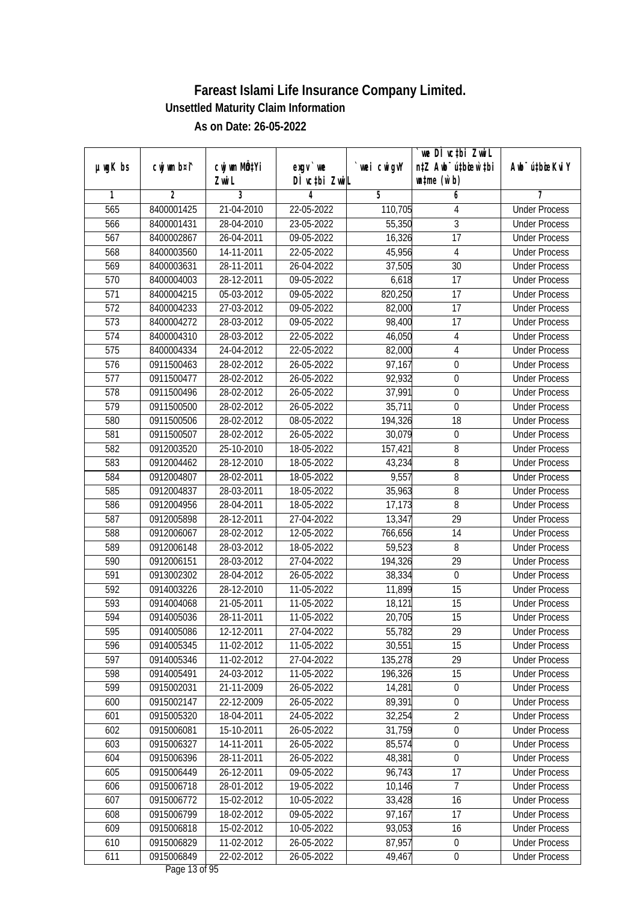|               |             |                     |                            |             | we DI vctbi ZwiL                                            |                             |
|---------------|-------------|---------------------|----------------------------|-------------|-------------------------------------------------------------|-----------------------------|
| $µ$ ug $K$ bs | cwj wm b¤i^ | CW wm MQYi<br>Zwi L | $exgV$ we<br>DÌ vctbi ZwiL | `wei cwigvY | n‡Z Awb <sup>-</sup> ú‡bioar`‡bi<br>$\n  untime\n  (u`b)\n$ | Awb <sup>-</sup> ú‡bioeKviY |
| 1             | 2           | 3                   | 4                          | 5           | 6                                                           | 7                           |
| 565           | 8400001425  | 21-04-2010          | 22-05-2022                 | 110,705     | 4                                                           | <b>Under Process</b>        |
| 566           | 8400001431  | 28-04-2010          | 23-05-2022                 | 55,350      | 3                                                           | <b>Under Process</b>        |
| 567           | 8400002867  | 26-04-2011          | 09-05-2022                 | 16,326      | $\overline{17}$                                             | <b>Under Process</b>        |
| 568           | 8400003560  | 14-11-2011          | 22-05-2022                 | 45,956      | $\overline{4}$                                              | <b>Under Process</b>        |
| 569           | 8400003631  | 28-11-2011          | 26-04-2022                 | 37,505      | $\overline{30}$                                             | <b>Under Process</b>        |
| 570           | 8400004003  | 28-12-2011          | 09-05-2022                 | 6,618       | $\overline{17}$                                             | <b>Under Process</b>        |
| 571           | 8400004215  | 05-03-2012          | 09-05-2022                 | 820,250     | $\overline{17}$                                             | <b>Under Process</b>        |
| 572           | 8400004233  | 27-03-2012          | 09-05-2022                 | 82,000      | $\overline{17}$                                             | <b>Under Process</b>        |
| 573           | 8400004272  | 28-03-2012          | 09-05-2022                 | 98,400      | 17                                                          | <b>Under Process</b>        |
| 574           | 8400004310  | 28-03-2012          | 22-05-2022                 | 46,050      | 4                                                           | <b>Under Process</b>        |
| 575           | 8400004334  | 24-04-2012          | 22-05-2022                 | 82,000      | 4                                                           | <b>Under Process</b>        |
| 576           | 0911500463  | 28-02-2012          | 26-05-2022                 | 97,167      | $\boldsymbol{0}$                                            | <b>Under Process</b>        |
| 577           | 0911500477  | 28-02-2012          | 26-05-2022                 | 92,932      | $\pmb{0}$                                                   | <b>Under Process</b>        |
|               |             |                     |                            |             |                                                             |                             |
| 578           | 0911500496  | 28-02-2012          | 26-05-2022                 | 37,991      | $\boldsymbol{0}$                                            | <b>Under Process</b>        |
| 579           | 0911500500  | 28-02-2012          | 26-05-2022                 | 35,711      | 0                                                           | <b>Under Process</b>        |
| 580           | 0911500506  | 28-02-2012          | 08-05-2022                 | 194,326     | 18                                                          | <b>Under Process</b>        |
| 581           | 0911500507  | 28-02-2012          | 26-05-2022                 | 30,079      | 0                                                           | <b>Under Process</b>        |
| 582           | 0912003520  | 25-10-2010          | 18-05-2022                 | 157,421     | 8                                                           | <b>Under Process</b>        |
| 583           | 0912004462  | 28-12-2010          | 18-05-2022                 | 43,234      | 8                                                           | <b>Under Process</b>        |
| 584           | 0912004807  | 28-02-2011          | 18-05-2022                 | 9,557       | 8                                                           | <b>Under Process</b>        |
| 585           | 0912004837  | 28-03-2011          | 18-05-2022                 | 35,963      | 8                                                           | <b>Under Process</b>        |
| 586           | 0912004956  | 28-04-2011          | 18-05-2022                 | 17,173      | 8                                                           | <b>Under Process</b>        |
| 587           | 0912005898  | 28-12-2011          | 27-04-2022                 | 13,347      | 29                                                          | <b>Under Process</b>        |
| 588           | 0912006067  | 28-02-2012          | 12-05-2022                 | 766,656     | 14                                                          | <b>Under Process</b>        |
| 589           | 0912006148  | 28-03-2012          | 18-05-2022                 | 59,523      | 8                                                           | <b>Under Process</b>        |
| 590           | 0912006151  | 28-03-2012          | 27-04-2022                 | 194,326     | 29                                                          | <b>Under Process</b>        |
| 591           | 0913002302  | 28-04-2012          | 26-05-2022                 | 38,334      | $\mathbf 0$                                                 | <b>Under Process</b>        |
| 592           | 0914003226  | 28-12-2010          | 11-05-2022                 | 11,899      | 15                                                          | <b>Under Process</b>        |
| 593           | 0914004068  | 21-05-2011          | 11-05-2022                 | 18,121      | 15                                                          | <b>Under Process</b>        |
| 594           | 0914005036  | 28-11-2011          | 11-05-2022                 | 20,705      | 15                                                          | <b>Under Process</b>        |
| 595           | 0914005086  | 12-12-2011          | 27-04-2022                 | 55,782      | 29                                                          | <b>Under Process</b>        |
| 596           | 0914005345  | 11-02-2012          | 11-05-2022                 | 30,551      | 15                                                          | <b>Under Process</b>        |
| 597           | 0914005346  | 11-02-2012          | 27-04-2022                 | 135,278     | 29                                                          | <b>Under Process</b>        |
| 598           | 0914005491  | 24-03-2012          | 11-05-2022                 | 196,326     | 15                                                          | <b>Under Process</b>        |
| 599           | 0915002031  | 21-11-2009          | 26-05-2022                 | 14,281      | $\boldsymbol{0}$                                            | <b>Under Process</b>        |
| 600           | 0915002147  | 22-12-2009          | 26-05-2022                 | 89,391      | 0                                                           | <b>Under Process</b>        |
| 601           | 0915005320  | 18-04-2011          | 24-05-2022                 | 32,254      | $\overline{2}$                                              | <b>Under Process</b>        |
| 602           | 0915006081  | 15-10-2011          | 26-05-2022                 | 31,759      | 0                                                           | <b>Under Process</b>        |
| 603           | 0915006327  | 14-11-2011          | 26-05-2022                 | 85,574      | $\boldsymbol{0}$                                            | <b>Under Process</b>        |
| 604           | 0915006396  | 28-11-2011          | 26-05-2022                 | 48,381      | $\boldsymbol{0}$                                            | <b>Under Process</b>        |
| 605           | 0915006449  | 26-12-2011          | 09-05-2022                 | 96,743      | 17                                                          | <b>Under Process</b>        |
| 606           | 0915006718  | 28-01-2012          | 19-05-2022                 | 10,146      | 7                                                           | <b>Under Process</b>        |
| 607           | 0915006772  | 15-02-2012          | 10-05-2022                 | 33,428      | $\overline{16}$                                             | <b>Under Process</b>        |
| 608           | 0915006799  | 18-02-2012          | 09-05-2022                 | 97,167      | $\overline{17}$                                             | <b>Under Process</b>        |
| 609           | 0915006818  | $15-02-2012$        | 10-05-2022                 | 93,053      | $\overline{16}$                                             | <b>Under Process</b>        |
| 610           | 0915006829  | 11-02-2012          | 26-05-2022                 | 87,957      | $\pmb{0}$                                                   | <b>Under Process</b>        |
| 611           | 0915006849  | 22-02-2012          | 26-05-2022                 | 49,467      | $\pmb{0}$                                                   | <b>Under Process</b>        |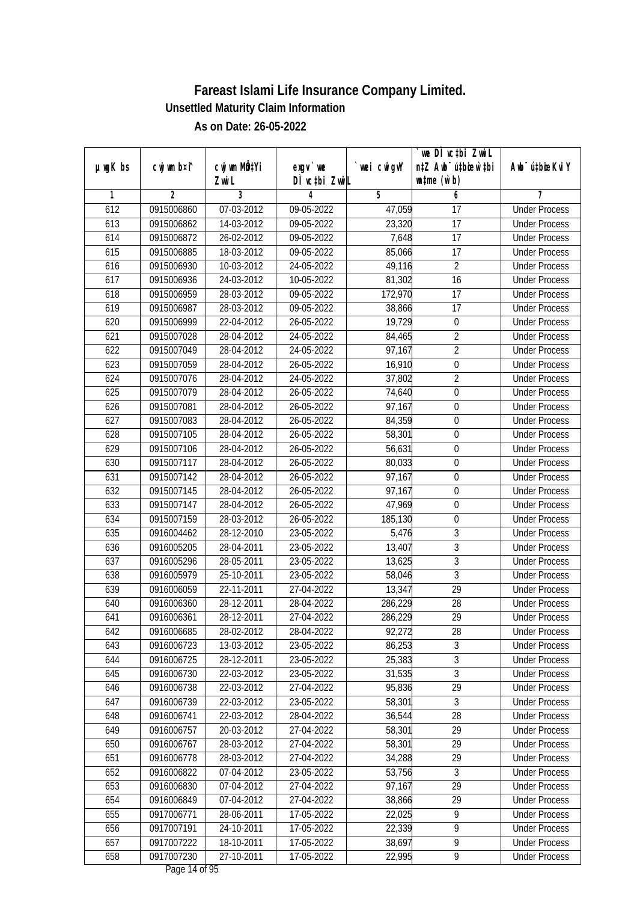|               |             |                          |                    |             | we DI vctbi ZwiL                 |                             |
|---------------|-------------|--------------------------|--------------------|-------------|----------------------------------|-----------------------------|
| $µ$ ug $K$ bs | cwj wm b¤i^ | CW wm MQYi               | $exgV$ we          | `wei cwigvY | n‡Z Awb <sup>-</sup> ú‡bioar`‡bi | Awb <sup>-</sup> ú‡bioeKviY |
| 1             | 2           | Zwi L<br>3               | DÌ vctbi ZwiL<br>4 | 5           | $\n  untime\n  (u`b)\n$<br>6     | 7                           |
| 612           | 0915006860  | 07-03-2012               | 09-05-2022         | 47,059      | 17                               | <b>Under Process</b>        |
| 613           |             | 14-03-2012               | 09-05-2022         |             | 17                               | <b>Under Process</b>        |
|               | 0915006862  |                          |                    | 23,320      |                                  |                             |
| 614           | 0915006872  | 26-02-2012               | 09-05-2022         | 7,648       | 17                               | <b>Under Process</b>        |
| 615           | 0915006885  | 18-03-2012               | 09-05-2022         | 85,066      | $\overline{17}$                  | <b>Under Process</b>        |
| 616           | 0915006930  | 10-03-2012               | 24-05-2022         | 49,116      | $\overline{2}$                   | <b>Under Process</b>        |
| 617           | 0915006936  | 24-03-2012<br>28-03-2012 | 10-05-2022         | 81,302      | $\overline{16}$                  | <b>Under Process</b>        |
| 618           | 0915006959  |                          | 09-05-2022         | 172,970     | 17                               | <b>Under Process</b>        |
| 619           | 0915006987  | 28-03-2012               | 09-05-2022         | 38,866      | $\overline{17}$                  | <b>Under Process</b>        |
| 620           | 0915006999  | 22-04-2012               | 26-05-2022         | 19,729      | $\boldsymbol{0}$                 | <b>Under Process</b>        |
| 621           | 0915007028  | 28-04-2012               | 24-05-2022         | 84,465      | $\overline{2}$                   | <b>Under Process</b>        |
| 622           | 0915007049  | 28-04-2012               | 24-05-2022         | 97,167      | $\overline{2}$                   | <b>Under Process</b>        |
| 623           | 0915007059  | 28-04-2012               | 26-05-2022         | 16,910      | $\boldsymbol{0}$                 | <b>Under Process</b>        |
| 624           | 0915007076  | 28-04-2012               | 24-05-2022         | 37,802      | $\overline{2}$                   | <b>Under Process</b>        |
| 625           | 0915007079  | 28-04-2012               | 26-05-2022         | 74,640      | $\boldsymbol{0}$                 | <b>Under Process</b>        |
| 626           | 0915007081  | 28-04-2012               | 26-05-2022         | 97,167      | 0                                | <b>Under Process</b>        |
| 627           | 0915007083  | 28-04-2012               | 26-05-2022         | 84,359      | $\mathbf 0$                      | <b>Under Process</b>        |
| 628           | 0915007105  | 28-04-2012               | 26-05-2022         | 58,301      | 0                                | <b>Under Process</b>        |
| 629           | 0915007106  | 28-04-2012               | 26-05-2022         | 56,631      | $\boldsymbol{0}$                 | <b>Under Process</b>        |
| 630           | 0915007117  | 28-04-2012               | 26-05-2022         | 80,033      | $\boldsymbol{0}$                 | <b>Under Process</b>        |
| 631           | 0915007142  | 28-04-2012               | 26-05-2022         | 97,167      | $\boldsymbol{0}$                 | <b>Under Process</b>        |
| 632           | 0915007145  | 28-04-2012               | 26-05-2022         | 97,167      | $\boldsymbol{0}$                 | <b>Under Process</b>        |
| 633           | 0915007147  | 28-04-2012               | 26-05-2022         | 47,969      | $\boldsymbol{0}$                 | <b>Under Process</b>        |
| 634           | 0915007159  | 28-03-2012               | 26-05-2022         | 185,130     | $\boldsymbol{0}$                 | <b>Under Process</b>        |
| 635           | 0916004462  | 28-12-2010               | 23-05-2022         | 5,476       | 3                                | <b>Under Process</b>        |
| 636           | 0916005205  | 28-04-2011               | 23-05-2022         | 13,407      | $\overline{3}$                   | <b>Under Process</b>        |
| 637           | 0916005296  | 28-05-2011               | 23-05-2022         | 13,625      | $\overline{3}$                   | <b>Under Process</b>        |
| 638           | 0916005979  | 25-10-2011               | 23-05-2022         | 58,046      | 3                                | <b>Under Process</b>        |
| 639           | 0916006059  | 22-11-2011               | 27-04-2022         | 13,347      | 29                               | <b>Under Process</b>        |
| 640           | 0916006360  | 28-12-2011               | 28-04-2022         | 286,229     | 28                               | <b>Under Process</b>        |
| 641           | 0916006361  | 28-12-2011               | 27-04-2022         | 286,229     | 29                               | <b>Under Process</b>        |
| 642           | 0916006685  | 28-02-2012               | 28-04-2022         | 92,272      | 28                               | <b>Under Process</b>        |
| 643           | 0916006723  | 13-03-2012               | 23-05-2022         | 86,253      | 3                                | <b>Under Process</b>        |
| 644           | 0916006725  | 28-12-2011               | 23-05-2022         | 25,383      | $\overline{3}$                   | <b>Under Process</b>        |
| 645           | 0916006730  | 22-03-2012               | 23-05-2022         | 31,535      | $\overline{3}$                   | <b>Under Process</b>        |
| 646           | 0916006738  | 22-03-2012               | 27-04-2022         | 95,836      | 29                               | <b>Under Process</b>        |
| 647           | 0916006739  | 22-03-2012               | 23-05-2022         | 58,301      | 3                                | <b>Under Process</b>        |
| 648           | 0916006741  | 22-03-2012               | 28-04-2022         | 36,544      | 28                               | <b>Under Process</b>        |
| 649           | 0916006757  | 20-03-2012               | 27-04-2022         | 58,301      | 29                               | <b>Under Process</b>        |
| 650           | 0916006767  | 28-03-2012               | 27-04-2022         | 58,301      | 29                               | <b>Under Process</b>        |
| 651           | 0916006778  | 28-03-2012               | 27-04-2022         | 34,288      | 29                               | <b>Under Process</b>        |
| 652           | 0916006822  | 07-04-2012               | 23-05-2022         | 53,756      | $\mathfrak{Z}$                   | <b>Under Process</b>        |
| 653           | 0916006830  | 07-04-2012               | 27-04-2022         | 97,167      | 29                               | <b>Under Process</b>        |
| 654           | 0916006849  | 07-04-2012               | 27-04-2022         | 38,866      | 29                               | <b>Under Process</b>        |
| 655           | 0917006771  | 28-06-2011               | 17-05-2022         | 22,025      | 9                                | <b>Under Process</b>        |
| 656           | 0917007191  | 24-10-2011               | 17-05-2022         | 22,339      | $\overline{9}$                   | <b>Under Process</b>        |
| 657           | 0917007222  | 18-10-2011               | 17-05-2022         | 38,697      | $\overline{9}$                   | <b>Under Process</b>        |
| 658           | 0917007230  | 27-10-2011               | 17-05-2022         | 22,995      | 9                                | <b>Under Process</b>        |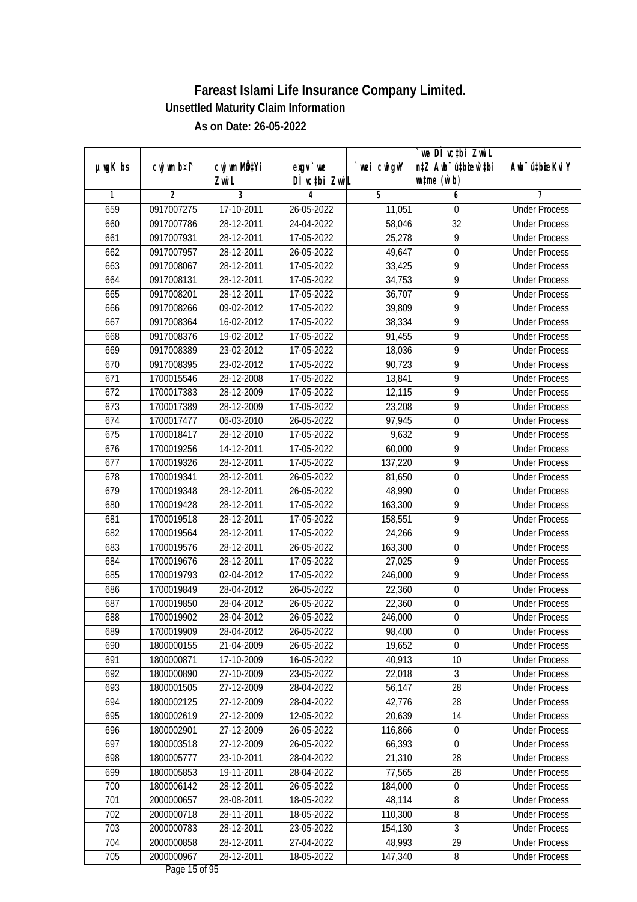|               |             |                                    |                            |             | we DI vctbi ZwiL                                                                 |                             |
|---------------|-------------|------------------------------------|----------------------------|-------------|----------------------------------------------------------------------------------|-----------------------------|
| $µ$ ug $K$ bs | cwj wm b¤i^ | cwj wm MQ <sup>1</sup> Yi<br>Zwi L | $exgV$ we<br>DÌ vctbi ZwiL | `wei cwigvY | n‡Z Awb <sup>-</sup> ú‡bioen`‡bi<br>$\n  un \uparrow me \left(\vec{v}, b\right)$ | Awb <sup>-</sup> ú‡bioeKviY |
| 1             | 2           | 3                                  | 4                          | 5           | 6                                                                                | 7                           |
| 659           | 0917007275  | 17-10-2011                         | 26-05-2022                 | 11,051      | 0                                                                                | <b>Under Process</b>        |
| 660           | 0917007786  | 28-12-2011                         | 24-04-2022                 | 58,046      | $\overline{32}$                                                                  | <b>Under Process</b>        |
| 661           | 0917007931  | 28-12-2011                         | 17-05-2022                 | 25,278      | 9                                                                                | <b>Under Process</b>        |
| 662           | 0917007957  | 28-12-2011                         | 26-05-2022                 | 49,647      | $\pmb{0}$                                                                        | <b>Under Process</b>        |
| 663           | 0917008067  | 28-12-2011                         | 17-05-2022                 | 33,425      | 9                                                                                | <b>Under Process</b>        |
| 664           | 0917008131  | 28-12-2011                         | 17-05-2022                 | 34,753      | 9                                                                                | <b>Under Process</b>        |
| 665           | 0917008201  | 28-12-2011                         | 17-05-2022                 | 36,707      | 9                                                                                | <b>Under Process</b>        |
| 666           | 0917008266  | 09-02-2012                         | 17-05-2022                 | 39,809      | $\overline{9}$                                                                   | <b>Under Process</b>        |
| 667           | 0917008364  | 16-02-2012                         | 17-05-2022                 | 38,334      | $\overline{9}$                                                                   | <b>Under Process</b>        |
| 668           | 0917008376  | 19-02-2012                         | 17-05-2022                 | 91,455      | 9                                                                                | <b>Under Process</b>        |
| 669           | 0917008389  | 23-02-2012                         | 17-05-2022                 | 18,036      | 9                                                                                | <b>Under Process</b>        |
| 670           | 0917008395  | 23-02-2012                         | 17-05-2022                 | 90,723      | 9                                                                                | <b>Under Process</b>        |
| 671           | 1700015546  | 28-12-2008                         | 17-05-2022                 | 13,841      | 9                                                                                | <b>Under Process</b>        |
| 672           | 1700017383  | 28-12-2009                         | 17-05-2022                 | 12,115      | $\overline{9}$                                                                   | <b>Under Process</b>        |
| 673           | 1700017389  | 28-12-2009                         | 17-05-2022                 | 23,208      | 9                                                                                | <b>Under Process</b>        |
| 674           | 1700017477  | 06-03-2010                         | 26-05-2022                 | 97,945      | $\mathbf 0$                                                                      | <b>Under Process</b>        |
| 675           | 1700018417  | 28-12-2010                         | 17-05-2022                 | 9,632       | 9                                                                                | <b>Under Process</b>        |
| 676           | 1700019256  | 14-12-2011                         | 17-05-2022                 | 60,000      | 9                                                                                | <b>Under Process</b>        |
| 677           | 1700019326  | 28-12-2011                         | 17-05-2022                 | 137,220     | $\overline{9}$                                                                   | <b>Under Process</b>        |
| 678           | 1700019341  | 28-12-2011                         | 26-05-2022                 | 81,650      | $\boldsymbol{0}$                                                                 | <b>Under Process</b>        |
| 679           | 1700019348  | 28-12-2011                         | 26-05-2022                 | 48,990      | $\boldsymbol{0}$                                                                 | <b>Under Process</b>        |
| 680           | 1700019428  | 28-12-2011                         | 17-05-2022                 | 163,300     | 9                                                                                | <b>Under Process</b>        |
| 681           | 1700019518  | 28-12-2011                         | 17-05-2022                 | 158,551     | 9                                                                                | <b>Under Process</b>        |
| 682           | 1700019564  | 28-12-2011                         | 17-05-2022                 | 24,266      | 9                                                                                | <b>Under Process</b>        |
| 683           | 1700019576  | 28-12-2011                         | 26-05-2022                 | 163,300     | $\boldsymbol{0}$                                                                 | <b>Under Process</b>        |
| 684           | 1700019676  | 28-12-2011                         | 17-05-2022                 | 27,025      | 9                                                                                | <b>Under Process</b>        |
| 685           | 1700019793  | 02-04-2012                         | 17-05-2022                 | 246,000     | 9                                                                                | <b>Under Process</b>        |
| 686           | 1700019849  | 28-04-2012                         | 26-05-2022                 | 22,360      | 0                                                                                | <b>Under Process</b>        |
| 687           | 1700019850  | 28-04-2012                         | 26-05-2022                 | 22,360      | $\overline{0}$                                                                   | <b>Under Process</b>        |
| 688           | 1700019902  | 28-04-2012                         | 26-05-2022                 | 246,000     | $\boldsymbol{0}$                                                                 | <b>Under Process</b>        |
| 689           | 1700019909  | 28-04-2012                         | 26-05-2022                 | 98,400      | $\boldsymbol{0}$                                                                 | <b>Under Process</b>        |
| 690           | 1800000155  | 21-04-2009                         | 26-05-2022                 | 19,652      | $\mathbf 0$                                                                      | <b>Under Process</b>        |
| 691           | 1800000871  | 17-10-2009                         | 16-05-2022                 | 40,913      | 10                                                                               | <b>Under Process</b>        |
| 692           | 1800000890  | 27-10-2009                         | 23-05-2022                 | 22,018      | 3                                                                                | <b>Under Process</b>        |
| 693           | 1800001505  | 27-12-2009                         | 28-04-2022                 | 56, 147     | 28                                                                               | <b>Under Process</b>        |
| 694           | 1800002125  | 27-12-2009                         | 28-04-2022                 | 42,776      | 28                                                                               | <b>Under Process</b>        |
| 695           | 1800002619  | 27-12-2009                         | 12-05-2022                 | 20,639      | 14                                                                               | <b>Under Process</b>        |
| 696           | 1800002901  | 27-12-2009                         | 26-05-2022                 | 116,866     | 0                                                                                | <b>Under Process</b>        |
| 697           | 1800003518  | 27-12-2009                         | 26-05-2022                 | 66,393      | $\boldsymbol{0}$                                                                 | <b>Under Process</b>        |
| 698           | 1800005777  | 23-10-2011                         | 28-04-2022                 | 21,310      | 28                                                                               | <b>Under Process</b>        |
| 699           | 1800005853  | 19-11-2011                         | 28-04-2022                 | 77,565      | 28                                                                               | <b>Under Process</b>        |
| 700           | 1800006142  | 28-12-2011                         | 26-05-2022                 | 184,000     | $\boldsymbol{0}$                                                                 | <b>Under Process</b>        |
| 701           | 2000000657  | 28-08-2011                         | 18-05-2022                 | 48,114      | $\overline{8}$                                                                   | <b>Under Process</b>        |
| 702           | 2000000718  | 28-11-2011                         | 18-05-2022                 | 110,300     | 8                                                                                | <b>Under Process</b>        |
| 703           | 2000000783  | 28-12-2011                         | 23-05-2022                 | 154,130     | $\overline{3}$                                                                   | <b>Under Process</b>        |
| 704           | 2000000858  | 28-12-2011                         | 27-04-2022                 | 48,993      | 29                                                                               | <b>Under Process</b>        |
| 705           | 2000000967  | 28-12-2011                         | 18-05-2022                 | 147,340     | 8                                                                                | <b>Under Process</b>        |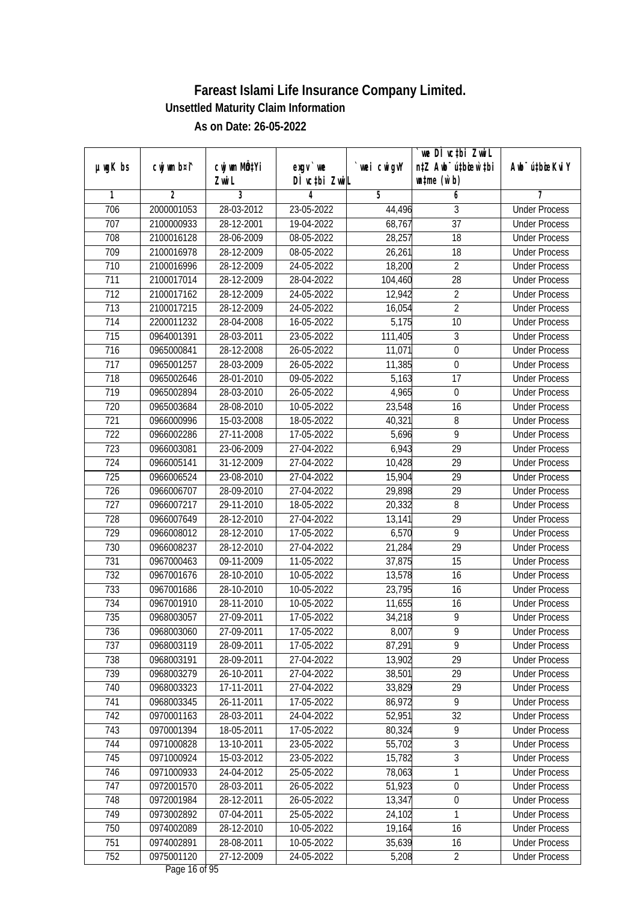|                  |                |                           |               |                | we DI vctbi ZwiL                 |                             |
|------------------|----------------|---------------------------|---------------|----------------|----------------------------------|-----------------------------|
| $µ$ ug $K$ bs    | cwj wm b¤i^    | cwj wm MQ <sup>1</sup> Yi | $exgV$ we     | `wei cwigvY    | n‡Z Awb <sup>-</sup> ú‡bioar`‡bi | Awb <sup>-</sup> ú‡bioeKviY |
|                  |                | Zwi L                     | DÌ vctbi ZwiL |                | $\n  untime\n  (u`b)\n$          |                             |
| 1                | $\overline{2}$ | 3                         | 4             | $\overline{5}$ | 6                                | 7                           |
| 706              | 2000001053     | 28-03-2012                | 23-05-2022    | 44,496         | 3                                | <b>Under Process</b>        |
| 707              | 2100000933     | 28-12-2001                | 19-04-2022    | 68,767         | $\overline{37}$                  | <b>Under Process</b>        |
| 708              | 2100016128     | 28-06-2009                | 08-05-2022    | 28,257         | $\overline{18}$                  | <b>Under Process</b>        |
| 709              | 2100016978     | 28-12-2009                | 08-05-2022    | 26,261         | 18                               | <b>Under Process</b>        |
| 710              | 2100016996     | 28-12-2009                | 24-05-2022    | 18,200         | $\overline{2}$                   | <b>Under Process</b>        |
| 711              | 2100017014     | 28-12-2009                | 28-04-2022    | 104,460        | $\overline{28}$                  | <b>Under Process</b>        |
| $\overline{712}$ | 2100017162     | 28-12-2009                | 24-05-2022    | 12,942         | $\overline{2}$                   | <b>Under Process</b>        |
| 713              | 2100017215     | 28-12-2009                | 24-05-2022    | 16,054         | $\overline{2}$                   | <b>Under Process</b>        |
| 714              | 2200011232     | 28-04-2008                | 16-05-2022    | 5,175          | 10                               | <b>Under Process</b>        |
| 715              | 0964001391     | 28-03-2011                | 23-05-2022    | 111,405        | $\mathfrak{Z}$                   | <b>Under Process</b>        |
| 716              | 0965000841     | 28-12-2008                | 26-05-2022    | 11,071         | $\boldsymbol{0}$                 | <b>Under Process</b>        |
| 717              | 0965001257     | 28-03-2009                | 26-05-2022    | 11,385         | $\boldsymbol{0}$                 | <b>Under Process</b>        |
| 718              | 0965002646     | 28-01-2010                | 09-05-2022    | 5,163          | $\overline{17}$                  | <b>Under Process</b>        |
| 719              | 0965002894     | 28-03-2010                | 26-05-2022    | 4,965          | $\boldsymbol{0}$                 | <b>Under Process</b>        |
| 720              | 0965003684     | 28-08-2010                | 10-05-2022    | 23,548         | 16                               | <b>Under Process</b>        |
| 721              | 0966000996     | 15-03-2008                | 18-05-2022    | 40,321         | 8                                | <b>Under Process</b>        |
| 722              | 0966002286     | 27-11-2008                | 17-05-2022    | 5,696          | 9                                | <b>Under Process</b>        |
| 723              | 0966003081     | 23-06-2009                | 27-04-2022    | 6,943          | 29                               | <b>Under Process</b>        |
| 724              | 0966005141     | 31-12-2009                | 27-04-2022    | 10,428         | 29                               | <b>Under Process</b>        |
| 725              | 0966006524     | 23-08-2010                | 27-04-2022    | 15,904         | 29                               | <b>Under Process</b>        |
| 726              | 0966006707     | 28-09-2010                | 27-04-2022    | 29,898         | 29                               | <b>Under Process</b>        |
| 727              | 0966007217     | 29-11-2010                | 18-05-2022    | 20,332         | 8                                | <b>Under Process</b>        |
| 728              | 0966007649     | 28-12-2010                | 27-04-2022    | 13,141         | 29                               | <b>Under Process</b>        |
| 729              | 0966008012     | 28-12-2010                | 17-05-2022    | 6,570          | 9                                | <b>Under Process</b>        |
| 730              | 0966008237     | 28-12-2010                | 27-04-2022    | 21,284         | 29                               | <b>Under Process</b>        |
| 731              | 0967000463     | 09-11-2009                | 11-05-2022    | 37,875         | 15                               | <b>Under Process</b>        |
| 732              | 0967001676     | 28-10-2010                | 10-05-2022    | 13,578         | 16                               | <b>Under Process</b>        |
| 733              | 0967001686     | 28-10-2010                | 10-05-2022    | 23,795         | 16                               | <b>Under Process</b>        |
| 734              | 0967001910     | 28-11-2010                | 10-05-2022    | 11,655         | 16                               | <b>Under Process</b>        |
| 735              | 0968003057     | 27-09-2011                | 17-05-2022    | 34,218         | 9                                | <b>Under Process</b>        |
| 736              | 0968003060     | 27-09-2011                | 17-05-2022    | 8,007          | 9                                | <b>Under Process</b>        |
| 737              | 0968003119     | 28-09-2011                | 17-05-2022    | 87,291         | 9                                | <b>Under Process</b>        |
| 738              | 0968003191     | 28-09-2011                | 27-04-2022    | 13,902         | 29                               | <b>Under Process</b>        |
| 739              | 0968003279     | 26-10-2011                | 27-04-2022    | 38,501         | 29                               | <b>Under Process</b>        |
| 740              | 0968003323     | 17-11-2011                | 27-04-2022    | 33,829         | 29                               | <b>Under Process</b>        |
| 741              | 0968003345     | 26-11-2011                | 17-05-2022    | 86,972         | 9                                | <b>Under Process</b>        |
| 742              | 0970001163     | 28-03-2011                | 24-04-2022    | 52,951         | 32                               | <b>Under Process</b>        |
| 743              | 0970001394     | 18-05-2011                | 17-05-2022    | 80,324         | $\overline{9}$                   | <b>Under Process</b>        |
| 744              | 0971000828     | 13-10-2011                | 23-05-2022    | 55,702         | 3                                | <b>Under Process</b>        |
| 745              | 0971000924     | 15-03-2012                | 23-05-2022    | 15,782         | $\overline{3}$                   | <b>Under Process</b>        |
| 746              | 0971000933     | 24-04-2012                | 25-05-2022    | 78,063         | 1                                | <b>Under Process</b>        |
| 747              | 0972001570     | 28-03-2011                | 26-05-2022    | 51,923         | $\boldsymbol{0}$                 | <b>Under Process</b>        |
| 748              | 0972001984     | 28-12-2011                | 26-05-2022    | 13,347         | $\boldsymbol{0}$                 | <b>Under Process</b>        |
| 749              | 0973002892     | 07-04-2011                | 25-05-2022    | 24,102         | 1                                | <b>Under Process</b>        |
| 750              | 0974002089     | 28-12-2010                | 10-05-2022    | 19,164         | 16                               | <b>Under Process</b>        |
| 751              | 0974002891     | 28-08-2011                | 10-05-2022    | 35,639         | 16                               | <b>Under Process</b>        |
| 752              | 0975001120     | 27-12-2009                | 24-05-2022    | 5,208          | $\overline{2}$                   | <b>Under Process</b>        |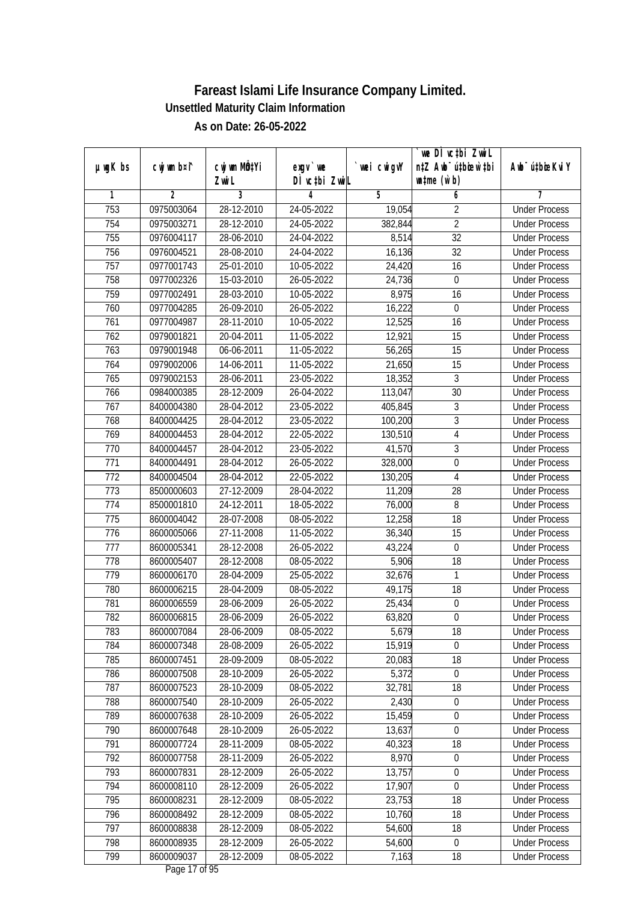|               |                |                  |               |             | we DI vctbi Zwil                 |                             |
|---------------|----------------|------------------|---------------|-------------|----------------------------------|-----------------------------|
| $µ$ ug $K$ bs | cwj wm b¤i^    | cwj wm MQtYi     | $exgV$ we     | `wei cwigvY | n‡Z Awb <sup>-</sup> ú‡bioar`‡bi | Awb <sup>-</sup> ú‡bioeKviY |
|               |                | Zwi L            | DÌ vctbi ZwiL |             | $\n  untime\n  (u`b)\n$          |                             |
| 1             | $\overline{2}$ | 3                | 4             | 5           | 6                                | 7                           |
| 753           | 0975003064     | $28 - 12 - 2010$ | 24-05-2022    | 19,054      | $\overline{2}$                   | <b>Under Process</b>        |
| 754           | 0975003271     | 28-12-2010       | 24-05-2022    | 382,844     | $\overline{2}$                   | <b>Under Process</b>        |
| 755           | 0976004117     | 28-06-2010       | 24-04-2022    | 8,514       | $\overline{32}$                  | <b>Under Process</b>        |
| 756           | 0976004521     | 28-08-2010       | 24-04-2022    | 16,136      | 32                               | <b>Under Process</b>        |
| 757           | 0977001743     | $25-01-2010$     | 10-05-2022    | 24,420      | $\overline{16}$                  | <b>Under Process</b>        |
| 758           | 0977002326     | 15-03-2010       | 26-05-2022    | 24,736      | 0                                | <b>Under Process</b>        |
| 759           | 0977002491     | 28-03-2010       | 10-05-2022    | 8,975       | 16                               | <b>Under Process</b>        |
| 760           | 0977004285     | 26-09-2010       | 26-05-2022    | 16,222      | $\boldsymbol{0}$                 | <b>Under Process</b>        |
| 761           | 0977004987     | 28-11-2010       | 10-05-2022    | 12,525      | 16                               | <b>Under Process</b>        |
| 762           | 0979001821     | 20-04-2011       | 11-05-2022    | 12,921      | 15                               | <b>Under Process</b>        |
| 763           | 0979001948     | 06-06-2011       | 11-05-2022    | 56,265      | $\overline{15}$                  | <b>Under Process</b>        |
| 764           | 0979002006     | 14-06-2011       | 11-05-2022    | 21,650      | 15                               | <b>Under Process</b>        |
| 765           | 0979002153     | 28-06-2011       | 23-05-2022    | 18,352      | $\overline{3}$                   | <b>Under Process</b>        |
| 766           | 0984000385     | 28-12-2009       | 26-04-2022    | 113,047     | 30                               | <b>Under Process</b>        |
| 767           | 8400004380     | 28-04-2012       | 23-05-2022    | 405,845     | 3                                | <b>Under Process</b>        |
| 768           | 8400004425     | 28-04-2012       | 23-05-2022    | 100,200     | 3                                | <b>Under Process</b>        |
| 769           | 8400004453     | 28-04-2012       | 22-05-2022    | 130,510     | $\overline{4}$                   | <b>Under Process</b>        |
| 770           | 8400004457     | 28-04-2012       | 23-05-2022    | 41,570      | 3                                | <b>Under Process</b>        |
| 771           | 8400004491     | 28-04-2012       | 26-05-2022    | 328,000     | $\pmb{0}$                        | <b>Under Process</b>        |
| 772           | 8400004504     | 28-04-2012       | 22-05-2022    | 130,205     | $\overline{4}$                   | <b>Under Process</b>        |
| 773           | 8500000603     | 27-12-2009       | 28-04-2022    | 11,209      | 28                               | <b>Under Process</b>        |
| 774           | 8500001810     | 24-12-2011       | 18-05-2022    | 76,000      | 8                                | <b>Under Process</b>        |
| 775           | 8600004042     | 28-07-2008       | 08-05-2022    | 12,258      | 18                               | <b>Under Process</b>        |
| 776           | 8600005066     | 27-11-2008       | 11-05-2022    | 36,340      | 15                               | <b>Under Process</b>        |
| 777           | 8600005341     | 28-12-2008       | 26-05-2022    | 43,224      | $\boldsymbol{0}$                 | <b>Under Process</b>        |
| 778           | 8600005407     | 28-12-2008       | 08-05-2022    | 5,906       | 18                               | <b>Under Process</b>        |
| 779           | 8600006170     | 28-04-2009       | 25-05-2022    | 32,676      | 1                                | <b>Under Process</b>        |
| 780           | 8600006215     | 28-04-2009       | 08-05-2022    | 49,175      | 18                               | <b>Under Process</b>        |
| 781           | 8600006559     | 28-06-2009       | 26-05-2022    | 25,434      | $\boldsymbol{0}$                 | <b>Under Process</b>        |
| 782           | 8600006815     | 28-06-2009       | 26-05-2022    | 63,820      | $\boldsymbol{0}$                 | <b>Under Process</b>        |
| 783           | 8600007084     | 28-06-2009       | 08-05-2022    | 5,679       | 18                               | <b>Under Process</b>        |
| 784           | 8600007348     | 28-08-2009       | 26-05-2022    | 15,919      | 0                                | <b>Under Process</b>        |
| 785           | 8600007451     | 28-09-2009       | 08-05-2022    | 20,083      | 18                               | <b>Under Process</b>        |
| 786           | 8600007508     | 28-10-2009       | 26-05-2022    | 5,372       | $\boldsymbol{0}$                 | <b>Under Process</b>        |
| 787           | 8600007523     | 28-10-2009       | 08-05-2022    | 32,781      | 18                               | <b>Under Process</b>        |
| 788           | 8600007540     | 28-10-2009       | 26-05-2022    | 2,430       | 0                                | <b>Under Process</b>        |
| 789           | 8600007638     | 28-10-2009       | 26-05-2022    | 15,459      | $\boldsymbol{0}$                 | <b>Under Process</b>        |
| 790           | 8600007648     | 28-10-2009       | 26-05-2022    | 13,637      | 0                                | <b>Under Process</b>        |
| 791           | 8600007724     | 28-11-2009       | 08-05-2022    | 40,323      | 18                               | <b>Under Process</b>        |
| 792           | 8600007758     | 28-11-2009       | 26-05-2022    | 8,970       | $\boldsymbol{0}$                 | <b>Under Process</b>        |
| 793           | 8600007831     | 28-12-2009       | 26-05-2022    | 13,757      | 0                                | <b>Under Process</b>        |
| 794           | 8600008110     | 28-12-2009       | 26-05-2022    | 17,907      | $\mathbf 0$                      | <b>Under Process</b>        |
| 795           | 8600008231     | 28-12-2009       | 08-05-2022    | 23,753      | 18                               | <b>Under Process</b>        |
| 796           | 8600008492     | 28-12-2009       | 08-05-2022    | 10,760      | 18                               | <b>Under Process</b>        |
| 797           | 8600008838     | 28-12-2009       | 08-05-2022    | 54,600      | 18                               | <b>Under Process</b>        |
| 798           | 8600008935     | 28-12-2009       | 26-05-2022    | 54,600      | 0                                | <b>Under Process</b>        |
| 799           | 8600009037     | 28-12-2009       | 08-05-2022    | 7,163       | 18                               | <b>Under Process</b>        |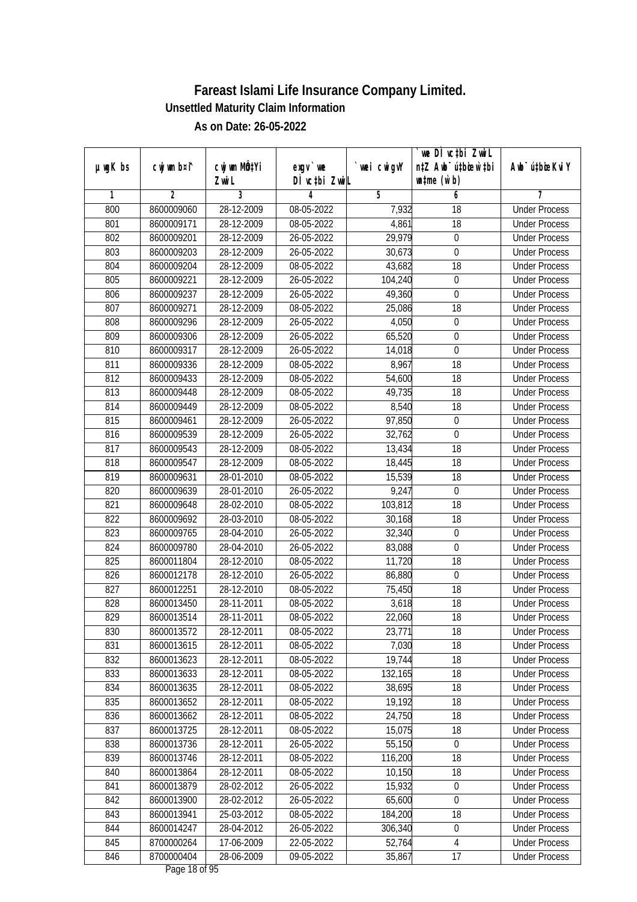|         |                |              |               |            | we DI vctbi Zwil                 |                             |
|---------|----------------|--------------|---------------|------------|----------------------------------|-----------------------------|
| µwgK bs | cwj wm b¤i^    | cwj wm MQtYi | $exgv$ we     | wei cwigvY | n‡Z Awb <sup>-</sup> ú‡bioen`‡bi | Awb <sup>-</sup> ú‡bioeKviY |
|         |                | Zwi L        | DÌ vctbi ZwiL |            | $\n  untime\n  (u`b)\n$          |                             |
| 1       | $\overline{2}$ | 3            | 4             | 5          | 6                                | 7                           |
| 800     | 8600009060     | 28-12-2009   | 08-05-2022    | 7,932      | $\overline{18}$                  | <b>Under Process</b>        |
| 801     | 8600009171     | 28-12-2009   | 08-05-2022    | 4,861      | 18                               | <b>Under Process</b>        |
| 802     | 8600009201     | 28-12-2009   | 26-05-2022    | 29,979     | $\overline{0}$                   | <b>Under Process</b>        |
| 803     | 8600009203     | 28-12-2009   | 26-05-2022    | 30,673     | $\boldsymbol{0}$                 | <b>Under Process</b>        |
| 804     | 8600009204     | 28-12-2009   | 08-05-2022    | 43,682     | $\overline{18}$                  | <b>Under Process</b>        |
| 805     | 8600009221     | 28-12-2009   | 26-05-2022    | 104,240    | $\boldsymbol{0}$                 | <b>Under Process</b>        |
| 806     | 8600009237     | 28-12-2009   | 26-05-2022    | 49,360     | $\overline{0}$                   | <b>Under Process</b>        |
| 807     | 8600009271     | 28-12-2009   | 08-05-2022    | 25,086     | 18                               | <b>Under Process</b>        |
| 808     | 8600009296     | 28-12-2009   | 26-05-2022    | 4,050      | $\pmb{0}$                        | <b>Under Process</b>        |
| 809     | 8600009306     | 28-12-2009   | 26-05-2022    | 65,520     | $\boldsymbol{0}$                 | <b>Under Process</b>        |
| 810     | 8600009317     | 28-12-2009   | 26-05-2022    | 14,018     | $\mathbf 0$                      | <b>Under Process</b>        |
| 811     | 8600009336     | 28-12-2009   | 08-05-2022    | 8,967      | 18                               | <b>Under Process</b>        |
| 812     | 8600009433     | 28-12-2009   | 08-05-2022    | 54,600     | $\overline{18}$                  | <b>Under Process</b>        |
| 813     | 8600009448     | 28-12-2009   | 08-05-2022    | 49,735     | 18                               | <b>Under Process</b>        |
| 814     | 8600009449     | 28-12-2009   | 08-05-2022    | 8,540      | 18                               | <b>Under Process</b>        |
| 815     | 8600009461     | 28-12-2009   | 26-05-2022    | 97,850     | $\boldsymbol{0}$                 | <b>Under Process</b>        |
| 816     | 8600009539     | 28-12-2009   | 26-05-2022    | 32,762     | $\mathbf 0$                      | <b>Under Process</b>        |
| 817     | 8600009543     | 28-12-2009   | 08-05-2022    | 13,434     | 18                               | <b>Under Process</b>        |
| 818     | 8600009547     | 28-12-2009   | 08-05-2022    | 18,445     | 18                               | <b>Under Process</b>        |
| 819     | 8600009631     | 28-01-2010   | 08-05-2022    | 15,539     | 18                               | <b>Under Process</b>        |
| 820     | 8600009639     | 28-01-2010   | 26-05-2022    | 9,247      | $\mathbf 0$                      | <b>Under Process</b>        |
| 821     | 8600009648     | 28-02-2010   | 08-05-2022    | 103,812    | 18                               | <b>Under Process</b>        |
| 822     | 8600009692     | 28-03-2010   | 08-05-2022    | 30,168     | 18                               | <b>Under Process</b>        |
| 823     | 8600009765     | 28-04-2010   | 26-05-2022    | 32,340     | $\boldsymbol{0}$                 | <b>Under Process</b>        |
| 824     | 8600009780     | 28-04-2010   | 26-05-2022    | 83,088     | $\mathbf 0$                      | <b>Under Process</b>        |
| 825     | 8600011804     | 28-12-2010   | 08-05-2022    | 11,720     | 18                               | <b>Under Process</b>        |
| 826     | 8600012178     | 28-12-2010   | 26-05-2022    | 86,880     | 0                                | <b>Under Process</b>        |
| 827     | 8600012251     | 28-12-2010   | 08-05-2022    | 75,450     | 18                               | <b>Under Process</b>        |
| 828     | 8600013450     | 28-11-2011   | 08-05-2022    | 3,618      | 18                               | <b>Under Process</b>        |
| 829     | 8600013514     | 28-11-2011   | 08-05-2022    | 22,060     | 18                               | <b>Under Process</b>        |
| 830     | 8600013572     | 28-12-2011   | 08-05-2022    | 23,771     | 18                               | <b>Under Process</b>        |
| 831     | 8600013615     | 28-12-2011   | 08-05-2022    | 7,030      | 18                               | <b>Under Process</b>        |
| 832     | 8600013623     | 28-12-2011   | 08-05-2022    | 19,744     | 18                               | <b>Under Process</b>        |
| 833     | 8600013633     | 28-12-2011   | 08-05-2022    | 132,165    | 18                               | <b>Under Process</b>        |
| 834     | 8600013635     | 28-12-2011   | 08-05-2022    | 38,695     | 18                               | <b>Under Process</b>        |
| 835     | 8600013652     | 28-12-2011   | 08-05-2022    | 19,192     | 18                               | <b>Under Process</b>        |
| 836     | 8600013662     | 28-12-2011   | 08-05-2022    | 24,750     | 18                               | <b>Under Process</b>        |
| 837     | 8600013725     | 28-12-2011   | 08-05-2022    | 15,075     | 18                               | <b>Under Process</b>        |
| 838     | 8600013736     | 28-12-2011   | 26-05-2022    | 55,150     | $\pmb{0}$                        | <b>Under Process</b>        |
| 839     | 8600013746     | 28-12-2011   | 08-05-2022    | 116,200    | 18                               | <b>Under Process</b>        |
| 840     | 8600013864     | 28-12-2011   | 08-05-2022    | 10,150     | 18                               | <b>Under Process</b>        |
| 841     | 8600013879     | 28-02-2012   | 26-05-2022    | 15,932     | $\boldsymbol{0}$                 | <b>Under Process</b>        |
| 842     | 8600013900     | 28-02-2012   | 26-05-2022    | 65,600     | 0                                | <b>Under Process</b>        |
| 843     | 8600013941     | 25-03-2012   | 08-05-2022    | 184,200    | 18                               | <b>Under Process</b>        |
| 844     | 8600014247     | 28-04-2012   | 26-05-2022    | 306,340    | $\pmb{0}$                        | <b>Under Process</b>        |
| 845     | 8700000264     | 17-06-2009   | 22-05-2022    | 52,764     | 4                                | <b>Under Process</b>        |
| 846     | 8700000404     | 28-06-2009   | 09-05-2022    | 35,867     | 17                               | <b>Under Process</b>        |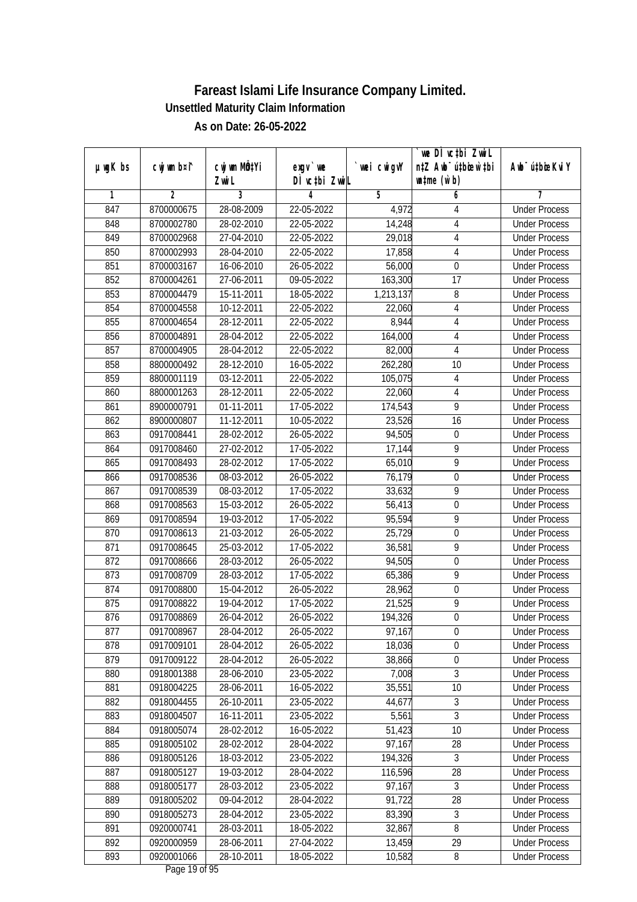|               |                |              |               |                | we DI vctbi Zwil                 |                             |
|---------------|----------------|--------------|---------------|----------------|----------------------------------|-----------------------------|
| $µ$ ug $K$ bs | cwj wm b¤i^    | cwj wm MQtYi | $exgV$ we     | `wei cwigvY    | n‡Z Awb <sup>-</sup> ú‡bioar`‡bi | Awb <sup>-</sup> ú‡bioeKviY |
|               |                | Zwi L        | DÌ vctbi ZwiL |                | $\n  untime\n  (u`b)\n$          |                             |
| 1             | $\overline{2}$ | 3            | 4             | $\overline{5}$ | 6                                | 7                           |
| 847           | 8700000675     | 28-08-2009   | 22-05-2022    | 4,972          | 4                                | <b>Under Process</b>        |
| 848           | 8700002780     | 28-02-2010   | 22-05-2022    | 14,248         | 4                                | <b>Under Process</b>        |
| 849           | 8700002968     | 27-04-2010   | 22-05-2022    | 29,018         | $\overline{4}$                   | <b>Under Process</b>        |
| 850           | 8700002993     | 28-04-2010   | 22-05-2022    | 17,858         | 4                                | <b>Under Process</b>        |
| 851           | 8700003167     | 16-06-2010   | 26-05-2022    | 56,000         | $\overline{0}$                   | <b>Under Process</b>        |
| 852           | 8700004261     | 27-06-2011   | 09-05-2022    | 163,300        | 17                               | <b>Under Process</b>        |
| 853           | 8700004479     | 15-11-2011   | 18-05-2022    | 1,213,137      | 8                                | <b>Under Process</b>        |
| 854           | 8700004558     | 10-12-2011   | 22-05-2022    | 22,060         | $\overline{4}$                   | <b>Under Process</b>        |
| 855           | 8700004654     | 28-12-2011   | 22-05-2022    | 8,944          | $\sqrt{4}$                       | <b>Under Process</b>        |
| 856           | 8700004891     | 28-04-2012   | 22-05-2022    | 164,000        | 4                                | <b>Under Process</b>        |
| 857           | 8700004905     | 28-04-2012   | 22-05-2022    | 82,000         | $\overline{4}$                   | <b>Under Process</b>        |
| 858           | 8800000492     | 28-12-2010   | 16-05-2022    | 262,280        | 10                               | <b>Under Process</b>        |
| 859           | 8800001119     | 03-12-2011   | 22-05-2022    | 105,075        | $\overline{4}$                   | <b>Under Process</b>        |
| 860           | 8800001263     | 28-12-2011   | 22-05-2022    | 22,060         | $\overline{4}$                   | <b>Under Process</b>        |
| 861           | 8900000791     | 01-11-2011   | 17-05-2022    | 174,543        | $\overline{9}$                   | <b>Under Process</b>        |
| 862           | 8900000807     | 11-12-2011   | 10-05-2022    | 23,526         | 16                               | <b>Under Process</b>        |
| 863           | 0917008441     | 28-02-2012   | 26-05-2022    | 94,505         | $\boldsymbol{0}$                 | <b>Under Process</b>        |
| 864           | 0917008460     | 27-02-2012   | 17-05-2022    | 17,144         | $\overline{9}$                   | <b>Under Process</b>        |
| 865           | 0917008493     | 28-02-2012   | 17-05-2022    | 65,010         | 9                                | <b>Under Process</b>        |
| 866           | 0917008536     | 08-03-2012   | 26-05-2022    | 76,179         | 0                                | <b>Under Process</b>        |
| 867           | 0917008539     | 08-03-2012   | 17-05-2022    | 33,632         | 9                                | <b>Under Process</b>        |
| 868           | 0917008563     | 15-03-2012   | 26-05-2022    | 56,413         | 0                                | <b>Under Process</b>        |
| 869           | 0917008594     | 19-03-2012   | 17-05-2022    | 95,594         | $\overline{9}$                   | <b>Under Process</b>        |
| 870           | 0917008613     | 21-03-2012   | 26-05-2022    | 25,729         | $\boldsymbol{0}$                 | <b>Under Process</b>        |
| 871           | 0917008645     | 25-03-2012   | 17-05-2022    | 36,581         | 9                                | <b>Under Process</b>        |
| 872           | 0917008666     | 28-03-2012   | 26-05-2022    | 94,505         | $\boldsymbol{0}$                 | <b>Under Process</b>        |
| 873           | 0917008709     | 28-03-2012   | 17-05-2022    | 65,386         | 9                                | <b>Under Process</b>        |
| 874           | 0917008800     | 15-04-2012   | 26-05-2022    | 28,962         | $\boldsymbol{0}$                 | <b>Under Process</b>        |
| 875           | 0917008822     | 19-04-2012   | 17-05-2022    | 21,525         | $\overline{9}$                   | <b>Under Process</b>        |
| 876           | 0917008869     | 26-04-2012   | 26-05-2022    | 194,326        | $\boldsymbol{0}$                 | <b>Under Process</b>        |
| 877           | 0917008967     | 28-04-2012   | 26-05-2022    | 97,167         | $\boldsymbol{0}$                 | <b>Under Process</b>        |
| 878           | 0917009101     | 28-04-2012   | 26-05-2022    | 18,036         | 0                                | <b>Under Process</b>        |
| 879           | 0917009122     | 28-04-2012   | 26-05-2022    | 38,866         | $\boldsymbol{0}$                 | <b>Under Process</b>        |
| 880           | 0918001388     | 28-06-2010   | 23-05-2022    | 7,008          | $\overline{3}$                   | <b>Under Process</b>        |
| 881           | 0918004225     | 28-06-2011   | 16-05-2022    | 35,551         | 10                               | <b>Under Process</b>        |
| 882           | 0918004455     | 26-10-2011   | 23-05-2022    | 44,677         | 3                                | <b>Under Process</b>        |
| 883           | 0918004507     | 16-11-2011   | 23-05-2022    | 5,561          | $\overline{3}$                   | <b>Under Process</b>        |
| 884           | 0918005074     | 28-02-2012   | 16-05-2022    | 51,423         | 10                               | <b>Under Process</b>        |
| 885           | 0918005102     | 28-02-2012   | 28-04-2022    | 97,167         | 28                               | <b>Under Process</b>        |
| 886           | 0918005126     | 18-03-2012   | 23-05-2022    | 194,326        | $\mathfrak{Z}$                   | <b>Under Process</b>        |
| 887           | 0918005127     | 19-03-2012   | 28-04-2022    | 116,596        | 28                               | <b>Under Process</b>        |
| 888           | 0918005177     | 28-03-2012   | 23-05-2022    | 97,167         | 3                                | <b>Under Process</b>        |
| 889           | 0918005202     | 09-04-2012   | 28-04-2022    | 91,722         | $\overline{28}$                  | <b>Under Process</b>        |
| 890           |                | 28-04-2012   |               | 83,390         | 3                                | <b>Under Process</b>        |
|               | 0918005273     |              | 23-05-2022    |                | $\overline{8}$                   |                             |
| 891           | 0920000741     | 28-03-2011   | 18-05-2022    | 32,867         |                                  | <b>Under Process</b>        |
| 892           | 0920000959     | 28-06-2011   | 27-04-2022    | 13,459         | 29                               | <b>Under Process</b>        |
| 893           | 0920001066     | 28-10-2011   | 18-05-2022    | 10,582         | 8                                | <b>Under Process</b>        |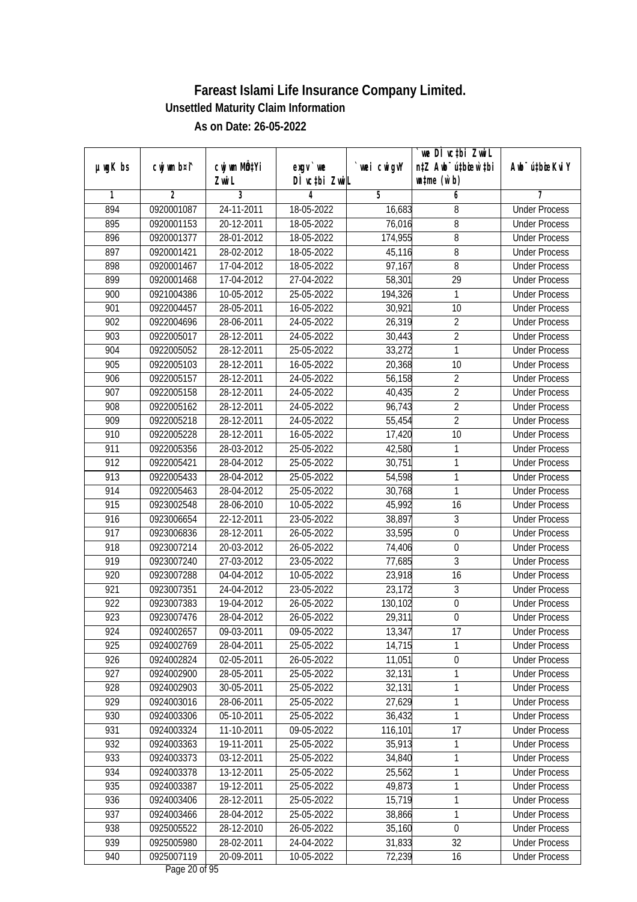|                  |                |                  |               |                | we DI vctbi Zwil                 |                             |
|------------------|----------------|------------------|---------------|----------------|----------------------------------|-----------------------------|
| $µ$ ug $K$ bs    | cwj wm b¤i^    | cwj wm MQtYi     | $exgV$ we     | `wei cwigvY    | n‡Z Awb <sup>-</sup> ú‡bioar`‡bi | Awb <sup>-</sup> ú‡bioeKviY |
|                  |                | Zwi L            | DÌ vctbi ZwiL |                | $\n  untime\n  (u`b)\n$          |                             |
| 1                | $\overline{2}$ | 3                | 4             | $\overline{5}$ | 6                                | 7                           |
| 894              | 0920001087     | 24-11-2011       | 18-05-2022    | 16,683         | 8                                | <b>Under Process</b>        |
| 895              | 0920001153     | 20-12-2011       | 18-05-2022    | 76,016         | 8                                | <b>Under Process</b>        |
| 896              | 0920001377     | 28-01-2012       | 18-05-2022    | 174,955        | $\overline{8}$                   | <b>Under Process</b>        |
| 897              | 0920001421     | 28-02-2012       | 18-05-2022    | 45,116         | 8                                | <b>Under Process</b>        |
| 898              | 0920001467     | 17-04-2012       | 18-05-2022    | 97,167         | 8                                | <b>Under Process</b>        |
| 899              | 0920001468     | 17-04-2012       | 27-04-2022    | 58,301         | $\overline{29}$                  | <b>Under Process</b>        |
| 900              | 0921004386     | 10-05-2012       | 25-05-2022    | 194,326        | 1                                | <b>Under Process</b>        |
| 901              | 0922004457     | 28-05-2011       | 16-05-2022    | 30,921         | 10                               | <b>Under Process</b>        |
| $\overline{902}$ | 0922004696     | 28-06-2011       | 24-05-2022    | 26,319         | $\overline{2}$                   | <b>Under Process</b>        |
| 903              | 0922005017     | 28-12-2011       | 24-05-2022    | 30,443         | $\overline{2}$                   | <b>Under Process</b>        |
| 904              | 0922005052     | 28-12-2011       | 25-05-2022    | 33,272         | 1                                | <b>Under Process</b>        |
| 905              | 0922005103     | 28-12-2011       | 16-05-2022    | 20,368         | 10                               | <b>Under Process</b>        |
| 906              | 0922005157     | 28-12-2011       | 24-05-2022    | 56,158         | $\overline{2}$                   | <b>Under Process</b>        |
| 907              | 0922005158     | 28-12-2011       | 24-05-2022    | 40,435         | $\overline{2}$                   | <b>Under Process</b>        |
| 908              | 0922005162     | 28-12-2011       | 24-05-2022    | 96,743         | $\overline{2}$                   | <b>Under Process</b>        |
| 909              | 0922005218     | 28-12-2011       | 24-05-2022    | 55,454         | $\overline{2}$                   | <b>Under Process</b>        |
| 910              | 0922005228     | 28-12-2011       | 16-05-2022    | 17,420         | 10                               | <b>Under Process</b>        |
| 911              | 0922005356     | 28-03-2012       | 25-05-2022    | 42,580         | 1                                | <b>Under Process</b>        |
| 912              | 0922005421     | 28-04-2012       | 25-05-2022    | 30,751         | 1                                | <b>Under Process</b>        |
| 913              | 0922005433     | 28-04-2012       | 25-05-2022    | 54,598         | 1                                | <b>Under Process</b>        |
| 914              | 0922005463     | 28-04-2012       | 25-05-2022    | 30,768         | 1                                | <b>Under Process</b>        |
| 915              | 0923002548     | 28-06-2010       | 10-05-2022    | 45,992         | 16                               | <b>Under Process</b>        |
| 916              | 0923006654     | 22-12-2011       | 23-05-2022    | 38,897         | 3                                | <b>Under Process</b>        |
| 917              | 0923006836     | 28-12-2011       | 26-05-2022    | 33,595         | $\boldsymbol{0}$                 | <b>Under Process</b>        |
| 918              | 0923007214     | 20-03-2012       | 26-05-2022    | 74,406         | $\boldsymbol{0}$                 | <b>Under Process</b>        |
| 919              | 0923007240     | 27-03-2012       | 23-05-2022    | 77,685         | 3                                | <b>Under Process</b>        |
| 920              | 0923007288     | 04-04-2012       | 10-05-2022    | 23,918         | 16                               | <b>Under Process</b>        |
| 921              | 0923007351     | 24-04-2012       | 23-05-2022    | 23,172         | 3                                | <b>Under Process</b>        |
| 922              | 0923007383     | 19-04-2012       | 26-05-2022    | 130,102        | $\boldsymbol{0}$                 | <b>Under Process</b>        |
| 923              | 0923007476     | 28-04-2012       | 26-05-2022    | 29,311         | $\boldsymbol{0}$                 | <b>Under Process</b>        |
| 924              | 0924002657     | 09-03-2011       | 09-05-2022    | 13,347         | 17                               | <b>Under Process</b>        |
| 925              | 0924002769     | 28-04-2011       | 25-05-2022    | 14,715         | 1                                | <b>Under Process</b>        |
| 926              | 0924002824     | 02-05-2011       | 26-05-2022    | 11,051         | $\boldsymbol{0}$                 | <b>Under Process</b>        |
| 927              | 0924002900     | 28-05-2011       | 25-05-2022    | 32,131         | 1                                | <b>Under Process</b>        |
| 928              | 0924002903     | 30-05-2011       | 25-05-2022    | 32,131         | 1                                | <b>Under Process</b>        |
| 929              | 0924003016     | 28-06-2011       | 25-05-2022    | 27,629         | 1                                | <b>Under Process</b>        |
| 930              | 0924003306     | $05 - 10 - 2011$ | 25-05-2022    | 36,432         | 1                                | <b>Under Process</b>        |
| 931              | 0924003324     | 11-10-2011       | 09-05-2022    | 116,101        | 17                               | <b>Under Process</b>        |
| 932              | 0924003363     | $19-11-2011$     | 25-05-2022    | 35,913         | 1                                | <b>Under Process</b>        |
| 933              | 0924003373     | 03-12-2011       | 25-05-2022    | 34,840         | 1                                | <b>Under Process</b>        |
| 934              | 0924003378     | 13-12-2011       | 25-05-2022    | 25,562         | 1                                | <b>Under Process</b>        |
| 935              | 0924003387     | 19-12-2011       | 25-05-2022    | 49,873         | 1                                | <b>Under Process</b>        |
| 936              | 0924003406     | 28-12-2011       | 25-05-2022    | 15,719         | 1                                | <b>Under Process</b>        |
| 937              | 0924003466     | 28-04-2012       | 25-05-2022    | 38,866         | 1                                | <b>Under Process</b>        |
| 938              | 0925005522     | 28-12-2010       | 26-05-2022    | 35,160         | $\boldsymbol{0}$                 | <b>Under Process</b>        |
| 939              | 0925005980     | 28-02-2011       | 24-04-2022    | 31,833         | 32                               | <b>Under Process</b>        |
| 940              | 0925007119     | 20-09-2011       | 10-05-2022    | 72,239         | 16                               | <b>Under Process</b>        |
|                  |                |                  |               |                |                                  |                             |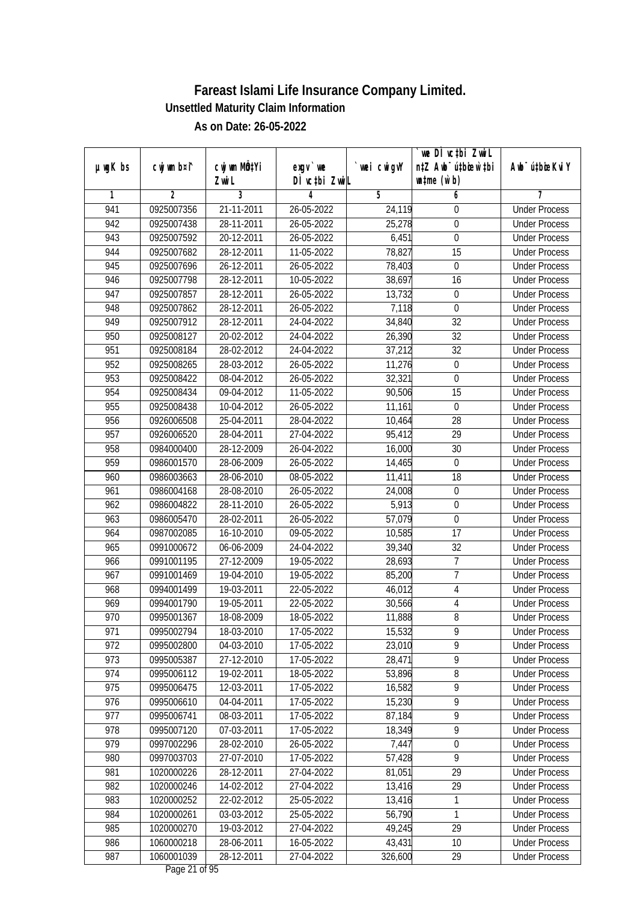| DÌ vctbi ZwiL<br>$\n  untime\n  (u`b)\n$<br>Zwi L<br>3<br>$\overline{2}$<br>$\overline{5}$<br>6<br>1<br>4<br>7<br>21-11-2011<br><b>Under Process</b><br>941<br>0925007356<br>26-05-2022<br>24,119<br>0<br>942<br>0925007438<br>28-11-2011<br>26-05-2022<br>25,278<br>$\boldsymbol{0}$<br><b>Under Process</b><br>6,451<br>$\pmb{0}$<br>943<br>0925007592<br>20-12-2011<br>26-05-2022<br><b>Under Process</b><br>944<br>0925007682<br>28-12-2011<br>11-05-2022<br>78,827<br>15<br><b>Under Process</b><br>$26 - 12 - 2011$<br>$\overline{0}$<br>945<br>0925007696<br>26-05-2022<br>78,403<br><b>Under Process</b><br>946<br>0925007798<br>28-12-2011<br>10-05-2022<br>38,697<br>16<br><b>Under Process</b><br>947<br>13,732<br>0925007857<br>28-12-2011<br>26-05-2022<br>$\boldsymbol{0}$<br><b>Under Process</b><br>948<br>0925007862<br>28-12-2011<br>26-05-2022<br>7,118<br>$\boldsymbol{0}$<br><b>Under Process</b><br>949<br>$\overline{32}$<br>0925007912<br>28-12-2011<br>24-04-2022<br>34,840<br><b>Under Process</b><br>26,390<br>32<br>950<br>0925008127<br>20-02-2012<br>24-04-2022<br><b>Under Process</b><br>$\overline{32}$<br>951<br>37,212<br>0925008184<br>28-02-2012<br>24-04-2022<br><b>Under Process</b><br>952<br>28-03-2012<br>26-05-2022<br>0925008265<br>11,276<br>0<br><b>Under Process</b><br>953<br>32,321<br>$\overline{0}$<br>0925008422<br>08-04-2012<br>26-05-2022<br><b>Under Process</b><br>954<br>11-05-2022<br>90,506<br>15<br>0925008434<br>09-04-2012<br><b>Under Process</b><br>955<br>0925008438<br>10-04-2012<br>26-05-2022<br>11,161<br>$\boldsymbol{0}$<br><b>Under Process</b><br>956<br>0926006508<br>25-04-2011<br>28-04-2022<br>28<br><b>Under Process</b><br>10,464<br>957<br>95,412<br>29<br>0926006520<br>28-04-2011<br>27-04-2022<br><b>Under Process</b><br>958<br>30<br>28-12-2009<br>26-04-2022<br>16,000<br>0984000400<br><b>Under Process</b><br>959<br>0986001570<br>28-06-2009<br>26-05-2022<br>14,465<br>$\mathbf 0$<br><b>Under Process</b><br>960<br>18<br>0986003663<br>28-06-2010<br>08-05-2022<br>11,411<br><b>Under Process</b><br>$\boldsymbol{0}$<br>961<br>0986004168<br>28-08-2010<br>26-05-2022<br>24,008<br><b>Under Process</b><br>5,913<br>962<br>26-05-2022<br>0986004822<br>28-11-2010<br>0<br><b>Under Process</b><br>963<br>57,079<br>$\boldsymbol{0}$<br>0986005470<br>28-02-2011<br>26-05-2022<br><b>Under Process</b><br>17<br>964<br>0987002085<br>16-10-2010<br>09-05-2022<br>10,585<br><b>Under Process</b><br>32<br>965<br>0991000672<br>06-06-2009<br>24-04-2022<br>39,340<br><b>Under Process</b><br>966<br>0991001195<br>27-12-2009<br>19-05-2022<br>7<br>28,693<br><b>Under Process</b><br>$\overline{1}$<br>967<br>0991001469<br>19-04-2010<br>19-05-2022<br>85,200<br><b>Under Process</b><br>968<br>0994001499<br>19-03-2011<br>22-05-2022<br>4<br>46,012<br><b>Under Process</b><br>969<br>$\overline{4}$<br>0994001790<br>19-05-2011<br>22-05-2022<br>30,566<br><b>Under Process</b><br>$8\,$<br>970<br>11,888<br>0995001367<br>18-08-2009<br>18-05-2022<br><b>Under Process</b><br>971<br>0995002794<br>18-03-2010<br>17-05-2022<br>15,532<br>9<br><b>Under Process</b><br>9<br>972<br>0995002800<br>04-03-2010<br>17-05-2022<br>23,010<br><b>Under Process</b><br>9<br>973<br>28,471<br>0995005387<br>27-12-2010<br>17-05-2022<br><b>Under Process</b><br>$\overline{8}$<br>974<br>53,896<br>0995006112<br>19-02-2011<br>18-05-2022<br><b>Under Process</b><br>9<br>975<br>0995006475<br>12-03-2011<br>16,582<br>17-05-2022<br><b>Under Process</b><br>$\overline{9}$<br>976<br>0995006610<br>04-04-2011<br>15,230<br>17-05-2022<br><b>Under Process</b><br>$\overline{9}$<br>977<br>0995006741<br>87,184<br>08-03-2011<br>17-05-2022<br><b>Under Process</b><br>18,349<br>$\overline{9}$<br>978<br>0995007120<br>$07 - 03 - 2011$<br>17-05-2022<br><b>Under Process</b><br>7,447<br>979<br>0997002296<br>$\boldsymbol{0}$<br>28-02-2010<br>26-05-2022<br><b>Under Process</b><br>$\overline{9}$<br>0997003703<br>27-07-2010<br>57,428<br>980<br>17-05-2022<br><b>Under Process</b><br>29<br>981<br>1020000226<br>28-12-2011<br>27-04-2022<br>81,051<br><b>Under Process</b><br>982<br>1020000246<br>14-02-2012<br>29<br>27-04-2022<br>13,416<br><b>Under Process</b><br>983<br>1020000252<br>22-02-2012<br>25-05-2022<br>13,416<br>1<br><b>Under Process</b><br>1<br>984<br>03-03-2012<br>56,790<br>1020000261<br>25-05-2022<br><b>Under Process</b><br>985<br>1020000270<br>49,245<br>29<br>19-03-2012<br>27-04-2022<br><b>Under Process</b><br>986<br>1060000218<br>28-06-2011<br>16-05-2022<br>43,431<br>10<br><b>Under Process</b><br>987<br>1060001039<br>28-12-2011<br>326,600<br>29<br>27-04-2022<br><b>Under Process</b> |               |             |              |           |             | we DI vctbi Zwil                 |                             |
|--------------------------------------------------------------------------------------------------------------------------------------------------------------------------------------------------------------------------------------------------------------------------------------------------------------------------------------------------------------------------------------------------------------------------------------------------------------------------------------------------------------------------------------------------------------------------------------------------------------------------------------------------------------------------------------------------------------------------------------------------------------------------------------------------------------------------------------------------------------------------------------------------------------------------------------------------------------------------------------------------------------------------------------------------------------------------------------------------------------------------------------------------------------------------------------------------------------------------------------------------------------------------------------------------------------------------------------------------------------------------------------------------------------------------------------------------------------------------------------------------------------------------------------------------------------------------------------------------------------------------------------------------------------------------------------------------------------------------------------------------------------------------------------------------------------------------------------------------------------------------------------------------------------------------------------------------------------------------------------------------------------------------------------------------------------------------------------------------------------------------------------------------------------------------------------------------------------------------------------------------------------------------------------------------------------------------------------------------------------------------------------------------------------------------------------------------------------------------------------------------------------------------------------------------------------------------------------------------------------------------------------------------------------------------------------------------------------------------------------------------------------------------------------------------------------------------------------------------------------------------------------------------------------------------------------------------------------------------------------------------------------------------------------------------------------------------------------------------------------------------------------------------------------------------------------------------------------------------------------------------------------------------------------------------------------------------------------------------------------------------------------------------------------------------------------------------------------------------------------------------------------------------------------------------------------------------------------------------------------------------------------------------------------------------------------------------------------------------------------------------------------------------------------------------------------------------------------------------------------------------------------------------------------------------------------------------------------------------------------------------------------------------------------------------------------------------------------------------------------------------------------------------------------------------------------------------------------------------------------------------------------------------------------------------------------------------------------------------------------------------------------------------------------------------------------------------------------------------------------------------------------------------------------------------------------------------------------------------------------------------------------------------------------------------------------------------------------------------------|---------------|-------------|--------------|-----------|-------------|----------------------------------|-----------------------------|
|                                                                                                                                                                                                                                                                                                                                                                                                                                                                                                                                                                                                                                                                                                                                                                                                                                                                                                                                                                                                                                                                                                                                                                                                                                                                                                                                                                                                                                                                                                                                                                                                                                                                                                                                                                                                                                                                                                                                                                                                                                                                                                                                                                                                                                                                                                                                                                                                                                                                                                                                                                                                                                                                                                                                                                                                                                                                                                                                                                                                                                                                                                                                                                                                                                                                                                                                                                                                                                                                                                                                                                                                                                                                                                                                                                                                                                                                                                                                                                                                                                                                                                                                                                                                                                                                                                                                                                                                                                                                                                                                                                                                                                                                                                                                | $µ$ ug $K$ bs | cwj wm b¤i^ | cwj wm MQtYi | $exgV$ we | `wei cwigvY | n‡Z Awb <sup>-</sup> ú‡bicen`‡bi | Awb <sup>-</sup> ú‡bioeKviY |
|                                                                                                                                                                                                                                                                                                                                                                                                                                                                                                                                                                                                                                                                                                                                                                                                                                                                                                                                                                                                                                                                                                                                                                                                                                                                                                                                                                                                                                                                                                                                                                                                                                                                                                                                                                                                                                                                                                                                                                                                                                                                                                                                                                                                                                                                                                                                                                                                                                                                                                                                                                                                                                                                                                                                                                                                                                                                                                                                                                                                                                                                                                                                                                                                                                                                                                                                                                                                                                                                                                                                                                                                                                                                                                                                                                                                                                                                                                                                                                                                                                                                                                                                                                                                                                                                                                                                                                                                                                                                                                                                                                                                                                                                                                                                |               |             |              |           |             |                                  |                             |
|                                                                                                                                                                                                                                                                                                                                                                                                                                                                                                                                                                                                                                                                                                                                                                                                                                                                                                                                                                                                                                                                                                                                                                                                                                                                                                                                                                                                                                                                                                                                                                                                                                                                                                                                                                                                                                                                                                                                                                                                                                                                                                                                                                                                                                                                                                                                                                                                                                                                                                                                                                                                                                                                                                                                                                                                                                                                                                                                                                                                                                                                                                                                                                                                                                                                                                                                                                                                                                                                                                                                                                                                                                                                                                                                                                                                                                                                                                                                                                                                                                                                                                                                                                                                                                                                                                                                                                                                                                                                                                                                                                                                                                                                                                                                |               |             |              |           |             |                                  |                             |
|                                                                                                                                                                                                                                                                                                                                                                                                                                                                                                                                                                                                                                                                                                                                                                                                                                                                                                                                                                                                                                                                                                                                                                                                                                                                                                                                                                                                                                                                                                                                                                                                                                                                                                                                                                                                                                                                                                                                                                                                                                                                                                                                                                                                                                                                                                                                                                                                                                                                                                                                                                                                                                                                                                                                                                                                                                                                                                                                                                                                                                                                                                                                                                                                                                                                                                                                                                                                                                                                                                                                                                                                                                                                                                                                                                                                                                                                                                                                                                                                                                                                                                                                                                                                                                                                                                                                                                                                                                                                                                                                                                                                                                                                                                                                |               |             |              |           |             |                                  |                             |
|                                                                                                                                                                                                                                                                                                                                                                                                                                                                                                                                                                                                                                                                                                                                                                                                                                                                                                                                                                                                                                                                                                                                                                                                                                                                                                                                                                                                                                                                                                                                                                                                                                                                                                                                                                                                                                                                                                                                                                                                                                                                                                                                                                                                                                                                                                                                                                                                                                                                                                                                                                                                                                                                                                                                                                                                                                                                                                                                                                                                                                                                                                                                                                                                                                                                                                                                                                                                                                                                                                                                                                                                                                                                                                                                                                                                                                                                                                                                                                                                                                                                                                                                                                                                                                                                                                                                                                                                                                                                                                                                                                                                                                                                                                                                |               |             |              |           |             |                                  |                             |
|                                                                                                                                                                                                                                                                                                                                                                                                                                                                                                                                                                                                                                                                                                                                                                                                                                                                                                                                                                                                                                                                                                                                                                                                                                                                                                                                                                                                                                                                                                                                                                                                                                                                                                                                                                                                                                                                                                                                                                                                                                                                                                                                                                                                                                                                                                                                                                                                                                                                                                                                                                                                                                                                                                                                                                                                                                                                                                                                                                                                                                                                                                                                                                                                                                                                                                                                                                                                                                                                                                                                                                                                                                                                                                                                                                                                                                                                                                                                                                                                                                                                                                                                                                                                                                                                                                                                                                                                                                                                                                                                                                                                                                                                                                                                |               |             |              |           |             |                                  |                             |
|                                                                                                                                                                                                                                                                                                                                                                                                                                                                                                                                                                                                                                                                                                                                                                                                                                                                                                                                                                                                                                                                                                                                                                                                                                                                                                                                                                                                                                                                                                                                                                                                                                                                                                                                                                                                                                                                                                                                                                                                                                                                                                                                                                                                                                                                                                                                                                                                                                                                                                                                                                                                                                                                                                                                                                                                                                                                                                                                                                                                                                                                                                                                                                                                                                                                                                                                                                                                                                                                                                                                                                                                                                                                                                                                                                                                                                                                                                                                                                                                                                                                                                                                                                                                                                                                                                                                                                                                                                                                                                                                                                                                                                                                                                                                |               |             |              |           |             |                                  |                             |
|                                                                                                                                                                                                                                                                                                                                                                                                                                                                                                                                                                                                                                                                                                                                                                                                                                                                                                                                                                                                                                                                                                                                                                                                                                                                                                                                                                                                                                                                                                                                                                                                                                                                                                                                                                                                                                                                                                                                                                                                                                                                                                                                                                                                                                                                                                                                                                                                                                                                                                                                                                                                                                                                                                                                                                                                                                                                                                                                                                                                                                                                                                                                                                                                                                                                                                                                                                                                                                                                                                                                                                                                                                                                                                                                                                                                                                                                                                                                                                                                                                                                                                                                                                                                                                                                                                                                                                                                                                                                                                                                                                                                                                                                                                                                |               |             |              |           |             |                                  |                             |
|                                                                                                                                                                                                                                                                                                                                                                                                                                                                                                                                                                                                                                                                                                                                                                                                                                                                                                                                                                                                                                                                                                                                                                                                                                                                                                                                                                                                                                                                                                                                                                                                                                                                                                                                                                                                                                                                                                                                                                                                                                                                                                                                                                                                                                                                                                                                                                                                                                                                                                                                                                                                                                                                                                                                                                                                                                                                                                                                                                                                                                                                                                                                                                                                                                                                                                                                                                                                                                                                                                                                                                                                                                                                                                                                                                                                                                                                                                                                                                                                                                                                                                                                                                                                                                                                                                                                                                                                                                                                                                                                                                                                                                                                                                                                |               |             |              |           |             |                                  |                             |
|                                                                                                                                                                                                                                                                                                                                                                                                                                                                                                                                                                                                                                                                                                                                                                                                                                                                                                                                                                                                                                                                                                                                                                                                                                                                                                                                                                                                                                                                                                                                                                                                                                                                                                                                                                                                                                                                                                                                                                                                                                                                                                                                                                                                                                                                                                                                                                                                                                                                                                                                                                                                                                                                                                                                                                                                                                                                                                                                                                                                                                                                                                                                                                                                                                                                                                                                                                                                                                                                                                                                                                                                                                                                                                                                                                                                                                                                                                                                                                                                                                                                                                                                                                                                                                                                                                                                                                                                                                                                                                                                                                                                                                                                                                                                |               |             |              |           |             |                                  |                             |
|                                                                                                                                                                                                                                                                                                                                                                                                                                                                                                                                                                                                                                                                                                                                                                                                                                                                                                                                                                                                                                                                                                                                                                                                                                                                                                                                                                                                                                                                                                                                                                                                                                                                                                                                                                                                                                                                                                                                                                                                                                                                                                                                                                                                                                                                                                                                                                                                                                                                                                                                                                                                                                                                                                                                                                                                                                                                                                                                                                                                                                                                                                                                                                                                                                                                                                                                                                                                                                                                                                                                                                                                                                                                                                                                                                                                                                                                                                                                                                                                                                                                                                                                                                                                                                                                                                                                                                                                                                                                                                                                                                                                                                                                                                                                |               |             |              |           |             |                                  |                             |
|                                                                                                                                                                                                                                                                                                                                                                                                                                                                                                                                                                                                                                                                                                                                                                                                                                                                                                                                                                                                                                                                                                                                                                                                                                                                                                                                                                                                                                                                                                                                                                                                                                                                                                                                                                                                                                                                                                                                                                                                                                                                                                                                                                                                                                                                                                                                                                                                                                                                                                                                                                                                                                                                                                                                                                                                                                                                                                                                                                                                                                                                                                                                                                                                                                                                                                                                                                                                                                                                                                                                                                                                                                                                                                                                                                                                                                                                                                                                                                                                                                                                                                                                                                                                                                                                                                                                                                                                                                                                                                                                                                                                                                                                                                                                |               |             |              |           |             |                                  |                             |
|                                                                                                                                                                                                                                                                                                                                                                                                                                                                                                                                                                                                                                                                                                                                                                                                                                                                                                                                                                                                                                                                                                                                                                                                                                                                                                                                                                                                                                                                                                                                                                                                                                                                                                                                                                                                                                                                                                                                                                                                                                                                                                                                                                                                                                                                                                                                                                                                                                                                                                                                                                                                                                                                                                                                                                                                                                                                                                                                                                                                                                                                                                                                                                                                                                                                                                                                                                                                                                                                                                                                                                                                                                                                                                                                                                                                                                                                                                                                                                                                                                                                                                                                                                                                                                                                                                                                                                                                                                                                                                                                                                                                                                                                                                                                |               |             |              |           |             |                                  |                             |
|                                                                                                                                                                                                                                                                                                                                                                                                                                                                                                                                                                                                                                                                                                                                                                                                                                                                                                                                                                                                                                                                                                                                                                                                                                                                                                                                                                                                                                                                                                                                                                                                                                                                                                                                                                                                                                                                                                                                                                                                                                                                                                                                                                                                                                                                                                                                                                                                                                                                                                                                                                                                                                                                                                                                                                                                                                                                                                                                                                                                                                                                                                                                                                                                                                                                                                                                                                                                                                                                                                                                                                                                                                                                                                                                                                                                                                                                                                                                                                                                                                                                                                                                                                                                                                                                                                                                                                                                                                                                                                                                                                                                                                                                                                                                |               |             |              |           |             |                                  |                             |
|                                                                                                                                                                                                                                                                                                                                                                                                                                                                                                                                                                                                                                                                                                                                                                                                                                                                                                                                                                                                                                                                                                                                                                                                                                                                                                                                                                                                                                                                                                                                                                                                                                                                                                                                                                                                                                                                                                                                                                                                                                                                                                                                                                                                                                                                                                                                                                                                                                                                                                                                                                                                                                                                                                                                                                                                                                                                                                                                                                                                                                                                                                                                                                                                                                                                                                                                                                                                                                                                                                                                                                                                                                                                                                                                                                                                                                                                                                                                                                                                                                                                                                                                                                                                                                                                                                                                                                                                                                                                                                                                                                                                                                                                                                                                |               |             |              |           |             |                                  |                             |
|                                                                                                                                                                                                                                                                                                                                                                                                                                                                                                                                                                                                                                                                                                                                                                                                                                                                                                                                                                                                                                                                                                                                                                                                                                                                                                                                                                                                                                                                                                                                                                                                                                                                                                                                                                                                                                                                                                                                                                                                                                                                                                                                                                                                                                                                                                                                                                                                                                                                                                                                                                                                                                                                                                                                                                                                                                                                                                                                                                                                                                                                                                                                                                                                                                                                                                                                                                                                                                                                                                                                                                                                                                                                                                                                                                                                                                                                                                                                                                                                                                                                                                                                                                                                                                                                                                                                                                                                                                                                                                                                                                                                                                                                                                                                |               |             |              |           |             |                                  |                             |
|                                                                                                                                                                                                                                                                                                                                                                                                                                                                                                                                                                                                                                                                                                                                                                                                                                                                                                                                                                                                                                                                                                                                                                                                                                                                                                                                                                                                                                                                                                                                                                                                                                                                                                                                                                                                                                                                                                                                                                                                                                                                                                                                                                                                                                                                                                                                                                                                                                                                                                                                                                                                                                                                                                                                                                                                                                                                                                                                                                                                                                                                                                                                                                                                                                                                                                                                                                                                                                                                                                                                                                                                                                                                                                                                                                                                                                                                                                                                                                                                                                                                                                                                                                                                                                                                                                                                                                                                                                                                                                                                                                                                                                                                                                                                |               |             |              |           |             |                                  |                             |
|                                                                                                                                                                                                                                                                                                                                                                                                                                                                                                                                                                                                                                                                                                                                                                                                                                                                                                                                                                                                                                                                                                                                                                                                                                                                                                                                                                                                                                                                                                                                                                                                                                                                                                                                                                                                                                                                                                                                                                                                                                                                                                                                                                                                                                                                                                                                                                                                                                                                                                                                                                                                                                                                                                                                                                                                                                                                                                                                                                                                                                                                                                                                                                                                                                                                                                                                                                                                                                                                                                                                                                                                                                                                                                                                                                                                                                                                                                                                                                                                                                                                                                                                                                                                                                                                                                                                                                                                                                                                                                                                                                                                                                                                                                                                |               |             |              |           |             |                                  |                             |
|                                                                                                                                                                                                                                                                                                                                                                                                                                                                                                                                                                                                                                                                                                                                                                                                                                                                                                                                                                                                                                                                                                                                                                                                                                                                                                                                                                                                                                                                                                                                                                                                                                                                                                                                                                                                                                                                                                                                                                                                                                                                                                                                                                                                                                                                                                                                                                                                                                                                                                                                                                                                                                                                                                                                                                                                                                                                                                                                                                                                                                                                                                                                                                                                                                                                                                                                                                                                                                                                                                                                                                                                                                                                                                                                                                                                                                                                                                                                                                                                                                                                                                                                                                                                                                                                                                                                                                                                                                                                                                                                                                                                                                                                                                                                |               |             |              |           |             |                                  |                             |
|                                                                                                                                                                                                                                                                                                                                                                                                                                                                                                                                                                                                                                                                                                                                                                                                                                                                                                                                                                                                                                                                                                                                                                                                                                                                                                                                                                                                                                                                                                                                                                                                                                                                                                                                                                                                                                                                                                                                                                                                                                                                                                                                                                                                                                                                                                                                                                                                                                                                                                                                                                                                                                                                                                                                                                                                                                                                                                                                                                                                                                                                                                                                                                                                                                                                                                                                                                                                                                                                                                                                                                                                                                                                                                                                                                                                                                                                                                                                                                                                                                                                                                                                                                                                                                                                                                                                                                                                                                                                                                                                                                                                                                                                                                                                |               |             |              |           |             |                                  |                             |
|                                                                                                                                                                                                                                                                                                                                                                                                                                                                                                                                                                                                                                                                                                                                                                                                                                                                                                                                                                                                                                                                                                                                                                                                                                                                                                                                                                                                                                                                                                                                                                                                                                                                                                                                                                                                                                                                                                                                                                                                                                                                                                                                                                                                                                                                                                                                                                                                                                                                                                                                                                                                                                                                                                                                                                                                                                                                                                                                                                                                                                                                                                                                                                                                                                                                                                                                                                                                                                                                                                                                                                                                                                                                                                                                                                                                                                                                                                                                                                                                                                                                                                                                                                                                                                                                                                                                                                                                                                                                                                                                                                                                                                                                                                                                |               |             |              |           |             |                                  |                             |
|                                                                                                                                                                                                                                                                                                                                                                                                                                                                                                                                                                                                                                                                                                                                                                                                                                                                                                                                                                                                                                                                                                                                                                                                                                                                                                                                                                                                                                                                                                                                                                                                                                                                                                                                                                                                                                                                                                                                                                                                                                                                                                                                                                                                                                                                                                                                                                                                                                                                                                                                                                                                                                                                                                                                                                                                                                                                                                                                                                                                                                                                                                                                                                                                                                                                                                                                                                                                                                                                                                                                                                                                                                                                                                                                                                                                                                                                                                                                                                                                                                                                                                                                                                                                                                                                                                                                                                                                                                                                                                                                                                                                                                                                                                                                |               |             |              |           |             |                                  |                             |
|                                                                                                                                                                                                                                                                                                                                                                                                                                                                                                                                                                                                                                                                                                                                                                                                                                                                                                                                                                                                                                                                                                                                                                                                                                                                                                                                                                                                                                                                                                                                                                                                                                                                                                                                                                                                                                                                                                                                                                                                                                                                                                                                                                                                                                                                                                                                                                                                                                                                                                                                                                                                                                                                                                                                                                                                                                                                                                                                                                                                                                                                                                                                                                                                                                                                                                                                                                                                                                                                                                                                                                                                                                                                                                                                                                                                                                                                                                                                                                                                                                                                                                                                                                                                                                                                                                                                                                                                                                                                                                                                                                                                                                                                                                                                |               |             |              |           |             |                                  |                             |
|                                                                                                                                                                                                                                                                                                                                                                                                                                                                                                                                                                                                                                                                                                                                                                                                                                                                                                                                                                                                                                                                                                                                                                                                                                                                                                                                                                                                                                                                                                                                                                                                                                                                                                                                                                                                                                                                                                                                                                                                                                                                                                                                                                                                                                                                                                                                                                                                                                                                                                                                                                                                                                                                                                                                                                                                                                                                                                                                                                                                                                                                                                                                                                                                                                                                                                                                                                                                                                                                                                                                                                                                                                                                                                                                                                                                                                                                                                                                                                                                                                                                                                                                                                                                                                                                                                                                                                                                                                                                                                                                                                                                                                                                                                                                |               |             |              |           |             |                                  |                             |
|                                                                                                                                                                                                                                                                                                                                                                                                                                                                                                                                                                                                                                                                                                                                                                                                                                                                                                                                                                                                                                                                                                                                                                                                                                                                                                                                                                                                                                                                                                                                                                                                                                                                                                                                                                                                                                                                                                                                                                                                                                                                                                                                                                                                                                                                                                                                                                                                                                                                                                                                                                                                                                                                                                                                                                                                                                                                                                                                                                                                                                                                                                                                                                                                                                                                                                                                                                                                                                                                                                                                                                                                                                                                                                                                                                                                                                                                                                                                                                                                                                                                                                                                                                                                                                                                                                                                                                                                                                                                                                                                                                                                                                                                                                                                |               |             |              |           |             |                                  |                             |
|                                                                                                                                                                                                                                                                                                                                                                                                                                                                                                                                                                                                                                                                                                                                                                                                                                                                                                                                                                                                                                                                                                                                                                                                                                                                                                                                                                                                                                                                                                                                                                                                                                                                                                                                                                                                                                                                                                                                                                                                                                                                                                                                                                                                                                                                                                                                                                                                                                                                                                                                                                                                                                                                                                                                                                                                                                                                                                                                                                                                                                                                                                                                                                                                                                                                                                                                                                                                                                                                                                                                                                                                                                                                                                                                                                                                                                                                                                                                                                                                                                                                                                                                                                                                                                                                                                                                                                                                                                                                                                                                                                                                                                                                                                                                |               |             |              |           |             |                                  |                             |
|                                                                                                                                                                                                                                                                                                                                                                                                                                                                                                                                                                                                                                                                                                                                                                                                                                                                                                                                                                                                                                                                                                                                                                                                                                                                                                                                                                                                                                                                                                                                                                                                                                                                                                                                                                                                                                                                                                                                                                                                                                                                                                                                                                                                                                                                                                                                                                                                                                                                                                                                                                                                                                                                                                                                                                                                                                                                                                                                                                                                                                                                                                                                                                                                                                                                                                                                                                                                                                                                                                                                                                                                                                                                                                                                                                                                                                                                                                                                                                                                                                                                                                                                                                                                                                                                                                                                                                                                                                                                                                                                                                                                                                                                                                                                |               |             |              |           |             |                                  |                             |
|                                                                                                                                                                                                                                                                                                                                                                                                                                                                                                                                                                                                                                                                                                                                                                                                                                                                                                                                                                                                                                                                                                                                                                                                                                                                                                                                                                                                                                                                                                                                                                                                                                                                                                                                                                                                                                                                                                                                                                                                                                                                                                                                                                                                                                                                                                                                                                                                                                                                                                                                                                                                                                                                                                                                                                                                                                                                                                                                                                                                                                                                                                                                                                                                                                                                                                                                                                                                                                                                                                                                                                                                                                                                                                                                                                                                                                                                                                                                                                                                                                                                                                                                                                                                                                                                                                                                                                                                                                                                                                                                                                                                                                                                                                                                |               |             |              |           |             |                                  |                             |
|                                                                                                                                                                                                                                                                                                                                                                                                                                                                                                                                                                                                                                                                                                                                                                                                                                                                                                                                                                                                                                                                                                                                                                                                                                                                                                                                                                                                                                                                                                                                                                                                                                                                                                                                                                                                                                                                                                                                                                                                                                                                                                                                                                                                                                                                                                                                                                                                                                                                                                                                                                                                                                                                                                                                                                                                                                                                                                                                                                                                                                                                                                                                                                                                                                                                                                                                                                                                                                                                                                                                                                                                                                                                                                                                                                                                                                                                                                                                                                                                                                                                                                                                                                                                                                                                                                                                                                                                                                                                                                                                                                                                                                                                                                                                |               |             |              |           |             |                                  |                             |
|                                                                                                                                                                                                                                                                                                                                                                                                                                                                                                                                                                                                                                                                                                                                                                                                                                                                                                                                                                                                                                                                                                                                                                                                                                                                                                                                                                                                                                                                                                                                                                                                                                                                                                                                                                                                                                                                                                                                                                                                                                                                                                                                                                                                                                                                                                                                                                                                                                                                                                                                                                                                                                                                                                                                                                                                                                                                                                                                                                                                                                                                                                                                                                                                                                                                                                                                                                                                                                                                                                                                                                                                                                                                                                                                                                                                                                                                                                                                                                                                                                                                                                                                                                                                                                                                                                                                                                                                                                                                                                                                                                                                                                                                                                                                |               |             |              |           |             |                                  |                             |
|                                                                                                                                                                                                                                                                                                                                                                                                                                                                                                                                                                                                                                                                                                                                                                                                                                                                                                                                                                                                                                                                                                                                                                                                                                                                                                                                                                                                                                                                                                                                                                                                                                                                                                                                                                                                                                                                                                                                                                                                                                                                                                                                                                                                                                                                                                                                                                                                                                                                                                                                                                                                                                                                                                                                                                                                                                                                                                                                                                                                                                                                                                                                                                                                                                                                                                                                                                                                                                                                                                                                                                                                                                                                                                                                                                                                                                                                                                                                                                                                                                                                                                                                                                                                                                                                                                                                                                                                                                                                                                                                                                                                                                                                                                                                |               |             |              |           |             |                                  |                             |
|                                                                                                                                                                                                                                                                                                                                                                                                                                                                                                                                                                                                                                                                                                                                                                                                                                                                                                                                                                                                                                                                                                                                                                                                                                                                                                                                                                                                                                                                                                                                                                                                                                                                                                                                                                                                                                                                                                                                                                                                                                                                                                                                                                                                                                                                                                                                                                                                                                                                                                                                                                                                                                                                                                                                                                                                                                                                                                                                                                                                                                                                                                                                                                                                                                                                                                                                                                                                                                                                                                                                                                                                                                                                                                                                                                                                                                                                                                                                                                                                                                                                                                                                                                                                                                                                                                                                                                                                                                                                                                                                                                                                                                                                                                                                |               |             |              |           |             |                                  |                             |
|                                                                                                                                                                                                                                                                                                                                                                                                                                                                                                                                                                                                                                                                                                                                                                                                                                                                                                                                                                                                                                                                                                                                                                                                                                                                                                                                                                                                                                                                                                                                                                                                                                                                                                                                                                                                                                                                                                                                                                                                                                                                                                                                                                                                                                                                                                                                                                                                                                                                                                                                                                                                                                                                                                                                                                                                                                                                                                                                                                                                                                                                                                                                                                                                                                                                                                                                                                                                                                                                                                                                                                                                                                                                                                                                                                                                                                                                                                                                                                                                                                                                                                                                                                                                                                                                                                                                                                                                                                                                                                                                                                                                                                                                                                                                |               |             |              |           |             |                                  |                             |
|                                                                                                                                                                                                                                                                                                                                                                                                                                                                                                                                                                                                                                                                                                                                                                                                                                                                                                                                                                                                                                                                                                                                                                                                                                                                                                                                                                                                                                                                                                                                                                                                                                                                                                                                                                                                                                                                                                                                                                                                                                                                                                                                                                                                                                                                                                                                                                                                                                                                                                                                                                                                                                                                                                                                                                                                                                                                                                                                                                                                                                                                                                                                                                                                                                                                                                                                                                                                                                                                                                                                                                                                                                                                                                                                                                                                                                                                                                                                                                                                                                                                                                                                                                                                                                                                                                                                                                                                                                                                                                                                                                                                                                                                                                                                |               |             |              |           |             |                                  |                             |
|                                                                                                                                                                                                                                                                                                                                                                                                                                                                                                                                                                                                                                                                                                                                                                                                                                                                                                                                                                                                                                                                                                                                                                                                                                                                                                                                                                                                                                                                                                                                                                                                                                                                                                                                                                                                                                                                                                                                                                                                                                                                                                                                                                                                                                                                                                                                                                                                                                                                                                                                                                                                                                                                                                                                                                                                                                                                                                                                                                                                                                                                                                                                                                                                                                                                                                                                                                                                                                                                                                                                                                                                                                                                                                                                                                                                                                                                                                                                                                                                                                                                                                                                                                                                                                                                                                                                                                                                                                                                                                                                                                                                                                                                                                                                |               |             |              |           |             |                                  |                             |
|                                                                                                                                                                                                                                                                                                                                                                                                                                                                                                                                                                                                                                                                                                                                                                                                                                                                                                                                                                                                                                                                                                                                                                                                                                                                                                                                                                                                                                                                                                                                                                                                                                                                                                                                                                                                                                                                                                                                                                                                                                                                                                                                                                                                                                                                                                                                                                                                                                                                                                                                                                                                                                                                                                                                                                                                                                                                                                                                                                                                                                                                                                                                                                                                                                                                                                                                                                                                                                                                                                                                                                                                                                                                                                                                                                                                                                                                                                                                                                                                                                                                                                                                                                                                                                                                                                                                                                                                                                                                                                                                                                                                                                                                                                                                |               |             |              |           |             |                                  |                             |
|                                                                                                                                                                                                                                                                                                                                                                                                                                                                                                                                                                                                                                                                                                                                                                                                                                                                                                                                                                                                                                                                                                                                                                                                                                                                                                                                                                                                                                                                                                                                                                                                                                                                                                                                                                                                                                                                                                                                                                                                                                                                                                                                                                                                                                                                                                                                                                                                                                                                                                                                                                                                                                                                                                                                                                                                                                                                                                                                                                                                                                                                                                                                                                                                                                                                                                                                                                                                                                                                                                                                                                                                                                                                                                                                                                                                                                                                                                                                                                                                                                                                                                                                                                                                                                                                                                                                                                                                                                                                                                                                                                                                                                                                                                                                |               |             |              |           |             |                                  |                             |
|                                                                                                                                                                                                                                                                                                                                                                                                                                                                                                                                                                                                                                                                                                                                                                                                                                                                                                                                                                                                                                                                                                                                                                                                                                                                                                                                                                                                                                                                                                                                                                                                                                                                                                                                                                                                                                                                                                                                                                                                                                                                                                                                                                                                                                                                                                                                                                                                                                                                                                                                                                                                                                                                                                                                                                                                                                                                                                                                                                                                                                                                                                                                                                                                                                                                                                                                                                                                                                                                                                                                                                                                                                                                                                                                                                                                                                                                                                                                                                                                                                                                                                                                                                                                                                                                                                                                                                                                                                                                                                                                                                                                                                                                                                                                |               |             |              |           |             |                                  |                             |
|                                                                                                                                                                                                                                                                                                                                                                                                                                                                                                                                                                                                                                                                                                                                                                                                                                                                                                                                                                                                                                                                                                                                                                                                                                                                                                                                                                                                                                                                                                                                                                                                                                                                                                                                                                                                                                                                                                                                                                                                                                                                                                                                                                                                                                                                                                                                                                                                                                                                                                                                                                                                                                                                                                                                                                                                                                                                                                                                                                                                                                                                                                                                                                                                                                                                                                                                                                                                                                                                                                                                                                                                                                                                                                                                                                                                                                                                                                                                                                                                                                                                                                                                                                                                                                                                                                                                                                                                                                                                                                                                                                                                                                                                                                                                |               |             |              |           |             |                                  |                             |
|                                                                                                                                                                                                                                                                                                                                                                                                                                                                                                                                                                                                                                                                                                                                                                                                                                                                                                                                                                                                                                                                                                                                                                                                                                                                                                                                                                                                                                                                                                                                                                                                                                                                                                                                                                                                                                                                                                                                                                                                                                                                                                                                                                                                                                                                                                                                                                                                                                                                                                                                                                                                                                                                                                                                                                                                                                                                                                                                                                                                                                                                                                                                                                                                                                                                                                                                                                                                                                                                                                                                                                                                                                                                                                                                                                                                                                                                                                                                                                                                                                                                                                                                                                                                                                                                                                                                                                                                                                                                                                                                                                                                                                                                                                                                |               |             |              |           |             |                                  |                             |
|                                                                                                                                                                                                                                                                                                                                                                                                                                                                                                                                                                                                                                                                                                                                                                                                                                                                                                                                                                                                                                                                                                                                                                                                                                                                                                                                                                                                                                                                                                                                                                                                                                                                                                                                                                                                                                                                                                                                                                                                                                                                                                                                                                                                                                                                                                                                                                                                                                                                                                                                                                                                                                                                                                                                                                                                                                                                                                                                                                                                                                                                                                                                                                                                                                                                                                                                                                                                                                                                                                                                                                                                                                                                                                                                                                                                                                                                                                                                                                                                                                                                                                                                                                                                                                                                                                                                                                                                                                                                                                                                                                                                                                                                                                                                |               |             |              |           |             |                                  |                             |
|                                                                                                                                                                                                                                                                                                                                                                                                                                                                                                                                                                                                                                                                                                                                                                                                                                                                                                                                                                                                                                                                                                                                                                                                                                                                                                                                                                                                                                                                                                                                                                                                                                                                                                                                                                                                                                                                                                                                                                                                                                                                                                                                                                                                                                                                                                                                                                                                                                                                                                                                                                                                                                                                                                                                                                                                                                                                                                                                                                                                                                                                                                                                                                                                                                                                                                                                                                                                                                                                                                                                                                                                                                                                                                                                                                                                                                                                                                                                                                                                                                                                                                                                                                                                                                                                                                                                                                                                                                                                                                                                                                                                                                                                                                                                |               |             |              |           |             |                                  |                             |
|                                                                                                                                                                                                                                                                                                                                                                                                                                                                                                                                                                                                                                                                                                                                                                                                                                                                                                                                                                                                                                                                                                                                                                                                                                                                                                                                                                                                                                                                                                                                                                                                                                                                                                                                                                                                                                                                                                                                                                                                                                                                                                                                                                                                                                                                                                                                                                                                                                                                                                                                                                                                                                                                                                                                                                                                                                                                                                                                                                                                                                                                                                                                                                                                                                                                                                                                                                                                                                                                                                                                                                                                                                                                                                                                                                                                                                                                                                                                                                                                                                                                                                                                                                                                                                                                                                                                                                                                                                                                                                                                                                                                                                                                                                                                |               |             |              |           |             |                                  |                             |
|                                                                                                                                                                                                                                                                                                                                                                                                                                                                                                                                                                                                                                                                                                                                                                                                                                                                                                                                                                                                                                                                                                                                                                                                                                                                                                                                                                                                                                                                                                                                                                                                                                                                                                                                                                                                                                                                                                                                                                                                                                                                                                                                                                                                                                                                                                                                                                                                                                                                                                                                                                                                                                                                                                                                                                                                                                                                                                                                                                                                                                                                                                                                                                                                                                                                                                                                                                                                                                                                                                                                                                                                                                                                                                                                                                                                                                                                                                                                                                                                                                                                                                                                                                                                                                                                                                                                                                                                                                                                                                                                                                                                                                                                                                                                |               |             |              |           |             |                                  |                             |
|                                                                                                                                                                                                                                                                                                                                                                                                                                                                                                                                                                                                                                                                                                                                                                                                                                                                                                                                                                                                                                                                                                                                                                                                                                                                                                                                                                                                                                                                                                                                                                                                                                                                                                                                                                                                                                                                                                                                                                                                                                                                                                                                                                                                                                                                                                                                                                                                                                                                                                                                                                                                                                                                                                                                                                                                                                                                                                                                                                                                                                                                                                                                                                                                                                                                                                                                                                                                                                                                                                                                                                                                                                                                                                                                                                                                                                                                                                                                                                                                                                                                                                                                                                                                                                                                                                                                                                                                                                                                                                                                                                                                                                                                                                                                |               |             |              |           |             |                                  |                             |
|                                                                                                                                                                                                                                                                                                                                                                                                                                                                                                                                                                                                                                                                                                                                                                                                                                                                                                                                                                                                                                                                                                                                                                                                                                                                                                                                                                                                                                                                                                                                                                                                                                                                                                                                                                                                                                                                                                                                                                                                                                                                                                                                                                                                                                                                                                                                                                                                                                                                                                                                                                                                                                                                                                                                                                                                                                                                                                                                                                                                                                                                                                                                                                                                                                                                                                                                                                                                                                                                                                                                                                                                                                                                                                                                                                                                                                                                                                                                                                                                                                                                                                                                                                                                                                                                                                                                                                                                                                                                                                                                                                                                                                                                                                                                |               |             |              |           |             |                                  |                             |
|                                                                                                                                                                                                                                                                                                                                                                                                                                                                                                                                                                                                                                                                                                                                                                                                                                                                                                                                                                                                                                                                                                                                                                                                                                                                                                                                                                                                                                                                                                                                                                                                                                                                                                                                                                                                                                                                                                                                                                                                                                                                                                                                                                                                                                                                                                                                                                                                                                                                                                                                                                                                                                                                                                                                                                                                                                                                                                                                                                                                                                                                                                                                                                                                                                                                                                                                                                                                                                                                                                                                                                                                                                                                                                                                                                                                                                                                                                                                                                                                                                                                                                                                                                                                                                                                                                                                                                                                                                                                                                                                                                                                                                                                                                                                |               |             |              |           |             |                                  |                             |
|                                                                                                                                                                                                                                                                                                                                                                                                                                                                                                                                                                                                                                                                                                                                                                                                                                                                                                                                                                                                                                                                                                                                                                                                                                                                                                                                                                                                                                                                                                                                                                                                                                                                                                                                                                                                                                                                                                                                                                                                                                                                                                                                                                                                                                                                                                                                                                                                                                                                                                                                                                                                                                                                                                                                                                                                                                                                                                                                                                                                                                                                                                                                                                                                                                                                                                                                                                                                                                                                                                                                                                                                                                                                                                                                                                                                                                                                                                                                                                                                                                                                                                                                                                                                                                                                                                                                                                                                                                                                                                                                                                                                                                                                                                                                |               |             |              |           |             |                                  |                             |
|                                                                                                                                                                                                                                                                                                                                                                                                                                                                                                                                                                                                                                                                                                                                                                                                                                                                                                                                                                                                                                                                                                                                                                                                                                                                                                                                                                                                                                                                                                                                                                                                                                                                                                                                                                                                                                                                                                                                                                                                                                                                                                                                                                                                                                                                                                                                                                                                                                                                                                                                                                                                                                                                                                                                                                                                                                                                                                                                                                                                                                                                                                                                                                                                                                                                                                                                                                                                                                                                                                                                                                                                                                                                                                                                                                                                                                                                                                                                                                                                                                                                                                                                                                                                                                                                                                                                                                                                                                                                                                                                                                                                                                                                                                                                |               |             |              |           |             |                                  |                             |
|                                                                                                                                                                                                                                                                                                                                                                                                                                                                                                                                                                                                                                                                                                                                                                                                                                                                                                                                                                                                                                                                                                                                                                                                                                                                                                                                                                                                                                                                                                                                                                                                                                                                                                                                                                                                                                                                                                                                                                                                                                                                                                                                                                                                                                                                                                                                                                                                                                                                                                                                                                                                                                                                                                                                                                                                                                                                                                                                                                                                                                                                                                                                                                                                                                                                                                                                                                                                                                                                                                                                                                                                                                                                                                                                                                                                                                                                                                                                                                                                                                                                                                                                                                                                                                                                                                                                                                                                                                                                                                                                                                                                                                                                                                                                |               |             |              |           |             |                                  |                             |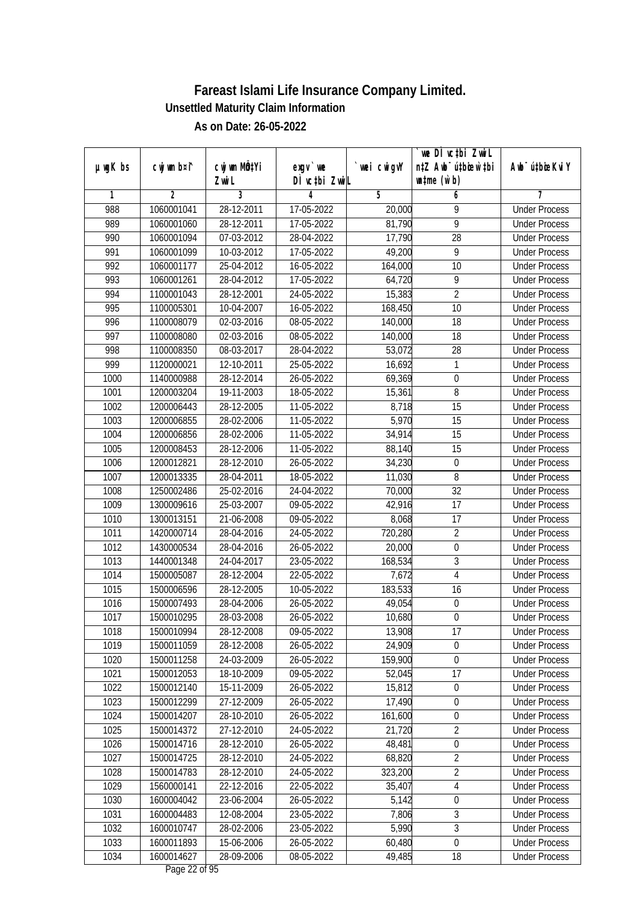|               |                |              |               |                | we DI vctbi Zwil                 |                             |
|---------------|----------------|--------------|---------------|----------------|----------------------------------|-----------------------------|
| $µ$ ug $K$ bs | cwj wm b¤i^    | cwj wm MQtYi | $exgV$ we     | `wei cwigvY    | n‡Z Awb <sup>-</sup> ú‡bicen`‡bi | Awb <sup>-</sup> ú‡bioeKviY |
|               |                | Zwi L        | DÌ vctbi ZwiL |                | $\n  untime\n  (u`b)\n$          |                             |
| 1             | $\overline{2}$ | 3            | 4             | $\overline{5}$ | 6                                | 7                           |
| 988           | 1060001041     | 28-12-2011   | 17-05-2022    | 20,000         | 9                                | <b>Under Process</b>        |
| 989           | 1060001060     | 28-12-2011   | 17-05-2022    | 81,790         | $\overline{9}$                   | <b>Under Process</b>        |
| 990           | 1060001094     | 07-03-2012   | 28-04-2022    | 17,790         | $\overline{28}$                  | <b>Under Process</b>        |
| 991           | 1060001099     | 10-03-2012   | 17-05-2022    | 49,200         | 9                                | <b>Under Process</b>        |
| 992           | 1060001177     | $25-04-2012$ | 16-05-2022    | 164,000        | $\overline{10}$                  | <b>Under Process</b>        |
| 993           | 1060001261     | 28-04-2012   | 17-05-2022    | 64,720         | 9                                | <b>Under Process</b>        |
| 994           | 1100001043     | 28-12-2001   | 24-05-2022    | 15,383         | $\overline{2}$                   | <b>Under Process</b>        |
| 995           | 1100005301     | 10-04-2007   | 16-05-2022    | 168,450        | $\overline{10}$                  | <b>Under Process</b>        |
| 996           | 1100008079     | 02-03-2016   | 08-05-2022    | 140,000        | 18                               | <b>Under Process</b>        |
| 997           | 1100008080     | 02-03-2016   | 08-05-2022    | 140,000        | 18                               | <b>Under Process</b>        |
| 998           | 1100008350     | 08-03-2017   | 28-04-2022    | 53,072         | $\overline{28}$                  | <b>Under Process</b>        |
| 999           | 1120000021     | 12-10-2011   | 25-05-2022    | 16,692         | 1                                | <b>Under Process</b>        |
| 1000          | 1140000988     | 28-12-2014   | 26-05-2022    | 69,369         | $\overline{0}$                   | <b>Under Process</b>        |
| 1001          | 1200003204     | 19-11-2003   | 18-05-2022    | 15,361         | 8                                | <b>Under Process</b>        |
| 1002          | 1200006443     | 28-12-2005   | 11-05-2022    | 8,718          | 15                               | <b>Under Process</b>        |
| 1003          | 1200006855     | 28-02-2006   | 11-05-2022    | 5,970          | 15                               | <b>Under Process</b>        |
| 1004          | 1200006856     | 28-02-2006   | 11-05-2022    | 34,914         | 15                               | <b>Under Process</b>        |
| 1005          | 1200008453     | 28-12-2006   | 11-05-2022    | 88,140         | 15                               | <b>Under Process</b>        |
| 1006          | 1200012821     | 28-12-2010   | 26-05-2022    | 34,230         | $\boldsymbol{0}$                 | <b>Under Process</b>        |
| 1007          | 1200013335     | 28-04-2011   | 18-05-2022    | 11,030         | 8                                | <b>Under Process</b>        |
| 1008          | 1250002486     | 25-02-2016   | 24-04-2022    | 70,000         | $\overline{32}$                  | <b>Under Process</b>        |
| 1009          | 1300009616     | 25-03-2007   | 09-05-2022    | 42,916         | 17                               | <b>Under Process</b>        |
| 1010          | 1300013151     | 21-06-2008   | 09-05-2022    | 8,068          | 17                               | <b>Under Process</b>        |
| 1011          | 1420000714     | 28-04-2016   | 24-05-2022    | 720,280        | $\overline{2}$                   | <b>Under Process</b>        |
| 1012          | 1430000534     | 28-04-2016   | 26-05-2022    | 20,000         | $\pmb{0}$                        | <b>Under Process</b>        |
| 1013          | 1440001348     | 24-04-2017   | 23-05-2022    | 168,534        | 3                                | <b>Under Process</b>        |
| 1014          | 1500005087     | 28-12-2004   | 22-05-2022    | 7,672          | 4                                | <b>Under Process</b>        |
| 1015          | 1500006596     | 28-12-2005   | 10-05-2022    | 183,533        | 16                               | <b>Under Process</b>        |
| 1016          | 1500007493     | 28-04-2006   | 26-05-2022    | 49,054         | $\boldsymbol{0}$                 | <b>Under Process</b>        |
| 1017          | 1500010295     | 28-03-2008   | 26-05-2022    | 10,680         | $\boldsymbol{0}$                 | <b>Under Process</b>        |
| 1018          | 1500010994     | 28-12-2008   | 09-05-2022    | 13,908         | 17                               | <b>Under Process</b>        |
| 1019          | 1500011059     | 28-12-2008   | 26-05-2022    | 24,909         | 0                                | <b>Under Process</b>        |
| 1020          | 1500011258     | 24-03-2009   | 26-05-2022    | 159,900        | $\mathbf 0$                      | <b>Under Process</b>        |
| 1021          | 1500012053     | 18-10-2009   | 09-05-2022    | 52,045         | 17                               | <b>Under Process</b>        |
| 1022          | 1500012140     | 15-11-2009   | 26-05-2022    | 15,812         | $\boldsymbol{0}$                 | <b>Under Process</b>        |
| 1023          | 1500012299     | 27-12-2009   | 26-05-2022    | 17,490         | $\pmb{0}$                        | <b>Under Process</b>        |
| 1024          | 1500014207     | 28-10-2010   | 26-05-2022    | 161,600        | $\boldsymbol{0}$                 | <b>Under Process</b>        |
| 1025          | 1500014372     | 27-12-2010   | 24-05-2022    | 21,720         | $\overline{2}$                   | <b>Under Process</b>        |
| 1026          | 1500014716     | 28-12-2010   | 26-05-2022    | 48,481         | $\boldsymbol{0}$                 | <b>Under Process</b>        |
| 1027          | 1500014725     | 28-12-2010   | 24-05-2022    | 68,820         | $\overline{2}$                   | <b>Under Process</b>        |
| 1028          | 1500014783     | 28-12-2010   | 24-05-2022    | 323,200        | $\overline{2}$                   | <b>Under Process</b>        |
| 1029          | 1560000141     | 22-12-2016   | 22-05-2022    | 35,407         | 4                                | <b>Under Process</b>        |
| 1030          | 1600004042     | 23-06-2004   | 26-05-2022    | 5,142          | $\boldsymbol{0}$                 | <b>Under Process</b>        |
| 1031          | 1600004483     | 12-08-2004   | 23-05-2022    | 7,806          | $\overline{3}$                   | <b>Under Process</b>        |
| 1032          | 1600010747     | 28-02-2006   | 23-05-2022    | 5,990          | $\overline{3}$                   | <b>Under Process</b>        |
| 1033          | 1600011893     | 15-06-2006   | 26-05-2022    | 60,480         | $\boldsymbol{0}$                 | <b>Under Process</b>        |
| 1034          | 1600014627     | 28-09-2006   | 08-05-2022    | 49,485         | 18                               | <b>Under Process</b>        |
|               |                |              |               |                |                                  |                             |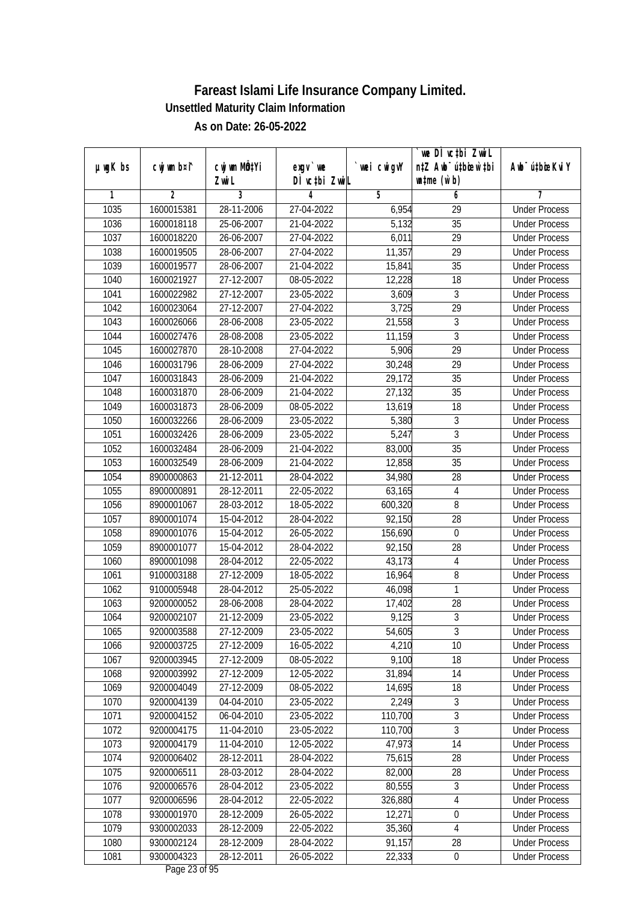|               |                |                           |               |             | we DI vctbi ZwiL                 |                             |
|---------------|----------------|---------------------------|---------------|-------------|----------------------------------|-----------------------------|
| $µ$ ug $K$ bs | cwj wm b¤i^    | cwj wm MQ <sup>1</sup> Yi | exgy `we      | `wei cwigvY | n‡Z Awb <sup>-</sup> ú‡bioar`‡bi | Awb <sup>-</sup> ú‡bioeKviY |
|               |                | Zwi L                     | DÌ vctbi ZwiL |             | $\n  untime\n  (u`b)\n$          |                             |
| 1             | $\overline{2}$ | 3                         | 4             | 5           | 6                                | 7                           |
| 1035          | 1600015381     | 28-11-2006                | 27-04-2022    | 6,954       | $\overline{29}$                  | <b>Under Process</b>        |
| 1036          | 1600018118     | 25-06-2007                | 21-04-2022    | 5,132       | $\overline{35}$                  | <b>Under Process</b>        |
| 1037          | 1600018220     | 26-06-2007                | 27-04-2022    | 6,011       | $\overline{29}$                  | <b>Under Process</b>        |
| 1038          | 1600019505     | 28-06-2007                | 27-04-2022    | 11,357      | 29                               | <b>Under Process</b>        |
| 1039          | 1600019577     | 28-06-2007                | 21-04-2022    | 15,841      | $\overline{35}$                  | <b>Under Process</b>        |
| 1040          | 1600021927     | 27-12-2007                | 08-05-2022    | 12,228      | 18                               | <b>Under Process</b>        |
| 1041          | 1600022982     | 27-12-2007                | 23-05-2022    | 3,609       | 3                                | <b>Under Process</b>        |
| 1042          | 1600023064     | 27-12-2007                | 27-04-2022    | 3,725       | $\overline{29}$                  | <b>Under Process</b>        |
| 1043          | 1600026066     | 28-06-2008                | 23-05-2022    | 21,558      | $\overline{3}$                   | <b>Under Process</b>        |
| 1044          | 1600027476     | 28-08-2008                | 23-05-2022    | 11,159      | $\overline{3}$                   | <b>Under Process</b>        |
| 1045          | 1600027870     | 28-10-2008                | 27-04-2022    | 5,906       | $\overline{29}$                  | <b>Under Process</b>        |
| 1046          | 1600031796     | 28-06-2009                | 27-04-2022    | 30,248      | 29                               | <b>Under Process</b>        |
| 1047          | 1600031843     | 28-06-2009                | 21-04-2022    | 29,172      | $\overline{35}$                  | <b>Under Process</b>        |
| 1048          | 1600031870     | 28-06-2009                | 21-04-2022    | 27,132      | 35                               | <b>Under Process</b>        |
| 1049          | 1600031873     | 28-06-2009                | 08-05-2022    | 13,619      | 18                               | <b>Under Process</b>        |
| 1050          | 1600032266     | 28-06-2009                | 23-05-2022    | 5,380       | 3                                | <b>Under Process</b>        |
| 1051          | 1600032426     | 28-06-2009                | 23-05-2022    | 5,247       | 3                                | <b>Under Process</b>        |
| 1052          | 1600032484     | 28-06-2009                | 21-04-2022    | 83,000      | 35                               | <b>Under Process</b>        |
| 1053          | 1600032549     | 28-06-2009                | 21-04-2022    | 12,858      | 35                               | <b>Under Process</b>        |
| 1054          | 8900000863     | 21-12-2011                | 28-04-2022    | 34,980      | 28                               | <b>Under Process</b>        |
| 1055          | 8900000891     | 28-12-2011                | 22-05-2022    | 63,165      | $\overline{4}$                   | <b>Under Process</b>        |
| 1056          | 8900001067     | 28-03-2012                | 18-05-2022    | 600,320     | 8                                | <b>Under Process</b>        |
| 1057          | 8900001074     | 15-04-2012                | 28-04-2022    | 92,150      | 28                               | <b>Under Process</b>        |
| 1058          | 8900001076     | 15-04-2012                | 26-05-2022    | 156,690     | $\boldsymbol{0}$                 | <b>Under Process</b>        |
| 1059          | 8900001077     | 15-04-2012                | 28-04-2022    | 92,150      | 28                               | <b>Under Process</b>        |
| 1060          | 8900001098     | 28-04-2012                | 22-05-2022    | 43,173      | $\sqrt{4}$                       | <b>Under Process</b>        |
| 1061          | 9100003188     | 27-12-2009                | 18-05-2022    | 16,964      | 8                                | <b>Under Process</b>        |
| 1062          | 9100005948     | 28-04-2012                | 25-05-2022    | 46,098      | 1                                | <b>Under Process</b>        |
| 1063          | 9200000052     | 28-06-2008                | 28-04-2022    | 17,402      | 28                               | <b>Under Process</b>        |
| 1064          | 9200002107     | 21-12-2009                | 23-05-2022    | 9,125       | $\overline{3}$                   | <b>Under Process</b>        |
| 1065          | 9200003588     | 27-12-2009                | 23-05-2022    | 54,605      | 3                                | <b>Under Process</b>        |
| 1066          | 9200003725     | 27-12-2009                | 16-05-2022    | 4,210       | 10                               | <b>Under Process</b>        |
| 1067          | 9200003945     | 27-12-2009                | 08-05-2022    | 9,100       | 18                               | <b>Under Process</b>        |
| 1068          | 9200003992     | 27-12-2009                | 12-05-2022    | 31,894      | 14                               | <b>Under Process</b>        |
| 1069          | 9200004049     | 27-12-2009                | 08-05-2022    | 14,695      | 18                               | <b>Under Process</b>        |
| 1070          | 9200004139     | 04-04-2010                | 23-05-2022    | 2,249       | 3                                | <b>Under Process</b>        |
| 1071          | 9200004152     | $06 - 04 - 2010$          | 23-05-2022    | 110,700     | $\overline{3}$                   | <b>Under Process</b>        |
| 1072          | 9200004175     | $11-04-2010$              | 23-05-2022    | 110,700     | $\overline{3}$                   | <b>Under Process</b>        |
| 1073          | 9200004179     | 11-04-2010                | 12-05-2022    | 47,973      | 14                               | <b>Under Process</b>        |
| 1074          | 9200006402     | 28-12-2011                | 28-04-2022    | 75,615      | 28                               | <b>Under Process</b>        |
| 1075          | 9200006511     | 28-03-2012                | 28-04-2022    | 82,000      | 28                               | <b>Under Process</b>        |
| 1076          | 9200006576     | 28-04-2012                | 23-05-2022    | 80,555      | 3                                | <b>Under Process</b>        |
| 1077          | 9200006596     | 28-04-2012                | 22-05-2022    | 326,880     | 4                                | <b>Under Process</b>        |
| 1078          | 9300001970     | 28-12-2009                | 26-05-2022    | 12,271      | $\boldsymbol{0}$                 | <b>Under Process</b>        |
| 1079          | 9300002033     | 28-12-2009                | 22-05-2022    | 35,360      | $\sqrt{4}$                       | <b>Under Process</b>        |
| 1080          | 9300002124     | 28-12-2009                | 28-04-2022    | 91,157      | 28                               | <b>Under Process</b>        |
| 1081          | 9300004323     | 28-12-2011                | 26-05-2022    | 22,333      | $\pmb{0}$                        | <b>Under Process</b>        |
|               |                |                           |               |             |                                  |                             |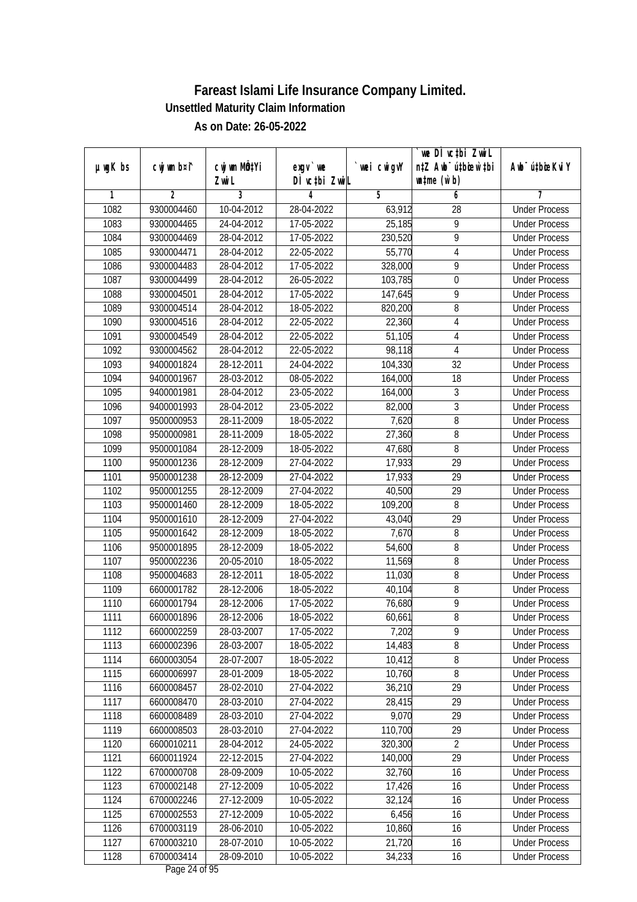|               |             |                           |               |             | we DI vctbi ZwiL                 |                             |
|---------------|-------------|---------------------------|---------------|-------------|----------------------------------|-----------------------------|
| $µ$ ug $K$ bs | cwj wm b¤i^ | cwj wm MQ <sup>1</sup> Yi | $exgV$ we     | `wei cwigvY | n‡Z Awb <sup>-</sup> ú‡bioen`‡bi | Awb <sup>-</sup> ú‡bioeKviY |
|               |             | Zwi L                     | DÌ vctbi ZwiL |             | $\n  untime\n  (u`b)\n$          |                             |
| 1             | 2           | 3                         | 4             | 5           | 6                                | 7                           |
| 1082          | 9300004460  | 10-04-2012                | 28-04-2022    | 63,912      | 28                               | <b>Under Process</b>        |
| 1083          | 9300004465  | 24-04-2012                | 17-05-2022    | 25,185      | 9                                | <b>Under Process</b>        |
| 1084          | 9300004469  | 28-04-2012                | 17-05-2022    | 230,520     | 9                                | <b>Under Process</b>        |
| 1085          | 9300004471  | 28-04-2012                | 22-05-2022    | 55,770      | $\overline{4}$                   | <b>Under Process</b>        |
| 1086          | 9300004483  | 28-04-2012                | 17-05-2022    | 328,000     | $\overline{9}$                   | <b>Under Process</b>        |
| 1087          | 9300004499  | 28-04-2012                | 26-05-2022    | 103,785     | 0                                | <b>Under Process</b>        |
| 1088          | 9300004501  | 28-04-2012                | 17-05-2022    | 147,645     | 9                                | <b>Under Process</b>        |
| 1089          | 9300004514  | 28-04-2012                | 18-05-2022    | 820,200     | 8                                | <b>Under Process</b>        |
| 1090          | 9300004516  | 28-04-2012                | 22-05-2022    | 22,360      | 4                                | <b>Under Process</b>        |
| 1091          | 9300004549  | 28-04-2012                | 22-05-2022    | 51,105      | 4                                | <b>Under Process</b>        |
| 1092          | 9300004562  | 28-04-2012                | 22-05-2022    | 98,118      | 4                                | <b>Under Process</b>        |
| 1093          | 9400001824  | 28-12-2011                | 24-04-2022    | 104,330     | 32                               | <b>Under Process</b>        |
| 1094          | 9400001967  | 28-03-2012                | 08-05-2022    | 164,000     | $\overline{18}$                  | <b>Under Process</b>        |
| 1095          | 9400001981  | 28-04-2012                | 23-05-2022    | 164,000     | $\overline{3}$                   | <b>Under Process</b>        |
| 1096          | 9400001993  | 28-04-2012                | 23-05-2022    | 82,000      | 3                                | <b>Under Process</b>        |
| 1097          | 9500000953  | 28-11-2009                | 18-05-2022    | 7,620       | 8                                | <b>Under Process</b>        |
| 1098          | 9500000981  | 28-11-2009                | 18-05-2022    | 27,360      | 8                                | <b>Under Process</b>        |
| 1099          | 9500001084  | 28-12-2009                | 18-05-2022    | 47,680      | 8                                | <b>Under Process</b>        |
| 1100          | 9500001236  | 28-12-2009                | 27-04-2022    | 17,933      | 29                               | <b>Under Process</b>        |
| 1101          | 9500001238  | 28-12-2009                | 27-04-2022    | 17,933      | 29                               | <b>Under Process</b>        |
| 1102          | 9500001255  | 28-12-2009                | 27-04-2022    | 40,500      | 29                               | <b>Under Process</b>        |
| 1103          | 9500001460  | 28-12-2009                | 18-05-2022    | 109,200     | 8                                | <b>Under Process</b>        |
| 1104          | 9500001610  | 28-12-2009                | 27-04-2022    | 43,040      | 29                               | <b>Under Process</b>        |
| 1105          | 9500001642  | 28-12-2009                | 18-05-2022    | 7,670       | 8                                | <b>Under Process</b>        |
| 1106          | 9500001895  | 28-12-2009                | 18-05-2022    | 54,600      | 8                                | <b>Under Process</b>        |
| 1107          | 9500002236  | 20-05-2010                | 18-05-2022    | 11,569      | 8                                | <b>Under Process</b>        |
| 1108          | 9500004683  | 28-12-2011                | 18-05-2022    | 11,030      | 8                                | <b>Under Process</b>        |
| 1109          | 6600001782  | 28-12-2006                | 18-05-2022    | 40,104      | 8                                | <b>Under Process</b>        |
| 1110          | 6600001794  | 28-12-2006                | 17-05-2022    | 76,680      | $\overline{9}$                   | <b>Under Process</b>        |
| 1111          | 6600001896  | 28-12-2006                | 18-05-2022    | 60,661      | $8\,$                            | <b>Under Process</b>        |
| 1112          | 6600002259  | 28-03-2007                | 17-05-2022    | 7,202       | 9                                | <b>Under Process</b>        |
| 1113          | 6600002396  | 28-03-2007                | 18-05-2022    | 14,483      | 8                                | <b>Under Process</b>        |
| 1114          | 6600003054  | 28-07-2007                | 18-05-2022    | 10,412      | 8                                | <b>Under Process</b>        |
| 1115          | 6600006997  | 28-01-2009                | 18-05-2022    | 10,760      | $8\,$                            | <b>Under Process</b>        |
| 1116          | 6600008457  | 28-02-2010                | 27-04-2022    | 36,210      | 29                               | <b>Under Process</b>        |
| 1117          | 6600008470  | 28-03-2010                | 27-04-2022    | 28,415      | 29                               | <b>Under Process</b>        |
| 1118          | 6600008489  | 28-03-2010                | 27-04-2022    | 9,070       | 29                               | <b>Under Process</b>        |
| 1119          | 6600008503  | $28-03-2010$              | 27-04-2022    | 110,700     | 29                               | <b>Under Process</b>        |
| 1120          | 6600010211  | 28-04-2012                | 24-05-2022    | 320,300     | $\overline{2}$                   | <b>Under Process</b>        |
| 1121          | 6600011924  | 22-12-2015                | 27-04-2022    | 140,000     | 29                               | <b>Under Process</b>        |
| 1122          | 6700000708  | 28-09-2009                | 10-05-2022    | 32,760      | 16                               | <b>Under Process</b>        |
| 1123          | 6700002148  | 27-12-2009                | 10-05-2022    | 17,426      | 16                               | <b>Under Process</b>        |
| 1124          | 6700002246  | 27-12-2009                | $10-05-2022$  | 32,124      | $\overline{16}$                  | <b>Under Process</b>        |
| 1125          | 6700002553  | 27-12-2009                | 10-05-2022    | 6,456       | 16                               | <b>Under Process</b>        |
| 1126          | 6700003119  | 28-06-2010                | 10-05-2022    | 10,860      | 16                               | <b>Under Process</b>        |
| 1127          | 6700003210  | 28-07-2010                | 10-05-2022    | 21,720      | 16                               | <b>Under Process</b>        |
| 1128          | 6700003414  | 28-09-2010                | 10-05-2022    | 34,233      | 16                               | <b>Under Process</b>        |
|               |             |                           |               |             |                                  |                             |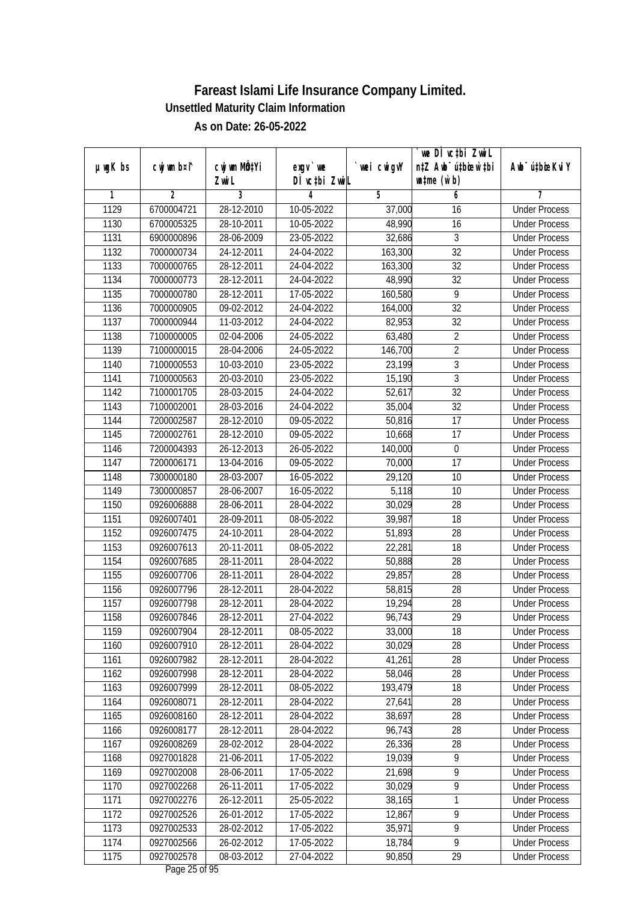|               |                |                       |                           |            | we DI vctbi ZwiL<br>n‡Z Awb <sup>-</sup> ú‡bioar`‡bi |                             |
|---------------|----------------|-----------------------|---------------------------|------------|------------------------------------------------------|-----------------------------|
| $µ$ ug $K$ bs | cwj wm b¤i^    | cwj wm MQtYi<br>Zwi L | exgv `we<br>DÌ vctbi ZwiL | wei cwigvY | $\n  untime\n  (u`b)\n$                              | Awb <sup>-</sup> ú‡bioeKviY |
| 1             | $\overline{2}$ | 3                     | 4                         | 5          | 6                                                    | 7                           |
| 1129          | 6700004721     | 28-12-2010            | 10-05-2022                | 37,000     | 16                                                   | <b>Under Process</b>        |
| 1130          | 6700005325     | 28-10-2011            | 10-05-2022                | 48,990     | 16                                                   | <b>Under Process</b>        |
| 1131          | 6900000896     | 28-06-2009            | 23-05-2022                | 32,686     | $\overline{3}$                                       | <b>Under Process</b>        |
| 1132          | 7000000734     | 24-12-2011            | 24-04-2022                | 163,300    | 32                                                   | <b>Under Process</b>        |
| 1133          | 7000000765     | 28-12-2011            | 24-04-2022                | 163,300    | $\overline{32}$                                      | <b>Under Process</b>        |
| 1134          | 7000000773     | 28-12-2011            | 24-04-2022                | 48,990     | $\overline{32}$                                      | <b>Under Process</b>        |
| 1135          | 7000000780     | 28-12-2011            | 17-05-2022                | 160,580    | $\overline{9}$                                       | <b>Under Process</b>        |
| 1136          | 7000000905     | 09-02-2012            | 24-04-2022                | 164,000    | $\overline{32}$                                      | <b>Under Process</b>        |
| 1137          | 7000000944     | 11-03-2012            | 24-04-2022                | 82,953     | 32                                                   | <b>Under Process</b>        |
| 1138          | 7100000005     | 02-04-2006            | 24-05-2022                | 63,480     | $\overline{2}$                                       | <b>Under Process</b>        |
| 1139          | 7100000015     | 28-04-2006            | 24-05-2022                | 146,700    | $\overline{2}$                                       | <b>Under Process</b>        |
| 1140          | 7100000553     | 10-03-2010            | 23-05-2022                | 23,199     | 3                                                    | <b>Under Process</b>        |
| 1141          | 7100000563     | 20-03-2010            | 23-05-2022                | 15,190     | $\overline{3}$                                       | <b>Under Process</b>        |
| 1142          | 7100001705     | 28-03-2015            | 24-04-2022                | 52,617     | 32                                                   | <b>Under Process</b>        |
| 1143          | 7100002001     | 28-03-2016            | 24-04-2022                | 35,004     | 32                                                   | <b>Under Process</b>        |
| 1144          | 7200002587     | 28-12-2010            | 09-05-2022                | 50,816     | 17                                                   | <b>Under Process</b>        |
| 1145          | 7200002761     | 28-12-2010            | 09-05-2022                | 10,668     | 17                                                   | <b>Under Process</b>        |
| 1146          | 7200004393     | 26-12-2013            | 26-05-2022                | 140,000    | $\boldsymbol{0}$                                     | <b>Under Process</b>        |
| 1147          | 7200006171     | 13-04-2016            | 09-05-2022                | 70,000     | 17                                                   | <b>Under Process</b>        |
| 1148          | 7300000180     | 28-03-2007            | 16-05-2022                | 29,120     | 10                                                   | <b>Under Process</b>        |
| 1149          | 7300000857     | 28-06-2007            | 16-05-2022                | 5,118      | 10                                                   | <b>Under Process</b>        |
| 1150          | 0926006888     | 28-06-2011            | 28-04-2022                | 30,029     | 28                                                   | <b>Under Process</b>        |
| 1151          | 0926007401     | 28-09-2011            | 08-05-2022                | 39,987     | 18                                                   | <b>Under Process</b>        |
| 1152          | 0926007475     | 24-10-2011            | 28-04-2022                | 51,893     | 28                                                   | <b>Under Process</b>        |
| 1153          | 0926007613     | 20-11-2011            | 08-05-2022                | 22,281     | 18                                                   | <b>Under Process</b>        |
| 1154          | 0926007685     | 28-11-2011            | 28-04-2022                | 50,888     | 28                                                   | <b>Under Process</b>        |
| 1155          | 0926007706     | 28-11-2011            | 28-04-2022                | 29,857     | 28                                                   | <b>Under Process</b>        |
| 1156          | 0926007796     | 28-12-2011            | 28-04-2022                | 58,815     | 28                                                   | <b>Under Process</b>        |
| 1157          | 0926007798     | 28-12-2011            | 28-04-2022                | 19,294     | 28                                                   | <b>Under Process</b>        |
| 1158          | 0926007846     | 28-12-2011            | 27-04-2022                | 96,743     | 29                                                   | <b>Under Process</b>        |
| 1159          | 0926007904     | 28-12-2011            | 08-05-2022                | 33,000     | 18                                                   | <b>Under Process</b>        |
| 1160          | 0926007910     | 28-12-2011            | 28-04-2022                | 30,029     | 28                                                   | <b>Under Process</b>        |
| 1161          | 0926007982     | 28-12-2011            | 28-04-2022                | 41,261     | 28                                                   | <b>Under Process</b>        |
| 1162          | 0926007998     | 28-12-2011            | 28-04-2022                | 58,046     | 28                                                   | <b>Under Process</b>        |
| 1163          | 0926007999     | 28-12-2011            | 08-05-2022                | 193,479    | 18                                                   | <b>Under Process</b>        |
| 1164          | 0926008071     | 28-12-2011            | 28-04-2022                | 27,641     | 28                                                   | <b>Under Process</b>        |
| 1165          | 0926008160     | 28-12-2011            | 28-04-2022                | 38,697     | 28                                                   | <b>Under Process</b>        |
| 1166          | 0926008177     | 28-12-2011            | 28-04-2022                | 96,743     | 28                                                   | <b>Under Process</b>        |
| 1167          | 0926008269     | 28-02-2012            | 28-04-2022                | 26,336     | 28                                                   | <b>Under Process</b>        |
| 1168          | 0927001828     | 21-06-2011            | 17-05-2022                | 19,039     | $\overline{9}$                                       | <b>Under Process</b>        |
| 1169          | 0927002008     | 28-06-2011            | 17-05-2022                | 21,698     | 9                                                    | <b>Under Process</b>        |
| 1170          | 0927002268     | 26-11-2011            | 17-05-2022                | 30,029     | $\overline{9}$                                       | <b>Under Process</b>        |
| 1171          | 0927002276     | 26-12-2011            | 25-05-2022                | 38,165     | 1                                                    | <b>Under Process</b>        |
| 1172          | 0927002526     | 26-01-2012            | 17-05-2022                | 12,867     | $\overline{9}$                                       | <b>Under Process</b>        |
| 1173          | 0927002533     | 28-02-2012            | 17-05-2022                | 35,971     | $\overline{9}$                                       | <b>Under Process</b>        |
| 1174          | 0927002566     | 26-02-2012            | 17-05-2022                | 18,784     | $\overline{9}$                                       | <b>Under Process</b>        |
| 1175          | 0927002578     | 08-03-2012            | 27-04-2022                | 90,850     | 29                                                   | <b>Under Process</b>        |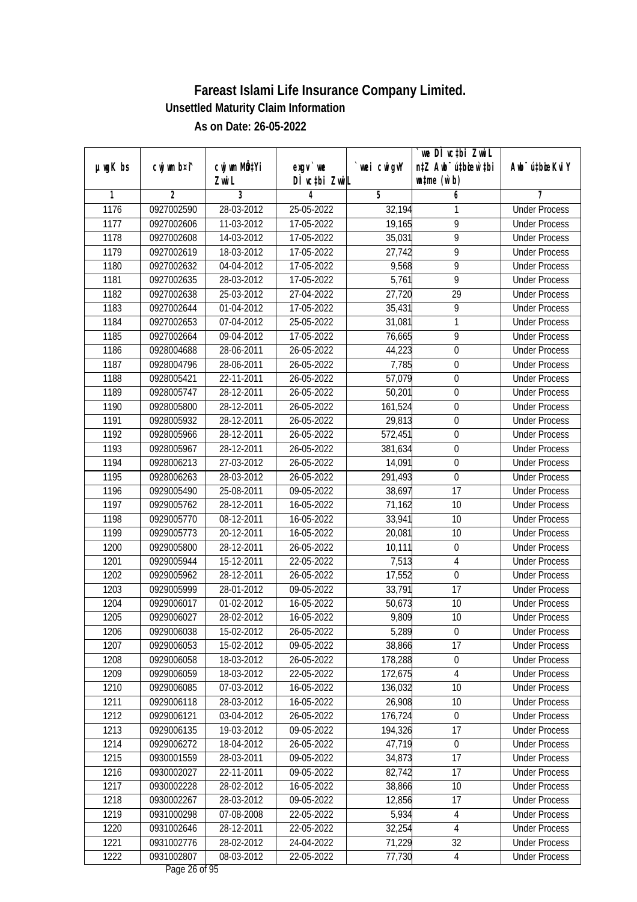|               |                |              |               |                | we DI vctbi ZwiL                 |                             |
|---------------|----------------|--------------|---------------|----------------|----------------------------------|-----------------------------|
| $µ$ ug $K$ bs | cwj wm b¤i^    | cwj wm MQtYi | $exgV$ we     | `wei cwigvY    | n‡Z Awb <sup>-</sup> ú‡bioar`‡bi | Awb <sup>-</sup> ú‡bioeKviY |
|               |                | Zwi L        | DÌ vctbi ZwiL |                | $\n  untime\n  (u`b)\n$          |                             |
| 1             | $\overline{2}$ | 3            | 4             | $\overline{5}$ | 6                                | 7                           |
| 1176          | 0927002590     | 28-03-2012   | 25-05-2022    | 32,194         | 1                                | <b>Under Process</b>        |
| 1177          | 0927002606     | 11-03-2012   | 17-05-2022    | 19,165         | $\overline{9}$                   | <b>Under Process</b>        |
| 1178          | 0927002608     | 14-03-2012   | 17-05-2022    | 35,031         | $\overline{9}$                   | <b>Under Process</b>        |
| 1179          | 0927002619     | 18-03-2012   | 17-05-2022    | 27,742         | 9                                | <b>Under Process</b>        |
| 1180          | 0927002632     | 04-04-2012   | 17-05-2022    | 9,568          | $\overline{9}$                   | <b>Under Process</b>        |
| 1181          | 0927002635     | 28-03-2012   | 17-05-2022    | 5,761          | 9                                | <b>Under Process</b>        |
| 1182          | 0927002638     | 25-03-2012   | 27-04-2022    | 27,720         | $\overline{29}$                  | <b>Under Process</b>        |
| 1183          | 0927002644     | 01-04-2012   | 17-05-2022    | 35,431         | 9                                | <b>Under Process</b>        |
| 1184          | 0927002653     | 07-04-2012   | 25-05-2022    | 31,081         | 1                                | <b>Under Process</b>        |
| 1185          | 0927002664     | 09-04-2012   | 17-05-2022    | 76,665         | 9                                | <b>Under Process</b>        |
| 1186          | 0928004688     | 28-06-2011   | 26-05-2022    | 44,223         | $\boldsymbol{0}$                 | <b>Under Process</b>        |
| 1187          | 0928004796     | 28-06-2011   | 26-05-2022    | 7,785          | 0                                | <b>Under Process</b>        |
| 1188          | 0928005421     | 22-11-2011   | 26-05-2022    | 57,079         | $\overline{0}$                   | <b>Under Process</b>        |
| 1189          | 0928005747     | 28-12-2011   | 26-05-2022    | 50,201         | $\boldsymbol{0}$                 | <b>Under Process</b>        |
| 1190          | 0928005800     | 28-12-2011   | 26-05-2022    | 161,524        | $\boldsymbol{0}$                 | <b>Under Process</b>        |
| 1191          | 0928005932     | 28-12-2011   | 26-05-2022    | 29,813         | $\boldsymbol{0}$                 | <b>Under Process</b>        |
| 1192          | 0928005966     | 28-12-2011   | 26-05-2022    | 572,451        | 0                                | <b>Under Process</b>        |
| 1193          | 0928005967     | 28-12-2011   | 26-05-2022    | 381,634        | $\mathbf 0$                      | <b>Under Process</b>        |
| 1194          | 0928006213     | 27-03-2012   | 26-05-2022    | 14,091         | $\boldsymbol{0}$                 | <b>Under Process</b>        |
| 1195          | 0928006263     | 28-03-2012   | 26-05-2022    | 291,493        | $\boldsymbol{0}$                 | <b>Under Process</b>        |
| 1196          | 0929005490     | 25-08-2011   | 09-05-2022    | 38,697         | 17                               | <b>Under Process</b>        |
| 1197          | 0929005762     | 28-12-2011   | 16-05-2022    | 71,162         | 10                               | <b>Under Process</b>        |
| 1198          | 0929005770     | 08-12-2011   | 16-05-2022    | 33,941         | 10                               | <b>Under Process</b>        |
| 1199          | 0929005773     | 20-12-2011   | 16-05-2022    | 20,081         | 10                               | <b>Under Process</b>        |
| 1200          | 0929005800     | 28-12-2011   | 26-05-2022    | 10,111         | $\boldsymbol{0}$                 | <b>Under Process</b>        |
| 1201          | 0929005944     | 15-12-2011   | 22-05-2022    | 7,513          | 4                                | <b>Under Process</b>        |
| 1202          | 0929005962     | 28-12-2011   | 26-05-2022    | 17,552         | 0                                | <b>Under Process</b>        |
| 1203          | 0929005999     | 28-01-2012   | 09-05-2022    | 33,791         | 17                               | <b>Under Process</b>        |
| 1204          | 0929006017     | 01-02-2012   | 16-05-2022    | 50,673         | 10                               | <b>Under Process</b>        |
| 1205          | 0929006027     | 28-02-2012   | 16-05-2022    | 9,809          | 10                               | <b>Under Process</b>        |
| 1206          | 0929006038     | 15-02-2012   | 26-05-2022    | 5,289          | $\boldsymbol{0}$                 | <b>Under Process</b>        |
| 1207          | 0929006053     | 15-02-2012   | 09-05-2022    | 38,866         | 17                               | <b>Under Process</b>        |
| 1208          | 0929006058     | 18-03-2012   | 26-05-2022    | 178,288        | $\boldsymbol{0}$                 | <b>Under Process</b>        |
| 1209          | 0929006059     | 18-03-2012   | 22-05-2022    | 172,675        | $\overline{4}$                   | <b>Under Process</b>        |
| 1210          | 0929006085     | 07-03-2012   | 16-05-2022    | 136,032        | 10                               | <b>Under Process</b>        |
| 1211          | 0929006118     | 28-03-2012   | 16-05-2022    | 26,908         | 10                               | <b>Under Process</b>        |
| 1212          | 0929006121     | 03-04-2012   | 26-05-2022    | 176,724        | $\pmb{0}$                        | <b>Under Process</b>        |
| 1213          | 0929006135     | 19-03-2012   | 09-05-2022    | 194,326        | 17                               | <b>Under Process</b>        |
| 1214          | 0929006272     | 18-04-2012   | 26-05-2022    | 47,719         | $\boldsymbol{0}$                 | <b>Under Process</b>        |
| 1215          | 0930001559     | 28-03-2011   | 09-05-2022    | 34,873         | 17                               | <b>Under Process</b>        |
| 1216          | 0930002027     | 22-11-2011   | 09-05-2022    | 82,742         | 17                               | <b>Under Process</b>        |
| 1217          | 0930002228     | 28-02-2012   | 16-05-2022    | 38,866         | 10                               | <b>Under Process</b>        |
| 1218          | 0930002267     | 28-03-2012   | 09-05-2022    | 12,856         | 17                               | <b>Under Process</b>        |
| 1219          | 0931000298     | 07-08-2008   | 22-05-2022    | 5,934          | $\sqrt{4}$                       | <b>Under Process</b>        |
| 1220          | 0931002646     | 28-12-2011   | 22-05-2022    | 32,254         | $\overline{4}$                   | <b>Under Process</b>        |
| 1221          | 0931002776     | 28-02-2012   | 24-04-2022    | 71,229         | 32                               | <b>Under Process</b>        |
| 1222          | 0931002807     | 08-03-2012   | 22-05-2022    | 77,730         | 4                                | <b>Under Process</b>        |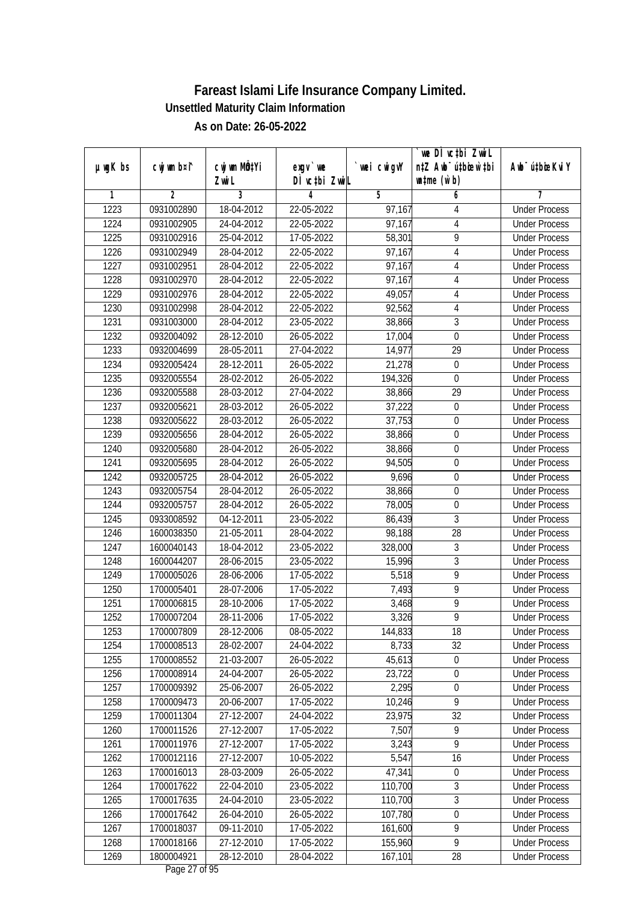|                   |                |                           |               |                     | we DI vctbi Zwil                 |                             |
|-------------------|----------------|---------------------------|---------------|---------------------|----------------------------------|-----------------------------|
| $µ$ ug $K$ bs     | cwj wm b¤i^    | cwj wm MQ <sup>1</sup> Yi | $exgV$ we     | `wei cwigvY         | n‡Z Awb <sup>-</sup> ú‡bicen`‡bi | Awb <sup>-</sup> ú‡bioeKviY |
|                   |                | Zwi L                     | DÌ vctbi ZwiL |                     | $\n  untime\n  (u`b)\n$          |                             |
| 1                 | $\overline{2}$ | 3                         | 4             | 5                   | 6                                | 7                           |
| 1223              | 0931002890     | 18-04-2012                | 22-05-2022    | $\overline{97,167}$ | 4                                | <b>Under Process</b>        |
| 1224              | 0931002905     | 24-04-2012                | 22-05-2022    | 97,167              | 4                                | <b>Under Process</b>        |
| 1225              | 0931002916     | 25-04-2012                | 17-05-2022    | 58,301              | 9                                | <b>Under Process</b>        |
| 1226              | 0931002949     | 28-04-2012                | 22-05-2022    | 97,167              | 4                                | <b>Under Process</b>        |
| 1227              | 0931002951     | 28-04-2012                | 22-05-2022    | 97,167              | 4                                | <b>Under Process</b>        |
| 1228              | 0931002970     | 28-04-2012                | 22-05-2022    | 97,167              | 4                                | <b>Under Process</b>        |
| 1229              | 0931002976     | 28-04-2012                | 22-05-2022    | 49,057              | 4                                | <b>Under Process</b>        |
| 1230              | 0931002998     | 28-04-2012                | 22-05-2022    | 92,562              | $\overline{4}$                   | <b>Under Process</b>        |
| 1231              | 0931003000     | 28-04-2012                | 23-05-2022    | 38,866              | $\overline{3}$                   | <b>Under Process</b>        |
| 1232              | 0932004092     | 28-12-2010                | 26-05-2022    | 17,004              | $\mathbf 0$                      | <b>Under Process</b>        |
| 1233              | 0932004699     | 28-05-2011                | 27-04-2022    | 14,977              | $\overline{29}$                  | <b>Under Process</b>        |
| 1234              | 0932005424     | 28-12-2011                | 26-05-2022    | 21,278              | 0                                | <b>Under Process</b>        |
| 1235              | 0932005554     | 28-02-2012                | 26-05-2022    | 194,326             | $\overline{0}$                   | <b>Under Process</b>        |
| 1236              | 0932005588     | 28-03-2012                | 27-04-2022    | 38,866              | 29                               | <b>Under Process</b>        |
| 1237              | 0932005621     | 28-03-2012                | 26-05-2022    | 37,222              | $\boldsymbol{0}$                 | <b>Under Process</b>        |
| 1238              | 0932005622     | 28-03-2012                | 26-05-2022    | 37,753              | $\boldsymbol{0}$                 | <b>Under Process</b>        |
| $\overline{12}39$ | 0932005656     | 28-04-2012                | 26-05-2022    | 38,866              | 0                                | <b>Under Process</b>        |
| 1240              | 0932005680     | 28-04-2012                | 26-05-2022    | 38,866              | $\mathbf 0$                      | <b>Under Process</b>        |
| 1241              | 0932005695     | 28-04-2012                | 26-05-2022    | 94,505              | $\boldsymbol{0}$                 | <b>Under Process</b>        |
| 1242              | 0932005725     | 28-04-2012                | 26-05-2022    | 9,696               | $\boldsymbol{0}$                 | <b>Under Process</b>        |
| 1243              | 0932005754     | 28-04-2012                | 26-05-2022    | 38,866              | $\boldsymbol{0}$                 | <b>Under Process</b>        |
| 1244              | 0932005757     | 28-04-2012                | 26-05-2022    | 78,005              | 0                                | <b>Under Process</b>        |
| 1245              | 0933008592     | 04-12-2011                | 23-05-2022    | 86,439              | 3                                | <b>Under Process</b>        |
| 1246              | 1600038350     | 21-05-2011                | 28-04-2022    | 98,188              | 28                               | <b>Under Process</b>        |
| 1247              | 1600040143     | 18-04-2012                | 23-05-2022    | 328,000             | 3                                | <b>Under Process</b>        |
| 1248              | 1600044207     | 28-06-2015                | 23-05-2022    | 15,996              | 3                                | <b>Under Process</b>        |
| 1249              | 1700005026     | 28-06-2006                | 17-05-2022    | 5,518               | 9                                | <b>Under Process</b>        |
| 1250              | 1700005401     | 28-07-2006                | 17-05-2022    | 7,493               | 9                                | <b>Under Process</b>        |
| 1251              | 1700006815     | 28-10-2006                | 17-05-2022    | 3,468               | $\overline{9}$                   | <b>Under Process</b>        |
| 1252              | 1700007204     | 28-11-2006                | 17-05-2022    | 3,326               | $\overline{9}$                   | <b>Under Process</b>        |
| 1253              | 1700007809     | 28-12-2006                | 08-05-2022    | 144,833             | 18                               | <b>Under Process</b>        |
| 1254              | 1700008513     | 28-02-2007                | 24-04-2022    | 8,733               | 32                               | <b>Under Process</b>        |
| 1255              | 1700008552     | 21-03-2007                | 26-05-2022    | 45,613              | $\boldsymbol{0}$                 | <b>Under Process</b>        |
| 1256              | 1700008914     | 24-04-2007                | 26-05-2022    | 23,722              | $\overline{0}$                   | <b>Under Process</b>        |
| 1257              | 1700009392     | 25-06-2007                | 26-05-2022    | 2,295               | $\boldsymbol{0}$                 | <b>Under Process</b>        |
| 1258              | 1700009473     | 20-06-2007                | 17-05-2022    | 10,246              | 9                                | <b>Under Process</b>        |
| 1259              | 1700011304     | 27-12-2007                | 24-04-2022    | 23,975              | 32                               | <b>Under Process</b>        |
| 1260              | 1700011526     | 27-12-2007                | 17-05-2022    | 7,507               | $\overline{9}$                   | <b>Under Process</b>        |
| 1261              | 1700011976     | 27-12-2007                | 17-05-2022    | 3,243               | $\overline{9}$                   | <b>Under Process</b>        |
| 1262              | 1700012116     | 27-12-2007                | 10-05-2022    | 5,547               | 16                               | <b>Under Process</b>        |
| 1263              | 1700016013     | 28-03-2009                | 26-05-2022    | 47,341              | $\pmb{0}$                        | <b>Under Process</b>        |
| 1264              | 1700017622     | 22-04-2010                | 23-05-2022    | 110,700             | 3                                | <b>Under Process</b>        |
| 1265              | 1700017635     | 24-04-2010                | 23-05-2022    | 110,700             | 3                                | <b>Under Process</b>        |
| 1266              | 1700017642     | $26 - 04 - 2010$          | 26-05-2022    | 107,780             | $\boldsymbol{0}$                 | <b>Under Process</b>        |
| 1267              | 1700018037     | 09-11-2010                | 17-05-2022    | 161,600             | $\overline{9}$                   | <b>Under Process</b>        |
| 1268              | 1700018166     | 27-12-2010                | 17-05-2022    | 155,960             | $\overline{9}$                   | <b>Under Process</b>        |
| 1269              | 1800004921     | 28-12-2010                | 28-04-2022    | 167,101             | 28                               | <b>Under Process</b>        |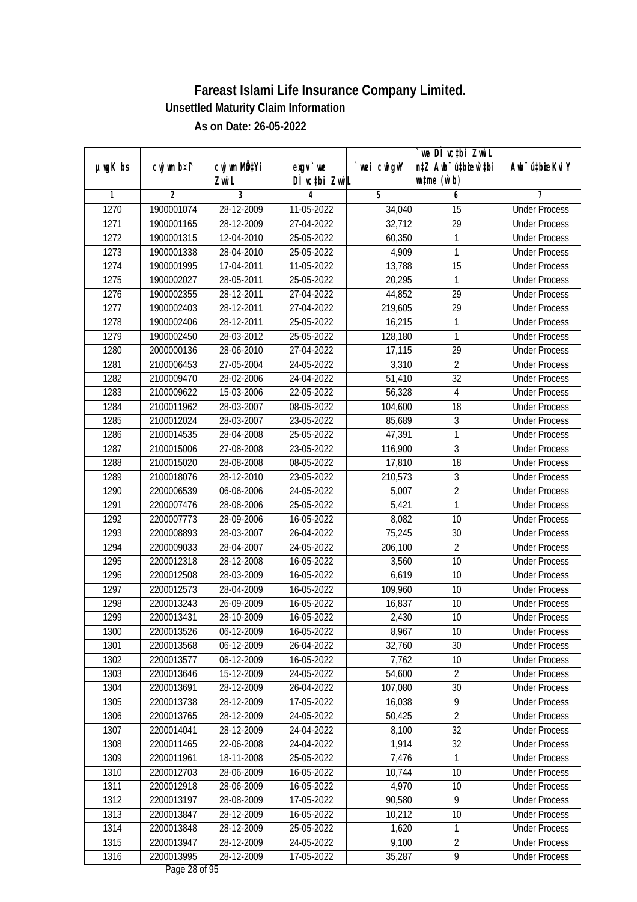|               |                |              |               |            | we DI vctbi Zwil                 |                             |
|---------------|----------------|--------------|---------------|------------|----------------------------------|-----------------------------|
| $µ$ ug $K$ bs | cwj wm b¤i^    | cwj wm MQtYi | $exgv$ we     | wei cwigvY | n‡Z Awb <sup>-</sup> ú‡biosw`‡bi | Awb <sup>-</sup> ú‡bioeKviY |
|               |                | Zwi L        | DÌ vctbi ZwiL |            | $\n  untime\n  (u`b)\n$          |                             |
| 1             | $\overline{2}$ | 3            | 4             | 5          | 6                                | 7                           |
| 1270          | 1900001074     | 28-12-2009   | 11-05-2022    | 34,040     | $\overline{15}$                  | <b>Under Process</b>        |
| 1271          | 1900001165     | 28-12-2009   | 27-04-2022    | 32,712     | $\overline{29}$                  | <b>Under Process</b>        |
| 1272          | 1900001315     | 12-04-2010   | 25-05-2022    | 60,350     | $\mathbf{1}$                     | <b>Under Process</b>        |
| 1273          | 1900001338     | 28-04-2010   | 25-05-2022    | 4,909      | 1                                | <b>Under Process</b>        |
| 1274          | 1900001995     | 17-04-2011   | 11-05-2022    | 13,788     | $\overline{15}$                  | <b>Under Process</b>        |
| 1275          | 1900002027     | 28-05-2011   | 25-05-2022    | 20,295     | 1                                | <b>Under Process</b>        |
| 1276          | 1900002355     | 28-12-2011   | 27-04-2022    | 44,852     | $\overline{29}$                  | <b>Under Process</b>        |
| 1277          | 1900002403     | 28-12-2011   | 27-04-2022    | 219,605    | $\overline{29}$                  | <b>Under Process</b>        |
| 1278          | 1900002406     | 28-12-2011   | 25-05-2022    | 16,215     | 1                                | <b>Under Process</b>        |
| 1279          | 1900002450     | 28-03-2012   | 25-05-2022    | 128,180    | 1                                | <b>Under Process</b>        |
| 1280          | 2000000136     | 28-06-2010   | 27-04-2022    | 17,115     | $\overline{29}$                  | <b>Under Process</b>        |
| 1281          | 2100006453     | 27-05-2004   | 24-05-2022    | 3,310      | $\overline{2}$                   | <b>Under Process</b>        |
| 1282          | 2100009470     | 28-02-2006   | 24-04-2022    | 51,410     | $\overline{32}$                  | <b>Under Process</b>        |
| 1283          | 2100009622     | 15-03-2006   | 22-05-2022    | 56,328     | 4                                | <b>Under Process</b>        |
| 1284          | 2100011962     | 28-03-2007   | 08-05-2022    | 104,600    | 18                               | <b>Under Process</b>        |
| 1285          | 2100012024     | 28-03-2007   | 23-05-2022    | 85,689     | $\mathfrak{Z}$                   | <b>Under Process</b>        |
| 1286          | 2100014535     | 28-04-2008   | 25-05-2022    | 47,391     | 1                                | <b>Under Process</b>        |
| 1287          | 2100015006     | 27-08-2008   | 23-05-2022    | 116,900    | 3                                | <b>Under Process</b>        |
| 1288          | 2100015020     | 28-08-2008   | 08-05-2022    | 17,810     | 18                               | <b>Under Process</b>        |
| 1289          | 2100018076     | 28-12-2010   | 23-05-2022    | 210,573    | 3                                | <b>Under Process</b>        |
| 1290          | 2200006539     | 06-06-2006   | 24-05-2022    | 5,007      | $\overline{2}$                   | <b>Under Process</b>        |
| 1291          | 2200007476     | 28-08-2006   | 25-05-2022    | 5,421      | 1                                | <b>Under Process</b>        |
| 1292          | 2200007773     | 28-09-2006   | 16-05-2022    | 8,082      | 10                               | <b>Under Process</b>        |
| 1293          | 2200008893     | 28-03-2007   | 26-04-2022    | 75,245     | 30                               | <b>Under Process</b>        |
| 1294          | 2200009033     | 28-04-2007   | 24-05-2022    | 206,100    | $\overline{2}$                   | <b>Under Process</b>        |
| 1295          | 2200012318     | 28-12-2008   | 16-05-2022    | 3,560      | 10                               | <b>Under Process</b>        |
| 1296          | 2200012508     | 28-03-2009   | 16-05-2022    | 6,619      | 10                               | <b>Under Process</b>        |
| 1297          | 2200012573     | 28-04-2009   | 16-05-2022    | 109,960    | 10                               | <b>Under Process</b>        |
| 1298          | 2200013243     | 26-09-2009   | 16-05-2022    | 16,837     | 10                               | <b>Under Process</b>        |
| 1299          | 2200013431     | 28-10-2009   | 16-05-2022    | 2,430      | 10                               | <b>Under Process</b>        |
| 1300          | 2200013526     | 06-12-2009   | 16-05-2022    | 8,967      | 10                               | <b>Under Process</b>        |
| 1301          | 2200013568     | 06-12-2009   | 26-04-2022    | 32,760     | 30                               | <b>Under Process</b>        |
| 1302          | 2200013577     | 06-12-2009   | 16-05-2022    | 7,762      | 10                               | <b>Under Process</b>        |
| 1303          | 2200013646     | 15-12-2009   | 24-05-2022    | 54,600     | $\overline{2}$                   | <b>Under Process</b>        |
| 1304          | 2200013691     | 28-12-2009   | 26-04-2022    | 107,080    | 30                               | <b>Under Process</b>        |
| 1305          | 2200013738     | 28-12-2009   | 17-05-2022    | 16,038     | 9                                | <b>Under Process</b>        |
| 1306          | 2200013765     | 28-12-2009   | 24-05-2022    | 50,425     | $\overline{2}$                   | <b>Under Process</b>        |
| 1307          | 2200014041     | 28-12-2009   | 24-04-2022    | 8,100      | $\overline{32}$                  | <b>Under Process</b>        |
| 1308          | 2200011465     | 22-06-2008   | 24-04-2022    | 1,914      | 32                               | <b>Under Process</b>        |
| 1309          | 2200011961     | 18-11-2008   | 25-05-2022    | 7,476      | 1                                | <b>Under Process</b>        |
| 1310          | 2200012703     | 28-06-2009   | 16-05-2022    | 10,744     | 10                               | <b>Under Process</b>        |
| 1311          | 2200012918     | 28-06-2009   | 16-05-2022    | 4,970      | 10                               | <b>Under Process</b>        |
| 1312          | 2200013197     | 28-08-2009   | 17-05-2022    | 90,580     | $\overline{9}$                   | <b>Under Process</b>        |
| 1313          | 2200013847     | 28-12-2009   | 16-05-2022    | 10,212     | 10                               | <b>Under Process</b>        |
| 1314          | 2200013848     | 28-12-2009   | 25-05-2022    | 1,620      | 1                                | <b>Under Process</b>        |
| 1315          | 2200013947     | 28-12-2009   | 24-05-2022    | 9,100      | $\overline{2}$                   | <b>Under Process</b>        |
| 1316          | 2200013995     | 28-12-2009   | 17-05-2022    | 35,287     | 9                                | <b>Under Process</b>        |
|               |                |              |               |            |                                  |                             |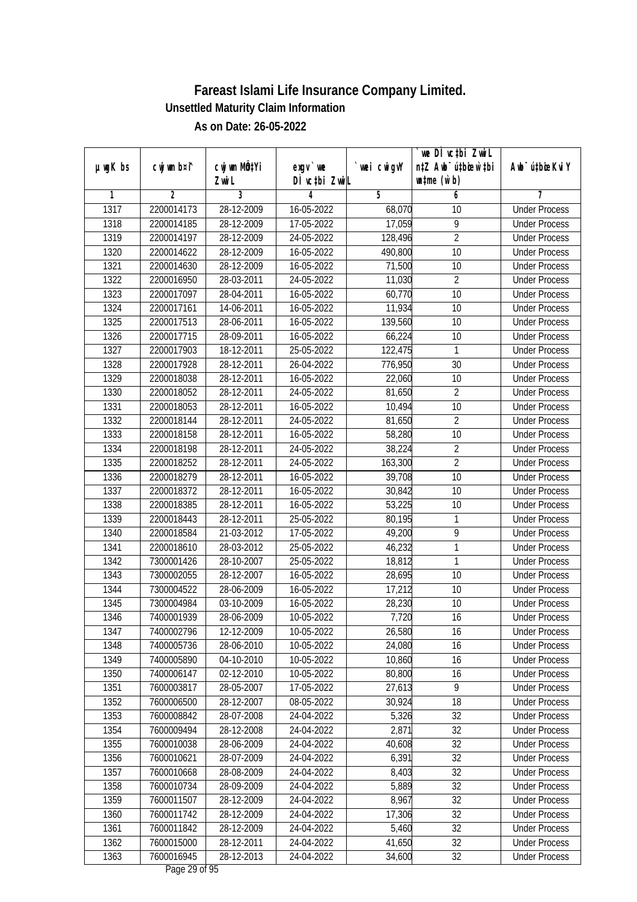| DÌ vctbi ZwiL<br>$\n  untime\n  (u`b)\n$<br>Zwi L<br>3<br>$\overline{2}$<br>$\overline{5}$<br>6<br>7<br>1<br>4<br>1317<br>28-12-2009<br><b>Under Process</b><br>2200014173<br>16-05-2022<br>68,070<br>10<br>$\overline{9}$<br>1318<br>28-12-2009<br>17-05-2022<br>17,059<br>2200014185<br><b>Under Process</b><br>$\overline{2}$<br>1319<br>2200014197<br>28-12-2009<br>24-05-2022<br>128,496<br><b>Under Process</b><br>1320<br>28-12-2009<br>10<br>2200014622<br>16-05-2022<br>490,800<br><b>Under Process</b><br>1321<br>$\overline{10}$<br>2200014630<br>28-12-2009<br>16-05-2022<br>71,500<br><b>Under Process</b><br>$\overline{2}$<br>1322<br>2200016950<br>28-03-2011<br>24-05-2022<br>11,030<br><b>Under Process</b><br>1323<br>2200017097<br>28-04-2011<br>$16 - 05 - 2022$<br>60,770<br>10<br><b>Under Process</b><br>1324<br>2200017161<br>14-06-2011<br>$16 - 05 - 2022$<br>11,934<br>10<br><b>Under Process</b><br>1325<br>2200017513<br>28-06-2011<br>16-05-2022<br>139,560<br>10<br><b>Under Process</b><br>1326<br>2200017715<br>28-09-2011<br>16-05-2022<br>66,224<br>10<br><b>Under Process</b><br>1327<br>122,475<br>2200017903<br>18-12-2011<br>25-05-2022<br>1<br><b>Under Process</b><br>30<br>1328<br>2200017928<br>28-12-2011<br>26-04-2022<br>776,950<br><b>Under Process</b><br>1329<br>$\overline{10}$<br>2200018038<br>28-12-2011<br>16-05-2022<br>22,060<br><b>Under Process</b><br>$\overline{2}$<br>1330<br>28-12-2011<br>24-05-2022<br>81,650<br>2200018052<br><b>Under Process</b><br>1331<br>2200018053<br>28-12-2011<br>16-05-2022<br>10<br>10,494<br><b>Under Process</b><br>$\overline{2}$<br>1332<br>2200018144<br>28-12-2011<br>24-05-2022<br>81,650<br><b>Under Process</b><br>1333<br>58,280<br>2200018158<br>28-12-2011<br>16-05-2022<br>10<br><b>Under Process</b><br>$\overline{2}$<br>1334<br>28-12-2011<br>24-05-2022<br>38,224<br>2200018198<br><b>Under Process</b><br>$\overline{2}$<br>1335<br>2200018252<br>28-12-2011<br>24-05-2022<br>163,300<br><b>Under Process</b><br>1336<br>10<br>2200018279<br>28-12-2011<br>16-05-2022<br>39,708<br><b>Under Process</b><br>1337<br>10<br>2200018372<br>28-12-2011<br>16-05-2022<br>30,842<br><b>Under Process</b><br>1338<br>53,225<br>2200018385<br>28-12-2011<br>16-05-2022<br>10<br><b>Under Process</b><br>1339<br>28-12-2011<br>25-05-2022<br>80,195<br>1<br>2200018443<br><b>Under Process</b><br>9<br>1340<br>2200018584<br>21-03-2012<br>17-05-2022<br>49,200<br><b>Under Process</b><br>1<br>1341<br>2200018610<br>28-03-2012<br>25-05-2022<br>46,232<br><b>Under Process</b><br>1<br>1342<br>7300001426<br>28-10-2007<br>25-05-2022<br>18,812<br><b>Under Process</b><br>1343<br>7300002055<br>28-12-2007<br>28,695<br>10<br>16-05-2022<br><b>Under Process</b><br>1344<br>7300004522<br>28-06-2009<br>17,212<br>10<br>16-05-2022<br><b>Under Process</b><br>1345<br>10<br>7300004984<br>03-10-2009<br>16-05-2022<br>28,230<br><b>Under Process</b><br>7,720<br>16<br>1346<br>7400001939<br>28-06-2009<br>10-05-2022<br><b>Under Process</b><br>1347<br>7400002796<br>12-12-2009<br>10-05-2022<br>26,580<br>16<br><b>Under Process</b><br>24,080<br>16<br>1348<br>7400005736<br>28-06-2010<br>10-05-2022<br><b>Under Process</b><br>1349<br>10,860<br>7400005890<br>04-10-2010<br>10-05-2022<br>16<br><b>Under Process</b><br>1350<br>$02 - 12 - 2010$<br>80,800<br>16<br>7400006147<br>10-05-2022<br><b>Under Process</b><br>1351<br>27,613<br>9<br>7600003817<br>28-05-2007<br>17-05-2022<br><b>Under Process</b><br>1352<br>30,924<br>7600006500<br>28-12-2007<br>08-05-2022<br>18<br><b>Under Process</b><br>1353<br>5,326<br>32<br>7600008842<br>28-07-2008<br>24-04-2022<br><b>Under Process</b><br>2,871<br>$\overline{32}$<br>1354<br>28-12-2008<br>7600009494<br>24-04-2022<br><b>Under Process</b><br>28-06-2009<br>40,608<br>32<br>1355<br>7600010038<br>24-04-2022<br><b>Under Process</b><br>1356<br>28-07-2009<br>6,391<br>32<br>7600010621<br>24-04-2022<br><b>Under Process</b><br>1357<br>7600010668<br>28-08-2009<br>24-04-2022<br>8,403<br>32<br><b>Under Process</b><br>1358<br>7600010734<br>28-09-2009<br>5,889<br>32<br>24-04-2022<br><b>Under Process</b><br>$\overline{32}$<br>1359<br>7600011507<br>28-12-2009<br>24-04-2022<br>8,967<br><b>Under Process</b><br>17,306<br>32<br>1360<br>7600011742<br>28-12-2009<br>24-04-2022<br><b>Under Process</b><br>1361<br>5,460<br>32<br>7600011842<br>28-12-2009<br>24-04-2022<br><b>Under Process</b><br>1362<br>41,650<br>7600015000<br>28-12-2011<br>24-04-2022<br>32<br><b>Under Process</b> |               |             |                           |            |             | we DI vctbi ZwiL                 |                             |
|------------------------------------------------------------------------------------------------------------------------------------------------------------------------------------------------------------------------------------------------------------------------------------------------------------------------------------------------------------------------------------------------------------------------------------------------------------------------------------------------------------------------------------------------------------------------------------------------------------------------------------------------------------------------------------------------------------------------------------------------------------------------------------------------------------------------------------------------------------------------------------------------------------------------------------------------------------------------------------------------------------------------------------------------------------------------------------------------------------------------------------------------------------------------------------------------------------------------------------------------------------------------------------------------------------------------------------------------------------------------------------------------------------------------------------------------------------------------------------------------------------------------------------------------------------------------------------------------------------------------------------------------------------------------------------------------------------------------------------------------------------------------------------------------------------------------------------------------------------------------------------------------------------------------------------------------------------------------------------------------------------------------------------------------------------------------------------------------------------------------------------------------------------------------------------------------------------------------------------------------------------------------------------------------------------------------------------------------------------------------------------------------------------------------------------------------------------------------------------------------------------------------------------------------------------------------------------------------------------------------------------------------------------------------------------------------------------------------------------------------------------------------------------------------------------------------------------------------------------------------------------------------------------------------------------------------------------------------------------------------------------------------------------------------------------------------------------------------------------------------------------------------------------------------------------------------------------------------------------------------------------------------------------------------------------------------------------------------------------------------------------------------------------------------------------------------------------------------------------------------------------------------------------------------------------------------------------------------------------------------------------------------------------------------------------------------------------------------------------------------------------------------------------------------------------------------------------------------------------------------------------------------------------------------------------------------------------------------------------------------------------------------------------------------------------------------------------------------------------------------------------------------------------------------------------------------------------------------------------------------------------------------------------------------------------------------------------------------------------------------------------------------------------------------------------------------------------------------------------------------------------------------------------------------------------------------------|---------------|-------------|---------------------------|------------|-------------|----------------------------------|-----------------------------|
|                                                                                                                                                                                                                                                                                                                                                                                                                                                                                                                                                                                                                                                                                                                                                                                                                                                                                                                                                                                                                                                                                                                                                                                                                                                                                                                                                                                                                                                                                                                                                                                                                                                                                                                                                                                                                                                                                                                                                                                                                                                                                                                                                                                                                                                                                                                                                                                                                                                                                                                                                                                                                                                                                                                                                                                                                                                                                                                                                                                                                                                                                                                                                                                                                                                                                                                                                                                                                                                                                                                                                                                                                                                                                                                                                                                                                                                                                                                                                                                                                                                                                                                                                                                                                                                                                                                                                                                                                                                                                                                                                                              | $µ$ ug $K$ bs | cwj wm b¤i^ | cwj wm MQ <sup>1</sup> Yi | $exgV$ we  | `wei cwigvY | n‡Z Awb <sup>-</sup> ú‡bioar`‡bi | Awb <sup>-</sup> ú‡bioeKviY |
|                                                                                                                                                                                                                                                                                                                                                                                                                                                                                                                                                                                                                                                                                                                                                                                                                                                                                                                                                                                                                                                                                                                                                                                                                                                                                                                                                                                                                                                                                                                                                                                                                                                                                                                                                                                                                                                                                                                                                                                                                                                                                                                                                                                                                                                                                                                                                                                                                                                                                                                                                                                                                                                                                                                                                                                                                                                                                                                                                                                                                                                                                                                                                                                                                                                                                                                                                                                                                                                                                                                                                                                                                                                                                                                                                                                                                                                                                                                                                                                                                                                                                                                                                                                                                                                                                                                                                                                                                                                                                                                                                                              |               |             |                           |            |             |                                  |                             |
|                                                                                                                                                                                                                                                                                                                                                                                                                                                                                                                                                                                                                                                                                                                                                                                                                                                                                                                                                                                                                                                                                                                                                                                                                                                                                                                                                                                                                                                                                                                                                                                                                                                                                                                                                                                                                                                                                                                                                                                                                                                                                                                                                                                                                                                                                                                                                                                                                                                                                                                                                                                                                                                                                                                                                                                                                                                                                                                                                                                                                                                                                                                                                                                                                                                                                                                                                                                                                                                                                                                                                                                                                                                                                                                                                                                                                                                                                                                                                                                                                                                                                                                                                                                                                                                                                                                                                                                                                                                                                                                                                                              |               |             |                           |            |             |                                  |                             |
|                                                                                                                                                                                                                                                                                                                                                                                                                                                                                                                                                                                                                                                                                                                                                                                                                                                                                                                                                                                                                                                                                                                                                                                                                                                                                                                                                                                                                                                                                                                                                                                                                                                                                                                                                                                                                                                                                                                                                                                                                                                                                                                                                                                                                                                                                                                                                                                                                                                                                                                                                                                                                                                                                                                                                                                                                                                                                                                                                                                                                                                                                                                                                                                                                                                                                                                                                                                                                                                                                                                                                                                                                                                                                                                                                                                                                                                                                                                                                                                                                                                                                                                                                                                                                                                                                                                                                                                                                                                                                                                                                                              |               |             |                           |            |             |                                  |                             |
|                                                                                                                                                                                                                                                                                                                                                                                                                                                                                                                                                                                                                                                                                                                                                                                                                                                                                                                                                                                                                                                                                                                                                                                                                                                                                                                                                                                                                                                                                                                                                                                                                                                                                                                                                                                                                                                                                                                                                                                                                                                                                                                                                                                                                                                                                                                                                                                                                                                                                                                                                                                                                                                                                                                                                                                                                                                                                                                                                                                                                                                                                                                                                                                                                                                                                                                                                                                                                                                                                                                                                                                                                                                                                                                                                                                                                                                                                                                                                                                                                                                                                                                                                                                                                                                                                                                                                                                                                                                                                                                                                                              |               |             |                           |            |             |                                  |                             |
|                                                                                                                                                                                                                                                                                                                                                                                                                                                                                                                                                                                                                                                                                                                                                                                                                                                                                                                                                                                                                                                                                                                                                                                                                                                                                                                                                                                                                                                                                                                                                                                                                                                                                                                                                                                                                                                                                                                                                                                                                                                                                                                                                                                                                                                                                                                                                                                                                                                                                                                                                                                                                                                                                                                                                                                                                                                                                                                                                                                                                                                                                                                                                                                                                                                                                                                                                                                                                                                                                                                                                                                                                                                                                                                                                                                                                                                                                                                                                                                                                                                                                                                                                                                                                                                                                                                                                                                                                                                                                                                                                                              |               |             |                           |            |             |                                  |                             |
|                                                                                                                                                                                                                                                                                                                                                                                                                                                                                                                                                                                                                                                                                                                                                                                                                                                                                                                                                                                                                                                                                                                                                                                                                                                                                                                                                                                                                                                                                                                                                                                                                                                                                                                                                                                                                                                                                                                                                                                                                                                                                                                                                                                                                                                                                                                                                                                                                                                                                                                                                                                                                                                                                                                                                                                                                                                                                                                                                                                                                                                                                                                                                                                                                                                                                                                                                                                                                                                                                                                                                                                                                                                                                                                                                                                                                                                                                                                                                                                                                                                                                                                                                                                                                                                                                                                                                                                                                                                                                                                                                                              |               |             |                           |            |             |                                  |                             |
|                                                                                                                                                                                                                                                                                                                                                                                                                                                                                                                                                                                                                                                                                                                                                                                                                                                                                                                                                                                                                                                                                                                                                                                                                                                                                                                                                                                                                                                                                                                                                                                                                                                                                                                                                                                                                                                                                                                                                                                                                                                                                                                                                                                                                                                                                                                                                                                                                                                                                                                                                                                                                                                                                                                                                                                                                                                                                                                                                                                                                                                                                                                                                                                                                                                                                                                                                                                                                                                                                                                                                                                                                                                                                                                                                                                                                                                                                                                                                                                                                                                                                                                                                                                                                                                                                                                                                                                                                                                                                                                                                                              |               |             |                           |            |             |                                  |                             |
|                                                                                                                                                                                                                                                                                                                                                                                                                                                                                                                                                                                                                                                                                                                                                                                                                                                                                                                                                                                                                                                                                                                                                                                                                                                                                                                                                                                                                                                                                                                                                                                                                                                                                                                                                                                                                                                                                                                                                                                                                                                                                                                                                                                                                                                                                                                                                                                                                                                                                                                                                                                                                                                                                                                                                                                                                                                                                                                                                                                                                                                                                                                                                                                                                                                                                                                                                                                                                                                                                                                                                                                                                                                                                                                                                                                                                                                                                                                                                                                                                                                                                                                                                                                                                                                                                                                                                                                                                                                                                                                                                                              |               |             |                           |            |             |                                  |                             |
|                                                                                                                                                                                                                                                                                                                                                                                                                                                                                                                                                                                                                                                                                                                                                                                                                                                                                                                                                                                                                                                                                                                                                                                                                                                                                                                                                                                                                                                                                                                                                                                                                                                                                                                                                                                                                                                                                                                                                                                                                                                                                                                                                                                                                                                                                                                                                                                                                                                                                                                                                                                                                                                                                                                                                                                                                                                                                                                                                                                                                                                                                                                                                                                                                                                                                                                                                                                                                                                                                                                                                                                                                                                                                                                                                                                                                                                                                                                                                                                                                                                                                                                                                                                                                                                                                                                                                                                                                                                                                                                                                                              |               |             |                           |            |             |                                  |                             |
|                                                                                                                                                                                                                                                                                                                                                                                                                                                                                                                                                                                                                                                                                                                                                                                                                                                                                                                                                                                                                                                                                                                                                                                                                                                                                                                                                                                                                                                                                                                                                                                                                                                                                                                                                                                                                                                                                                                                                                                                                                                                                                                                                                                                                                                                                                                                                                                                                                                                                                                                                                                                                                                                                                                                                                                                                                                                                                                                                                                                                                                                                                                                                                                                                                                                                                                                                                                                                                                                                                                                                                                                                                                                                                                                                                                                                                                                                                                                                                                                                                                                                                                                                                                                                                                                                                                                                                                                                                                                                                                                                                              |               |             |                           |            |             |                                  |                             |
|                                                                                                                                                                                                                                                                                                                                                                                                                                                                                                                                                                                                                                                                                                                                                                                                                                                                                                                                                                                                                                                                                                                                                                                                                                                                                                                                                                                                                                                                                                                                                                                                                                                                                                                                                                                                                                                                                                                                                                                                                                                                                                                                                                                                                                                                                                                                                                                                                                                                                                                                                                                                                                                                                                                                                                                                                                                                                                                                                                                                                                                                                                                                                                                                                                                                                                                                                                                                                                                                                                                                                                                                                                                                                                                                                                                                                                                                                                                                                                                                                                                                                                                                                                                                                                                                                                                                                                                                                                                                                                                                                                              |               |             |                           |            |             |                                  |                             |
|                                                                                                                                                                                                                                                                                                                                                                                                                                                                                                                                                                                                                                                                                                                                                                                                                                                                                                                                                                                                                                                                                                                                                                                                                                                                                                                                                                                                                                                                                                                                                                                                                                                                                                                                                                                                                                                                                                                                                                                                                                                                                                                                                                                                                                                                                                                                                                                                                                                                                                                                                                                                                                                                                                                                                                                                                                                                                                                                                                                                                                                                                                                                                                                                                                                                                                                                                                                                                                                                                                                                                                                                                                                                                                                                                                                                                                                                                                                                                                                                                                                                                                                                                                                                                                                                                                                                                                                                                                                                                                                                                                              |               |             |                           |            |             |                                  |                             |
|                                                                                                                                                                                                                                                                                                                                                                                                                                                                                                                                                                                                                                                                                                                                                                                                                                                                                                                                                                                                                                                                                                                                                                                                                                                                                                                                                                                                                                                                                                                                                                                                                                                                                                                                                                                                                                                                                                                                                                                                                                                                                                                                                                                                                                                                                                                                                                                                                                                                                                                                                                                                                                                                                                                                                                                                                                                                                                                                                                                                                                                                                                                                                                                                                                                                                                                                                                                                                                                                                                                                                                                                                                                                                                                                                                                                                                                                                                                                                                                                                                                                                                                                                                                                                                                                                                                                                                                                                                                                                                                                                                              |               |             |                           |            |             |                                  |                             |
|                                                                                                                                                                                                                                                                                                                                                                                                                                                                                                                                                                                                                                                                                                                                                                                                                                                                                                                                                                                                                                                                                                                                                                                                                                                                                                                                                                                                                                                                                                                                                                                                                                                                                                                                                                                                                                                                                                                                                                                                                                                                                                                                                                                                                                                                                                                                                                                                                                                                                                                                                                                                                                                                                                                                                                                                                                                                                                                                                                                                                                                                                                                                                                                                                                                                                                                                                                                                                                                                                                                                                                                                                                                                                                                                                                                                                                                                                                                                                                                                                                                                                                                                                                                                                                                                                                                                                                                                                                                                                                                                                                              |               |             |                           |            |             |                                  |                             |
|                                                                                                                                                                                                                                                                                                                                                                                                                                                                                                                                                                                                                                                                                                                                                                                                                                                                                                                                                                                                                                                                                                                                                                                                                                                                                                                                                                                                                                                                                                                                                                                                                                                                                                                                                                                                                                                                                                                                                                                                                                                                                                                                                                                                                                                                                                                                                                                                                                                                                                                                                                                                                                                                                                                                                                                                                                                                                                                                                                                                                                                                                                                                                                                                                                                                                                                                                                                                                                                                                                                                                                                                                                                                                                                                                                                                                                                                                                                                                                                                                                                                                                                                                                                                                                                                                                                                                                                                                                                                                                                                                                              |               |             |                           |            |             |                                  |                             |
|                                                                                                                                                                                                                                                                                                                                                                                                                                                                                                                                                                                                                                                                                                                                                                                                                                                                                                                                                                                                                                                                                                                                                                                                                                                                                                                                                                                                                                                                                                                                                                                                                                                                                                                                                                                                                                                                                                                                                                                                                                                                                                                                                                                                                                                                                                                                                                                                                                                                                                                                                                                                                                                                                                                                                                                                                                                                                                                                                                                                                                                                                                                                                                                                                                                                                                                                                                                                                                                                                                                                                                                                                                                                                                                                                                                                                                                                                                                                                                                                                                                                                                                                                                                                                                                                                                                                                                                                                                                                                                                                                                              |               |             |                           |            |             |                                  |                             |
|                                                                                                                                                                                                                                                                                                                                                                                                                                                                                                                                                                                                                                                                                                                                                                                                                                                                                                                                                                                                                                                                                                                                                                                                                                                                                                                                                                                                                                                                                                                                                                                                                                                                                                                                                                                                                                                                                                                                                                                                                                                                                                                                                                                                                                                                                                                                                                                                                                                                                                                                                                                                                                                                                                                                                                                                                                                                                                                                                                                                                                                                                                                                                                                                                                                                                                                                                                                                                                                                                                                                                                                                                                                                                                                                                                                                                                                                                                                                                                                                                                                                                                                                                                                                                                                                                                                                                                                                                                                                                                                                                                              |               |             |                           |            |             |                                  |                             |
|                                                                                                                                                                                                                                                                                                                                                                                                                                                                                                                                                                                                                                                                                                                                                                                                                                                                                                                                                                                                                                                                                                                                                                                                                                                                                                                                                                                                                                                                                                                                                                                                                                                                                                                                                                                                                                                                                                                                                                                                                                                                                                                                                                                                                                                                                                                                                                                                                                                                                                                                                                                                                                                                                                                                                                                                                                                                                                                                                                                                                                                                                                                                                                                                                                                                                                                                                                                                                                                                                                                                                                                                                                                                                                                                                                                                                                                                                                                                                                                                                                                                                                                                                                                                                                                                                                                                                                                                                                                                                                                                                                              |               |             |                           |            |             |                                  |                             |
|                                                                                                                                                                                                                                                                                                                                                                                                                                                                                                                                                                                                                                                                                                                                                                                                                                                                                                                                                                                                                                                                                                                                                                                                                                                                                                                                                                                                                                                                                                                                                                                                                                                                                                                                                                                                                                                                                                                                                                                                                                                                                                                                                                                                                                                                                                                                                                                                                                                                                                                                                                                                                                                                                                                                                                                                                                                                                                                                                                                                                                                                                                                                                                                                                                                                                                                                                                                                                                                                                                                                                                                                                                                                                                                                                                                                                                                                                                                                                                                                                                                                                                                                                                                                                                                                                                                                                                                                                                                                                                                                                                              |               |             |                           |            |             |                                  |                             |
|                                                                                                                                                                                                                                                                                                                                                                                                                                                                                                                                                                                                                                                                                                                                                                                                                                                                                                                                                                                                                                                                                                                                                                                                                                                                                                                                                                                                                                                                                                                                                                                                                                                                                                                                                                                                                                                                                                                                                                                                                                                                                                                                                                                                                                                                                                                                                                                                                                                                                                                                                                                                                                                                                                                                                                                                                                                                                                                                                                                                                                                                                                                                                                                                                                                                                                                                                                                                                                                                                                                                                                                                                                                                                                                                                                                                                                                                                                                                                                                                                                                                                                                                                                                                                                                                                                                                                                                                                                                                                                                                                                              |               |             |                           |            |             |                                  |                             |
|                                                                                                                                                                                                                                                                                                                                                                                                                                                                                                                                                                                                                                                                                                                                                                                                                                                                                                                                                                                                                                                                                                                                                                                                                                                                                                                                                                                                                                                                                                                                                                                                                                                                                                                                                                                                                                                                                                                                                                                                                                                                                                                                                                                                                                                                                                                                                                                                                                                                                                                                                                                                                                                                                                                                                                                                                                                                                                                                                                                                                                                                                                                                                                                                                                                                                                                                                                                                                                                                                                                                                                                                                                                                                                                                                                                                                                                                                                                                                                                                                                                                                                                                                                                                                                                                                                                                                                                                                                                                                                                                                                              |               |             |                           |            |             |                                  |                             |
|                                                                                                                                                                                                                                                                                                                                                                                                                                                                                                                                                                                                                                                                                                                                                                                                                                                                                                                                                                                                                                                                                                                                                                                                                                                                                                                                                                                                                                                                                                                                                                                                                                                                                                                                                                                                                                                                                                                                                                                                                                                                                                                                                                                                                                                                                                                                                                                                                                                                                                                                                                                                                                                                                                                                                                                                                                                                                                                                                                                                                                                                                                                                                                                                                                                                                                                                                                                                                                                                                                                                                                                                                                                                                                                                                                                                                                                                                                                                                                                                                                                                                                                                                                                                                                                                                                                                                                                                                                                                                                                                                                              |               |             |                           |            |             |                                  |                             |
|                                                                                                                                                                                                                                                                                                                                                                                                                                                                                                                                                                                                                                                                                                                                                                                                                                                                                                                                                                                                                                                                                                                                                                                                                                                                                                                                                                                                                                                                                                                                                                                                                                                                                                                                                                                                                                                                                                                                                                                                                                                                                                                                                                                                                                                                                                                                                                                                                                                                                                                                                                                                                                                                                                                                                                                                                                                                                                                                                                                                                                                                                                                                                                                                                                                                                                                                                                                                                                                                                                                                                                                                                                                                                                                                                                                                                                                                                                                                                                                                                                                                                                                                                                                                                                                                                                                                                                                                                                                                                                                                                                              |               |             |                           |            |             |                                  |                             |
|                                                                                                                                                                                                                                                                                                                                                                                                                                                                                                                                                                                                                                                                                                                                                                                                                                                                                                                                                                                                                                                                                                                                                                                                                                                                                                                                                                                                                                                                                                                                                                                                                                                                                                                                                                                                                                                                                                                                                                                                                                                                                                                                                                                                                                                                                                                                                                                                                                                                                                                                                                                                                                                                                                                                                                                                                                                                                                                                                                                                                                                                                                                                                                                                                                                                                                                                                                                                                                                                                                                                                                                                                                                                                                                                                                                                                                                                                                                                                                                                                                                                                                                                                                                                                                                                                                                                                                                                                                                                                                                                                                              |               |             |                           |            |             |                                  |                             |
|                                                                                                                                                                                                                                                                                                                                                                                                                                                                                                                                                                                                                                                                                                                                                                                                                                                                                                                                                                                                                                                                                                                                                                                                                                                                                                                                                                                                                                                                                                                                                                                                                                                                                                                                                                                                                                                                                                                                                                                                                                                                                                                                                                                                                                                                                                                                                                                                                                                                                                                                                                                                                                                                                                                                                                                                                                                                                                                                                                                                                                                                                                                                                                                                                                                                                                                                                                                                                                                                                                                                                                                                                                                                                                                                                                                                                                                                                                                                                                                                                                                                                                                                                                                                                                                                                                                                                                                                                                                                                                                                                                              |               |             |                           |            |             |                                  |                             |
|                                                                                                                                                                                                                                                                                                                                                                                                                                                                                                                                                                                                                                                                                                                                                                                                                                                                                                                                                                                                                                                                                                                                                                                                                                                                                                                                                                                                                                                                                                                                                                                                                                                                                                                                                                                                                                                                                                                                                                                                                                                                                                                                                                                                                                                                                                                                                                                                                                                                                                                                                                                                                                                                                                                                                                                                                                                                                                                                                                                                                                                                                                                                                                                                                                                                                                                                                                                                                                                                                                                                                                                                                                                                                                                                                                                                                                                                                                                                                                                                                                                                                                                                                                                                                                                                                                                                                                                                                                                                                                                                                                              |               |             |                           |            |             |                                  |                             |
|                                                                                                                                                                                                                                                                                                                                                                                                                                                                                                                                                                                                                                                                                                                                                                                                                                                                                                                                                                                                                                                                                                                                                                                                                                                                                                                                                                                                                                                                                                                                                                                                                                                                                                                                                                                                                                                                                                                                                                                                                                                                                                                                                                                                                                                                                                                                                                                                                                                                                                                                                                                                                                                                                                                                                                                                                                                                                                                                                                                                                                                                                                                                                                                                                                                                                                                                                                                                                                                                                                                                                                                                                                                                                                                                                                                                                                                                                                                                                                                                                                                                                                                                                                                                                                                                                                                                                                                                                                                                                                                                                                              |               |             |                           |            |             |                                  |                             |
|                                                                                                                                                                                                                                                                                                                                                                                                                                                                                                                                                                                                                                                                                                                                                                                                                                                                                                                                                                                                                                                                                                                                                                                                                                                                                                                                                                                                                                                                                                                                                                                                                                                                                                                                                                                                                                                                                                                                                                                                                                                                                                                                                                                                                                                                                                                                                                                                                                                                                                                                                                                                                                                                                                                                                                                                                                                                                                                                                                                                                                                                                                                                                                                                                                                                                                                                                                                                                                                                                                                                                                                                                                                                                                                                                                                                                                                                                                                                                                                                                                                                                                                                                                                                                                                                                                                                                                                                                                                                                                                                                                              |               |             |                           |            |             |                                  |                             |
|                                                                                                                                                                                                                                                                                                                                                                                                                                                                                                                                                                                                                                                                                                                                                                                                                                                                                                                                                                                                                                                                                                                                                                                                                                                                                                                                                                                                                                                                                                                                                                                                                                                                                                                                                                                                                                                                                                                                                                                                                                                                                                                                                                                                                                                                                                                                                                                                                                                                                                                                                                                                                                                                                                                                                                                                                                                                                                                                                                                                                                                                                                                                                                                                                                                                                                                                                                                                                                                                                                                                                                                                                                                                                                                                                                                                                                                                                                                                                                                                                                                                                                                                                                                                                                                                                                                                                                                                                                                                                                                                                                              |               |             |                           |            |             |                                  |                             |
|                                                                                                                                                                                                                                                                                                                                                                                                                                                                                                                                                                                                                                                                                                                                                                                                                                                                                                                                                                                                                                                                                                                                                                                                                                                                                                                                                                                                                                                                                                                                                                                                                                                                                                                                                                                                                                                                                                                                                                                                                                                                                                                                                                                                                                                                                                                                                                                                                                                                                                                                                                                                                                                                                                                                                                                                                                                                                                                                                                                                                                                                                                                                                                                                                                                                                                                                                                                                                                                                                                                                                                                                                                                                                                                                                                                                                                                                                                                                                                                                                                                                                                                                                                                                                                                                                                                                                                                                                                                                                                                                                                              |               |             |                           |            |             |                                  |                             |
|                                                                                                                                                                                                                                                                                                                                                                                                                                                                                                                                                                                                                                                                                                                                                                                                                                                                                                                                                                                                                                                                                                                                                                                                                                                                                                                                                                                                                                                                                                                                                                                                                                                                                                                                                                                                                                                                                                                                                                                                                                                                                                                                                                                                                                                                                                                                                                                                                                                                                                                                                                                                                                                                                                                                                                                                                                                                                                                                                                                                                                                                                                                                                                                                                                                                                                                                                                                                                                                                                                                                                                                                                                                                                                                                                                                                                                                                                                                                                                                                                                                                                                                                                                                                                                                                                                                                                                                                                                                                                                                                                                              |               |             |                           |            |             |                                  |                             |
|                                                                                                                                                                                                                                                                                                                                                                                                                                                                                                                                                                                                                                                                                                                                                                                                                                                                                                                                                                                                                                                                                                                                                                                                                                                                                                                                                                                                                                                                                                                                                                                                                                                                                                                                                                                                                                                                                                                                                                                                                                                                                                                                                                                                                                                                                                                                                                                                                                                                                                                                                                                                                                                                                                                                                                                                                                                                                                                                                                                                                                                                                                                                                                                                                                                                                                                                                                                                                                                                                                                                                                                                                                                                                                                                                                                                                                                                                                                                                                                                                                                                                                                                                                                                                                                                                                                                                                                                                                                                                                                                                                              |               |             |                           |            |             |                                  |                             |
|                                                                                                                                                                                                                                                                                                                                                                                                                                                                                                                                                                                                                                                                                                                                                                                                                                                                                                                                                                                                                                                                                                                                                                                                                                                                                                                                                                                                                                                                                                                                                                                                                                                                                                                                                                                                                                                                                                                                                                                                                                                                                                                                                                                                                                                                                                                                                                                                                                                                                                                                                                                                                                                                                                                                                                                                                                                                                                                                                                                                                                                                                                                                                                                                                                                                                                                                                                                                                                                                                                                                                                                                                                                                                                                                                                                                                                                                                                                                                                                                                                                                                                                                                                                                                                                                                                                                                                                                                                                                                                                                                                              |               |             |                           |            |             |                                  |                             |
|                                                                                                                                                                                                                                                                                                                                                                                                                                                                                                                                                                                                                                                                                                                                                                                                                                                                                                                                                                                                                                                                                                                                                                                                                                                                                                                                                                                                                                                                                                                                                                                                                                                                                                                                                                                                                                                                                                                                                                                                                                                                                                                                                                                                                                                                                                                                                                                                                                                                                                                                                                                                                                                                                                                                                                                                                                                                                                                                                                                                                                                                                                                                                                                                                                                                                                                                                                                                                                                                                                                                                                                                                                                                                                                                                                                                                                                                                                                                                                                                                                                                                                                                                                                                                                                                                                                                                                                                                                                                                                                                                                              |               |             |                           |            |             |                                  |                             |
|                                                                                                                                                                                                                                                                                                                                                                                                                                                                                                                                                                                                                                                                                                                                                                                                                                                                                                                                                                                                                                                                                                                                                                                                                                                                                                                                                                                                                                                                                                                                                                                                                                                                                                                                                                                                                                                                                                                                                                                                                                                                                                                                                                                                                                                                                                                                                                                                                                                                                                                                                                                                                                                                                                                                                                                                                                                                                                                                                                                                                                                                                                                                                                                                                                                                                                                                                                                                                                                                                                                                                                                                                                                                                                                                                                                                                                                                                                                                                                                                                                                                                                                                                                                                                                                                                                                                                                                                                                                                                                                                                                              |               |             |                           |            |             |                                  |                             |
|                                                                                                                                                                                                                                                                                                                                                                                                                                                                                                                                                                                                                                                                                                                                                                                                                                                                                                                                                                                                                                                                                                                                                                                                                                                                                                                                                                                                                                                                                                                                                                                                                                                                                                                                                                                                                                                                                                                                                                                                                                                                                                                                                                                                                                                                                                                                                                                                                                                                                                                                                                                                                                                                                                                                                                                                                                                                                                                                                                                                                                                                                                                                                                                                                                                                                                                                                                                                                                                                                                                                                                                                                                                                                                                                                                                                                                                                                                                                                                                                                                                                                                                                                                                                                                                                                                                                                                                                                                                                                                                                                                              |               |             |                           |            |             |                                  |                             |
|                                                                                                                                                                                                                                                                                                                                                                                                                                                                                                                                                                                                                                                                                                                                                                                                                                                                                                                                                                                                                                                                                                                                                                                                                                                                                                                                                                                                                                                                                                                                                                                                                                                                                                                                                                                                                                                                                                                                                                                                                                                                                                                                                                                                                                                                                                                                                                                                                                                                                                                                                                                                                                                                                                                                                                                                                                                                                                                                                                                                                                                                                                                                                                                                                                                                                                                                                                                                                                                                                                                                                                                                                                                                                                                                                                                                                                                                                                                                                                                                                                                                                                                                                                                                                                                                                                                                                                                                                                                                                                                                                                              |               |             |                           |            |             |                                  |                             |
|                                                                                                                                                                                                                                                                                                                                                                                                                                                                                                                                                                                                                                                                                                                                                                                                                                                                                                                                                                                                                                                                                                                                                                                                                                                                                                                                                                                                                                                                                                                                                                                                                                                                                                                                                                                                                                                                                                                                                                                                                                                                                                                                                                                                                                                                                                                                                                                                                                                                                                                                                                                                                                                                                                                                                                                                                                                                                                                                                                                                                                                                                                                                                                                                                                                                                                                                                                                                                                                                                                                                                                                                                                                                                                                                                                                                                                                                                                                                                                                                                                                                                                                                                                                                                                                                                                                                                                                                                                                                                                                                                                              |               |             |                           |            |             |                                  |                             |
|                                                                                                                                                                                                                                                                                                                                                                                                                                                                                                                                                                                                                                                                                                                                                                                                                                                                                                                                                                                                                                                                                                                                                                                                                                                                                                                                                                                                                                                                                                                                                                                                                                                                                                                                                                                                                                                                                                                                                                                                                                                                                                                                                                                                                                                                                                                                                                                                                                                                                                                                                                                                                                                                                                                                                                                                                                                                                                                                                                                                                                                                                                                                                                                                                                                                                                                                                                                                                                                                                                                                                                                                                                                                                                                                                                                                                                                                                                                                                                                                                                                                                                                                                                                                                                                                                                                                                                                                                                                                                                                                                                              |               |             |                           |            |             |                                  |                             |
|                                                                                                                                                                                                                                                                                                                                                                                                                                                                                                                                                                                                                                                                                                                                                                                                                                                                                                                                                                                                                                                                                                                                                                                                                                                                                                                                                                                                                                                                                                                                                                                                                                                                                                                                                                                                                                                                                                                                                                                                                                                                                                                                                                                                                                                                                                                                                                                                                                                                                                                                                                                                                                                                                                                                                                                                                                                                                                                                                                                                                                                                                                                                                                                                                                                                                                                                                                                                                                                                                                                                                                                                                                                                                                                                                                                                                                                                                                                                                                                                                                                                                                                                                                                                                                                                                                                                                                                                                                                                                                                                                                              |               |             |                           |            |             |                                  |                             |
|                                                                                                                                                                                                                                                                                                                                                                                                                                                                                                                                                                                                                                                                                                                                                                                                                                                                                                                                                                                                                                                                                                                                                                                                                                                                                                                                                                                                                                                                                                                                                                                                                                                                                                                                                                                                                                                                                                                                                                                                                                                                                                                                                                                                                                                                                                                                                                                                                                                                                                                                                                                                                                                                                                                                                                                                                                                                                                                                                                                                                                                                                                                                                                                                                                                                                                                                                                                                                                                                                                                                                                                                                                                                                                                                                                                                                                                                                                                                                                                                                                                                                                                                                                                                                                                                                                                                                                                                                                                                                                                                                                              |               |             |                           |            |             |                                  |                             |
|                                                                                                                                                                                                                                                                                                                                                                                                                                                                                                                                                                                                                                                                                                                                                                                                                                                                                                                                                                                                                                                                                                                                                                                                                                                                                                                                                                                                                                                                                                                                                                                                                                                                                                                                                                                                                                                                                                                                                                                                                                                                                                                                                                                                                                                                                                                                                                                                                                                                                                                                                                                                                                                                                                                                                                                                                                                                                                                                                                                                                                                                                                                                                                                                                                                                                                                                                                                                                                                                                                                                                                                                                                                                                                                                                                                                                                                                                                                                                                                                                                                                                                                                                                                                                                                                                                                                                                                                                                                                                                                                                                              |               |             |                           |            |             |                                  |                             |
|                                                                                                                                                                                                                                                                                                                                                                                                                                                                                                                                                                                                                                                                                                                                                                                                                                                                                                                                                                                                                                                                                                                                                                                                                                                                                                                                                                                                                                                                                                                                                                                                                                                                                                                                                                                                                                                                                                                                                                                                                                                                                                                                                                                                                                                                                                                                                                                                                                                                                                                                                                                                                                                                                                                                                                                                                                                                                                                                                                                                                                                                                                                                                                                                                                                                                                                                                                                                                                                                                                                                                                                                                                                                                                                                                                                                                                                                                                                                                                                                                                                                                                                                                                                                                                                                                                                                                                                                                                                                                                                                                                              |               |             |                           |            |             |                                  |                             |
|                                                                                                                                                                                                                                                                                                                                                                                                                                                                                                                                                                                                                                                                                                                                                                                                                                                                                                                                                                                                                                                                                                                                                                                                                                                                                                                                                                                                                                                                                                                                                                                                                                                                                                                                                                                                                                                                                                                                                                                                                                                                                                                                                                                                                                                                                                                                                                                                                                                                                                                                                                                                                                                                                                                                                                                                                                                                                                                                                                                                                                                                                                                                                                                                                                                                                                                                                                                                                                                                                                                                                                                                                                                                                                                                                                                                                                                                                                                                                                                                                                                                                                                                                                                                                                                                                                                                                                                                                                                                                                                                                                              |               |             |                           |            |             |                                  |                             |
|                                                                                                                                                                                                                                                                                                                                                                                                                                                                                                                                                                                                                                                                                                                                                                                                                                                                                                                                                                                                                                                                                                                                                                                                                                                                                                                                                                                                                                                                                                                                                                                                                                                                                                                                                                                                                                                                                                                                                                                                                                                                                                                                                                                                                                                                                                                                                                                                                                                                                                                                                                                                                                                                                                                                                                                                                                                                                                                                                                                                                                                                                                                                                                                                                                                                                                                                                                                                                                                                                                                                                                                                                                                                                                                                                                                                                                                                                                                                                                                                                                                                                                                                                                                                                                                                                                                                                                                                                                                                                                                                                                              |               |             |                           |            |             |                                  |                             |
|                                                                                                                                                                                                                                                                                                                                                                                                                                                                                                                                                                                                                                                                                                                                                                                                                                                                                                                                                                                                                                                                                                                                                                                                                                                                                                                                                                                                                                                                                                                                                                                                                                                                                                                                                                                                                                                                                                                                                                                                                                                                                                                                                                                                                                                                                                                                                                                                                                                                                                                                                                                                                                                                                                                                                                                                                                                                                                                                                                                                                                                                                                                                                                                                                                                                                                                                                                                                                                                                                                                                                                                                                                                                                                                                                                                                                                                                                                                                                                                                                                                                                                                                                                                                                                                                                                                                                                                                                                                                                                                                                                              |               |             |                           |            |             |                                  |                             |
|                                                                                                                                                                                                                                                                                                                                                                                                                                                                                                                                                                                                                                                                                                                                                                                                                                                                                                                                                                                                                                                                                                                                                                                                                                                                                                                                                                                                                                                                                                                                                                                                                                                                                                                                                                                                                                                                                                                                                                                                                                                                                                                                                                                                                                                                                                                                                                                                                                                                                                                                                                                                                                                                                                                                                                                                                                                                                                                                                                                                                                                                                                                                                                                                                                                                                                                                                                                                                                                                                                                                                                                                                                                                                                                                                                                                                                                                                                                                                                                                                                                                                                                                                                                                                                                                                                                                                                                                                                                                                                                                                                              |               |             |                           |            |             |                                  |                             |
|                                                                                                                                                                                                                                                                                                                                                                                                                                                                                                                                                                                                                                                                                                                                                                                                                                                                                                                                                                                                                                                                                                                                                                                                                                                                                                                                                                                                                                                                                                                                                                                                                                                                                                                                                                                                                                                                                                                                                                                                                                                                                                                                                                                                                                                                                                                                                                                                                                                                                                                                                                                                                                                                                                                                                                                                                                                                                                                                                                                                                                                                                                                                                                                                                                                                                                                                                                                                                                                                                                                                                                                                                                                                                                                                                                                                                                                                                                                                                                                                                                                                                                                                                                                                                                                                                                                                                                                                                                                                                                                                                                              |               |             |                           |            |             |                                  |                             |
|                                                                                                                                                                                                                                                                                                                                                                                                                                                                                                                                                                                                                                                                                                                                                                                                                                                                                                                                                                                                                                                                                                                                                                                                                                                                                                                                                                                                                                                                                                                                                                                                                                                                                                                                                                                                                                                                                                                                                                                                                                                                                                                                                                                                                                                                                                                                                                                                                                                                                                                                                                                                                                                                                                                                                                                                                                                                                                                                                                                                                                                                                                                                                                                                                                                                                                                                                                                                                                                                                                                                                                                                                                                                                                                                                                                                                                                                                                                                                                                                                                                                                                                                                                                                                                                                                                                                                                                                                                                                                                                                                                              | 1363          | 7600016945  | 28-12-2013                | 24-04-2022 | 34,600      | 32                               | <b>Under Process</b>        |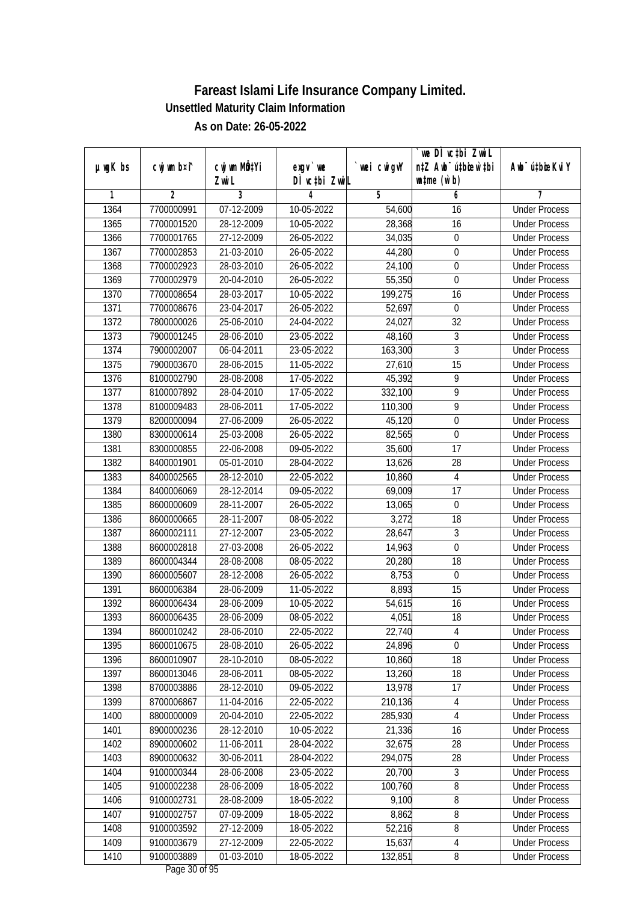|               |                |                           |               |             | we DI vctbi ZwiL                 |                             |
|---------------|----------------|---------------------------|---------------|-------------|----------------------------------|-----------------------------|
| $µ$ ug $K$ bs | cwj wm b¤i^    | cwj wm MQ <sup>1</sup> Yi | $exgV$ we     | `wei cwigvY | n‡Z Awb <sup>-</sup> ú‡bicen`‡bi | Awb <sup>-</sup> ú‡bioeKviY |
|               |                | Zwi L                     | DÌ vctbi ZwiL |             | $\n  untime\n  (u`b)\n$          |                             |
| 1             | $\overline{2}$ | 3                         | 4             | 5           | 6                                | 7                           |
| 1364          | 7700000991     | $\overline{07-12-2009}$   | 10-05-2022    | 54,600      | 16                               | <b>Under Process</b>        |
| 1365          | 7700001520     | 28-12-2009                | $10-05-2022$  | 28,368      | 16                               | <b>Under Process</b>        |
| 1366          | 7700001765     | 27-12-2009                | 26-05-2022    | 34,035      | $\boldsymbol{0}$                 | <b>Under Process</b>        |
| 1367          | 7700002853     | 21-03-2010                | 26-05-2022    | 44,280      | $\boldsymbol{0}$                 | <b>Under Process</b>        |
| 1368          | 7700002923     | 28-03-2010                | 26-05-2022    | 24,100      | $\overline{0}$                   | <b>Under Process</b>        |
| 1369          | 7700002979     | 20-04-2010                | 26-05-2022    | 55,350      | 0                                | <b>Under Process</b>        |
| 1370          | 7700008654     | 28-03-2017                | 10-05-2022    | 199,275     | 16                               | <b>Under Process</b>        |
| 1371          | 7700008676     | 23-04-2017                | 26-05-2022    | 52,697      | $\boldsymbol{0}$                 | <b>Under Process</b>        |
| 1372          | 7800000026     | 25-06-2010                | 24-04-2022    | 24,027      | $\overline{32}$                  | <b>Under Process</b>        |
| 1373          | 7900001245     | 28-06-2010                | 23-05-2022    | 48,160      | $\sqrt{3}$                       | <b>Under Process</b>        |
| 1374          | 7900002007     | 06-04-2011                | 23-05-2022    | 163,300     | $\overline{3}$                   | <b>Under Process</b>        |
| 1375          | 7900003670     | 28-06-2015                | 11-05-2022    | 27,610      | 15                               | <b>Under Process</b>        |
| 1376          | 8100002790     | 28-08-2008                | 17-05-2022    | 45,392      | $\overline{9}$                   | <b>Under Process</b>        |
| 1377          | 8100007892     | 28-04-2010                | 17-05-2022    | 332,100     | 9                                | <b>Under Process</b>        |
| 1378          | 8100009483     | 28-06-2011                | 17-05-2022    | 110,300     | 9                                | <b>Under Process</b>        |
| 1379          | 8200000094     | 27-06-2009                | 26-05-2022    | 45,120      | $\boldsymbol{0}$                 | <b>Under Process</b>        |
| 1380          | 8300000614     | 25-03-2008                | 26-05-2022    | 82,565      | 0                                | <b>Under Process</b>        |
| 1381          | 8300000855     | 22-06-2008                | 09-05-2022    | 35,600      | 17                               | <b>Under Process</b>        |
| 1382          | 8400001901     | 05-01-2010                | 28-04-2022    | 13,626      | 28                               | <b>Under Process</b>        |
| 1383          | 8400002565     | 28-12-2010                | 22-05-2022    | 10,860      | 4                                | <b>Under Process</b>        |
| 1384          | 8400006069     | 28-12-2014                | 09-05-2022    | 69,009      | 17                               | <b>Under Process</b>        |
| 1385          | 8600000609     | 28-11-2007                | 26-05-2022    | 13,065      | 0                                | <b>Under Process</b>        |
| 1386          | 8600000665     | 28-11-2007                | 08-05-2022    | 3,272       | 18                               | <b>Under Process</b>        |
| 1387          | 8600002111     | 27-12-2007                | 23-05-2022    | 28,647      | $\overline{3}$                   | <b>Under Process</b>        |
| 1388          | 8600002818     | 27-03-2008                | 26-05-2022    | 14,963      | 0                                | <b>Under Process</b>        |
| 1389          | 8600004344     | 28-08-2008                | 08-05-2022    | 20,280      | 18                               | <b>Under Process</b>        |
| 1390          | 8600005607     | 28-12-2008                | 26-05-2022    | 8,753       | 0                                | <b>Under Process</b>        |
| 1391          | 8600006384     | 28-06-2009                | 11-05-2022    | 8,893       | 15                               | <b>Under Process</b>        |
| 1392          | 8600006434     | 28-06-2009                | 10-05-2022    | 54,615      | 16                               | <b>Under Process</b>        |
| 1393          | 8600006435     | 28-06-2009                | 08-05-2022    | 4,051       | 18                               | <b>Under Process</b>        |
| 1394          | 8600010242     | 28-06-2010                | 22-05-2022    | 22,740      | 4                                | <b>Under Process</b>        |
| 1395          | 8600010675     | 28-08-2010                | 26-05-2022    | 24,896      | 0                                | <b>Under Process</b>        |
| 1396          | 8600010907     | 28-10-2010                | 08-05-2022    | 10,860      | 18                               | <b>Under Process</b>        |
| 1397          | 8600013046     | 28-06-2011                | 08-05-2022    | 13,260      | 18                               | <b>Under Process</b>        |
| 1398          | 8700003886     | 28-12-2010                | 09-05-2022    | 13,978      | 17                               | <b>Under Process</b>        |
| 1399          | 8700006867     | 11-04-2016                | 22-05-2022    | 210,136     | 4                                | <b>Under Process</b>        |
| 1400          | 8800000009     | 20-04-2010                | 22-05-2022    | 285,930     | $\overline{4}$                   | <b>Under Process</b>        |
| 1401          | 8900000236     | 28-12-2010                | $10-05-2022$  | 21,336      | 16                               | <b>Under Process</b>        |
| 1402          | 8900000602     | 11-06-2011                | 28-04-2022    | 32,675      | 28                               | <b>Under Process</b>        |
| 1403          | 8900000632     | 30-06-2011                | 28-04-2022    | 294,075     | 28                               | <b>Under Process</b>        |
| 1404          | 9100000344     | 28-06-2008                | 23-05-2022    | 20,700      | 3                                | <b>Under Process</b>        |
| 1405          | 9100002238     | 28-06-2009                | 18-05-2022    | 100,760     | $\overline{\bf 8}$               | <b>Under Process</b>        |
| 1406          | 9100002731     | 28-08-2009                | 18-05-2022    | 9,100       | 8                                | <b>Under Process</b>        |
| 1407          | 9100002757     | 07-09-2009                | 18-05-2022    | 8,862       | $\overline{\bf 8}$               | <b>Under Process</b>        |
| 1408          | 9100003592     | 27-12-2009                | 18-05-2022    | 52,216      | $\overline{8}$                   | <b>Under Process</b>        |
| 1409          | 9100003679     | 27-12-2009                | 22-05-2022    | 15,637      | $\overline{4}$                   | <b>Under Process</b>        |
| 1410          | 9100003889     | $01-03-2010$              | 18-05-2022    | 132, 851    | 8                                | <b>Under Process</b>        |
|               |                |                           |               |             |                                  |                             |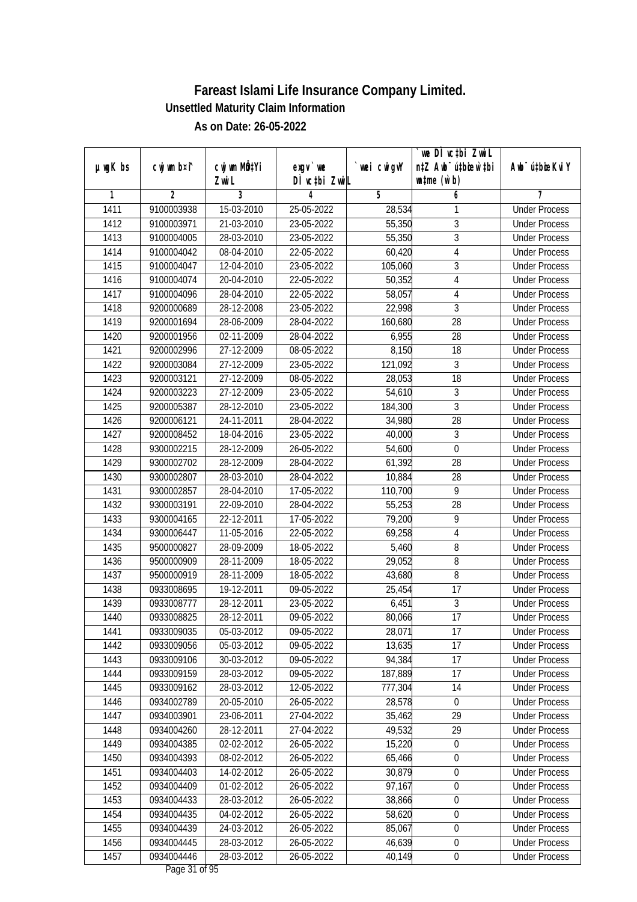|               |             |                           |               |             | we DI vctbi ZwiL                 |                             |
|---------------|-------------|---------------------------|---------------|-------------|----------------------------------|-----------------------------|
| $µ$ ug $K$ bs | cwj wm b¤i^ | cwj wm MQ <sup>1</sup> Yi | $exgV$ we     | `wei cwigvY | n‡Z Awb <sup>-</sup> ú‡bioen`‡bi | Awb <sup>-</sup> ú‡bioeKviY |
|               |             | Zwi L                     | DÌ vctbi ZwiL |             | $\n  untime\n  (u`b)\n$          |                             |
| 1             | 2           | 3                         | 4             | 5           | 6                                | 7                           |
| 1411          | 9100003938  | 15-03-2010                | 25-05-2022    | 28,534      | 1                                | <b>Under Process</b>        |
| 1412          | 9100003971  | 21-03-2010                | 23-05-2022    | 55,350      | 3                                | <b>Under Process</b>        |
| 1413          | 9100004005  | 28-03-2010                | 23-05-2022    | 55,350      | $\overline{3}$                   | <b>Under Process</b>        |
| 1414          | 9100004042  | 08-04-2010                | 22-05-2022    | 60,420      | $\overline{4}$                   | <b>Under Process</b>        |
| 1415          | 9100004047  | 12-04-2010                | 23-05-2022    | 105,060     | 3                                | <b>Under Process</b>        |
| 1416          | 9100004074  | 20-04-2010                | 22-05-2022    | 50,352      | 4                                | <b>Under Process</b>        |
| 1417          | 9100004096  | 28-04-2010                | 22-05-2022    | 58,057      | 4                                | <b>Under Process</b>        |
| 1418          | 9200000689  | 28-12-2008                | 23-05-2022    | 22,998      | $\overline{3}$                   | <b>Under Process</b>        |
| 1419          | 9200001694  | 28-06-2009                | 28-04-2022    | 160,680     | $\overline{28}$                  | <b>Under Process</b>        |
| 1420          | 9200001956  | 02-11-2009                | 28-04-2022    | 6,955       | 28                               | <b>Under Process</b>        |
| 1421          | 9200002996  | 27-12-2009                | $08-05-2022$  | 8,150       | 18                               | <b>Under Process</b>        |
| 1422          | 9200003084  | 27-12-2009                | 23-05-2022    | 121,092     | 3                                | <b>Under Process</b>        |
| 1423          | 9200003121  | 27-12-2009                | 08-05-2022    | 28,053      | $\overline{18}$                  | <b>Under Process</b>        |
| 1424          | 9200003223  | 27-12-2009                | 23-05-2022    | 54,610      | $\overline{3}$                   | <b>Under Process</b>        |
| 1425          | 9200005387  | 28-12-2010                | 23-05-2022    | 184,300     | 3                                | <b>Under Process</b>        |
| 1426          | 9200006121  | 24-11-2011                | 28-04-2022    | 34,980      | 28                               | <b>Under Process</b>        |
| 1427          | 9200008452  | 18-04-2016                | 23-05-2022    | 40,000      | 3                                | <b>Under Process</b>        |
| 1428          | 9300002215  | 28-12-2009                | 26-05-2022    | 54,600      | $\mathbf 0$                      | <b>Under Process</b>        |
| 1429          | 9300002702  | 28-12-2009                | 28-04-2022    | 61,392      | 28                               | <b>Under Process</b>        |
| 1430          | 9300002807  | 28-03-2010                | 28-04-2022    | 10,884      | 28                               | <b>Under Process</b>        |
| 1431          | 9300002857  | 28-04-2010                | 17-05-2022    | 110,700     | 9                                | <b>Under Process</b>        |
| 1432          | 9300003191  | 22-09-2010                | 28-04-2022    | 55,253      | 28                               | <b>Under Process</b>        |
| 1433          | 9300004165  | 22-12-2011                | 17-05-2022    | 79,200      | 9                                | <b>Under Process</b>        |
| 1434          | 9300006447  | 11-05-2016                | 22-05-2022    | 69,258      | $\overline{4}$                   | <b>Under Process</b>        |
| 1435          | 9500000827  | 28-09-2009                | 18-05-2022    | 5,460       | 8                                | <b>Under Process</b>        |
| 1436          | 9500000909  | 28-11-2009                | 18-05-2022    | 29,052      | 8                                | <b>Under Process</b>        |
| 1437          | 9500000919  | 28-11-2009                | 18-05-2022    | 43,680      | 8                                | <b>Under Process</b>        |
| 1438          | 0933008695  | 19-12-2011                | 09-05-2022    | 25,454      | 17                               | <b>Under Process</b>        |
| 1439          | 0933008777  | 28-12-2011                | 23-05-2022    | 6,451       | $\overline{3}$                   | <b>Under Process</b>        |
| 1440          | 0933008825  | 28-12-2011                | 09-05-2022    | 80,066      | 17                               | <b>Under Process</b>        |
| 1441          | 0933009035  | 05-03-2012                | 09-05-2022    | 28,071      | 17                               | <b>Under Process</b>        |
| 1442          | 0933009056  | 05-03-2012                | 09-05-2022    | 13,635      | 17                               | <b>Under Process</b>        |
| 1443          | 0933009106  | 30-03-2012                | 09-05-2022    | 94,384      | 17                               | <b>Under Process</b>        |
| 1444          | 0933009159  | 28-03-2012                | 09-05-2022    | 187,889     | 17                               | <b>Under Process</b>        |
| 1445          | 0933009162  | 28-03-2012                | 12-05-2022    | 777,304     | 14                               | <b>Under Process</b>        |
| 1446          | 0934002789  | 20-05-2010                | 26-05-2022    | 28,578      | 0                                | <b>Under Process</b>        |
| 1447          | 0934003901  | 23-06-2011                | 27-04-2022    | 35,462      | 29                               | <b>Under Process</b>        |
| 1448          | 0934004260  | 28-12-2011                | 27-04-2022    | 49,532      | 29                               | <b>Under Process</b>        |
| 1449          | 0934004385  | 02-02-2012                | 26-05-2022    | 15,220      | $\boldsymbol{0}$                 | <b>Under Process</b>        |
| 1450          | 0934004393  | 08-02-2012                | 26-05-2022    | 65,466      | $\boldsymbol{0}$                 | <b>Under Process</b>        |
| 1451          | 0934004403  | 14-02-2012                | 26-05-2022    | 30,879      | $\boldsymbol{0}$                 | <b>Under Process</b>        |
| 1452          | 0934004409  | 01-02-2012                | 26-05-2022    | 97,167      | $\boldsymbol{0}$                 | <b>Under Process</b>        |
| 1453          | 0934004433  | 28-03-2012                | 26-05-2022    | 38,866      | $\boldsymbol{0}$                 | <b>Under Process</b>        |
| 1454          | 0934004435  | 04-02-2012                | 26-05-2022    | 58,620      | $\boldsymbol{0}$                 | <b>Under Process</b>        |
| 1455          | 0934004439  | 24-03-2012                | 26-05-2022    | 85,067      | $\overline{0}$                   | <b>Under Process</b>        |
| 1456          | 0934004445  | 28-03-2012                | 26-05-2022    | 46,639      | $\boldsymbol{0}$                 | <b>Under Process</b>        |
| 1457          | 0934004446  | 28-03-2012                | 26-05-2022    | 40,149      | $\pmb{0}$                        | <b>Under Process</b>        |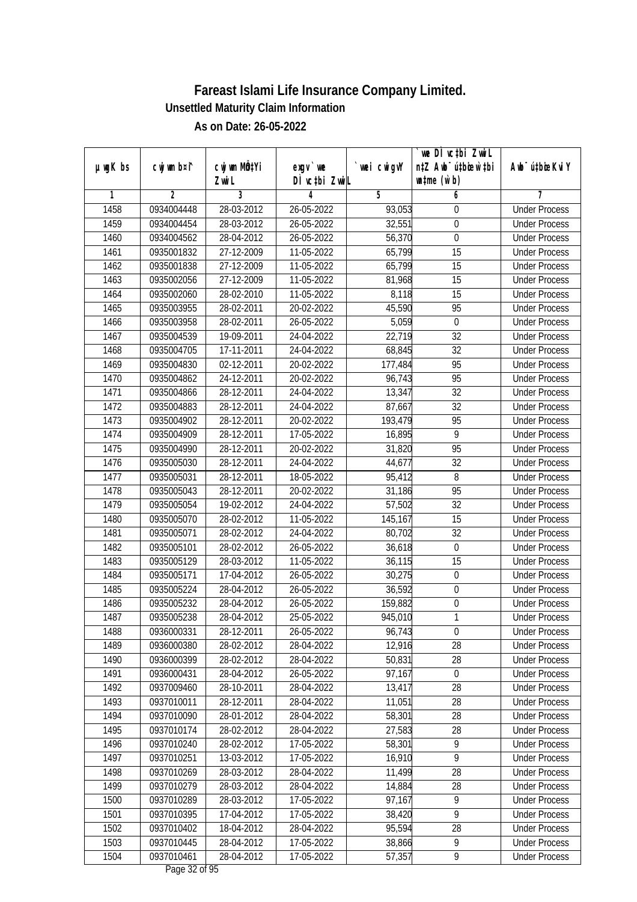|               |                |              |               |            | we DI vctbi Zwil                 |                             |
|---------------|----------------|--------------|---------------|------------|----------------------------------|-----------------------------|
| $µ$ ug $K$ bs | cwj wm b¤i^    | cwj wm MQtYi | $exgv$ we     | wei cwigvY | n‡Z Awb <sup>-</sup> ú‡biosw`‡bi | Awb <sup>-</sup> ú‡bioeKviY |
|               |                | Zwi L        | DÌ vctbi ZwiL |            | $\n  untime\n  (u`b)\n$          |                             |
| 1             | $\overline{2}$ | 3            | 4             | 5          | 6                                | 7                           |
| 1458          | 0934004448     | 28-03-2012   | 26-05-2022    | 93,053     | 0                                | <b>Under Process</b>        |
| 1459          | 0934004454     | 28-03-2012   | 26-05-2022    | 32,551     | 0                                | <b>Under Process</b>        |
| 1460          | 0934004562     | 28-04-2012   | 26-05-2022    | 56,370     | $\overline{0}$                   | <b>Under Process</b>        |
| 1461          | 0935001832     | 27-12-2009   | 11-05-2022    | 65,799     | 15                               | <b>Under Process</b>        |
| 1462          | 0935001838     | 27-12-2009   | 11-05-2022    | 65,799     | $\overline{15}$                  | <b>Under Process</b>        |
| 1463          | 0935002056     | 27-12-2009   | 11-05-2022    | 81,968     | $\overline{15}$                  | <b>Under Process</b>        |
| 1464          | 0935002060     | 28-02-2010   | 11-05-2022    | 8,118      | 15                               | <b>Under Process</b>        |
| 1465          | 0935003955     | 28-02-2011   | 20-02-2022    | 45,590     | 95                               | <b>Under Process</b>        |
| 1466          | 0935003958     | 28-02-2011   | 26-05-2022    | 5,059      | $\pmb{0}$                        | <b>Under Process</b>        |
| 1467          | 0935004539     | 19-09-2011   | 24-04-2022    | 22,719     | 32                               | <b>Under Process</b>        |
| 1468          | 0935004705     | 17-11-2011   | 24-04-2022    | 68,845     | $\overline{32}$                  | <b>Under Process</b>        |
| 1469          | 0935004830     | 02-12-2011   | 20-02-2022    | 177,484    | 95                               | <b>Under Process</b>        |
| 1470          | 0935004862     | 24-12-2011   | 20-02-2022    | 96,743     | 95                               | <b>Under Process</b>        |
| 1471          | 0935004866     | 28-12-2011   | 24-04-2022    | 13,347     | 32                               | <b>Under Process</b>        |
| 1472          | 0935004883     | 28-12-2011   | 24-04-2022    | 87,667     | 32                               | <b>Under Process</b>        |
| 1473          | 0935004902     | 28-12-2011   | 20-02-2022    | 193,479    | 95                               | <b>Under Process</b>        |
| 1474          | 0935004909     | 28-12-2011   | 17-05-2022    | 16,895     | 9                                | <b>Under Process</b>        |
| 1475          | 0935004990     | 28-12-2011   | 20-02-2022    | 31,820     | 95                               | <b>Under Process</b>        |
| 1476          | 0935005030     | 28-12-2011   | 24-04-2022    | 44,677     | 32                               | <b>Under Process</b>        |
| 1477          | 0935005031     | 28-12-2011   | 18-05-2022    | 95,412     | 8                                | <b>Under Process</b>        |
| 1478          | 0935005043     | 28-12-2011   | 20-02-2022    | 31,186     | 95                               | <b>Under Process</b>        |
| 1479          | 0935005054     | 19-02-2012   | 24-04-2022    | 57,502     | 32                               | <b>Under Process</b>        |
| 1480          | 0935005070     | 28-02-2012   | 11-05-2022    | 145,167    | 15                               | <b>Under Process</b>        |
| 1481          | 0935005071     | 28-02-2012   | 24-04-2022    | 80,702     | 32                               | <b>Under Process</b>        |
| 1482          | 0935005101     | 28-02-2012   | 26-05-2022    | 36,618     | $\boldsymbol{0}$                 | <b>Under Process</b>        |
| 1483          | 0935005129     | 28-03-2012   | 11-05-2022    | 36,115     | 15                               | <b>Under Process</b>        |
| 1484          | 0935005171     | 17-04-2012   | 26-05-2022    | 30,275     | 0                                | <b>Under Process</b>        |
| 1485          | 0935005224     | 28-04-2012   | 26-05-2022    | 36,592     | $\boldsymbol{0}$                 | <b>Under Process</b>        |
| 1486          | 0935005232     | 28-04-2012   | 26-05-2022    | 159,882    | $\boldsymbol{0}$                 | <b>Under Process</b>        |
| 1487          | 0935005238     | 28-04-2012   | 25-05-2022    | 945,010    | 1                                | <b>Under Process</b>        |
| 1488          | 0936000331     | 28-12-2011   | 26-05-2022    | 96,743     | $\boldsymbol{0}$                 | <b>Under Process</b>        |
| 1489          | 0936000380     | 28-02-2012   | 28-04-2022    | 12,916     | 28                               | <b>Under Process</b>        |
| 1490          | 0936000399     | 28-02-2012   | 28-04-2022    | 50,831     | 28                               | <b>Under Process</b>        |
| 1491          | 0936000431     | 28-04-2012   | 26-05-2022    | 97,167     | $\boldsymbol{0}$                 | <b>Under Process</b>        |
| 1492          | 0937009460     | 28-10-2011   | 28-04-2022    | 13,417     | 28                               | <b>Under Process</b>        |
| 1493          | 0937010011     | 28-12-2011   | 28-04-2022    | 11,051     | 28                               | <b>Under Process</b>        |
| 1494          | 0937010090     | 28-01-2012   | 28-04-2022    | 58,301     | 28                               | <b>Under Process</b>        |
| 1495          | 0937010174     | 28-02-2012   | 28-04-2022    | 27,583     | 28                               | <b>Under Process</b>        |
| 1496          | 0937010240     | 28-02-2012   | 17-05-2022    | 58,301     | 9                                | <b>Under Process</b>        |
| 1497          | 0937010251     | 13-03-2012   | 17-05-2022    | 16,910     | $\overline{9}$                   | <b>Under Process</b>        |
| 1498          | 0937010269     | 28-03-2012   | 28-04-2022    | 11,499     | 28                               | <b>Under Process</b>        |
| 1499          | 0937010279     | 28-03-2012   | 28-04-2022    | 14,884     | 28                               | <b>Under Process</b>        |
| 1500          | 0937010289     | 28-03-2012   | 17-05-2022    | 97,167     | 9                                | <b>Under Process</b>        |
| 1501          | 0937010395     | 17-04-2012   | 17-05-2022    | 38,420     | $\overline{9}$                   | <b>Under Process</b>        |
| 1502          | 0937010402     | 18-04-2012   | 28-04-2022    | 95,594     | 28                               | <b>Under Process</b>        |
| 1503          | 0937010445     | 28-04-2012   | 17-05-2022    | 38,866     | 9                                | <b>Under Process</b>        |
| 1504          | 0937010461     | 28-04-2012   | 17-05-2022    | 57,357     | $\overline{9}$                   | <b>Under Process</b>        |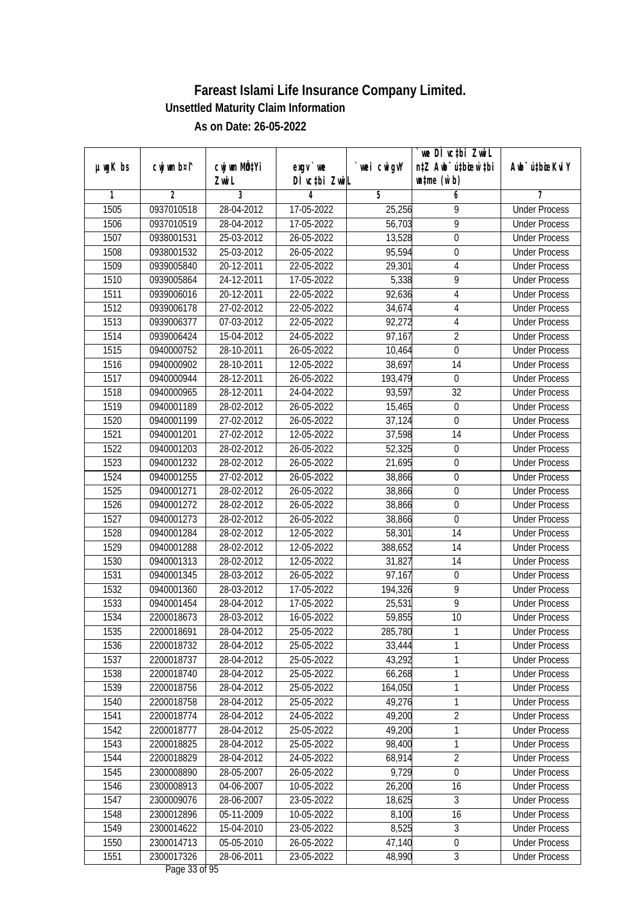|               |                |              |               |                | we DI vctbi Zwil                 |                             |
|---------------|----------------|--------------|---------------|----------------|----------------------------------|-----------------------------|
| $µ$ ug $K$ bs | cwj wm b¤i^    | cwj wm MQtYi | $exgV$ we     | wei cwigvY     | n‡Z Awb <sup>-</sup> ú‡biosw`‡bi | Awb <sup>-</sup> ú‡bioeKviY |
|               |                | Zwi L        | DÌ vctbi ZwiL |                | $\n  untime\n  (u`b)\n$          |                             |
| 1             | $\overline{2}$ | 3            | 4             | $\overline{5}$ | 6                                | 7                           |
| 1505          | 0937010518     | 28-04-2012   | 17-05-2022    | 25,256         | 9                                | <b>Under Process</b>        |
| 1506          | 0937010519     | 28-04-2012   | 17-05-2022    | 56,703         | $\overline{9}$                   | <b>Under Process</b>        |
| 1507          | 0938001531     | 25-03-2012   | 26-05-2022    | 13,528         | 0                                | <b>Under Process</b>        |
| 1508          | 0938001532     | 25-03-2012   | 26-05-2022    | 95,594         | 0                                | <b>Under Process</b>        |
| 1509          | 0939005840     | 20-12-2011   | 22-05-2022    | 29,301         | $\overline{4}$                   | <b>Under Process</b>        |
| 1510          | 0939005864     | 24-12-2011   | 17-05-2022    | 5,338          | 9                                | <b>Under Process</b>        |
| 1511          | 0939006016     | 20-12-2011   | 22-05-2022    | 92,636         | 4                                | <b>Under Process</b>        |
| 1512          | 0939006178     | 27-02-2012   | 22-05-2022    | 34,674         | $\overline{4}$                   | <b>Under Process</b>        |
| 1513          | 0939006377     | 07-03-2012   | 22-05-2022    | 92,272         | 4                                | <b>Under Process</b>        |
| 1514          | 0939006424     | 15-04-2012   | 24-05-2022    | 97,167         | $\overline{2}$                   | <b>Under Process</b>        |
| 1515          | 0940000752     | 28-10-2011   | 26-05-2022    | 10,464         | $\boldsymbol{0}$                 | <b>Under Process</b>        |
| 1516          | 0940000902     | 28-10-2011   | 12-05-2022    | 38,697         | 14                               | <b>Under Process</b>        |
| 1517          | 0940000944     | 28-12-2011   | 26-05-2022    | 193,479        | $\boldsymbol{0}$                 | <b>Under Process</b>        |
| 1518          | 0940000965     | 28-12-2011   | 24-04-2022    | 93,597         | 32                               | <b>Under Process</b>        |
| 1519          | 0940001189     | 28-02-2012   | 26-05-2022    | 15,465         | $\boldsymbol{0}$                 | <b>Under Process</b>        |
| 1520          | 0940001199     | 27-02-2012   | 26-05-2022    | 37,124         | $\mathbf 0$                      | <b>Under Process</b>        |
| 1521          | 0940001201     | 27-02-2012   | 12-05-2022    | 37,598         | 14                               | <b>Under Process</b>        |
| 1522          | 0940001203     | 28-02-2012   | 26-05-2022    | 52,325         | $\boldsymbol{0}$                 | <b>Under Process</b>        |
| 1523          | 0940001232     | 28-02-2012   | 26-05-2022    | 21,695         | 0                                | <b>Under Process</b>        |
| 1524          | 0940001255     | 27-02-2012   | 26-05-2022    | 38,866         | $\pmb{0}$                        | <b>Under Process</b>        |
| 1525          | 0940001271     | 28-02-2012   | 26-05-2022    | 38,866         | $\boldsymbol{0}$                 | <b>Under Process</b>        |
| 1526          | 0940001272     | 28-02-2012   | 26-05-2022    | 38,866         | 0                                | <b>Under Process</b>        |
| 1527          | 0940001273     | 28-02-2012   | 26-05-2022    | 38,866         | $\boldsymbol{0}$                 | <b>Under Process</b>        |
| 1528          | 0940001284     | 28-02-2012   | 12-05-2022    | 58,301         | 14                               | <b>Under Process</b>        |
| 1529          | 0940001288     | 28-02-2012   | 12-05-2022    | 388,652        | 14                               | <b>Under Process</b>        |
| 1530          | 0940001313     | 28-02-2012   | 12-05-2022    | 31,827         | 14                               | <b>Under Process</b>        |
| 1531          | 0940001345     | 28-03-2012   | 26-05-2022    | 97,167         | 0                                | <b>Under Process</b>        |
| 1532          | 0940001360     | 28-03-2012   | 17-05-2022    | 194,326        | 9                                | <b>Under Process</b>        |
| 1533          | 0940001454     | 28-04-2012   | 17-05-2022    | 25,531         | $\overline{9}$                   | <b>Under Process</b>        |
| 1534          | 2200018673     | 28-03-2012   | 16-05-2022    | 59,855         | 10                               | <b>Under Process</b>        |
| 1535          | 2200018691     | 28-04-2012   | 25-05-2022    | 285,780        | 1                                | <b>Under Process</b>        |
| 1536          | 2200018732     | 28-04-2012   | 25-05-2022    | 33,444         | 1                                | <b>Under Process</b>        |
| 1537          | 2200018737     | 28-04-2012   | 25-05-2022    | 43,292         | 1                                | <b>Under Process</b>        |
| 1538          | 2200018740     | 28-04-2012   | 25-05-2022    | 66,268         | 1                                | <b>Under Process</b>        |
| 1539          | 2200018756     | 28-04-2012   | 25-05-2022    | 164,050        | 1                                | <b>Under Process</b>        |
| 1540          | 2200018758     | 28-04-2012   | 25-05-2022    | 49,276         | 1                                | <b>Under Process</b>        |
| 1541          | 2200018774     | 28-04-2012   | 24-05-2022    | 49,200         | $\overline{2}$                   | <b>Under Process</b>        |
| 1542          | 2200018777     | 28-04-2012   | 25-05-2022    | 49,200         | 1                                | <b>Under Process</b>        |
| 1543          | 2200018825     | 28-04-2012   | 25-05-2022    | 98,400         | 1                                | <b>Under Process</b>        |
| 1544          | 2200018829     | 28-04-2012   | 24-05-2022    | 68,914         | $\overline{2}$                   | <b>Under Process</b>        |
| 1545          | 2300008890     | 28-05-2007   | 26-05-2022    | 9,729          | 0                                | <b>Under Process</b>        |
| 1546          | 2300008913     | 04-06-2007   | 10-05-2022    | 26,200         | 16                               | <b>Under Process</b>        |
| 1547          | 2300009076     | 28-06-2007   | 23-05-2022    | 18,625         | 3                                | <b>Under Process</b>        |
| 1548          | 2300012896     | 05-11-2009   | 10-05-2022    | 8,100          | 16                               | <b>Under Process</b>        |
| 1549          | 2300014622     | 15-04-2010   | 23-05-2022    | 8,525          | $\mathfrak{Z}$                   | <b>Under Process</b>        |
| 1550          | 2300014713     | 05-05-2010   | 26-05-2022    | 47,140         | $\boldsymbol{0}$                 | <b>Under Process</b>        |
| 1551          | 2300017326     | 28-06-2011   | 23-05-2022    | 48,990         | $\mathfrak{Z}$                   | <b>Under Process</b>        |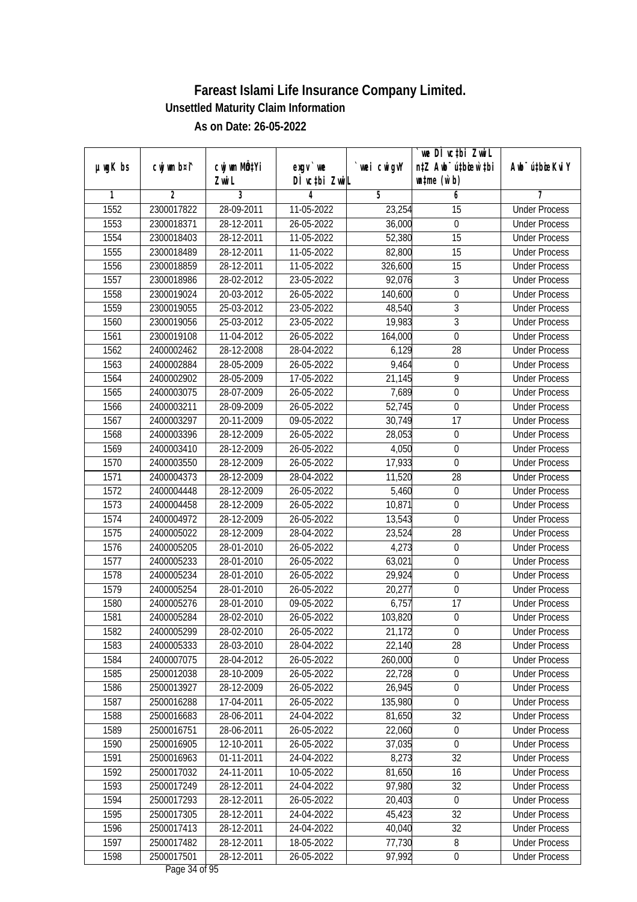|               |                          |                           |                          |                   | we DI vctbi Zwil                 |                                              |
|---------------|--------------------------|---------------------------|--------------------------|-------------------|----------------------------------|----------------------------------------------|
| $µ$ ug $K$ bs | cwj wm b¤i^              | cwj wm MQ <sup>1</sup> Yi | $exgV$ we                | `wei cwigvY       | n‡Z Awb <sup>-</sup> ú‡bicen`‡bi | Awb <sup>-</sup> ú‡bioeKviY                  |
| 1             | $\overline{2}$           | Zwi L<br>3                | DÌ vctbi ZwiL<br>4       | $\overline{5}$    | $\n  untime\n  (u`b)\n$<br>6     | 7                                            |
| 1552          | 2300017822               | 28-09-2011                | 11-05-2022               | 23,254            | $\overline{15}$                  | <b>Under Process</b>                         |
| 1553          | 2300018371               | 28-12-2011                | 26-05-2022               | 36,000            | $\boldsymbol{0}$                 | <b>Under Process</b>                         |
| 1554          | 2300018403               | 28-12-2011                | 11-05-2022               | 52,380            | $\overline{15}$                  | <b>Under Process</b>                         |
| 1555          |                          | 28-12-2011                | 11-05-2022               |                   | 15                               | <b>Under Process</b>                         |
| 1556          | 2300018489               |                           |                          | 82,800            | $\overline{15}$                  | <b>Under Process</b>                         |
|               | 2300018859               | 28-12-2011<br>28-02-2012  | 11-05-2022               | 326,600<br>92,076 |                                  |                                              |
| 1557          | 2300018986<br>2300019024 | 20-03-2012                | 23-05-2022<br>26-05-2022 |                   | 3<br>$\pmb{0}$                   | <b>Under Process</b><br><b>Under Process</b> |
| 1558          | 2300019055               |                           |                          | 140,600           | $\overline{3}$                   | <b>Under Process</b>                         |
| 1559<br>1560  |                          | 25-03-2012                | 23-05-2022               | 48,540            | $\overline{3}$                   | <b>Under Process</b>                         |
|               | 2300019056               | 25-03-2012                | 23-05-2022               | 19,983            |                                  |                                              |
| 1561          | 2300019108               | 11-04-2012                | 26-05-2022               | 164,000           | $\mathbf 0$                      | <b>Under Process</b>                         |
| 1562          | 2400002462               | 28-12-2008                | 28-04-2022               | 6,129             | $\overline{28}$                  | <b>Under Process</b>                         |
| 1563          | 2400002884               | 28-05-2009                | 26-05-2022               | 9,464             | 0                                | <b>Under Process</b>                         |
| 1564          | 2400002902               | 28-05-2009                | 17-05-2022               | 21,145            | $\overline{9}$                   | <b>Under Process</b>                         |
| 1565          | 2400003075               | 28-07-2009                | 26-05-2022               | 7,689             | $\boldsymbol{0}$                 | <b>Under Process</b>                         |
| 1566          | 2400003211               | 28-09-2009                | 26-05-2022               | 52,745            | $\boldsymbol{0}$                 | <b>Under Process</b>                         |
| 1567          | 2400003297               | 20-11-2009                | 09-05-2022               | 30,749            | 17                               | <b>Under Process</b>                         |
| 1568          | 2400003396               | 28-12-2009                | 26-05-2022               | 28,053            | $\boldsymbol{0}$                 | <b>Under Process</b>                         |
| 1569          | 2400003410               | 28-12-2009                | 26-05-2022               | 4,050             | $\mathbf 0$                      | <b>Under Process</b>                         |
| 1570          | 2400003550               | 28-12-2009                | 26-05-2022               | 17,933            | $\mathbf 0$                      | <b>Under Process</b>                         |
| 1571          | 2400004373               | 28-12-2009                | 28-04-2022               | 11,520            | 28                               | <b>Under Process</b>                         |
| 1572          | 2400004448               | 28-12-2009                | 26-05-2022               | 5,460             | $\boldsymbol{0}$                 | <b>Under Process</b>                         |
| 1573          | 2400004458               | 28-12-2009                | 26-05-2022               | 10,871            | 0                                | <b>Under Process</b>                         |
| 1574          | 2400004972               | 28-12-2009                | 26-05-2022               | 13,543            | $\boldsymbol{0}$                 | <b>Under Process</b>                         |
| 1575          | 2400005022               | 28-12-2009                | 28-04-2022               | 23,524            | 28                               | <b>Under Process</b>                         |
| 1576          | 2400005205               | 28-01-2010                | 26-05-2022               | 4,273             | $\boldsymbol{0}$                 | <b>Under Process</b>                         |
| 1577          | 2400005233               | 28-01-2010                | 26-05-2022               | 63,021            | $\boldsymbol{0}$                 | <b>Under Process</b>                         |
| 1578          | 2400005234               | 28-01-2010                | 26-05-2022               | 29,924            | 0                                | <b>Under Process</b>                         |
| 1579          | 2400005254               | 28-01-2010                | 26-05-2022               | 20,277            | $\boldsymbol{0}$                 | <b>Under Process</b>                         |
| 1580          | 2400005276               | 28-01-2010                | 09-05-2022               | 6,757             | 17                               | <b>Under Process</b>                         |
| 1581          | 2400005284               | 28-02-2010                | 26-05-2022               | 103,820           | $\boldsymbol{0}$                 | <b>Under Process</b>                         |
| 1582          | 2400005299               | 28-02-2010                | 26-05-2022               | 21,172            | $\boldsymbol{0}$                 | <b>Under Process</b>                         |
| 1583          | 2400005333               | 28-03-2010                | 28-04-2022               | 22,140            | 28                               | <b>Under Process</b>                         |
| 1584          | 2400007075               | 28-04-2012                | 26-05-2022               | 260,000           | $\boldsymbol{0}$                 | <b>Under Process</b>                         |
| 1585          | 2500012038               | 28-10-2009                | 26-05-2022               | 22,728            | $\overline{0}$                   | <b>Under Process</b>                         |
| 1586          | 2500013927               | 28-12-2009                | 26-05-2022               | 26,945            | $\boldsymbol{0}$                 | <b>Under Process</b>                         |
| 1587          | 2500016288               | 17-04-2011                | 26-05-2022               | 135,980           | 0                                | <b>Under Process</b>                         |
| 1588          | 2500016683               | 28-06-2011                | 24-04-2022               | 81,650            | 32                               | <b>Under Process</b>                         |
| 1589          | 2500016751               | 28-06-2011                | 26-05-2022               | 22,060            | $\boldsymbol{0}$                 | <b>Under Process</b>                         |
| 1590          | 2500016905               | 12-10-2011                | 26-05-2022               | 37,035            | $\boldsymbol{0}$                 | <b>Under Process</b>                         |
| 1591          | 2500016963               | 01-11-2011                | 24-04-2022               | 8,273             | 32                               | <b>Under Process</b>                         |
| 1592          | 2500017032               | 24-11-2011                | 10-05-2022               | 81,650            | 16                               | <b>Under Process</b>                         |
| 1593          | 2500017249               | 28-12-2011                | 24-04-2022               | 97,980            | 32                               | <b>Under Process</b>                         |
| 1594          | 2500017293               | 28-12-2011                | 26-05-2022               | 20,403            | 0                                | <b>Under Process</b>                         |
| 1595          | 2500017305               | 28-12-2011                | 24-04-2022               | 45,423            | 32                               | <b>Under Process</b>                         |
| 1596          | 2500017413               | 28-12-2011                | 24-04-2022               | 40,040            | 32                               | <b>Under Process</b>                         |
| 1597          | 2500017482               | 28-12-2011                | 18-05-2022               | 77,730            | 8                                | <b>Under Process</b>                         |
| 1598          | 2500017501               | 28-12-2011                | 26-05-2022               | 97,992            | $\boldsymbol{0}$                 | <b>Under Process</b>                         |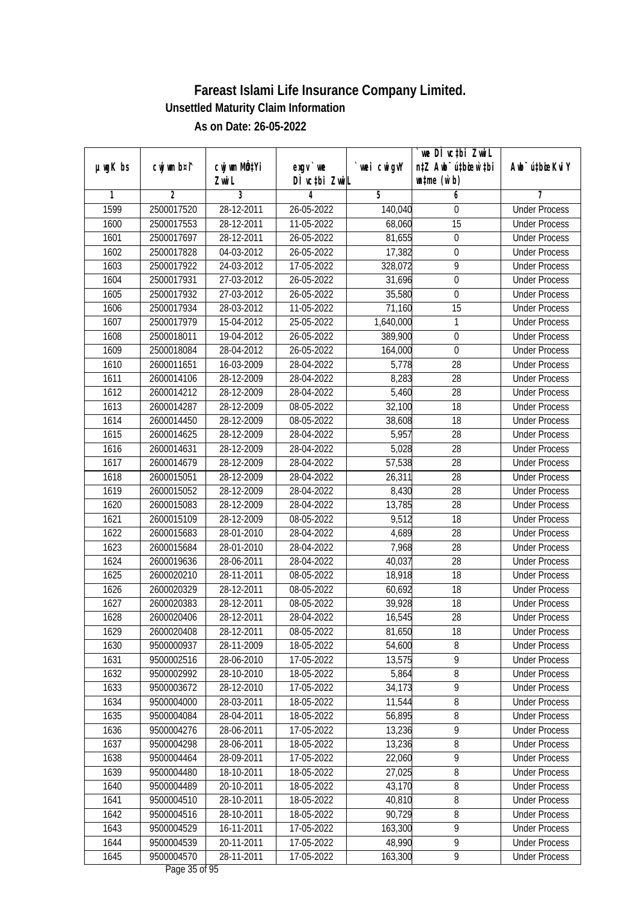|               |             |                                    |                            |             | we DI vctbi ZwiL                                            |                             |
|---------------|-------------|------------------------------------|----------------------------|-------------|-------------------------------------------------------------|-----------------------------|
| $µ$ ug $K$ bs | cwj wm b¤i^ | cwj wm MQ <sup>1</sup> Yi<br>Zwi L | $exgV$ we<br>DÌ vctbi ZwiL | `wei cwigvY | n‡Z Awb <sup>-</sup> ú‡bioar`‡bi<br>$\n  untime\n  (u`b)\n$ | Awb <sup>-</sup> ú‡bioeKviY |
| 1             | 2           | 3                                  | 4                          | 5           | 6                                                           | 7                           |
| 1599          | 2500017520  | 28-12-2011                         | 26-05-2022                 | 140,040     | 0                                                           | <b>Under Process</b>        |
| 1600          | 2500017553  | 28-12-2011                         | 11-05-2022                 | 68,060      | 15                                                          | <b>Under Process</b>        |
| 1601          | 2500017697  | 28-12-2011                         | 26-05-2022                 | 81,655      | $\boldsymbol{0}$                                            | <b>Under Process</b>        |
| 1602          | 2500017828  | 04-03-2012                         | 26-05-2022                 | 17,382      | $\boldsymbol{0}$                                            | <b>Under Process</b>        |
| 1603          | 2500017922  | 24-03-2012                         | 17-05-2022                 | 328,072     | $\overline{9}$                                              | <b>Under Process</b>        |
| 1604          | 2500017931  | 27-03-2012                         | 26-05-2022                 | 31,696      | 0                                                           | <b>Under Process</b>        |
| 1605          | 2500017932  | 27-03-2012                         | 26-05-2022                 | 35,580      | $\boldsymbol{0}$                                            | <b>Under Process</b>        |
| 1606          | 2500017934  | 28-03-2012                         | 11-05-2022                 | 71,160      | $\overline{15}$                                             | <b>Under Process</b>        |
| 1607          | 2500017979  | 15-04-2012                         | 25-05-2022                 | 1,640,000   | 1                                                           | <b>Under Process</b>        |
| 1608          | 2500018011  | 19-04-2012                         | 26-05-2022                 | 389,900     | $\boldsymbol{0}$                                            | <b>Under Process</b>        |
| 1609          | 2500018084  | 28-04-2012                         | 26-05-2022                 | 164,000     | $\mathbf 0$                                                 | <b>Under Process</b>        |
| 1610          | 2600011651  | 16-03-2009                         | 28-04-2022                 | 5,778       | 28                                                          | <b>Under Process</b>        |
| 1611          | 2600014106  | 28-12-2009                         | 28-04-2022                 | 8,283       | 28                                                          | <b>Under Process</b>        |
| 1612          | 2600014212  | 28-12-2009                         | 28-04-2022                 | 5,460       | 28                                                          | <b>Under Process</b>        |
|               |             |                                    | 08-05-2022                 | 32,100      | 18                                                          | <b>Under Process</b>        |
| 1613          | 2600014287  | 28-12-2009                         |                            |             | 18                                                          | <b>Under Process</b>        |
| 1614          | 2600014450  | 28-12-2009                         | 08-05-2022                 | 38,608      |                                                             |                             |
| 1615          | 2600014625  | 28-12-2009                         | 28-04-2022                 | 5,957       | 28                                                          | <b>Under Process</b>        |
| 1616          | 2600014631  | 28-12-2009                         | 28-04-2022                 | 5,028       | 28                                                          | <b>Under Process</b>        |
| 1617          | 2600014679  | 28-12-2009                         | 28-04-2022                 | 57,538      | 28                                                          | <b>Under Process</b>        |
| 1618          | 2600015051  | 28-12-2009                         | 28-04-2022                 | 26,311      | 28                                                          | <b>Under Process</b>        |
| 1619          | 2600015052  | 28-12-2009                         | 28-04-2022                 | 8,430       | 28                                                          | <b>Under Process</b>        |
| 1620          | 2600015083  | 28-12-2009                         | 28-04-2022                 | 13,785      | 28                                                          | <b>Under Process</b>        |
| 1621          | 2600015109  | 28-12-2009                         | 08-05-2022                 | 9,512       | 18                                                          | <b>Under Process</b>        |
| 1622          | 2600015683  | 28-01-2010                         | 28-04-2022                 | 4,689       | 28                                                          | <b>Under Process</b>        |
| 1623          | 2600015684  | 28-01-2010                         | 28-04-2022                 | 7,968       | 28                                                          | <b>Under Process</b>        |
| 1624          | 2600019636  | 28-06-2011                         | 28-04-2022                 | 40,037      | 28                                                          | <b>Under Process</b>        |
| 1625          | 2600020210  | 28-11-2011                         | 08-05-2022                 | 18,918      | 18                                                          | <b>Under Process</b>        |
| 1626          | 2600020329  | 28-12-2011                         | 08-05-2022                 | 60,692      | 18                                                          | <b>Under Process</b>        |
| 1627          | 2600020383  | 28-12-2011                         | 08-05-2022                 | 39,928      | 18                                                          | <b>Under Process</b>        |
| 1628          | 2600020406  | 28-12-2011                         | 28-04-2022                 | 16,545      | 28                                                          | <b>Under Process</b>        |
| 1629          | 2600020408  | 28-12-2011                         | 08-05-2022                 | 81,650      | 18                                                          | <b>Under Process</b>        |
| 1630          | 9500000937  | 28-11-2009                         | 18-05-2022                 | 54,600      | 8                                                           | <b>Under Process</b>        |
| 1631          | 9500002516  | 28-06-2010                         | 17-05-2022                 | 13,575      | 9                                                           | <b>Under Process</b>        |
| 1632          | 9500002992  | 28-10-2010                         | 18-05-2022                 | 5,864       | $8\,$                                                       | <b>Under Process</b>        |
| 1633          | 9500003672  | 28-12-2010                         | 17-05-2022                 | 34,173      | 9                                                           | <b>Under Process</b>        |
| 1634          | 9500004000  | 28-03-2011                         | 18-05-2022                 | 11,544      | 8                                                           | <b>Under Process</b>        |
| 1635          | 9500004084  | 28-04-2011                         | 18-05-2022                 | 56,895      | 8                                                           | <b>Under Process</b>        |
| 1636          | 9500004276  | 28-06-2011                         | 17-05-2022                 | 13,236      | 9                                                           | <b>Under Process</b>        |
| 1637          | 9500004298  | 28-06-2011                         | 18-05-2022                 | 13,236      | 8                                                           | <b>Under Process</b>        |
| 1638          | 9500004464  | 28-09-2011                         | 17-05-2022                 | 22,060      | $\overline{9}$                                              | <b>Under Process</b>        |
| 1639          | 9500004480  | 18-10-2011                         | 18-05-2022                 | 27,025      | 8                                                           | <b>Under Process</b>        |
| 1640          | 9500004489  | 20-10-2011                         | 18-05-2022                 | 43,170      | 8                                                           | <b>Under Process</b>        |
| 1641          | 9500004510  | 28-10-2011                         | 18-05-2022                 | 40,810      | $\overline{8}$                                              | <b>Under Process</b>        |
| 1642          | 9500004516  | 28-10-2011                         | 18-05-2022                 | 90,729      | 8                                                           | <b>Under Process</b>        |
| 1643          | 9500004529  | 16-11-2011                         | 17-05-2022                 | 163, 300    | $\overline{9}$                                              | <b>Under Process</b>        |
| 1644          | 9500004539  | 20-11-2011                         | 17-05-2022                 | 48,990      | $\overline{9}$                                              | <b>Under Process</b>        |
| 1645          | 9500004570  | 28-11-2011                         | 17-05-2022                 | 163,300     | 9                                                           | <b>Under Process</b>        |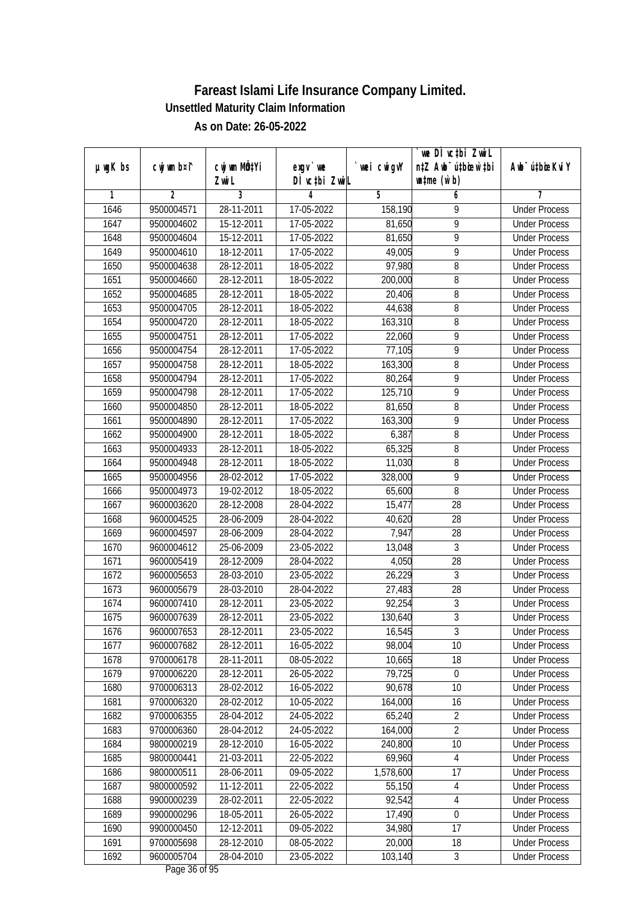|               |                |                           |                  |             | we DI vctbi ZwiL                 |                             |
|---------------|----------------|---------------------------|------------------|-------------|----------------------------------|-----------------------------|
| $µ$ ug $K$ bs | cwj wm b¤i^    | cwj wm MQ <sup>1</sup> Yi | $exgV$ we        | `wei cwigvY | n‡Z Awb <sup>-</sup> ú‡bicen`‡bi | Awb <sup>-</sup> ú‡bioeKviY |
|               |                | Zwi L                     | DÌ vctbi ZwiL    |             | $\n  untime\n  (u`b)\n$          |                             |
| 1             | $\overline{2}$ | 3                         | 4                | 5           | 6                                | 7                           |
| 1646          | 9500004571     | 28-11-2011                | 17-05-2022       | 158,190     | 9                                | <b>Under Process</b>        |
| 1647          | 9500004602     | 15-12-2011                | 17-05-2022       | 81,650      | $\overline{9}$                   | <b>Under Process</b>        |
| 1648          | 9500004604     | 15-12-2011                | 17-05-2022       | 81,650      | $\overline{9}$                   | <b>Under Process</b>        |
| 1649          | 9500004610     | 18-12-2011                | 17-05-2022       | 49,005      | 9                                | <b>Under Process</b>        |
| 1650          | 9500004638     | $28-12-2011$              | 18-05-2022       | 97,980      | 8                                | <b>Under Process</b>        |
| 1651          | 9500004660     | 28-12-2011                | 18-05-2022       | 200,000     | 8                                | <b>Under Process</b>        |
| 1652          | 9500004685     | 28-12-2011                | 18-05-2022       | 20,406      | 8                                | <b>Under Process</b>        |
| 1653          | 9500004705     | 28-12-2011                | 18-05-2022       | 44,638      | $\overline{8}$                   | <b>Under Process</b>        |
| 1654          | 9500004720     | 28-12-2011                | 18-05-2022       | 163,310     | 8                                | <b>Under Process</b>        |
| 1655          | 9500004751     | 28-12-2011                | 17-05-2022       | 22,060      | 9                                | <b>Under Process</b>        |
| 1656          | 9500004754     | 28-12-2011                | 17-05-2022       | 77,105      | 9                                | <b>Under Process</b>        |
| 1657          | 9500004758     | 28-12-2011                | 18-05-2022       | 163,300     | 8                                | <b>Under Process</b>        |
| 1658          | 9500004794     | 28-12-2011                | 17-05-2022       | 80,264      | $\overline{9}$                   | <b>Under Process</b>        |
| 1659          | 9500004798     | 28-12-2011                | 17-05-2022       | 125,710     | 9                                | <b>Under Process</b>        |
| 1660          | 9500004850     | 28-12-2011                | 18-05-2022       | 81,650      | 8                                | <b>Under Process</b>        |
| 1661          | 9500004890     | 28-12-2011                | 17-05-2022       | 163,300     | 9                                | <b>Under Process</b>        |
| 1662          | 9500004900     | 28-12-2011                | 18-05-2022       | 6,387       | 8                                | <b>Under Process</b>        |
| 1663          | 9500004933     | 28-12-2011                | 18-05-2022       | 65,325      | 8                                | <b>Under Process</b>        |
| 1664          | 9500004948     | 28-12-2011                | 18-05-2022       | 11,030      | 8                                | <b>Under Process</b>        |
| 1665          | 9500004956     | 28-02-2012                | 17-05-2022       | 328,000     | 9                                | <b>Under Process</b>        |
| 1666          | 9500004973     | 19-02-2012                | 18-05-2022       | 65,600      | 8                                | <b>Under Process</b>        |
| 1667          | 9600003620     | 28-12-2008                | 28-04-2022       | 15,477      | 28                               | <b>Under Process</b>        |
| 1668          | 9600004525     | 28-06-2009                | 28-04-2022       | 40,620      | 28                               | <b>Under Process</b>        |
| 1669          | 9600004597     | 28-06-2009                | 28-04-2022       | 7,947       | 28                               | <b>Under Process</b>        |
| 1670          | 9600004612     | 25-06-2009                | 23-05-2022       | 13,048      | 3                                | <b>Under Process</b>        |
| 1671          | 9600005419     | 28-12-2009                | 28-04-2022       | 4,050       | 28                               | <b>Under Process</b>        |
| 1672          | 9600005653     | 28-03-2010                | 23-05-2022       | 26,229      | 3                                | <b>Under Process</b>        |
| 1673          | 9600005679     | 28-03-2010                | 28-04-2022       | 27,483      | 28                               | <b>Under Process</b>        |
| 1674          | 9600007410     | 28-12-2011                | 23-05-2022       | 92,254      | $\overline{3}$                   | <b>Under Process</b>        |
| 1675          | 9600007639     | 28-12-2011                | 23-05-2022       | 130,640     | $\overline{3}$                   | <b>Under Process</b>        |
| 1676          | 9600007653     | 28-12-2011                | 23-05-2022       | 16,545      | 3                                | <b>Under Process</b>        |
| 1677          | 9600007682     | 28-12-2011                | 16-05-2022       | 98,004      | 10                               | <b>Under Process</b>        |
| 1678          | 9700006178     | 28-11-2011                | 08-05-2022       | 10,665      | 18                               | <b>Under Process</b>        |
| 1679          | 9700006220     | 28-12-2011                | 26-05-2022       | 79,725      | $\boldsymbol{0}$                 | <b>Under Process</b>        |
| 1680          | 9700006313     | 28-02-2012                | 16-05-2022       | 90,678      | 10                               | <b>Under Process</b>        |
| 1681          | 9700006320     | 28-02-2012                | 10-05-2022       | 164,000     | 16                               | <b>Under Process</b>        |
| 1682          | 9700006355     | 28-04-2012                | 24-05-2022       | 65,240      | $\overline{2}$                   | <b>Under Process</b>        |
| 1683          | 9700006360     | 28-04-2012                | 24-05-2022       | 164,000     | $\overline{2}$                   | <b>Under Process</b>        |
| 1684          | 9800000219     | 28-12-2010                | 16-05-2022       | 240,800     | 10                               | <b>Under Process</b>        |
| 1685          | 9800000441     | 21-03-2011                | 22-05-2022       | 69,960      | $\overline{4}$                   | <b>Under Process</b>        |
| 1686          | 9800000511     | 28-06-2011                | 09-05-2022       | 1,578,600   | 17                               | <b>Under Process</b>        |
| 1687          | 9800000592     | 11-12-2011                | 22-05-2022       | 55,150      | 4                                | <b>Under Process</b>        |
| 1688          | 9900000239     | 28-02-2011                | $22 - 05 - 2022$ | 92,542      | 4                                | <b>Under Process</b>        |
| 1689          | 9900000296     | 18-05-2011                | 26-05-2022       | 17,490      | $\overline{0}$                   | <b>Under Process</b>        |
| 1690          | 9900000450     | 12-12-2011                | 09-05-2022       | 34,980      | 17                               | <b>Under Process</b>        |
| 1691          | 9700005698     | 28-12-2010                | 08-05-2022       | 20,000      | 18                               | <b>Under Process</b>        |
| 1692          | 9600005704     | 28-04-2010                | 23-05-2022       | 103,140     | $\mathfrak{Z}$                   | <b>Under Process</b>        |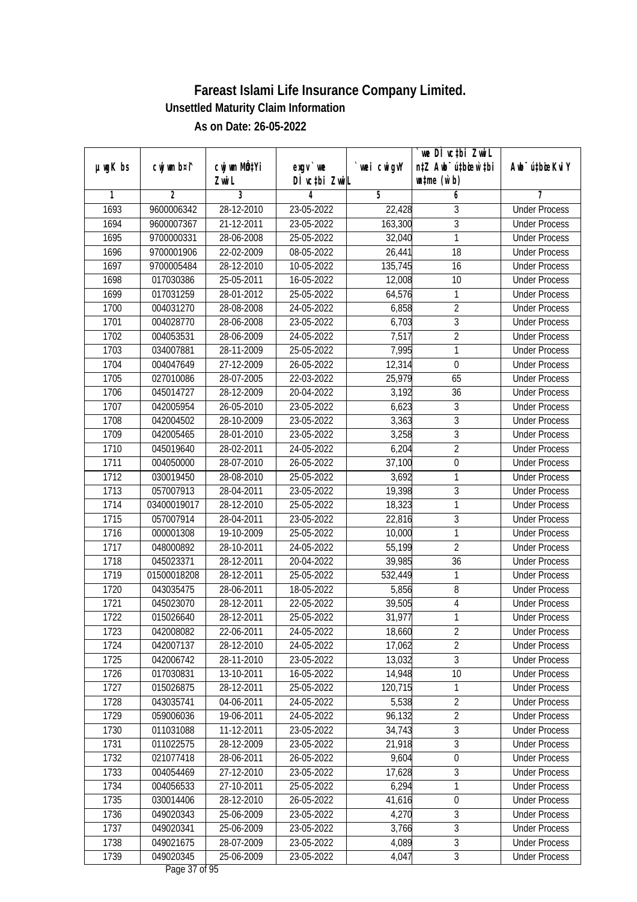|               |                |                       |                            |            | we DI vctbi ZwiL<br>n‡Z Awb <sup>-</sup> ú‡bicen`‡bi |                             |
|---------------|----------------|-----------------------|----------------------------|------------|------------------------------------------------------|-----------------------------|
| $µ$ ug $K$ bs | cwj wm b¤i^    | cwj wm MQtYi<br>Zwi L | $exgV$ we<br>DÌ vctbi ZwiL | wei cwigvY | $\n  untime\n  (u`b)\n$                              | Awb <sup>-</sup> ú‡bioeKviY |
| 1             | $\overline{2}$ | 3                     | 4                          | 5          | 6                                                    | 7                           |
| 1693          | 9600006342     | 28-12-2010            | 23-05-2022                 | 22,428     | 3                                                    | <b>Under Process</b>        |
| 1694          | 9600007367     | 21-12-2011            | 23-05-2022                 | 163,300    | $\overline{3}$                                       | <b>Under Process</b>        |
| 1695          | 9700000331     | 28-06-2008            | 25-05-2022                 | 32,040     | $\mathbf{1}$                                         | <b>Under Process</b>        |
| 1696          | 9700001906     | 22-02-2009            | 08-05-2022                 | 26,441     | 18                                                   | <b>Under Process</b>        |
| 1697          | 9700005484     | 28-12-2010            | 10-05-2022                 | 135,745    | 16                                                   | <b>Under Process</b>        |
| 1698          | 017030386      | 25-05-2011            | 16-05-2022                 | 12,008     | 10                                                   | <b>Under Process</b>        |
| 1699          | 017031259      | 28-01-2012            | 25-05-2022                 | 64,576     | 1                                                    | <b>Under Process</b>        |
| 1700          | 004031270      | 28-08-2008            | 24-05-2022                 | 6,858      | $\overline{2}$                                       | <b>Under Process</b>        |
| 1701          | 004028770      | 28-06-2008            | 23-05-2022                 | 6,703      | $\overline{3}$                                       | <b>Under Process</b>        |
| 1702          | 004053531      | 28-06-2009            | 24-05-2022                 | 7,517      | $\overline{2}$                                       | <b>Under Process</b>        |
| 1703          | 034007881      | 28-11-2009            | 25-05-2022                 | 7,995      | $\mathbf{1}$                                         | <b>Under Process</b>        |
| 1704          | 004047649      | 27-12-2009            | 26-05-2022                 | 12,314     | $\boldsymbol{0}$                                     | <b>Under Process</b>        |
| 1705          | 027010086      | 28-07-2005            | 22-03-2022                 | 25,979     | 65                                                   | <b>Under Process</b>        |
| 1706          | 045014727      | 28-12-2009            | 20-04-2022                 | 3,192      | 36                                                   | <b>Under Process</b>        |
| 1707          | 042005954      | 26-05-2010            | 23-05-2022                 | 6,623      | $\sqrt{3}$                                           | <b>Under Process</b>        |
| 1708          | 042004502      | 28-10-2009            | 23-05-2022                 | 3,363      | $\overline{3}$                                       | <b>Under Process</b>        |
| 1709          | 042005465      | 28-01-2010            | 23-05-2022                 | 3,258      | $\mathfrak{Z}$                                       | <b>Under Process</b>        |
| 1710          | 045019640      | 28-02-2011            | 24-05-2022                 | 6,204      | $\overline{2}$                                       | <b>Under Process</b>        |
| 1711          | 004050000      | 28-07-2010            | 26-05-2022                 | 37,100     | $\boldsymbol{0}$                                     | <b>Under Process</b>        |
| 1712          | 030019450      | 28-08-2010            | 25-05-2022                 | 3,692      | 1                                                    | <b>Under Process</b>        |
| 1713          | 057007913      | 28-04-2011            | 23-05-2022                 | 19,398     | $\mathfrak{Z}$                                       | <b>Under Process</b>        |
| 1714          | 03400019017    | 28-12-2010            | 25-05-2022                 | 18,323     | 1                                                    | <b>Under Process</b>        |
| 1715          | 057007914      | 28-04-2011            | 23-05-2022                 | 22,816     | $\mathfrak{Z}$                                       | <b>Under Process</b>        |
| 1716          | 000001308      | 19-10-2009            | 25-05-2022                 | 10,000     | $\mathbf{1}$                                         | <b>Under Process</b>        |
| 1717          | 048000892      | 28-10-2011            | 24-05-2022                 | 55,199     | $\overline{2}$                                       | <b>Under Process</b>        |
| 1718          | 045023371      | 28-12-2011            | 20-04-2022                 | 39,985     | 36                                                   | <b>Under Process</b>        |
| 1719          | 01500018208    | 28-12-2011            | 25-05-2022                 | 532,449    | 1                                                    | <b>Under Process</b>        |
| 1720          | 043035475      | 28-06-2011            | 18-05-2022                 | 5,856      | 8                                                    | <b>Under Process</b>        |
| 1721          | 045023070      | 28-12-2011            | 22-05-2022                 | 39,505     | $\sqrt{4}$                                           | <b>Under Process</b>        |
| 1722          | 015026640      | 28-12-2011            | 25-05-2022                 | 31,977     | $\mathbf{1}$                                         | <b>Under Process</b>        |
| 1723          | 042008082      | 22-06-2011            | 24-05-2022                 | 18,660     | 2                                                    | <b>Under Process</b>        |
| 1724          | 042007137      | 28-12-2010            | 24-05-2022                 | 17,062     | $\overline{2}$                                       | <b>Under Process</b>        |
| 1725          | 042006742      | 28-11-2010            | 23-05-2022                 | 13,032     | $\overline{3}$                                       | <b>Under Process</b>        |
| 1726          | 017030831      | 13-10-2011            | 16-05-2022                 | 14,948     | 10                                                   | <b>Under Process</b>        |
| 1727          | 015026875      | 28-12-2011            | 25-05-2022                 | 120,715    | 1                                                    | <b>Under Process</b>        |
| 1728          | 043035741      | 04-06-2011            | 24-05-2022                 | 5,538      | $\overline{2}$                                       | <b>Under Process</b>        |
| 1729          | 059006036      | 19-06-2011            | 24-05-2022                 | 96,132     | $\overline{2}$                                       | <b>Under Process</b>        |
| 1730          | 011031088      | 11-12-2011            | 23-05-2022                 | 34,743     | $\overline{3}$                                       | <b>Under Process</b>        |
| 1731          | 011022575      | 28-12-2009            | 23-05-2022                 | 21,918     | $\overline{3}$                                       | <b>Under Process</b>        |
| 1732          | 021077418      | 28-06-2011            | 26-05-2022                 | 9,604      | $\boldsymbol{0}$                                     | <b>Under Process</b>        |
| 1733          | 004054469      | 27-12-2010            | 23-05-2022                 | 17,628     | 3                                                    | <b>Under Process</b>        |
| 1734          | 004056533      | 27-10-2011            | 25-05-2022                 | 6,294      | $\mathbf{1}$                                         | <b>Under Process</b>        |
| 1735          | 030014406      | 28-12-2010            | 26-05-2022                 | 41,616     | $\boldsymbol{0}$                                     | <b>Under Process</b>        |
| 1736          | 049020343      | 25-06-2009            | 23-05-2022                 | 4,270      | $\sqrt{3}$                                           | <b>Under Process</b>        |
| 1737          | 049020341      | 25-06-2009            | 23-05-2022                 | 3,766      | $\overline{3}$                                       | <b>Under Process</b>        |
| 1738          | 049021675      | 28-07-2009            | 23-05-2022                 | 4,089      | $\overline{3}$                                       | <b>Under Process</b>        |
| 1739          | 049020345      | 25-06-2009            | 23-05-2022                 | 4,047      | $\overline{3}$                                       | <b>Under Process</b>        |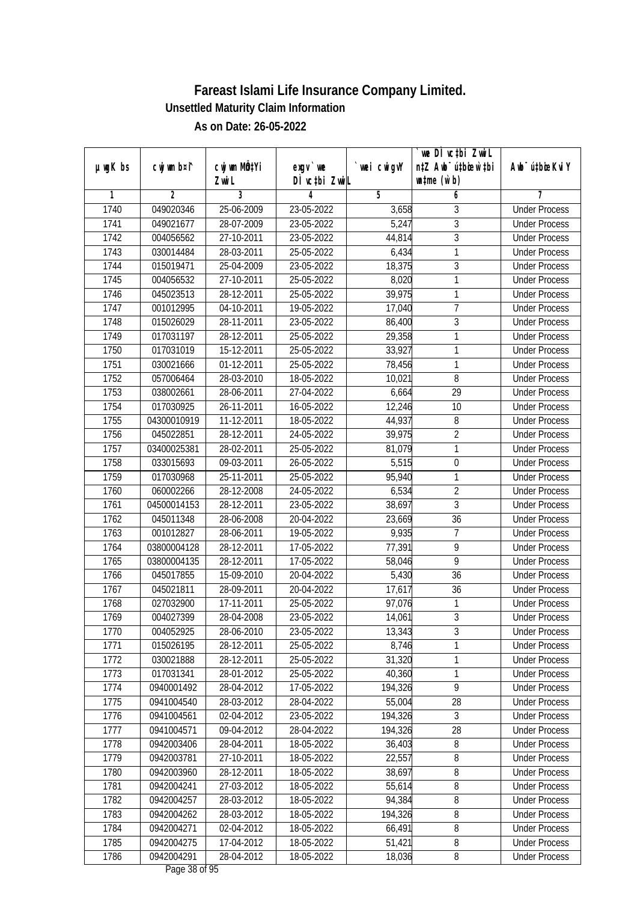|               |                |              |               |             | `we DÌ vc‡bi ZwwiL               |                             |
|---------------|----------------|--------------|---------------|-------------|----------------------------------|-----------------------------|
| $µ$ ug $K$ bs | cwj wm b¤i^    | cwj wm MQtYi | exgy `we      | `wei cwigvY | n‡Z Awb <sup>-</sup> ú‡bioen`‡bi | Awb <sup>-</sup> ú‡bioeKviY |
|               |                | Zwi L        | DÌ vcțbi ZwiL |             | $\n  untime\n  (u`b)\n$          |                             |
| 1             | $\overline{2}$ | 3            | 4             | 5           | 6                                | 7                           |
| 1740          | 049020346      | 25-06-2009   | 23-05-2022    | 3,658       | 3                                | <b>Under Process</b>        |
| 1741          | 049021677      | 28-07-2009   | 23-05-2022    | 5,247       | $\overline{3}$                   | <b>Under Process</b>        |
| 1742          | 004056562      | 27-10-2011   | 23-05-2022    | 44,814      | $\overline{3}$                   | <b>Under Process</b>        |
| 1743          | 030014484      | 28-03-2011   | 25-05-2022    | 6,434       | 1                                | <b>Under Process</b>        |
| 1744          | 015019471      | 25-04-2009   | 23-05-2022    | 18,375      | $\overline{3}$                   | <b>Under Process</b>        |
| 1745          | 004056532      | 27-10-2011   | 25-05-2022    | 8,020       | 1                                | <b>Under Process</b>        |
| 1746          | 045023513      | 28-12-2011   | 25-05-2022    | 39,975      | 1                                | <b>Under Process</b>        |
| 1747          | 001012995      | 04-10-2011   | 19-05-2022    | 17,040      | 7                                | <b>Under Process</b>        |
| 1748          | 015026029      | 28-11-2011   | 23-05-2022    | 86,400      | 3                                | <b>Under Process</b>        |
| 1749          | 017031197      | 28-12-2011   | 25-05-2022    | 29,358      | 1                                | <b>Under Process</b>        |
| 1750          | 017031019      | 15-12-2011   | 25-05-2022    | 33,927      | 1                                | <b>Under Process</b>        |
| 1751          | 030021666      | 01-12-2011   | 25-05-2022    | 78,456      | 1                                | <b>Under Process</b>        |
| 1752          | 057006464      | 28-03-2010   | 18-05-2022    | 10,021      | $\overline{8}$                   | <b>Under Process</b>        |
| 1753          | 038002661      | 28-06-2011   | 27-04-2022    | 6,664       | 29                               | <b>Under Process</b>        |
| 1754          | 017030925      | 26-11-2011   | 16-05-2022    | 12,246      | 10                               | <b>Under Process</b>        |
| 1755          | 04300010919    | 11-12-2011   | 18-05-2022    | 44,937      | 8                                | <b>Under Process</b>        |
| 1756          | 045022851      | 28-12-2011   | 24-05-2022    | 39,975      | $\overline{2}$                   | <b>Under Process</b>        |
| 1757          | 03400025381    | 28-02-2011   | 25-05-2022    | 81,079      | 1                                | <b>Under Process</b>        |
| 1758          | 033015693      | 09-03-2011   | 26-05-2022    | 5,515       | $\boldsymbol{0}$                 | <b>Under Process</b>        |
| 1759          | 017030968      | 25-11-2011   | 25-05-2022    | 95,940      | 1                                | <b>Under Process</b>        |
| 1760          | 060002266      | 28-12-2008   | 24-05-2022    | 6,534       | $\overline{2}$                   | <b>Under Process</b>        |
| 1761          | 04500014153    | 28-12-2011   | 23-05-2022    | 38,697      | 3                                | <b>Under Process</b>        |
| 1762          | 045011348      | 28-06-2008   | 20-04-2022    | 23,669      | 36                               | <b>Under Process</b>        |
| 1763          | 001012827      | 28-06-2011   | 19-05-2022    | 9,935       | $\overline{1}$                   | <b>Under Process</b>        |
| 1764          | 03800004128    | 28-12-2011   | 17-05-2022    | 77,391      | 9                                | <b>Under Process</b>        |
| 1765          | 03800004135    | 28-12-2011   | 17-05-2022    | 58,046      | 9                                | <b>Under Process</b>        |
| 1766          | 045017855      | 15-09-2010   | 20-04-2022    | 5,430       | 36                               | <b>Under Process</b>        |
| 1767          | 045021811      | 28-09-2011   | 20-04-2022    | 17,617      | 36                               | <b>Under Process</b>        |
| 1768          | 027032900      | 17-11-2011   | 25-05-2022    | 97,076      | 1                                | <b>Under Process</b>        |
| 1769          | 004027399      | 28-04-2008   | 23-05-2022    | 14,061      | $\overline{3}$                   | <b>Under Process</b>        |
| 1770          | 004052925      | 28-06-2010   | 23-05-2022    | 13,343      | 3                                | <b>Under Process</b>        |
| 1771          | 015026195      | 28-12-2011   | 25-05-2022    | 8,746       | 1                                | <b>Under Process</b>        |
| 1772          | 030021888      | 28-12-2011   | 25-05-2022    | 31,320      | 1                                | <b>Under Process</b>        |
| 1773          | 017031341      | 28-01-2012   | 25-05-2022    | 40,360      | 1                                | <b>Under Process</b>        |
| 1774          | 0940001492     | 28-04-2012   | 17-05-2022    | 194,326     | 9                                | <b>Under Process</b>        |
| 1775          | 0941004540     | 28-03-2012   | 28-04-2022    | 55,004      | 28                               | <b>Under Process</b>        |
| 1776          | 0941004561     | 02-04-2012   | 23-05-2022    | 194,326     | 3                                | <b>Under Process</b>        |
| 1777          | 0941004571     | 09-04-2012   | 28-04-2022    | 194,326     | 28                               | <b>Under Process</b>        |
| 1778          | 0942003406     | 28-04-2011   | 18-05-2022    | 36,403      | $\overline{8}$                   | <b>Under Process</b>        |
| 1779          | 0942003781     | 27-10-2011   | 18-05-2022    | 22,557      | 8                                | <b>Under Process</b>        |
| 1780          | 0942003960     | 28-12-2011   | 18-05-2022    | 38,697      | 8                                | <b>Under Process</b>        |
| 1781          | 0942004241     | 27-03-2012   | 18-05-2022    | 55,614      | $\overline{8}$                   | <b>Under Process</b>        |
| 1782          | 0942004257     | 28-03-2012   | 18-05-2022    | 94,384      | 8                                | <b>Under Process</b>        |
| 1783          | 0942004262     | 28-03-2012   | 18-05-2022    | 194,326     | $\overline{8}$                   | <b>Under Process</b>        |
| 1784          | 0942004271     | 02-04-2012   | 18-05-2022    | 66,491      | $\overline{8}$                   | <b>Under Process</b>        |
| 1785          | 0942004275     | 17-04-2012   | 18-05-2022    | 51,421      | 8                                | <b>Under Process</b>        |
| 1786          | 0942004291     | 28-04-2012   | 18-05-2022    | 18,036      | 8                                | <b>Under Process</b>        |
|               |                |              |               |             |                                  |                             |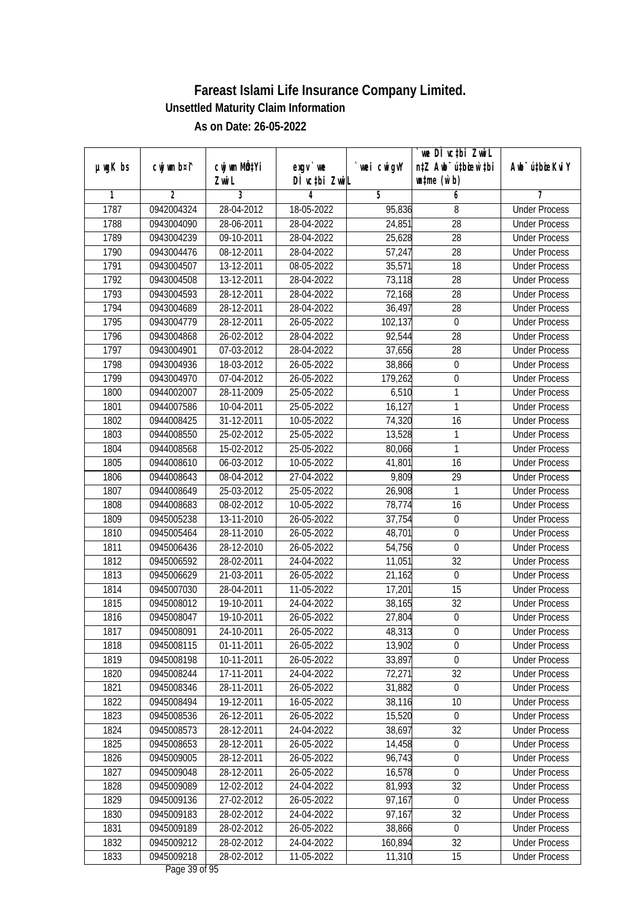|               | cwj wm b¤i^    | cwj wm MQtYi |                           | wei cwigvY | we DI vctbi ZwiL<br>n‡Z Awb <sup>-</sup> ú‡bioar`‡bi | Awb <sup>-</sup> ú‡bioeKviY |
|---------------|----------------|--------------|---------------------------|------------|------------------------------------------------------|-----------------------------|
| $µ$ ug $K$ bs |                | Zwi L        | exgv `we<br>DÌ vctbi ZwiL |            | $\n  untime\n  (u`b)\n$                              |                             |
| 1             | $\overline{2}$ | 3            | 4                         | 5          | 6                                                    | 7                           |
| 1787          | 0942004324     | 28-04-2012   | 18-05-2022                | 95,836     | 8                                                    | <b>Under Process</b>        |
| 1788          | 0943004090     | 28-06-2011   | 28-04-2022                | 24,851     | $\overline{28}$                                      | <b>Under Process</b>        |
| 1789          | 0943004239     | 09-10-2011   | 28-04-2022                | 25,628     | $\overline{28}$                                      | <b>Under Process</b>        |
| 1790          | 0943004476     | 08-12-2011   | 28-04-2022                | 57,247     | 28                                                   | <b>Under Process</b>        |
| 1791          | 0943004507     | 13-12-2011   | 08-05-2022                | 35,571     | $\overline{18}$                                      | <b>Under Process</b>        |
| 1792          | 0943004508     | 13-12-2011   | 28-04-2022                | 73,118     | $\overline{28}$                                      | <b>Under Process</b>        |
| 1793          | 0943004593     | 28-12-2011   | 28-04-2022                | 72,168     | 28                                                   | <b>Under Process</b>        |
| 1794          | 0943004689     | 28-12-2011   | 28-04-2022                | 36,497     | 28                                                   | <b>Under Process</b>        |
| 1795          | 0943004779     | 28-12-2011   | 26-05-2022                | 102,137    | $\boldsymbol{0}$                                     | <b>Under Process</b>        |
| 1796          | 0943004868     | 26-02-2012   | 28-04-2022                | 92,544     | 28                                                   | <b>Under Process</b>        |
| 1797          | 0943004901     | 07-03-2012   | 28-04-2022                | 37,656     | $\overline{28}$                                      | <b>Under Process</b>        |
| 1798          | 0943004936     | 18-03-2012   | 26-05-2022                | 38,866     | $\boldsymbol{0}$                                     | <b>Under Process</b>        |
| 1799          | 0943004970     | 07-04-2012   | 26-05-2022                | 179,262    | $\overline{0}$                                       | <b>Under Process</b>        |
| 1800          | 0944002007     | 28-11-2009   | 25-05-2022                | 6,510      | 1                                                    | <b>Under Process</b>        |
| 1801          | 0944007586     | 10-04-2011   | 25-05-2022                | 16,127     | $\mathbf{1}$                                         | <b>Under Process</b>        |
| 1802          | 0944008425     | 31-12-2011   | 10-05-2022                | 74,320     | 16                                                   | <b>Under Process</b>        |
| 1803          | 0944008550     | 25-02-2012   | 25-05-2022                | 13,528     | 1                                                    | <b>Under Process</b>        |
| 1804          | 0944008568     | 15-02-2012   | 25-05-2022                | 80,066     | $\mathbf{1}$                                         | <b>Under Process</b>        |
| 1805          | 0944008610     | 06-03-2012   | 10-05-2022                | 41,801     | 16                                                   | <b>Under Process</b>        |
| 1806          | 0944008643     | 08-04-2012   | 27-04-2022                | 9,809      | 29                                                   | <b>Under Process</b>        |
| 1807          | 0944008649     | 25-03-2012   | 25-05-2022                | 26,908     | $\mathbf{1}$                                         | <b>Under Process</b>        |
| 1808          | 0944008683     | 08-02-2012   | 10-05-2022                | 78,774     | 16                                                   | <b>Under Process</b>        |
| 1809          | 0945005238     | 13-11-2010   | 26-05-2022                | 37,754     | $\boldsymbol{0}$                                     | <b>Under Process</b>        |
| 1810          | 0945005464     | 28-11-2010   | 26-05-2022                | 48,701     | $\boldsymbol{0}$                                     | <b>Under Process</b>        |
| 1811          | 0945006436     | 28-12-2010   | 26-05-2022                | 54,756     | $\mathbf 0$                                          | <b>Under Process</b>        |
| 1812          | 0945006592     | 28-02-2011   | 24-04-2022                | 11,051     | 32                                                   | <b>Under Process</b>        |
| 1813          | 0945006629     | 21-03-2011   | 26-05-2022                | 21,162     | $\mathbf 0$                                          | <b>Under Process</b>        |
| 1814          | 0945007030     | 28-04-2011   | 11-05-2022                | 17,201     | 15                                                   | <b>Under Process</b>        |
| 1815          | 0945008012     | 19-10-2011   | 24-04-2022                | 38,165     | 32                                                   | <b>Under Process</b>        |
| 1816          | 0945008047     | 19-10-2011   | 26-05-2022                | 27,804     | $\boldsymbol{0}$                                     | <b>Under Process</b>        |
| 1817          | 0945008091     | 24-10-2011   | 26-05-2022                | 48,313     | 0                                                    | <b>Under Process</b>        |
| 1818          | 0945008115     | 01-11-2011   | 26-05-2022                | 13,902     | $\boldsymbol{0}$                                     | <b>Under Process</b>        |
| 1819          | 0945008198     | 10-11-2011   | 26-05-2022                | 33,897     | $\mathbf 0$                                          | <b>Under Process</b>        |
| 1820          | 0945008244     | 17-11-2011   | 24-04-2022                | 72,271     | 32                                                   | <b>Under Process</b>        |
| 1821          | 0945008346     | 28-11-2011   | 26-05-2022                | 31,882     | $\boldsymbol{0}$                                     | <b>Under Process</b>        |
| 1822          | 0945008494     | 19-12-2011   | 16-05-2022                | 38,116     | 10                                                   | <b>Under Process</b>        |
| 1823          | 0945008536     | 26-12-2011   | 26-05-2022                | 15,520     | $\boldsymbol{0}$                                     | <b>Under Process</b>        |
| 1824          | 0945008573     | 28-12-2011   | 24-04-2022                | 38,697     | 32                                                   | <b>Under Process</b>        |
| 1825          | 0945008653     | 28-12-2011   | 26-05-2022                | 14,458     | $\boldsymbol{0}$                                     | <b>Under Process</b>        |
| 1826          | 0945009005     | 28-12-2011   | 26-05-2022                | 96,743     | $\boldsymbol{0}$                                     | <b>Under Process</b>        |
| 1827          | 0945009048     | 28-12-2011   | 26-05-2022                | 16,578     | 0                                                    | <b>Under Process</b>        |
| 1828          | 0945009089     | 12-02-2012   | 24-04-2022                | 81,993     | 32                                                   | <b>Under Process</b>        |
| 1829          | 0945009136     | 27-02-2012   | 26-05-2022                | 97,167     | $\mathbf 0$                                          | <b>Under Process</b>        |
| 1830          | 0945009183     | 28-02-2012   | 24-04-2022                | 97,167     | 32                                                   | <b>Under Process</b>        |
| 1831          | 0945009189     | 28-02-2012   | 26-05-2022                | 38,866     | $\pmb{0}$                                            | <b>Under Process</b>        |
| 1832          | 0945009212     | 28-02-2012   | 24-04-2022                | 160,894    | 32                                                   | <b>Under Process</b>        |
| 1833          | 0945009218     | 28-02-2012   | 11-05-2022                | 11,310     | 15                                                   | <b>Under Process</b>        |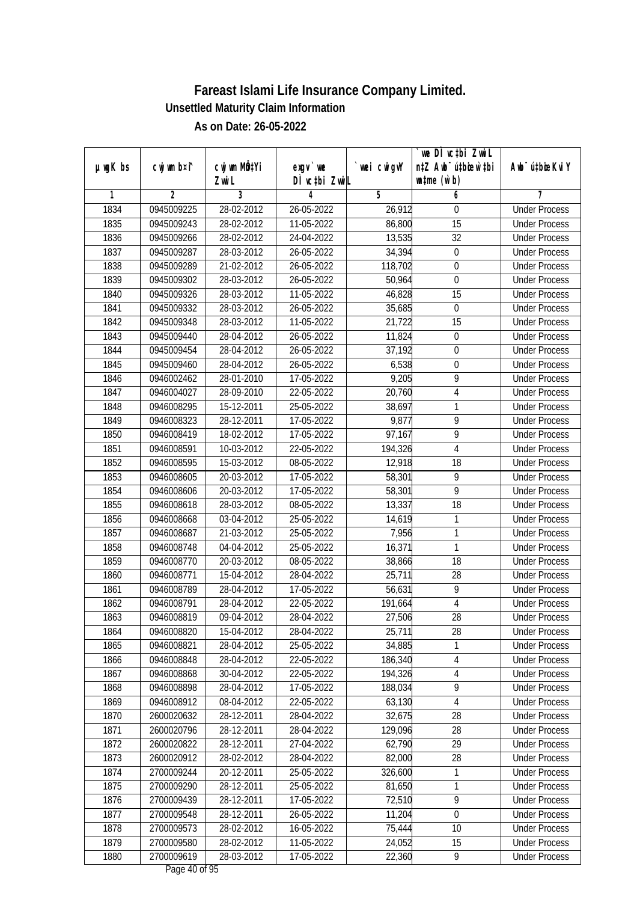|              |                          |                          |                            |                  | we DI vctbi ZwiL                                            |                                              |
|--------------|--------------------------|--------------------------|----------------------------|------------------|-------------------------------------------------------------|----------------------------------------------|
| µwgK bs      | cwj wm b¤i^              | cwj wm MQtYi<br>Zwi L    | $exgv$ we<br>DÌ vctbi ZwiL | `wei cwigvY      | n‡Z Awb <sup>-</sup> ú‡bicen`‡bi<br>$\n  untime\n  (u`b)\n$ | Awb <sup>-</sup> ú‡bioeKviY                  |
| 1            | $\overline{2}$           | 3                        | 4                          | $\overline{5}$   | 6                                                           | 7                                            |
| 1834         | 0945009225               | 28-02-2012               | 26-05-2022                 | 26,912           | 0                                                           | <b>Under Process</b>                         |
| 1835         | 0945009243               | 28-02-2012               | 11-05-2022                 | 86,800           | $\overline{15}$                                             | <b>Under Process</b>                         |
| 1836         | 0945009266               | 28-02-2012               | 24-04-2022                 | 13,535           | $\overline{32}$                                             | <b>Under Process</b>                         |
| 1837         | 0945009287               | 28-03-2012               | 26-05-2022                 | 34,394           | $\boldsymbol{0}$                                            | <b>Under Process</b>                         |
| 1838         | 0945009289               | 21-02-2012               | 26-05-2022                 | 118,702          | $\overline{0}$                                              | <b>Under Process</b>                         |
| 1839         | 0945009302               | 28-03-2012               | 26-05-2022                 | 50,964           | 0                                                           | <b>Under Process</b>                         |
| 1840         | 0945009326               | 28-03-2012               | 11-05-2022                 | 46,828           | $\overline{15}$                                             | <b>Under Process</b>                         |
| 1841         | 0945009332               | 28-03-2012               | 26-05-2022                 | 35,685           | $\boldsymbol{0}$                                            | <b>Under Process</b>                         |
| 1842         | 0945009348               | 28-03-2012               | 11-05-2022                 | 21,722           | $\overline{15}$                                             | <b>Under Process</b>                         |
| 1843         | 0945009440               | 28-04-2012               | 26-05-2022                 | 11,824           | $\boldsymbol{0}$                                            | <b>Under Process</b>                         |
| 1844         | 0945009454               | 28-04-2012               | 26-05-2022                 | 37,192           | $\boldsymbol{0}$                                            | <b>Under Process</b>                         |
| 1845         | 0945009460               | 28-04-2012               | 26-05-2022                 | 6,538            | 0                                                           | <b>Under Process</b>                         |
| 1846         | 0946002462               | 28-01-2010               | 17-05-2022                 | 9,205            | $\overline{9}$                                              | <b>Under Process</b>                         |
| 1847         | 0946004027               | 28-09-2010               | 22-05-2022                 | 20,760           | $\sqrt{4}$                                                  | <b>Under Process</b>                         |
| 1848         | 0946008295               | 15-12-2011               | 25-05-2022                 | 38,697           | 1                                                           | <b>Under Process</b>                         |
| 1849         | 0946008323               | 28-12-2011               | 17-05-2022                 | 9,877            | 9                                                           | <b>Under Process</b>                         |
| 1850         | 0946008419               | 18-02-2012               | 17-05-2022                 | 97,167           | 9                                                           | <b>Under Process</b>                         |
| 1851         | 0946008591               | 10-03-2012               | 22-05-2022                 | 194,326          | $\overline{4}$                                              | <b>Under Process</b>                         |
| 1852         | 0946008595               | 15-03-2012               | 08-05-2022                 | 12,918           | 18                                                          | <b>Under Process</b>                         |
| 1853         |                          |                          |                            |                  | 9                                                           |                                              |
|              | 0946008605               | 20-03-2012               | 17-05-2022                 | 58,301           | $\overline{9}$                                              | <b>Under Process</b><br><b>Under Process</b> |
| 1854         | 0946008606               | 20-03-2012               | 17-05-2022                 | 58,301           | 18                                                          |                                              |
| 1855         | 0946008618               | 28-03-2012               | 08-05-2022                 | 13,337           |                                                             | <b>Under Process</b>                         |
| 1856         | 0946008668               | 03-04-2012               | 25-05-2022                 | 14,619           | 1<br>$\mathbf{1}$                                           | <b>Under Process</b>                         |
| 1857         | 0946008687               | 21-03-2012               | 25-05-2022                 | 7,956            | 1                                                           | <b>Under Process</b>                         |
| 1858<br>1859 | 0946008748<br>0946008770 | 04-04-2012<br>20-03-2012 | 25-05-2022<br>08-05-2022   | 16,371           | 18                                                          | <b>Under Process</b><br><b>Under Process</b> |
| 1860         |                          | 15-04-2012               |                            | 38,866<br>25,711 | 28                                                          | <b>Under Process</b>                         |
|              | 0946008771<br>0946008789 | 28-04-2012               | 28-04-2022                 |                  | 9                                                           |                                              |
| 1861         |                          |                          | 17-05-2022                 | 56,631           |                                                             | <b>Under Process</b>                         |
| 1862         | 0946008791               | 28-04-2012               | 22-05-2022                 | 191,664          | $\overline{4}$                                              | <b>Under Process</b>                         |
| 1863         | 0946008819               | 09-04-2012               | 28-04-2022                 | 27,506           | 28                                                          | <b>Under Process</b>                         |
| 1864         | 0946008820               | 15-04-2012               | 28-04-2022                 | 25,711           | 28                                                          | <b>Under Process</b>                         |
| 1865         | 0946008821               | 28-04-2012               | 25-05-2022                 | 34,885           | 1                                                           | <b>Under Process</b>                         |
| 1866         | 0946008848               | 28-04-2012               | 22-05-2022                 | 186,340          | $\sqrt{4}$                                                  | <b>Under Process</b>                         |
| 1867         | 0946008868<br>0946008898 | 30-04-2012               | 22-05-2022                 | 194,326          | $\overline{\mathbf{4}}$                                     | <b>Under Process</b>                         |
| 1868         |                          | 28-04-2012               | 17-05-2022                 | 188,034          | 9                                                           | <b>Under Process</b>                         |
| 1869         | 0946008912               | 08-04-2012               | 22-05-2022                 | 63,130           | 4                                                           | <b>Under Process</b>                         |
| 1870         | 2600020632               | 28-12-2011               | 28-04-2022                 | 32,675           | 28                                                          | <b>Under Process</b>                         |
| 1871         | 2600020796               | 28-12-2011               | 28-04-2022                 | 129,096          | 28                                                          | <b>Under Process</b>                         |
| 1872         | 2600020822               | 28-12-2011               | 27-04-2022                 | 62,790           | 29                                                          | <b>Under Process</b>                         |
| 1873         | 2600020912               | 28-02-2012               | 28-04-2022                 | 82,000           | 28                                                          | <b>Under Process</b>                         |
| 1874         | 2700009244               | 20-12-2011               | 25-05-2022                 | 326,600          | 1                                                           | <b>Under Process</b>                         |
| 1875         | 2700009290               | 28-12-2011               | 25-05-2022                 | 81,650           | 1                                                           | <b>Under Process</b>                         |
| 1876         | 2700009439               | 28-12-2011               | 17-05-2022                 | 72,510           | $\overline{9}$                                              | <b>Under Process</b>                         |
| 1877         | 2700009548               | 28-12-2011               | 26-05-2022                 | 11,204           | $\overline{0}$                                              | <b>Under Process</b>                         |
| 1878         | 2700009573               | 28-02-2012               | 16-05-2022                 | 75,444           | 10                                                          | <b>Under Process</b>                         |
| 1879         | 2700009580               | 28-02-2012               | 11-05-2022                 | 24,052           | 15                                                          | <b>Under Process</b>                         |
| 1880         | 2700009619               | 28-03-2012               | 17-05-2022                 | 22,360           | 9                                                           | <b>Under Process</b>                         |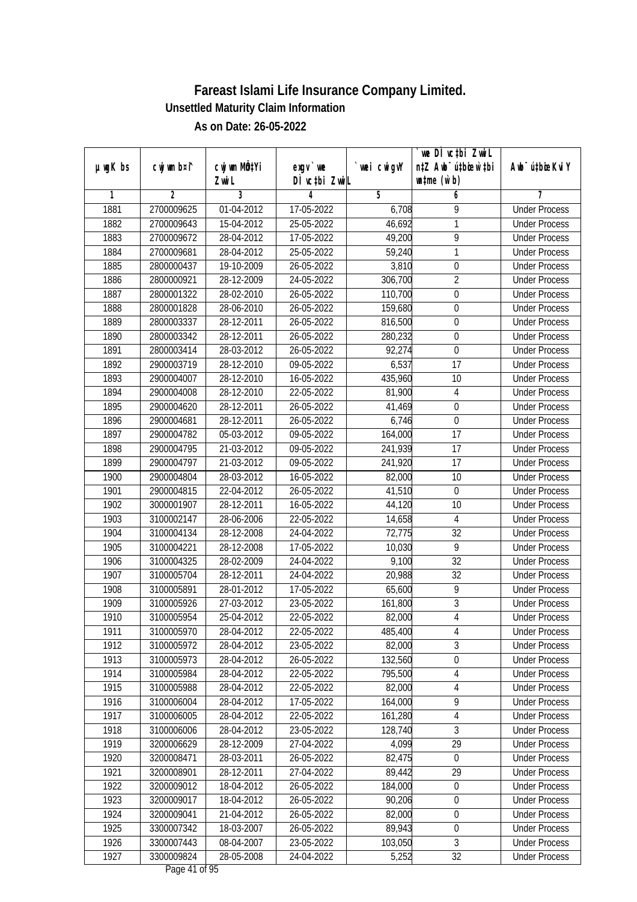|               |             |                           |                  |             | we DI vctbi ZwiL                 |                             |
|---------------|-------------|---------------------------|------------------|-------------|----------------------------------|-----------------------------|
| $µ$ ug $K$ bs | cwj wm b¤i^ | cwj wm MQ <sup>1</sup> Yi | $exgV$ we        | `wei cwigvY | n‡Z Awb <sup>-</sup> ú‡bioen`‡bi | Awb <sup>-</sup> ú‡bioeKviY |
|               |             | Zwi L                     | DÌ vctbi ZwiL    |             | $\n  untime\n  (u`b)\n$          |                             |
| 1             | 2           | 3                         | 4                | 5           | 6                                | 7                           |
| 1881          | 2700009625  | 01-04-2012                | 17-05-2022       | 6,708       | 9                                | <b>Under Process</b>        |
| 1882          | 2700009643  | 15-04-2012                | 25-05-2022       | 46,692      | 1                                | <b>Under Process</b>        |
| 1883          | 2700009672  | 28-04-2012                | 17-05-2022       | 49,200      | 9                                | <b>Under Process</b>        |
| 1884          | 2700009681  | 28-04-2012                | 25-05-2022       | 59,240      | 1                                | <b>Under Process</b>        |
| 1885          | 2800000437  | 19-10-2009                | 26-05-2022       | 3,810       | $\boldsymbol{0}$                 | <b>Under Process</b>        |
| 1886          | 2800000921  | 28-12-2009                | 24-05-2022       | 306,700     | $\overline{2}$                   | <b>Under Process</b>        |
| 1887          | 2800001322  | 28-02-2010                | 26-05-2022       | 110,700     | $\boldsymbol{0}$                 | <b>Under Process</b>        |
| 1888          | 2800001828  | 28-06-2010                | 26-05-2022       | 159,680     | $\overline{0}$                   | <b>Under Process</b>        |
| 1889          | 2800003337  | 28-12-2011                | 26-05-2022       | 816,500     | $\boldsymbol{0}$                 | <b>Under Process</b>        |
| 1890          | 2800003342  | 28-12-2011                | 26-05-2022       | 280,232     | $\boldsymbol{0}$                 | <b>Under Process</b>        |
| 1891          | 2800003414  | 28-03-2012                | 26-05-2022       | 92,274      | $\mathbf 0$                      | <b>Under Process</b>        |
| 1892          | 2900003719  | 28-12-2010                | 09-05-2022       | 6,537       | 17                               | <b>Under Process</b>        |
| 1893          | 2900004007  | 28-12-2010                | 16-05-2022       | 435,960     | $\overline{10}$                  | <b>Under Process</b>        |
| 1894          | 2900004008  | 28-12-2010                | 22-05-2022       | 81,900      | 4                                | <b>Under Process</b>        |
| 1895          | 2900004620  | 28-12-2011                | 26-05-2022       | 41,469      | 0                                | <b>Under Process</b>        |
| 1896          | 2900004681  | 28-12-2011                | 26-05-2022       | 6,746       | $\mathbf 0$                      | <b>Under Process</b>        |
| 1897          | 2900004782  | 05-03-2012                | 09-05-2022       | 164,000     | 17                               | <b>Under Process</b>        |
| 1898          | 2900004795  | 21-03-2012                | 09-05-2022       | 241,939     | 17                               | <b>Under Process</b>        |
| 1899          | 2900004797  | 21-03-2012                | 09-05-2022       | 241,920     | 17                               | <b>Under Process</b>        |
| 1900          | 2900004804  | 28-03-2012                | 16-05-2022       | 82,000      | 10                               | <b>Under Process</b>        |
| 1901          | 2900004815  | 22-04-2012                | 26-05-2022       | 41,510      | $\mathbf 0$                      | <b>Under Process</b>        |
| 1902          | 3000001907  | 28-12-2011                | 16-05-2022       | 44,120      | 10                               | <b>Under Process</b>        |
| 1903          | 3100002147  | 28-06-2006                | 22-05-2022       | 14,658      | $\overline{4}$                   | <b>Under Process</b>        |
| 1904          | 3100004134  | 28-12-2008                | 24-04-2022       | 72,775      | $\overline{32}$                  | <b>Under Process</b>        |
| 1905          | 3100004221  | 28-12-2008                | 17-05-2022       | 10,030      | 9                                | <b>Under Process</b>        |
| 1906          | 3100004325  | 28-02-2009                | 24-04-2022       | 9,100       | 32                               | <b>Under Process</b>        |
| 1907          | 3100005704  | 28-12-2011                | 24-04-2022       | 20,988      | 32                               | <b>Under Process</b>        |
| 1908          | 3100005891  | 28-01-2012                | 17-05-2022       | 65,600      | 9                                | <b>Under Process</b>        |
| 1909          | 3100005926  | 27-03-2012                | 23-05-2022       | 161,800     | $\overline{3}$                   | <b>Under Process</b>        |
| 1910          | 3100005954  | 25-04-2012                | 22-05-2022       | 82,000      | $\overline{4}$                   | <b>Under Process</b>        |
| 1911          | 3100005970  | 28-04-2012                | 22-05-2022       | 485,400     | 4                                | <b>Under Process</b>        |
| 1912          | 3100005972  | 28-04-2012                | 23-05-2022       | 82,000      | $\overline{3}$                   | <b>Under Process</b>        |
| 1913          | 3100005973  | 28-04-2012                | 26-05-2022       | 132,560     | $\boldsymbol{0}$                 | <b>Under Process</b>        |
| 1914          | 3100005984  | 28-04-2012                | 22-05-2022       | 795,500     | 4                                | <b>Under Process</b>        |
| 1915          | 3100005988  | 28-04-2012                | 22-05-2022       | 82,000      | $\sqrt{4}$                       | <b>Under Process</b>        |
| 1916          | 3100006004  | 28-04-2012                | 17-05-2022       | 164,000     | 9                                | <b>Under Process</b>        |
| 1917          | 3100006005  | 28-04-2012                | 22-05-2022       | 161,280     | 4                                | <b>Under Process</b>        |
| 1918          | 3100006006  | 28-04-2012                | 23-05-2022       | 128,740     | 3                                | <b>Under Process</b>        |
| 1919          | 3200006629  | 28-12-2009                | 27-04-2022       | 4,099       | 29                               | <b>Under Process</b>        |
| 1920          | 3200008471  | 28-03-2011                | 26-05-2022       | 82,475      | $\boldsymbol{0}$                 | <b>Under Process</b>        |
| 1921          | 3200008901  | 28-12-2011                | 27-04-2022       | 89,442      | 29                               | <b>Under Process</b>        |
| 1922          | 3200009012  | 18-04-2012                | 26-05-2022       | 184,000     | $\boldsymbol{0}$                 | <b>Under Process</b>        |
| 1923          | 3200009017  | 18-04-2012                | $26 - 05 - 2022$ | 90,206      | $\boldsymbol{0}$                 | <b>Under Process</b>        |
| 1924          | 3200009041  | 21-04-2012                | 26-05-2022       | 82,000      | $\boldsymbol{0}$                 | <b>Under Process</b>        |
| 1925          | 3300007342  | 18-03-2007                | 26-05-2022       | 89,943      | $\overline{0}$                   | <b>Under Process</b>        |
| 1926          | 3300007443  | 08-04-2007                | 23-05-2022       | 103,050     | $\mathfrak{Z}$                   | <b>Under Process</b>        |
| 1927          | 3300009824  | 28-05-2008                | 24-04-2022       | 5,252       | 32                               | <b>Under Process</b>        |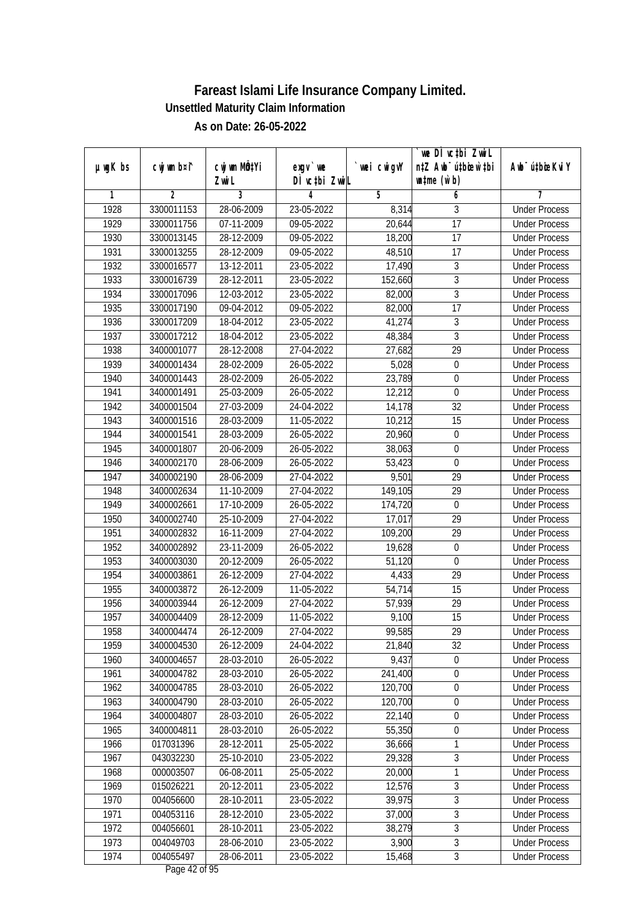|         |                |              |               |            | we DI vctbi Zwil                 |                             |
|---------|----------------|--------------|---------------|------------|----------------------------------|-----------------------------|
| µwgK bs | cwj wm b¤i^    | cwj wm MQtYi | $exqu$ we     | wei cwigvY | n‡Z Awb <sup>-</sup> ú‡biosw`‡bi | Awb <sup>-</sup> ú‡bioeKviY |
|         |                | Zwi L        | DÌ vctbi ZwiL |            | $\n  untime\n  (u`b)\n$          |                             |
| 1       | $\overline{2}$ | 3            | 4             | 5          | 6                                | 7                           |
| 1928    | 3300011153     | 28-06-2009   | 23-05-2022    | 8,314      | 3                                | <b>Under Process</b>        |
| 1929    | 3300011756     | 07-11-2009   | 09-05-2022    | 20,644     | $\overline{17}$                  | <b>Under Process</b>        |
| 1930    | 3300013145     | 28-12-2009   | 09-05-2022    | 18,200     | 17                               | <b>Under Process</b>        |
| 1931    | 3300013255     | 28-12-2009   | 09-05-2022    | 48,510     | 17                               | <b>Under Process</b>        |
| 1932    | 3300016577     | 13-12-2011   | 23-05-2022    | 17,490     | $\overline{3}$                   | <b>Under Process</b>        |
| 1933    | 3300016739     | 28-12-2011   | 23-05-2022    | 152,660    | $\mathfrak{Z}$                   | <b>Under Process</b>        |
| 1934    | 3300017096     | 12-03-2012   | 23-05-2022    | 82,000     | $\overline{3}$                   | <b>Under Process</b>        |
| 1935    | 3300017190     | 09-04-2012   | 09-05-2022    | 82,000     | $\overline{17}$                  | <b>Under Process</b>        |
| 1936    | 3300017209     | 18-04-2012   | 23-05-2022    | 41,274     | $\overline{3}$                   | <b>Under Process</b>        |
| 1937    | 3300017212     | 18-04-2012   | 23-05-2022    | 48,384     | $\mathfrak{Z}$                   | <b>Under Process</b>        |
| 1938    | 3400001077     | 28-12-2008   | 27-04-2022    | 27,682     | $\overline{29}$                  | <b>Under Process</b>        |
| 1939    | 3400001434     | 28-02-2009   | 26-05-2022    | 5,028      | $\boldsymbol{0}$                 | <b>Under Process</b>        |
| 1940    | 3400001443     | 28-02-2009   | 26-05-2022    | 23,789     | $\overline{0}$                   | <b>Under Process</b>        |
| 1941    | 3400001491     | 25-03-2009   | 26-05-2022    | 12,212     | 0                                | <b>Under Process</b>        |
| 1942    | 3400001504     | 27-03-2009   | 24-04-2022    | 14,178     | 32                               | <b>Under Process</b>        |
| 1943    | 3400001516     | 28-03-2009   | 11-05-2022    | 10,212     | 15                               | <b>Under Process</b>        |
| 1944    | 3400001541     | 28-03-2009   | 26-05-2022    | 20,960     | $\boldsymbol{0}$                 | <b>Under Process</b>        |
| 1945    | 3400001807     | 20-06-2009   | 26-05-2022    | 38,063     | 0                                | <b>Under Process</b>        |
| 1946    | 3400002170     | 28-06-2009   | 26-05-2022    | 53,423     | $\boldsymbol{0}$                 | <b>Under Process</b>        |
| 1947    | 3400002190     | 28-06-2009   | 27-04-2022    | 9,501      | 29                               | <b>Under Process</b>        |
| 1948    | 3400002634     | 11-10-2009   | 27-04-2022    | 149,105    | 29                               | <b>Under Process</b>        |
| 1949    | 3400002661     | 17-10-2009   | 26-05-2022    | 174,720    | $\boldsymbol{0}$                 | <b>Under Process</b>        |
| 1950    | 3400002740     | 25-10-2009   | 27-04-2022    | 17,017     | 29                               | <b>Under Process</b>        |
| 1951    | 3400002832     | 16-11-2009   | 27-04-2022    | 109,200    | 29                               | <b>Under Process</b>        |
| 1952    | 3400002892     | 23-11-2009   | 26-05-2022    | 19,628     | $\boldsymbol{0}$                 | <b>Under Process</b>        |
| 1953    | 3400003030     | 20-12-2009   | 26-05-2022    | 51,120     | $\boldsymbol{0}$                 | <b>Under Process</b>        |
| 1954    | 3400003861     | 26-12-2009   | 27-04-2022    | 4,433      | 29                               | <b>Under Process</b>        |
| 1955    | 3400003872     | 26-12-2009   | 11-05-2022    | 54,714     | 15                               | <b>Under Process</b>        |
| 1956    | 3400003944     | 26-12-2009   | 27-04-2022    | 57,939     | 29                               | <b>Under Process</b>        |
| 1957    | 3400004409     | 28-12-2009   | 11-05-2022    | 9,100      | 15                               | <b>Under Process</b>        |
| 1958    | 3400004474     | 26-12-2009   | 27-04-2022    | 99,585     | 29                               | <b>Under Process</b>        |
| 1959    | 3400004530     | 26-12-2009   | 24-04-2022    | 21,840     | 32                               | <b>Under Process</b>        |
| 1960    | 3400004657     | 28-03-2010   | 26-05-2022    | 9,437      | $\mathbf 0$                      | <b>Under Process</b>        |
| 1961    | 3400004782     | 28-03-2010   | 26-05-2022    | 241,400    | $\boldsymbol{0}$                 | <b>Under Process</b>        |
| 1962    | 3400004785     | 28-03-2010   | 26-05-2022    | 120,700    | 0                                | <b>Under Process</b>        |
| 1963    | 3400004790     | 28-03-2010   | 26-05-2022    | 120,700    | 0                                | <b>Under Process</b>        |
| 1964    | 3400004807     | 28-03-2010   | 26-05-2022    | 22,140     | $\boldsymbol{0}$                 | <b>Under Process</b>        |
| 1965    | 3400004811     | 28-03-2010   | 26-05-2022    | 55,350     | 0                                | <b>Under Process</b>        |
| 1966    | 017031396      | 28-12-2011   | 25-05-2022    | 36,666     | 1                                | <b>Under Process</b>        |
| 1967    | 043032230      | 25-10-2010   | 23-05-2022    | 29,328     | $\overline{3}$                   | <b>Under Process</b>        |
| 1968    | 000003507      | 06-08-2011   | 25-05-2022    | 20,000     | 1                                | <b>Under Process</b>        |
| 1969    | 015026221      | 20-12-2011   | 23-05-2022    | 12,576     | $\overline{3}$                   | <b>Under Process</b>        |
| 1970    | 004056600      | 28-10-2011   | 23-05-2022    | 39,975     | $\overline{3}$                   | <b>Under Process</b>        |
| 1971    | 004053116      | 28-12-2010   | 23-05-2022    | 37,000     | $\overline{3}$                   | <b>Under Process</b>        |
| 1972    | 004056601      | 28-10-2011   | 23-05-2022    | 38,279     | $\overline{3}$                   | <b>Under Process</b>        |
| 1973    | 004049703      | 28-06-2010   | 23-05-2022    | 3,900      | $\overline{3}$                   | <b>Under Process</b>        |
| 1974    | 004055497      |              |               |            | $\overline{3}$                   |                             |
|         |                | 28-06-2011   | 23-05-2022    | 15,468     |                                  | <b>Under Process</b>        |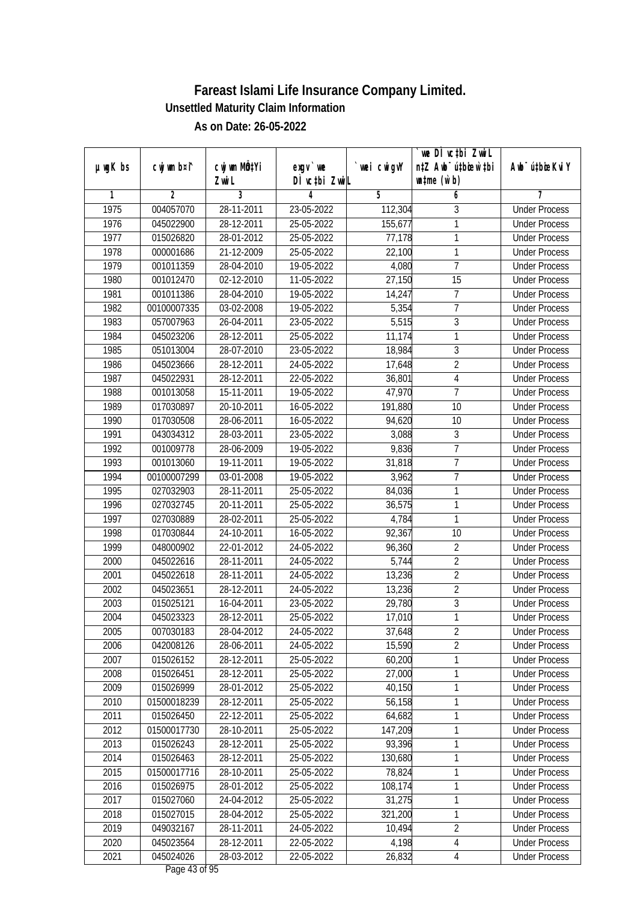|               |                |                           |               |             | we DI vctbi ZwiL                 |                             |
|---------------|----------------|---------------------------|---------------|-------------|----------------------------------|-----------------------------|
| $µ$ ug $K$ bs | cwj wm b¤i^    | cwj wm MQ <sup>1</sup> Yi | $exgV$ we     | `wei cwigvY | n‡Z Awb <sup>-</sup> ú‡bioen`‡bi | Awb <sup>-</sup> ú‡bioeKviY |
|               |                | Zwi L                     | DÌ vctbi ZwiL |             | $\n  untime\n  (u`b)\n$          |                             |
| 1             | $\overline{2}$ | 3                         | 4             | 5           | 6                                | 7                           |
| 1975          | 004057070      | 28-11-2011                | 23-05-2022    | 112,304     | 3                                | <b>Under Process</b>        |
| 1976          | 045022900      | 28-12-2011                | 25-05-2022    | 155,677     | 1                                | <b>Under Process</b>        |
| 1977          | 015026820      | 28-01-2012                | 25-05-2022    | 77,178      | 1                                | <b>Under Process</b>        |
| 1978          | 000001686      | 21-12-2009                | 25-05-2022    | 22,100      | 1                                | <b>Under Process</b>        |
| 1979          | 001011359      | 28-04-2010                | 19-05-2022    | 4,080       | $\overline{7}$                   | <b>Under Process</b>        |
| 1980          | 001012470      | 02-12-2010                | 11-05-2022    | 27,150      | 15                               | <b>Under Process</b>        |
| 1981          | 001011386      | 28-04-2010                | 19-05-2022    | 14,247      | 7                                | <b>Under Process</b>        |
| 1982          | 00100007335    | 03-02-2008                | 19-05-2022    | 5,354       | $\overline{7}$                   | <b>Under Process</b>        |
| 1983          | 057007963      | 26-04-2011                | 23-05-2022    | 5,515       | $\overline{3}$                   | <b>Under Process</b>        |
| 1984          | 045023206      | 28-12-2011                | 25-05-2022    | 11,174      | 1                                | <b>Under Process</b>        |
| 1985          | 051013004      | 28-07-2010                | 23-05-2022    | 18,984      | $\overline{3}$                   | <b>Under Process</b>        |
| 1986          | 045023666      | 28-12-2011                | 24-05-2022    | 17,648      | $\overline{2}$                   | <b>Under Process</b>        |
| 1987          | 045022931      | 28-12-2011                | 22-05-2022    | 36,801      | $\overline{4}$                   | <b>Under Process</b>        |
| 1988          | 001013058      | 15-11-2011                | 19-05-2022    | 47,970      | $\overline{1}$                   | <b>Under Process</b>        |
| 1989          | 017030897      | 20-10-2011                | 16-05-2022    | 191,880     | 10                               | <b>Under Process</b>        |
| 1990          | 017030508      | 28-06-2011                | 16-05-2022    | 94,620      | 10                               | <b>Under Process</b>        |
| 1991          | 043034312      | 28-03-2011                | 23-05-2022    | 3,088       | 3                                | <b>Under Process</b>        |
| 1992          | 001009778      | 28-06-2009                | 19-05-2022    | 9,836       | $\overline{7}$                   | <b>Under Process</b>        |
| 1993          | 001013060      | 19-11-2011                | 19-05-2022    | 31,818      | $\overline{7}$                   | <b>Under Process</b>        |
| 1994          | 00100007299    | 03-01-2008                | 19-05-2022    | 3,962       | 7                                | <b>Under Process</b>        |
| 1995          | 027032903      | 28-11-2011                | 25-05-2022    | 84,036      | 1                                | <b>Under Process</b>        |
| 1996          | 027032745      | 20-11-2011                | 25-05-2022    | 36,575      | 1                                | <b>Under Process</b>        |
| 1997          | 027030889      | 28-02-2011                | 25-05-2022    | 4,784       | 1                                | <b>Under Process</b>        |
| 1998          | 017030844      | 24-10-2011                | 16-05-2022    | 92,367      | 10                               | <b>Under Process</b>        |
| 1999          | 048000902      | 22-01-2012                | 24-05-2022    | 96,360      | $\sqrt{2}$                       | <b>Under Process</b>        |
| 2000          | 045022616      | 28-11-2011                | 24-05-2022    | 5,744       | $\sqrt{2}$                       | <b>Under Process</b>        |
| 2001          | 045022618      | 28-11-2011                | 24-05-2022    | 13,236      | $\overline{2}$                   | <b>Under Process</b>        |
| 2002          | 045023651      | 28-12-2011                | 24-05-2022    | 13,236      | $\overline{2}$                   | <b>Under Process</b>        |
| 2003          | 015025121      | 16-04-2011                | 23-05-2022    | 29,780      | $\overline{3}$                   | <b>Under Process</b>        |
| 2004          | 045023323      | 28-12-2011                | 25-05-2022    | 17,010      | $\overline{1}$                   | <b>Under Process</b>        |
| 2005          | 007030183      | 28-04-2012                | 24-05-2022    | 37,648      | 2                                | <b>Under Process</b>        |
| 2006          | 042008126      | 28-06-2011                | 24-05-2022    | 15,590      | $\overline{2}$                   | <b>Under Process</b>        |
| 2007          | 015026152      | 28-12-2011                | 25-05-2022    | 60,200      | 1                                | <b>Under Process</b>        |
| 2008          | 015026451      | 28-12-2011                | 25-05-2022    | 27,000      | 1                                | <b>Under Process</b>        |
| 2009          | 015026999      | 28-01-2012                | 25-05-2022    | 40,150      | 1                                | <b>Under Process</b>        |
| 2010          | 01500018239    | 28-12-2011                | 25-05-2022    | 56,158      | 1                                | <b>Under Process</b>        |
| 2011          | 015026450      | 22-12-2011                | 25-05-2022    | 64,682      | 1                                | <b>Under Process</b>        |
| 2012          | 01500017730    | 28-10-2011                | 25-05-2022    | 147,209     | 1                                | <b>Under Process</b>        |
| 2013          | 015026243      | 28-12-2011                | 25-05-2022    | 93,396      | 1                                | <b>Under Process</b>        |
| 2014          | 015026463      | 28-12-2011                | 25-05-2022    | 130,680     | 1                                | <b>Under Process</b>        |
| 2015          | 01500017716    | 28-10-2011                | 25-05-2022    | 78,824      | 1                                | <b>Under Process</b>        |
| 2016          | 015026975      | 28-01-2012                | $25-05-2022$  | 108,174     | 1                                | <b>Under Process</b>        |
| 2017          | 015027060      | 24-04-2012                | 25-05-2022    | 31,275      | 1                                | <b>Under Process</b>        |
| 2018          | 015027015      | 28-04-2012                | 25-05-2022    | 321,200     | 1                                | <b>Under Process</b>        |
| 2019          | 049032167      | 28-11-2011                | 24-05-2022    | 10,494      | $\overline{2}$                   | <b>Under Process</b>        |
| 2020          | 045023564      | 28-12-2011                | 22-05-2022    | 4,198       | $\overline{4}$                   | <b>Under Process</b>        |
| 2021          | 045024026      | 28-03-2012                | 22-05-2022    | 26,832      | $\overline{4}$                   | <b>Under Process</b>        |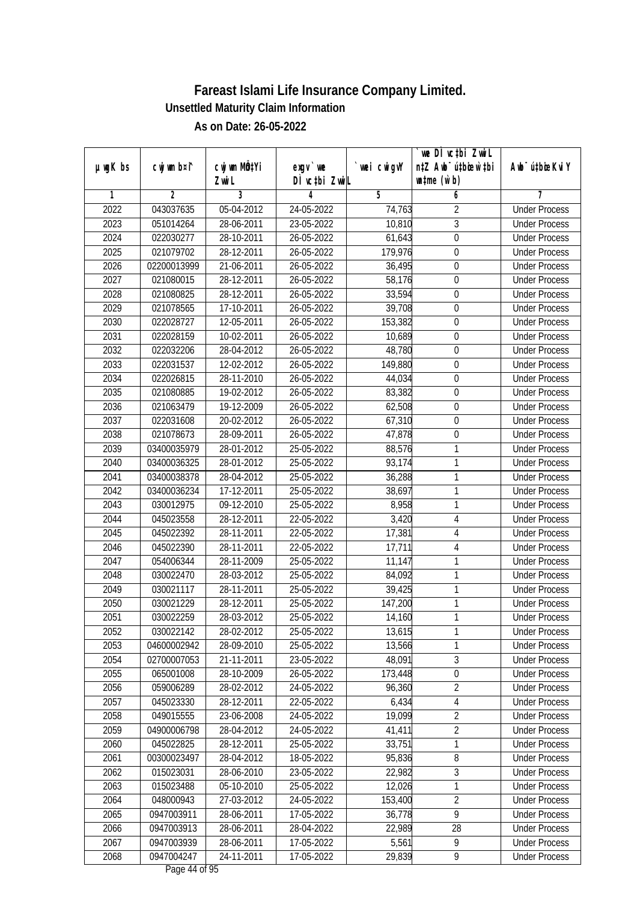|               |                |              |               |             | we DI vctbi ZwiL                 |                             |
|---------------|----------------|--------------|---------------|-------------|----------------------------------|-----------------------------|
| $µ$ ug $K$ bs | cwj wm b¤i^    | cwj wm MQtYi | $exgv$ we     | `wei cwigvY | n‡Z Awb <sup>-</sup> ú‡bioar`‡bi | Awb <sup>-</sup> ú‡bioeKviY |
|               |                | Zwi L        | DÌ vctbi ZwiL |             | $\n  untime\n  (u`b)\n$          |                             |
| 1             | $\overline{2}$ | 3            | 4             | 5           | 6                                | 7                           |
| 2022          | 043037635      | 05-04-2012   | 24-05-2022    | 74,763      | $\overline{2}$                   | <b>Under Process</b>        |
| 2023          | 051014264      | 28-06-2011   | 23-05-2022    | 10,810      | 3                                | <b>Under Process</b>        |
| 2024          | 022030277      | 28-10-2011   | 26-05-2022    | 61,643      | $\overline{0}$                   | <b>Under Process</b>        |
| 2025          | 021079702      | 28-12-2011   | 26-05-2022    | 179,976     | 0                                | <b>Under Process</b>        |
| 2026          | 02200013999    | 21-06-2011   | 26-05-2022    | 36,495      | $\overline{0}$                   | <b>Under Process</b>        |
| 2027          | 021080015      | 28-12-2011   | 26-05-2022    | 58,176      | 0                                | <b>Under Process</b>        |
| 2028          | 021080825      | 28-12-2011   | 26-05-2022    | 33,594      | $\boldsymbol{0}$                 | <b>Under Process</b>        |
| 2029          | 021078565      | 17-10-2011   | 26-05-2022    | 39,708      | $\boldsymbol{0}$                 | <b>Under Process</b>        |
| 2030          | 022028727      | 12-05-2011   | 26-05-2022    | 153,382     | $\boldsymbol{0}$                 | <b>Under Process</b>        |
| 2031          | 022028159      | 10-02-2011   | 26-05-2022    | 10,689      | $\boldsymbol{0}$                 | <b>Under Process</b>        |
| 2032          | 022032206      | 28-04-2012   | 26-05-2022    | 48,780      | $\boldsymbol{0}$                 | <b>Under Process</b>        |
| 2033          | 022031537      | 12-02-2012   | 26-05-2022    | 149,880     | 0                                | <b>Under Process</b>        |
| 2034          | 022026815      | 28-11-2010   | 26-05-2022    | 44,034      | $\overline{0}$                   | <b>Under Process</b>        |
| 2035          | 021080885      | 19-02-2012   | 26-05-2022    | 83,382      | $\boldsymbol{0}$                 | <b>Under Process</b>        |
| 2036          | 021063479      | 19-12-2009   | 26-05-2022    | 62,508      | $\boldsymbol{0}$                 | <b>Under Process</b>        |
| 2037          | 022031608      | 20-02-2012   | 26-05-2022    | 67,310      | $\boldsymbol{0}$                 | <b>Under Process</b>        |
| 2038          | 021078673      | 28-09-2011   | 26-05-2022    | 47,878      | $\boldsymbol{0}$                 | <b>Under Process</b>        |
| 2039          | 03400035979    | 28-01-2012   | 25-05-2022    | 88,576      | 1                                | <b>Under Process</b>        |
| 2040          | 03400036325    | 28-01-2012   | 25-05-2022    | 93,174      | 1                                | <b>Under Process</b>        |
| 2041          | 03400038378    | 28-04-2012   | 25-05-2022    | 36,288      | 1                                | <b>Under Process</b>        |
| 2042          | 03400036234    | 17-12-2011   | 25-05-2022    | 38,697      | 1                                | <b>Under Process</b>        |
| 2043          | 030012975      | 09-12-2010   | 25-05-2022    | 8,958       | 1                                | <b>Under Process</b>        |
| 2044          | 045023558      | 28-12-2011   | 22-05-2022    | 3,420       | 4                                | <b>Under Process</b>        |
| 2045          | 045022392      | 28-11-2011   | 22-05-2022    | 17,381      | $\overline{4}$                   | <b>Under Process</b>        |
| 2046          | 045022390      | 28-11-2011   | 22-05-2022    | 17,711      | $\sqrt{4}$                       | <b>Under Process</b>        |
| 2047          | 054006344      | 28-11-2009   | 25-05-2022    | 11,147      | 1                                | <b>Under Process</b>        |
| 2048          | 030022470      | 28-03-2012   | 25-05-2022    | 84,092      | 1                                | <b>Under Process</b>        |
| 2049          | 030021117      | 28-11-2011   | 25-05-2022    | 39,425      | 1                                | <b>Under Process</b>        |
| 2050          | 030021229      | 28-12-2011   | 25-05-2022    | 147,200     | 1                                | <b>Under Process</b>        |
| 2051          | 030022259      | 28-03-2012   | 25-05-2022    | 14,160      | 1                                | <b>Under Process</b>        |
| 2052          | 030022142      | 28-02-2012   | 25-05-2022    | 13,615      | 1                                | <b>Under Process</b>        |
| 2053          | 04600002942    | 28-09-2010   | 25-05-2022    | 13,566      | 1                                | <b>Under Process</b>        |
| 2054          | 02700007053    | 21-11-2011   | 23-05-2022    | 48,091      | 3                                | <b>Under Process</b>        |
| 2055          | 065001008      | 28-10-2009   | 26-05-2022    | 173,448     | $\overline{0}$                   | <b>Under Process</b>        |
| 2056          | 059006289      | 28-02-2012   | 24-05-2022    | 96,360      | $\overline{2}$                   | <b>Under Process</b>        |
| 2057          | 045023330      | 28-12-2011   | 22-05-2022    | 6,434       | $\overline{4}$                   | <b>Under Process</b>        |
| 2058          | 049015555      | 23-06-2008   | 24-05-2022    | 19,099      | $\overline{2}$                   | <b>Under Process</b>        |
| 2059          | 04900006798    | 28-04-2012   | 24-05-2022    | 41,411      | $\overline{2}$                   | <b>Under Process</b>        |
| 2060          | 045022825      | 28-12-2011   | 25-05-2022    | 33,751      | 1                                | <b>Under Process</b>        |
| 2061          | 00300023497    | 28-04-2012   | 18-05-2022    | 95,836      | 8                                | <b>Under Process</b>        |
| 2062          | 015023031      | 28-06-2010   | 23-05-2022    | 22,982      | 3                                | <b>Under Process</b>        |
| 2063          | 015023488      | 05-10-2010   | 25-05-2022    | 12,026      | 1                                | <b>Under Process</b>        |
| 2064          | 048000943      | 27-03-2012   | 24-05-2022    | 153,400     | $\overline{2}$                   | <b>Under Process</b>        |
| 2065          | 0947003911     | 28-06-2011   | 17-05-2022    | 36,778      | $\overline{9}$                   | <b>Under Process</b>        |
| 2066          | 0947003913     | 28-06-2011   | 28-04-2022    | 22,989      | 28                               | <b>Under Process</b>        |
| 2067          | 0947003939     | 28-06-2011   | 17-05-2022    | 5,561       | 9                                | <b>Under Process</b>        |
| 2068          | 0947004247     | 24-11-2011   | 17-05-2022    | 29,839      | 9                                | <b>Under Process</b>        |
|               |                |              |               |             |                                  |                             |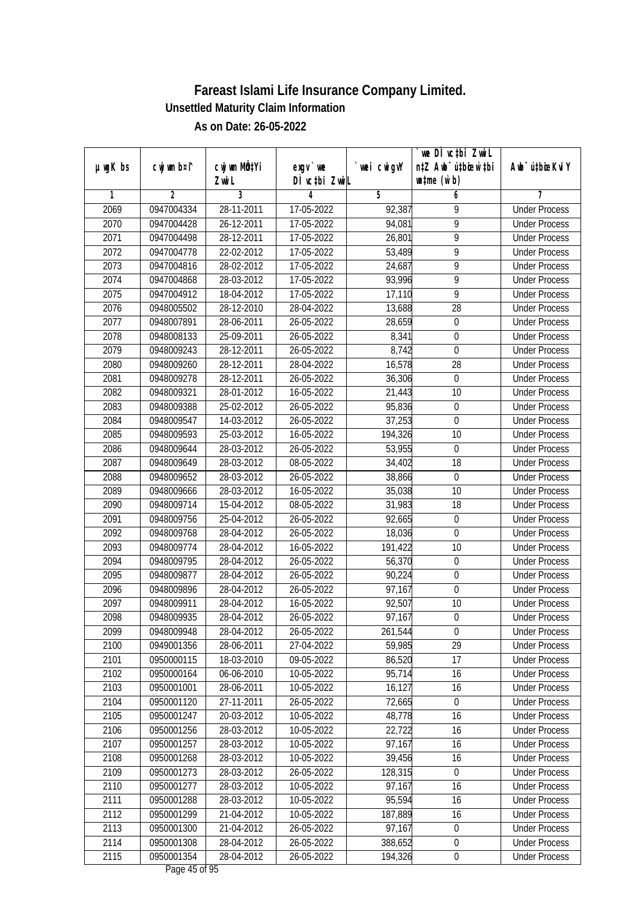|               |                |                       |                           |            | we DI vctbi ZwiL                                            |                             |
|---------------|----------------|-----------------------|---------------------------|------------|-------------------------------------------------------------|-----------------------------|
| $µ$ ug $K$ bs | cwj wm b¤i^    | cwj wm MQtYi<br>Zwi L | exgv `we<br>DÌ vctbi ZwiL | wei cwigvY | n‡Z Awb <sup>-</sup> ú‡bicen`‡bi<br>$\n  untime\n  (u`b)\n$ | Awb <sup>-</sup> ú‡bioeKviY |
| 1             | $\overline{2}$ | 3                     | 4                         | 5          | 6                                                           | 7                           |
| 2069          | 0947004334     | 28-11-2011            | 17-05-2022                | 92,387     | 9                                                           | <b>Under Process</b>        |
| 2070          | 0947004428     | 26-12-2011            | 17-05-2022                | 94,081     | $\overline{9}$                                              | <b>Under Process</b>        |
| 2071          | 0947004498     | 28-12-2011            | 17-05-2022                | 26,801     | $\overline{9}$                                              | <b>Under Process</b>        |
| 2072          | 0947004778     | 22-02-2012            | 17-05-2022                | 53,489     | 9                                                           | <b>Under Process</b>        |
| 2073          | 0947004816     | 28-02-2012            | 17-05-2022                | 24,687     | $\overline{9}$                                              | <b>Under Process</b>        |
| 2074          | 0947004868     | 28-03-2012            | 17-05-2022                | 93,996     | 9                                                           | <b>Under Process</b>        |
| 2075          | 0947004912     | 18-04-2012            | 17-05-2022                | 17,110     | 9                                                           | <b>Under Process</b>        |
| 2076          | 0948005502     | 28-12-2010            | 28-04-2022                | 13,688     | $\overline{28}$                                             | <b>Under Process</b>        |
| 2077          | 0948007891     | 28-06-2011            | 26-05-2022                | 28,659     | $\boldsymbol{0}$                                            | <b>Under Process</b>        |
| 2078          | 0948008133     | $25 - 09 - 2011$      | 26-05-2022                | 8,341      | $\boldsymbol{0}$                                            | <b>Under Process</b>        |
| 2079          | 0948009243     | 28-12-2011            | 26-05-2022                | 8,742      | $\mathbf 0$                                                 | <b>Under Process</b>        |
| 2080          | 0948009260     | 28-12-2011            | 28-04-2022                | 16,578     | 28                                                          | <b>Under Process</b>        |
| 2081          | 0948009278     | 28-12-2011            | 26-05-2022                | 36,306     | $\overline{0}$                                              | <b>Under Process</b>        |
| 2082          | 0948009321     | 28-01-2012            | 16-05-2022                | 21,443     | 10                                                          | <b>Under Process</b>        |
| 2083          | 0948009388     | 25-02-2012            | 26-05-2022                | 95,836     | $\boldsymbol{0}$                                            | <b>Under Process</b>        |
| 2084          | 0948009547     | 14-03-2012            | 26-05-2022                | 37,253     | $\mathbf 0$                                                 | <b>Under Process</b>        |
| 2085          | 0948009593     | 25-03-2012            | 16-05-2022                | 194,326    | 10                                                          | <b>Under Process</b>        |
| 2086          | 0948009644     | 28-03-2012            | 26-05-2022                | 53,955     | $\boldsymbol{0}$                                            | <b>Under Process</b>        |
| 2087          | 0948009649     | 28-03-2012            | 08-05-2022                | 34,402     | 18                                                          | <b>Under Process</b>        |
| 2088          | 0948009652     | 28-03-2012            | 26-05-2022                | 38,866     | $\boldsymbol{0}$                                            | <b>Under Process</b>        |
| 2089          | 0948009666     | 28-03-2012            | 16-05-2022                | 35,038     | 10                                                          | <b>Under Process</b>        |
| 2090          | 0948009714     | 15-04-2012            | 08-05-2022                | 31,983     | 18                                                          | <b>Under Process</b>        |
| 2091          | 0948009756     | 25-04-2012            | 26-05-2022                | 92,665     | $\boldsymbol{0}$                                            | <b>Under Process</b>        |
| 2092          | 0948009768     | 28-04-2012            | 26-05-2022                | 18,036     | $\boldsymbol{0}$                                            | <b>Under Process</b>        |
| 2093          | 0948009774     | 28-04-2012            | 16-05-2022                | 191,422    | 10                                                          | <b>Under Process</b>        |
| 2094          | 0948009795     | 28-04-2012            | 26-05-2022                | 56,370     | $\mathbf 0$                                                 | <b>Under Process</b>        |
| 2095          | 0948009877     | 28-04-2012            | 26-05-2022                | 90,224     | 0                                                           | <b>Under Process</b>        |
| 2096          | 0948009896     | 28-04-2012            | 26-05-2022                | 97,167     | $\boldsymbol{0}$                                            | <b>Under Process</b>        |
| 2097          | 0948009911     | 28-04-2012            | 16-05-2022                | 92,507     | 10                                                          | <b>Under Process</b>        |
| 2098          | 0948009935     | 28-04-2012            | 26-05-2022                | 97,167     | $\boldsymbol{0}$                                            | <b>Under Process</b>        |
| 2099          | 0948009948     | 28-04-2012            | 26-05-2022                | 261,544    | $\boldsymbol{0}$                                            | <b>Under Process</b>        |
| 2100          | 0949001356     | 28-06-2011            | 27-04-2022                | 59,985     | 29                                                          | <b>Under Process</b>        |
| 2101          | 0950000115     | 18-03-2010            | 09-05-2022                | 86,520     | 17                                                          | <b>Under Process</b>        |
| 2102          | 0950000164     | 06-06-2010            | 10-05-2022                | 95,714     | 16                                                          | <b>Under Process</b>        |
| 2103          | 0950001001     | 28-06-2011            | 10-05-2022                | 16,127     | 16                                                          | <b>Under Process</b>        |
| 2104          | 0950001120     | 27-11-2011            | 26-05-2022                | 72,665     | $\mathbf 0$                                                 | <b>Under Process</b>        |
| 2105          | 0950001247     | 20-03-2012            | 10-05-2022                | 48,778     | 16                                                          | <b>Under Process</b>        |
| 2106          | 0950001256     | 28-03-2012            | 10-05-2022                | 22,722     | 16                                                          | <b>Under Process</b>        |
| 2107          | 0950001257     | 28-03-2012            | 10-05-2022                | 97,167     | 16                                                          | <b>Under Process</b>        |
| 2108          | 0950001268     | 28-03-2012            | 10-05-2022                | 39,456     | 16                                                          | <b>Under Process</b>        |
| 2109          | 0950001273     | 28-03-2012            | 26-05-2022                | 128,315    | 0                                                           | <b>Under Process</b>        |
| 2110          | 0950001277     | 28-03-2012            | 10-05-2022                | 97,167     | 16                                                          | <b>Under Process</b>        |
| 2111          | 0950001288     | 28-03-2012            | 10-05-2022                | 95,594     | 16                                                          | <b>Under Process</b>        |
| 2112          | 0950001299     | 21-04-2012            | 10-05-2022                | 187,889    | 16                                                          | <b>Under Process</b>        |
| 2113          | 0950001300     | 21-04-2012            | 26-05-2022                | 97,167     | $\boldsymbol{0}$                                            | <b>Under Process</b>        |
| 2114          | 0950001308     | 28-04-2012            | 26-05-2022                | 388,652    | $\boldsymbol{0}$                                            | <b>Under Process</b>        |
| 2115          | 0950001354     | 28-04-2012            | 26-05-2022                | 194,326    | $\pmb{0}$                                                   | <b>Under Process</b>        |
|               |                |                       |                           |            |                                                             |                             |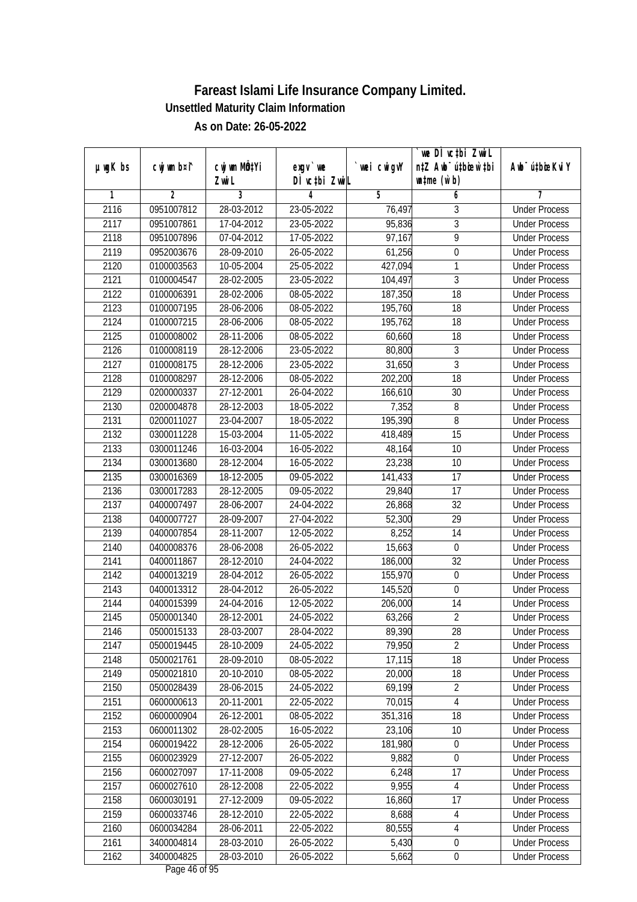|               |                |              |               |            | we DI vctbi ZwiL                 |                             |
|---------------|----------------|--------------|---------------|------------|----------------------------------|-----------------------------|
| $µ$ ug $K$ bs | cwj wm b¤i^    | cwj wm MÖ¢Yi | $exgV$ we     | wei cwigvY | n‡Z Awb <sup>-</sup> ú‡bicen`‡bi | Awb <sup>-</sup> ú‡bioeKviY |
|               |                | Zwi L        | DÌ vctbi ZwiL |            | $\n  untime\n  (u`b)\n$          |                             |
| 1             | $\overline{2}$ | 3            | 4             | 5          | 6                                | 7                           |
| 2116          | 0951007812     | 28-03-2012   | 23-05-2022    | 76,497     | 3                                | <b>Under Process</b>        |
| 2117          | 0951007861     | 17-04-2012   | 23-05-2022    | 95,836     | $\overline{3}$                   | <b>Under Process</b>        |
| 2118          | 0951007896     | 07-04-2012   | 17-05-2022    | 97,167     | $\overline{9}$                   | <b>Under Process</b>        |
| 2119          | 0952003676     | 28-09-2010   | 26-05-2022    | 61,256     | $\boldsymbol{0}$                 | <b>Under Process</b>        |
| 2120          | 0100003563     | 10-05-2004   | 25-05-2022    | 427,094    | $\mathbf{1}$                     | <b>Under Process</b>        |
| 2121          | 0100004547     | 28-02-2005   | 23-05-2022    | 104,497    | $\overline{3}$                   | <b>Under Process</b>        |
| 2122          | 0100006391     | 28-02-2006   | $08-05-2022$  | 187,350    | $\overline{18}$                  | <b>Under Process</b>        |
| 2123          | 0100007195     | 28-06-2006   | 08-05-2022    | 195,760    | 18                               | <b>Under Process</b>        |
| 2124          | 0100007215     | 28-06-2006   | 08-05-2022    | 195,762    | 18                               | <b>Under Process</b>        |
| 2125          | 0100008002     | 28-11-2006   | 08-05-2022    | 60,660     | 18                               | <b>Under Process</b>        |
| 2126          | 0100008119     | 28-12-2006   | 23-05-2022    | 80,800     | $\overline{3}$                   | <b>Under Process</b>        |
| 2127          | 0100008175     | 28-12-2006   | 23-05-2022    | 31,650     | $\mathfrak{Z}$                   | <b>Under Process</b>        |
| 2128          | 0100008297     | 28-12-2006   | 08-05-2022    | 202,200    | $\overline{18}$                  | <b>Under Process</b>        |
| 2129          | 0200000337     | 27-12-2001   | 26-04-2022    | 166,610    | 30                               | <b>Under Process</b>        |
| 2130          | 0200004878     | 28-12-2003   | 18-05-2022    | 7,352      | 8                                | <b>Under Process</b>        |
| 2131          | 0200011027     | 23-04-2007   | 18-05-2022    | 195,390    | 8                                | <b>Under Process</b>        |
| 2132          | 0300011228     | 15-03-2004   | 11-05-2022    | 418,489    | 15                               | <b>Under Process</b>        |
| 2133          | 0300011246     | 16-03-2004   | 16-05-2022    | 48,164     | 10                               | <b>Under Process</b>        |
| 2134          | 0300013680     | 28-12-2004   | 16-05-2022    | 23,238     | 10                               | <b>Under Process</b>        |
| 2135          | 0300016369     | 18-12-2005   | 09-05-2022    | 141,433    | 17                               | <b>Under Process</b>        |
| 2136          | 0300017283     | 28-12-2005   | 09-05-2022    | 29,840     | 17                               | <b>Under Process</b>        |
| 2137          | 0400007497     | 28-06-2007   | 24-04-2022    | 26,868     | 32                               | <b>Under Process</b>        |
| 2138          | 0400007727     | 28-09-2007   | 27-04-2022    | 52,300     | 29                               | <b>Under Process</b>        |
| 2139          | 0400007854     | 28-11-2007   | 12-05-2022    | 8,252      | 14                               | <b>Under Process</b>        |
| 2140          | 0400008376     | 28-06-2008   | 26-05-2022    | 15,663     | $\boldsymbol{0}$                 | <b>Under Process</b>        |
| 2141          | 0400011867     | 28-12-2010   | 24-04-2022    | 186,000    | 32                               | <b>Under Process</b>        |
| 2142          | 0400013219     | 28-04-2012   | 26-05-2022    | 155,970    | $\boldsymbol{0}$                 | <b>Under Process</b>        |
| 2143          | 0400013312     | 28-04-2012   | 26-05-2022    | 145,520    | $\boldsymbol{0}$                 | <b>Under Process</b>        |
| 2144          | 0400015399     | 24-04-2016   | 12-05-2022    | 206,000    | 14                               | <b>Under Process</b>        |
| 2145          | 0500001340     | 28-12-2001   | 24-05-2022    | 63,266     | $\overline{2}$                   | <b>Under Process</b>        |
| 2146          | 0500015133     | 28-03-2007   | 28-04-2022    | 89,390     | 28                               | <b>Under Process</b>        |
| 2147          | 0500019445     | 28-10-2009   | 24-05-2022    | 79,950     | $\overline{2}$                   | <b>Under Process</b>        |
| 2148          | 0500021761     | 28-09-2010   | 08-05-2022    | 17,115     | 18                               | <b>Under Process</b>        |
| 2149          | 0500021810     | 20-10-2010   | 08-05-2022    | 20,000     | 18                               | <b>Under Process</b>        |
| 2150          | 0500028439     | 28-06-2015   | 24-05-2022    | 69,199     | $\overline{2}$                   | <b>Under Process</b>        |
| 2151          | 0600000613     | 20-11-2001   | 22-05-2022    | 70,015     | 4                                | <b>Under Process</b>        |
| 2152          | 0600000904     | 26-12-2001   | 08-05-2022    | 351,316    | 18                               | <b>Under Process</b>        |
| 2153          | 0600011302     | 28-02-2005   | 16-05-2022    | 23,106     | 10                               | <b>Under Process</b>        |
| 2154          | 0600019422     | 28-12-2006   | 26-05-2022    | 181,980    | $\boldsymbol{0}$                 | <b>Under Process</b>        |
| 2155          | 0600023929     | 27-12-2007   | 26-05-2022    | 9,882      | $\boldsymbol{0}$                 | <b>Under Process</b>        |
| 2156          | 0600027097     | 17-11-2008   | 09-05-2022    | 6,248      | 17                               | <b>Under Process</b>        |
| 2157          | 0600027610     | 28-12-2008   | 22-05-2022    | 9,955      | $\overline{4}$                   | <b>Under Process</b>        |
| 2158          | 0600030191     | 27-12-2009   | 09-05-2022    | 16,860     | 17                               | <b>Under Process</b>        |
| 2159          | 0600033746     | 28-12-2010   | 22-05-2022    | 8,688      | $\overline{4}$                   | <b>Under Process</b>        |
| 2160          | 0600034284     | 28-06-2011   | 22-05-2022    | 80,555     | $\overline{4}$                   | <b>Under Process</b>        |
| 2161          | 3400004814     | 28-03-2010   | 26-05-2022    | 5,430      | $\boldsymbol{0}$                 | <b>Under Process</b>        |
| 2162          | 3400004825     | 28-03-2010   | 26-05-2022    | 5,662      | $\pmb{0}$                        | <b>Under Process</b>        |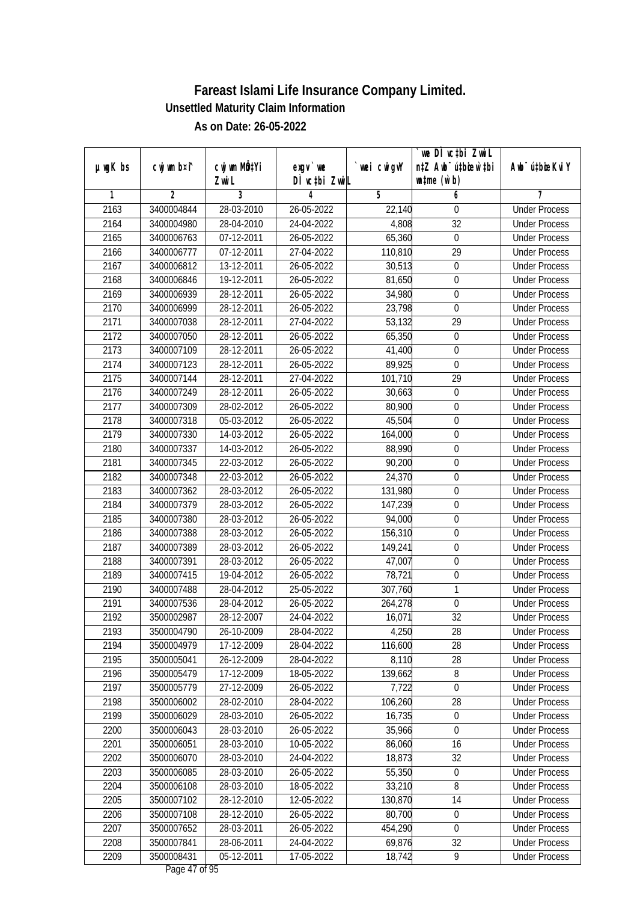|               |                |                       |                           |            | we DI vctbi ZwiL                                            |                             |
|---------------|----------------|-----------------------|---------------------------|------------|-------------------------------------------------------------|-----------------------------|
| $µ$ ug $K$ bs | cwj wm b¤i^    | cwj wm MQtYi<br>Zwi L | exgv `we<br>DÌ vctbi ZwiL | wei cwigvY | n‡Z Awb <sup>-</sup> ú‡bicen`‡bi<br>$\n  untime\n  (u`b)\n$ | Awb <sup>-</sup> ú‡bioeKviY |
| 1             | $\overline{2}$ | 3                     | 4                         | 5          | 6                                                           | 7                           |
| 2163          | 3400004844     | 28-03-2010            | 26-05-2022                | 22,140     | $\boldsymbol{0}$                                            | <b>Under Process</b>        |
| 2164          | 3400004980     | 28-04-2010            | 24-04-2022                | 4,808      | $\overline{32}$                                             | <b>Under Process</b>        |
| 2165          | 3400006763     | 07-12-2011            | 26-05-2022                | 65,360     | $\boldsymbol{0}$                                            | <b>Under Process</b>        |
| 2166          | 3400006777     | 07-12-2011            | 27-04-2022                | 110,810    | 29                                                          | <b>Under Process</b>        |
| 2167          | 3400006812     | 13-12-2011            | 26-05-2022                | 30,513     | $\boldsymbol{0}$                                            | <b>Under Process</b>        |
| 2168          | 3400006846     | 19-12-2011            | 26-05-2022                | 81,650     | $\boldsymbol{0}$                                            | <b>Under Process</b>        |
| 2169          | 3400006939     | 28-12-2011            | 26-05-2022                | 34,980     | $\overline{0}$                                              | <b>Under Process</b>        |
| 2170          | 3400006999     | 28-12-2011            | 26-05-2022                | 23,798     | $\boldsymbol{0}$                                            | <b>Under Process</b>        |
| 2171          | 3400007038     | 28-12-2011            | 27-04-2022                | 53,132     | 29                                                          | <b>Under Process</b>        |
| 2172          | 3400007050     | 28-12-2011            | 26-05-2022                | 65,350     | $\boldsymbol{0}$                                            | <b>Under Process</b>        |
| 2173          | 3400007109     | 28-12-2011            | 26-05-2022                | 41,400     | $\boldsymbol{0}$                                            | <b>Under Process</b>        |
| 2174          | 3400007123     | 28-12-2011            | 26-05-2022                | 89,925     | $\boldsymbol{0}$                                            | <b>Under Process</b>        |
| 2175          | 3400007144     | 28-12-2011            | 27-04-2022                | 101,710    | $\overline{29}$                                             | <b>Under Process</b>        |
| 2176          | 3400007249     | 28-12-2011            | 26-05-2022                | 30,663     | 0                                                           | <b>Under Process</b>        |
| 2177          | 3400007309     | 28-02-2012            | 26-05-2022                | 80,900     | $\boldsymbol{0}$                                            | <b>Under Process</b>        |
| 2178          | 3400007318     | 05-03-2012            | 26-05-2022                | 45,504     | $\boldsymbol{0}$                                            | <b>Under Process</b>        |
| 2179          | 3400007330     | 14-03-2012            | 26-05-2022                | 164,000    | $\boldsymbol{0}$                                            | <b>Under Process</b>        |
| 2180          | 3400007337     | 14-03-2012            | 26-05-2022                | 88,990     | $\boldsymbol{0}$                                            | <b>Under Process</b>        |
| 2181          | 3400007345     | 22-03-2012            | 26-05-2022                | 90,200     | $\boldsymbol{0}$                                            | <b>Under Process</b>        |
| 2182          | 3400007348     | 22-03-2012            | 26-05-2022                | 24,370     | $\boldsymbol{0}$                                            | <b>Under Process</b>        |
| 2183          | 3400007362     | 28-03-2012            | 26-05-2022                | 131,980    | $\boldsymbol{0}$                                            | <b>Under Process</b>        |
| 2184          | 3400007379     | 28-03-2012            | 26-05-2022                | 147,239    | $\boldsymbol{0}$                                            | <b>Under Process</b>        |
| 2185          | 3400007380     | 28-03-2012            | 26-05-2022                | 94,000     | $\boldsymbol{0}$                                            | <b>Under Process</b>        |
| 2186          | 3400007388     | 28-03-2012            | 26-05-2022                | 156,310    | $\boldsymbol{0}$                                            | <b>Under Process</b>        |
| 2187          | 3400007389     | 28-03-2012            | 26-05-2022                | 149,241    | $\boldsymbol{0}$                                            | <b>Under Process</b>        |
| 2188          | 3400007391     | 28-03-2012            | 26-05-2022                | 47,007     | $\boldsymbol{0}$                                            | <b>Under Process</b>        |
| 2189          | 3400007415     | 19-04-2012            | 26-05-2022                | 78,721     | $\boldsymbol{0}$                                            | <b>Under Process</b>        |
| 2190          | 3400007488     | 28-04-2012            | 25-05-2022                | 307,760    | 1                                                           | <b>Under Process</b>        |
| 2191          | 3400007536     | 28-04-2012            | 26-05-2022                | 264,278    | $\mathbf 0$                                                 | <b>Under Process</b>        |
| 2192          | 3500002987     | 28-12-2007            | 24-04-2022                | 16,071     | 32                                                          | <b>Under Process</b>        |
| 2193          | 3500004790     | 26-10-2009            | 28-04-2022                | 4,250      | 28                                                          | <b>Under Process</b>        |
| 2194          | 3500004979     | 17-12-2009            | 28-04-2022                | 116,600    | 28                                                          | <b>Under Process</b>        |
| 2195          | 3500005041     | 26-12-2009            | 28-04-2022                | 8,110      | 28                                                          | <b>Under Process</b>        |
| 2196          | 3500005479     | 17-12-2009            | 18-05-2022                | 139,662    | $\, 8$                                                      | <b>Under Process</b>        |
| 2197          | 3500005779     | 27-12-2009            | 26-05-2022                | 7,722      | $\boldsymbol{0}$                                            | <b>Under Process</b>        |
| 2198          | 3500006002     | 28-02-2010            | 28-04-2022                | 106,260    | 28                                                          | <b>Under Process</b>        |
| 2199          | 3500006029     | 28-03-2010            | 26-05-2022                | 16,735     | $\pmb{0}$                                                   | <b>Under Process</b>        |
| 2200          | 3500006043     | 28-03-2010            | 26-05-2022                | 35,966     | $\mathbf 0$                                                 | <b>Under Process</b>        |
| 2201          | 3500006051     | 28-03-2010            | 10-05-2022                | 86,060     | 16                                                          | <b>Under Process</b>        |
| 2202          | 3500006070     | 28-03-2010            | 24-04-2022                | 18,873     | 32                                                          | <b>Under Process</b>        |
| 2203          | 3500006085     | 28-03-2010            | 26-05-2022                | 55,350     | $\pmb{0}$                                                   | <b>Under Process</b>        |
| 2204          | 3500006108     | 28-03-2010            | 18-05-2022                | 33,210     | 8                                                           | <b>Under Process</b>        |
| 2205          | 3500007102     | 28-12-2010            | 12-05-2022                | 130,870    | 14                                                          | <b>Under Process</b>        |
| 2206          | 3500007108     | 28-12-2010            | 26-05-2022                | 80,700     | $\boldsymbol{0}$                                            | <b>Under Process</b>        |
| 2207          | 3500007652     | 28-03-2011            | 26-05-2022                | 454,290    | $\boldsymbol{0}$                                            | <b>Under Process</b>        |
| 2208          | 3500007841     | 28-06-2011            | 24-04-2022                | 69,876     | 32                                                          | <b>Under Process</b>        |
| 2209          | 3500008431     | 05-12-2011            | 17-05-2022                | 18,742     | 9                                                           | <b>Under Process</b>        |
|               |                |                       |                           |            |                                                             |                             |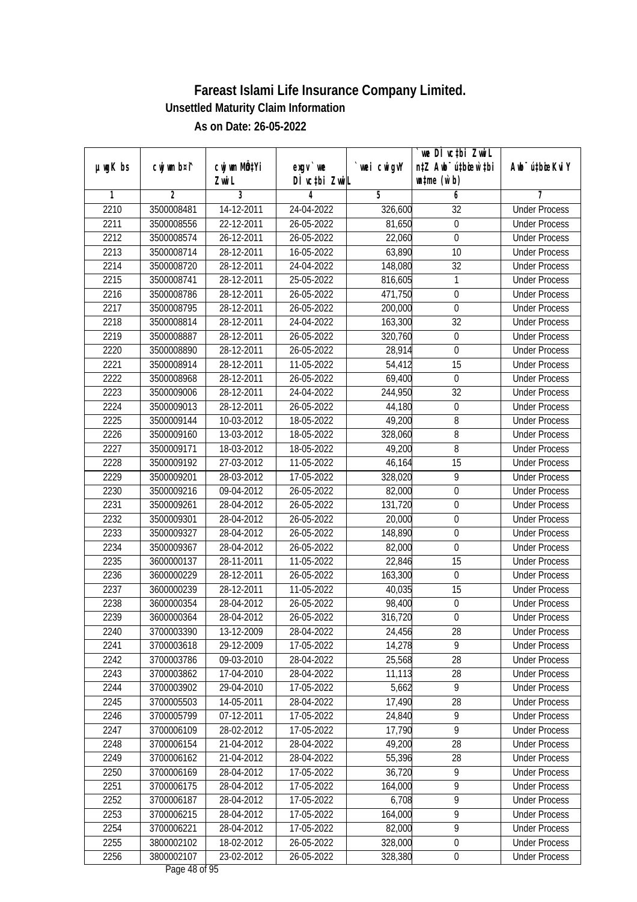|               | cwj wm b¤i^ | cwj wm MQtYi | $exgv$ we     | wei cwigvY | we DI vctbi ZwiL<br>n‡Z Awb <sup>-</sup> ú‡bioen`‡bi | Awb <sup>-</sup> ú‡bioeKviY |
|---------------|-------------|--------------|---------------|------------|------------------------------------------------------|-----------------------------|
| $µ$ ug $K$ bs |             | Zwi L        | DÌ vctbi ZwiL |            | $\n  untime\n  (u`b)\n$                              |                             |
| 1             | 2           | 3            | 4             | 5          | 6                                                    | 7                           |
| 2210          | 3500008481  | 14-12-2011   | 24-04-2022    | 326,600    | 32                                                   | <b>Under Process</b>        |
| 2211          | 3500008556  | 22-12-2011   | 26-05-2022    | 81,650     | $\boldsymbol{0}$                                     | <b>Under Process</b>        |
| 2212          | 3500008574  | 26-12-2011   | 26-05-2022    | 22,060     | $\boldsymbol{0}$                                     | <b>Under Process</b>        |
| 2213          | 3500008714  | 28-12-2011   | 16-05-2022    | 63,890     | 10                                                   | <b>Under Process</b>        |
| 2214          | 3500008720  | 28-12-2011   | 24-04-2022    | 148,080    | 32                                                   | <b>Under Process</b>        |
| 2215          | 3500008741  | 28-12-2011   | 25-05-2022    | 816,605    | 1                                                    | <b>Under Process</b>        |
| 2216          | 3500008786  | 28-12-2011   | 26-05-2022    | 471,750    | $\boldsymbol{0}$                                     | <b>Under Process</b>        |
| 2217          | 3500008795  | 28-12-2011   | 26-05-2022    | 200,000    | $\overline{0}$                                       | <b>Under Process</b>        |
| 2218          | 3500008814  | 28-12-2011   | 24-04-2022    | 163,300    | 32                                                   | <b>Under Process</b>        |
| 2219          | 3500008887  | 28-12-2011   | 26-05-2022    | 320,760    | $\boldsymbol{0}$                                     | <b>Under Process</b>        |
| 2220          | 3500008890  | 28-12-2011   | 26-05-2022    | 28,914     | $\mathbf 0$                                          | <b>Under Process</b>        |
| 2221          | 3500008914  | 28-12-2011   | 11-05-2022    | 54,412     | 15                                                   | <b>Under Process</b>        |
| 2222          | 3500008968  | 28-12-2011   | 26-05-2022    | 69,400     | $\boldsymbol{0}$                                     | <b>Under Process</b>        |
| 2223          | 3500009006  | 28-12-2011   | 24-04-2022    | 244,950    | 32                                                   | <b>Under Process</b>        |
| 2224          | 3500009013  | 28-12-2011   | 26-05-2022    | 44,180     | $\boldsymbol{0}$                                     | <b>Under Process</b>        |
| 2225          | 3500009144  | 10-03-2012   | 18-05-2022    | 49,200     | 8                                                    | <b>Under Process</b>        |
| 2226          | 3500009160  | 13-03-2012   | 18-05-2022    | 328,060    | 8                                                    | <b>Under Process</b>        |
| 2227          | 3500009171  | 18-03-2012   | 18-05-2022    | 49,200     | 8                                                    | <b>Under Process</b>        |
| 2228          | 3500009192  | 27-03-2012   | 11-05-2022    | 46,164     | 15                                                   | <b>Under Process</b>        |
| 2229          | 3500009201  | 28-03-2012   | 17-05-2022    | 328,020    | 9                                                    | <b>Under Process</b>        |
| 2230          | 3500009216  | 09-04-2012   | 26-05-2022    | 82,000     | $\mathbf 0$                                          | <b>Under Process</b>        |
| 2231          | 3500009261  | 28-04-2012   | 26-05-2022    | 131,720    | $\boldsymbol{0}$                                     | <b>Under Process</b>        |
| 2232          | 3500009301  | 28-04-2012   | 26-05-2022    | 20,000     | 0                                                    | <b>Under Process</b>        |
| 2233          | 3500009327  | 28-04-2012   | 26-05-2022    | 148,890    | $\boldsymbol{0}$                                     | <b>Under Process</b>        |
| 2234          | 3500009367  | 28-04-2012   | 26-05-2022    | 82,000     | $\mathbf 0$                                          | <b>Under Process</b>        |
| 2235          | 3600000137  | 28-11-2011   | 11-05-2022    | 22,846     | 15                                                   | <b>Under Process</b>        |
| 2236          | 3600000229  | 28-12-2011   | 26-05-2022    | 163,300    | $\boldsymbol{0}$                                     | <b>Under Process</b>        |
| 2237          | 3600000239  | 28-12-2011   | 11-05-2022    | 40,035     | 15                                                   | <b>Under Process</b>        |
| 2238          | 3600000354  | 28-04-2012   | 26-05-2022    | 98,400     | $\mathbf 0$                                          | <b>Under Process</b>        |
| 2239          | 3600000364  | 28-04-2012   | 26-05-2022    | 316,720    | $\boldsymbol{0}$                                     | <b>Under Process</b>        |
| 2240          | 3700003390  | 13-12-2009   | 28-04-2022    | 24,456     | 28                                                   | <b>Under Process</b>        |
| 2241          | 3700003618  | 29-12-2009   | 17-05-2022    | 14,278     | 9                                                    | <b>Under Process</b>        |
| 2242          | 3700003786  | 09-03-2010   | 28-04-2022    | 25,568     | 28                                                   | <b>Under Process</b>        |
| 2243          | 3700003862  | 17-04-2010   | 28-04-2022    | 11,113     | 28                                                   | <b>Under Process</b>        |
| 2244          | 3700003902  | 29-04-2010   | 17-05-2022    | 5,662      | 9                                                    | <b>Under Process</b>        |
| 2245          | 3700005503  | 14-05-2011   | 28-04-2022    | 17,490     | 28                                                   | <b>Under Process</b>        |
| 2246          | 3700005799  | 07-12-2011   | 17-05-2022    | 24,840     | 9                                                    | <b>Under Process</b>        |
| 2247          | 3700006109  | 28-02-2012   | 17-05-2022    | 17,790     | $\overline{9}$                                       | <b>Under Process</b>        |
| 2248          | 3700006154  | 21-04-2012   | 28-04-2022    | 49,200     | 28                                                   | <b>Under Process</b>        |
| 2249          | 3700006162  | 21-04-2012   | 28-04-2022    | 55,396     | 28                                                   | <b>Under Process</b>        |
| 2250          | 3700006169  | 28-04-2012   | 17-05-2022    | 36,720     | $\overline{9}$                                       | <b>Under Process</b>        |
| 2251          | 3700006175  | 28-04-2012   | 17-05-2022    | 164,000    | $\overline{9}$                                       | <b>Under Process</b>        |
| 2252          | 3700006187  | 28-04-2012   | 17-05-2022    | 6,708      | $\overline{9}$                                       | <b>Under Process</b>        |
| 2253          | 3700006215  | 28-04-2012   | 17-05-2022    | 164,000    | $\overline{9}$                                       | <b>Under Process</b>        |
| 2254          | 3700006221  | 28-04-2012   | 17-05-2022    | 82,000     | $\overline{9}$                                       | <b>Under Process</b>        |
| 2255          | 3800002102  | 18-02-2012   | 26-05-2022    | 328,000    | $\boldsymbol{0}$                                     | <b>Under Process</b>        |
| 2256          | 3800002107  | 23-02-2012   | 26-05-2022    | 328,380    | $\pmb{0}$                                            | <b>Under Process</b>        |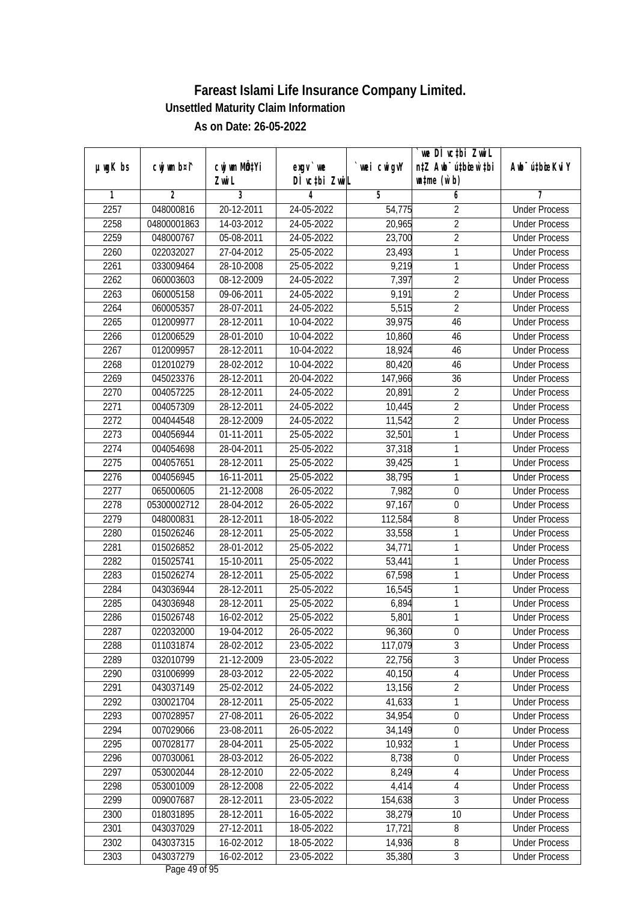|               |             |                       |                           |            | `we DÌ vc‡bi ZwiL                                           |                             |
|---------------|-------------|-----------------------|---------------------------|------------|-------------------------------------------------------------|-----------------------------|
| $µ$ ug $K$ bs | cwj wm b¤i^ | cwj wm MQtYi<br>Zwi L | exgv `we<br>DÌ vctbi ZwiL | wei cwigvY | n‡Z Awb <sup>-</sup> ú‡bioen`‡bi<br>$\n  untime\n  (u`b)\n$ | Awb <sup>-</sup> ú‡bioeKviY |
| 1             | 2           | 3                     | 4                         | 5          | 6                                                           | 7                           |
| 2257          | 048000816   | 20-12-2011            | 24-05-2022                | 54,775     | $\overline{2}$                                              | <b>Under Process</b>        |
| 2258          | 04800001863 | 14-03-2012            | 24-05-2022                | 20,965     | $\overline{2}$                                              | <b>Under Process</b>        |
| 2259          | 048000767   | 05-08-2011            | 24-05-2022                | 23,700     | $\overline{2}$                                              | <b>Under Process</b>        |
| 2260          | 022032027   | 27-04-2012            | 25-05-2022                | 23,493     | $\mathbf{1}$                                                | <b>Under Process</b>        |
| 2261          | 033009464   | 28-10-2008            | 25-05-2022                | 9,219      | 1                                                           | <b>Under Process</b>        |
| 2262          | 060003603   | 08-12-2009            | 24-05-2022                | 7,397      | $\overline{2}$                                              | <b>Under Process</b>        |
| 2263          | 060005158   | 09-06-2011            | 24-05-2022                | 9,191      | $\overline{2}$                                              | <b>Under Process</b>        |
| 2264          | 060005357   | 28-07-2011            | 24-05-2022                | 5,515      | $\overline{2}$                                              | <b>Under Process</b>        |
| 2265          | 012009977   | 28-12-2011            | 10-04-2022                | 39,975     | 46                                                          | <b>Under Process</b>        |
| 2266          | 012006529   | 28-01-2010            | 10-04-2022                | 10,860     | 46                                                          | <b>Under Process</b>        |
| 2267          | 012009957   | 28-12-2011            | 10-04-2022                | 18,924     | 46                                                          | <b>Under Process</b>        |
| 2268          | 012010279   | 28-02-2012            | 10-04-2022                | 80,420     | 46                                                          | <b>Under Process</b>        |
| 2269          | 045023376   | 28-12-2011            | 20-04-2022                | 147,966    | $\overline{36}$                                             | <b>Under Process</b>        |
| 2270          | 004057225   | 28-12-2011            | 24-05-2022                | 20,891     | $\overline{2}$                                              | <b>Under Process</b>        |
| 2271          | 004057309   | 28-12-2011            | 24-05-2022                | 10,445     | $\overline{2}$                                              | <b>Under Process</b>        |
| 2272          | 004044548   | 28-12-2009            | 24-05-2022                | 11,542     | $\overline{2}$                                              | <b>Under Process</b>        |
| 2273          | 004056944   | 01-11-2011            | 25-05-2022                | 32,501     | 1                                                           | <b>Under Process</b>        |
| 2274          | 004054698   | 28-04-2011            | 25-05-2022                | 37,318     | 1                                                           | <b>Under Process</b>        |
| 2275          | 004057651   | 28-12-2011            | 25-05-2022                | 39,425     | 1                                                           | <b>Under Process</b>        |
| 2276          | 004056945   | 16-11-2011            | 25-05-2022                | 38,795     | $\mathbf{1}$                                                | <b>Under Process</b>        |
| 2277          | 065000605   | 21-12-2008            | 26-05-2022                | 7,982      | $\mathbf 0$                                                 | <b>Under Process</b>        |
| 2278          | 05300002712 | 28-04-2012            | 26-05-2022                | 97,167     | $\boldsymbol{0}$                                            | <b>Under Process</b>        |
| 2279          | 048000831   | 28-12-2011            | 18-05-2022                | 112,584    | 8                                                           | <b>Under Process</b>        |
| 2280          | 015026246   | 28-12-2011            | 25-05-2022                | 33,558     | 1                                                           | <b>Under Process</b>        |
| 2281          | 015026852   | 28-01-2012            | 25-05-2022                | 34,771     | $\mathbf{1}$                                                | <b>Under Process</b>        |
| 2282          | 015025741   | 15-10-2011            | 25-05-2022                | 53,441     | 1                                                           | <b>Under Process</b>        |
| 2283          | 015026274   | 28-12-2011            | 25-05-2022                | 67,598     | 1                                                           | <b>Under Process</b>        |
| 2284          | 043036944   | 28-12-2011            | 25-05-2022                | 16,545     | 1                                                           | <b>Under Process</b>        |
| 2285          | 043036948   | 28-12-2011            | 25-05-2022                | 6,894      | $\mathbf{1}$                                                | <b>Under Process</b>        |
| 2286          | 015026748   | 16-02-2012            | 25-05-2022                | 5,801      | $\mathbf{1}$                                                | <b>Under Process</b>        |
| 2287          | 022032000   | 19-04-2012            | 26-05-2022                | 96,360     | 0                                                           | <b>Under Process</b>        |
| 2288          | 011031874   | 28-02-2012            | 23-05-2022                | 117,079    | $\overline{3}$                                              | <b>Under Process</b>        |
| 2289          | 032010799   | 21-12-2009            | 23-05-2022                | 22,756     | $\overline{3}$                                              | <b>Under Process</b>        |
| 2290          | 031006999   | 28-03-2012            | 22-05-2022                | 40,150     | $\overline{4}$                                              | <b>Under Process</b>        |
| 2291          | 043037149   | 25-02-2012            | 24-05-2022                | 13,156     | $\overline{2}$                                              | <b>Under Process</b>        |
| 2292          | 030021704   | 28-12-2011            | 25-05-2022                | 41,633     | 1                                                           | <b>Under Process</b>        |
| 2293          | 007028957   | 27-08-2011            | 26-05-2022                | 34,954     | $\boldsymbol{0}$                                            | <b>Under Process</b>        |
| 2294          | 007029066   | 23-08-2011            | 26-05-2022                | 34,149     | $\boldsymbol{0}$                                            | <b>Under Process</b>        |
| 2295          | 007028177   | 28-04-2011            | 25-05-2022                | 10,932     | 1                                                           | <b>Under Process</b>        |
| 2296          | 007030061   | 28-03-2012            | 26-05-2022                | 8,738      | $\boldsymbol{0}$                                            | <b>Under Process</b>        |
| 2297          | 053002044   | 28-12-2010            | 22-05-2022                | 8,249      | $\overline{4}$                                              | <b>Under Process</b>        |
| 2298          | 053001009   | 28-12-2008            | 22-05-2022                | 4,414      | 4                                                           | <b>Under Process</b>        |
| 2299          | 009007687   | 28-12-2011            | 23-05-2022                | 154,638    | $\overline{3}$                                              | <b>Under Process</b>        |
| 2300          | 018031895   | 28-12-2011            | 16-05-2022                | 38,279     | 10                                                          | <b>Under Process</b>        |
| 2301          | 043037029   | 27-12-2011            | 18-05-2022                | 17,721     | 8                                                           | <b>Under Process</b>        |
| 2302          | 043037315   | 16-02-2012            | 18-05-2022                | 14,936     | 8                                                           | <b>Under Process</b>        |
| 2303          | 043037279   | 16-02-2012            | 23-05-2022                | 35,380     | $\mathfrak{Z}$                                              | <b>Under Process</b>        |
|               |             |                       |                           |            |                                                             |                             |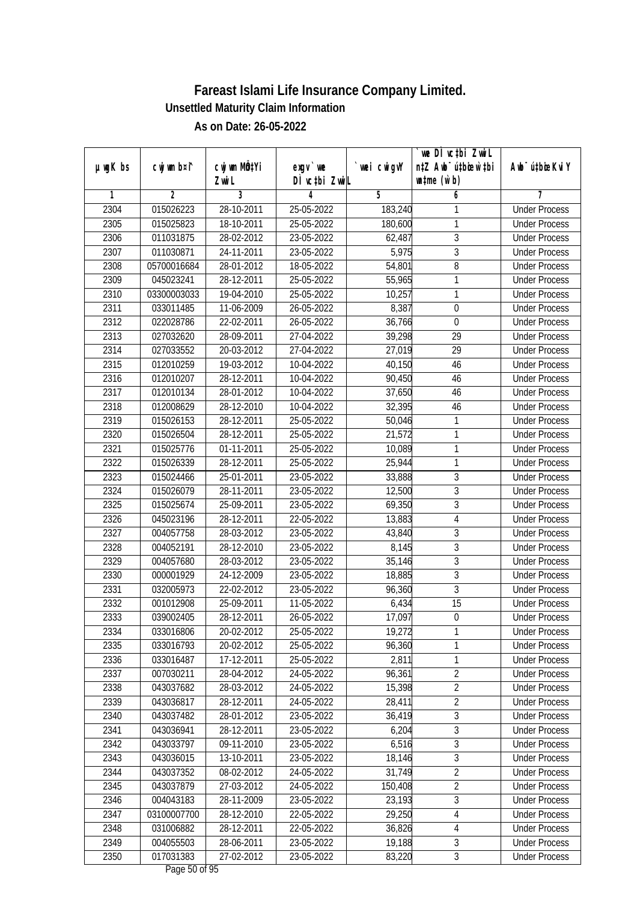|               |                |              |               |             | we DI vctbi ZwiL                 |                             |
|---------------|----------------|--------------|---------------|-------------|----------------------------------|-----------------------------|
| $µ$ ug $K$ bs | cwj wm b¤i^    | cwj wm MQtYi | $exgv$ we     | `wei cwigvY | n‡Z Awb <sup>-</sup> ú‡bicen`‡bi | Awb <sup>-</sup> ú‡bioeKviY |
|               |                | Zwi L        | DÌ vctbi ZwiL |             | $\n  untime\n  (u`b)\n$          |                             |
| 1             | $\overline{2}$ | 3            | 4             | 5           | 6                                | 7                           |
| 2304          | 015026223      | 28-10-2011   | 25-05-2022    | 183,240     | 1                                | <b>Under Process</b>        |
| 2305          | 015025823      | 18-10-2011   | 25-05-2022    | 180,600     | 1                                | <b>Under Process</b>        |
| 2306          | 011031875      | 28-02-2012   | 23-05-2022    | 62,487      | $\overline{3}$                   | <b>Under Process</b>        |
| 2307          | 011030871      | 24-11-2011   | 23-05-2022    | 5,975       | $\overline{3}$                   | <b>Under Process</b>        |
| 2308          | 05700016684    | 28-01-2012   | 18-05-2022    | 54,801      | $\overline{8}$                   | <b>Under Process</b>        |
| 2309          | 045023241      | 28-12-2011   | 25-05-2022    | 55,965      | 1                                | <b>Under Process</b>        |
| 2310          | 03300003033    | 19-04-2010   | 25-05-2022    | 10,257      | 1                                | <b>Under Process</b>        |
| 2311          | 033011485      | 11-06-2009   | 26-05-2022    | 8,387       | $\boldsymbol{0}$                 | <b>Under Process</b>        |
| 2312          | 022028786      | 22-02-2011   | 26-05-2022    | 36,766      | $\mathbf 0$                      | <b>Under Process</b>        |
| 2313          | 027032620      | 28-09-2011   | 27-04-2022    | 39,298      | 29                               | <b>Under Process</b>        |
| 2314          | 027033552      | 20-03-2012   | 27-04-2022    | 27,019      | $\overline{29}$                  | <b>Under Process</b>        |
| 2315          | 012010259      | 19-03-2012   | 10-04-2022    | 40,150      | 46                               | <b>Under Process</b>        |
| 2316          | 012010207      | 28-12-2011   | 10-04-2022    | 90,450      | 46                               | <b>Under Process</b>        |
| 2317          | 012010134      | 28-01-2012   | 10-04-2022    | 37,650      | 46                               | <b>Under Process</b>        |
| 2318          | 012008629      | 28-12-2010   | 10-04-2022    | 32,395      | 46                               | <b>Under Process</b>        |
| 2319          | 015026153      | 28-12-2011   | 25-05-2022    | 50,046      | 1                                | <b>Under Process</b>        |
| 2320          | 015026504      | 28-12-2011   | 25-05-2022    | 21,572      | 1                                | <b>Under Process</b>        |
| 2321          | 015025776      | 01-11-2011   | 25-05-2022    | 10,089      | 1                                | <b>Under Process</b>        |
| 2322          | 015026339      | 28-12-2011   | 25-05-2022    | 25,944      | 1                                | <b>Under Process</b>        |
| 2323          | 015024466      | 25-01-2011   | 23-05-2022    | 33,888      | 3                                | <b>Under Process</b>        |
| 2324          | 015026079      | 28-11-2011   | 23-05-2022    | 12,500      | 3                                | <b>Under Process</b>        |
| 2325          | 015025674      | 25-09-2011   | 23-05-2022    | 69,350      | 3                                | <b>Under Process</b>        |
| 2326          | 045023196      | 28-12-2011   | 22-05-2022    | 13,883      | $\overline{4}$                   | <b>Under Process</b>        |
| 2327          | 004057758      | 28-03-2012   | 23-05-2022    | 43,840      | $\overline{3}$                   | <b>Under Process</b>        |
| 2328          | 004052191      | 28-12-2010   | 23-05-2022    | 8,145       | $\overline{3}$                   | <b>Under Process</b>        |
| 2329          | 004057680      | 28-03-2012   | 23-05-2022    | 35,146      | 3                                | <b>Under Process</b>        |
| 2330          | 000001929      | 24-12-2009   | 23-05-2022    | 18,885      | 3                                | <b>Under Process</b>        |
| 2331          | 032005973      | 22-02-2012   | 23-05-2022    | 96,360      | $\overline{3}$                   | <b>Under Process</b>        |
| 2332          | 001012908      | 25-09-2011   | 11-05-2022    | 6,434       | 15                               | <b>Under Process</b>        |
| 2333          | 039002405      | 28-12-2011   | 26-05-2022    | 17,097      | $\boldsymbol{0}$                 | <b>Under Process</b>        |
| 2334          | 033016806      | 20-02-2012   | 25-05-2022    | 19,272      | 1                                | <b>Under Process</b>        |
| 2335          | 033016793      | 20-02-2012   | 25-05-2022    | 96,360      | 1                                | <b>Under Process</b>        |
| 2336          | 033016487      | 17-12-2011   | 25-05-2022    | 2,811       | 1                                | <b>Under Process</b>        |
| 2337          | 007030211      | 28-04-2012   | 24-05-2022    | 96,361      | $\overline{2}$                   | <b>Under Process</b>        |
| 2338          | 043037682      | 28-03-2012   | 24-05-2022    | 15,398      | $\overline{2}$                   | <b>Under Process</b>        |
| 2339          | 043036817      | 28-12-2011   | 24-05-2022    | 28,411      | $\overline{2}$                   | <b>Under Process</b>        |
| 2340          | 043037482      | 28-01-2012   | 23-05-2022    | 36,419      | 3                                | <b>Under Process</b>        |
| 2341          | 043036941      | 28-12-2011   | 23-05-2022    | 6,204       | $\overline{3}$                   | <b>Under Process</b>        |
| 2342          | 043033797      | 09-11-2010   | 23-05-2022    | 6,516       | 3                                | <b>Under Process</b>        |
| 2343          | 043036015      | 13-10-2011   | 23-05-2022    | 18,146      | $\overline{3}$                   | <b>Under Process</b>        |
| 2344          | 043037352      | 08-02-2012   | 24-05-2022    | 31,749      | $\overline{2}$                   | <b>Under Process</b>        |
| 2345          | 043037879      | 27-03-2012   | 24-05-2022    | 150,408     | $\overline{2}$                   | <b>Under Process</b>        |
| 2346          | 004043183      | 28-11-2009   | 23-05-2022    | 23,193      | 3                                | <b>Under Process</b>        |
| 2347          | 03100007700    | 28-12-2010   | 22-05-2022    | 29,250      | 4                                | <b>Under Process</b>        |
| 2348          | 031006882      | 28-12-2011   | 22-05-2022    | 36,826      | $\overline{4}$                   | <b>Under Process</b>        |
| 2349          | 004055503      | 28-06-2011   | 23-05-2022    | 19,188      | $\overline{3}$                   | <b>Under Process</b>        |
| 2350          | 017031383      | 27-02-2012   | 23-05-2022    | 83,220      | $\mathfrak{Z}$                   | <b>Under Process</b>        |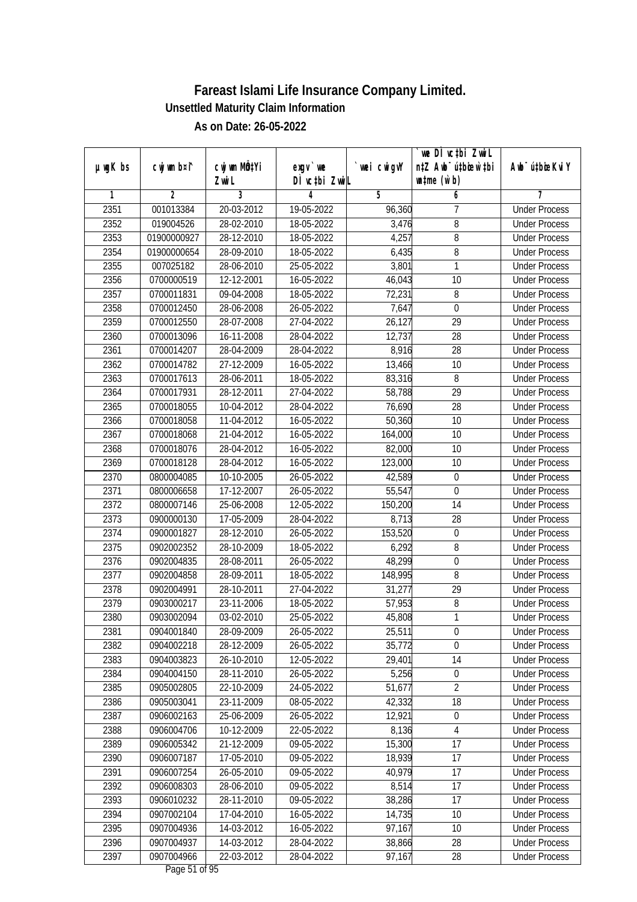|         |                |              |                          |             | we DI vctbi ZwiL                 |                             |
|---------|----------------|--------------|--------------------------|-------------|----------------------------------|-----------------------------|
| µwgK bs | cwj wm b¤i^    | cwj wm MQtYi | exgy `we                 | `wei cwigvY | n‡Z Awb <sup>-</sup> ú‡bioar`‡bi | Awb <sup>-</sup> ú‡bioeKviY |
|         |                | Zwi L        | DÌ vctbi ZwiL            |             | $\n  untime\n  (u`b)\n$          |                             |
| 1       | $\overline{2}$ | 3            | 4                        | 5           | 6                                | 7                           |
| 2351    | 001013384      | 20-03-2012   | 19-05-2022               | 96,360      | 7                                | <b>Under Process</b>        |
| 2352    | 019004526      | 28-02-2010   | 18-05-2022               | 3,476       | 8                                | <b>Under Process</b>        |
| 2353    | 01900000927    | 28-12-2010   | 18-05-2022               | 4,257       | $\overline{8}$                   | <b>Under Process</b>        |
| 2354    | 01900000654    | 28-09-2010   | 18-05-2022               | 6,435       | 8                                | <b>Under Process</b>        |
| 2355    | 007025182      | 28-06-2010   | 25-05-2022               | 3,801       | 1                                | <b>Under Process</b>        |
| 2356    | 0700000519     | 12-12-2001   | 16-05-2022               | 46,043      | 10                               | <b>Under Process</b>        |
| 2357    | 0700011831     | 09-04-2008   | 18-05-2022               | 72,231      | 8                                | <b>Under Process</b>        |
| 2358    | 0700012450     | 28-06-2008   | 26-05-2022               | 7,647       | $\overline{0}$                   | <b>Under Process</b>        |
| 2359    | 0700012550     | 28-07-2008   | 27-04-2022               | 26,127      | $\overline{29}$                  | <b>Under Process</b>        |
| 2360    | 0700013096     | 16-11-2008   | 28-04-2022               | 12,737      | 28                               | <b>Under Process</b>        |
| 2361    | 0700014207     | 28-04-2009   | 28-04-2022               | 8,916       | $\overline{28}$                  | <b>Under Process</b>        |
| 2362    | 0700014782     | 27-12-2009   | 16-05-2022               | 13,466      | 10                               | <b>Under Process</b>        |
| 2363    | 0700017613     | 28-06-2011   | 18-05-2022               | 83,316      | 8                                | <b>Under Process</b>        |
| 2364    | 0700017931     | 28-12-2011   | 27-04-2022               | 58,788      | 29                               | <b>Under Process</b>        |
| 2365    | 0700018055     | 10-04-2012   | 28-04-2022               | 76,690      | 28                               | <b>Under Process</b>        |
| 2366    | 0700018058     | 11-04-2012   | 16-05-2022               | 50,360      | 10                               | <b>Under Process</b>        |
| 2367    | 0700018068     | 21-04-2012   | 16-05-2022               | 164,000     | 10                               | <b>Under Process</b>        |
| 2368    | 0700018076     | 28-04-2012   | 16-05-2022               | 82,000      | 10                               | <b>Under Process</b>        |
| 2369    | 0700018128     | 28-04-2012   | 16-05-2022               | 123,000     | 10                               | <b>Under Process</b>        |
| 2370    | 0800004085     | 10-10-2005   | 26-05-2022               | 42,589      | 0                                | <b>Under Process</b>        |
| 2371    | 0800006658     | 17-12-2007   | 26-05-2022               | 55,547      | $\mathbf 0$                      | <b>Under Process</b>        |
| 2372    | 0800007146     | 25-06-2008   | 12-05-2022               | 150,200     | 14                               | <b>Under Process</b>        |
| 2373    | 0900000130     | 17-05-2009   | 28-04-2022               | 8,713       | 28                               | <b>Under Process</b>        |
| 2374    | 0900001827     | 28-12-2010   | 26-05-2022               | 153,520     | $\boldsymbol{0}$                 | <b>Under Process</b>        |
| 2375    | 0902002352     | 28-10-2009   | 18-05-2022               | 6,292       | 8                                | <b>Under Process</b>        |
| 2376    | 0902004835     | 28-08-2011   | 26-05-2022               | 48,299      | $\boldsymbol{0}$                 | <b>Under Process</b>        |
| 2377    | 0902004858     | 28-09-2011   | 18-05-2022               | 148,995     | 8                                | <b>Under Process</b>        |
| 2378    | 0902004991     | 28-10-2011   | 27-04-2022               | 31,277      | 29                               | <b>Under Process</b>        |
| 2379    | 0903000217     | 23-11-2006   | 18-05-2022               | 57,953      | 8                                | <b>Under Process</b>        |
| 2380    | 0903002094     | 03-02-2010   | 25-05-2022               | 45,808      | 1                                | <b>Under Process</b>        |
| 2381    | 0904001840     | 28-09-2009   | 26-05-2022               | 25,511      | $\boldsymbol{0}$                 | <b>Under Process</b>        |
| 2382    | 0904002218     | 28-12-2009   | 26-05-2022               | 35,772      | 0                                | <b>Under Process</b>        |
| 2383    | 0904003823     | 26-10-2010   | 12-05-2022               | 29,401      | 14                               | <b>Under Process</b>        |
| 2384    | 0904004150     | 28-11-2010   | 26-05-2022               | 5,256       | $\boldsymbol{0}$                 | <b>Under Process</b>        |
| 2385    | 0905002805     | 22-10-2009   | 24-05-2022               | 51,677      | $\overline{2}$                   | <b>Under Process</b>        |
| 2386    | 0905003041     | 23-11-2009   | 08-05-2022               | 42,332      | 18                               | <b>Under Process</b>        |
| 2387    | 0906002163     | 25-06-2009   | 26-05-2022               | 12,921      | $\boldsymbol{0}$                 | <b>Under Process</b>        |
| 2388    | 0906004706     | 10-12-2009   | 22-05-2022               | 8,136       | $\overline{4}$                   | <b>Under Process</b>        |
| 2389    | 0906005342     | 21-12-2009   | 09-05-2022               | 15,300      | 17                               | <b>Under Process</b>        |
| 2390    | 0906007187     | 17-05-2010   | 09-05-2022               | 18,939      | 17                               | <b>Under Process</b>        |
| 2391    | 0906007254     | 26-05-2010   | 09-05-2022               | 40,979      | 17                               | <b>Under Process</b>        |
| 2392    | 0906008303     | 28-06-2010   | 09-05-2022               | 8,514       | 17                               | <b>Under Process</b>        |
| 2393    | 0906010232     | 28-11-2010   | $\overline{09}$ -05-2022 | 38,286      | $\overline{17}$                  | <b>Under Process</b>        |
| 2394    | 0907002104     | 17-04-2010   | 16-05-2022               | 14,735      | 10                               | <b>Under Process</b>        |
| 2395    | 0907004936     | 14-03-2012   | 16-05-2022               | 97,167      | 10                               | <b>Under Process</b>        |
| 2396    | 0907004937     | 14-03-2012   | 28-04-2022               | 38,866      | 28                               | <b>Under Process</b>        |
| 2397    | 0907004966     | 22-03-2012   | 28-04-2022               | 97,167      | 28                               | <b>Under Process</b>        |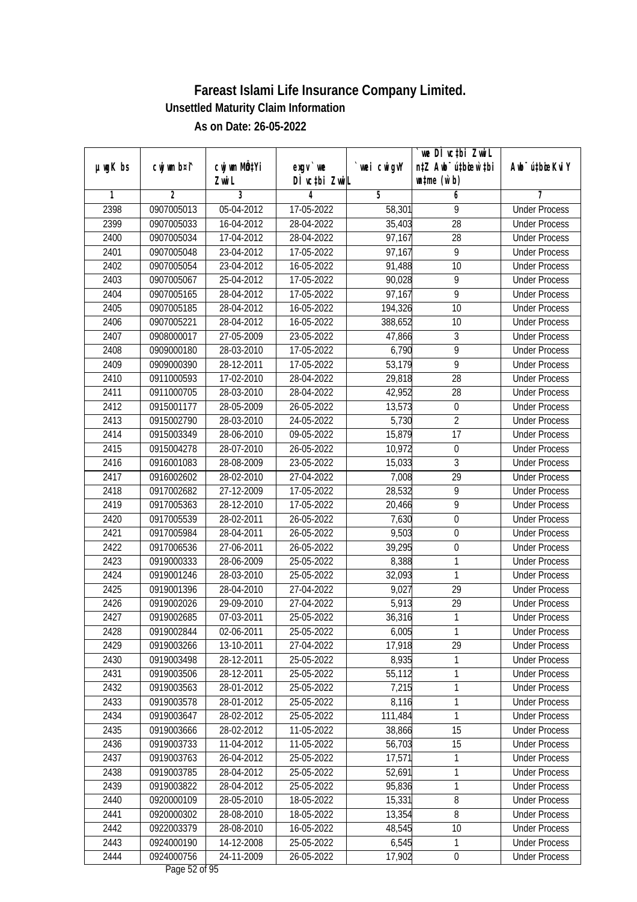|               |                |                       |                            |            | we DI vctbi ZwiL                                            |                             |
|---------------|----------------|-----------------------|----------------------------|------------|-------------------------------------------------------------|-----------------------------|
| $µ$ ug $K$ bs | cwj wm b¤i^    | cwj wm MQtYi<br>Zwi L | $exgV$ we<br>DÌ vctbi ZwiL | wei cwigvY | n‡Z Awb <sup>-</sup> ú‡bicen`‡bi<br>$\n  untime\n  (u`b)\n$ | Awb <sup>-</sup> ú‡bioeKviY |
| 1             | $\overline{2}$ | 3                     | 4                          | 5          | 6                                                           | 7                           |
| 2398          | 0907005013     | 05-04-2012            | 17-05-2022                 | 58,301     | 9                                                           | <b>Under Process</b>        |
| 2399          | 0907005033     | 16-04-2012            | 28-04-2022                 | 35,403     | $\overline{28}$                                             | <b>Under Process</b>        |
| 2400          | 0907005034     | 17-04-2012            | 28-04-2022                 | 97,167     | $\overline{28}$                                             | <b>Under Process</b>        |
| 2401          | 0907005048     | 23-04-2012            | 17-05-2022                 | 97,167     | 9                                                           | <b>Under Process</b>        |
| 2402          | 0907005054     | 23-04-2012            | 16-05-2022                 | 91,488     | 10                                                          | <b>Under Process</b>        |
| 2403          | 0907005067     | 25-04-2012            | 17-05-2022                 | 90,028     | 9                                                           | <b>Under Process</b>        |
| 2404          | 0907005165     | 28-04-2012            | 17-05-2022                 | 97,167     | $\overline{9}$                                              | <b>Under Process</b>        |
| 2405          | 0907005185     | 28-04-2012            | 16-05-2022                 | 194,326    | 10                                                          | <b>Under Process</b>        |
| 2406          | 0907005221     | 28-04-2012            | 16-05-2022                 | 388,652    | 10                                                          | <b>Under Process</b>        |
| 2407          | 0908000017     | $27 - 05 - 2009$      | 23-05-2022                 | 47,866     | 3                                                           | <b>Under Process</b>        |
| 2408          | 0909000180     | 28-03-2010            | 17-05-2022                 | 6,790      | $\overline{9}$                                              | <b>Under Process</b>        |
| 2409          | 0909000390     | 28-12-2011            | 17-05-2022                 | 53,179     | 9                                                           | <b>Under Process</b>        |
| 2410          | 0911000593     | 17-02-2010            | 28-04-2022                 | 29,818     | $\overline{28}$                                             | <b>Under Process</b>        |
| 2411          | 0911000705     | 28-03-2010            | 28-04-2022                 | 42,952     | 28                                                          | <b>Under Process</b>        |
| 2412          | 0915001177     | 28-05-2009            | 26-05-2022                 | 13,573     | $\boldsymbol{0}$                                            | <b>Under Process</b>        |
| 2413          | 0915002790     | 28-03-2010            | 24-05-2022                 | 5,730      | $\overline{2}$                                              | <b>Under Process</b>        |
| 2414          | 0915003349     | 28-06-2010            | 09-05-2022                 | 15,879     | 17                                                          | <b>Under Process</b>        |
| 2415          | 0915004278     | 28-07-2010            | 26-05-2022                 | 10,972     | $\boldsymbol{0}$                                            | <b>Under Process</b>        |
| 2416          | 0916001083     | 28-08-2009            | 23-05-2022                 | 15,033     | $\overline{3}$                                              | <b>Under Process</b>        |
| 2417          | 0916002602     | 28-02-2010            | 27-04-2022                 | 7,008      | 29                                                          | <b>Under Process</b>        |
| 2418          | 0917002682     | $27 - 12 - 2009$      | 17-05-2022                 | 28,532     | 9                                                           | <b>Under Process</b>        |
| 2419          | 0917005363     | 28-12-2010            | 17-05-2022                 | 20,466     | 9                                                           | <b>Under Process</b>        |
| 2420          | 0917005539     | 28-02-2011            | 26-05-2022                 | 7,630      | $\boldsymbol{0}$                                            | <b>Under Process</b>        |
| 2421          | 0917005984     | 28-04-2011            | 26-05-2022                 | 9,503      | $\boldsymbol{0}$                                            | <b>Under Process</b>        |
| 2422          | 0917006536     | 27-06-2011            | 26-05-2022                 | 39,295     | $\boldsymbol{0}$                                            | <b>Under Process</b>        |
| 2423          | 0919000333     | 28-06-2009            | 25-05-2022                 | 8,388      | $\mathbf{1}$                                                | <b>Under Process</b>        |
| 2424          | 0919001246     | 28-03-2010            | 25-05-2022                 | 32,093     | $\mathbf{1}$                                                | <b>Under Process</b>        |
| 2425          | 0919001396     | 28-04-2010            | 27-04-2022                 | 9,027      | 29                                                          | <b>Under Process</b>        |
| 2426          | 0919002026     | 29-09-2010            | 27-04-2022                 | 5,913      | 29                                                          | <b>Under Process</b>        |
| 2427          | 0919002685     | 07-03-2011            | 25-05-2022                 | 36,316     | $\mathbf{1}$                                                | <b>Under Process</b>        |
| 2428          | 0919002844     | 02-06-2011            | 25-05-2022                 | 6,005      | 1                                                           | <b>Under Process</b>        |
| 2429          | 0919003266     | 13-10-2011            | 27-04-2022                 | 17,918     | 29                                                          | <b>Under Process</b>        |
| 2430          | 0919003498     | 28-12-2011            | 25-05-2022                 | 8,935      | 1                                                           | <b>Under Process</b>        |
| 2431          | 0919003506     | 28-12-2011            | 25-05-2022                 | 55,112     | 1                                                           | <b>Under Process</b>        |
| 2432          | 0919003563     | 28-01-2012            | 25-05-2022                 | 7,215      | $\overline{1}$                                              | <b>Under Process</b>        |
| 2433          | 0919003578     | 28-01-2012            | 25-05-2022                 | 8,116      | 1                                                           | <b>Under Process</b>        |
| 2434          | 0919003647     | 28-02-2012            | 25-05-2022                 | 111,484    | 1                                                           | <b>Under Process</b>        |
| 2435          | 0919003666     | 28-02-2012            | 11-05-2022                 | 38,866     | 15                                                          | <b>Under Process</b>        |
| 2436          | 0919003733     | 11-04-2012            | 11-05-2022                 | 56,703     | 15                                                          | <b>Under Process</b>        |
| 2437          | 0919003763     | 26-04-2012            | 25-05-2022                 | 17,571     | 1                                                           | <b>Under Process</b>        |
| 2438          | 0919003785     | 28-04-2012            | 25-05-2022                 | 52,691     | 1                                                           | <b>Under Process</b>        |
| 2439          | 0919003822     | 28-04-2012            | 25-05-2022                 | 95,836     | $\mathbf{1}$                                                | <b>Under Process</b>        |
| 2440          | 0920000109     | 28-05-2010            | 18-05-2022                 | 15,331     | 8                                                           | <b>Under Process</b>        |
| 2441          | 0920000302     | 28-08-2010            | 18-05-2022                 | 13,354     | $\overline{8}$                                              | <b>Under Process</b>        |
| 2442          | 0922003379     | 28-08-2010            | 16-05-2022                 | 48,545     | 10                                                          | <b>Under Process</b>        |
| 2443          | 0924000190     | 14-12-2008            | 25-05-2022                 | 6,545      | $\mathbf{1}$                                                | <b>Under Process</b>        |
| 2444          | 0924000756     | 24-11-2009            | 26-05-2022                 | 17,902     | $\pmb{0}$                                                   | <b>Under Process</b>        |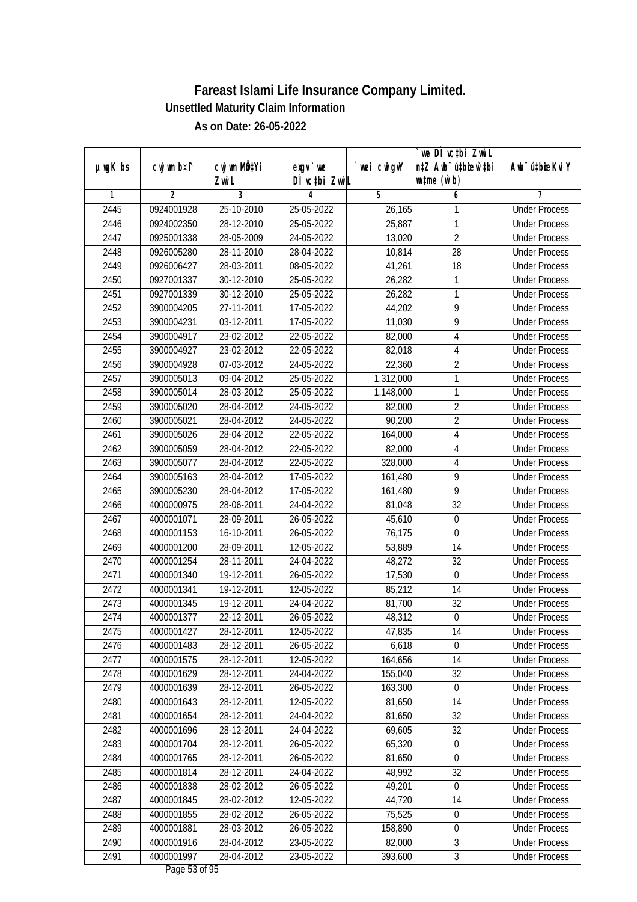| cwj wm b¤i^<br>cwj wm MÖ¢Yi<br>$µ$ ug $K$ bs<br>wei cwigvY<br>Awb <sup>-</sup> ú‡bioeKviY<br>$exgV$ we<br>DÌ vctbi ZwiL<br>$\n  untime\n  (u`b)\n$<br>Zwi L<br>3<br>$\overline{2}$<br>5<br>1<br>4<br>6<br>7<br>2445<br>0924001928<br>25-10-2010<br>25-05-2022<br>26,165<br><b>Under Process</b><br>1<br>$\mathbf{1}$<br>2446<br>0924002350<br>28-12-2010<br>25-05-2022<br>25,887<br><b>Under Process</b><br>$\overline{2}$<br>2447<br>0925001338<br>28-05-2009<br>24-05-2022<br>13,020<br><b>Under Process</b><br>28<br>2448<br>0926005280<br>28-11-2010<br>28-04-2022<br>10,814<br><b>Under Process</b><br>2449<br>$\overline{18}$<br>0926006427<br>28-03-2011<br>08-05-2022<br>41,261<br><b>Under Process</b><br>2450<br>0927001337<br>30-12-2010<br>25-05-2022<br>26,282<br>1<br><b>Under Process</b><br>2451<br>1<br>0927001339<br>30-12-2010<br>25-05-2022<br>26,282<br><b>Under Process</b><br>$\overline{9}$<br>2452<br>3900004205<br>27-11-2011<br>17-05-2022<br>44,202<br><b>Under Process</b><br>$\overline{9}$<br>2453<br>03-12-2011<br>17-05-2022<br>3900004231<br>11,030<br><b>Under Process</b><br>2454<br>3900004917<br>23-02-2012<br>22-05-2022<br>82,000<br>$\overline{4}$<br><b>Under Process</b><br>2455<br>3900004927<br>23-02-2012<br>22-05-2022<br>82,018<br>$\overline{4}$<br><b>Under Process</b><br>$\overline{2}$<br>2456<br>07-03-2012<br>22,360<br>3900004928<br>24-05-2022<br><b>Under Process</b><br>$\overline{1}$<br>2457<br>3900005013<br>$09 - 04 - 2012$<br>25-05-2022<br>1,312,000<br><b>Under Process</b><br>1<br>2458<br>3900005014<br>28-03-2012<br>25-05-2022<br>1,148,000<br><b>Under Process</b><br>$\overline{2}$<br>2459<br>3900005020<br>28-04-2012<br>24-05-2022<br><b>Under Process</b><br>82,000<br>$\overline{2}$<br>2460<br>3900005021<br>28-04-2012<br>24-05-2022<br>90,200<br><b>Under Process</b><br>2461<br>$\sqrt{4}$<br>3900005026<br>28-04-2012<br>22-05-2022<br>164,000<br><b>Under Process</b><br>$\overline{4}$<br>2462<br>28-04-2012<br>3900005059<br>22-05-2022<br>82,000<br><b>Under Process</b><br>2463<br>28-04-2012<br>22-05-2022<br>328,000<br>$\overline{4}$<br>3900005077<br><b>Under Process</b><br>9<br>2464<br>17-05-2022<br>3900005163<br>28-04-2012<br>161,480<br><b>Under Process</b><br>$\overline{9}$<br>2465<br>3900005230<br>28-04-2012<br>17-05-2022<br>161,480<br><b>Under Process</b><br>2466<br>32<br>4000000975<br>28-06-2011<br>24-04-2022<br>81,048<br><b>Under Process</b><br>2467<br>28-09-2011<br>26-05-2022<br>45,610<br>$\boldsymbol{0}$<br>4000001071<br><b>Under Process</b><br>2468<br>4000001153<br>16-10-2011<br>26-05-2022<br>76,175<br>$\boldsymbol{0}$<br><b>Under Process</b><br>2469<br>28-09-2011<br>12-05-2022<br>53,889<br>14<br>4000001200<br><b>Under Process</b><br>2470<br>4000001254<br>28-11-2011<br>24-04-2022<br>32<br>48,272<br><b>Under Process</b><br>2471<br>19-12-2011<br>17,530<br>$\boldsymbol{0}$<br>4000001340<br>26-05-2022<br><b>Under Process</b><br>2472<br>19-12-2011<br>85,212<br>14<br>4000001341<br>12-05-2022<br><b>Under Process</b><br>32<br>2473<br>4000001345<br>19-12-2011<br>24-04-2022<br>81,700<br><b>Under Process</b><br>2474<br>22-12-2011<br>48,312<br>$\boldsymbol{0}$<br>4000001377<br>26-05-2022<br><b>Under Process</b><br>2475<br>4000001427<br>28-12-2011<br>12-05-2022<br>47,835<br>14<br><b>Under Process</b><br>2476<br>4000001483<br>28-12-2011<br>6,618<br>$\mathbf 0$<br>26-05-2022<br><b>Under Process</b><br>164,656<br>14<br>2477<br>4000001575<br>28-12-2011<br>12-05-2022<br><b>Under Process</b><br>155,040<br>32<br>2478<br>4000001629<br>28-12-2011<br>24-04-2022<br><b>Under Process</b><br>2479<br>4000001639<br>28-12-2011<br>26-05-2022<br>163,300<br>$\boldsymbol{0}$<br><b>Under Process</b><br>2480<br>4000001643<br>28-12-2011<br>12-05-2022<br>81,650<br>14<br><b>Under Process</b><br>2481<br>4000001654<br>32<br>28-12-2011<br>24-04-2022<br>81,650<br><b>Under Process</b><br>2482<br>69,605<br>32<br>4000001696<br>28-12-2011<br>24-04-2022<br><b>Under Process</b><br>65,320<br>2483<br>4000001704<br>28-12-2011<br>26-05-2022<br>$\boldsymbol{0}$<br><b>Under Process</b><br>81,650<br>2484<br>4000001765<br>28-12-2011<br>26-05-2022<br>$\boldsymbol{0}$<br><b>Under Process</b><br>2485<br>4000001814<br>28-12-2011<br>24-04-2022<br>48,992<br>32<br><b>Under Process</b><br>2486<br>4000001838<br>28-02-2012<br>26-05-2022<br>49,201<br>$\boldsymbol{0}$<br><b>Under Process</b><br>2487<br>4000001845<br>28-02-2012<br>44,720<br>14<br>12-05-2022<br><b>Under Process</b><br>75,525<br>$\boldsymbol{0}$<br>2488<br>4000001855<br>28-02-2012<br>26-05-2022<br><b>Under Process</b><br>2489<br>$\boldsymbol{0}$<br>4000001881<br>28-03-2012<br>26-05-2022<br>158,890<br><b>Under Process</b><br>$\overline{3}$<br>2490<br>28-04-2012<br>23-05-2022<br>82,000<br>4000001916<br><b>Under Process</b> |      |            |            |            |         | we DI vctbi ZwiL                 |                      |
|---------------------------------------------------------------------------------------------------------------------------------------------------------------------------------------------------------------------------------------------------------------------------------------------------------------------------------------------------------------------------------------------------------------------------------------------------------------------------------------------------------------------------------------------------------------------------------------------------------------------------------------------------------------------------------------------------------------------------------------------------------------------------------------------------------------------------------------------------------------------------------------------------------------------------------------------------------------------------------------------------------------------------------------------------------------------------------------------------------------------------------------------------------------------------------------------------------------------------------------------------------------------------------------------------------------------------------------------------------------------------------------------------------------------------------------------------------------------------------------------------------------------------------------------------------------------------------------------------------------------------------------------------------------------------------------------------------------------------------------------------------------------------------------------------------------------------------------------------------------------------------------------------------------------------------------------------------------------------------------------------------------------------------------------------------------------------------------------------------------------------------------------------------------------------------------------------------------------------------------------------------------------------------------------------------------------------------------------------------------------------------------------------------------------------------------------------------------------------------------------------------------------------------------------------------------------------------------------------------------------------------------------------------------------------------------------------------------------------------------------------------------------------------------------------------------------------------------------------------------------------------------------------------------------------------------------------------------------------------------------------------------------------------------------------------------------------------------------------------------------------------------------------------------------------------------------------------------------------------------------------------------------------------------------------------------------------------------------------------------------------------------------------------------------------------------------------------------------------------------------------------------------------------------------------------------------------------------------------------------------------------------------------------------------------------------------------------------------------------------------------------------------------------------------------------------------------------------------------------------------------------------------------------------------------------------------------------------------------------------------------------------------------------------------------------------------------------------------------------------------------------------------------------------------------------------------------------------------------------------------------------------------------------------------------------------------------------------------------------------------------------------------------------------------------------------------------------------------------------------------------------------------------------------------------------------------------------------------------------------------------------------------------------------------------------------------------------------------------------------------------------------------------------------------------------------------------------------------------------------------------------------|------|------------|------------|------------|---------|----------------------------------|----------------------|
|                                                                                                                                                                                                                                                                                                                                                                                                                                                                                                                                                                                                                                                                                                                                                                                                                                                                                                                                                                                                                                                                                                                                                                                                                                                                                                                                                                                                                                                                                                                                                                                                                                                                                                                                                                                                                                                                                                                                                                                                                                                                                                                                                                                                                                                                                                                                                                                                                                                                                                                                                                                                                                                                                                                                                                                                                                                                                                                                                                                                                                                                                                                                                                                                                                                                                                                                                                                                                                                                                                                                                                                                                                                                                                                                                                                                                                                                                                                                                                                                                                                                                                                                                                                                                                                                                                                                                                                                                                                                                                                                                                                                                                                                                                                                                                                                                                                                                       |      |            |            |            |         | n‡Z Awb <sup>-</sup> ú‡bicen`‡bi |                      |
|                                                                                                                                                                                                                                                                                                                                                                                                                                                                                                                                                                                                                                                                                                                                                                                                                                                                                                                                                                                                                                                                                                                                                                                                                                                                                                                                                                                                                                                                                                                                                                                                                                                                                                                                                                                                                                                                                                                                                                                                                                                                                                                                                                                                                                                                                                                                                                                                                                                                                                                                                                                                                                                                                                                                                                                                                                                                                                                                                                                                                                                                                                                                                                                                                                                                                                                                                                                                                                                                                                                                                                                                                                                                                                                                                                                                                                                                                                                                                                                                                                                                                                                                                                                                                                                                                                                                                                                                                                                                                                                                                                                                                                                                                                                                                                                                                                                                                       |      |            |            |            |         |                                  |                      |
|                                                                                                                                                                                                                                                                                                                                                                                                                                                                                                                                                                                                                                                                                                                                                                                                                                                                                                                                                                                                                                                                                                                                                                                                                                                                                                                                                                                                                                                                                                                                                                                                                                                                                                                                                                                                                                                                                                                                                                                                                                                                                                                                                                                                                                                                                                                                                                                                                                                                                                                                                                                                                                                                                                                                                                                                                                                                                                                                                                                                                                                                                                                                                                                                                                                                                                                                                                                                                                                                                                                                                                                                                                                                                                                                                                                                                                                                                                                                                                                                                                                                                                                                                                                                                                                                                                                                                                                                                                                                                                                                                                                                                                                                                                                                                                                                                                                                                       |      |            |            |            |         |                                  |                      |
|                                                                                                                                                                                                                                                                                                                                                                                                                                                                                                                                                                                                                                                                                                                                                                                                                                                                                                                                                                                                                                                                                                                                                                                                                                                                                                                                                                                                                                                                                                                                                                                                                                                                                                                                                                                                                                                                                                                                                                                                                                                                                                                                                                                                                                                                                                                                                                                                                                                                                                                                                                                                                                                                                                                                                                                                                                                                                                                                                                                                                                                                                                                                                                                                                                                                                                                                                                                                                                                                                                                                                                                                                                                                                                                                                                                                                                                                                                                                                                                                                                                                                                                                                                                                                                                                                                                                                                                                                                                                                                                                                                                                                                                                                                                                                                                                                                                                                       |      |            |            |            |         |                                  |                      |
|                                                                                                                                                                                                                                                                                                                                                                                                                                                                                                                                                                                                                                                                                                                                                                                                                                                                                                                                                                                                                                                                                                                                                                                                                                                                                                                                                                                                                                                                                                                                                                                                                                                                                                                                                                                                                                                                                                                                                                                                                                                                                                                                                                                                                                                                                                                                                                                                                                                                                                                                                                                                                                                                                                                                                                                                                                                                                                                                                                                                                                                                                                                                                                                                                                                                                                                                                                                                                                                                                                                                                                                                                                                                                                                                                                                                                                                                                                                                                                                                                                                                                                                                                                                                                                                                                                                                                                                                                                                                                                                                                                                                                                                                                                                                                                                                                                                                                       |      |            |            |            |         |                                  |                      |
|                                                                                                                                                                                                                                                                                                                                                                                                                                                                                                                                                                                                                                                                                                                                                                                                                                                                                                                                                                                                                                                                                                                                                                                                                                                                                                                                                                                                                                                                                                                                                                                                                                                                                                                                                                                                                                                                                                                                                                                                                                                                                                                                                                                                                                                                                                                                                                                                                                                                                                                                                                                                                                                                                                                                                                                                                                                                                                                                                                                                                                                                                                                                                                                                                                                                                                                                                                                                                                                                                                                                                                                                                                                                                                                                                                                                                                                                                                                                                                                                                                                                                                                                                                                                                                                                                                                                                                                                                                                                                                                                                                                                                                                                                                                                                                                                                                                                                       |      |            |            |            |         |                                  |                      |
|                                                                                                                                                                                                                                                                                                                                                                                                                                                                                                                                                                                                                                                                                                                                                                                                                                                                                                                                                                                                                                                                                                                                                                                                                                                                                                                                                                                                                                                                                                                                                                                                                                                                                                                                                                                                                                                                                                                                                                                                                                                                                                                                                                                                                                                                                                                                                                                                                                                                                                                                                                                                                                                                                                                                                                                                                                                                                                                                                                                                                                                                                                                                                                                                                                                                                                                                                                                                                                                                                                                                                                                                                                                                                                                                                                                                                                                                                                                                                                                                                                                                                                                                                                                                                                                                                                                                                                                                                                                                                                                                                                                                                                                                                                                                                                                                                                                                                       |      |            |            |            |         |                                  |                      |
|                                                                                                                                                                                                                                                                                                                                                                                                                                                                                                                                                                                                                                                                                                                                                                                                                                                                                                                                                                                                                                                                                                                                                                                                                                                                                                                                                                                                                                                                                                                                                                                                                                                                                                                                                                                                                                                                                                                                                                                                                                                                                                                                                                                                                                                                                                                                                                                                                                                                                                                                                                                                                                                                                                                                                                                                                                                                                                                                                                                                                                                                                                                                                                                                                                                                                                                                                                                                                                                                                                                                                                                                                                                                                                                                                                                                                                                                                                                                                                                                                                                                                                                                                                                                                                                                                                                                                                                                                                                                                                                                                                                                                                                                                                                                                                                                                                                                                       |      |            |            |            |         |                                  |                      |
|                                                                                                                                                                                                                                                                                                                                                                                                                                                                                                                                                                                                                                                                                                                                                                                                                                                                                                                                                                                                                                                                                                                                                                                                                                                                                                                                                                                                                                                                                                                                                                                                                                                                                                                                                                                                                                                                                                                                                                                                                                                                                                                                                                                                                                                                                                                                                                                                                                                                                                                                                                                                                                                                                                                                                                                                                                                                                                                                                                                                                                                                                                                                                                                                                                                                                                                                                                                                                                                                                                                                                                                                                                                                                                                                                                                                                                                                                                                                                                                                                                                                                                                                                                                                                                                                                                                                                                                                                                                                                                                                                                                                                                                                                                                                                                                                                                                                                       |      |            |            |            |         |                                  |                      |
|                                                                                                                                                                                                                                                                                                                                                                                                                                                                                                                                                                                                                                                                                                                                                                                                                                                                                                                                                                                                                                                                                                                                                                                                                                                                                                                                                                                                                                                                                                                                                                                                                                                                                                                                                                                                                                                                                                                                                                                                                                                                                                                                                                                                                                                                                                                                                                                                                                                                                                                                                                                                                                                                                                                                                                                                                                                                                                                                                                                                                                                                                                                                                                                                                                                                                                                                                                                                                                                                                                                                                                                                                                                                                                                                                                                                                                                                                                                                                                                                                                                                                                                                                                                                                                                                                                                                                                                                                                                                                                                                                                                                                                                                                                                                                                                                                                                                                       |      |            |            |            |         |                                  |                      |
|                                                                                                                                                                                                                                                                                                                                                                                                                                                                                                                                                                                                                                                                                                                                                                                                                                                                                                                                                                                                                                                                                                                                                                                                                                                                                                                                                                                                                                                                                                                                                                                                                                                                                                                                                                                                                                                                                                                                                                                                                                                                                                                                                                                                                                                                                                                                                                                                                                                                                                                                                                                                                                                                                                                                                                                                                                                                                                                                                                                                                                                                                                                                                                                                                                                                                                                                                                                                                                                                                                                                                                                                                                                                                                                                                                                                                                                                                                                                                                                                                                                                                                                                                                                                                                                                                                                                                                                                                                                                                                                                                                                                                                                                                                                                                                                                                                                                                       |      |            |            |            |         |                                  |                      |
|                                                                                                                                                                                                                                                                                                                                                                                                                                                                                                                                                                                                                                                                                                                                                                                                                                                                                                                                                                                                                                                                                                                                                                                                                                                                                                                                                                                                                                                                                                                                                                                                                                                                                                                                                                                                                                                                                                                                                                                                                                                                                                                                                                                                                                                                                                                                                                                                                                                                                                                                                                                                                                                                                                                                                                                                                                                                                                                                                                                                                                                                                                                                                                                                                                                                                                                                                                                                                                                                                                                                                                                                                                                                                                                                                                                                                                                                                                                                                                                                                                                                                                                                                                                                                                                                                                                                                                                                                                                                                                                                                                                                                                                                                                                                                                                                                                                                                       |      |            |            |            |         |                                  |                      |
|                                                                                                                                                                                                                                                                                                                                                                                                                                                                                                                                                                                                                                                                                                                                                                                                                                                                                                                                                                                                                                                                                                                                                                                                                                                                                                                                                                                                                                                                                                                                                                                                                                                                                                                                                                                                                                                                                                                                                                                                                                                                                                                                                                                                                                                                                                                                                                                                                                                                                                                                                                                                                                                                                                                                                                                                                                                                                                                                                                                                                                                                                                                                                                                                                                                                                                                                                                                                                                                                                                                                                                                                                                                                                                                                                                                                                                                                                                                                                                                                                                                                                                                                                                                                                                                                                                                                                                                                                                                                                                                                                                                                                                                                                                                                                                                                                                                                                       |      |            |            |            |         |                                  |                      |
|                                                                                                                                                                                                                                                                                                                                                                                                                                                                                                                                                                                                                                                                                                                                                                                                                                                                                                                                                                                                                                                                                                                                                                                                                                                                                                                                                                                                                                                                                                                                                                                                                                                                                                                                                                                                                                                                                                                                                                                                                                                                                                                                                                                                                                                                                                                                                                                                                                                                                                                                                                                                                                                                                                                                                                                                                                                                                                                                                                                                                                                                                                                                                                                                                                                                                                                                                                                                                                                                                                                                                                                                                                                                                                                                                                                                                                                                                                                                                                                                                                                                                                                                                                                                                                                                                                                                                                                                                                                                                                                                                                                                                                                                                                                                                                                                                                                                                       |      |            |            |            |         |                                  |                      |
|                                                                                                                                                                                                                                                                                                                                                                                                                                                                                                                                                                                                                                                                                                                                                                                                                                                                                                                                                                                                                                                                                                                                                                                                                                                                                                                                                                                                                                                                                                                                                                                                                                                                                                                                                                                                                                                                                                                                                                                                                                                                                                                                                                                                                                                                                                                                                                                                                                                                                                                                                                                                                                                                                                                                                                                                                                                                                                                                                                                                                                                                                                                                                                                                                                                                                                                                                                                                                                                                                                                                                                                                                                                                                                                                                                                                                                                                                                                                                                                                                                                                                                                                                                                                                                                                                                                                                                                                                                                                                                                                                                                                                                                                                                                                                                                                                                                                                       |      |            |            |            |         |                                  |                      |
|                                                                                                                                                                                                                                                                                                                                                                                                                                                                                                                                                                                                                                                                                                                                                                                                                                                                                                                                                                                                                                                                                                                                                                                                                                                                                                                                                                                                                                                                                                                                                                                                                                                                                                                                                                                                                                                                                                                                                                                                                                                                                                                                                                                                                                                                                                                                                                                                                                                                                                                                                                                                                                                                                                                                                                                                                                                                                                                                                                                                                                                                                                                                                                                                                                                                                                                                                                                                                                                                                                                                                                                                                                                                                                                                                                                                                                                                                                                                                                                                                                                                                                                                                                                                                                                                                                                                                                                                                                                                                                                                                                                                                                                                                                                                                                                                                                                                                       |      |            |            |            |         |                                  |                      |
|                                                                                                                                                                                                                                                                                                                                                                                                                                                                                                                                                                                                                                                                                                                                                                                                                                                                                                                                                                                                                                                                                                                                                                                                                                                                                                                                                                                                                                                                                                                                                                                                                                                                                                                                                                                                                                                                                                                                                                                                                                                                                                                                                                                                                                                                                                                                                                                                                                                                                                                                                                                                                                                                                                                                                                                                                                                                                                                                                                                                                                                                                                                                                                                                                                                                                                                                                                                                                                                                                                                                                                                                                                                                                                                                                                                                                                                                                                                                                                                                                                                                                                                                                                                                                                                                                                                                                                                                                                                                                                                                                                                                                                                                                                                                                                                                                                                                                       |      |            |            |            |         |                                  |                      |
|                                                                                                                                                                                                                                                                                                                                                                                                                                                                                                                                                                                                                                                                                                                                                                                                                                                                                                                                                                                                                                                                                                                                                                                                                                                                                                                                                                                                                                                                                                                                                                                                                                                                                                                                                                                                                                                                                                                                                                                                                                                                                                                                                                                                                                                                                                                                                                                                                                                                                                                                                                                                                                                                                                                                                                                                                                                                                                                                                                                                                                                                                                                                                                                                                                                                                                                                                                                                                                                                                                                                                                                                                                                                                                                                                                                                                                                                                                                                                                                                                                                                                                                                                                                                                                                                                                                                                                                                                                                                                                                                                                                                                                                                                                                                                                                                                                                                                       |      |            |            |            |         |                                  |                      |
|                                                                                                                                                                                                                                                                                                                                                                                                                                                                                                                                                                                                                                                                                                                                                                                                                                                                                                                                                                                                                                                                                                                                                                                                                                                                                                                                                                                                                                                                                                                                                                                                                                                                                                                                                                                                                                                                                                                                                                                                                                                                                                                                                                                                                                                                                                                                                                                                                                                                                                                                                                                                                                                                                                                                                                                                                                                                                                                                                                                                                                                                                                                                                                                                                                                                                                                                                                                                                                                                                                                                                                                                                                                                                                                                                                                                                                                                                                                                                                                                                                                                                                                                                                                                                                                                                                                                                                                                                                                                                                                                                                                                                                                                                                                                                                                                                                                                                       |      |            |            |            |         |                                  |                      |
|                                                                                                                                                                                                                                                                                                                                                                                                                                                                                                                                                                                                                                                                                                                                                                                                                                                                                                                                                                                                                                                                                                                                                                                                                                                                                                                                                                                                                                                                                                                                                                                                                                                                                                                                                                                                                                                                                                                                                                                                                                                                                                                                                                                                                                                                                                                                                                                                                                                                                                                                                                                                                                                                                                                                                                                                                                                                                                                                                                                                                                                                                                                                                                                                                                                                                                                                                                                                                                                                                                                                                                                                                                                                                                                                                                                                                                                                                                                                                                                                                                                                                                                                                                                                                                                                                                                                                                                                                                                                                                                                                                                                                                                                                                                                                                                                                                                                                       |      |            |            |            |         |                                  |                      |
|                                                                                                                                                                                                                                                                                                                                                                                                                                                                                                                                                                                                                                                                                                                                                                                                                                                                                                                                                                                                                                                                                                                                                                                                                                                                                                                                                                                                                                                                                                                                                                                                                                                                                                                                                                                                                                                                                                                                                                                                                                                                                                                                                                                                                                                                                                                                                                                                                                                                                                                                                                                                                                                                                                                                                                                                                                                                                                                                                                                                                                                                                                                                                                                                                                                                                                                                                                                                                                                                                                                                                                                                                                                                                                                                                                                                                                                                                                                                                                                                                                                                                                                                                                                                                                                                                                                                                                                                                                                                                                                                                                                                                                                                                                                                                                                                                                                                                       |      |            |            |            |         |                                  |                      |
|                                                                                                                                                                                                                                                                                                                                                                                                                                                                                                                                                                                                                                                                                                                                                                                                                                                                                                                                                                                                                                                                                                                                                                                                                                                                                                                                                                                                                                                                                                                                                                                                                                                                                                                                                                                                                                                                                                                                                                                                                                                                                                                                                                                                                                                                                                                                                                                                                                                                                                                                                                                                                                                                                                                                                                                                                                                                                                                                                                                                                                                                                                                                                                                                                                                                                                                                                                                                                                                                                                                                                                                                                                                                                                                                                                                                                                                                                                                                                                                                                                                                                                                                                                                                                                                                                                                                                                                                                                                                                                                                                                                                                                                                                                                                                                                                                                                                                       |      |            |            |            |         |                                  |                      |
|                                                                                                                                                                                                                                                                                                                                                                                                                                                                                                                                                                                                                                                                                                                                                                                                                                                                                                                                                                                                                                                                                                                                                                                                                                                                                                                                                                                                                                                                                                                                                                                                                                                                                                                                                                                                                                                                                                                                                                                                                                                                                                                                                                                                                                                                                                                                                                                                                                                                                                                                                                                                                                                                                                                                                                                                                                                                                                                                                                                                                                                                                                                                                                                                                                                                                                                                                                                                                                                                                                                                                                                                                                                                                                                                                                                                                                                                                                                                                                                                                                                                                                                                                                                                                                                                                                                                                                                                                                                                                                                                                                                                                                                                                                                                                                                                                                                                                       |      |            |            |            |         |                                  |                      |
|                                                                                                                                                                                                                                                                                                                                                                                                                                                                                                                                                                                                                                                                                                                                                                                                                                                                                                                                                                                                                                                                                                                                                                                                                                                                                                                                                                                                                                                                                                                                                                                                                                                                                                                                                                                                                                                                                                                                                                                                                                                                                                                                                                                                                                                                                                                                                                                                                                                                                                                                                                                                                                                                                                                                                                                                                                                                                                                                                                                                                                                                                                                                                                                                                                                                                                                                                                                                                                                                                                                                                                                                                                                                                                                                                                                                                                                                                                                                                                                                                                                                                                                                                                                                                                                                                                                                                                                                                                                                                                                                                                                                                                                                                                                                                                                                                                                                                       |      |            |            |            |         |                                  |                      |
|                                                                                                                                                                                                                                                                                                                                                                                                                                                                                                                                                                                                                                                                                                                                                                                                                                                                                                                                                                                                                                                                                                                                                                                                                                                                                                                                                                                                                                                                                                                                                                                                                                                                                                                                                                                                                                                                                                                                                                                                                                                                                                                                                                                                                                                                                                                                                                                                                                                                                                                                                                                                                                                                                                                                                                                                                                                                                                                                                                                                                                                                                                                                                                                                                                                                                                                                                                                                                                                                                                                                                                                                                                                                                                                                                                                                                                                                                                                                                                                                                                                                                                                                                                                                                                                                                                                                                                                                                                                                                                                                                                                                                                                                                                                                                                                                                                                                                       |      |            |            |            |         |                                  |                      |
|                                                                                                                                                                                                                                                                                                                                                                                                                                                                                                                                                                                                                                                                                                                                                                                                                                                                                                                                                                                                                                                                                                                                                                                                                                                                                                                                                                                                                                                                                                                                                                                                                                                                                                                                                                                                                                                                                                                                                                                                                                                                                                                                                                                                                                                                                                                                                                                                                                                                                                                                                                                                                                                                                                                                                                                                                                                                                                                                                                                                                                                                                                                                                                                                                                                                                                                                                                                                                                                                                                                                                                                                                                                                                                                                                                                                                                                                                                                                                                                                                                                                                                                                                                                                                                                                                                                                                                                                                                                                                                                                                                                                                                                                                                                                                                                                                                                                                       |      |            |            |            |         |                                  |                      |
|                                                                                                                                                                                                                                                                                                                                                                                                                                                                                                                                                                                                                                                                                                                                                                                                                                                                                                                                                                                                                                                                                                                                                                                                                                                                                                                                                                                                                                                                                                                                                                                                                                                                                                                                                                                                                                                                                                                                                                                                                                                                                                                                                                                                                                                                                                                                                                                                                                                                                                                                                                                                                                                                                                                                                                                                                                                                                                                                                                                                                                                                                                                                                                                                                                                                                                                                                                                                                                                                                                                                                                                                                                                                                                                                                                                                                                                                                                                                                                                                                                                                                                                                                                                                                                                                                                                                                                                                                                                                                                                                                                                                                                                                                                                                                                                                                                                                                       |      |            |            |            |         |                                  |                      |
|                                                                                                                                                                                                                                                                                                                                                                                                                                                                                                                                                                                                                                                                                                                                                                                                                                                                                                                                                                                                                                                                                                                                                                                                                                                                                                                                                                                                                                                                                                                                                                                                                                                                                                                                                                                                                                                                                                                                                                                                                                                                                                                                                                                                                                                                                                                                                                                                                                                                                                                                                                                                                                                                                                                                                                                                                                                                                                                                                                                                                                                                                                                                                                                                                                                                                                                                                                                                                                                                                                                                                                                                                                                                                                                                                                                                                                                                                                                                                                                                                                                                                                                                                                                                                                                                                                                                                                                                                                                                                                                                                                                                                                                                                                                                                                                                                                                                                       |      |            |            |            |         |                                  |                      |
|                                                                                                                                                                                                                                                                                                                                                                                                                                                                                                                                                                                                                                                                                                                                                                                                                                                                                                                                                                                                                                                                                                                                                                                                                                                                                                                                                                                                                                                                                                                                                                                                                                                                                                                                                                                                                                                                                                                                                                                                                                                                                                                                                                                                                                                                                                                                                                                                                                                                                                                                                                                                                                                                                                                                                                                                                                                                                                                                                                                                                                                                                                                                                                                                                                                                                                                                                                                                                                                                                                                                                                                                                                                                                                                                                                                                                                                                                                                                                                                                                                                                                                                                                                                                                                                                                                                                                                                                                                                                                                                                                                                                                                                                                                                                                                                                                                                                                       |      |            |            |            |         |                                  |                      |
|                                                                                                                                                                                                                                                                                                                                                                                                                                                                                                                                                                                                                                                                                                                                                                                                                                                                                                                                                                                                                                                                                                                                                                                                                                                                                                                                                                                                                                                                                                                                                                                                                                                                                                                                                                                                                                                                                                                                                                                                                                                                                                                                                                                                                                                                                                                                                                                                                                                                                                                                                                                                                                                                                                                                                                                                                                                                                                                                                                                                                                                                                                                                                                                                                                                                                                                                                                                                                                                                                                                                                                                                                                                                                                                                                                                                                                                                                                                                                                                                                                                                                                                                                                                                                                                                                                                                                                                                                                                                                                                                                                                                                                                                                                                                                                                                                                                                                       |      |            |            |            |         |                                  |                      |
|                                                                                                                                                                                                                                                                                                                                                                                                                                                                                                                                                                                                                                                                                                                                                                                                                                                                                                                                                                                                                                                                                                                                                                                                                                                                                                                                                                                                                                                                                                                                                                                                                                                                                                                                                                                                                                                                                                                                                                                                                                                                                                                                                                                                                                                                                                                                                                                                                                                                                                                                                                                                                                                                                                                                                                                                                                                                                                                                                                                                                                                                                                                                                                                                                                                                                                                                                                                                                                                                                                                                                                                                                                                                                                                                                                                                                                                                                                                                                                                                                                                                                                                                                                                                                                                                                                                                                                                                                                                                                                                                                                                                                                                                                                                                                                                                                                                                                       |      |            |            |            |         |                                  |                      |
|                                                                                                                                                                                                                                                                                                                                                                                                                                                                                                                                                                                                                                                                                                                                                                                                                                                                                                                                                                                                                                                                                                                                                                                                                                                                                                                                                                                                                                                                                                                                                                                                                                                                                                                                                                                                                                                                                                                                                                                                                                                                                                                                                                                                                                                                                                                                                                                                                                                                                                                                                                                                                                                                                                                                                                                                                                                                                                                                                                                                                                                                                                                                                                                                                                                                                                                                                                                                                                                                                                                                                                                                                                                                                                                                                                                                                                                                                                                                                                                                                                                                                                                                                                                                                                                                                                                                                                                                                                                                                                                                                                                                                                                                                                                                                                                                                                                                                       |      |            |            |            |         |                                  |                      |
|                                                                                                                                                                                                                                                                                                                                                                                                                                                                                                                                                                                                                                                                                                                                                                                                                                                                                                                                                                                                                                                                                                                                                                                                                                                                                                                                                                                                                                                                                                                                                                                                                                                                                                                                                                                                                                                                                                                                                                                                                                                                                                                                                                                                                                                                                                                                                                                                                                                                                                                                                                                                                                                                                                                                                                                                                                                                                                                                                                                                                                                                                                                                                                                                                                                                                                                                                                                                                                                                                                                                                                                                                                                                                                                                                                                                                                                                                                                                                                                                                                                                                                                                                                                                                                                                                                                                                                                                                                                                                                                                                                                                                                                                                                                                                                                                                                                                                       |      |            |            |            |         |                                  |                      |
|                                                                                                                                                                                                                                                                                                                                                                                                                                                                                                                                                                                                                                                                                                                                                                                                                                                                                                                                                                                                                                                                                                                                                                                                                                                                                                                                                                                                                                                                                                                                                                                                                                                                                                                                                                                                                                                                                                                                                                                                                                                                                                                                                                                                                                                                                                                                                                                                                                                                                                                                                                                                                                                                                                                                                                                                                                                                                                                                                                                                                                                                                                                                                                                                                                                                                                                                                                                                                                                                                                                                                                                                                                                                                                                                                                                                                                                                                                                                                                                                                                                                                                                                                                                                                                                                                                                                                                                                                                                                                                                                                                                                                                                                                                                                                                                                                                                                                       |      |            |            |            |         |                                  |                      |
|                                                                                                                                                                                                                                                                                                                                                                                                                                                                                                                                                                                                                                                                                                                                                                                                                                                                                                                                                                                                                                                                                                                                                                                                                                                                                                                                                                                                                                                                                                                                                                                                                                                                                                                                                                                                                                                                                                                                                                                                                                                                                                                                                                                                                                                                                                                                                                                                                                                                                                                                                                                                                                                                                                                                                                                                                                                                                                                                                                                                                                                                                                                                                                                                                                                                                                                                                                                                                                                                                                                                                                                                                                                                                                                                                                                                                                                                                                                                                                                                                                                                                                                                                                                                                                                                                                                                                                                                                                                                                                                                                                                                                                                                                                                                                                                                                                                                                       |      |            |            |            |         |                                  |                      |
|                                                                                                                                                                                                                                                                                                                                                                                                                                                                                                                                                                                                                                                                                                                                                                                                                                                                                                                                                                                                                                                                                                                                                                                                                                                                                                                                                                                                                                                                                                                                                                                                                                                                                                                                                                                                                                                                                                                                                                                                                                                                                                                                                                                                                                                                                                                                                                                                                                                                                                                                                                                                                                                                                                                                                                                                                                                                                                                                                                                                                                                                                                                                                                                                                                                                                                                                                                                                                                                                                                                                                                                                                                                                                                                                                                                                                                                                                                                                                                                                                                                                                                                                                                                                                                                                                                                                                                                                                                                                                                                                                                                                                                                                                                                                                                                                                                                                                       |      |            |            |            |         |                                  |                      |
|                                                                                                                                                                                                                                                                                                                                                                                                                                                                                                                                                                                                                                                                                                                                                                                                                                                                                                                                                                                                                                                                                                                                                                                                                                                                                                                                                                                                                                                                                                                                                                                                                                                                                                                                                                                                                                                                                                                                                                                                                                                                                                                                                                                                                                                                                                                                                                                                                                                                                                                                                                                                                                                                                                                                                                                                                                                                                                                                                                                                                                                                                                                                                                                                                                                                                                                                                                                                                                                                                                                                                                                                                                                                                                                                                                                                                                                                                                                                                                                                                                                                                                                                                                                                                                                                                                                                                                                                                                                                                                                                                                                                                                                                                                                                                                                                                                                                                       |      |            |            |            |         |                                  |                      |
|                                                                                                                                                                                                                                                                                                                                                                                                                                                                                                                                                                                                                                                                                                                                                                                                                                                                                                                                                                                                                                                                                                                                                                                                                                                                                                                                                                                                                                                                                                                                                                                                                                                                                                                                                                                                                                                                                                                                                                                                                                                                                                                                                                                                                                                                                                                                                                                                                                                                                                                                                                                                                                                                                                                                                                                                                                                                                                                                                                                                                                                                                                                                                                                                                                                                                                                                                                                                                                                                                                                                                                                                                                                                                                                                                                                                                                                                                                                                                                                                                                                                                                                                                                                                                                                                                                                                                                                                                                                                                                                                                                                                                                                                                                                                                                                                                                                                                       |      |            |            |            |         |                                  |                      |
|                                                                                                                                                                                                                                                                                                                                                                                                                                                                                                                                                                                                                                                                                                                                                                                                                                                                                                                                                                                                                                                                                                                                                                                                                                                                                                                                                                                                                                                                                                                                                                                                                                                                                                                                                                                                                                                                                                                                                                                                                                                                                                                                                                                                                                                                                                                                                                                                                                                                                                                                                                                                                                                                                                                                                                                                                                                                                                                                                                                                                                                                                                                                                                                                                                                                                                                                                                                                                                                                                                                                                                                                                                                                                                                                                                                                                                                                                                                                                                                                                                                                                                                                                                                                                                                                                                                                                                                                                                                                                                                                                                                                                                                                                                                                                                                                                                                                                       |      |            |            |            |         |                                  |                      |
|                                                                                                                                                                                                                                                                                                                                                                                                                                                                                                                                                                                                                                                                                                                                                                                                                                                                                                                                                                                                                                                                                                                                                                                                                                                                                                                                                                                                                                                                                                                                                                                                                                                                                                                                                                                                                                                                                                                                                                                                                                                                                                                                                                                                                                                                                                                                                                                                                                                                                                                                                                                                                                                                                                                                                                                                                                                                                                                                                                                                                                                                                                                                                                                                                                                                                                                                                                                                                                                                                                                                                                                                                                                                                                                                                                                                                                                                                                                                                                                                                                                                                                                                                                                                                                                                                                                                                                                                                                                                                                                                                                                                                                                                                                                                                                                                                                                                                       |      |            |            |            |         |                                  |                      |
|                                                                                                                                                                                                                                                                                                                                                                                                                                                                                                                                                                                                                                                                                                                                                                                                                                                                                                                                                                                                                                                                                                                                                                                                                                                                                                                                                                                                                                                                                                                                                                                                                                                                                                                                                                                                                                                                                                                                                                                                                                                                                                                                                                                                                                                                                                                                                                                                                                                                                                                                                                                                                                                                                                                                                                                                                                                                                                                                                                                                                                                                                                                                                                                                                                                                                                                                                                                                                                                                                                                                                                                                                                                                                                                                                                                                                                                                                                                                                                                                                                                                                                                                                                                                                                                                                                                                                                                                                                                                                                                                                                                                                                                                                                                                                                                                                                                                                       |      |            |            |            |         |                                  |                      |
|                                                                                                                                                                                                                                                                                                                                                                                                                                                                                                                                                                                                                                                                                                                                                                                                                                                                                                                                                                                                                                                                                                                                                                                                                                                                                                                                                                                                                                                                                                                                                                                                                                                                                                                                                                                                                                                                                                                                                                                                                                                                                                                                                                                                                                                                                                                                                                                                                                                                                                                                                                                                                                                                                                                                                                                                                                                                                                                                                                                                                                                                                                                                                                                                                                                                                                                                                                                                                                                                                                                                                                                                                                                                                                                                                                                                                                                                                                                                                                                                                                                                                                                                                                                                                                                                                                                                                                                                                                                                                                                                                                                                                                                                                                                                                                                                                                                                                       |      |            |            |            |         |                                  |                      |
|                                                                                                                                                                                                                                                                                                                                                                                                                                                                                                                                                                                                                                                                                                                                                                                                                                                                                                                                                                                                                                                                                                                                                                                                                                                                                                                                                                                                                                                                                                                                                                                                                                                                                                                                                                                                                                                                                                                                                                                                                                                                                                                                                                                                                                                                                                                                                                                                                                                                                                                                                                                                                                                                                                                                                                                                                                                                                                                                                                                                                                                                                                                                                                                                                                                                                                                                                                                                                                                                                                                                                                                                                                                                                                                                                                                                                                                                                                                                                                                                                                                                                                                                                                                                                                                                                                                                                                                                                                                                                                                                                                                                                                                                                                                                                                                                                                                                                       |      |            |            |            |         |                                  |                      |
|                                                                                                                                                                                                                                                                                                                                                                                                                                                                                                                                                                                                                                                                                                                                                                                                                                                                                                                                                                                                                                                                                                                                                                                                                                                                                                                                                                                                                                                                                                                                                                                                                                                                                                                                                                                                                                                                                                                                                                                                                                                                                                                                                                                                                                                                                                                                                                                                                                                                                                                                                                                                                                                                                                                                                                                                                                                                                                                                                                                                                                                                                                                                                                                                                                                                                                                                                                                                                                                                                                                                                                                                                                                                                                                                                                                                                                                                                                                                                                                                                                                                                                                                                                                                                                                                                                                                                                                                                                                                                                                                                                                                                                                                                                                                                                                                                                                                                       |      |            |            |            |         |                                  |                      |
|                                                                                                                                                                                                                                                                                                                                                                                                                                                                                                                                                                                                                                                                                                                                                                                                                                                                                                                                                                                                                                                                                                                                                                                                                                                                                                                                                                                                                                                                                                                                                                                                                                                                                                                                                                                                                                                                                                                                                                                                                                                                                                                                                                                                                                                                                                                                                                                                                                                                                                                                                                                                                                                                                                                                                                                                                                                                                                                                                                                                                                                                                                                                                                                                                                                                                                                                                                                                                                                                                                                                                                                                                                                                                                                                                                                                                                                                                                                                                                                                                                                                                                                                                                                                                                                                                                                                                                                                                                                                                                                                                                                                                                                                                                                                                                                                                                                                                       |      |            |            |            |         |                                  |                      |
|                                                                                                                                                                                                                                                                                                                                                                                                                                                                                                                                                                                                                                                                                                                                                                                                                                                                                                                                                                                                                                                                                                                                                                                                                                                                                                                                                                                                                                                                                                                                                                                                                                                                                                                                                                                                                                                                                                                                                                                                                                                                                                                                                                                                                                                                                                                                                                                                                                                                                                                                                                                                                                                                                                                                                                                                                                                                                                                                                                                                                                                                                                                                                                                                                                                                                                                                                                                                                                                                                                                                                                                                                                                                                                                                                                                                                                                                                                                                                                                                                                                                                                                                                                                                                                                                                                                                                                                                                                                                                                                                                                                                                                                                                                                                                                                                                                                                                       |      |            |            |            |         |                                  |                      |
|                                                                                                                                                                                                                                                                                                                                                                                                                                                                                                                                                                                                                                                                                                                                                                                                                                                                                                                                                                                                                                                                                                                                                                                                                                                                                                                                                                                                                                                                                                                                                                                                                                                                                                                                                                                                                                                                                                                                                                                                                                                                                                                                                                                                                                                                                                                                                                                                                                                                                                                                                                                                                                                                                                                                                                                                                                                                                                                                                                                                                                                                                                                                                                                                                                                                                                                                                                                                                                                                                                                                                                                                                                                                                                                                                                                                                                                                                                                                                                                                                                                                                                                                                                                                                                                                                                                                                                                                                                                                                                                                                                                                                                                                                                                                                                                                                                                                                       |      |            |            |            |         |                                  |                      |
|                                                                                                                                                                                                                                                                                                                                                                                                                                                                                                                                                                                                                                                                                                                                                                                                                                                                                                                                                                                                                                                                                                                                                                                                                                                                                                                                                                                                                                                                                                                                                                                                                                                                                                                                                                                                                                                                                                                                                                                                                                                                                                                                                                                                                                                                                                                                                                                                                                                                                                                                                                                                                                                                                                                                                                                                                                                                                                                                                                                                                                                                                                                                                                                                                                                                                                                                                                                                                                                                                                                                                                                                                                                                                                                                                                                                                                                                                                                                                                                                                                                                                                                                                                                                                                                                                                                                                                                                                                                                                                                                                                                                                                                                                                                                                                                                                                                                                       |      |            |            |            |         |                                  |                      |
|                                                                                                                                                                                                                                                                                                                                                                                                                                                                                                                                                                                                                                                                                                                                                                                                                                                                                                                                                                                                                                                                                                                                                                                                                                                                                                                                                                                                                                                                                                                                                                                                                                                                                                                                                                                                                                                                                                                                                                                                                                                                                                                                                                                                                                                                                                                                                                                                                                                                                                                                                                                                                                                                                                                                                                                                                                                                                                                                                                                                                                                                                                                                                                                                                                                                                                                                                                                                                                                                                                                                                                                                                                                                                                                                                                                                                                                                                                                                                                                                                                                                                                                                                                                                                                                                                                                                                                                                                                                                                                                                                                                                                                                                                                                                                                                                                                                                                       |      |            |            |            |         |                                  |                      |
|                                                                                                                                                                                                                                                                                                                                                                                                                                                                                                                                                                                                                                                                                                                                                                                                                                                                                                                                                                                                                                                                                                                                                                                                                                                                                                                                                                                                                                                                                                                                                                                                                                                                                                                                                                                                                                                                                                                                                                                                                                                                                                                                                                                                                                                                                                                                                                                                                                                                                                                                                                                                                                                                                                                                                                                                                                                                                                                                                                                                                                                                                                                                                                                                                                                                                                                                                                                                                                                                                                                                                                                                                                                                                                                                                                                                                                                                                                                                                                                                                                                                                                                                                                                                                                                                                                                                                                                                                                                                                                                                                                                                                                                                                                                                                                                                                                                                                       | 2491 | 4000001997 | 28-04-2012 | 23-05-2022 | 393,600 | $\overline{3}$                   | <b>Under Process</b> |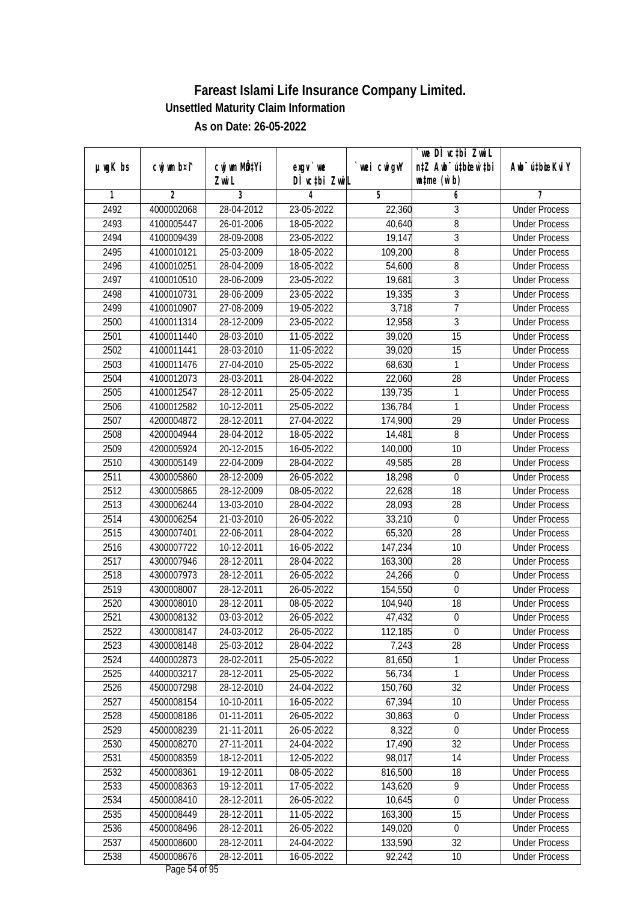|               |                |                       |                            |            | we DI vctbi ZwiL<br>n‡Z Awb <sup>-</sup> ú‡bicen`‡bi |                             |
|---------------|----------------|-----------------------|----------------------------|------------|------------------------------------------------------|-----------------------------|
| $µ$ ug $K$ bs | cwj wm b¤i^    | cwj wm MQtYi<br>Zwi L | $exgV$ we<br>DÌ vctbi ZwiL | wei cwigvY | $\n  untime\n  (u`b)\n$                              | Awb <sup>-</sup> ú‡bioeKviY |
| 1             | $\overline{2}$ | 3                     | 4                          | 5          | 6                                                    | 7                           |
| 2492          | 4000002068     | 28-04-2012            | 23-05-2022                 | 22,360     | 3                                                    | <b>Under Process</b>        |
| 2493          | 4100005447     | 26-01-2006            | 18-05-2022                 | 40,640     | $\overline{8}$                                       | <b>Under Process</b>        |
| 2494          | 4100009439     | 28-09-2008            | 23-05-2022                 | 19,147     | $\overline{3}$                                       | <b>Under Process</b>        |
| 2495          | 4100010121     | 25-03-2009            | 18-05-2022                 | 109,200    | 8                                                    | <b>Under Process</b>        |
| 2496          | 4100010251     | 28-04-2009            | 18-05-2022                 | 54,600     | 8                                                    | <b>Under Process</b>        |
| 2497          | 4100010510     | 28-06-2009            | 23-05-2022                 | 19,681     | $\overline{3}$                                       | <b>Under Process</b>        |
| 2498          | 4100010731     | 28-06-2009            | 23-05-2022                 | 19,335     | $\overline{3}$                                       | <b>Under Process</b>        |
| 2499          | 4100010907     | 27-08-2009            | 19-05-2022                 | 3,718      | $\overline{7}$                                       | <b>Under Process</b>        |
| 2500          | 4100011314     | 28-12-2009            | 23-05-2022                 | 12,958     | $\overline{3}$                                       | <b>Under Process</b>        |
| 2501          | 4100011440     | 28-03-2010            | 11-05-2022                 | 39,020     | 15                                                   | <b>Under Process</b>        |
| 2502          | 4100011441     | 28-03-2010            | 11-05-2022                 | 39,020     | $\overline{15}$                                      | <b>Under Process</b>        |
| 2503          | 4100011476     | 27-04-2010            | 25-05-2022                 | 68,630     | 1                                                    | <b>Under Process</b>        |
| 2504          | 4100012073     | 28-03-2011            | 28-04-2022                 | 22,060     | $\overline{28}$                                      | <b>Under Process</b>        |
| 2505          | 4100012547     | 28-12-2011            | 25-05-2022                 | 139,735    | 1                                                    | <b>Under Process</b>        |
| 2506          | 4100012582     | 10-12-2011            | 25-05-2022                 | 136,784    | $\mathbf{1}$                                         | <b>Under Process</b>        |
| 2507          | 4200004872     | 28-12-2011            | 27-04-2022                 | 174,900    | 29                                                   | <b>Under Process</b>        |
| 2508          | 4200004944     | 28-04-2012            | 18-05-2022                 | 14,481     | 8                                                    | <b>Under Process</b>        |
| 2509          | 4200005924     | 20-12-2015            | 16-05-2022                 | 140,000    | 10                                                   | <b>Under Process</b>        |
| 2510          | 4300005149     | 22-04-2009            | 28-04-2022                 | 49,585     | 28                                                   | <b>Under Process</b>        |
| 2511          | 4300005860     | 28-12-2009            | 26-05-2022                 | 18,298     | $\boldsymbol{0}$                                     | <b>Under Process</b>        |
| 2512          | 4300005865     | 28-12-2009            | 08-05-2022                 | 22,628     | 18                                                   | <b>Under Process</b>        |
| 2513          | 4300006244     | 13-03-2010            | 28-04-2022                 | 28,093     | 28                                                   | <b>Under Process</b>        |
| 2514          | 4300006254     | 21-03-2010            | 26-05-2022                 | 33,210     | $\boldsymbol{0}$                                     | <b>Under Process</b>        |
| 2515          | 4300007401     | 22-06-2011            | 28-04-2022                 | 65,320     | 28                                                   | <b>Under Process</b>        |
| 2516          | 4300007722     | 10-12-2011            | 16-05-2022                 | 147,234    | 10                                                   | <b>Under Process</b>        |
| 2517          | 4300007946     | 28-12-2011            | 28-04-2022                 | 163,300    | 28                                                   | <b>Under Process</b>        |
| 2518          | 4300007973     | 28-12-2011            | 26-05-2022                 | 24,266     | 0                                                    | <b>Under Process</b>        |
| 2519          | 4300008007     | 28-12-2011            | 26-05-2022                 | 154,550    | $\boldsymbol{0}$                                     | <b>Under Process</b>        |
| 2520          | 4300008010     | 28-12-2011            | 08-05-2022                 | 104,940    | 18                                                   | <b>Under Process</b>        |
| 2521          | 4300008132     | 03-03-2012            | 26-05-2022                 | 47,432     | $\boldsymbol{0}$                                     | <b>Under Process</b>        |
| 2522          | 4300008147     | 24-03-2012            | 26-05-2022                 | 112,185    | $\boldsymbol{0}$                                     | <b>Under Process</b>        |
| 2523          | 4300008148     | 25-03-2012            | 28-04-2022                 | 7,243      | 28                                                   | <b>Under Process</b>        |
| 2524          | 4400002873     | 28-02-2011            | 25-05-2022                 | 81,650     | 1                                                    | <b>Under Process</b>        |
| 2525          | 4400003217     | 28-12-2011            | 25-05-2022                 | 56,734     | $\mathbf{1}$                                         | <b>Under Process</b>        |
| 2526          | 4500007298     | 28-12-2010            | 24-04-2022                 | 150,760    | 32                                                   | <b>Under Process</b>        |
| 2527          | 4500008154     | 10-10-2011            | 16-05-2022                 | 67,394     | 10                                                   | <b>Under Process</b>        |
| 2528          | 4500008186     | 01-11-2011            | 26-05-2022                 | 30,863     | $\boldsymbol{0}$                                     | <b>Under Process</b>        |
| 2529          | 4500008239     | 21-11-2011            | 26-05-2022                 | 8,322      | $\mathbf 0$                                          | <b>Under Process</b>        |
| 2530          | 4500008270     | 27-11-2011            | 24-04-2022                 | 17,490     | 32                                                   | <b>Under Process</b>        |
| 2531          | 4500008359     | 18-12-2011            | 12-05-2022                 | 98,017     | 14                                                   | <b>Under Process</b>        |
| 2532          | 4500008361     | 19-12-2011            | 08-05-2022                 | 816,500    | 18                                                   | <b>Under Process</b>        |
| 2533          | 4500008363     | 19-12-2011            | 17-05-2022                 | 143,620    | $\overline{9}$                                       | <b>Under Process</b>        |
| 2534          | 4500008410     | 28-12-2011            | 26-05-2022                 | 10,645     | $\mathbf 0$                                          | <b>Under Process</b>        |
| 2535          | 4500008449     | 28-12-2011            | 11-05-2022                 | 163,300    | 15                                                   | <b>Under Process</b>        |
| 2536          | 4500008496     | 28-12-2011            | 26-05-2022                 | 149,020    | $\pmb{0}$                                            | <b>Under Process</b>        |
| 2537          | 4500008600     | 28-12-2011            | 24-04-2022                 | 133,590    | 32                                                   | <b>Under Process</b>        |
| 2538          | 4500008676     | 28-12-2011            | 16-05-2022                 | 92,242     | 10                                                   | <b>Under Process</b>        |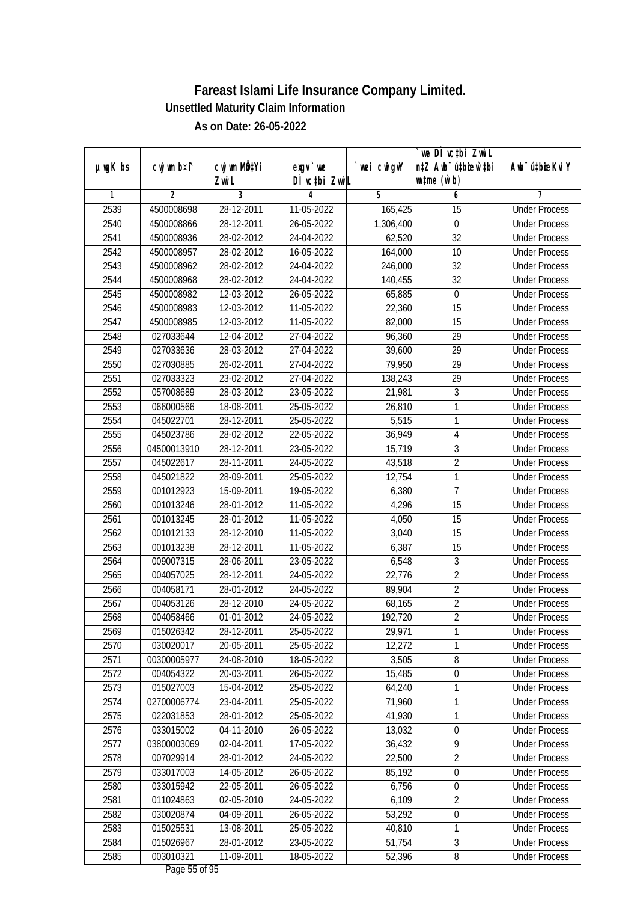|               |                |                           |               |             | we DI vctbi ZwiL                 |                             |
|---------------|----------------|---------------------------|---------------|-------------|----------------------------------|-----------------------------|
| $µ$ ug $K$ bs | cwj wm b¤i^    | cwj wm MQ <sup>1</sup> Yi | $exgV$ we     | `wei cwigvY | n‡Z Awb <sup>-</sup> ú‡bicen`‡bi | Awb <sup>-</sup> ú‡bioeKviY |
|               |                | Zwi L                     | DÌ vctbi ZwiL |             | $\n  untime\n  (u`b)\n$          |                             |
| 1             | $\overline{2}$ | 3                         | 4             | 5           | 6                                | 7                           |
| 2539          | 4500008698     | 28-12-2011                | 11-05-2022    | 165,425     | $\overline{15}$                  | <b>Under Process</b>        |
| 2540          | 4500008866     | 28-12-2011                | 26-05-2022    | 1,306,400   | $\boldsymbol{0}$                 | <b>Under Process</b>        |
| 2541          | 4500008936     | 28-02-2012                | 24-04-2022    | 62,520      | $\overline{32}$                  | <b>Under Process</b>        |
| 2542          | 4500008957     | 28-02-2012                | 16-05-2022    | 164,000     | 10                               | <b>Under Process</b>        |
| 2543          | 4500008962     | 28-02-2012                | 24-04-2022    | 246,000     | $\overline{32}$                  | <b>Under Process</b>        |
| 2544          | 4500008968     | 28-02-2012                | 24-04-2022    | 140,455     | $\overline{32}$                  | <b>Under Process</b>        |
| 2545          | 4500008982     | 12-03-2012                | 26-05-2022    | 65,885      | $\boldsymbol{0}$                 | <b>Under Process</b>        |
| 2546          | 4500008983     | 12-03-2012                | 11-05-2022    | 22,360      | $\overline{15}$                  | <b>Under Process</b>        |
| 2547          | 4500008985     | 12-03-2012                | 11-05-2022    | 82,000      | $\overline{15}$                  | <b>Under Process</b>        |
| 2548          | 027033644      | 12-04-2012                | 27-04-2022    | 96,360      | 29                               | <b>Under Process</b>        |
| 2549          | 027033636      | 28-03-2012                | 27-04-2022    | 39,600      | $\overline{29}$                  | <b>Under Process</b>        |
| 2550          | 027030885      | 26-02-2011                | 27-04-2022    | 79,950      | 29                               | <b>Under Process</b>        |
| 2551          | 027033323      | 23-02-2012                | 27-04-2022    | 138,243     | $\overline{29}$                  | <b>Under Process</b>        |
| 2552          | 057008689      | 28-03-2012                | 23-05-2022    | 21,981      | $\sqrt{3}$                       | <b>Under Process</b>        |
| 2553          | 066000566      | 18-08-2011                | 25-05-2022    | 26,810      | $\mathbf{1}$                     | <b>Under Process</b>        |
| 2554          | 045022701      | 28-12-2011                | 25-05-2022    | 5,515       | 1                                | <b>Under Process</b>        |
| 2555          | 045023786      | 28-02-2012                | 22-05-2022    | 36,949      | 4                                | <b>Under Process</b>        |
| 2556          | 04500013910    | 28-12-2011                | 23-05-2022    | 15,719      | 3                                | <b>Under Process</b>        |
| 2557          | 045022617      | 28-11-2011                | 24-05-2022    | 43,518      | $\overline{2}$                   | <b>Under Process</b>        |
| 2558          | 045021822      | 28-09-2011                | 25-05-2022    | 12,754      | 1                                | <b>Under Process</b>        |
| 2559          | 001012923      | 15-09-2011                | 19-05-2022    | 6,380       | $\overline{7}$                   | <b>Under Process</b>        |
| 2560          | 001013246      | 28-01-2012                | 11-05-2022    | 4,296       | 15                               | <b>Under Process</b>        |
| 2561          | 001013245      | 28-01-2012                | 11-05-2022    | 4,050       | 15                               | <b>Under Process</b>        |
| 2562          | 001012133      | 28-12-2010                | 11-05-2022    | 3,040       | 15                               | <b>Under Process</b>        |
| 2563          | 001013238      | 28-12-2011                | 11-05-2022    | 6,387       | 15                               | <b>Under Process</b>        |
| 2564          | 009007315      | 28-06-2011                | 23-05-2022    | 6,548       | 3                                | <b>Under Process</b>        |
| 2565          | 004057025      | 28-12-2011                | 24-05-2022    | 22,776      | $\overline{2}$                   | <b>Under Process</b>        |
| 2566          | 004058171      | 28-01-2012                | 24-05-2022    | 89,904      | $\overline{2}$                   | <b>Under Process</b>        |
| 2567          | 004053126      | 28-12-2010                | 24-05-2022    | 68,165      | $\overline{2}$                   | <b>Under Process</b>        |
| 2568          | 004058466      | 01-01-2012                | 24-05-2022    | 192,720     | $\overline{2}$                   | <b>Under Process</b>        |
| 2569          | 015026342      | 28-12-2011                | 25-05-2022    | 29,971      | 1                                | <b>Under Process</b>        |
| 2570          | 030020017      | 20-05-2011                | 25-05-2022    | 12,272      | 1                                | <b>Under Process</b>        |
| 2571          | 00300005977    | 24-08-2010                | 18-05-2022    | 3,505       | $\, 8$                           | <b>Under Process</b>        |
| 2572          | 004054322      | 20-03-2011                | 26-05-2022    | 15,485      | $\overline{0}$                   | <b>Under Process</b>        |
| 2573          | 015027003      | 15-04-2012                | 25-05-2022    | 64,240      | 1                                | <b>Under Process</b>        |
| 2574          | 02700006774    | 23-04-2011                | 25-05-2022    | 71,960      | 1                                | <b>Under Process</b>        |
| 2575          | 022031853      | 28-01-2012                | 25-05-2022    | 41,930      | 1                                | <b>Under Process</b>        |
| 2576          | 033015002      | 04-11-2010                | 26-05-2022    | 13,032      | $\boldsymbol{0}$                 | <b>Under Process</b>        |
| 2577          | 03800003069    | 02-04-2011                | 17-05-2022    | 36,432      | $\overline{9}$                   | <b>Under Process</b>        |
| 2578          | 007029914      | 28-01-2012                | 24-05-2022    | 22,500      | $\overline{2}$                   | <b>Under Process</b>        |
| 2579          | 033017003      | 14-05-2012                | 26-05-2022    | 85,192      | $\boldsymbol{0}$                 | <b>Under Process</b>        |
| 2580          | 033015942      | 22-05-2011                | 26-05-2022    | 6,756       | $\boldsymbol{0}$                 | <b>Under Process</b>        |
| 2581          | 011024863      | 02-05-2010                | 24-05-2022    | 6,109       | $\overline{2}$                   | <b>Under Process</b>        |
| 2582          | 030020874      | 04-09-2011                | 26-05-2022    | 53,292      | $\pmb{0}$                        | <b>Under Process</b>        |
| 2583          | 015025531      | 13-08-2011                | 25-05-2022    | 40,810      | 1                                | <b>Under Process</b>        |
| 2584          | 015026967      | 28-01-2012                | 23-05-2022    | 51,754      | $\overline{3}$                   | <b>Under Process</b>        |
| 2585          | 003010321      | 11-09-2011                | 18-05-2022    | 52,396      | 8                                | <b>Under Process</b>        |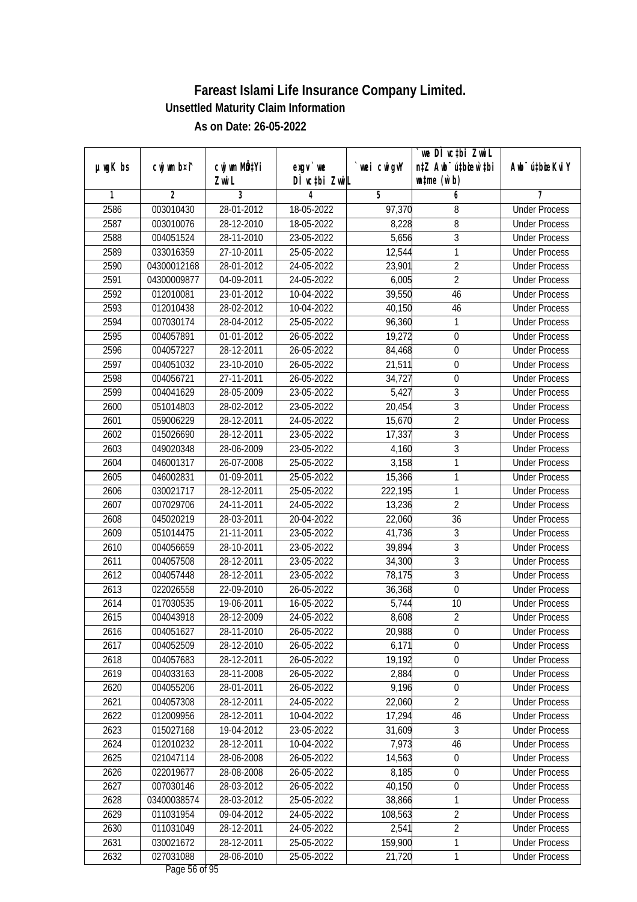|               |                |                          |                          |                  | we DI vctbi ZwiL                 |                                              |
|---------------|----------------|--------------------------|--------------------------|------------------|----------------------------------|----------------------------------------------|
| $µ$ ug $K$ bs | cwj wm b¤i^    | cwj wm MQtYi             | $exgV$ we                | wei cwigvY       | n‡Z Awb <sup>-</sup> ú‡bicen`‡bi | Awb <sup>-</sup> ú‡bioeKviY                  |
| 1             | $\overline{2}$ | Zwi L<br>3               | DÌ vctbi ZwiL<br>4       | 5                | $\n  untime\n  (u`b)\n$<br>6     | 7                                            |
| 2586          | 003010430      | 28-01-2012               | 18-05-2022               | 97,370           | 8                                | <b>Under Process</b>                         |
| 2587          | 003010076      | 28-12-2010               | 18-05-2022               | 8,228            | $\overline{8}$                   | <b>Under Process</b>                         |
| 2588          | 004051524      | 28-11-2010               | 23-05-2022               | 5,656            | $\overline{3}$                   | <b>Under Process</b>                         |
| 2589          | 033016359      | 27-10-2011               |                          |                  |                                  | <b>Under Process</b>                         |
| 2590          | 04300012168    | 28-01-2012               | 25-05-2022<br>24-05-2022 | 12,544<br>23,901 | 1<br>$\overline{2}$              | <b>Under Process</b>                         |
| 2591          | 04300009877    | 04-09-2011               | 24-05-2022               |                  | $\overline{2}$                   | <b>Under Process</b>                         |
|               |                | 23-01-2012               | 10-04-2022               | 6,005<br>39,550  | 46                               |                                              |
| 2592          | 012010081      |                          |                          |                  |                                  | <b>Under Process</b><br><b>Under Process</b> |
| 2593          | 012010438      | 28-02-2012               | 10-04-2022               | 40,150           | 46                               |                                              |
| 2594          | 007030174      | 28-04-2012               | 25-05-2022               | 96,360           | 1                                | <b>Under Process</b>                         |
| 2595          | 004057891      | $\overline{01}$ -01-2012 | 26-05-2022               | 19,272           | $\mathbf 0$                      | <b>Under Process</b>                         |
| 2596          | 004057227      | 28-12-2011               | 26-05-2022               | 84,468           | $\boldsymbol{0}$                 | <b>Under Process</b>                         |
| 2597          | 004051032      | 23-10-2010               | 26-05-2022               | 21,511           | $\boldsymbol{0}$                 | <b>Under Process</b>                         |
| 2598          | 004056721      | 27-11-2011               | 26-05-2022               | 34,727           | $\overline{0}$                   | <b>Under Process</b>                         |
| 2599          | 004041629      | 28-05-2009               | 23-05-2022               | 5,427            | $\sqrt{3}$                       | <b>Under Process</b>                         |
| 2600          | 051014803      | 28-02-2012               | 23-05-2022               | 20,454           | $\overline{3}$                   | <b>Under Process</b>                         |
| 2601          | 059006229      | 28-12-2011               | 24-05-2022               | 15,670           | $\overline{2}$                   | <b>Under Process</b>                         |
| 2602          | 015026690      | 28-12-2011               | 23-05-2022               | 17,337           | $\mathfrak z$                    | <b>Under Process</b>                         |
| 2603          | 049020348      | 28-06-2009               | 23-05-2022               | 4,160            | $\mathfrak{Z}$                   | <b>Under Process</b>                         |
| 2604          | 046001317      | 26-07-2008               | 25-05-2022               | 3,158            | $\mathbf{1}$                     | <b>Under Process</b>                         |
| 2605          | 046002831      | 01-09-2011               | 25-05-2022               | 15,366           | 1                                | <b>Under Process</b>                         |
| 2606          | 030021717      | 28-12-2011               | 25-05-2022               | 222,195          | $\mathbf{1}$                     | <b>Under Process</b>                         |
| 2607          | 007029706      | 24-11-2011               | 24-05-2022               | 13,236           | $\overline{2}$                   | <b>Under Process</b>                         |
| 2608          | 045020219      | 28-03-2011               | 20-04-2022               | 22,060           | 36                               | <b>Under Process</b>                         |
| 2609          | 051014475      | 21-11-2011               | 23-05-2022               | 41,736           | $\sqrt{3}$                       | <b>Under Process</b>                         |
| 2610          | 004056659      | 28-10-2011               | 23-05-2022               | 39,894           | $\overline{3}$                   | <b>Under Process</b>                         |
| 2611          | 004057508      | 28-12-2011               | 23-05-2022               | 34,300           | $\overline{3}$                   | <b>Under Process</b>                         |
| 2612          | 004057448      | 28-12-2011               | 23-05-2022               | 78,175           | $\mathfrak{Z}$                   | <b>Under Process</b>                         |
| 2613          | 022026558      | 22-09-2010               | 26-05-2022               | 36,368           | $\boldsymbol{0}$                 | <b>Under Process</b>                         |
| 2614          | 017030535      | 19-06-2011               | 16-05-2022               | 5,744            | 10                               | <b>Under Process</b>                         |
| 2615          | 004043918      | 28-12-2009               | 24-05-2022               | 8,608            | $\overline{2}$                   | <b>Under Process</b>                         |
| 2616          | 004051627      | 28-11-2010               | 26-05-2022               | 20,988           | 0                                | <b>Under Process</b>                         |
| 2617          | 004052509      | 28-12-2010               | 26-05-2022               | 6,171            | $\boldsymbol{0}$                 | <b>Under Process</b>                         |
| 2618          | 004057683      | 28-12-2011               | 26-05-2022               | 19,192           | $\boldsymbol{0}$                 | <b>Under Process</b>                         |
| 2619          | 004033163      | 28-11-2008               | 26-05-2022               | 2,884            | $\overline{0}$                   | <b>Under Process</b>                         |
| 2620          | 004055206      | 28-01-2011               | 26-05-2022               | 9,196            | $\boldsymbol{0}$                 | <b>Under Process</b>                         |
| 2621          | 004057308      | 28-12-2011               | 24-05-2022               | 22,060           | $\overline{2}$                   | <b>Under Process</b>                         |
| 2622          | 012009956      | 28-12-2011               | 10-04-2022               | 17,294           | 46                               | <b>Under Process</b>                         |
| 2623          | 015027168      | 19-04-2012               | 23-05-2022               | 31,609           | $\overline{3}$                   | <b>Under Process</b>                         |
| 2624          | 012010232      | 28-12-2011               | 10-04-2022               | 7,973            | 46                               | <b>Under Process</b>                         |
| 2625          | 021047114      | 28-06-2008               | 26-05-2022               | 14,563           | $\boldsymbol{0}$                 | <b>Under Process</b>                         |
| 2626          | 022019677      | 28-08-2008               | 26-05-2022               | 8,185            | 0                                | <b>Under Process</b>                         |
| 2627          | 007030146      | 28-03-2012               | 26-05-2022               | 40,150           | $\boldsymbol{0}$                 | <b>Under Process</b>                         |
| 2628          | 03400038574    | 28-03-2012               | 25-05-2022               | 38,866           | 1                                | <b>Under Process</b>                         |
| 2629          | 011031954      | 09-04-2012               | 24-05-2022               | 108,563          | $\overline{2}$                   | <b>Under Process</b>                         |
| 2630          | 011031049      | 28-12-2011               | 24-05-2022               | 2,541            | $\overline{2}$                   | <b>Under Process</b>                         |
| 2631          | 030021672      | 28-12-2011               | 25-05-2022               | 159,900          | $\mathbf{1}$                     | <b>Under Process</b>                         |
| 2632          | 027031088      | 28-06-2010               | 25-05-2022               | 21,720           | $\mathbf{1}$                     | <b>Under Process</b>                         |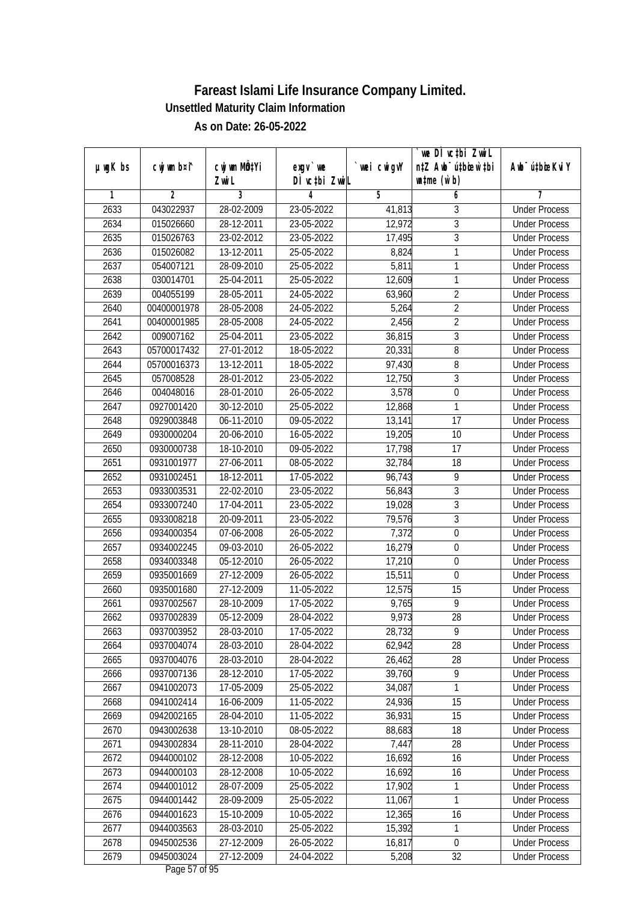|               |                |                  |               |            | we DI vctbi ZwiL                 |                             |
|---------------|----------------|------------------|---------------|------------|----------------------------------|-----------------------------|
| $µ$ ug $K$ bs | cwj wm b¤i^    | cwj wm MÖ¢Yi     | $exgV$ we     | wei cwigvY | n‡Z Awb <sup>-</sup> ú‡bicen`‡bi | Awb <sup>-</sup> ú‡bioeKviY |
|               |                | Zwi L            | DÌ vctbi ZwiL |            | $\n  untime\n  (u`b)\n$          |                             |
| 1             | $\overline{2}$ | 3                | 4             | 5          | 6                                | 7                           |
| 2633          | 043022937      | 28-02-2009       | 23-05-2022    | 41,813     | 3                                | <b>Under Process</b>        |
| 2634          | 015026660      | 28-12-2011       | 23-05-2022    | 12,972     | $\overline{3}$                   | <b>Under Process</b>        |
| 2635          | 015026763      | 23-02-2012       | 23-05-2022    | 17,495     | $\overline{3}$                   | <b>Under Process</b>        |
| 2636          | 015026082      | 13-12-2011       | 25-05-2022    | 8,824      | 1                                | <b>Under Process</b>        |
| 2637          | 054007121      | 28-09-2010       | 25-05-2022    | 5,811      | $\mathbf{1}$                     | <b>Under Process</b>        |
| 2638          | 030014701      | 25-04-2011       | 25-05-2022    | 12,609     | $\mathbf{1}$                     | <b>Under Process</b>        |
| 2639          | 004055199      | 28-05-2011       | 24-05-2022    | 63,960     | $\overline{2}$                   | <b>Under Process</b>        |
| 2640          | 00400001978    | 28-05-2008       | 24-05-2022    | 5,264      | $\overline{2}$                   | <b>Under Process</b>        |
| 2641          | 00400001985    | 28-05-2008       | 24-05-2022    | 2,456      | $\overline{2}$                   | <b>Under Process</b>        |
| 2642          | 009007162      | $25 - 04 - 2011$ | 23-05-2022    | 36,815     | $\mathfrak{Z}$                   | <b>Under Process</b>        |
| 2643          | 05700017432    | 27-01-2012       | 18-05-2022    | 20,331     | 8                                | <b>Under Process</b>        |
| 2644          | 05700016373    | 13-12-2011       | 18-05-2022    | 97,430     | 8                                | <b>Under Process</b>        |
| 2645          | 057008528      | 28-01-2012       | 23-05-2022    | 12,750     | $\overline{3}$                   | <b>Under Process</b>        |
| 2646          | 004048016      | 28-01-2010       | 26-05-2022    | 3,578      | $\boldsymbol{0}$                 | <b>Under Process</b>        |
| 2647          | 0927001420     | 30-12-2010       | 25-05-2022    | 12,868     | $\mathbf{1}$                     | <b>Under Process</b>        |
| 2648          | 0929003848     | 06-11-2010       | 09-05-2022    | 13,141     | 17                               | <b>Under Process</b>        |
| 2649          | 0930000204     | 20-06-2010       | 16-05-2022    | 19,205     | 10                               | <b>Under Process</b>        |
| 2650          | 0930000738     | 18-10-2010       | 09-05-2022    | 17,798     | 17                               | <b>Under Process</b>        |
| 2651          | 0931001977     | 27-06-2011       | 08-05-2022    | 32,784     | 18                               | <b>Under Process</b>        |
| 2652          | 0931002451     | 18-12-2011       | 17-05-2022    | 96,743     | 9                                | <b>Under Process</b>        |
| 2653          | 0933003531     | 22-02-2010       | 23-05-2022    | 56,843     | $\mathfrak{Z}$                   | <b>Under Process</b>        |
| 2654          | 0933007240     | 17-04-2011       | 23-05-2022    | 19,028     | $\sqrt{3}$                       | <b>Under Process</b>        |
| 2655          | 0933008218     | 20-09-2011       | 23-05-2022    | 79,576     | $\mathfrak{Z}$                   | <b>Under Process</b>        |
| 2656          | 0934000354     | 07-06-2008       | 26-05-2022    | 7,372      | $\boldsymbol{0}$                 | <b>Under Process</b>        |
| 2657          | 0934002245     | 09-03-2010       | 26-05-2022    | 16,279     | $\boldsymbol{0}$                 | <b>Under Process</b>        |
| 2658          | 0934003348     | 05-12-2010       | 26-05-2022    | 17,210     | $\mathbf 0$                      | <b>Under Process</b>        |
| 2659          | 0935001669     | 27-12-2009       | 26-05-2022    | 15,511     | $\boldsymbol{0}$                 | <b>Under Process</b>        |
| 2660          | 0935001680     | 27-12-2009       | 11-05-2022    | 12,575     | 15                               | <b>Under Process</b>        |
| 2661          | 0937002567     | 28-10-2009       | 17-05-2022    | 9,765      | 9                                | <b>Under Process</b>        |
| 2662          | 0937002839     | 05-12-2009       | 28-04-2022    | 9,973      | 28                               | <b>Under Process</b>        |
| 2663          | 0937003952     | 28-03-2010       | 17-05-2022    | 28,732     | 9                                | <b>Under Process</b>        |
| 2664          | 0937004074     | 28-03-2010       | 28-04-2022    | 62,942     | 28                               | <b>Under Process</b>        |
| 2665          | 0937004076     | 28-03-2010       | 28-04-2022    | 26,462     | 28                               | <b>Under Process</b>        |
| 2666          | 0937007136     | 28-12-2010       | 17-05-2022    | 39,760     | $\overline{9}$                   | <b>Under Process</b>        |
| 2667          | 0941002073     | 17-05-2009       | 25-05-2022    | 34,087     | $\mathbf{1}$                     | <b>Under Process</b>        |
| 2668          | 0941002414     | 16-06-2009       | 11-05-2022    | 24,936     | 15                               | <b>Under Process</b>        |
| 2669          | 0942002165     | 28-04-2010       | 11-05-2022    | 36,931     | 15                               | <b>Under Process</b>        |
| 2670          | 0943002638     | 13-10-2010       | 08-05-2022    | 88,683     | 18                               | <b>Under Process</b>        |
| 2671          | 0943002834     | 28-11-2010       | 28-04-2022    | 7,447      | 28                               | <b>Under Process</b>        |
| 2672          | 0944000102     | 28-12-2008       | 10-05-2022    | 16,692     | 16                               | <b>Under Process</b>        |
| 2673          | 0944000103     | 28-12-2008       | 10-05-2022    | 16,692     | 16                               | <b>Under Process</b>        |
| 2674          | 0944001012     | 28-07-2009       | 25-05-2022    | 17,902     | 1                                | <b>Under Process</b>        |
| 2675          | 0944001442     | 28-09-2009       | 25-05-2022    | 11,067     | 1                                | <b>Under Process</b>        |
| 2676          | 0944001623     | 15-10-2009       | 10-05-2022    | 12,365     | 16                               | <b>Under Process</b>        |
| 2677          | 0944003563     | 28-03-2010       | 25-05-2022    | 15,392     | 1                                | <b>Under Process</b>        |
| 2678          | 0945002536     | 27-12-2009       | 26-05-2022    | 16,817     | $\boldsymbol{0}$                 | <b>Under Process</b>        |
| 2679          | 0945003024     | 27-12-2009       | 24-04-2022    | 5,208      | 32                               | <b>Under Process</b>        |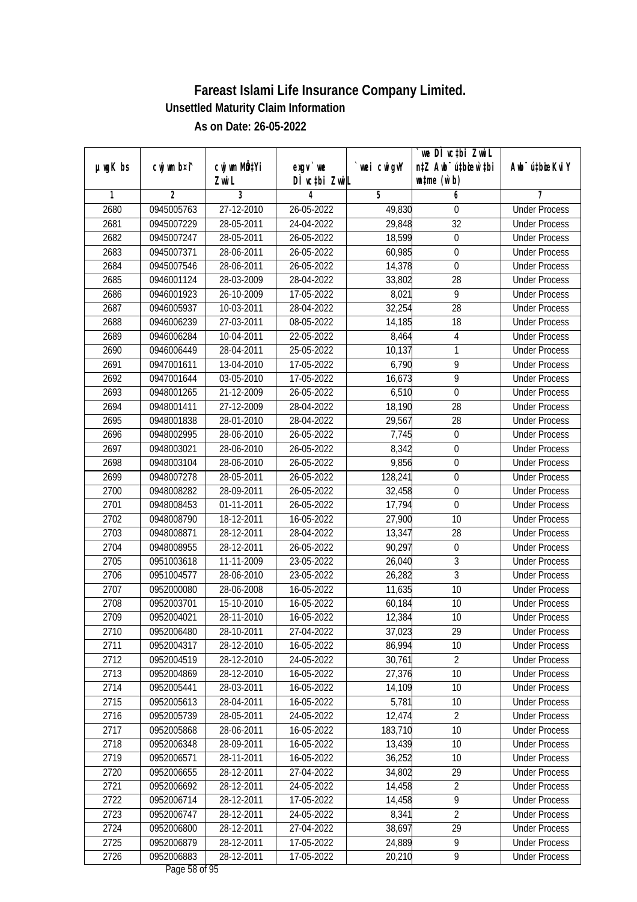| $µ$ ug $K$ bs | cwj wm b¤i^ | cwj wm MQtYi | exgv `we      | wei cwigvY | we DI vctbi ZwiL<br>n‡Z Awb <sup>-</sup> ú‡bioen`‡bi | Awb <sup>-</sup> ú‡bioeKviY |
|---------------|-------------|--------------|---------------|------------|------------------------------------------------------|-----------------------------|
|               |             | Zwi L        | DÌ vctbi ZwiL |            | $\n  untime\n  (u`b)\n$                              |                             |
| 1             | 2           | 3            | 4             | 5          | 6                                                    | 7                           |
| 2680          | 0945005763  | 27-12-2010   | 26-05-2022    | 49,830     | 0                                                    | <b>Under Process</b>        |
| 2681          | 0945007229  | 28-05-2011   | 24-04-2022    | 29,848     | 32                                                   | <b>Under Process</b>        |
| 2682          | 0945007247  | 28-05-2011   | 26-05-2022    | 18,599     | $\boldsymbol{0}$                                     | <b>Under Process</b>        |
| 2683          | 0945007371  | 28-06-2011   | 26-05-2022    | 60,985     | $\boldsymbol{0}$                                     | <b>Under Process</b>        |
| 2684          | 0945007546  | 28-06-2011   | 26-05-2022    | 14,378     | $\boldsymbol{0}$                                     | <b>Under Process</b>        |
| 2685          | 0946001124  | 28-03-2009   | 28-04-2022    | 33,802     | $\overline{28}$                                      | <b>Under Process</b>        |
| 2686          | 0946001923  | 26-10-2009   | 17-05-2022    | 8,021      | 9                                                    | <b>Under Process</b>        |
| 2687          | 0946005937  | 10-03-2011   | 28-04-2022    | 32,254     | $\overline{28}$                                      | <b>Under Process</b>        |
| 2688          | 0946006239  | 27-03-2011   | 08-05-2022    | 14,185     | 18                                                   | <b>Under Process</b>        |
| 2689          | 0946006284  | 10-04-2011   | 22-05-2022    | 8,464      | 4                                                    | <b>Under Process</b>        |
| 2690          | 0946006449  | 28-04-2011   | 25-05-2022    | 10,137     | 1                                                    | <b>Under Process</b>        |
| 2691          | 0947001611  | 13-04-2010   | 17-05-2022    | 6,790      | 9                                                    | <b>Under Process</b>        |
| 2692          | 0947001644  | 03-05-2010   | 17-05-2022    | 16,673     | $\overline{9}$                                       | <b>Under Process</b>        |
| 2693          | 0948001265  | 21-12-2009   | 26-05-2022    | 6,510      | $\mathbf 0$                                          | <b>Under Process</b>        |
| 2694          | 0948001411  | 27-12-2009   | 28-04-2022    | 18,190     | 28                                                   | <b>Under Process</b>        |
| 2695          | 0948001838  | 28-01-2010   | 28-04-2022    | 29,567     | 28                                                   | <b>Under Process</b>        |
| 2696          | 0948002995  | 28-06-2010   | 26-05-2022    | 7,745      | $\boldsymbol{0}$                                     | <b>Under Process</b>        |
| 2697          | 0948003021  | 28-06-2010   | 26-05-2022    | 8,342      | $\boldsymbol{0}$                                     | <b>Under Process</b>        |
| 2698          | 0948003104  | 28-06-2010   | 26-05-2022    | 9,856      | $\boldsymbol{0}$                                     | <b>Under Process</b>        |
| 2699          | 0948007278  | 28-05-2011   | 26-05-2022    | 128,241    | $\boldsymbol{0}$                                     | <b>Under Process</b>        |
| 2700          | 0948008282  | 28-09-2011   | 26-05-2022    | 32,458     | $\mathbf 0$                                          | <b>Under Process</b>        |
| 2701          | 0948008453  | 01-11-2011   | 26-05-2022    | 17,794     | $\boldsymbol{0}$                                     | <b>Under Process</b>        |
| 2702          | 0948008790  | 18-12-2011   | 16-05-2022    | 27,900     | 10                                                   | <b>Under Process</b>        |
| 2703          | 0948008871  | 28-12-2011   | 28-04-2022    | 13,347     | 28                                                   | <b>Under Process</b>        |
| 2704          | 0948008955  | 28-12-2011   | 26-05-2022    | 90,297     | $\boldsymbol{0}$                                     | <b>Under Process</b>        |
| 2705          | 0951003618  | 11-11-2009   | 23-05-2022    | 26,040     | $\sqrt{3}$                                           | <b>Under Process</b>        |
| 2706          | 0951004577  | 28-06-2010   | 23-05-2022    | 26,282     | 3                                                    | <b>Under Process</b>        |
| 2707          | 0952000080  | 28-06-2008   | 16-05-2022    | 11,635     | 10                                                   | <b>Under Process</b>        |
| 2708          | 0952003701  | 15-10-2010   | 16-05-2022    | 60,184     | 10                                                   | <b>Under Process</b>        |
| 2709          | 0952004021  | 28-11-2010   | 16-05-2022    | 12,384     | 10                                                   | <b>Under Process</b>        |
| 2710          | 0952006480  | 28-10-2011   | 27-04-2022    | 37,023     | 29                                                   | <b>Under Process</b>        |
| 2711          | 0952004317  | 28-12-2010   | 16-05-2022    | 86,994     | 10                                                   | <b>Under Process</b>        |
| 2712          | 0952004519  | 28-12-2010   | 24-05-2022    | 30,761     | $\overline{2}$                                       | <b>Under Process</b>        |
| 2713          | 0952004869  | 28-12-2010   | 16-05-2022    | 27,376     | 10                                                   | <b>Under Process</b>        |
| 2714          | 0952005441  | 28-03-2011   | 16-05-2022    | 14,109     | 10                                                   | <b>Under Process</b>        |
| 2715          | 0952005613  | 28-04-2011   | 16-05-2022    | 5,781      | 10                                                   | <b>Under Process</b>        |
| 2716          | 0952005739  | 28-05-2011   | 24-05-2022    | 12,474     | $\overline{2}$                                       | <b>Under Process</b>        |
| 2717          | 0952005868  | 28-06-2011   | 16-05-2022    | 183,710    | 10                                                   | <b>Under Process</b>        |
| 2718          | 0952006348  | 28-09-2011   | 16-05-2022    | 13,439     | 10                                                   | <b>Under Process</b>        |
| 2719          | 0952006571  | 28-11-2011   | 16-05-2022    | 36,252     | 10                                                   | <b>Under Process</b>        |
| 2720          | 0952006655  | 28-12-2011   | 27-04-2022    | 34,802     | 29                                                   | <b>Under Process</b>        |
| 2721          | 0952006692  | 28-12-2011   | 24-05-2022    | 14,458     | $\overline{2}$                                       | <b>Under Process</b>        |
| 2722          | 0952006714  | 28-12-2011   | 17-05-2022    | 14,458     | $\overline{9}$                                       | <b>Under Process</b>        |
| 2723          | 0952006747  | 28-12-2011   | 24-05-2022    | 8,341      | $\overline{2}$                                       | <b>Under Process</b>        |
| 2724          | 0952006800  | 28-12-2011   | 27-04-2022    | 38,697     | 29                                                   | <b>Under Process</b>        |
| 2725          | 0952006879  | 28-12-2011   | 17-05-2022    | 24,889     | 9                                                    | <b>Under Process</b>        |
| 2726          | 0952006883  | 28-12-2011   | 17-05-2022    | 20,210     | $\overline{9}$                                       | <b>Under Process</b>        |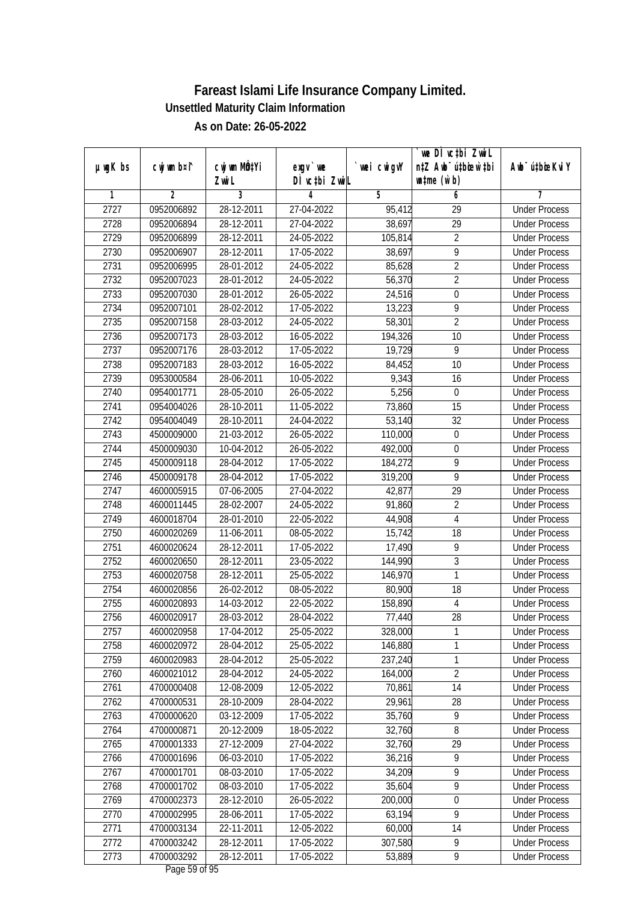|               |                |              |               |            | we DI vctbi ZwiL                 |                             |
|---------------|----------------|--------------|---------------|------------|----------------------------------|-----------------------------|
| $µ$ ug $K$ bs | cwj wm b¤i^    | cwj wm MQtYi | $exgV$ we     | wei cwigvY | n‡Z Awb <sup>-</sup> ú‡bioen`‡bi | Awb <sup>-</sup> ú‡bioeKviY |
|               |                | Zwi L        | DÌ vctbi ZwiL |            | $\n  untime\n  (u`b)\n$          |                             |
| 1             | $\overline{2}$ | 3            | 4             | 5          | 6                                | 7                           |
| 2727          | 0952006892     | 28-12-2011   | 27-04-2022    | 95,412     | $\overline{29}$                  | <b>Under Process</b>        |
| 2728          | 0952006894     | 28-12-2011   | 27-04-2022    | 38,697     | $\overline{29}$                  | <b>Under Process</b>        |
| 2729          | 0952006899     | 28-12-2011   | 24-05-2022    | 105,814    | $\overline{2}$                   | <b>Under Process</b>        |
| 2730          | 0952006907     | 28-12-2011   | 17-05-2022    | 38,697     | $\overline{9}$                   | <b>Under Process</b>        |
| 2731          | 0952006995     | 28-01-2012   | 24-05-2022    | 85,628     | $\overline{2}$                   | <b>Under Process</b>        |
| 2732          | 0952007023     | 28-01-2012   | 24-05-2022    | 56,370     | $\overline{2}$                   | <b>Under Process</b>        |
| 2733          | 0952007030     | 28-01-2012   | 26-05-2022    | 24,516     | $\overline{0}$                   | <b>Under Process</b>        |
| 2734          | 0952007101     | 28-02-2012   | 17-05-2022    | 13,223     | $\overline{9}$                   | <b>Under Process</b>        |
| 2735          | 0952007158     | 28-03-2012   | 24-05-2022    | 58,301     | $\overline{2}$                   | <b>Under Process</b>        |
| 2736          | 0952007173     | 28-03-2012   | 16-05-2022    | 194,326    | 10                               | <b>Under Process</b>        |
| 2737          | 0952007176     | 28-03-2012   | 17-05-2022    | 19,729     | $\overline{9}$                   | <b>Under Process</b>        |
| 2738          | 0952007183     | 28-03-2012   | 16-05-2022    | 84,452     | 10                               | <b>Under Process</b>        |
| 2739          | 0953000584     | 28-06-2011   | 10-05-2022    | 9,343      | $\overline{16}$                  | <b>Under Process</b>        |
| 2740          | 0954001771     | 28-05-2010   | 26-05-2022    | 5,256      | $\boldsymbol{0}$                 | <b>Under Process</b>        |
| 2741          | 0954004026     | 28-10-2011   | 11-05-2022    | 73,860     | 15                               | <b>Under Process</b>        |
| 2742          | 0954004049     | 28-10-2011   | 24-04-2022    | 53,140     | 32                               | <b>Under Process</b>        |
| 2743          | 4500009000     | 21-03-2012   | 26-05-2022    | 110,000    | $\boldsymbol{0}$                 | <b>Under Process</b>        |
| 2744          | 4500009030     | 10-04-2012   | 26-05-2022    | 492,000    | $\boldsymbol{0}$                 | <b>Under Process</b>        |
| 2745          | 4500009118     | 28-04-2012   | 17-05-2022    | 184,272    | 9                                | <b>Under Process</b>        |
| 2746          | 4500009178     | 28-04-2012   | 17-05-2022    | 319,200    | 9                                | <b>Under Process</b>        |
| 2747          | 4600005915     | 07-06-2005   | 27-04-2022    | 42,877     | 29                               | <b>Under Process</b>        |
| 2748          | 4600011445     | 28-02-2007   | 24-05-2022    | 91,860     | $\sqrt{2}$                       | <b>Under Process</b>        |
| 2749          | 4600018704     | 28-01-2010   | 22-05-2022    | 44,908     | $\overline{\mathbf{4}}$          | <b>Under Process</b>        |
| 2750          | 4600020269     | 11-06-2011   | 08-05-2022    | 15,742     | 18                               | <b>Under Process</b>        |
| 2751          | 4600020624     | 28-12-2011   | 17-05-2022    | 17,490     | 9                                | <b>Under Process</b>        |
| 2752          | 4600020650     | 28-12-2011   | 23-05-2022    | 144,990    | $\overline{3}$                   | <b>Under Process</b>        |
| 2753          | 4600020758     | 28-12-2011   | 25-05-2022    | 146,970    | 1                                | <b>Under Process</b>        |
| 2754          | 4600020856     | 26-02-2012   | 08-05-2022    | 80,900     | 18                               | <b>Under Process</b>        |
| 2755          | 4600020893     | 14-03-2012   | 22-05-2022    | 158,890    | $\overline{4}$                   | <b>Under Process</b>        |
| 2756          | 4600020917     | 28-03-2012   | 28-04-2022    | 77,440     | 28                               | <b>Under Process</b>        |
| 2757          | 4600020958     | 17-04-2012   | 25-05-2022    | 328,000    | 1                                | <b>Under Process</b>        |
| 2758          | 4600020972     | 28-04-2012   | 25-05-2022    | 146,880    | 1                                | <b>Under Process</b>        |
| 2759          | 4600020983     | 28-04-2012   | 25-05-2022    | 237,240    | $\mathbf{1}$                     | <b>Under Process</b>        |
| 2760          | 4600021012     | 28-04-2012   | 24-05-2022    | 164,000    | $\overline{2}$                   | <b>Under Process</b>        |
| 2761          | 4700000408     | 12-08-2009   | 12-05-2022    | 70,861     | 14                               | <b>Under Process</b>        |
| 2762          | 4700000531     | 28-10-2009   | 28-04-2022    | 29,961     | 28                               | <b>Under Process</b>        |
| 2763          | 4700000620     | 03-12-2009   | 17-05-2022    | 35,760     | $\overline{9}$                   | <b>Under Process</b>        |
| 2764          | 4700000871     | 20-12-2009   | 18-05-2022    | 32,760     | $\overline{8}$                   | <b>Under Process</b>        |
| 2765          | 4700001333     | 27-12-2009   | 27-04-2022    | 32,760     | 29                               | <b>Under Process</b>        |
| 2766          | 4700001696     | 06-03-2010   | 17-05-2022    | 36,216     | $\overline{9}$                   | <b>Under Process</b>        |
| 2767          | 4700001701     | 08-03-2010   | 17-05-2022    | 34,209     | 9                                | <b>Under Process</b>        |
| 2768          | 4700001702     | 08-03-2010   | 17-05-2022    | 35,604     | $\overline{9}$                   | <b>Under Process</b>        |
| 2769          | 4700002373     | 28-12-2010   | 26-05-2022    | 200,000    | $\boldsymbol{0}$                 | <b>Under Process</b>        |
| 2770          | 4700002995     | 28-06-2011   | 17-05-2022    | 63,194     | $\overline{9}$                   | <b>Under Process</b>        |
| 2771          | 4700003134     | 22-11-2011   | 12-05-2022    | 60,000     | 14                               | <b>Under Process</b>        |
| 2772          | 4700003242     | 28-12-2011   | 17-05-2022    | 307,580    | 9                                | <b>Under Process</b>        |
| 2773          | 4700003292     | 28-12-2011   | 17-05-2022    | 53,889     | 9                                | <b>Under Process</b>        |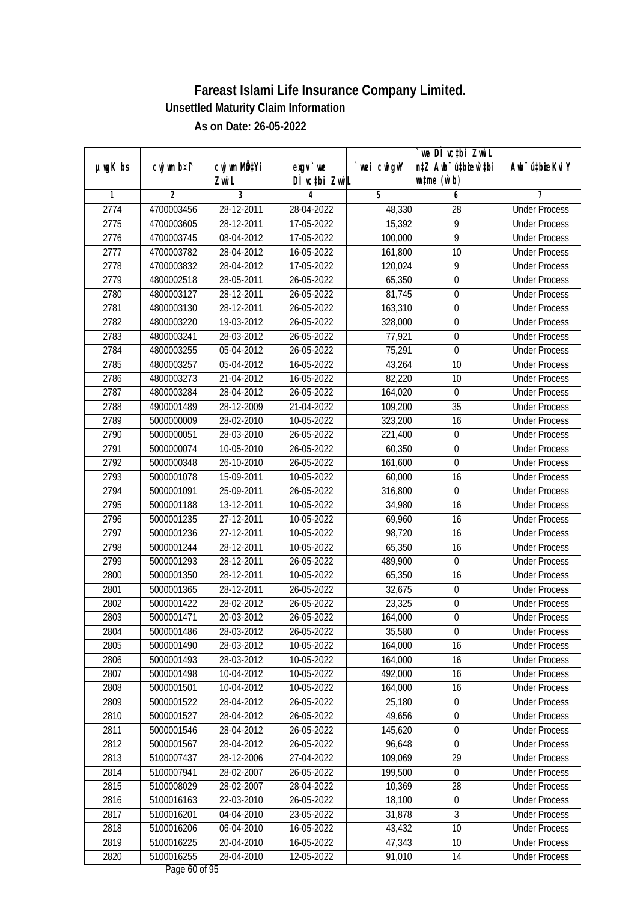|               |                |                     |                            |            | `we DÌ vc‡bi ZwwiL<br>n‡Z Awb <sup>-</sup> ú‡bioen`‡bi |                             |
|---------------|----------------|---------------------|----------------------------|------------|--------------------------------------------------------|-----------------------------|
| $µ$ ug $K$ bs | cwj wm b¤i^    | CW wm MQYi<br>Zwi L | $exqu$ we<br>DÌ vctbi ZwiL | wei cwigvY | $\n  untime\n  (u`b)\n$                                | Awb <sup>-</sup> ú‡bioeKviY |
| 1             | $\overline{2}$ | 3                   | 4                          | 5          | 6                                                      | 7                           |
| 2774          | 4700003456     | 28-12-2011          | 28-04-2022                 | 48,330     | 28                                                     | <b>Under Process</b>        |
| 2775          | 4700003605     | 28-12-2011          | 17-05-2022                 | 15,392     | $\overline{9}$                                         | <b>Under Process</b>        |
| 2776          | 4700003745     | 08-04-2012          | 17-05-2022                 | 100,000    | $\overline{9}$                                         | <b>Under Process</b>        |
| 2777          | 4700003782     | 28-04-2012          | 16-05-2022                 | 161,800    | 10                                                     | <b>Under Process</b>        |
| 2778          | 4700003832     | 28-04-2012          | 17-05-2022                 | 120,024    | $\overline{9}$                                         | <b>Under Process</b>        |
| 2779          | 4800002518     | 28-05-2011          | 26-05-2022                 | 65,350     | $\mathbf 0$                                            | <b>Under Process</b>        |
| 2780          | 4800003127     | 28-12-2011          | 26-05-2022                 | 81,745     | $\overline{0}$                                         | <b>Under Process</b>        |
| 2781          | 4800003130     | 28-12-2011          | 26-05-2022                 | 163,310    | $\overline{0}$                                         | <b>Under Process</b>        |
| 2782          | 4800003220     | 19-03-2012          | 26-05-2022                 | 328,000    | 0                                                      | <b>Under Process</b>        |
| 2783          | 4800003241     | 28-03-2012          | 26-05-2022                 | 77,921     | $\mathbf 0$                                            | <b>Under Process</b>        |
| 2784          | 4800003255     | 05-04-2012          | 26-05-2022                 | 75,291     | $\boldsymbol{0}$                                       | <b>Under Process</b>        |
| 2785          | 4800003257     | 05-04-2012          | 16-05-2022                 | 43,264     | 10                                                     | <b>Under Process</b>        |
| 2786          | 4800003273     | 21-04-2012          | 16-05-2022                 | 82,220     | 10                                                     | <b>Under Process</b>        |
| 2787          | 4800003284     | 28-04-2012          | 26-05-2022                 | 164,020    | $\boldsymbol{0}$                                       | <b>Under Process</b>        |
| 2788          | 4900001489     | 28-12-2009          | 21-04-2022                 | 109,200    | 35                                                     | <b>Under Process</b>        |
| 2789          | 5000000009     | 28-02-2010          | 10-05-2022                 | 323,200    | 16                                                     | <b>Under Process</b>        |
| 2790          | 5000000051     | 28-03-2010          | 26-05-2022                 | 221,400    | $\boldsymbol{0}$                                       | <b>Under Process</b>        |
| 2791          | 5000000074     | 10-05-2010          | 26-05-2022                 | 60,350     | $\boldsymbol{0}$                                       | <b>Under Process</b>        |
| 2792          | 5000000348     | 26-10-2010          | 26-05-2022                 | 161,600    | $\boldsymbol{0}$                                       | <b>Under Process</b>        |
| 2793          | 5000001078     | 15-09-2011          | 10-05-2022                 | 60,000     | 16                                                     | <b>Under Process</b>        |
| 2794          | 5000001091     | 25-09-2011          | 26-05-2022                 | 316,800    | $\mathbf 0$                                            | <b>Under Process</b>        |
| 2795          | 5000001188     | 13-12-2011          | 10-05-2022                 | 34,980     | 16                                                     | <b>Under Process</b>        |
| 2796          | 5000001235     | 27-12-2011          | 10-05-2022                 | 69,960     | 16                                                     | <b>Under Process</b>        |
| 2797          | 5000001236     | 27-12-2011          | 10-05-2022                 | 98,720     | 16                                                     | <b>Under Process</b>        |
| 2798          | 5000001244     | 28-12-2011          | 10-05-2022                 | 65,350     | 16                                                     | <b>Under Process</b>        |
| 2799          | 5000001293     | 28-12-2011          | 26-05-2022                 | 489,900    | $\mathbf 0$                                            | <b>Under Process</b>        |
| 2800          | 5000001350     | 28-12-2011          | 10-05-2022                 | 65,350     | 16                                                     | <b>Under Process</b>        |
| 2801          | 5000001365     | 28-12-2011          | 26-05-2022                 | 32,675     | $\boldsymbol{0}$                                       | <b>Under Process</b>        |
| 2802          | 5000001422     | 28-02-2012          | 26-05-2022                 | 23,325     | $\boldsymbol{0}$                                       | <b>Under Process</b>        |
| 2803          | 5000001471     | 20-03-2012          | 26-05-2022                 | 164,000    | $\boldsymbol{0}$                                       | <b>Under Process</b>        |
| 2804          | 5000001486     | 28-03-2012          | 26-05-2022                 | 35,580     | $\boldsymbol{0}$                                       | <b>Under Process</b>        |
| 2805          | 5000001490     | 28-03-2012          | 10-05-2022                 | 164,000    | 16                                                     | <b>Under Process</b>        |
| 2806          | 5000001493     | 28-03-2012          | 10-05-2022                 | 164,000    | 16                                                     | <b>Under Process</b>        |
| 2807          | 5000001498     | 10-04-2012          | 10-05-2022                 | 492,000    | 16                                                     | <b>Under Process</b>        |
| 2808          | 5000001501     | 10-04-2012          | 10-05-2022                 | 164,000    | 16                                                     | <b>Under Process</b>        |
| 2809          | 5000001522     | 28-04-2012          | 26-05-2022                 | 25,180     | 0                                                      | <b>Under Process</b>        |
| 2810          | 5000001527     | 28-04-2012          | 26-05-2022                 | 49,656     | $\boldsymbol{0}$                                       | <b>Under Process</b>        |
| 2811          | 5000001546     | 28-04-2012          | 26-05-2022                 | 145,620    | $\boldsymbol{0}$                                       | <b>Under Process</b>        |
| 2812          | 5000001567     | 28-04-2012          | 26-05-2022                 | 96,648     | $\boldsymbol{0}$                                       | <b>Under Process</b>        |
| 2813          | 5100007437     | 28-12-2006          | 27-04-2022                 | 109,069    | 29                                                     | <b>Under Process</b>        |
| 2814          | 5100007941     | 28-02-2007          | 26-05-2022                 | 199,500    | 0                                                      | <b>Under Process</b>        |
| 2815          | 5100008029     | 28-02-2007          | 28-04-2022                 | 10,369     | 28                                                     | <b>Under Process</b>        |
| 2816          | 5100016163     | 22-03-2010          | 26-05-2022                 | 18,100     | $\boldsymbol{0}$                                       | <b>Under Process</b>        |
| 2817          | 5100016201     | 04-04-2010          | 23-05-2022                 | 31,878     | 3                                                      | <b>Under Process</b>        |
| 2818          | 5100016206     | 06-04-2010          | 16-05-2022                 | 43,432     | 10                                                     | <b>Under Process</b>        |
| 2819          | 5100016225     | 20-04-2010          | 16-05-2022                 | 47,343     | 10                                                     | <b>Under Process</b>        |
| 2820          | 5100016255     | 28-04-2010          | 12-05-2022                 | 91,010     | 14                                                     | <b>Under Process</b>        |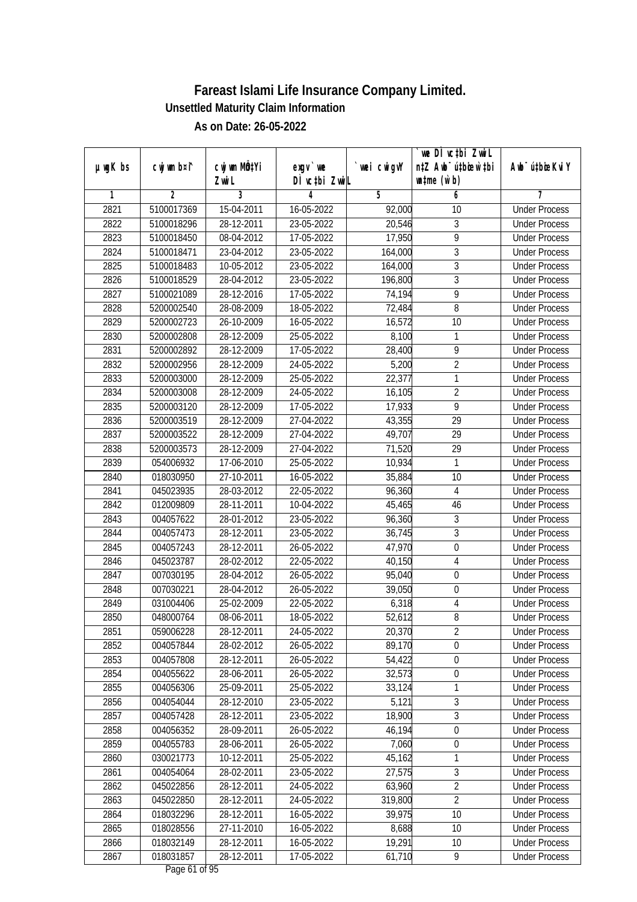| $µ$ ug $K$ bs | cwj wm b¤i^ | cwj wm MQtYi | $exgv$ we     | wei cwigvY | we DI vctbi ZwiL<br>n‡Z Awb <sup>-</sup> ú‡bioen`‡bi | Awb <sup>-</sup> ú‡bioeKviY |
|---------------|-------------|--------------|---------------|------------|------------------------------------------------------|-----------------------------|
|               |             | Zwi L        | DÌ vctbi ZwiL |            | $\n  untime\n  (u`b)\n$                              |                             |
| 1             | 2           | 3            | 4             | 5          | 6                                                    | 7                           |
| 2821          | 5100017369  | 15-04-2011   | 16-05-2022    | 92,000     | 10                                                   | <b>Under Process</b>        |
| 2822          | 5100018296  | 28-12-2011   | 23-05-2022    | 20,546     | 3                                                    | <b>Under Process</b>        |
| 2823          | 5100018450  | 08-04-2012   | 17-05-2022    | 17,950     | $\overline{9}$                                       | <b>Under Process</b>        |
| 2824          | 5100018471  | 23-04-2012   | 23-05-2022    | 164,000    | $\overline{3}$                                       | <b>Under Process</b>        |
| 2825          | 5100018483  | 10-05-2012   | 23-05-2022    | 164,000    | $\sqrt{3}$                                           | <b>Under Process</b>        |
| 2826          | 5100018529  | 28-04-2012   | 23-05-2022    | 196,800    | $\overline{3}$                                       | <b>Under Process</b>        |
| 2827          | 5100021089  | 28-12-2016   | 17-05-2022    | 74,194     | 9                                                    | <b>Under Process</b>        |
| 2828          | 5200002540  | 28-08-2009   | 18-05-2022    | 72,484     | $\overline{8}$                                       | <b>Under Process</b>        |
| 2829          | 5200002723  | 26-10-2009   | 16-05-2022    | 16,572     | 10                                                   | <b>Under Process</b>        |
| 2830          | 5200002808  | 28-12-2009   | 25-05-2022    | 8,100      | 1                                                    | <b>Under Process</b>        |
| 2831          | 5200002892  | 28-12-2009   | 17-05-2022    | 28,400     | $\overline{9}$                                       | <b>Under Process</b>        |
| 2832          | 5200002956  | 28-12-2009   | 24-05-2022    | 5,200      | $\overline{2}$                                       | <b>Under Process</b>        |
| 2833          | 5200003000  | 28-12-2009   | 25-05-2022    | 22,377     | $\mathbf{1}$                                         | <b>Under Process</b>        |
| 2834          | 5200003008  | 28-12-2009   | 24-05-2022    | 16,105     | $\overline{2}$                                       | <b>Under Process</b>        |
| 2835          | 5200003120  | 28-12-2009   | 17-05-2022    | 17,933     | 9                                                    | <b>Under Process</b>        |
| 2836          | 5200003519  | 28-12-2009   | 27-04-2022    | 43,355     | 29                                                   | <b>Under Process</b>        |
| 2837          | 5200003522  | 28-12-2009   | 27-04-2022    | 49,707     | 29                                                   | <b>Under Process</b>        |
| 2838          | 5200003573  | 28-12-2009   | 27-04-2022    | 71,520     | 29                                                   | <b>Under Process</b>        |
| 2839          | 054006932   | 17-06-2010   | 25-05-2022    | 10,934     | 1                                                    | <b>Under Process</b>        |
| 2840          | 018030950   | 27-10-2011   | 16-05-2022    | 35,884     | 10                                                   | <b>Under Process</b>        |
| 2841          | 045023935   | 28-03-2012   | 22-05-2022    | 96,360     | $\overline{4}$                                       | <b>Under Process</b>        |
| 2842          | 012009809   | 28-11-2011   | 10-04-2022    | 45,465     | 46                                                   | <b>Under Process</b>        |
| 2843          | 004057622   | 28-01-2012   | 23-05-2022    | 96,360     | 3                                                    | <b>Under Process</b>        |
| 2844          | 004057473   | 28-12-2011   | 23-05-2022    | 36,745     | $\mathfrak{Z}$                                       | <b>Under Process</b>        |
| 2845          | 004057243   | 28-12-2011   | 26-05-2022    | 47,970     | $\boldsymbol{0}$                                     | <b>Under Process</b>        |
| 2846          | 045023787   | 28-02-2012   | 22-05-2022    | 40,150     | $\overline{4}$                                       | <b>Under Process</b>        |
| 2847          | 007030195   | 28-04-2012   | 26-05-2022    | 95,040     | $\boldsymbol{0}$                                     | <b>Under Process</b>        |
| 2848          | 007030221   | 28-04-2012   | 26-05-2022    | 39,050     | $\mathbf 0$                                          | <b>Under Process</b>        |
| 2849          | 031004406   | 25-02-2009   | 22-05-2022    | 6,318      | $\overline{4}$                                       | <b>Under Process</b>        |
| 2850          | 048000764   | 08-06-2011   | 18-05-2022    | 52,612     | $\, 8$                                               | <b>Under Process</b>        |
| 2851          | 059006228   | 28-12-2011   | 24-05-2022    | 20,370     | 2                                                    | <b>Under Process</b>        |
| 2852          | 004057844   | 28-02-2012   | 26-05-2022    | 89,170     | $\mathbf 0$                                          | <b>Under Process</b>        |
| 2853          | 004057808   | 28-12-2011   | 26-05-2022    | 54,422     | $\boldsymbol{0}$                                     | <b>Under Process</b>        |
| 2854          | 004055622   | 28-06-2011   | 26-05-2022    | 32,573     | $\boldsymbol{0}$                                     | <b>Under Process</b>        |
| 2855          | 004056306   | 25-09-2011   | 25-05-2022    | 33,124     | $\mathbf{1}$                                         | <b>Under Process</b>        |
| 2856          | 004054044   | 28-12-2010   | 23-05-2022    | 5,121      | $\sqrt{3}$                                           | <b>Under Process</b>        |
| 2857          | 004057428   | 28-12-2011   | 23-05-2022    | 18,900     | 3                                                    | <b>Under Process</b>        |
| 2858          | 004056352   | 28-09-2011   | 26-05-2022    | 46,194     | 0                                                    | <b>Under Process</b>        |
| 2859          | 004055783   | 28-06-2011   | 26-05-2022    | 7,060      | $\boldsymbol{0}$                                     | <b>Under Process</b>        |
| 2860          | 030021773   | 10-12-2011   | 25-05-2022    | 45,162     | 1                                                    | <b>Under Process</b>        |
| 2861          | 004054064   | 28-02-2011   | 23-05-2022    | 27,575     | $\overline{3}$                                       | <b>Under Process</b>        |
| 2862          | 045022856   | 28-12-2011   | 24-05-2022    | 63,960     | $\overline{2}$                                       | <b>Under Process</b>        |
| 2863          | 045022850   | 28-12-2011   | 24-05-2022    | 319,800    | $\overline{2}$                                       | <b>Under Process</b>        |
| 2864          | 018032296   | 28-12-2011   | 16-05-2022    | 39,975     | 10                                                   | <b>Under Process</b>        |
| 2865          | 018028556   | 27-11-2010   | 16-05-2022    | 8,688      | 10                                                   | <b>Under Process</b>        |
| 2866          | 018032149   | 28-12-2011   | 16-05-2022    | 19,291     | 10                                                   | <b>Under Process</b>        |
| 2867          | 018031857   | 28-12-2011   | 17-05-2022    | 61,710     | 9                                                    | <b>Under Process</b>        |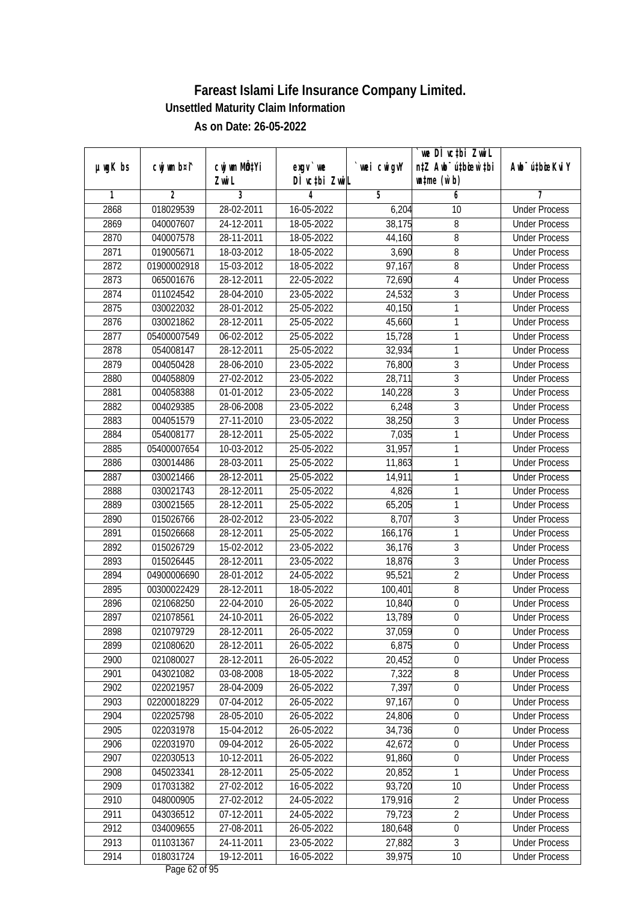|               |                          |                            |                          |                  | we DI vctbi ZwiL                 |                                              |
|---------------|--------------------------|----------------------------|--------------------------|------------------|----------------------------------|----------------------------------------------|
| $µ$ ug $K$ bs | cwj wm b¤i^              | cwj wm MQtYi               | exgv `we                 | wei cwigvY       | n‡Z Awb <sup>-</sup> ú‡bicen`‡bi | Awb <sup>-</sup> ú‡bioeKviY                  |
| 1             | $\overline{2}$           | Zwi L<br>3                 | DÌ vctbi ZwiL<br>4       | 5                | $\n  untime\n  (u`b)\n$<br>6     | 7                                            |
| 2868          | 018029539                | 28-02-2011                 | 16-05-2022               | 6,204            | 10                               | <b>Under Process</b>                         |
| 2869          | 040007607                | 24-12-2011                 | 18-05-2022               | 38,175           | 8                                | <b>Under Process</b>                         |
|               |                          |                            |                          |                  |                                  |                                              |
| 2870          | 040007578                | 28-11-2011                 | 18-05-2022               | 44,160           | 8                                | <b>Under Process</b>                         |
| 2871<br>2872  | 019005671<br>01900002918 | 18-03-2012<br>$15-03-2012$ | 18-05-2022               | 3,690            | 8<br>8                           | <b>Under Process</b><br><b>Under Process</b> |
| 2873          | 065001676                |                            | 18-05-2022               | 97,167           |                                  |                                              |
|               |                          | 28-12-2011<br>28-04-2010   | 22-05-2022<br>23-05-2022 | 72,690<br>24,532 | 4<br>3                           | <b>Under Process</b>                         |
| 2874          | 011024542                |                            |                          |                  | 1                                | <b>Under Process</b><br><b>Under Process</b> |
| 2875          | 030022032                | 28-01-2012                 | 25-05-2022               | 40,150           | $\mathbf{1}$                     |                                              |
| 2876          | 030021862                | 28-12-2011                 | 25-05-2022               | 45,660           |                                  | <b>Under Process</b>                         |
| 2877          | 05400007549              | 06-02-2012                 | 25-05-2022               | 15,728           | 1                                | <b>Under Process</b>                         |
| 2878          | 054008147                | 28-12-2011                 | 25-05-2022               | 32,934           | $\mathbf{1}$                     | <b>Under Process</b>                         |
| 2879          | 004050428                | 28-06-2010                 | 23-05-2022               | 76,800           | $\sqrt{3}$                       | <b>Under Process</b>                         |
| 2880          | 004058809                | 27-02-2012                 | 23-05-2022               | 28,711           | $\overline{3}$                   | <b>Under Process</b>                         |
| 2881          | 004058388                | 01-01-2012                 | 23-05-2022               | 140,228          | $\sqrt{3}$                       | <b>Under Process</b>                         |
| 2882          | 004029385                | 28-06-2008                 | 23-05-2022               | 6,248            | $\overline{3}$                   | <b>Under Process</b>                         |
| 2883          | 004051579                | $27-11-2010$               | 23-05-2022               | 38,250           | $\overline{3}$                   | <b>Under Process</b>                         |
| 2884          | 054008177                | 28-12-2011                 | 25-05-2022               | 7,035            | 1                                | <b>Under Process</b>                         |
| 2885          | 05400007654              | 10-03-2012                 | 25-05-2022               | 31,957           | $\mathbf{1}$                     | <b>Under Process</b>                         |
| 2886          | 030014486                | 28-03-2011                 | 25-05-2022               | 11,863           | $\mathbf{1}$                     | <b>Under Process</b>                         |
| 2887          | 030021466                | 28-12-2011                 | 25-05-2022               | 14,911           | 1                                | <b>Under Process</b>                         |
| 2888          | 030021743                | 28-12-2011                 | 25-05-2022               | 4,826            | $\mathbf{1}$                     | <b>Under Process</b>                         |
| 2889          | 030021565                | 28-12-2011                 | 25-05-2022               | 65,205           | 1                                | <b>Under Process</b>                         |
| 2890          | 015026766                | 28-02-2012                 | 23-05-2022               | 8,707            | $\mathfrak z$                    | <b>Under Process</b>                         |
| 2891          | 015026668                | 28-12-2011                 | 25-05-2022               | 166,176          | $\mathbf{1}$                     | <b>Under Process</b>                         |
| 2892          | 015026729                | 15-02-2012                 | 23-05-2022               | 36,176           | $\mathfrak z$                    | <b>Under Process</b>                         |
| 2893          | 015026445                | 28-12-2011                 | 23-05-2022               | 18,876           | $\overline{3}$                   | <b>Under Process</b>                         |
| 2894          | 04900006690              | 28-01-2012                 | 24-05-2022               | 95,521           | $\overline{2}$                   | <b>Under Process</b>                         |
| 2895          | 00300022429              | 28-12-2011                 | 18-05-2022               | 100,401          | 8                                | <b>Under Process</b>                         |
| 2896          | 021068250                | 22-04-2010                 | 26-05-2022               | 10,840           | $\boldsymbol{0}$                 | <b>Under Process</b>                         |
| 2897          | 021078561                | 24-10-2011                 | 26-05-2022               | 13,789           | $\boldsymbol{0}$                 | <b>Under Process</b>                         |
| 2898          | 021079729                | 28-12-2011                 | 26-05-2022               | 37,059           | 0                                | <b>Under Process</b>                         |
| 2899          | 021080620                | 28-12-2011                 | 26-05-2022               | 6,875            | $\mathbf 0$                      | <b>Under Process</b>                         |
| 2900          | 021080027                | 28-12-2011                 | 26-05-2022               | 20,452           | $\boldsymbol{0}$                 | <b>Under Process</b>                         |
| 2901          | 043021082                | 03-08-2008                 | 18-05-2022               | 7,322            | $\bf 8$                          | <b>Under Process</b>                         |
| 2902          | 022021957                | 28-04-2009                 | 26-05-2022               | 7,397            | $\boldsymbol{0}$                 | <b>Under Process</b>                         |
| 2903          | 02200018229              | 07-04-2012                 | 26-05-2022               | 97,167           | 0                                | <b>Under Process</b>                         |
| 2904          | 022025798                | 28-05-2010                 | 26-05-2022               | 24,806           | $\boldsymbol{0}$                 | <b>Under Process</b>                         |
| 2905          | 022031978                | 15-04-2012                 | 26-05-2022               | 34,736           | $\boldsymbol{0}$                 | <b>Under Process</b>                         |
| 2906          | 022031970                | 09-04-2012                 | 26-05-2022               | 42,672           | $\boldsymbol{0}$                 | <b>Under Process</b>                         |
| 2907          | 022030513                | 10-12-2011                 | 26-05-2022               | 91,860           | $\boldsymbol{0}$                 | <b>Under Process</b>                         |
| 2908          | 045023341                | 28-12-2011                 | 25-05-2022               | 20,852           | 1                                | <b>Under Process</b>                         |
| 2909          | 017031382                | 27-02-2012                 | 16-05-2022               | 93,720           | 10                               | <b>Under Process</b>                         |
| 2910          | 048000905                | 27-02-2012                 | 24-05-2022               | 179,916          | $\overline{2}$                   | <b>Under Process</b>                         |
| 2911          | 043036512                | 07-12-2011                 | 24-05-2022               | 79,723           | $\overline{2}$                   | <b>Under Process</b>                         |
| 2912          | 034009655                | 27-08-2011                 | 26-05-2022               | 180,648          | $\overline{0}$                   | <b>Under Process</b>                         |
| 2913          | 011031367                | 24-11-2011                 | 23-05-2022               | 27,882           | $\overline{3}$                   | <b>Under Process</b>                         |
| 2914          | 018031724                | 19-12-2011                 | 16-05-2022               | 39,975           | 10                               | <b>Under Process</b>                         |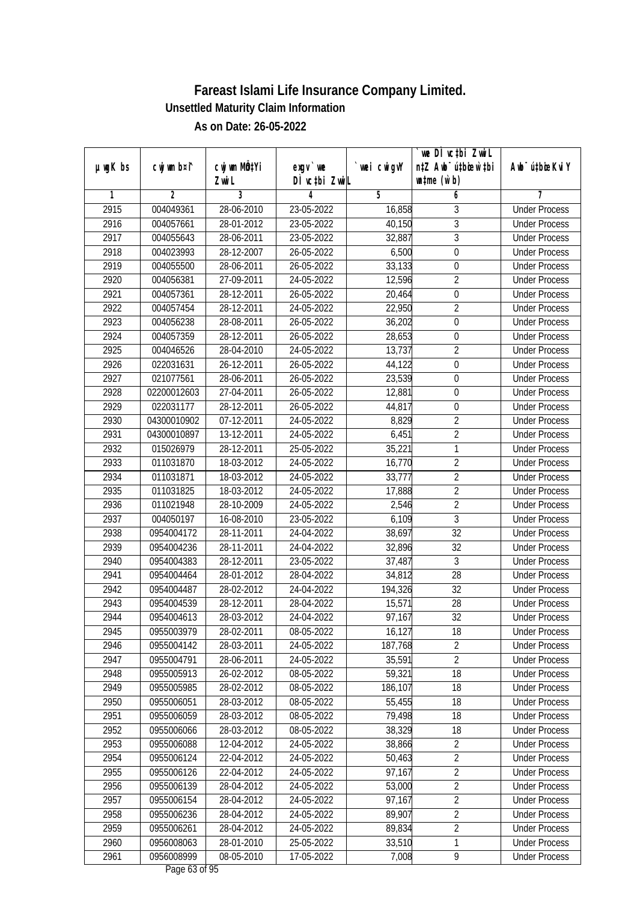|               |                |                       |                           |            | we DI vctbi ZwiL                                            |                             |
|---------------|----------------|-----------------------|---------------------------|------------|-------------------------------------------------------------|-----------------------------|
| $µ$ ug $K$ bs | cwj wm b¤i^    | cwj wm MQtYi<br>Zwi L | exgv `we<br>DÌ vctbi ZwiL | wei cwigvY | n‡Z Awb <sup>-</sup> ú‡bicen`‡bi<br>$\n  untime\n  (u`b)\n$ | Awb <sup>-</sup> ú‡bioeKviY |
| 1             | $\overline{2}$ | 3                     | 4                         | 5          | 6                                                           | 7                           |
| 2915          | 004049361      | 28-06-2010            | 23-05-2022                | 16,858     | 3                                                           | <b>Under Process</b>        |
| 2916          | 004057661      | 28-01-2012            | 23-05-2022                | 40,150     | $\overline{3}$                                              | <b>Under Process</b>        |
| 2917          | 004055643      | 28-06-2011            | 23-05-2022                | 32,887     | $\overline{3}$                                              | <b>Under Process</b>        |
| 2918          | 004023993      | 28-12-2007            | 26-05-2022                | 6,500      | $\boldsymbol{0}$                                            | <b>Under Process</b>        |
| 2919          | 004055500      | 28-06-2011            | 26-05-2022                | 33,133     | $\boldsymbol{0}$                                            | <b>Under Process</b>        |
| 2920          | 004056381      | 27-09-2011            | 24-05-2022                | 12,596     | $\overline{2}$                                              | <b>Under Process</b>        |
| 2921          | 004057361      | 28-12-2011            | $26 - 05 - 2022$          | 20,464     | $\overline{0}$                                              | <b>Under Process</b>        |
| 2922          | 004057454      | 28-12-2011            | 24-05-2022                | 22,950     | $\overline{2}$                                              | <b>Under Process</b>        |
| 2923          | 004056238      | 28-08-2011            | 26-05-2022                | 36,202     | $\boldsymbol{0}$                                            | <b>Under Process</b>        |
| 2924          | 004057359      | 28-12-2011            | 26-05-2022                | 28,653     | $\boldsymbol{0}$                                            | <b>Under Process</b>        |
| 2925          | 004046526      | 28-04-2010            | 24-05-2022                | 13,737     | $\overline{2}$                                              | <b>Under Process</b>        |
| 2926          | 022031631      | 26-12-2011            | 26-05-2022                | 44,122     | $\boldsymbol{0}$                                            | <b>Under Process</b>        |
| 2927          | 021077561      | 28-06-2011            | 26-05-2022                | 23,539     | $\overline{0}$                                              | <b>Under Process</b>        |
| 2928          | 02200012603    | 27-04-2011            | 26-05-2022                | 12,881     | $\boldsymbol{0}$                                            | <b>Under Process</b>        |
| 2929          | 022031177      | 28-12-2011            | 26-05-2022                | 44,817     | $\boldsymbol{0}$                                            | <b>Under Process</b>        |
| 2930          | 04300010902    | 07-12-2011            | 24-05-2022                | 8,829      | $\overline{2}$                                              | <b>Under Process</b>        |
| 2931          | 04300010897    | 13-12-2011            | 24-05-2022                | 6,451      | $\overline{2}$                                              | <b>Under Process</b>        |
| 2932          | 015026979      | 28-12-2011            | 25-05-2022                | 35,221     | $\mathbf{1}$                                                | <b>Under Process</b>        |
| 2933          | 011031870      | 18-03-2012            | 24-05-2022                | 16,770     | $\overline{2}$                                              | <b>Under Process</b>        |
| 2934          | 011031871      | 18-03-2012            | 24-05-2022                | 33,777     | $\overline{2}$                                              | <b>Under Process</b>        |
| 2935          | 011031825      | 18-03-2012            | 24-05-2022                | 17,888     | $\overline{2}$                                              | <b>Under Process</b>        |
| 2936          | 011021948      | 28-10-2009            | 24-05-2022                | 2,546      | $\overline{2}$                                              | <b>Under Process</b>        |
| 2937          | 004050197      | 16-08-2010            | 23-05-2022                | 6,109      | $\mathfrak{Z}$                                              | <b>Under Process</b>        |
| 2938          | 0954004172     | 28-11-2011            | 24-04-2022                | 38,697     | 32                                                          | <b>Under Process</b>        |
| 2939          | 0954004236     | 28-11-2011            | 24-04-2022                | 32,896     | 32                                                          | <b>Under Process</b>        |
| 2940          | 0954004383     | 28-12-2011            | 23-05-2022                | 37,487     | 3                                                           | <b>Under Process</b>        |
| 2941          | 0954004464     | 28-01-2012            | 28-04-2022                | 34,812     | 28                                                          | <b>Under Process</b>        |
| 2942          | 0954004487     | 28-02-2012            | 24-04-2022                | 194,326    | 32                                                          | <b>Under Process</b>        |
| 2943          | 0954004539     | 28-12-2011            | 28-04-2022                | 15,571     | 28                                                          | <b>Under Process</b>        |
| 2944          | 0954004613     | 28-03-2012            | 24-04-2022                | 97,167     | 32                                                          | <b>Under Process</b>        |
| 2945          | 0955003979     | 28-02-2011            | 08-05-2022                | 16,127     | 18                                                          | <b>Under Process</b>        |
| 2946          | 0955004142     | 28-03-2011            | 24-05-2022                | 187,768    | $\overline{2}$                                              | <b>Under Process</b>        |
| 2947          | 0955004791     | 28-06-2011            | 24-05-2022                | 35,591     | $\overline{2}$                                              | <b>Under Process</b>        |
| 2948          | 0955005913     | 26-02-2012            | 08-05-2022                | 59,321     | 18                                                          | <b>Under Process</b>        |
| 2949          | 0955005985     | 28-02-2012            | 08-05-2022                | 186,107    | 18                                                          | <b>Under Process</b>        |
| 2950          | 0955006051     | 28-03-2012            | 08-05-2022                | 55,455     | 18                                                          | <b>Under Process</b>        |
| 2951          | 0955006059     | 28-03-2012            | 08-05-2022                | 79,498     | 18                                                          | <b>Under Process</b>        |
| 2952          | 0955006066     | 28-03-2012            | 08-05-2022                | 38,329     | 18                                                          | <b>Under Process</b>        |
| 2953          | 0955006088     | 12-04-2012            | 24-05-2022                | 38,866     | $\overline{2}$                                              | <b>Under Process</b>        |
| 2954          | 0955006124     | 22-04-2012            | 24-05-2022                | 50,463     | $\overline{2}$                                              | <b>Under Process</b>        |
| 2955          | 0955006126     | 22-04-2012            | 24-05-2022                | 97,167     | $\overline{2}$                                              | <b>Under Process</b>        |
| 2956          | 0955006139     | 28-04-2012            | 24-05-2022                | 53,000     | $\overline{2}$                                              | <b>Under Process</b>        |
| 2957          | 0955006154     | 28-04-2012            | 24-05-2022                | 97,167     | $\overline{2}$                                              | <b>Under Process</b>        |
| 2958          | 0955006236     | 28-04-2012            | 24-05-2022                | 89,907     | $\overline{2}$                                              | <b>Under Process</b>        |
| 2959          | 0955006261     | 28-04-2012            | 24-05-2022                | 89,834     | $\overline{2}$                                              | <b>Under Process</b>        |
| 2960          | 0956008063     | 28-01-2010            | 25-05-2022                | 33,510     | $\overline{1}$                                              | <b>Under Process</b>        |
| 2961          | 0956008999     | $08 - 05 - 2010$      | 17-05-2022                | 7,008      | 9                                                           | <b>Under Process</b>        |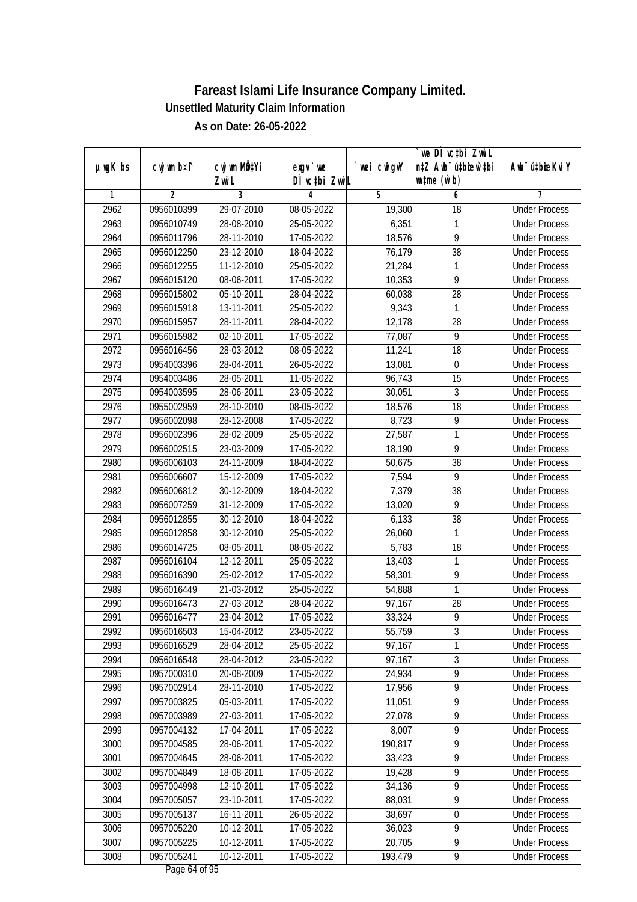|               |                |                       |                            |            | we DI vctbi ZwiL<br>n‡Z Awb <sup>-</sup> ú‡bioen`‡bi |                             |
|---------------|----------------|-----------------------|----------------------------|------------|------------------------------------------------------|-----------------------------|
| $µ$ ug $K$ bs | cwj wm b¤i^    | cwj wm MQtYi<br>Zwi L | $exgV$ we<br>DÌ vctbi ZwiL | wei cwigvY | $\n  untime\n  (u`b)\n$                              | Awb <sup>-</sup> ú‡bioeKviY |
| 1             | $\overline{2}$ | 3                     | 4                          | 5          | 6                                                    | 7                           |
| 2962          | 0956010399     | 29-07-2010            | 08-05-2022                 | 19,300     | $\overline{18}$                                      | <b>Under Process</b>        |
| 2963          | 0956010749     | 28-08-2010            | 25-05-2022                 | 6,351      | 1                                                    | <b>Under Process</b>        |
| 2964          | 0956011796     | 28-11-2010            | 17-05-2022                 | 18,576     | $\overline{9}$                                       | <b>Under Process</b>        |
| 2965          | 0956012250     | 23-12-2010            | 18-04-2022                 | 76,179     | 38                                                   | <b>Under Process</b>        |
| 2966          | 0956012255     | 11-12-2010            | 25-05-2022                 | 21,284     | 1                                                    | <b>Under Process</b>        |
| 2967          | 0956015120     | 08-06-2011            | 17-05-2022                 | 10,353     | $\overline{9}$                                       | <b>Under Process</b>        |
| 2968          | 0956015802     | 05-10-2011            | 28-04-2022                 | 60,038     | 28                                                   | <b>Under Process</b>        |
| 2969          | 0956015918     | 13-11-2011            | 25-05-2022                 | 9,343      | 1                                                    | <b>Under Process</b>        |
| 2970          | 0956015957     | 28-11-2011            | 28-04-2022                 | 12,178     | 28                                                   | <b>Under Process</b>        |
| 2971          | 0956015982     | 02-10-2011            | 17-05-2022                 | 77,087     | 9                                                    | <b>Under Process</b>        |
| 2972          | 0956016456     | 28-03-2012            | 08-05-2022                 | 11,241     | $\overline{18}$                                      | <b>Under Process</b>        |
| 2973          | 0954003396     | 28-04-2011            | 26-05-2022                 | 13,081     | $\boldsymbol{0}$                                     | <b>Under Process</b>        |
| 2974          | 0954003486     | 28-05-2011            | 11-05-2022                 | 96,743     | $\overline{15}$                                      | <b>Under Process</b>        |
| 2975          | 0954003595     | 28-06-2011            | 23-05-2022                 | 30,051     | 3                                                    | <b>Under Process</b>        |
| 2976          | 0955002959     | 28-10-2010            | 08-05-2022                 | 18,576     | 18                                                   | <b>Under Process</b>        |
| 2977          | 0956002098     | 28-12-2008            | 17-05-2022                 | 8,723      | 9                                                    | <b>Under Process</b>        |
| 2978          | 0956002396     | 28-02-2009            | 25-05-2022                 | 27,587     | 1                                                    | <b>Under Process</b>        |
| 2979          | 0956002515     | 23-03-2009            | 17-05-2022                 | 18,190     | 9                                                    | <b>Under Process</b>        |
| 2980          | 0956006103     | 24-11-2009            | 18-04-2022                 | 50,675     | 38                                                   | <b>Under Process</b>        |
| 2981          | 0956006607     | 15-12-2009            | 17-05-2022                 | 7,594      | 9                                                    | <b>Under Process</b>        |
| 2982          | 0956006812     | 30-12-2009            | 18-04-2022                 | 7,379      | 38                                                   | <b>Under Process</b>        |
| 2983          | 0956007259     | 31-12-2009            | 17-05-2022                 | 13,020     | 9                                                    | <b>Under Process</b>        |
| 2984          | 0956012855     | 30-12-2010            | 18-04-2022                 | 6,133      | 38                                                   | <b>Under Process</b>        |
| 2985          | 0956012858     | 30-12-2010            | 25-05-2022                 | 26,060     | $\mathbf{1}$                                         | <b>Under Process</b>        |
| 2986          | 0956014725     | 08-05-2011            | 08-05-2022                 | 5,783      | 18                                                   | <b>Under Process</b>        |
| 2987          | 0956016104     | 12-12-2011            | 25-05-2022                 | 13,403     | 1                                                    | <b>Under Process</b>        |
| 2988          | 0956016390     | 25-02-2012            | 17-05-2022                 | 58,301     | 9                                                    | <b>Under Process</b>        |
| 2989          | 0956016449     | 21-03-2012            | 25-05-2022                 | 54,888     | 1                                                    | <b>Under Process</b>        |
| 2990          | 0956016473     | 27-03-2012            | 28-04-2022                 | 97,167     | 28                                                   | <b>Under Process</b>        |
| 2991          | 0956016477     | 23-04-2012            | 17-05-2022                 | 33,324     | 9                                                    | <b>Under Process</b>        |
| 2992          | 0956016503     | 15-04-2012            | 23-05-2022                 | 55,759     | 3                                                    | <b>Under Process</b>        |
| 2993          | 0956016529     | 28-04-2012            | 25-05-2022                 | 97,167     | 1                                                    | <b>Under Process</b>        |
| 2994          | 0956016548     | 28-04-2012            | 23-05-2022                 | 97,167     | $\overline{3}$                                       | <b>Under Process</b>        |
| 2995          | 0957000310     | 20-08-2009            | 17-05-2022                 | 24,934     | $\overline{9}$                                       | <b>Under Process</b>        |
| 2996          | 0957002914     | 28-11-2010            | 17-05-2022                 | 17,956     | $\overline{9}$                                       | <b>Under Process</b>        |
| 2997          | 0957003825     | 05-03-2011            | 17-05-2022                 | 11,051     | 9                                                    | <b>Under Process</b>        |
| 2998          | 0957003989     | 27-03-2011            | 17-05-2022                 | 27,078     | $\overline{9}$                                       | <b>Under Process</b>        |
| 2999          | 0957004132     | 17-04-2011            | 17-05-2022                 | 8,007      | $\overline{9}$                                       | <b>Under Process</b>        |
| 3000          | 0957004585     | 28-06-2011            | 17-05-2022                 | 190,817    | $\overline{9}$                                       | <b>Under Process</b>        |
| 3001          | 0957004645     | 28-06-2011            | 17-05-2022                 | 33,423     | $\overline{9}$                                       | <b>Under Process</b>        |
| 3002          | 0957004849     | 18-08-2011            | 17-05-2022                 | 19,428     | 9                                                    | <b>Under Process</b>        |
| 3003          | 0957004998     | 12-10-2011            | 17-05-2022                 | 34,136     | $\overline{9}$                                       | <b>Under Process</b>        |
| 3004          | 0957005057     | 23-10-2011            | 17-05-2022                 | 88,031     | $\overline{9}$                                       | <b>Under Process</b>        |
| 3005          | 0957005137     | 16-11-2011            | 26-05-2022                 | 38,697     | $\overline{0}$                                       | <b>Under Process</b>        |
| 3006          | 0957005220     | 10-12-2011            | 17-05-2022                 | 36,023     | $\overline{9}$                                       | <b>Under Process</b>        |
| 3007          | 0957005225     | 10-12-2011            | 17-05-2022                 | 20,705     | $\overline{9}$                                       | <b>Under Process</b>        |
| 3008          | 0957005241     | 10-12-2011            | 17-05-2022                 | 193,479    | 9                                                    | <b>Under Process</b>        |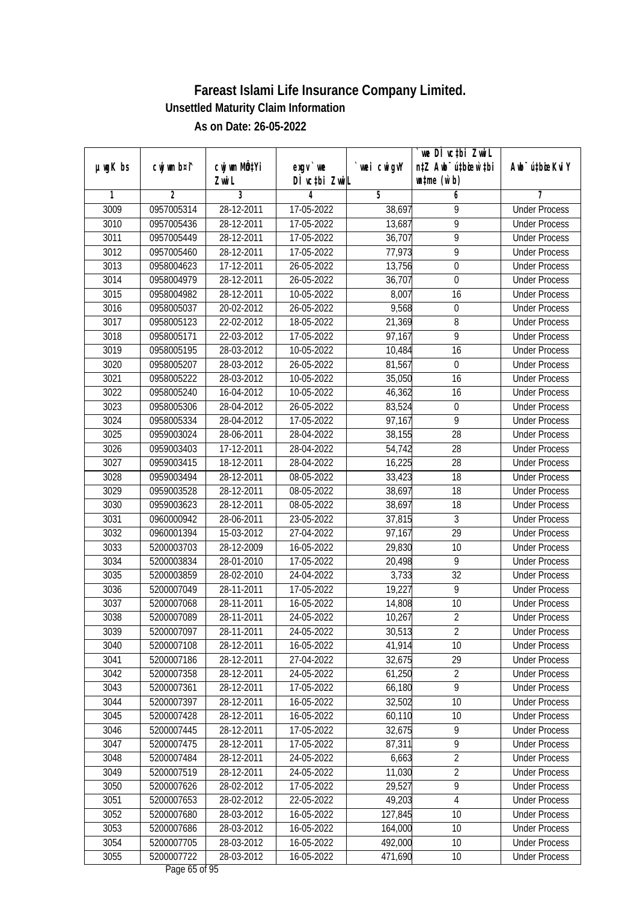| DÌ vctbi ZwiL<br>$\n  untime\n  (u`b)\n$<br>Zwi L<br>3<br>$\overline{2}$<br>5<br>1<br>4<br>6<br>7<br>28-12-2011<br><b>Under Process</b><br>3009<br>0957005314<br>17-05-2022<br>38,697<br>9<br>$\overline{9}$<br>3010<br>0957005436<br>28-12-2011<br>17-05-2022<br>13,687<br><b>Under Process</b><br>$\overline{9}$<br>3011<br>0957005449<br>28-12-2011<br>17-05-2022<br>36,707<br><b>Under Process</b><br>$\overline{9}$<br>3012<br>28-12-2011<br>0957005460<br>17-05-2022<br>77,973<br><b>Under Process</b><br>3013<br>0958004623<br>17-12-2011<br>26-05-2022<br>13,756<br>$\mathbf 0$<br><b>Under Process</b><br>3014<br>0958004979<br>28-12-2011<br>26-05-2022<br>36,707<br>$\mathbf 0$<br><b>Under Process</b><br>3015<br>0958004982<br>28-12-2011<br>10-05-2022<br>8,007<br>16<br><b>Under Process</b><br>9,568<br>3016<br>0958005037<br>20-02-2012<br>26-05-2022<br>$\boldsymbol{0}$<br><b>Under Process</b><br>8<br>3017<br>22-02-2012<br>18-05-2022<br>21,369<br>0958005123<br><b>Under Process</b><br>3018<br>9<br>0958005171<br>22-03-2012<br>17-05-2022<br>97,167<br><b>Under Process</b><br>3019<br>0958005195<br>28-03-2012<br>10-05-2022<br>10,484<br>16<br><b>Under Process</b><br>3020<br>28-03-2012<br>81,567<br>$\boldsymbol{0}$<br>0958005207<br>26-05-2022<br><b>Under Process</b><br>$\overline{16}$<br>3021<br>28-03-2012<br>10-05-2022<br>35,050<br>0958005222<br><b>Under Process</b><br>3022<br>0958005240<br>16-04-2012<br>10-05-2022<br>46,362<br>16<br><b>Under Process</b><br>3023<br>0958005306<br>28-04-2012<br>26-05-2022<br>83,524<br>$\boldsymbol{0}$<br><b>Under Process</b><br>$\overline{9}$<br>3024<br>0958005334<br>28-04-2012<br>17-05-2022<br>97,167<br><b>Under Process</b><br>3025<br>28<br>0959003024<br>28-06-2011<br>28-04-2022<br>38,155<br><b>Under Process</b><br>3026<br>17-12-2011<br>28<br>0959003403<br>28-04-2022<br>54,742<br><b>Under Process</b><br>3027<br>0959003415<br>18-12-2011<br>28-04-2022<br>16,225<br>28<br><b>Under Process</b><br>3028<br>28-12-2011<br>08-05-2022<br>18<br>0959003494<br>33,423<br><b>Under Process</b><br>3029<br>18<br>0959003528<br>28-12-2011<br>08-05-2022<br>38,697<br><b>Under Process</b><br>3030<br>38,697<br>18<br>0959003623<br>28-12-2011<br>08-05-2022<br><b>Under Process</b><br>3031<br>23-05-2022<br>37,815<br>3<br>0960000942<br>28-06-2011<br><b>Under Process</b><br>29<br>3032<br>15-03-2012<br>27-04-2022<br>97,167<br>0960001394<br><b>Under Process</b><br>3033<br>28-12-2009<br>16-05-2022<br>29,830<br>10<br>5200003703<br><b>Under Process</b><br>9<br>3034<br>5200003834<br>28-01-2010<br>17-05-2022<br>20,498<br><b>Under Process</b><br>32<br>3035<br>5200003859<br>28-02-2010<br>24-04-2022<br>3,733<br><b>Under Process</b><br>9<br>3036<br>28-11-2011<br>17-05-2022<br>19,227<br>5200007049<br><b>Under Process</b><br>10<br>3037<br>5200007068<br>28-11-2011<br>16-05-2022<br>14,808<br><b>Under Process</b><br>$\overline{2}$<br>3038<br>28-11-2011<br>5200007089<br>24-05-2022<br>10,267<br><b>Under Process</b><br>3039<br>5200007097<br>28-11-2011<br>24-05-2022<br>30,513<br>2<br><b>Under Process</b><br>5200007108<br>28-12-2011<br>16-05-2022<br>41,914<br>10<br>3040<br><b>Under Process</b><br>3041<br>32,675<br>29<br>5200007186<br>28-12-2011<br>27-04-2022<br><b>Under Process</b><br>$\overline{2}$<br>3042<br>61,250<br>5200007358<br>28-12-2011<br>24-05-2022<br><b>Under Process</b><br>$\overline{9}$<br>5200007361<br>66,180<br>3043<br>28-12-2011<br>17-05-2022<br><b>Under Process</b><br>32,502<br>3044<br>5200007397<br>28-12-2011<br>16-05-2022<br>10<br><b>Under Process</b><br>3045<br>5200007428<br>60,110<br>10<br>28-12-2011<br>16-05-2022<br><b>Under Process</b><br>$\overline{9}$<br>3046<br>5200007445<br>28-12-2011<br>17-05-2022<br>32,675<br><b>Under Process</b><br>$\overline{9}$<br>3047<br>87,311<br>5200007475<br>28-12-2011<br>17-05-2022<br><b>Under Process</b><br>$\overline{2}$<br>3048<br>5200007484<br>28-12-2011<br>24-05-2022<br>6,663<br><b>Under Process</b><br>$\overline{2}$<br>3049<br>5200007519<br>28-12-2011<br>24-05-2022<br>11,030<br><b>Under Process</b><br>$\overline{9}$<br>3050<br>5200007626<br>28-02-2012<br>17-05-2022<br>29,527<br><b>Under Process</b><br>3051<br>5200007653<br>28-02-2012<br>$22 - 05 - 2022$<br>49,203<br>$\overline{4}$<br><b>Under Process</b><br>127,845<br>10<br>3052<br>5200007680<br>28-03-2012<br>16-05-2022<br><b>Under Process</b><br>3053<br>5200007686<br>28-03-2012<br>16-05-2022<br>164,000<br>10<br><b>Under Process</b><br>3054<br>5200007705<br>28-03-2012<br>492,000<br>16-05-2022<br>10<br><b>Under Process</b><br>3055<br>5200007722<br>471,690<br>28-03-2012<br>16-05-2022<br>10<br><b>Under Process</b> |               |             |              |          |            | we DI vctbi ZwiL                 |                             |
|---------------------------------------------------------------------------------------------------------------------------------------------------------------------------------------------------------------------------------------------------------------------------------------------------------------------------------------------------------------------------------------------------------------------------------------------------------------------------------------------------------------------------------------------------------------------------------------------------------------------------------------------------------------------------------------------------------------------------------------------------------------------------------------------------------------------------------------------------------------------------------------------------------------------------------------------------------------------------------------------------------------------------------------------------------------------------------------------------------------------------------------------------------------------------------------------------------------------------------------------------------------------------------------------------------------------------------------------------------------------------------------------------------------------------------------------------------------------------------------------------------------------------------------------------------------------------------------------------------------------------------------------------------------------------------------------------------------------------------------------------------------------------------------------------------------------------------------------------------------------------------------------------------------------------------------------------------------------------------------------------------------------------------------------------------------------------------------------------------------------------------------------------------------------------------------------------------------------------------------------------------------------------------------------------------------------------------------------------------------------------------------------------------------------------------------------------------------------------------------------------------------------------------------------------------------------------------------------------------------------------------------------------------------------------------------------------------------------------------------------------------------------------------------------------------------------------------------------------------------------------------------------------------------------------------------------------------------------------------------------------------------------------------------------------------------------------------------------------------------------------------------------------------------------------------------------------------------------------------------------------------------------------------------------------------------------------------------------------------------------------------------------------------------------------------------------------------------------------------------------------------------------------------------------------------------------------------------------------------------------------------------------------------------------------------------------------------------------------------------------------------------------------------------------------------------------------------------------------------------------------------------------------------------------------------------------------------------------------------------------------------------------------------------------------------------------------------------------------------------------------------------------------------------------------------------------------------------------------------------------------------------------------------------------------------------------------------------------------------------------------------------------------------------------------------------------------------------------------------------------------------------------------------------------------------------------------------------------------------------------------------------------------------------------------------------------------------------------------------------------|---------------|-------------|--------------|----------|------------|----------------------------------|-----------------------------|
|                                                                                                                                                                                                                                                                                                                                                                                                                                                                                                                                                                                                                                                                                                                                                                                                                                                                                                                                                                                                                                                                                                                                                                                                                                                                                                                                                                                                                                                                                                                                                                                                                                                                                                                                                                                                                                                                                                                                                                                                                                                                                                                                                                                                                                                                                                                                                                                                                                                                                                                                                                                                                                                                                                                                                                                                                                                                                                                                                                                                                                                                                                                                                                                                                                                                                                                                                                                                                                                                                                                                                                                                                                                                                                                                                                                                                                                                                                                                                                                                                                                                                                                                                                                                                                                                                                                                                                                                                                                                                                                                                                                                                                                                                                                                             | $µ$ ug $K$ bs | cwj wm b¤i^ | cwj wm MQtYi | exgv `we | wei cwigvY | n‡Z Awb <sup>-</sup> ú‡bicen`‡bi | Awb <sup>-</sup> ú‡bioeKviY |
|                                                                                                                                                                                                                                                                                                                                                                                                                                                                                                                                                                                                                                                                                                                                                                                                                                                                                                                                                                                                                                                                                                                                                                                                                                                                                                                                                                                                                                                                                                                                                                                                                                                                                                                                                                                                                                                                                                                                                                                                                                                                                                                                                                                                                                                                                                                                                                                                                                                                                                                                                                                                                                                                                                                                                                                                                                                                                                                                                                                                                                                                                                                                                                                                                                                                                                                                                                                                                                                                                                                                                                                                                                                                                                                                                                                                                                                                                                                                                                                                                                                                                                                                                                                                                                                                                                                                                                                                                                                                                                                                                                                                                                                                                                                                             |               |             |              |          |            |                                  |                             |
|                                                                                                                                                                                                                                                                                                                                                                                                                                                                                                                                                                                                                                                                                                                                                                                                                                                                                                                                                                                                                                                                                                                                                                                                                                                                                                                                                                                                                                                                                                                                                                                                                                                                                                                                                                                                                                                                                                                                                                                                                                                                                                                                                                                                                                                                                                                                                                                                                                                                                                                                                                                                                                                                                                                                                                                                                                                                                                                                                                                                                                                                                                                                                                                                                                                                                                                                                                                                                                                                                                                                                                                                                                                                                                                                                                                                                                                                                                                                                                                                                                                                                                                                                                                                                                                                                                                                                                                                                                                                                                                                                                                                                                                                                                                                             |               |             |              |          |            |                                  |                             |
|                                                                                                                                                                                                                                                                                                                                                                                                                                                                                                                                                                                                                                                                                                                                                                                                                                                                                                                                                                                                                                                                                                                                                                                                                                                                                                                                                                                                                                                                                                                                                                                                                                                                                                                                                                                                                                                                                                                                                                                                                                                                                                                                                                                                                                                                                                                                                                                                                                                                                                                                                                                                                                                                                                                                                                                                                                                                                                                                                                                                                                                                                                                                                                                                                                                                                                                                                                                                                                                                                                                                                                                                                                                                                                                                                                                                                                                                                                                                                                                                                                                                                                                                                                                                                                                                                                                                                                                                                                                                                                                                                                                                                                                                                                                                             |               |             |              |          |            |                                  |                             |
|                                                                                                                                                                                                                                                                                                                                                                                                                                                                                                                                                                                                                                                                                                                                                                                                                                                                                                                                                                                                                                                                                                                                                                                                                                                                                                                                                                                                                                                                                                                                                                                                                                                                                                                                                                                                                                                                                                                                                                                                                                                                                                                                                                                                                                                                                                                                                                                                                                                                                                                                                                                                                                                                                                                                                                                                                                                                                                                                                                                                                                                                                                                                                                                                                                                                                                                                                                                                                                                                                                                                                                                                                                                                                                                                                                                                                                                                                                                                                                                                                                                                                                                                                                                                                                                                                                                                                                                                                                                                                                                                                                                                                                                                                                                                             |               |             |              |          |            |                                  |                             |
|                                                                                                                                                                                                                                                                                                                                                                                                                                                                                                                                                                                                                                                                                                                                                                                                                                                                                                                                                                                                                                                                                                                                                                                                                                                                                                                                                                                                                                                                                                                                                                                                                                                                                                                                                                                                                                                                                                                                                                                                                                                                                                                                                                                                                                                                                                                                                                                                                                                                                                                                                                                                                                                                                                                                                                                                                                                                                                                                                                                                                                                                                                                                                                                                                                                                                                                                                                                                                                                                                                                                                                                                                                                                                                                                                                                                                                                                                                                                                                                                                                                                                                                                                                                                                                                                                                                                                                                                                                                                                                                                                                                                                                                                                                                                             |               |             |              |          |            |                                  |                             |
|                                                                                                                                                                                                                                                                                                                                                                                                                                                                                                                                                                                                                                                                                                                                                                                                                                                                                                                                                                                                                                                                                                                                                                                                                                                                                                                                                                                                                                                                                                                                                                                                                                                                                                                                                                                                                                                                                                                                                                                                                                                                                                                                                                                                                                                                                                                                                                                                                                                                                                                                                                                                                                                                                                                                                                                                                                                                                                                                                                                                                                                                                                                                                                                                                                                                                                                                                                                                                                                                                                                                                                                                                                                                                                                                                                                                                                                                                                                                                                                                                                                                                                                                                                                                                                                                                                                                                                                                                                                                                                                                                                                                                                                                                                                                             |               |             |              |          |            |                                  |                             |
|                                                                                                                                                                                                                                                                                                                                                                                                                                                                                                                                                                                                                                                                                                                                                                                                                                                                                                                                                                                                                                                                                                                                                                                                                                                                                                                                                                                                                                                                                                                                                                                                                                                                                                                                                                                                                                                                                                                                                                                                                                                                                                                                                                                                                                                                                                                                                                                                                                                                                                                                                                                                                                                                                                                                                                                                                                                                                                                                                                                                                                                                                                                                                                                                                                                                                                                                                                                                                                                                                                                                                                                                                                                                                                                                                                                                                                                                                                                                                                                                                                                                                                                                                                                                                                                                                                                                                                                                                                                                                                                                                                                                                                                                                                                                             |               |             |              |          |            |                                  |                             |
|                                                                                                                                                                                                                                                                                                                                                                                                                                                                                                                                                                                                                                                                                                                                                                                                                                                                                                                                                                                                                                                                                                                                                                                                                                                                                                                                                                                                                                                                                                                                                                                                                                                                                                                                                                                                                                                                                                                                                                                                                                                                                                                                                                                                                                                                                                                                                                                                                                                                                                                                                                                                                                                                                                                                                                                                                                                                                                                                                                                                                                                                                                                                                                                                                                                                                                                                                                                                                                                                                                                                                                                                                                                                                                                                                                                                                                                                                                                                                                                                                                                                                                                                                                                                                                                                                                                                                                                                                                                                                                                                                                                                                                                                                                                                             |               |             |              |          |            |                                  |                             |
|                                                                                                                                                                                                                                                                                                                                                                                                                                                                                                                                                                                                                                                                                                                                                                                                                                                                                                                                                                                                                                                                                                                                                                                                                                                                                                                                                                                                                                                                                                                                                                                                                                                                                                                                                                                                                                                                                                                                                                                                                                                                                                                                                                                                                                                                                                                                                                                                                                                                                                                                                                                                                                                                                                                                                                                                                                                                                                                                                                                                                                                                                                                                                                                                                                                                                                                                                                                                                                                                                                                                                                                                                                                                                                                                                                                                                                                                                                                                                                                                                                                                                                                                                                                                                                                                                                                                                                                                                                                                                                                                                                                                                                                                                                                                             |               |             |              |          |            |                                  |                             |
|                                                                                                                                                                                                                                                                                                                                                                                                                                                                                                                                                                                                                                                                                                                                                                                                                                                                                                                                                                                                                                                                                                                                                                                                                                                                                                                                                                                                                                                                                                                                                                                                                                                                                                                                                                                                                                                                                                                                                                                                                                                                                                                                                                                                                                                                                                                                                                                                                                                                                                                                                                                                                                                                                                                                                                                                                                                                                                                                                                                                                                                                                                                                                                                                                                                                                                                                                                                                                                                                                                                                                                                                                                                                                                                                                                                                                                                                                                                                                                                                                                                                                                                                                                                                                                                                                                                                                                                                                                                                                                                                                                                                                                                                                                                                             |               |             |              |          |            |                                  |                             |
|                                                                                                                                                                                                                                                                                                                                                                                                                                                                                                                                                                                                                                                                                                                                                                                                                                                                                                                                                                                                                                                                                                                                                                                                                                                                                                                                                                                                                                                                                                                                                                                                                                                                                                                                                                                                                                                                                                                                                                                                                                                                                                                                                                                                                                                                                                                                                                                                                                                                                                                                                                                                                                                                                                                                                                                                                                                                                                                                                                                                                                                                                                                                                                                                                                                                                                                                                                                                                                                                                                                                                                                                                                                                                                                                                                                                                                                                                                                                                                                                                                                                                                                                                                                                                                                                                                                                                                                                                                                                                                                                                                                                                                                                                                                                             |               |             |              |          |            |                                  |                             |
|                                                                                                                                                                                                                                                                                                                                                                                                                                                                                                                                                                                                                                                                                                                                                                                                                                                                                                                                                                                                                                                                                                                                                                                                                                                                                                                                                                                                                                                                                                                                                                                                                                                                                                                                                                                                                                                                                                                                                                                                                                                                                                                                                                                                                                                                                                                                                                                                                                                                                                                                                                                                                                                                                                                                                                                                                                                                                                                                                                                                                                                                                                                                                                                                                                                                                                                                                                                                                                                                                                                                                                                                                                                                                                                                                                                                                                                                                                                                                                                                                                                                                                                                                                                                                                                                                                                                                                                                                                                                                                                                                                                                                                                                                                                                             |               |             |              |          |            |                                  |                             |
|                                                                                                                                                                                                                                                                                                                                                                                                                                                                                                                                                                                                                                                                                                                                                                                                                                                                                                                                                                                                                                                                                                                                                                                                                                                                                                                                                                                                                                                                                                                                                                                                                                                                                                                                                                                                                                                                                                                                                                                                                                                                                                                                                                                                                                                                                                                                                                                                                                                                                                                                                                                                                                                                                                                                                                                                                                                                                                                                                                                                                                                                                                                                                                                                                                                                                                                                                                                                                                                                                                                                                                                                                                                                                                                                                                                                                                                                                                                                                                                                                                                                                                                                                                                                                                                                                                                                                                                                                                                                                                                                                                                                                                                                                                                                             |               |             |              |          |            |                                  |                             |
|                                                                                                                                                                                                                                                                                                                                                                                                                                                                                                                                                                                                                                                                                                                                                                                                                                                                                                                                                                                                                                                                                                                                                                                                                                                                                                                                                                                                                                                                                                                                                                                                                                                                                                                                                                                                                                                                                                                                                                                                                                                                                                                                                                                                                                                                                                                                                                                                                                                                                                                                                                                                                                                                                                                                                                                                                                                                                                                                                                                                                                                                                                                                                                                                                                                                                                                                                                                                                                                                                                                                                                                                                                                                                                                                                                                                                                                                                                                                                                                                                                                                                                                                                                                                                                                                                                                                                                                                                                                                                                                                                                                                                                                                                                                                             |               |             |              |          |            |                                  |                             |
|                                                                                                                                                                                                                                                                                                                                                                                                                                                                                                                                                                                                                                                                                                                                                                                                                                                                                                                                                                                                                                                                                                                                                                                                                                                                                                                                                                                                                                                                                                                                                                                                                                                                                                                                                                                                                                                                                                                                                                                                                                                                                                                                                                                                                                                                                                                                                                                                                                                                                                                                                                                                                                                                                                                                                                                                                                                                                                                                                                                                                                                                                                                                                                                                                                                                                                                                                                                                                                                                                                                                                                                                                                                                                                                                                                                                                                                                                                                                                                                                                                                                                                                                                                                                                                                                                                                                                                                                                                                                                                                                                                                                                                                                                                                                             |               |             |              |          |            |                                  |                             |
|                                                                                                                                                                                                                                                                                                                                                                                                                                                                                                                                                                                                                                                                                                                                                                                                                                                                                                                                                                                                                                                                                                                                                                                                                                                                                                                                                                                                                                                                                                                                                                                                                                                                                                                                                                                                                                                                                                                                                                                                                                                                                                                                                                                                                                                                                                                                                                                                                                                                                                                                                                                                                                                                                                                                                                                                                                                                                                                                                                                                                                                                                                                                                                                                                                                                                                                                                                                                                                                                                                                                                                                                                                                                                                                                                                                                                                                                                                                                                                                                                                                                                                                                                                                                                                                                                                                                                                                                                                                                                                                                                                                                                                                                                                                                             |               |             |              |          |            |                                  |                             |
|                                                                                                                                                                                                                                                                                                                                                                                                                                                                                                                                                                                                                                                                                                                                                                                                                                                                                                                                                                                                                                                                                                                                                                                                                                                                                                                                                                                                                                                                                                                                                                                                                                                                                                                                                                                                                                                                                                                                                                                                                                                                                                                                                                                                                                                                                                                                                                                                                                                                                                                                                                                                                                                                                                                                                                                                                                                                                                                                                                                                                                                                                                                                                                                                                                                                                                                                                                                                                                                                                                                                                                                                                                                                                                                                                                                                                                                                                                                                                                                                                                                                                                                                                                                                                                                                                                                                                                                                                                                                                                                                                                                                                                                                                                                                             |               |             |              |          |            |                                  |                             |
|                                                                                                                                                                                                                                                                                                                                                                                                                                                                                                                                                                                                                                                                                                                                                                                                                                                                                                                                                                                                                                                                                                                                                                                                                                                                                                                                                                                                                                                                                                                                                                                                                                                                                                                                                                                                                                                                                                                                                                                                                                                                                                                                                                                                                                                                                                                                                                                                                                                                                                                                                                                                                                                                                                                                                                                                                                                                                                                                                                                                                                                                                                                                                                                                                                                                                                                                                                                                                                                                                                                                                                                                                                                                                                                                                                                                                                                                                                                                                                                                                                                                                                                                                                                                                                                                                                                                                                                                                                                                                                                                                                                                                                                                                                                                             |               |             |              |          |            |                                  |                             |
|                                                                                                                                                                                                                                                                                                                                                                                                                                                                                                                                                                                                                                                                                                                                                                                                                                                                                                                                                                                                                                                                                                                                                                                                                                                                                                                                                                                                                                                                                                                                                                                                                                                                                                                                                                                                                                                                                                                                                                                                                                                                                                                                                                                                                                                                                                                                                                                                                                                                                                                                                                                                                                                                                                                                                                                                                                                                                                                                                                                                                                                                                                                                                                                                                                                                                                                                                                                                                                                                                                                                                                                                                                                                                                                                                                                                                                                                                                                                                                                                                                                                                                                                                                                                                                                                                                                                                                                                                                                                                                                                                                                                                                                                                                                                             |               |             |              |          |            |                                  |                             |
|                                                                                                                                                                                                                                                                                                                                                                                                                                                                                                                                                                                                                                                                                                                                                                                                                                                                                                                                                                                                                                                                                                                                                                                                                                                                                                                                                                                                                                                                                                                                                                                                                                                                                                                                                                                                                                                                                                                                                                                                                                                                                                                                                                                                                                                                                                                                                                                                                                                                                                                                                                                                                                                                                                                                                                                                                                                                                                                                                                                                                                                                                                                                                                                                                                                                                                                                                                                                                                                                                                                                                                                                                                                                                                                                                                                                                                                                                                                                                                                                                                                                                                                                                                                                                                                                                                                                                                                                                                                                                                                                                                                                                                                                                                                                             |               |             |              |          |            |                                  |                             |
|                                                                                                                                                                                                                                                                                                                                                                                                                                                                                                                                                                                                                                                                                                                                                                                                                                                                                                                                                                                                                                                                                                                                                                                                                                                                                                                                                                                                                                                                                                                                                                                                                                                                                                                                                                                                                                                                                                                                                                                                                                                                                                                                                                                                                                                                                                                                                                                                                                                                                                                                                                                                                                                                                                                                                                                                                                                                                                                                                                                                                                                                                                                                                                                                                                                                                                                                                                                                                                                                                                                                                                                                                                                                                                                                                                                                                                                                                                                                                                                                                                                                                                                                                                                                                                                                                                                                                                                                                                                                                                                                                                                                                                                                                                                                             |               |             |              |          |            |                                  |                             |
|                                                                                                                                                                                                                                                                                                                                                                                                                                                                                                                                                                                                                                                                                                                                                                                                                                                                                                                                                                                                                                                                                                                                                                                                                                                                                                                                                                                                                                                                                                                                                                                                                                                                                                                                                                                                                                                                                                                                                                                                                                                                                                                                                                                                                                                                                                                                                                                                                                                                                                                                                                                                                                                                                                                                                                                                                                                                                                                                                                                                                                                                                                                                                                                                                                                                                                                                                                                                                                                                                                                                                                                                                                                                                                                                                                                                                                                                                                                                                                                                                                                                                                                                                                                                                                                                                                                                                                                                                                                                                                                                                                                                                                                                                                                                             |               |             |              |          |            |                                  |                             |
|                                                                                                                                                                                                                                                                                                                                                                                                                                                                                                                                                                                                                                                                                                                                                                                                                                                                                                                                                                                                                                                                                                                                                                                                                                                                                                                                                                                                                                                                                                                                                                                                                                                                                                                                                                                                                                                                                                                                                                                                                                                                                                                                                                                                                                                                                                                                                                                                                                                                                                                                                                                                                                                                                                                                                                                                                                                                                                                                                                                                                                                                                                                                                                                                                                                                                                                                                                                                                                                                                                                                                                                                                                                                                                                                                                                                                                                                                                                                                                                                                                                                                                                                                                                                                                                                                                                                                                                                                                                                                                                                                                                                                                                                                                                                             |               |             |              |          |            |                                  |                             |
|                                                                                                                                                                                                                                                                                                                                                                                                                                                                                                                                                                                                                                                                                                                                                                                                                                                                                                                                                                                                                                                                                                                                                                                                                                                                                                                                                                                                                                                                                                                                                                                                                                                                                                                                                                                                                                                                                                                                                                                                                                                                                                                                                                                                                                                                                                                                                                                                                                                                                                                                                                                                                                                                                                                                                                                                                                                                                                                                                                                                                                                                                                                                                                                                                                                                                                                                                                                                                                                                                                                                                                                                                                                                                                                                                                                                                                                                                                                                                                                                                                                                                                                                                                                                                                                                                                                                                                                                                                                                                                                                                                                                                                                                                                                                             |               |             |              |          |            |                                  |                             |
|                                                                                                                                                                                                                                                                                                                                                                                                                                                                                                                                                                                                                                                                                                                                                                                                                                                                                                                                                                                                                                                                                                                                                                                                                                                                                                                                                                                                                                                                                                                                                                                                                                                                                                                                                                                                                                                                                                                                                                                                                                                                                                                                                                                                                                                                                                                                                                                                                                                                                                                                                                                                                                                                                                                                                                                                                                                                                                                                                                                                                                                                                                                                                                                                                                                                                                                                                                                                                                                                                                                                                                                                                                                                                                                                                                                                                                                                                                                                                                                                                                                                                                                                                                                                                                                                                                                                                                                                                                                                                                                                                                                                                                                                                                                                             |               |             |              |          |            |                                  |                             |
|                                                                                                                                                                                                                                                                                                                                                                                                                                                                                                                                                                                                                                                                                                                                                                                                                                                                                                                                                                                                                                                                                                                                                                                                                                                                                                                                                                                                                                                                                                                                                                                                                                                                                                                                                                                                                                                                                                                                                                                                                                                                                                                                                                                                                                                                                                                                                                                                                                                                                                                                                                                                                                                                                                                                                                                                                                                                                                                                                                                                                                                                                                                                                                                                                                                                                                                                                                                                                                                                                                                                                                                                                                                                                                                                                                                                                                                                                                                                                                                                                                                                                                                                                                                                                                                                                                                                                                                                                                                                                                                                                                                                                                                                                                                                             |               |             |              |          |            |                                  |                             |
|                                                                                                                                                                                                                                                                                                                                                                                                                                                                                                                                                                                                                                                                                                                                                                                                                                                                                                                                                                                                                                                                                                                                                                                                                                                                                                                                                                                                                                                                                                                                                                                                                                                                                                                                                                                                                                                                                                                                                                                                                                                                                                                                                                                                                                                                                                                                                                                                                                                                                                                                                                                                                                                                                                                                                                                                                                                                                                                                                                                                                                                                                                                                                                                                                                                                                                                                                                                                                                                                                                                                                                                                                                                                                                                                                                                                                                                                                                                                                                                                                                                                                                                                                                                                                                                                                                                                                                                                                                                                                                                                                                                                                                                                                                                                             |               |             |              |          |            |                                  |                             |
|                                                                                                                                                                                                                                                                                                                                                                                                                                                                                                                                                                                                                                                                                                                                                                                                                                                                                                                                                                                                                                                                                                                                                                                                                                                                                                                                                                                                                                                                                                                                                                                                                                                                                                                                                                                                                                                                                                                                                                                                                                                                                                                                                                                                                                                                                                                                                                                                                                                                                                                                                                                                                                                                                                                                                                                                                                                                                                                                                                                                                                                                                                                                                                                                                                                                                                                                                                                                                                                                                                                                                                                                                                                                                                                                                                                                                                                                                                                                                                                                                                                                                                                                                                                                                                                                                                                                                                                                                                                                                                                                                                                                                                                                                                                                             |               |             |              |          |            |                                  |                             |
|                                                                                                                                                                                                                                                                                                                                                                                                                                                                                                                                                                                                                                                                                                                                                                                                                                                                                                                                                                                                                                                                                                                                                                                                                                                                                                                                                                                                                                                                                                                                                                                                                                                                                                                                                                                                                                                                                                                                                                                                                                                                                                                                                                                                                                                                                                                                                                                                                                                                                                                                                                                                                                                                                                                                                                                                                                                                                                                                                                                                                                                                                                                                                                                                                                                                                                                                                                                                                                                                                                                                                                                                                                                                                                                                                                                                                                                                                                                                                                                                                                                                                                                                                                                                                                                                                                                                                                                                                                                                                                                                                                                                                                                                                                                                             |               |             |              |          |            |                                  |                             |
|                                                                                                                                                                                                                                                                                                                                                                                                                                                                                                                                                                                                                                                                                                                                                                                                                                                                                                                                                                                                                                                                                                                                                                                                                                                                                                                                                                                                                                                                                                                                                                                                                                                                                                                                                                                                                                                                                                                                                                                                                                                                                                                                                                                                                                                                                                                                                                                                                                                                                                                                                                                                                                                                                                                                                                                                                                                                                                                                                                                                                                                                                                                                                                                                                                                                                                                                                                                                                                                                                                                                                                                                                                                                                                                                                                                                                                                                                                                                                                                                                                                                                                                                                                                                                                                                                                                                                                                                                                                                                                                                                                                                                                                                                                                                             |               |             |              |          |            |                                  |                             |
|                                                                                                                                                                                                                                                                                                                                                                                                                                                                                                                                                                                                                                                                                                                                                                                                                                                                                                                                                                                                                                                                                                                                                                                                                                                                                                                                                                                                                                                                                                                                                                                                                                                                                                                                                                                                                                                                                                                                                                                                                                                                                                                                                                                                                                                                                                                                                                                                                                                                                                                                                                                                                                                                                                                                                                                                                                                                                                                                                                                                                                                                                                                                                                                                                                                                                                                                                                                                                                                                                                                                                                                                                                                                                                                                                                                                                                                                                                                                                                                                                                                                                                                                                                                                                                                                                                                                                                                                                                                                                                                                                                                                                                                                                                                                             |               |             |              |          |            |                                  |                             |
|                                                                                                                                                                                                                                                                                                                                                                                                                                                                                                                                                                                                                                                                                                                                                                                                                                                                                                                                                                                                                                                                                                                                                                                                                                                                                                                                                                                                                                                                                                                                                                                                                                                                                                                                                                                                                                                                                                                                                                                                                                                                                                                                                                                                                                                                                                                                                                                                                                                                                                                                                                                                                                                                                                                                                                                                                                                                                                                                                                                                                                                                                                                                                                                                                                                                                                                                                                                                                                                                                                                                                                                                                                                                                                                                                                                                                                                                                                                                                                                                                                                                                                                                                                                                                                                                                                                                                                                                                                                                                                                                                                                                                                                                                                                                             |               |             |              |          |            |                                  |                             |
|                                                                                                                                                                                                                                                                                                                                                                                                                                                                                                                                                                                                                                                                                                                                                                                                                                                                                                                                                                                                                                                                                                                                                                                                                                                                                                                                                                                                                                                                                                                                                                                                                                                                                                                                                                                                                                                                                                                                                                                                                                                                                                                                                                                                                                                                                                                                                                                                                                                                                                                                                                                                                                                                                                                                                                                                                                                                                                                                                                                                                                                                                                                                                                                                                                                                                                                                                                                                                                                                                                                                                                                                                                                                                                                                                                                                                                                                                                                                                                                                                                                                                                                                                                                                                                                                                                                                                                                                                                                                                                                                                                                                                                                                                                                                             |               |             |              |          |            |                                  |                             |
|                                                                                                                                                                                                                                                                                                                                                                                                                                                                                                                                                                                                                                                                                                                                                                                                                                                                                                                                                                                                                                                                                                                                                                                                                                                                                                                                                                                                                                                                                                                                                                                                                                                                                                                                                                                                                                                                                                                                                                                                                                                                                                                                                                                                                                                                                                                                                                                                                                                                                                                                                                                                                                                                                                                                                                                                                                                                                                                                                                                                                                                                                                                                                                                                                                                                                                                                                                                                                                                                                                                                                                                                                                                                                                                                                                                                                                                                                                                                                                                                                                                                                                                                                                                                                                                                                                                                                                                                                                                                                                                                                                                                                                                                                                                                             |               |             |              |          |            |                                  |                             |
|                                                                                                                                                                                                                                                                                                                                                                                                                                                                                                                                                                                                                                                                                                                                                                                                                                                                                                                                                                                                                                                                                                                                                                                                                                                                                                                                                                                                                                                                                                                                                                                                                                                                                                                                                                                                                                                                                                                                                                                                                                                                                                                                                                                                                                                                                                                                                                                                                                                                                                                                                                                                                                                                                                                                                                                                                                                                                                                                                                                                                                                                                                                                                                                                                                                                                                                                                                                                                                                                                                                                                                                                                                                                                                                                                                                                                                                                                                                                                                                                                                                                                                                                                                                                                                                                                                                                                                                                                                                                                                                                                                                                                                                                                                                                             |               |             |              |          |            |                                  |                             |
|                                                                                                                                                                                                                                                                                                                                                                                                                                                                                                                                                                                                                                                                                                                                                                                                                                                                                                                                                                                                                                                                                                                                                                                                                                                                                                                                                                                                                                                                                                                                                                                                                                                                                                                                                                                                                                                                                                                                                                                                                                                                                                                                                                                                                                                                                                                                                                                                                                                                                                                                                                                                                                                                                                                                                                                                                                                                                                                                                                                                                                                                                                                                                                                                                                                                                                                                                                                                                                                                                                                                                                                                                                                                                                                                                                                                                                                                                                                                                                                                                                                                                                                                                                                                                                                                                                                                                                                                                                                                                                                                                                                                                                                                                                                                             |               |             |              |          |            |                                  |                             |
|                                                                                                                                                                                                                                                                                                                                                                                                                                                                                                                                                                                                                                                                                                                                                                                                                                                                                                                                                                                                                                                                                                                                                                                                                                                                                                                                                                                                                                                                                                                                                                                                                                                                                                                                                                                                                                                                                                                                                                                                                                                                                                                                                                                                                                                                                                                                                                                                                                                                                                                                                                                                                                                                                                                                                                                                                                                                                                                                                                                                                                                                                                                                                                                                                                                                                                                                                                                                                                                                                                                                                                                                                                                                                                                                                                                                                                                                                                                                                                                                                                                                                                                                                                                                                                                                                                                                                                                                                                                                                                                                                                                                                                                                                                                                             |               |             |              |          |            |                                  |                             |
|                                                                                                                                                                                                                                                                                                                                                                                                                                                                                                                                                                                                                                                                                                                                                                                                                                                                                                                                                                                                                                                                                                                                                                                                                                                                                                                                                                                                                                                                                                                                                                                                                                                                                                                                                                                                                                                                                                                                                                                                                                                                                                                                                                                                                                                                                                                                                                                                                                                                                                                                                                                                                                                                                                                                                                                                                                                                                                                                                                                                                                                                                                                                                                                                                                                                                                                                                                                                                                                                                                                                                                                                                                                                                                                                                                                                                                                                                                                                                                                                                                                                                                                                                                                                                                                                                                                                                                                                                                                                                                                                                                                                                                                                                                                                             |               |             |              |          |            |                                  |                             |
|                                                                                                                                                                                                                                                                                                                                                                                                                                                                                                                                                                                                                                                                                                                                                                                                                                                                                                                                                                                                                                                                                                                                                                                                                                                                                                                                                                                                                                                                                                                                                                                                                                                                                                                                                                                                                                                                                                                                                                                                                                                                                                                                                                                                                                                                                                                                                                                                                                                                                                                                                                                                                                                                                                                                                                                                                                                                                                                                                                                                                                                                                                                                                                                                                                                                                                                                                                                                                                                                                                                                                                                                                                                                                                                                                                                                                                                                                                                                                                                                                                                                                                                                                                                                                                                                                                                                                                                                                                                                                                                                                                                                                                                                                                                                             |               |             |              |          |            |                                  |                             |
|                                                                                                                                                                                                                                                                                                                                                                                                                                                                                                                                                                                                                                                                                                                                                                                                                                                                                                                                                                                                                                                                                                                                                                                                                                                                                                                                                                                                                                                                                                                                                                                                                                                                                                                                                                                                                                                                                                                                                                                                                                                                                                                                                                                                                                                                                                                                                                                                                                                                                                                                                                                                                                                                                                                                                                                                                                                                                                                                                                                                                                                                                                                                                                                                                                                                                                                                                                                                                                                                                                                                                                                                                                                                                                                                                                                                                                                                                                                                                                                                                                                                                                                                                                                                                                                                                                                                                                                                                                                                                                                                                                                                                                                                                                                                             |               |             |              |          |            |                                  |                             |
|                                                                                                                                                                                                                                                                                                                                                                                                                                                                                                                                                                                                                                                                                                                                                                                                                                                                                                                                                                                                                                                                                                                                                                                                                                                                                                                                                                                                                                                                                                                                                                                                                                                                                                                                                                                                                                                                                                                                                                                                                                                                                                                                                                                                                                                                                                                                                                                                                                                                                                                                                                                                                                                                                                                                                                                                                                                                                                                                                                                                                                                                                                                                                                                                                                                                                                                                                                                                                                                                                                                                                                                                                                                                                                                                                                                                                                                                                                                                                                                                                                                                                                                                                                                                                                                                                                                                                                                                                                                                                                                                                                                                                                                                                                                                             |               |             |              |          |            |                                  |                             |
|                                                                                                                                                                                                                                                                                                                                                                                                                                                                                                                                                                                                                                                                                                                                                                                                                                                                                                                                                                                                                                                                                                                                                                                                                                                                                                                                                                                                                                                                                                                                                                                                                                                                                                                                                                                                                                                                                                                                                                                                                                                                                                                                                                                                                                                                                                                                                                                                                                                                                                                                                                                                                                                                                                                                                                                                                                                                                                                                                                                                                                                                                                                                                                                                                                                                                                                                                                                                                                                                                                                                                                                                                                                                                                                                                                                                                                                                                                                                                                                                                                                                                                                                                                                                                                                                                                                                                                                                                                                                                                                                                                                                                                                                                                                                             |               |             |              |          |            |                                  |                             |
|                                                                                                                                                                                                                                                                                                                                                                                                                                                                                                                                                                                                                                                                                                                                                                                                                                                                                                                                                                                                                                                                                                                                                                                                                                                                                                                                                                                                                                                                                                                                                                                                                                                                                                                                                                                                                                                                                                                                                                                                                                                                                                                                                                                                                                                                                                                                                                                                                                                                                                                                                                                                                                                                                                                                                                                                                                                                                                                                                                                                                                                                                                                                                                                                                                                                                                                                                                                                                                                                                                                                                                                                                                                                                                                                                                                                                                                                                                                                                                                                                                                                                                                                                                                                                                                                                                                                                                                                                                                                                                                                                                                                                                                                                                                                             |               |             |              |          |            |                                  |                             |
|                                                                                                                                                                                                                                                                                                                                                                                                                                                                                                                                                                                                                                                                                                                                                                                                                                                                                                                                                                                                                                                                                                                                                                                                                                                                                                                                                                                                                                                                                                                                                                                                                                                                                                                                                                                                                                                                                                                                                                                                                                                                                                                                                                                                                                                                                                                                                                                                                                                                                                                                                                                                                                                                                                                                                                                                                                                                                                                                                                                                                                                                                                                                                                                                                                                                                                                                                                                                                                                                                                                                                                                                                                                                                                                                                                                                                                                                                                                                                                                                                                                                                                                                                                                                                                                                                                                                                                                                                                                                                                                                                                                                                                                                                                                                             |               |             |              |          |            |                                  |                             |
|                                                                                                                                                                                                                                                                                                                                                                                                                                                                                                                                                                                                                                                                                                                                                                                                                                                                                                                                                                                                                                                                                                                                                                                                                                                                                                                                                                                                                                                                                                                                                                                                                                                                                                                                                                                                                                                                                                                                                                                                                                                                                                                                                                                                                                                                                                                                                                                                                                                                                                                                                                                                                                                                                                                                                                                                                                                                                                                                                                                                                                                                                                                                                                                                                                                                                                                                                                                                                                                                                                                                                                                                                                                                                                                                                                                                                                                                                                                                                                                                                                                                                                                                                                                                                                                                                                                                                                                                                                                                                                                                                                                                                                                                                                                                             |               |             |              |          |            |                                  |                             |
|                                                                                                                                                                                                                                                                                                                                                                                                                                                                                                                                                                                                                                                                                                                                                                                                                                                                                                                                                                                                                                                                                                                                                                                                                                                                                                                                                                                                                                                                                                                                                                                                                                                                                                                                                                                                                                                                                                                                                                                                                                                                                                                                                                                                                                                                                                                                                                                                                                                                                                                                                                                                                                                                                                                                                                                                                                                                                                                                                                                                                                                                                                                                                                                                                                                                                                                                                                                                                                                                                                                                                                                                                                                                                                                                                                                                                                                                                                                                                                                                                                                                                                                                                                                                                                                                                                                                                                                                                                                                                                                                                                                                                                                                                                                                             |               |             |              |          |            |                                  |                             |
|                                                                                                                                                                                                                                                                                                                                                                                                                                                                                                                                                                                                                                                                                                                                                                                                                                                                                                                                                                                                                                                                                                                                                                                                                                                                                                                                                                                                                                                                                                                                                                                                                                                                                                                                                                                                                                                                                                                                                                                                                                                                                                                                                                                                                                                                                                                                                                                                                                                                                                                                                                                                                                                                                                                                                                                                                                                                                                                                                                                                                                                                                                                                                                                                                                                                                                                                                                                                                                                                                                                                                                                                                                                                                                                                                                                                                                                                                                                                                                                                                                                                                                                                                                                                                                                                                                                                                                                                                                                                                                                                                                                                                                                                                                                                             |               |             |              |          |            |                                  |                             |
|                                                                                                                                                                                                                                                                                                                                                                                                                                                                                                                                                                                                                                                                                                                                                                                                                                                                                                                                                                                                                                                                                                                                                                                                                                                                                                                                                                                                                                                                                                                                                                                                                                                                                                                                                                                                                                                                                                                                                                                                                                                                                                                                                                                                                                                                                                                                                                                                                                                                                                                                                                                                                                                                                                                                                                                                                                                                                                                                                                                                                                                                                                                                                                                                                                                                                                                                                                                                                                                                                                                                                                                                                                                                                                                                                                                                                                                                                                                                                                                                                                                                                                                                                                                                                                                                                                                                                                                                                                                                                                                                                                                                                                                                                                                                             |               |             |              |          |            |                                  |                             |
|                                                                                                                                                                                                                                                                                                                                                                                                                                                                                                                                                                                                                                                                                                                                                                                                                                                                                                                                                                                                                                                                                                                                                                                                                                                                                                                                                                                                                                                                                                                                                                                                                                                                                                                                                                                                                                                                                                                                                                                                                                                                                                                                                                                                                                                                                                                                                                                                                                                                                                                                                                                                                                                                                                                                                                                                                                                                                                                                                                                                                                                                                                                                                                                                                                                                                                                                                                                                                                                                                                                                                                                                                                                                                                                                                                                                                                                                                                                                                                                                                                                                                                                                                                                                                                                                                                                                                                                                                                                                                                                                                                                                                                                                                                                                             |               |             |              |          |            |                                  |                             |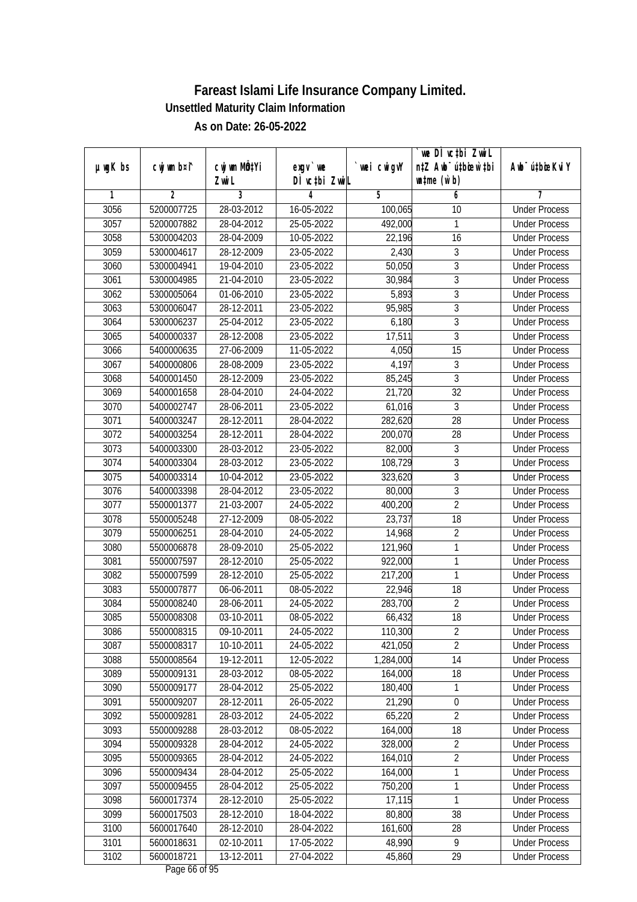|               |                |                           |               |             | we DI vctbi Zwil                 |                             |
|---------------|----------------|---------------------------|---------------|-------------|----------------------------------|-----------------------------|
| $µ$ ug $K$ bs | cwj wm b¤i^    | cwj wm MQ <sup>1</sup> Yi | $exgV$ we     | `wei cwigvY | n‡Z Awb <sup>-</sup> ú‡bioen`‡bi | Awb <sup>-</sup> ú‡bioeKviY |
|               |                | Zwi L                     | DÌ vctbi ZwiL |             | $\n  untime\n  (u`b)\n$          |                             |
| 1             | $\overline{2}$ | 3                         | 4             | 5           | 6                                | 7                           |
| 3056          | 5200007725     | 28-03-2012                | 16-05-2022    | 100,065     | 10                               | <b>Under Process</b>        |
| 3057          | 5200007882     | 28-04-2012                | 25-05-2022    | 492,000     | 1                                | <b>Under Process</b>        |
| 3058          | 5300004203     | 28-04-2009                | 10-05-2022    | 22,196      | 16                               | <b>Under Process</b>        |
| 3059          | 5300004617     | 28-12-2009                | 23-05-2022    | 2,430       | 3                                | <b>Under Process</b>        |
| 3060          | 5300004941     | 19-04-2010                | 23-05-2022    | 50,050      | $\overline{3}$                   | <b>Under Process</b>        |
| 3061          | 5300004985     | 21-04-2010                | 23-05-2022    | 30,984      | 3                                | <b>Under Process</b>        |
| 3062          | 5300005064     | 01-06-2010                | 23-05-2022    | 5,893       | $\overline{3}$                   | <b>Under Process</b>        |
| 3063          | 5300006047     | 28-12-2011                | 23-05-2022    | 95,985      | $\overline{3}$                   | <b>Under Process</b>        |
| 3064          | 5300006237     | 25-04-2012                | 23-05-2022    | 6,180       | $\overline{3}$                   | <b>Under Process</b>        |
| 3065          | 5400000337     | 28-12-2008                | 23-05-2022    | 17,511      | 3                                | <b>Under Process</b>        |
| 3066          | 5400000635     | 27-06-2009                | 11-05-2022    | 4,050       | $\overline{15}$                  | <b>Under Process</b>        |
| 3067          | 5400000806     | 28-08-2009                | 23-05-2022    | 4,197       | 3                                | <b>Under Process</b>        |
| 3068          | 5400001450     | 28-12-2009                | 23-05-2022    | 85,245      | $\overline{3}$                   | <b>Under Process</b>        |
| 3069          | 5400001658     | 28-04-2010                | 24-04-2022    | 21,720      | 32                               | <b>Under Process</b>        |
| 3070          | 5400002747     | 28-06-2011                | 23-05-2022    | 61,016      | 3                                | <b>Under Process</b>        |
| 3071          | 5400003247     | 28-12-2011                | 28-04-2022    | 282,620     | 28                               | <b>Under Process</b>        |
| 3072          | 5400003254     | 28-12-2011                | 28-04-2022    | 200,070     | 28                               | <b>Under Process</b>        |
| 3073          | 5400003300     | 28-03-2012                | 23-05-2022    | 82,000      | $\mathfrak{Z}$                   | <b>Under Process</b>        |
| 3074          | 5400003304     | 28-03-2012                | 23-05-2022    | 108,729     | $\overline{3}$                   | <b>Under Process</b>        |
| 3075          | 5400003314     | 10-04-2012                | 23-05-2022    | 323,620     | 3                                | <b>Under Process</b>        |
| 3076          | 5400003398     | 28-04-2012                | 23-05-2022    | 80,000      | $\overline{3}$                   | <b>Under Process</b>        |
| 3077          | 5500001377     | 21-03-2007                | 24-05-2022    | 400,200     | $\overline{2}$                   | <b>Under Process</b>        |
| 3078          | 5500005248     | 27-12-2009                | 08-05-2022    | 23,737      | 18                               | <b>Under Process</b>        |
| 3079          | 5500006251     | 28-04-2010                | 24-05-2022    | 14,968      | $\overline{2}$                   | <b>Under Process</b>        |
| 3080          | 5500006878     | 28-09-2010                | 25-05-2022    | 121,960     | 1                                | <b>Under Process</b>        |
| 3081          | 5500007597     | 28-12-2010                | 25-05-2022    | 922,000     | 1                                | <b>Under Process</b>        |
| 3082          | 5500007599     | 28-12-2010                | 25-05-2022    | 217,200     | 1                                | <b>Under Process</b>        |
| 3083          | 5500007877     | 06-06-2011                | 08-05-2022    | 22,946      | 18                               | <b>Under Process</b>        |
| 3084          | 5500008240     | 28-06-2011                | 24-05-2022    | 283,700     | $\overline{2}$                   | <b>Under Process</b>        |
| 3085          | 5500008308     | 03-10-2011                | 08-05-2022    | 66,432      | 18                               | <b>Under Process</b>        |
| 3086          | 5500008315     | 09-10-2011                | 24-05-2022    | 110,300     | $\overline{2}$                   | <b>Under Process</b>        |
| 3087          | 5500008317     | 10-10-2011                | 24-05-2022    | 421,050     | $\overline{2}$                   | <b>Under Process</b>        |
| 3088          | 5500008564     | 19-12-2011                | 12-05-2022    | 1,284,000   | 14                               | <b>Under Process</b>        |
| 3089          | 5500009131     | 28-03-2012                | 08-05-2022    | 164,000     | 18                               | <b>Under Process</b>        |
| 3090          | 5500009177     | 28-04-2012                | 25-05-2022    | 180,400     | 1                                | <b>Under Process</b>        |
| 3091          | 5500009207     | 28-12-2011                | 26-05-2022    | 21,290      | 0                                | <b>Under Process</b>        |
| 3092          | 5500009281     | 28-03-2012                | 24-05-2022    | 65,220      | $\overline{2}$                   | <b>Under Process</b>        |
| 3093          | 5500009288     | 28-03-2012                | 08-05-2022    | 164,000     | $\overline{18}$                  | <b>Under Process</b>        |
| 3094          | 5500009328     | 28-04-2012                | 24-05-2022    | 328,000     | $\overline{2}$                   | <b>Under Process</b>        |
| 3095          | 5500009365     | 28-04-2012                | 24-05-2022    | 164,010     | $\overline{2}$                   | <b>Under Process</b>        |
| 3096          | 5500009434     | 28-04-2012                | 25-05-2022    | 164,000     | 1                                | <b>Under Process</b>        |
| 3097          | 5500009455     | 28-04-2012                | 25-05-2022    | 750,200     | 1                                | <b>Under Process</b>        |
| 3098          | 5600017374     | 28-12-2010                | 25-05-2022    | 17,115      | 1                                | <b>Under Process</b>        |
| 3099          | 5600017503     | 28-12-2010                | 18-04-2022    | 80,800      | 38                               | <b>Under Process</b>        |
| 3100          | 5600017640     | 28-12-2010                | 28-04-2022    | 161,600     | 28                               | <b>Under Process</b>        |
| 3101          | 5600018631     | 02-10-2011                | 17-05-2022    | 48,990      | 9                                | <b>Under Process</b>        |
| 3102          | 5600018721     | 13-12-2011                | 27-04-2022    | 45,860      | 29                               | <b>Under Process</b>        |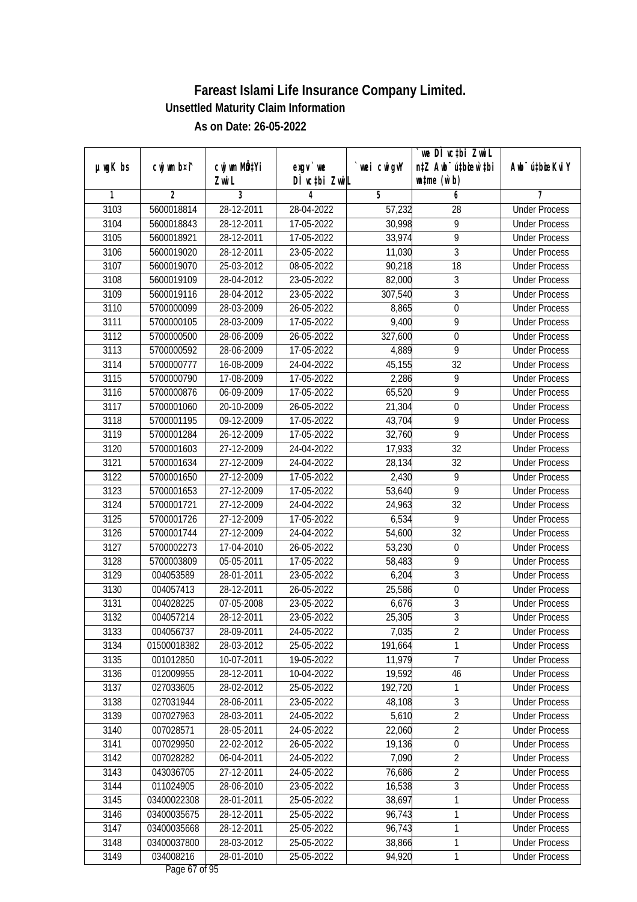|               |                |                       |                            |            | we DI vctbi ZwiL                                            |                             |
|---------------|----------------|-----------------------|----------------------------|------------|-------------------------------------------------------------|-----------------------------|
| $µ$ ug $K$ bs | cwj wm b¤i^    | cwj wm MÖ¢Yi<br>Zwi L | $exgV$ we<br>DÌ vctbi ZwiL | wei cwigvY | n‡Z Awb <sup>-</sup> ú‡bioen`‡bi<br>$\n  untime\n  (u`b)\n$ | Awb <sup>-</sup> ú‡bioeKviY |
| 1             | $\overline{2}$ | 3                     | 4                          | 5          | 6                                                           | 7                           |
| 3103          | 5600018814     | 28-12-2011            | 28-04-2022                 | 57,232     | $\overline{28}$                                             | <b>Under Process</b>        |
| 3104          | 5600018843     | 28-12-2011            | 17-05-2022                 | 30,998     | $\overline{9}$                                              | <b>Under Process</b>        |
| 3105          | 5600018921     | 28-12-2011            | 17-05-2022                 | 33,974     | $\overline{9}$                                              | <b>Under Process</b>        |
| 3106          | 5600019020     | 28-12-2011            | 23-05-2022                 | 11,030     | $\sqrt{3}$                                                  | <b>Under Process</b>        |
| 3107          | 5600019070     | 25-03-2012            | 08-05-2022                 | 90,218     | $\overline{18}$                                             | <b>Under Process</b>        |
| 3108          | 5600019109     | 28-04-2012            | 23-05-2022                 | 82,000     | $\sqrt{3}$                                                  | <b>Under Process</b>        |
| 3109          | 5600019116     | 28-04-2012            | 23-05-2022                 | 307,540    | $\overline{3}$                                              | <b>Under Process</b>        |
| 3110          | 5700000099     | 28-03-2009            | 26-05-2022                 | 8,865      | $\overline{0}$                                              | <b>Under Process</b>        |
| 3111          | 5700000105     | 28-03-2009            | 17-05-2022                 | 9,400      | $\overline{9}$                                              | <b>Under Process</b>        |
| 3112          | 5700000500     | 28-06-2009            | 26-05-2022                 | 327,600    | $\mathbf 0$                                                 | <b>Under Process</b>        |
| 3113          | 5700000592     | 28-06-2009            | 17-05-2022                 | 4,889      | $\overline{9}$                                              | <b>Under Process</b>        |
| 3114          | 5700000777     | 16-08-2009            | 24-04-2022                 | 45,155     | 32                                                          | <b>Under Process</b>        |
| 3115          | 5700000790     | 17-08-2009            | 17-05-2022                 | 2,286      | $\overline{9}$                                              | <b>Under Process</b>        |
| 3116          | 5700000876     | 06-09-2009            | 17-05-2022                 | 65,520     | 9                                                           | <b>Under Process</b>        |
| 3117          | 5700001060     | 20-10-2009            | 26-05-2022                 | 21,304     | $\boldsymbol{0}$                                            | <b>Under Process</b>        |
| 3118          | 5700001195     | 09-12-2009            | 17-05-2022                 | 43,704     | $\overline{9}$                                              | <b>Under Process</b>        |
| 3119          | 5700001284     | 26-12-2009            | 17-05-2022                 | 32,760     | $\overline{9}$                                              | <b>Under Process</b>        |
| 3120          | 5700001603     | 27-12-2009            | 24-04-2022                 | 17,933     | 32                                                          | <b>Under Process</b>        |
| 3121          | 5700001634     | 27-12-2009            | 24-04-2022                 | 28,134     | 32                                                          | <b>Under Process</b>        |
| 3122          | 5700001650     | 27-12-2009            | 17-05-2022                 | 2,430      | 9                                                           | <b>Under Process</b>        |
| 3123          | 5700001653     | $27 - 12 - 2009$      | 17-05-2022                 | 53,640     | $\overline{9}$                                              | <b>Under Process</b>        |
| 3124          | 5700001721     | 27-12-2009            | 24-04-2022                 | 24,963     | 32                                                          | <b>Under Process</b>        |
| 3125          | 5700001726     | 27-12-2009            | 17-05-2022                 | 6,534      | 9                                                           | <b>Under Process</b>        |
| 3126          | 5700001744     | 27-12-2009            | 24-04-2022                 | 54,600     | 32                                                          | <b>Under Process</b>        |
| 3127          | 5700002273     | 17-04-2010            | 26-05-2022                 | 53,230     | $\boldsymbol{0}$                                            | <b>Under Process</b>        |
| 3128          | 5700003809     | 05-05-2011            | 17-05-2022                 | 58,483     | 9                                                           | <b>Under Process</b>        |
| 3129          | 004053589      | 28-01-2011            | 23-05-2022                 | 6,204      | 3                                                           | <b>Under Process</b>        |
| 3130          | 004057413      | 28-12-2011            | 26-05-2022                 | 25,586     | $\boldsymbol{0}$                                            | <b>Under Process</b>        |
| 3131          | 004028225      | 07-05-2008            | 23-05-2022                 | 6,676      | $\overline{3}$                                              | <b>Under Process</b>        |
| 3132          | 004057214      | 28-12-2011            | 23-05-2022                 | 25,305     | $\overline{3}$                                              | <b>Under Process</b>        |
| 3133          | 004056737      | 28-09-2011            | 24-05-2022                 | 7,035      | 2                                                           | <b>Under Process</b>        |
| 3134          | 01500018382    | 28-03-2012            | 25-05-2022                 | 191,664    | 1                                                           | <b>Under Process</b>        |
| 3135          | 001012850      | 10-07-2011            | 19-05-2022                 | 11,979     | $\overline{7}$                                              | <b>Under Process</b>        |
| 3136          | 012009955      | 28-12-2011            | 10-04-2022                 | 19,592     | 46                                                          | <b>Under Process</b>        |
| 3137          | 027033605      | 28-02-2012            | 25-05-2022                 | 192,720    | 1                                                           | <b>Under Process</b>        |
| 3138          | 027031944      | 28-06-2011            | 23-05-2022                 | 48,108     | 3                                                           | <b>Under Process</b>        |
| 3139          | 007027963      | 28-03-2011            | 24-05-2022                 | 5,610      | $\overline{2}$                                              | <b>Under Process</b>        |
| 3140          | 007028571      | 28-05-2011            | 24-05-2022                 | 22,060     | $\overline{2}$                                              | <b>Under Process</b>        |
| 3141          | 007029950      | 22-02-2012            | 26-05-2022                 | 19,136     | $\overline{0}$                                              | <b>Under Process</b>        |
| 3142          | 007028282      | 06-04-2011            | 24-05-2022                 | 7,090      | $\overline{2}$                                              | <b>Under Process</b>        |
| 3143          | 043036705      | 27-12-2011            | 24-05-2022                 | 76,686     | $\overline{2}$                                              | <b>Under Process</b>        |
| 3144          | 011024905      | 28-06-2010            | 23-05-2022                 | 16,538     | $\overline{3}$                                              | <b>Under Process</b>        |
| 3145          | 03400022308    | 28-01-2011            | 25-05-2022                 | 38,697     | 1                                                           | <b>Under Process</b>        |
| 3146          | 03400035675    | 28-12-2011            | 25-05-2022                 | 96,743     | 1                                                           | <b>Under Process</b>        |
| 3147          | 03400035668    | 28-12-2011            | 25-05-2022                 | 96,743     | 1                                                           | <b>Under Process</b>        |
| 3148          | 03400037800    | 28-03-2012            | 25-05-2022                 | 38,866     | $\mathbf{1}$                                                | <b>Under Process</b>        |
| 3149          | 034008216      | 28-01-2010            | 25-05-2022                 | 94,920     | $\mathbf{1}$                                                | <b>Under Process</b>        |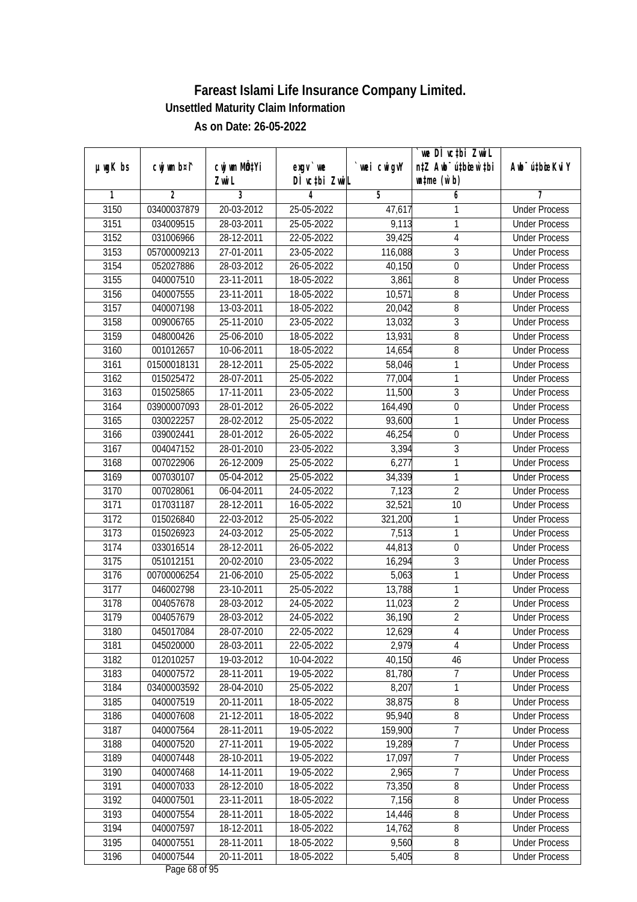|               |                          |                           |                          |             | we DI vctbi ZwiL                 |                             |
|---------------|--------------------------|---------------------------|--------------------------|-------------|----------------------------------|-----------------------------|
| $µ$ ug $K$ bs | cwj wm b¤i^              | cwj wm MQ <sup>1</sup> Yi | $exgV$ we                | `wei cwigvY | n‡Z Awb <sup>-</sup> ú‡bioen`‡bi | Awb <sup>-</sup> ú‡bioeKviY |
| 1             | 2                        | Zwi L<br>3                | DÌ vctbi ZwiL<br>4       | 5           | $\n  untime\n  (u`b)\n$          | 7                           |
| 3150          | 03400037879              | 20-03-2012                | 25-05-2022               | 47,617      | 6<br>1                           | <b>Under Process</b>        |
| 3151          | 034009515                | 28-03-2011                | 25-05-2022               | 9,113       | 1                                | <b>Under Process</b>        |
|               |                          |                           |                          |             |                                  |                             |
| 3152          | 031006966                | 28-12-2011                | 22-05-2022               | 39,425      | 4                                | <b>Under Process</b>        |
| 3153          | 05700009213<br>052027886 | 27-01-2011                | 23-05-2022               | 116,088     | $\overline{3}$                   | <b>Under Process</b>        |
| 3154          |                          | 28-03-2012                | 26-05-2022               | 40,150      | $\boldsymbol{0}$                 | <b>Under Process</b>        |
| 3155          | 040007510                | 23-11-2011<br>23-11-2011  | 18-05-2022               | 3,861       | 8                                | <b>Under Process</b>        |
| 3156          | 040007555                |                           | 18-05-2022               | 10,571      | 8                                | <b>Under Process</b>        |
| 3157          | 040007198                | 13-03-2011                | 18-05-2022               | 20,042      | 8<br>$\overline{3}$              | <b>Under Process</b>        |
| 3158          | 009006765                | 25-11-2010                | 23-05-2022               | 13,032      |                                  | <b>Under Process</b>        |
| 3159          | 048000426                | 25-06-2010                | 18-05-2022               | 13,931      | 8                                | <b>Under Process</b>        |
| 3160          | 001012657                | 10-06-2011                | $\overline{18}$ -05-2022 | 14,654      | 8                                | <b>Under Process</b>        |
| 3161          | 01500018131              | 28-12-2011                | 25-05-2022               | 58,046      | 1                                | <b>Under Process</b>        |
| 3162          | 015025472                | 28-07-2011                | 25-05-2022               | 77,004      | 1                                | <b>Under Process</b>        |
| 3163          | 015025865                | 17-11-2011                | 23-05-2022               | 11,500      | $\overline{3}$                   | <b>Under Process</b>        |
| 3164          | 03900007093              | 28-01-2012                | 26-05-2022               | 164,490     | $\boldsymbol{0}$                 | <b>Under Process</b>        |
| 3165          | 030022257                | 28-02-2012                | 25-05-2022               | 93,600      | 1                                | <b>Under Process</b>        |
| 3166          | 039002441                | 28-01-2012                | 26-05-2022               | 46,254      | $\pmb{0}$                        | <b>Under Process</b>        |
| 3167          | 004047152                | 28-01-2010                | 23-05-2022               | 3,394       | 3                                | <b>Under Process</b>        |
| 3168          | 007022906                | 26-12-2009                | 25-05-2022               | 6,277       | 1                                | <b>Under Process</b>        |
| 3169          | 007030107                | 05-04-2012                | 25-05-2022               | 34,339      | 1                                | <b>Under Process</b>        |
| 3170          | 007028061                | 06-04-2011                | 24-05-2022               | 7,123       | $\overline{2}$                   | <b>Under Process</b>        |
| 3171          | 017031187                | 28-12-2011                | 16-05-2022               | 32,521      | 10                               | <b>Under Process</b>        |
| 3172          | 015026840                | 22-03-2012                | 25-05-2022               | 321,200     | 1                                | <b>Under Process</b>        |
| 3173          | 015026923                | 24-03-2012                | 25-05-2022               | 7,513       | 1                                | <b>Under Process</b>        |
| 3174          | 033016514                | 28-12-2011                | 26-05-2022               | 44,813      | $\boldsymbol{0}$                 | <b>Under Process</b>        |
| 3175          | 051012151                | 20-02-2010                | 23-05-2022               | 16,294      | 3                                | <b>Under Process</b>        |
| 3176          | 00700006254              | 21-06-2010                | 25-05-2022               | 5,063       | 1                                | <b>Under Process</b>        |
| 3177          | 046002798                | 23-10-2011                | 25-05-2022               | 13,788      | 1                                | <b>Under Process</b>        |
| 3178          | 004057678                | 28-03-2012                | 24-05-2022               | 11,023      | $\overline{2}$                   | <b>Under Process</b>        |
| 3179          | 004057679                | 28-03-2012                | 24-05-2022               | 36,190      | $\overline{2}$                   | <b>Under Process</b>        |
| 3180          | 045017084                | 28-07-2010                | 22-05-2022               | 12,629      | 4                                | <b>Under Process</b>        |
| 3181          | 045020000                | 28-03-2011                | 22-05-2022               | 2,979       | 4                                | <b>Under Process</b>        |
| 3182          | 012010257                | 19-03-2012                | 10-04-2022               | 40,150      | 46                               | <b>Under Process</b>        |
| 3183          | 040007572                | 28-11-2011                | 19-05-2022               | 81,780      | 7                                | <b>Under Process</b>        |
| 3184          | 03400003592              | 28-04-2010                | 25-05-2022               | 8,207       | 1                                | <b>Under Process</b>        |
| 3185          | 040007519                | 20-11-2011                | 18-05-2022               | 38,875      | 8                                | <b>Under Process</b>        |
| 3186          | 040007608                | 21-12-2011                | 18-05-2022               | 95,940      | 8                                | <b>Under Process</b>        |
| 3187          | 040007564                | 28-11-2011                | 19-05-2022               | 159,900     | 7                                | <b>Under Process</b>        |
| 3188          | 040007520                | 27-11-2011                | 19-05-2022               | 19,289      | $\overline{7}$                   | <b>Under Process</b>        |
| 3189          | 040007448                | 28-10-2011                | 19-05-2022               | 17,097      | $\overline{7}$                   | <b>Under Process</b>        |
| 3190          | 040007468                | 14-11-2011                | 19-05-2022               | 2,965       | $\overline{7}$                   | <b>Under Process</b>        |
| 3191          | 040007033                | 28-12-2010                | 18-05-2022               | 73,350      | 8                                | <b>Under Process</b>        |
| 3192          | 040007501                | 23-11-2011                | 18-05-2022               | 7,156       | $\overline{8}$                   | <b>Under Process</b>        |
| 3193          | 040007554                | 28-11-2011                | 18-05-2022               | 14,446      | 8                                | <b>Under Process</b>        |
| 3194          | 040007597                | 18-12-2011                | 18-05-2022               | 14,762      | $\overline{8}$                   | <b>Under Process</b>        |
| 3195          | 040007551                | 28-11-2011                | 18-05-2022               | 9,560       | 8                                | <b>Under Process</b>        |
| 3196          | 040007544                | 20-11-2011                | 18-05-2022               | 5,405       | 8                                | <b>Under Process</b>        |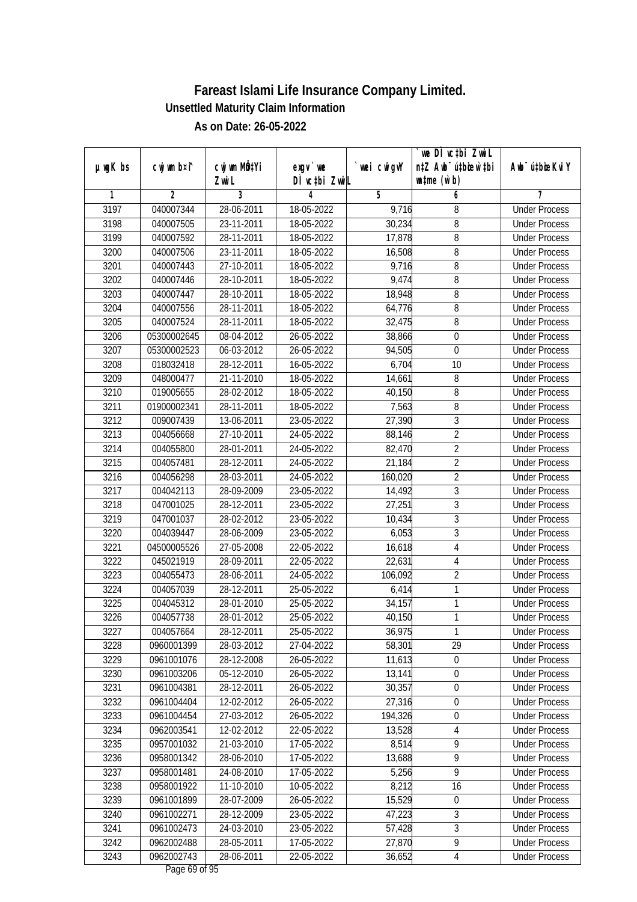|               |                |                           |               |             | we DI vctbi ZwiL                 |                             |
|---------------|----------------|---------------------------|---------------|-------------|----------------------------------|-----------------------------|
| $µ$ ug $K$ bs | cwj wm b¤i^    | cwj wm MQ <sup>1</sup> Yi | $exqu$ we     | `wei cwigvY | n‡Z Awb <sup>-</sup> ú‡bicen`‡bi | Awb <sup>-</sup> ú‡bioeKviY |
|               |                | Zwi L                     | DÌ vctbi ZwiL |             | $\n  untime\n  (u`b)\n$          |                             |
| 1             | $\overline{2}$ | 3                         | 4             | 5           | 6                                | 7                           |
| 3197          | 040007344      | 28-06-2011                | 18-05-2022    | 9,716       | 8                                | <b>Under Process</b>        |
| 3198          | 040007505      | 23-11-2011                | 18-05-2022    | 30,234      | 8                                | <b>Under Process</b>        |
| 3199          | 040007592      | 28-11-2011                | 18-05-2022    | 17,878      | $\overline{8}$                   | <b>Under Process</b>        |
| 3200          | 040007506      | 23-11-2011                | 18-05-2022    | 16,508      | 8                                | <b>Under Process</b>        |
| 3201          | 040007443      | 27-10-2011                | 18-05-2022    | 9,716       | 8                                | <b>Under Process</b>        |
| 3202          | 040007446      | 28-10-2011                | 18-05-2022    | 9,474       | 8                                | <b>Under Process</b>        |
| 3203          | 040007447      | 28-10-2011                | 18-05-2022    | 18,948      | 8                                | <b>Under Process</b>        |
| 3204          | 040007556      | 28-11-2011                | 18-05-2022    | 64,776      | $\overline{8}$                   | <b>Under Process</b>        |
| 3205          | 040007524      | 28-11-2011                | 18-05-2022    | 32,475      | 8                                | <b>Under Process</b>        |
| 3206          | 05300002645    | 08-04-2012                | 26-05-2022    | 38,866      | $\boldsymbol{0}$                 | <b>Under Process</b>        |
| 3207          | 05300002523    | 06-03-2012                | 26-05-2022    | 94,505      | 0                                | <b>Under Process</b>        |
| 3208          | 018032418      | 28-12-2011                | 16-05-2022    | 6,704       | 10                               | <b>Under Process</b>        |
| 3209          | 048000477      | 21-11-2010                | 18-05-2022    | 14,661      | 8                                | <b>Under Process</b>        |
| 3210          | 019005655      | 28-02-2012                | 18-05-2022    | 40,150      | 8                                | <b>Under Process</b>        |
| 3211          | 01900002341    | 28-11-2011                | 18-05-2022    | 7,563       | 8                                | <b>Under Process</b>        |
| 3212          | 009007439      | 13-06-2011                | 23-05-2022    | 27,390      | 3                                | <b>Under Process</b>        |
| 3213          | 004056668      | 27-10-2011                | 24-05-2022    | 88,146      | $\overline{2}$                   | <b>Under Process</b>        |
| 3214          | 004055800      | 28-01-2011                | 24-05-2022    | 82,470      | $\overline{2}$                   | <b>Under Process</b>        |
| 3215          | 004057481      | 28-12-2011                | 24-05-2022    | 21,184      | $\overline{2}$                   | <b>Under Process</b>        |
| 3216          | 004056298      | 28-03-2011                | 24-05-2022    | 160,020     | $\sqrt{2}$                       | <b>Under Process</b>        |
| 3217          | 004042113      | 28-09-2009                | 23-05-2022    | 14,492      | 3                                | <b>Under Process</b>        |
| 3218          | 047001025      | 28-12-2011                | 23-05-2022    | 27,251      | 3                                | <b>Under Process</b>        |
| 3219          | 047001037      | 28-02-2012                | 23-05-2022    | 10,434      | 3                                | <b>Under Process</b>        |
| 3220          | 004039447      | 28-06-2009                | 23-05-2022    | 6,053       | $\overline{3}$                   | <b>Under Process</b>        |
| 3221          | 04500005526    | 27-05-2008                | 22-05-2022    | 16,618      | $\sqrt{4}$                       | <b>Under Process</b>        |
| 3222          | 045021919      | 28-09-2011                | 22-05-2022    | 22,631      | 4                                | <b>Under Process</b>        |
| 3223          | 004055473      | 28-06-2011                | 24-05-2022    | 106,092     | $\overline{2}$                   | <b>Under Process</b>        |
| 3224          | 004057039      | 28-12-2011                | 25-05-2022    | 6,414       | 1                                | <b>Under Process</b>        |
| 3225          | 004045312      | 28-01-2010                | 25-05-2022    | 34,157      | 1                                | <b>Under Process</b>        |
| 3226          | 004057738      | 28-01-2012                | 25-05-2022    | 40,150      | 1                                | <b>Under Process</b>        |
| 3227          | 004057664      | 28-12-2011                | 25-05-2022    | 36,975      | 1                                | <b>Under Process</b>        |
| 3228          | 0960001399     | 28-03-2012                | 27-04-2022    | 58,301      | 29                               | <b>Under Process</b>        |
| 3229          | 0961001076     | 28-12-2008                | 26-05-2022    | 11,613      | $\boldsymbol{0}$                 | <b>Under Process</b>        |
| 3230          | 0961003206     | 05-12-2010                | 26-05-2022    | 13,141      | $\overline{0}$                   | <b>Under Process</b>        |
| 3231          | 0961004381     | 28-12-2011                | 26-05-2022    | 30,357      | $\boldsymbol{0}$                 | <b>Under Process</b>        |
| 3232          | 0961004404     | 12-02-2012                | 26-05-2022    | 27,316      | 0                                | <b>Under Process</b>        |
| 3233          | 0961004454     | 27-03-2012                | 26-05-2022    | 194,326     | $\boldsymbol{0}$                 | <b>Under Process</b>        |
| 3234          | 0962003541     | 12-02-2012                | 22-05-2022    | 13,528      | 4                                | <b>Under Process</b>        |
| 3235          | 0957001032     | 21-03-2010                | 17-05-2022    | 8,514       | $\overline{9}$                   | <b>Under Process</b>        |
| 3236          | 0958001342     | 28-06-2010                | 17-05-2022    | 13,688      | $\overline{9}$                   | <b>Under Process</b>        |
| 3237          | 0958001481     | 24-08-2010                | 17-05-2022    | 5,256       | 9                                | <b>Under Process</b>        |
| 3238          | 0958001922     | 11-10-2010                | 10-05-2022    | 8,212       | 16                               | <b>Under Process</b>        |
| 3239          | 0961001899     | 28-07-2009                | 26-05-2022    | 15,529      | 0                                | <b>Under Process</b>        |
| 3240          | 0961002271     | 28-12-2009                | 23-05-2022    | 47,223      | 3                                | <b>Under Process</b>        |
| 3241          | 0961002473     | 24-03-2010                | 23-05-2022    | 57,428      | $\overline{3}$                   | <b>Under Process</b>        |
| 3242          | 0962002488     | 28-05-2011                | 17-05-2022    | 27,870      | $\overline{9}$                   | <b>Under Process</b>        |
| 3243          | 0962002743     | 28-06-2011                | 22-05-2022    | 36,652      | 4                                | <b>Under Process</b>        |
|               |                |                           |               |             |                                  |                             |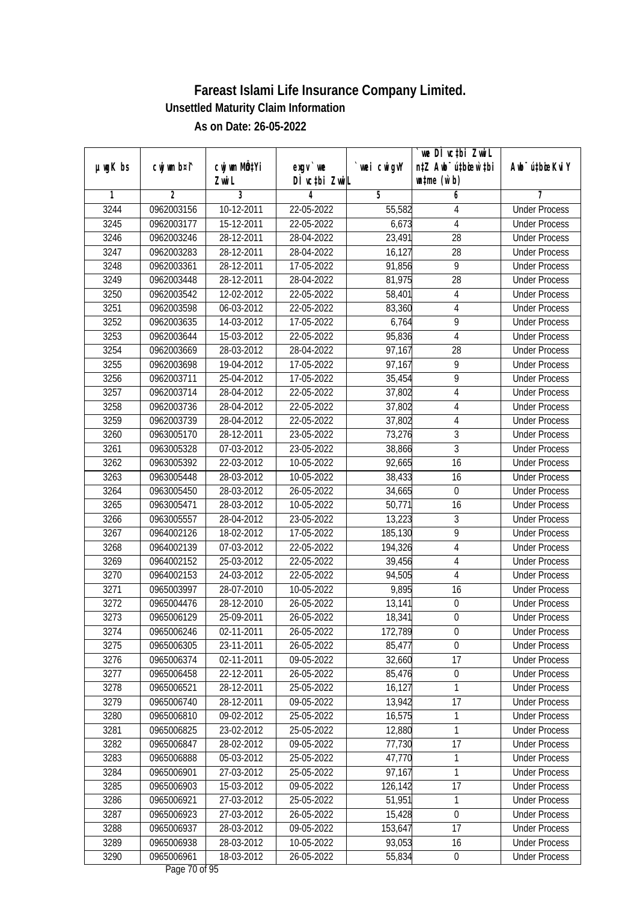|               |                          |                       |                            |                   | `we DÌ vc‡bi ZwwiL                                          |                             |
|---------------|--------------------------|-----------------------|----------------------------|-------------------|-------------------------------------------------------------|-----------------------------|
| $µ$ ug $K$ bs | cwj wm b¤i^              | cwj wm MQtYi<br>Zwi L | $exgV$ we<br>DÌ vctbi ZwiL | wei cwigvY        | n‡Z Awb <sup>-</sup> ú‡bioen`‡bi<br>$\n  untime\n  (u`b)\n$ | Awb <sup>-</sup> ú‡bioeKviY |
| 1             | $\overline{2}$           | 3                     | 4                          | 5                 | 6                                                           | 7                           |
| 3244          | 0962003156               | 10-12-2011            | 22-05-2022                 | 55,582            | 4                                                           | <b>Under Process</b>        |
| 3245          | 0962003177               | 15-12-2011            | 22-05-2022                 | 6,673             | $\overline{4}$                                              | <b>Under Process</b>        |
| 3246          | 0962003246               | 28-12-2011            | 28-04-2022                 | 23,491            | $\overline{28}$                                             | <b>Under Process</b>        |
| 3247          | 0962003283               | 28-12-2011            | 28-04-2022                 | 16,127            | 28                                                          | <b>Under Process</b>        |
| 3248          | 0962003361               | 28-12-2011            | 17-05-2022                 | 91,856            | $\overline{9}$                                              | <b>Under Process</b>        |
| 3249          | 0962003448               | 28-12-2011            | 28-04-2022                 | 81,975            | $\overline{28}$                                             | <b>Under Process</b>        |
| 3250          | 0962003542               | 12-02-2012            | 22-05-2022                 | 58,401            | $\overline{4}$                                              | <b>Under Process</b>        |
| 3251          | 0962003598               | 06-03-2012            | 22-05-2022                 | 83,360            | $\overline{4}$                                              | <b>Under Process</b>        |
| 3252          | 0962003635               | 14-03-2012            | 17-05-2022                 | 6,764             | 9                                                           | <b>Under Process</b>        |
| 3253          | 0962003644               | 15-03-2012            | 22-05-2022                 | 95,836            | $\overline{\mathbf{4}}$                                     | <b>Under Process</b>        |
| 3254          | 0962003669               | 28-03-2012            | 28-04-2022                 | 97,167            | $\overline{28}$                                             | <b>Under Process</b>        |
| 3255          | 0962003698               | 19-04-2012            | 17-05-2022                 | 97,167            | 9                                                           | <b>Under Process</b>        |
| 3256          | 0962003711               | 25-04-2012            | 17-05-2022                 | 35,454            | $\overline{9}$                                              | <b>Under Process</b>        |
| 3257          | 0962003714               | 28-04-2012            | 22-05-2022                 | 37,802            | $\overline{4}$                                              | <b>Under Process</b>        |
| 3258          | 0962003736               | 28-04-2012            | 22-05-2022                 | 37,802            | $\overline{\mathbf{4}}$                                     | <b>Under Process</b>        |
| 3259          | 0962003739               | 28-04-2012            | 22-05-2022                 | 37,802            | $\overline{4}$                                              | <b>Under Process</b>        |
| 3260          | 0963005170               | 28-12-2011            | 23-05-2022                 | 73,276            | $\sqrt{3}$                                                  | <b>Under Process</b>        |
| 3261          | 0963005328               | 07-03-2012            | 23-05-2022                 | 38,866            | $\overline{3}$                                              | <b>Under Process</b>        |
| 3262          | 0963005392               | 22-03-2012            | 10-05-2022                 | 92,665            | 16                                                          | <b>Under Process</b>        |
| 3263          | 0963005448               | 28-03-2012            | 10-05-2022                 | 38,433            | 16                                                          | <b>Under Process</b>        |
| 3264          | 0963005450               | 28-03-2012            | 26-05-2022                 | 34,665            | $\mathbf 0$                                                 | <b>Under Process</b>        |
| 3265          | 0963005471               | 28-03-2012            | 10-05-2022                 | 50,771            | 16                                                          | <b>Under Process</b>        |
| 3266          | 0963005557               | 28-04-2012            | 23-05-2022                 | 13,223            | 3                                                           | <b>Under Process</b>        |
| 3267          | 0964002126               | 18-02-2012            | 17-05-2022                 | 185,130           | $\overline{9}$                                              | <b>Under Process</b>        |
| 3268          | 0964002139               | 07-03-2012            | 22-05-2022                 | 194,326           | 4                                                           | <b>Under Process</b>        |
| 3269          | 0964002152               | 25-03-2012            | 22-05-2022                 | 39,456            | $\overline{4}$                                              | <b>Under Process</b>        |
| 3270          | 0964002153               | 24-03-2012            | 22-05-2022                 | 94,505            | 4                                                           | <b>Under Process</b>        |
| 3271          | 0965003997               | 28-07-2010            | 10-05-2022                 | 9,895             | 16                                                          | <b>Under Process</b>        |
| 3272          | 0965004476               | 28-12-2010            | 26-05-2022                 | 13,141            | $\boldsymbol{0}$                                            | <b>Under Process</b>        |
| 3273          | 0965006129               | 25-09-2011            | 26-05-2022                 | 18,341            | $\boldsymbol{0}$                                            | <b>Under Process</b>        |
| 3274          | 0965006246               | 02-11-2011            | 26-05-2022                 | 172,789           | 0                                                           | <b>Under Process</b>        |
| 3275          | 0965006305               | 23-11-2011            | 26-05-2022                 | 85,477            | 0                                                           | <b>Under Process</b>        |
| 3276          | 0965006374               | 02-11-2011            | 09-05-2022                 | 32,660            | 17                                                          | <b>Under Process</b>        |
| 3277          | 0965006458               | 22-12-2011            | 26-05-2022                 | 85,476            | $\boldsymbol{0}$                                            | <b>Under Process</b>        |
| 3278          | 0965006521               | 28-12-2011            | 25-05-2022                 | 16,127            | 1                                                           | <b>Under Process</b>        |
| 3279          | 0965006740               | 28-12-2011            | 09-05-2022                 | 13,942            | 17                                                          | <b>Under Process</b>        |
| 3280          | 0965006810               | 09-02-2012            | 25-05-2022                 | 16,575            | 1                                                           | <b>Under Process</b>        |
| 3281          | 0965006825               | 23-02-2012            | 25-05-2022                 | 12,880            | 1                                                           | <b>Under Process</b>        |
| 3282          | 0965006847               | 28-02-2012            | 09-05-2022                 | 77,730            | 17                                                          | <b>Under Process</b>        |
|               |                          | 05-03-2012            | 25-05-2022                 | 47,770            |                                                             | <b>Under Process</b>        |
| 3283<br>3284  | 0965006888<br>0965006901 | 27-03-2012            | 25-05-2022                 | 97,167            | 1                                                           | <b>Under Process</b>        |
| 3285          | 0965006903               | 15-03-2012            | $09 - 05 - 2022$           |                   | 1<br>17                                                     | <b>Under Process</b>        |
| 3286          | 0965006921               | 27-03-2012            | 25-05-2022                 | 126,142<br>51,951 | $\mathbf{1}$                                                | <b>Under Process</b>        |
|               | 0965006923               | 27-03-2012            | 26-05-2022                 |                   | $\boldsymbol{0}$                                            | <b>Under Process</b>        |
| 3287<br>3288  | 0965006937               | 28-03-2012            | 09-05-2022                 | 15,428<br>153,647 | 17                                                          | <b>Under Process</b>        |
| 3289          | 0965006938               | 28-03-2012            | 10-05-2022                 | 93,053            |                                                             | <b>Under Process</b>        |
| 3290          |                          | 18-03-2012            |                            |                   | 16                                                          |                             |
|               | 0965006961               |                       | 26-05-2022                 | 55,834            | $\pmb{0}$                                                   | <b>Under Process</b>        |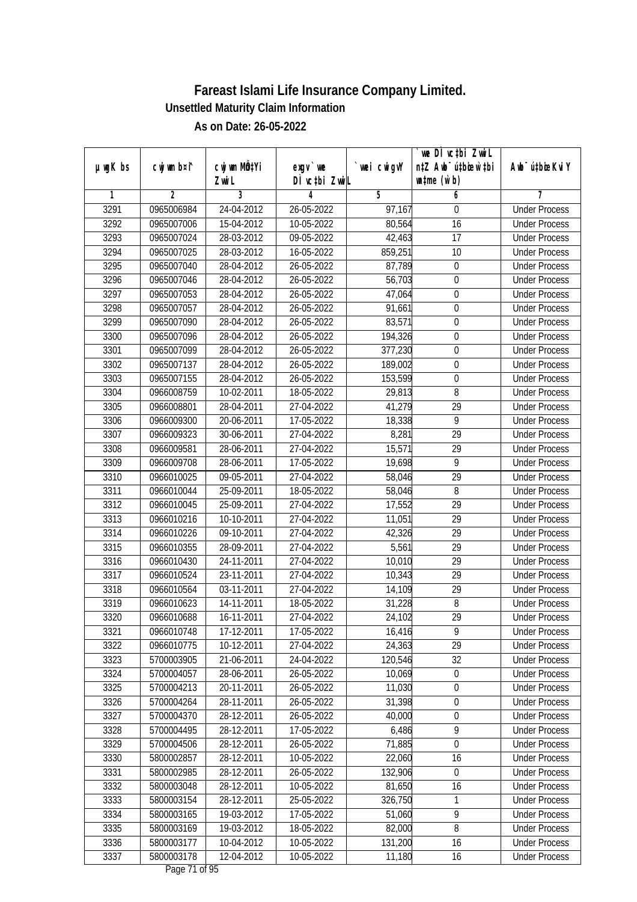| DÌ vctbi ZwiL<br>$\n  untime\n  (u`b)\n$<br>Zwi L<br>3<br>$\overline{2}$<br>5<br>1<br>4<br>6<br>7<br>3291<br>0965006984<br>24-04-2012<br>26-05-2022<br>$\frac{97}{167}$<br><b>Under Process</b><br>$\boldsymbol{0}$<br>3292<br>15-04-2012<br>10-05-2022<br>80,564<br>16<br>0965007006<br><b>Under Process</b><br>3293<br>0965007024<br>28-03-2012<br>09-05-2022<br>42,463<br>17<br><b>Under Process</b><br>3294<br>0965007025<br>28-03-2012<br>16-05-2022<br>859,251<br>10<br><b>Under Process</b><br>3295<br>0965007040<br>28-04-2012<br>26-05-2022<br>87,789<br>$\boldsymbol{0}$<br><b>Under Process</b><br>3296<br>0965007046<br>28-04-2012<br>26-05-2022<br>56,703<br>$\boldsymbol{0}$<br><b>Under Process</b><br>$\overline{0}$<br>3297<br>0965007053<br>28-04-2012<br>26-05-2022<br>47,064<br><b>Under Process</b><br>3298<br>0965007057<br>28-04-2012<br>26-05-2022<br>$\boldsymbol{0}$<br>91,661<br><b>Under Process</b><br>3299<br>28-04-2012<br>26-05-2022<br>83,571<br>$\boldsymbol{0}$<br>0965007090<br><b>Under Process</b><br>3300<br>0965007096<br>28-04-2012<br>26-05-2022<br>194,326<br>$\boldsymbol{0}$<br><b>Under Process</b><br>377,230<br>3301<br>0965007099<br>28-04-2012<br>26-05-2022<br>$\boldsymbol{0}$<br><b>Under Process</b><br>3302<br>28-04-2012<br>189,002<br>$\boldsymbol{0}$<br>0965007137<br>26-05-2022<br><b>Under Process</b><br>$\overline{0}$<br>3303<br>28-04-2012<br>26-05-2022<br>153,599<br>0965007155<br><b>Under Process</b><br>8<br>3304<br>0966008759<br>10-02-2011<br>18-05-2022<br>29,813<br><b>Under Process</b><br>29<br>3305<br>0966008801<br>28-04-2011<br>27-04-2022<br>41,279<br><b>Under Process</b><br>$\overline{9}$<br>3306<br>0966009300<br>20-06-2011<br>17-05-2022<br>18,338<br><b>Under Process</b><br>3307<br>8,281<br>29<br>30-06-2011<br>27-04-2022<br>0966009323<br><b>Under Process</b><br>3308<br>28-06-2011<br>15,571<br>29<br>0966009581<br>27-04-2022<br><b>Under Process</b><br>9<br>3309<br>28-06-2011<br>17-05-2022<br>19,698<br>0966009708<br><b>Under Process</b><br>29<br>3310<br>09-05-2011<br>27-04-2022<br>0966010025<br>58,046<br><b>Under Process</b><br>3311<br>8<br>0966010044<br>25-09-2011<br>18-05-2022<br>58,046<br><b>Under Process</b><br>3312<br>17,552<br>29<br>0966010045<br>25-09-2011<br>27-04-2022<br><b>Under Process</b><br>29<br>3313<br>10-10-2011<br>27-04-2022<br>11,051<br>0966010216<br><b>Under Process</b><br>29<br>3314<br>0966010226<br>09-10-2011<br>27-04-2022<br>42,326<br><b>Under Process</b><br>3315<br>0966010355<br>28-09-2011<br>27-04-2022<br>5,561<br>29<br><b>Under Process</b><br>29<br>3316<br>0966010430<br>24-11-2011<br>27-04-2022<br>10,010<br><b>Under Process</b><br>29<br>3317<br>23-11-2011<br>10,343<br>0966010524<br>27-04-2022<br><b>Under Process</b><br>3318<br>03-11-2011<br>27-04-2022<br>29<br>0966010564<br>14,109<br><b>Under Process</b><br>3319<br>$\, 8$<br>0966010623<br>14-11-2011<br>18-05-2022<br>31,228<br><b>Under Process</b><br>29<br>3320<br>0966010688<br>16-11-2011<br>27-04-2022<br>24,102<br><b>Under Process</b><br>3321<br>0966010748<br>17-12-2011<br>17-05-2022<br>16,416<br>9<br><b>Under Process</b><br>29<br>0966010775<br>10-12-2011<br>27-04-2022<br>24,363<br>3322<br><b>Under Process</b><br>3323<br>32<br>5700003905<br>21-06-2011<br>24-04-2022<br>120,546<br><b>Under Process</b><br>$\overline{0}$<br>3324<br>28-06-2011<br>10,069<br>5700004057<br>26-05-2022<br><b>Under Process</b><br>3325<br>20-11-2011<br>11,030<br>5700004213<br>26-05-2022<br>$\boldsymbol{0}$<br><b>Under Process</b><br>31,398<br>3326<br>5700004264<br>28-11-2011<br>26-05-2022<br><b>Under Process</b><br>$\pmb{0}$<br>3327<br>5700004370<br>28-12-2011<br>26-05-2022<br>40,000<br>$\boldsymbol{0}$<br><b>Under Process</b><br>6,486<br>$\overline{9}$<br>3328<br>5700004495<br>28-12-2011<br>17-05-2022<br><b>Under Process</b><br>$\overline{0}$<br>71,885<br>3329<br>5700004506<br>28-12-2011<br>26-05-2022<br><b>Under Process</b><br>16<br>3330<br>5800002857<br>28-12-2011<br>10-05-2022<br>22,060<br><b>Under Process</b><br>3331<br>5800002985<br>28-12-2011<br>26-05-2022<br>132,906<br><b>Under Process</b><br>0<br>3332<br>5800003048<br>28-12-2011<br>10-05-2022<br>81,650<br>16<br><b>Under Process</b><br>3333<br>5800003154<br>28-12-2011<br>$25 - 05 - 2022$<br>326,750<br>1<br><b>Under Process</b><br>$\overline{9}$<br>3334<br>5800003165<br>19-03-2012<br>17-05-2022<br>51,060<br><b>Under Process</b><br>$\overline{8}$<br>3335<br>5800003169<br>19-03-2012<br>18-05-2022<br>82,000<br><b>Under Process</b><br>3336<br>5800003177<br>131,200<br>10-04-2012<br>10-05-2022<br>16<br><b>Under Process</b><br>3337<br>5800003178<br>$\overline{12} - 04 - 2012$<br>11,180<br>10-05-2022<br>16<br><b>Under Process</b> |               |             |              |          |            | we DI vctbi ZwiL                 |                             |
|-------------------------------------------------------------------------------------------------------------------------------------------------------------------------------------------------------------------------------------------------------------------------------------------------------------------------------------------------------------------------------------------------------------------------------------------------------------------------------------------------------------------------------------------------------------------------------------------------------------------------------------------------------------------------------------------------------------------------------------------------------------------------------------------------------------------------------------------------------------------------------------------------------------------------------------------------------------------------------------------------------------------------------------------------------------------------------------------------------------------------------------------------------------------------------------------------------------------------------------------------------------------------------------------------------------------------------------------------------------------------------------------------------------------------------------------------------------------------------------------------------------------------------------------------------------------------------------------------------------------------------------------------------------------------------------------------------------------------------------------------------------------------------------------------------------------------------------------------------------------------------------------------------------------------------------------------------------------------------------------------------------------------------------------------------------------------------------------------------------------------------------------------------------------------------------------------------------------------------------------------------------------------------------------------------------------------------------------------------------------------------------------------------------------------------------------------------------------------------------------------------------------------------------------------------------------------------------------------------------------------------------------------------------------------------------------------------------------------------------------------------------------------------------------------------------------------------------------------------------------------------------------------------------------------------------------------------------------------------------------------------------------------------------------------------------------------------------------------------------------------------------------------------------------------------------------------------------------------------------------------------------------------------------------------------------------------------------------------------------------------------------------------------------------------------------------------------------------------------------------------------------------------------------------------------------------------------------------------------------------------------------------------------------------------------------------------------------------------------------------------------------------------------------------------------------------------------------------------------------------------------------------------------------------------------------------------------------------------------------------------------------------------------------------------------------------------------------------------------------------------------------------------------------------------------------------------------------------------------------------------------------------------------------------------------------------------------------------------------------------------------------------------------------------------------------------------------------------------------------------------------------------------------------------------------------------------------------------------------------------------------------------------------------------------------------------------------------------------------------------------------------------------------------------------|---------------|-------------|--------------|----------|------------|----------------------------------|-----------------------------|
|                                                                                                                                                                                                                                                                                                                                                                                                                                                                                                                                                                                                                                                                                                                                                                                                                                                                                                                                                                                                                                                                                                                                                                                                                                                                                                                                                                                                                                                                                                                                                                                                                                                                                                                                                                                                                                                                                                                                                                                                                                                                                                                                                                                                                                                                                                                                                                                                                                                                                                                                                                                                                                                                                                                                                                                                                                                                                                                                                                                                                                                                                                                                                                                                                                                                                                                                                                                                                                                                                                                                                                                                                                                                                                                                                                                                                                                                                                                                                                                                                                                                                                                                                                                                                                                                                                                                                                                                                                                                                                                                                                                                                                                                                                                                                                                                 | $µ$ ug $K$ bs | cwj wm b¤i^ | cwj wm MQtYi | exgv `we | wei cwigvY | n‡Z Awb <sup>-</sup> ú‡bicen`‡bi | Awb <sup>-</sup> ú‡bioeKviY |
|                                                                                                                                                                                                                                                                                                                                                                                                                                                                                                                                                                                                                                                                                                                                                                                                                                                                                                                                                                                                                                                                                                                                                                                                                                                                                                                                                                                                                                                                                                                                                                                                                                                                                                                                                                                                                                                                                                                                                                                                                                                                                                                                                                                                                                                                                                                                                                                                                                                                                                                                                                                                                                                                                                                                                                                                                                                                                                                                                                                                                                                                                                                                                                                                                                                                                                                                                                                                                                                                                                                                                                                                                                                                                                                                                                                                                                                                                                                                                                                                                                                                                                                                                                                                                                                                                                                                                                                                                                                                                                                                                                                                                                                                                                                                                                                                 |               |             |              |          |            |                                  |                             |
|                                                                                                                                                                                                                                                                                                                                                                                                                                                                                                                                                                                                                                                                                                                                                                                                                                                                                                                                                                                                                                                                                                                                                                                                                                                                                                                                                                                                                                                                                                                                                                                                                                                                                                                                                                                                                                                                                                                                                                                                                                                                                                                                                                                                                                                                                                                                                                                                                                                                                                                                                                                                                                                                                                                                                                                                                                                                                                                                                                                                                                                                                                                                                                                                                                                                                                                                                                                                                                                                                                                                                                                                                                                                                                                                                                                                                                                                                                                                                                                                                                                                                                                                                                                                                                                                                                                                                                                                                                                                                                                                                                                                                                                                                                                                                                                                 |               |             |              |          |            |                                  |                             |
|                                                                                                                                                                                                                                                                                                                                                                                                                                                                                                                                                                                                                                                                                                                                                                                                                                                                                                                                                                                                                                                                                                                                                                                                                                                                                                                                                                                                                                                                                                                                                                                                                                                                                                                                                                                                                                                                                                                                                                                                                                                                                                                                                                                                                                                                                                                                                                                                                                                                                                                                                                                                                                                                                                                                                                                                                                                                                                                                                                                                                                                                                                                                                                                                                                                                                                                                                                                                                                                                                                                                                                                                                                                                                                                                                                                                                                                                                                                                                                                                                                                                                                                                                                                                                                                                                                                                                                                                                                                                                                                                                                                                                                                                                                                                                                                                 |               |             |              |          |            |                                  |                             |
|                                                                                                                                                                                                                                                                                                                                                                                                                                                                                                                                                                                                                                                                                                                                                                                                                                                                                                                                                                                                                                                                                                                                                                                                                                                                                                                                                                                                                                                                                                                                                                                                                                                                                                                                                                                                                                                                                                                                                                                                                                                                                                                                                                                                                                                                                                                                                                                                                                                                                                                                                                                                                                                                                                                                                                                                                                                                                                                                                                                                                                                                                                                                                                                                                                                                                                                                                                                                                                                                                                                                                                                                                                                                                                                                                                                                                                                                                                                                                                                                                                                                                                                                                                                                                                                                                                                                                                                                                                                                                                                                                                                                                                                                                                                                                                                                 |               |             |              |          |            |                                  |                             |
|                                                                                                                                                                                                                                                                                                                                                                                                                                                                                                                                                                                                                                                                                                                                                                                                                                                                                                                                                                                                                                                                                                                                                                                                                                                                                                                                                                                                                                                                                                                                                                                                                                                                                                                                                                                                                                                                                                                                                                                                                                                                                                                                                                                                                                                                                                                                                                                                                                                                                                                                                                                                                                                                                                                                                                                                                                                                                                                                                                                                                                                                                                                                                                                                                                                                                                                                                                                                                                                                                                                                                                                                                                                                                                                                                                                                                                                                                                                                                                                                                                                                                                                                                                                                                                                                                                                                                                                                                                                                                                                                                                                                                                                                                                                                                                                                 |               |             |              |          |            |                                  |                             |
|                                                                                                                                                                                                                                                                                                                                                                                                                                                                                                                                                                                                                                                                                                                                                                                                                                                                                                                                                                                                                                                                                                                                                                                                                                                                                                                                                                                                                                                                                                                                                                                                                                                                                                                                                                                                                                                                                                                                                                                                                                                                                                                                                                                                                                                                                                                                                                                                                                                                                                                                                                                                                                                                                                                                                                                                                                                                                                                                                                                                                                                                                                                                                                                                                                                                                                                                                                                                                                                                                                                                                                                                                                                                                                                                                                                                                                                                                                                                                                                                                                                                                                                                                                                                                                                                                                                                                                                                                                                                                                                                                                                                                                                                                                                                                                                                 |               |             |              |          |            |                                  |                             |
|                                                                                                                                                                                                                                                                                                                                                                                                                                                                                                                                                                                                                                                                                                                                                                                                                                                                                                                                                                                                                                                                                                                                                                                                                                                                                                                                                                                                                                                                                                                                                                                                                                                                                                                                                                                                                                                                                                                                                                                                                                                                                                                                                                                                                                                                                                                                                                                                                                                                                                                                                                                                                                                                                                                                                                                                                                                                                                                                                                                                                                                                                                                                                                                                                                                                                                                                                                                                                                                                                                                                                                                                                                                                                                                                                                                                                                                                                                                                                                                                                                                                                                                                                                                                                                                                                                                                                                                                                                                                                                                                                                                                                                                                                                                                                                                                 |               |             |              |          |            |                                  |                             |
|                                                                                                                                                                                                                                                                                                                                                                                                                                                                                                                                                                                                                                                                                                                                                                                                                                                                                                                                                                                                                                                                                                                                                                                                                                                                                                                                                                                                                                                                                                                                                                                                                                                                                                                                                                                                                                                                                                                                                                                                                                                                                                                                                                                                                                                                                                                                                                                                                                                                                                                                                                                                                                                                                                                                                                                                                                                                                                                                                                                                                                                                                                                                                                                                                                                                                                                                                                                                                                                                                                                                                                                                                                                                                                                                                                                                                                                                                                                                                                                                                                                                                                                                                                                                                                                                                                                                                                                                                                                                                                                                                                                                                                                                                                                                                                                                 |               |             |              |          |            |                                  |                             |
|                                                                                                                                                                                                                                                                                                                                                                                                                                                                                                                                                                                                                                                                                                                                                                                                                                                                                                                                                                                                                                                                                                                                                                                                                                                                                                                                                                                                                                                                                                                                                                                                                                                                                                                                                                                                                                                                                                                                                                                                                                                                                                                                                                                                                                                                                                                                                                                                                                                                                                                                                                                                                                                                                                                                                                                                                                                                                                                                                                                                                                                                                                                                                                                                                                                                                                                                                                                                                                                                                                                                                                                                                                                                                                                                                                                                                                                                                                                                                                                                                                                                                                                                                                                                                                                                                                                                                                                                                                                                                                                                                                                                                                                                                                                                                                                                 |               |             |              |          |            |                                  |                             |
|                                                                                                                                                                                                                                                                                                                                                                                                                                                                                                                                                                                                                                                                                                                                                                                                                                                                                                                                                                                                                                                                                                                                                                                                                                                                                                                                                                                                                                                                                                                                                                                                                                                                                                                                                                                                                                                                                                                                                                                                                                                                                                                                                                                                                                                                                                                                                                                                                                                                                                                                                                                                                                                                                                                                                                                                                                                                                                                                                                                                                                                                                                                                                                                                                                                                                                                                                                                                                                                                                                                                                                                                                                                                                                                                                                                                                                                                                                                                                                                                                                                                                                                                                                                                                                                                                                                                                                                                                                                                                                                                                                                                                                                                                                                                                                                                 |               |             |              |          |            |                                  |                             |
|                                                                                                                                                                                                                                                                                                                                                                                                                                                                                                                                                                                                                                                                                                                                                                                                                                                                                                                                                                                                                                                                                                                                                                                                                                                                                                                                                                                                                                                                                                                                                                                                                                                                                                                                                                                                                                                                                                                                                                                                                                                                                                                                                                                                                                                                                                                                                                                                                                                                                                                                                                                                                                                                                                                                                                                                                                                                                                                                                                                                                                                                                                                                                                                                                                                                                                                                                                                                                                                                                                                                                                                                                                                                                                                                                                                                                                                                                                                                                                                                                                                                                                                                                                                                                                                                                                                                                                                                                                                                                                                                                                                                                                                                                                                                                                                                 |               |             |              |          |            |                                  |                             |
|                                                                                                                                                                                                                                                                                                                                                                                                                                                                                                                                                                                                                                                                                                                                                                                                                                                                                                                                                                                                                                                                                                                                                                                                                                                                                                                                                                                                                                                                                                                                                                                                                                                                                                                                                                                                                                                                                                                                                                                                                                                                                                                                                                                                                                                                                                                                                                                                                                                                                                                                                                                                                                                                                                                                                                                                                                                                                                                                                                                                                                                                                                                                                                                                                                                                                                                                                                                                                                                                                                                                                                                                                                                                                                                                                                                                                                                                                                                                                                                                                                                                                                                                                                                                                                                                                                                                                                                                                                                                                                                                                                                                                                                                                                                                                                                                 |               |             |              |          |            |                                  |                             |
|                                                                                                                                                                                                                                                                                                                                                                                                                                                                                                                                                                                                                                                                                                                                                                                                                                                                                                                                                                                                                                                                                                                                                                                                                                                                                                                                                                                                                                                                                                                                                                                                                                                                                                                                                                                                                                                                                                                                                                                                                                                                                                                                                                                                                                                                                                                                                                                                                                                                                                                                                                                                                                                                                                                                                                                                                                                                                                                                                                                                                                                                                                                                                                                                                                                                                                                                                                                                                                                                                                                                                                                                                                                                                                                                                                                                                                                                                                                                                                                                                                                                                                                                                                                                                                                                                                                                                                                                                                                                                                                                                                                                                                                                                                                                                                                                 |               |             |              |          |            |                                  |                             |
|                                                                                                                                                                                                                                                                                                                                                                                                                                                                                                                                                                                                                                                                                                                                                                                                                                                                                                                                                                                                                                                                                                                                                                                                                                                                                                                                                                                                                                                                                                                                                                                                                                                                                                                                                                                                                                                                                                                                                                                                                                                                                                                                                                                                                                                                                                                                                                                                                                                                                                                                                                                                                                                                                                                                                                                                                                                                                                                                                                                                                                                                                                                                                                                                                                                                                                                                                                                                                                                                                                                                                                                                                                                                                                                                                                                                                                                                                                                                                                                                                                                                                                                                                                                                                                                                                                                                                                                                                                                                                                                                                                                                                                                                                                                                                                                                 |               |             |              |          |            |                                  |                             |
|                                                                                                                                                                                                                                                                                                                                                                                                                                                                                                                                                                                                                                                                                                                                                                                                                                                                                                                                                                                                                                                                                                                                                                                                                                                                                                                                                                                                                                                                                                                                                                                                                                                                                                                                                                                                                                                                                                                                                                                                                                                                                                                                                                                                                                                                                                                                                                                                                                                                                                                                                                                                                                                                                                                                                                                                                                                                                                                                                                                                                                                                                                                                                                                                                                                                                                                                                                                                                                                                                                                                                                                                                                                                                                                                                                                                                                                                                                                                                                                                                                                                                                                                                                                                                                                                                                                                                                                                                                                                                                                                                                                                                                                                                                                                                                                                 |               |             |              |          |            |                                  |                             |
|                                                                                                                                                                                                                                                                                                                                                                                                                                                                                                                                                                                                                                                                                                                                                                                                                                                                                                                                                                                                                                                                                                                                                                                                                                                                                                                                                                                                                                                                                                                                                                                                                                                                                                                                                                                                                                                                                                                                                                                                                                                                                                                                                                                                                                                                                                                                                                                                                                                                                                                                                                                                                                                                                                                                                                                                                                                                                                                                                                                                                                                                                                                                                                                                                                                                                                                                                                                                                                                                                                                                                                                                                                                                                                                                                                                                                                                                                                                                                                                                                                                                                                                                                                                                                                                                                                                                                                                                                                                                                                                                                                                                                                                                                                                                                                                                 |               |             |              |          |            |                                  |                             |
|                                                                                                                                                                                                                                                                                                                                                                                                                                                                                                                                                                                                                                                                                                                                                                                                                                                                                                                                                                                                                                                                                                                                                                                                                                                                                                                                                                                                                                                                                                                                                                                                                                                                                                                                                                                                                                                                                                                                                                                                                                                                                                                                                                                                                                                                                                                                                                                                                                                                                                                                                                                                                                                                                                                                                                                                                                                                                                                                                                                                                                                                                                                                                                                                                                                                                                                                                                                                                                                                                                                                                                                                                                                                                                                                                                                                                                                                                                                                                                                                                                                                                                                                                                                                                                                                                                                                                                                                                                                                                                                                                                                                                                                                                                                                                                                                 |               |             |              |          |            |                                  |                             |
|                                                                                                                                                                                                                                                                                                                                                                                                                                                                                                                                                                                                                                                                                                                                                                                                                                                                                                                                                                                                                                                                                                                                                                                                                                                                                                                                                                                                                                                                                                                                                                                                                                                                                                                                                                                                                                                                                                                                                                                                                                                                                                                                                                                                                                                                                                                                                                                                                                                                                                                                                                                                                                                                                                                                                                                                                                                                                                                                                                                                                                                                                                                                                                                                                                                                                                                                                                                                                                                                                                                                                                                                                                                                                                                                                                                                                                                                                                                                                                                                                                                                                                                                                                                                                                                                                                                                                                                                                                                                                                                                                                                                                                                                                                                                                                                                 |               |             |              |          |            |                                  |                             |
|                                                                                                                                                                                                                                                                                                                                                                                                                                                                                                                                                                                                                                                                                                                                                                                                                                                                                                                                                                                                                                                                                                                                                                                                                                                                                                                                                                                                                                                                                                                                                                                                                                                                                                                                                                                                                                                                                                                                                                                                                                                                                                                                                                                                                                                                                                                                                                                                                                                                                                                                                                                                                                                                                                                                                                                                                                                                                                                                                                                                                                                                                                                                                                                                                                                                                                                                                                                                                                                                                                                                                                                                                                                                                                                                                                                                                                                                                                                                                                                                                                                                                                                                                                                                                                                                                                                                                                                                                                                                                                                                                                                                                                                                                                                                                                                                 |               |             |              |          |            |                                  |                             |
|                                                                                                                                                                                                                                                                                                                                                                                                                                                                                                                                                                                                                                                                                                                                                                                                                                                                                                                                                                                                                                                                                                                                                                                                                                                                                                                                                                                                                                                                                                                                                                                                                                                                                                                                                                                                                                                                                                                                                                                                                                                                                                                                                                                                                                                                                                                                                                                                                                                                                                                                                                                                                                                                                                                                                                                                                                                                                                                                                                                                                                                                                                                                                                                                                                                                                                                                                                                                                                                                                                                                                                                                                                                                                                                                                                                                                                                                                                                                                                                                                                                                                                                                                                                                                                                                                                                                                                                                                                                                                                                                                                                                                                                                                                                                                                                                 |               |             |              |          |            |                                  |                             |
|                                                                                                                                                                                                                                                                                                                                                                                                                                                                                                                                                                                                                                                                                                                                                                                                                                                                                                                                                                                                                                                                                                                                                                                                                                                                                                                                                                                                                                                                                                                                                                                                                                                                                                                                                                                                                                                                                                                                                                                                                                                                                                                                                                                                                                                                                                                                                                                                                                                                                                                                                                                                                                                                                                                                                                                                                                                                                                                                                                                                                                                                                                                                                                                                                                                                                                                                                                                                                                                                                                                                                                                                                                                                                                                                                                                                                                                                                                                                                                                                                                                                                                                                                                                                                                                                                                                                                                                                                                                                                                                                                                                                                                                                                                                                                                                                 |               |             |              |          |            |                                  |                             |
|                                                                                                                                                                                                                                                                                                                                                                                                                                                                                                                                                                                                                                                                                                                                                                                                                                                                                                                                                                                                                                                                                                                                                                                                                                                                                                                                                                                                                                                                                                                                                                                                                                                                                                                                                                                                                                                                                                                                                                                                                                                                                                                                                                                                                                                                                                                                                                                                                                                                                                                                                                                                                                                                                                                                                                                                                                                                                                                                                                                                                                                                                                                                                                                                                                                                                                                                                                                                                                                                                                                                                                                                                                                                                                                                                                                                                                                                                                                                                                                                                                                                                                                                                                                                                                                                                                                                                                                                                                                                                                                                                                                                                                                                                                                                                                                                 |               |             |              |          |            |                                  |                             |
|                                                                                                                                                                                                                                                                                                                                                                                                                                                                                                                                                                                                                                                                                                                                                                                                                                                                                                                                                                                                                                                                                                                                                                                                                                                                                                                                                                                                                                                                                                                                                                                                                                                                                                                                                                                                                                                                                                                                                                                                                                                                                                                                                                                                                                                                                                                                                                                                                                                                                                                                                                                                                                                                                                                                                                                                                                                                                                                                                                                                                                                                                                                                                                                                                                                                                                                                                                                                                                                                                                                                                                                                                                                                                                                                                                                                                                                                                                                                                                                                                                                                                                                                                                                                                                                                                                                                                                                                                                                                                                                                                                                                                                                                                                                                                                                                 |               |             |              |          |            |                                  |                             |
|                                                                                                                                                                                                                                                                                                                                                                                                                                                                                                                                                                                                                                                                                                                                                                                                                                                                                                                                                                                                                                                                                                                                                                                                                                                                                                                                                                                                                                                                                                                                                                                                                                                                                                                                                                                                                                                                                                                                                                                                                                                                                                                                                                                                                                                                                                                                                                                                                                                                                                                                                                                                                                                                                                                                                                                                                                                                                                                                                                                                                                                                                                                                                                                                                                                                                                                                                                                                                                                                                                                                                                                                                                                                                                                                                                                                                                                                                                                                                                                                                                                                                                                                                                                                                                                                                                                                                                                                                                                                                                                                                                                                                                                                                                                                                                                                 |               |             |              |          |            |                                  |                             |
|                                                                                                                                                                                                                                                                                                                                                                                                                                                                                                                                                                                                                                                                                                                                                                                                                                                                                                                                                                                                                                                                                                                                                                                                                                                                                                                                                                                                                                                                                                                                                                                                                                                                                                                                                                                                                                                                                                                                                                                                                                                                                                                                                                                                                                                                                                                                                                                                                                                                                                                                                                                                                                                                                                                                                                                                                                                                                                                                                                                                                                                                                                                                                                                                                                                                                                                                                                                                                                                                                                                                                                                                                                                                                                                                                                                                                                                                                                                                                                                                                                                                                                                                                                                                                                                                                                                                                                                                                                                                                                                                                                                                                                                                                                                                                                                                 |               |             |              |          |            |                                  |                             |
|                                                                                                                                                                                                                                                                                                                                                                                                                                                                                                                                                                                                                                                                                                                                                                                                                                                                                                                                                                                                                                                                                                                                                                                                                                                                                                                                                                                                                                                                                                                                                                                                                                                                                                                                                                                                                                                                                                                                                                                                                                                                                                                                                                                                                                                                                                                                                                                                                                                                                                                                                                                                                                                                                                                                                                                                                                                                                                                                                                                                                                                                                                                                                                                                                                                                                                                                                                                                                                                                                                                                                                                                                                                                                                                                                                                                                                                                                                                                                                                                                                                                                                                                                                                                                                                                                                                                                                                                                                                                                                                                                                                                                                                                                                                                                                                                 |               |             |              |          |            |                                  |                             |
|                                                                                                                                                                                                                                                                                                                                                                                                                                                                                                                                                                                                                                                                                                                                                                                                                                                                                                                                                                                                                                                                                                                                                                                                                                                                                                                                                                                                                                                                                                                                                                                                                                                                                                                                                                                                                                                                                                                                                                                                                                                                                                                                                                                                                                                                                                                                                                                                                                                                                                                                                                                                                                                                                                                                                                                                                                                                                                                                                                                                                                                                                                                                                                                                                                                                                                                                                                                                                                                                                                                                                                                                                                                                                                                                                                                                                                                                                                                                                                                                                                                                                                                                                                                                                                                                                                                                                                                                                                                                                                                                                                                                                                                                                                                                                                                                 |               |             |              |          |            |                                  |                             |
|                                                                                                                                                                                                                                                                                                                                                                                                                                                                                                                                                                                                                                                                                                                                                                                                                                                                                                                                                                                                                                                                                                                                                                                                                                                                                                                                                                                                                                                                                                                                                                                                                                                                                                                                                                                                                                                                                                                                                                                                                                                                                                                                                                                                                                                                                                                                                                                                                                                                                                                                                                                                                                                                                                                                                                                                                                                                                                                                                                                                                                                                                                                                                                                                                                                                                                                                                                                                                                                                                                                                                                                                                                                                                                                                                                                                                                                                                                                                                                                                                                                                                                                                                                                                                                                                                                                                                                                                                                                                                                                                                                                                                                                                                                                                                                                                 |               |             |              |          |            |                                  |                             |
|                                                                                                                                                                                                                                                                                                                                                                                                                                                                                                                                                                                                                                                                                                                                                                                                                                                                                                                                                                                                                                                                                                                                                                                                                                                                                                                                                                                                                                                                                                                                                                                                                                                                                                                                                                                                                                                                                                                                                                                                                                                                                                                                                                                                                                                                                                                                                                                                                                                                                                                                                                                                                                                                                                                                                                                                                                                                                                                                                                                                                                                                                                                                                                                                                                                                                                                                                                                                                                                                                                                                                                                                                                                                                                                                                                                                                                                                                                                                                                                                                                                                                                                                                                                                                                                                                                                                                                                                                                                                                                                                                                                                                                                                                                                                                                                                 |               |             |              |          |            |                                  |                             |
|                                                                                                                                                                                                                                                                                                                                                                                                                                                                                                                                                                                                                                                                                                                                                                                                                                                                                                                                                                                                                                                                                                                                                                                                                                                                                                                                                                                                                                                                                                                                                                                                                                                                                                                                                                                                                                                                                                                                                                                                                                                                                                                                                                                                                                                                                                                                                                                                                                                                                                                                                                                                                                                                                                                                                                                                                                                                                                                                                                                                                                                                                                                                                                                                                                                                                                                                                                                                                                                                                                                                                                                                                                                                                                                                                                                                                                                                                                                                                                                                                                                                                                                                                                                                                                                                                                                                                                                                                                                                                                                                                                                                                                                                                                                                                                                                 |               |             |              |          |            |                                  |                             |
|                                                                                                                                                                                                                                                                                                                                                                                                                                                                                                                                                                                                                                                                                                                                                                                                                                                                                                                                                                                                                                                                                                                                                                                                                                                                                                                                                                                                                                                                                                                                                                                                                                                                                                                                                                                                                                                                                                                                                                                                                                                                                                                                                                                                                                                                                                                                                                                                                                                                                                                                                                                                                                                                                                                                                                                                                                                                                                                                                                                                                                                                                                                                                                                                                                                                                                                                                                                                                                                                                                                                                                                                                                                                                                                                                                                                                                                                                                                                                                                                                                                                                                                                                                                                                                                                                                                                                                                                                                                                                                                                                                                                                                                                                                                                                                                                 |               |             |              |          |            |                                  |                             |
|                                                                                                                                                                                                                                                                                                                                                                                                                                                                                                                                                                                                                                                                                                                                                                                                                                                                                                                                                                                                                                                                                                                                                                                                                                                                                                                                                                                                                                                                                                                                                                                                                                                                                                                                                                                                                                                                                                                                                                                                                                                                                                                                                                                                                                                                                                                                                                                                                                                                                                                                                                                                                                                                                                                                                                                                                                                                                                                                                                                                                                                                                                                                                                                                                                                                                                                                                                                                                                                                                                                                                                                                                                                                                                                                                                                                                                                                                                                                                                                                                                                                                                                                                                                                                                                                                                                                                                                                                                                                                                                                                                                                                                                                                                                                                                                                 |               |             |              |          |            |                                  |                             |
|                                                                                                                                                                                                                                                                                                                                                                                                                                                                                                                                                                                                                                                                                                                                                                                                                                                                                                                                                                                                                                                                                                                                                                                                                                                                                                                                                                                                                                                                                                                                                                                                                                                                                                                                                                                                                                                                                                                                                                                                                                                                                                                                                                                                                                                                                                                                                                                                                                                                                                                                                                                                                                                                                                                                                                                                                                                                                                                                                                                                                                                                                                                                                                                                                                                                                                                                                                                                                                                                                                                                                                                                                                                                                                                                                                                                                                                                                                                                                                                                                                                                                                                                                                                                                                                                                                                                                                                                                                                                                                                                                                                                                                                                                                                                                                                                 |               |             |              |          |            |                                  |                             |
|                                                                                                                                                                                                                                                                                                                                                                                                                                                                                                                                                                                                                                                                                                                                                                                                                                                                                                                                                                                                                                                                                                                                                                                                                                                                                                                                                                                                                                                                                                                                                                                                                                                                                                                                                                                                                                                                                                                                                                                                                                                                                                                                                                                                                                                                                                                                                                                                                                                                                                                                                                                                                                                                                                                                                                                                                                                                                                                                                                                                                                                                                                                                                                                                                                                                                                                                                                                                                                                                                                                                                                                                                                                                                                                                                                                                                                                                                                                                                                                                                                                                                                                                                                                                                                                                                                                                                                                                                                                                                                                                                                                                                                                                                                                                                                                                 |               |             |              |          |            |                                  |                             |
|                                                                                                                                                                                                                                                                                                                                                                                                                                                                                                                                                                                                                                                                                                                                                                                                                                                                                                                                                                                                                                                                                                                                                                                                                                                                                                                                                                                                                                                                                                                                                                                                                                                                                                                                                                                                                                                                                                                                                                                                                                                                                                                                                                                                                                                                                                                                                                                                                                                                                                                                                                                                                                                                                                                                                                                                                                                                                                                                                                                                                                                                                                                                                                                                                                                                                                                                                                                                                                                                                                                                                                                                                                                                                                                                                                                                                                                                                                                                                                                                                                                                                                                                                                                                                                                                                                                                                                                                                                                                                                                                                                                                                                                                                                                                                                                                 |               |             |              |          |            |                                  |                             |
|                                                                                                                                                                                                                                                                                                                                                                                                                                                                                                                                                                                                                                                                                                                                                                                                                                                                                                                                                                                                                                                                                                                                                                                                                                                                                                                                                                                                                                                                                                                                                                                                                                                                                                                                                                                                                                                                                                                                                                                                                                                                                                                                                                                                                                                                                                                                                                                                                                                                                                                                                                                                                                                                                                                                                                                                                                                                                                                                                                                                                                                                                                                                                                                                                                                                                                                                                                                                                                                                                                                                                                                                                                                                                                                                                                                                                                                                                                                                                                                                                                                                                                                                                                                                                                                                                                                                                                                                                                                                                                                                                                                                                                                                                                                                                                                                 |               |             |              |          |            |                                  |                             |
|                                                                                                                                                                                                                                                                                                                                                                                                                                                                                                                                                                                                                                                                                                                                                                                                                                                                                                                                                                                                                                                                                                                                                                                                                                                                                                                                                                                                                                                                                                                                                                                                                                                                                                                                                                                                                                                                                                                                                                                                                                                                                                                                                                                                                                                                                                                                                                                                                                                                                                                                                                                                                                                                                                                                                                                                                                                                                                                                                                                                                                                                                                                                                                                                                                                                                                                                                                                                                                                                                                                                                                                                                                                                                                                                                                                                                                                                                                                                                                                                                                                                                                                                                                                                                                                                                                                                                                                                                                                                                                                                                                                                                                                                                                                                                                                                 |               |             |              |          |            |                                  |                             |
|                                                                                                                                                                                                                                                                                                                                                                                                                                                                                                                                                                                                                                                                                                                                                                                                                                                                                                                                                                                                                                                                                                                                                                                                                                                                                                                                                                                                                                                                                                                                                                                                                                                                                                                                                                                                                                                                                                                                                                                                                                                                                                                                                                                                                                                                                                                                                                                                                                                                                                                                                                                                                                                                                                                                                                                                                                                                                                                                                                                                                                                                                                                                                                                                                                                                                                                                                                                                                                                                                                                                                                                                                                                                                                                                                                                                                                                                                                                                                                                                                                                                                                                                                                                                                                                                                                                                                                                                                                                                                                                                                                                                                                                                                                                                                                                                 |               |             |              |          |            |                                  |                             |
|                                                                                                                                                                                                                                                                                                                                                                                                                                                                                                                                                                                                                                                                                                                                                                                                                                                                                                                                                                                                                                                                                                                                                                                                                                                                                                                                                                                                                                                                                                                                                                                                                                                                                                                                                                                                                                                                                                                                                                                                                                                                                                                                                                                                                                                                                                                                                                                                                                                                                                                                                                                                                                                                                                                                                                                                                                                                                                                                                                                                                                                                                                                                                                                                                                                                                                                                                                                                                                                                                                                                                                                                                                                                                                                                                                                                                                                                                                                                                                                                                                                                                                                                                                                                                                                                                                                                                                                                                                                                                                                                                                                                                                                                                                                                                                                                 |               |             |              |          |            |                                  |                             |
|                                                                                                                                                                                                                                                                                                                                                                                                                                                                                                                                                                                                                                                                                                                                                                                                                                                                                                                                                                                                                                                                                                                                                                                                                                                                                                                                                                                                                                                                                                                                                                                                                                                                                                                                                                                                                                                                                                                                                                                                                                                                                                                                                                                                                                                                                                                                                                                                                                                                                                                                                                                                                                                                                                                                                                                                                                                                                                                                                                                                                                                                                                                                                                                                                                                                                                                                                                                                                                                                                                                                                                                                                                                                                                                                                                                                                                                                                                                                                                                                                                                                                                                                                                                                                                                                                                                                                                                                                                                                                                                                                                                                                                                                                                                                                                                                 |               |             |              |          |            |                                  |                             |
|                                                                                                                                                                                                                                                                                                                                                                                                                                                                                                                                                                                                                                                                                                                                                                                                                                                                                                                                                                                                                                                                                                                                                                                                                                                                                                                                                                                                                                                                                                                                                                                                                                                                                                                                                                                                                                                                                                                                                                                                                                                                                                                                                                                                                                                                                                                                                                                                                                                                                                                                                                                                                                                                                                                                                                                                                                                                                                                                                                                                                                                                                                                                                                                                                                                                                                                                                                                                                                                                                                                                                                                                                                                                                                                                                                                                                                                                                                                                                                                                                                                                                                                                                                                                                                                                                                                                                                                                                                                                                                                                                                                                                                                                                                                                                                                                 |               |             |              |          |            |                                  |                             |
|                                                                                                                                                                                                                                                                                                                                                                                                                                                                                                                                                                                                                                                                                                                                                                                                                                                                                                                                                                                                                                                                                                                                                                                                                                                                                                                                                                                                                                                                                                                                                                                                                                                                                                                                                                                                                                                                                                                                                                                                                                                                                                                                                                                                                                                                                                                                                                                                                                                                                                                                                                                                                                                                                                                                                                                                                                                                                                                                                                                                                                                                                                                                                                                                                                                                                                                                                                                                                                                                                                                                                                                                                                                                                                                                                                                                                                                                                                                                                                                                                                                                                                                                                                                                                                                                                                                                                                                                                                                                                                                                                                                                                                                                                                                                                                                                 |               |             |              |          |            |                                  |                             |
|                                                                                                                                                                                                                                                                                                                                                                                                                                                                                                                                                                                                                                                                                                                                                                                                                                                                                                                                                                                                                                                                                                                                                                                                                                                                                                                                                                                                                                                                                                                                                                                                                                                                                                                                                                                                                                                                                                                                                                                                                                                                                                                                                                                                                                                                                                                                                                                                                                                                                                                                                                                                                                                                                                                                                                                                                                                                                                                                                                                                                                                                                                                                                                                                                                                                                                                                                                                                                                                                                                                                                                                                                                                                                                                                                                                                                                                                                                                                                                                                                                                                                                                                                                                                                                                                                                                                                                                                                                                                                                                                                                                                                                                                                                                                                                                                 |               |             |              |          |            |                                  |                             |
|                                                                                                                                                                                                                                                                                                                                                                                                                                                                                                                                                                                                                                                                                                                                                                                                                                                                                                                                                                                                                                                                                                                                                                                                                                                                                                                                                                                                                                                                                                                                                                                                                                                                                                                                                                                                                                                                                                                                                                                                                                                                                                                                                                                                                                                                                                                                                                                                                                                                                                                                                                                                                                                                                                                                                                                                                                                                                                                                                                                                                                                                                                                                                                                                                                                                                                                                                                                                                                                                                                                                                                                                                                                                                                                                                                                                                                                                                                                                                                                                                                                                                                                                                                                                                                                                                                                                                                                                                                                                                                                                                                                                                                                                                                                                                                                                 |               |             |              |          |            |                                  |                             |
|                                                                                                                                                                                                                                                                                                                                                                                                                                                                                                                                                                                                                                                                                                                                                                                                                                                                                                                                                                                                                                                                                                                                                                                                                                                                                                                                                                                                                                                                                                                                                                                                                                                                                                                                                                                                                                                                                                                                                                                                                                                                                                                                                                                                                                                                                                                                                                                                                                                                                                                                                                                                                                                                                                                                                                                                                                                                                                                                                                                                                                                                                                                                                                                                                                                                                                                                                                                                                                                                                                                                                                                                                                                                                                                                                                                                                                                                                                                                                                                                                                                                                                                                                                                                                                                                                                                                                                                                                                                                                                                                                                                                                                                                                                                                                                                                 |               |             |              |          |            |                                  |                             |
|                                                                                                                                                                                                                                                                                                                                                                                                                                                                                                                                                                                                                                                                                                                                                                                                                                                                                                                                                                                                                                                                                                                                                                                                                                                                                                                                                                                                                                                                                                                                                                                                                                                                                                                                                                                                                                                                                                                                                                                                                                                                                                                                                                                                                                                                                                                                                                                                                                                                                                                                                                                                                                                                                                                                                                                                                                                                                                                                                                                                                                                                                                                                                                                                                                                                                                                                                                                                                                                                                                                                                                                                                                                                                                                                                                                                                                                                                                                                                                                                                                                                                                                                                                                                                                                                                                                                                                                                                                                                                                                                                                                                                                                                                                                                                                                                 |               |             |              |          |            |                                  |                             |
|                                                                                                                                                                                                                                                                                                                                                                                                                                                                                                                                                                                                                                                                                                                                                                                                                                                                                                                                                                                                                                                                                                                                                                                                                                                                                                                                                                                                                                                                                                                                                                                                                                                                                                                                                                                                                                                                                                                                                                                                                                                                                                                                                                                                                                                                                                                                                                                                                                                                                                                                                                                                                                                                                                                                                                                                                                                                                                                                                                                                                                                                                                                                                                                                                                                                                                                                                                                                                                                                                                                                                                                                                                                                                                                                                                                                                                                                                                                                                                                                                                                                                                                                                                                                                                                                                                                                                                                                                                                                                                                                                                                                                                                                                                                                                                                                 |               |             |              |          |            |                                  |                             |
|                                                                                                                                                                                                                                                                                                                                                                                                                                                                                                                                                                                                                                                                                                                                                                                                                                                                                                                                                                                                                                                                                                                                                                                                                                                                                                                                                                                                                                                                                                                                                                                                                                                                                                                                                                                                                                                                                                                                                                                                                                                                                                                                                                                                                                                                                                                                                                                                                                                                                                                                                                                                                                                                                                                                                                                                                                                                                                                                                                                                                                                                                                                                                                                                                                                                                                                                                                                                                                                                                                                                                                                                                                                                                                                                                                                                                                                                                                                                                                                                                                                                                                                                                                                                                                                                                                                                                                                                                                                                                                                                                                                                                                                                                                                                                                                                 |               |             |              |          |            |                                  |                             |
|                                                                                                                                                                                                                                                                                                                                                                                                                                                                                                                                                                                                                                                                                                                                                                                                                                                                                                                                                                                                                                                                                                                                                                                                                                                                                                                                                                                                                                                                                                                                                                                                                                                                                                                                                                                                                                                                                                                                                                                                                                                                                                                                                                                                                                                                                                                                                                                                                                                                                                                                                                                                                                                                                                                                                                                                                                                                                                                                                                                                                                                                                                                                                                                                                                                                                                                                                                                                                                                                                                                                                                                                                                                                                                                                                                                                                                                                                                                                                                                                                                                                                                                                                                                                                                                                                                                                                                                                                                                                                                                                                                                                                                                                                                                                                                                                 |               |             |              |          |            |                                  |                             |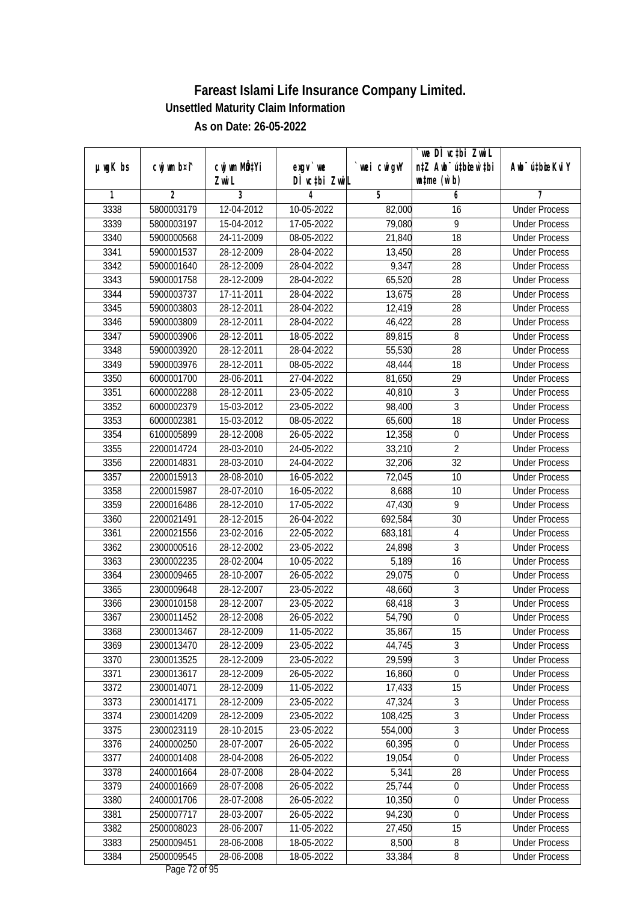|               |                          |                       |                            |                   | we DI vctbi ZwiL                                            |                             |
|---------------|--------------------------|-----------------------|----------------------------|-------------------|-------------------------------------------------------------|-----------------------------|
| $µ$ ug $K$ bs | cwj wm b¤i^              | cwj wm MÖ¢Yi<br>Zwi L | $exgV$ we<br>DÌ vctbi ZwiL | wei cwigvY        | n‡Z Awb <sup>-</sup> ú‡bicen`‡bi<br>$\n  untime\n  (u`b)\n$ | Awb <sup>-</sup> ú‡bioeKviY |
| 1             | $\overline{2}$           | 3                     | 4                          | 5                 | 6                                                           | 7                           |
| 3338          | 5800003179               | 12-04-2012            | 10-05-2022                 | 82,000            | 16                                                          | <b>Under Process</b>        |
| 3339          | 5800003197               | 15-04-2012            | 17-05-2022                 | 79,080            | $\overline{9}$                                              | <b>Under Process</b>        |
| 3340          | 5900000568               | 24-11-2009            | 08-05-2022                 | 21,840            | $\overline{18}$                                             | <b>Under Process</b>        |
| 3341          | 5900001537               | 28-12-2009            | 28-04-2022                 | 13,450            | 28                                                          | <b>Under Process</b>        |
| 3342          | 5900001640               | 28-12-2009            | 28-04-2022                 | 9,347             | $\overline{28}$                                             | <b>Under Process</b>        |
| 3343          | 5900001758               | 28-12-2009            | 28-04-2022                 | 65,520            | $\overline{28}$                                             | <b>Under Process</b>        |
| 3344          | 5900003737               | 17-11-2011            | 28-04-2022                 | 13,675            | 28                                                          | <b>Under Process</b>        |
| 3345          | 5900003803               | 28-12-2011            | 28-04-2022                 | 12,419            | 28                                                          | <b>Under Process</b>        |
| 3346          | 5900003809               | 28-12-2011            | 28-04-2022                 | 46,422            | 28                                                          | <b>Under Process</b>        |
| 3347          | 5900003906               | 28-12-2011            | 18-05-2022                 | 89,815            | 8                                                           | <b>Under Process</b>        |
| 3348          | 5900003920               | 28-12-2011            | 28-04-2022                 | 55,530            | $\overline{28}$                                             | <b>Under Process</b>        |
| 3349          | 5900003976               | 28-12-2011            | 08-05-2022                 | 48,444            | 18                                                          | <b>Under Process</b>        |
| 3350          | 6000001700               | 28-06-2011            | 27-04-2022                 | 81,650            | $\overline{29}$                                             | <b>Under Process</b>        |
| 3351          | 6000002288               | 28-12-2011            | 23-05-2022                 | 40,810            | $\sqrt{3}$                                                  | <b>Under Process</b>        |
| 3352          | 6000002379               | 15-03-2012            | 23-05-2022                 | 98,400            | $\overline{3}$                                              | <b>Under Process</b>        |
| 3353          | 6000002381               | 15-03-2012            | 08-05-2022                 | 65,600            | 18                                                          | <b>Under Process</b>        |
| 3354          | 6100005899               | 28-12-2008            | 26-05-2022                 | 12,358            | $\boldsymbol{0}$                                            | <b>Under Process</b>        |
| 3355          | 2200014724               | 28-03-2010            | 24-05-2022                 | 33,210            | $\overline{2}$                                              | <b>Under Process</b>        |
| 3356          | 2200014831               | 28-03-2010            | 24-04-2022                 | 32,206            | 32                                                          | <b>Under Process</b>        |
| 3357          | 2200015913               | 28-08-2010            | 16-05-2022                 | 72,045            | 10                                                          | <b>Under Process</b>        |
| 3358          | 2200015987               | 28-07-2010            | 16-05-2022                 | 8,688             | 10                                                          | <b>Under Process</b>        |
| 3359          | 2200016486               | 28-12-2010            | 17-05-2022                 | 47,430            | 9                                                           | <b>Under Process</b>        |
| 3360          | 2200021491               | 28-12-2015            | 26-04-2022                 | 692,584           | 30                                                          | <b>Under Process</b>        |
| 3361          | 2200021556               | 23-02-2016            | 22-05-2022                 |                   | $\overline{4}$                                              | <b>Under Process</b>        |
| 3362          | 2300000516               | 28-12-2002            | 23-05-2022                 | 683,181<br>24,898 | $\mathfrak{Z}$                                              | <b>Under Process</b>        |
| 3363          | 2300002235               | 28-02-2004            | 10-05-2022                 | 5,189             | 16                                                          | <b>Under Process</b>        |
| 3364          | 2300009465               | 28-10-2007            |                            | 29,075            | $\boldsymbol{0}$                                            | <b>Under Process</b>        |
|               |                          |                       | 26-05-2022                 |                   |                                                             | <b>Under Process</b>        |
| 3365          | 2300009648<br>2300010158 | 28-12-2007            | 23-05-2022<br>23-05-2022   | 48,660            | $\sqrt{3}$<br>$\overline{3}$                                | <b>Under Process</b>        |
| 3366          | 2300011452               | 28-12-2007            |                            | 68,418            | $\overline{0}$                                              | <b>Under Process</b>        |
| 3367          |                          | 28-12-2008            | 26-05-2022                 | 54,790            |                                                             |                             |
| 3368          | 2300013467               | 28-12-2009            | 11-05-2022                 | 35,867<br>44,745  | 15<br>$\overline{3}$                                        | <b>Under Process</b>        |
| 3369          | 2300013470               | 28-12-2009            | 23-05-2022                 |                   | $\overline{3}$                                              | <b>Under Process</b>        |
| 3370          | 2300013525               | 28-12-2009            | 23-05-2022                 | 29,599            | $\overline{0}$                                              | <b>Under Process</b>        |
| 3371<br>3372  | 2300013617               | 28-12-2009            | 26-05-2022                 | 16,860            |                                                             | <b>Under Process</b>        |
|               | 2300014071               | 28-12-2009            | 11-05-2022                 | 17,433            | 15                                                          | <b>Under Process</b>        |
| 3373          | 2300014171               | 28-12-2009            | 23-05-2022                 | 47,324            | 3                                                           | <b>Under Process</b>        |
| 3374          | 2300014209               | 28-12-2009            | 23-05-2022                 | 108,425           | $\overline{3}$                                              | <b>Under Process</b>        |
| 3375          | 2300023119               | 28-10-2015            | 23-05-2022                 | 554,000           | $\overline{3}$                                              | <b>Under Process</b>        |
| 3376          | 2400000250               | 28-07-2007            | 26-05-2022                 | 60,395            | $\overline{0}$                                              | <b>Under Process</b>        |
| 3377          | 2400001408               | 28-04-2008            | 26-05-2022                 | 19,054            | $\boldsymbol{0}$                                            | <b>Under Process</b>        |
| 3378          | 2400001664               | 28-07-2008            | 28-04-2022                 | 5,341             | 28                                                          | <b>Under Process</b>        |
| 3379          | 2400001669               | 28-07-2008            | 26-05-2022                 | 25,744            | $\boldsymbol{0}$                                            | <b>Under Process</b>        |
| 3380          | 2400001706               | 28-07-2008            | 26-05-2022                 | 10,350            | $\boldsymbol{0}$                                            | <b>Under Process</b>        |
| 3381          | 2500007717               | 28-03-2007            | 26-05-2022                 | 94,230            | $\boldsymbol{0}$                                            | <b>Under Process</b>        |
| 3382          | 2500008023               | 28-06-2007            | 11-05-2022                 | 27,450            | 15                                                          | <b>Under Process</b>        |
| 3383          | 2500009451               | 28-06-2008            | 18-05-2022                 | 8,500             | 8                                                           | <b>Under Process</b>        |
| 3384          | 2500009545               | 28-06-2008            | 18-05-2022                 | 33,384            | 8                                                           | <b>Under Process</b>        |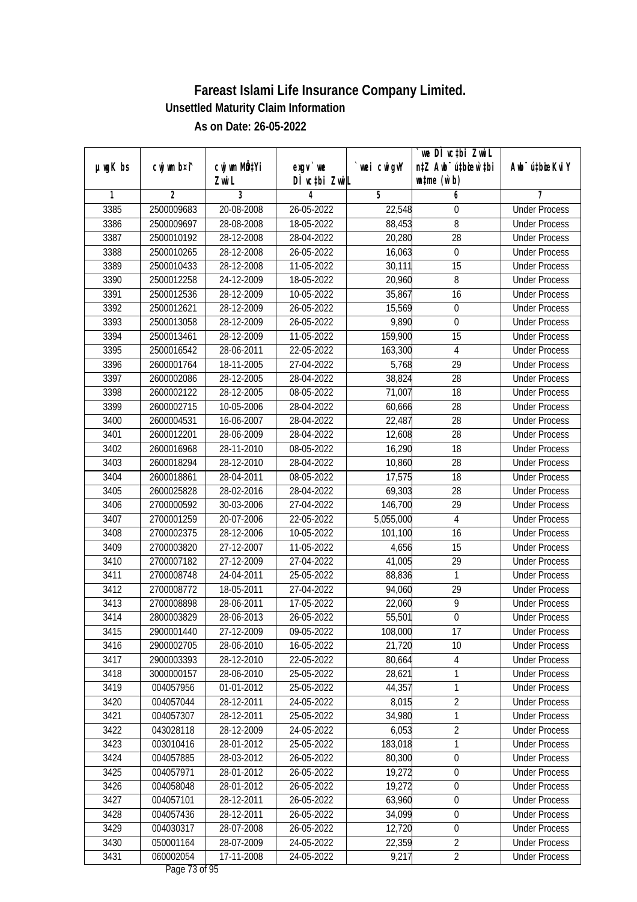| $µ$ ug $K$ bs | cwj wm b¤i^ | cwj wm MÖ¢Yi | exgv `we      | wei cwigvY | we DI vctbi ZwiL<br>n‡Z Awb <sup>-</sup> ú‡bioen`‡bi | Awb <sup>-</sup> ú‡bioeKviY |
|---------------|-------------|--------------|---------------|------------|------------------------------------------------------|-----------------------------|
|               |             | Zwi L        | DÌ vctbi ZwiL |            | $\n  untime\n  (u`b)\n$                              |                             |
| 1             | 2           | 3            | 4             | 5          | 6                                                    | 7                           |
| 3385          | 2500009683  | 20-08-2008   | 26-05-2022    | 22,548     | 0                                                    | <b>Under Process</b>        |
| 3386          | 2500009697  | 28-08-2008   | 18-05-2022    | 88,453     | $\overline{8}$                                       | <b>Under Process</b>        |
| 3387          | 2500010192  | 28-12-2008   | 28-04-2022    | 20,280     | $\overline{28}$                                      | <b>Under Process</b>        |
| 3388          | 2500010265  | 28-12-2008   | 26-05-2022    | 16,063     | $\boldsymbol{0}$                                     | <b>Under Process</b>        |
| 3389          | 2500010433  | 28-12-2008   | 11-05-2022    | 30,111     | 15                                                   | <b>Under Process</b>        |
| 3390          | 2500012258  | 24-12-2009   | 18-05-2022    | 20,960     | 8                                                    | <b>Under Process</b>        |
| 3391          | 2500012536  | 28-12-2009   | 10-05-2022    | 35,867     | 16                                                   | <b>Under Process</b>        |
| 3392          | 2500012621  | 28-12-2009   | 26-05-2022    | 15,569     | $\boldsymbol{0}$                                     | <b>Under Process</b>        |
| 3393          | 2500013058  | 28-12-2009   | 26-05-2022    | 9,890      | $\boldsymbol{0}$                                     | <b>Under Process</b>        |
| 3394          | 2500013461  | 28-12-2009   | 11-05-2022    | 159,900    | 15                                                   | <b>Under Process</b>        |
| 3395          | 2500016542  | 28-06-2011   | 22-05-2022    | 163,300    | $\overline{4}$                                       | <b>Under Process</b>        |
| 3396          | 2600001764  | 18-11-2005   | 27-04-2022    | 5,768      | 29                                                   | <b>Under Process</b>        |
| 3397          | 2600002086  | 28-12-2005   | 28-04-2022    | 38,824     | $\overline{28}$                                      | <b>Under Process</b>        |
| 3398          | 2600002122  | 28-12-2005   | 08-05-2022    | 71,007     | 18                                                   | <b>Under Process</b>        |
| 3399          | 2600002715  | 10-05-2006   | 28-04-2022    | 60,666     | 28                                                   | <b>Under Process</b>        |
| 3400          | 2600004531  | 16-06-2007   | 28-04-2022    | 22,487     | 28                                                   | <b>Under Process</b>        |
| 3401          | 2600012201  | 28-06-2009   | 28-04-2022    | 12,608     | 28                                                   | <b>Under Process</b>        |
| 3402          | 2600016968  | 28-11-2010   | 08-05-2022    | 16,290     | 18                                                   | <b>Under Process</b>        |
| 3403          | 2600018294  | 28-12-2010   | 28-04-2022    | 10,860     | 28                                                   | <b>Under Process</b>        |
| 3404          | 2600018861  | 28-04-2011   | 08-05-2022    | 17,575     | 18                                                   | <b>Under Process</b>        |
| 3405          | 2600025828  | 28-02-2016   | 28-04-2022    | 69,303     | 28                                                   | <b>Under Process</b>        |
| 3406          | 2700000592  | 30-03-2006   | 27-04-2022    | 146,700    | 29                                                   | <b>Under Process</b>        |
| 3407          | 2700001259  | 20-07-2006   | 22-05-2022    | 5,055,000  | 4                                                    | <b>Under Process</b>        |
| 3408          | 2700002375  | 28-12-2006   | 10-05-2022    | 101,100    | 16                                                   | <b>Under Process</b>        |
| 3409          | 2700003820  | 27-12-2007   | 11-05-2022    | 4,656      | 15                                                   | <b>Under Process</b>        |
| 3410          | 2700007182  | 27-12-2009   | 27-04-2022    | 41,005     | 29                                                   | <b>Under Process</b>        |
| 3411          | 2700008748  | 24-04-2011   | 25-05-2022    | 88,836     | 1                                                    | <b>Under Process</b>        |
| 3412          | 2700008772  | 18-05-2011   | 27-04-2022    | 94,060     | 29                                                   | <b>Under Process</b>        |
| 3413          | 2700008898  | 28-06-2011   | 17-05-2022    | 22,060     | $\overline{9}$                                       | <b>Under Process</b>        |
| 3414          | 2800003829  | 28-06-2013   | 26-05-2022    | 55,501     | $\boldsymbol{0}$                                     | <b>Under Process</b>        |
| 3415          | 2900001440  | 27-12-2009   | 09-05-2022    | 108,000    | 17                                                   | <b>Under Process</b>        |
| 3416          | 2900002705  | 28-06-2010   | 16-05-2022    | 21,720     | 10                                                   | <b>Under Process</b>        |
| 3417          | 2900003393  | 28-12-2010   | 22-05-2022    | 80,664     | 4                                                    | <b>Under Process</b>        |
| 3418          | 3000000157  | 28-06-2010   | 25-05-2022    | 28,621     | 1                                                    | <b>Under Process</b>        |
| 3419          | 004057956   | 01-01-2012   | 25-05-2022    | 44,357     | $\mathbf{1}$                                         | <b>Under Process</b>        |
| 3420          | 004057044   | 28-12-2011   | 24-05-2022    | 8,015      | $\overline{2}$                                       | <b>Under Process</b>        |
| 3421          | 004057307   | 28-12-2011   | 25-05-2022    | 34,980     | $\mathbf{1}$                                         | <b>Under Process</b>        |
| 3422          | 043028118   | 28-12-2009   | 24-05-2022    | 6,053      | $\overline{2}$                                       | <b>Under Process</b>        |
| 3423          | 003010416   | 28-01-2012   | 25-05-2022    | 183,018    | 1                                                    | <b>Under Process</b>        |
| 3424          | 004057885   | 28-03-2012   | 26-05-2022    | 80,300     | $\boldsymbol{0}$                                     | <b>Under Process</b>        |
| 3425          | 004057971   | 28-01-2012   | 26-05-2022    | 19,272     | $\boldsymbol{0}$                                     | <b>Under Process</b>        |
| 3426          | 004058048   | 28-01-2012   | 26-05-2022    | 19,272     | $\boldsymbol{0}$                                     | <b>Under Process</b>        |
| 3427          | 004057101   | 28-12-2011   | 26-05-2022    | 63,960     | $\boldsymbol{0}$                                     | <b>Under Process</b>        |
| 3428          | 004057436   | 28-12-2011   | 26-05-2022    | 34,099     | $\boldsymbol{0}$                                     | <b>Under Process</b>        |
| 3429          | 004030317   | 28-07-2008   | 26-05-2022    | 12,720     | $\boldsymbol{0}$                                     | <b>Under Process</b>        |
| 3430          | 050001164   | 28-07-2009   | 24-05-2022    | 22,359     | $\overline{2}$                                       | <b>Under Process</b>        |
| 3431          | 060002054   | 17-11-2008   | 24-05-2022    | 9,217      | $\overline{2}$                                       | <b>Under Process</b>        |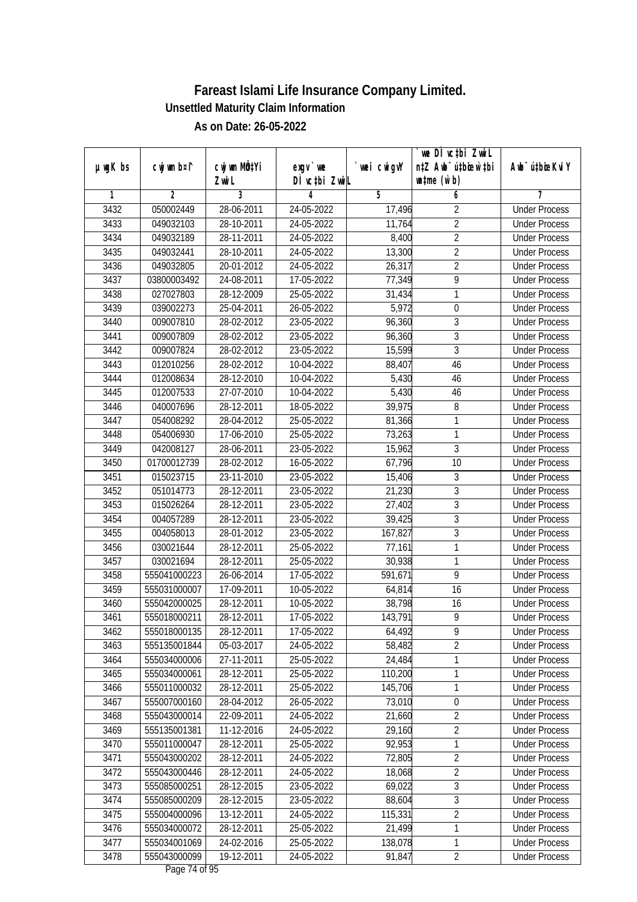|               |                |              |               |             | we DI vctbi ZwiL                 |                             |
|---------------|----------------|--------------|---------------|-------------|----------------------------------|-----------------------------|
| $µ$ ug $K$ bs | cwj wm b¤i^    | cwj wm MQtYi | $exgv$ we     | `wei cwigvY | n‡Z Awb <sup>-</sup> ú‡bicen`‡bi | Awb <sup>-</sup> ú‡bioeKviY |
|               |                | Zwi L        | DÌ vctbi ZwiL |             | $\n  untime\n  (u`b)\n$          |                             |
| 1             | $\overline{2}$ | 3            | 4             | 5           | 6                                | 7                           |
| 3432          | 050002449      | 28-06-2011   | 24-05-2022    | 17,496      | $\overline{2}$                   | <b>Under Process</b>        |
| 3433          | 049032103      | 28-10-2011   | $24-05-2022$  | 11,764      | $\overline{2}$                   | <b>Under Process</b>        |
| 3434          | 049032189      | 28-11-2011   | 24-05-2022    | 8,400       | $\overline{2}$                   | <b>Under Process</b>        |
| 3435          | 049032441      | 28-10-2011   | 24-05-2022    | 13,300      | $\overline{2}$                   | <b>Under Process</b>        |
| 3436          | 049032805      | 20-01-2012   | 24-05-2022    | 26,317      | $\overline{2}$                   | <b>Under Process</b>        |
| 3437          | 03800003492    | 24-08-2011   | 17-05-2022    | 77,349      | 9                                | <b>Under Process</b>        |
| 3438          | 027027803      | 28-12-2009   | 25-05-2022    | 31,434      | 1                                | <b>Under Process</b>        |
| 3439          | 039002273      | 25-04-2011   | 26-05-2022    | 5,972       | $\boldsymbol{0}$                 | <b>Under Process</b>        |
| 3440          | 009007810      | 28-02-2012   | 23-05-2022    | 96,360      | $\overline{3}$                   | <b>Under Process</b>        |
| 3441          | 009007809      | 28-02-2012   | 23-05-2022    | 96,360      | 3                                | <b>Under Process</b>        |
| 3442          | 009007824      | 28-02-2012   | 23-05-2022    | 15,599      | $\overline{3}$                   | <b>Under Process</b>        |
| 3443          | 012010256      | 28-02-2012   | 10-04-2022    | 88,407      | 46                               | <b>Under Process</b>        |
| 3444          | 012008634      | 28-12-2010   | 10-04-2022    | 5,430       | 46                               | <b>Under Process</b>        |
| 3445          | 012007533      | 27-07-2010   | 10-04-2022    | 5,430       | 46                               | <b>Under Process</b>        |
| 3446          | 040007696      | 28-12-2011   | 18-05-2022    | 39,975      | 8                                | <b>Under Process</b>        |
| 3447          | 054008292      | 28-04-2012   | 25-05-2022    | 81,366      | 1                                | <b>Under Process</b>        |
| 3448          | 054006930      | 17-06-2010   | 25-05-2022    | 73,263      | 1                                | <b>Under Process</b>        |
| 3449          | 042008127      | 28-06-2011   | 23-05-2022    | 15,962      | 3                                | <b>Under Process</b>        |
| 3450          | 01700012739    | 28-02-2012   | 16-05-2022    | 67,796      | 10                               | <b>Under Process</b>        |
| 3451          | 015023715      | 23-11-2010   | 23-05-2022    | 15,406      | 3                                | <b>Under Process</b>        |
| 3452          | 051014773      | 28-12-2011   | 23-05-2022    | 21,230      | 3                                | <b>Under Process</b>        |
| 3453          | 015026264      | 28-12-2011   | 23-05-2022    | 27,402      | 3                                | <b>Under Process</b>        |
| 3454          | 004057289      | 28-12-2011   | 23-05-2022    | 39,425      | 3                                | <b>Under Process</b>        |
| 3455          | 004058013      | 28-01-2012   | 23-05-2022    | 167,827     | $\overline{3}$                   | <b>Under Process</b>        |
| 3456          | 030021644      | 28-12-2011   | 25-05-2022    | 77,161      | 1                                | <b>Under Process</b>        |
| 3457          | 030021694      | 28-12-2011   | 25-05-2022    | 30,938      | 1                                | <b>Under Process</b>        |
| 3458          | 555041000223   | 26-06-2014   | 17-05-2022    | 591,671     | 9                                | <b>Under Process</b>        |
| 3459          | 555031000007   | 17-09-2011   | 10-05-2022    | 64,814      | 16                               | <b>Under Process</b>        |
| 3460          | 555042000025   | 28-12-2011   | 10-05-2022    | 38,798      | 16                               | <b>Under Process</b>        |
| 3461          | 555018000211   | 28-12-2011   | 17-05-2022    | 143,791     | 9                                | <b>Under Process</b>        |
| 3462          | 555018000135   | 28-12-2011   | 17-05-2022    | 64,492      | 9                                | <b>Under Process</b>        |
| 3463          | 555135001844   | 05-03-2017   | 24-05-2022    | 58,482      | $\overline{2}$                   | <b>Under Process</b>        |
| 3464          | 555034000006   | 27-11-2011   | 25-05-2022    | 24,484      | 1                                | <b>Under Process</b>        |
| 3465          | 555034000061   | 28-12-2011   | 25-05-2022    | 110,200     | 1                                | <b>Under Process</b>        |
| 3466          | 555011000032   | 28-12-2011   | 25-05-2022    | 145,706     | 1                                | <b>Under Process</b>        |
| 3467          | 555007000160   | 28-04-2012   | 26-05-2022    | 73,010      | $\pmb{0}$                        | <b>Under Process</b>        |
| 3468          | 555043000014   | 22-09-2011   | 24-05-2022    | 21,660      | $\overline{2}$                   | <b>Under Process</b>        |
| 3469          | 555135001381   | 11-12-2016   | 24-05-2022    | 29,160      | $\overline{2}$                   | <b>Under Process</b>        |
| 3470          | 555011000047   | 28-12-2011   | 25-05-2022    | 92,953      | 1                                | <b>Under Process</b>        |
| 3471          | 555043000202   | 28-12-2011   | 24-05-2022    | 72,805      | $\overline{2}$                   | <b>Under Process</b>        |
| 3472          | 555043000446   | 28-12-2011   | 24-05-2022    | 18,068      | $\sqrt{2}$                       | <b>Under Process</b>        |
| 3473          | 555085000251   | 28-12-2015   | 23-05-2022    | 69,022      | $\overline{3}$                   | <b>Under Process</b>        |
| 3474          | 555085000209   | 28-12-2015   | 23-05-2022    | 88,604      | 3                                | <b>Under Process</b>        |
| 3475          | 555004000096   | 13-12-2011   | 24-05-2022    | 115,331     | $\overline{2}$                   | <b>Under Process</b>        |
| 3476          | 555034000072   | 28-12-2011   | 25-05-2022    | 21,499      | $\overline{1}$                   | <b>Under Process</b>        |
| 3477          | 555034001069   | 24-02-2016   | 25-05-2022    | 138,078     | 1                                | <b>Under Process</b>        |
| 3478          | 555043000099   | 19-12-2011   | 24-05-2022    | 91,847      | $\overline{2}$                   | <b>Under Process</b>        |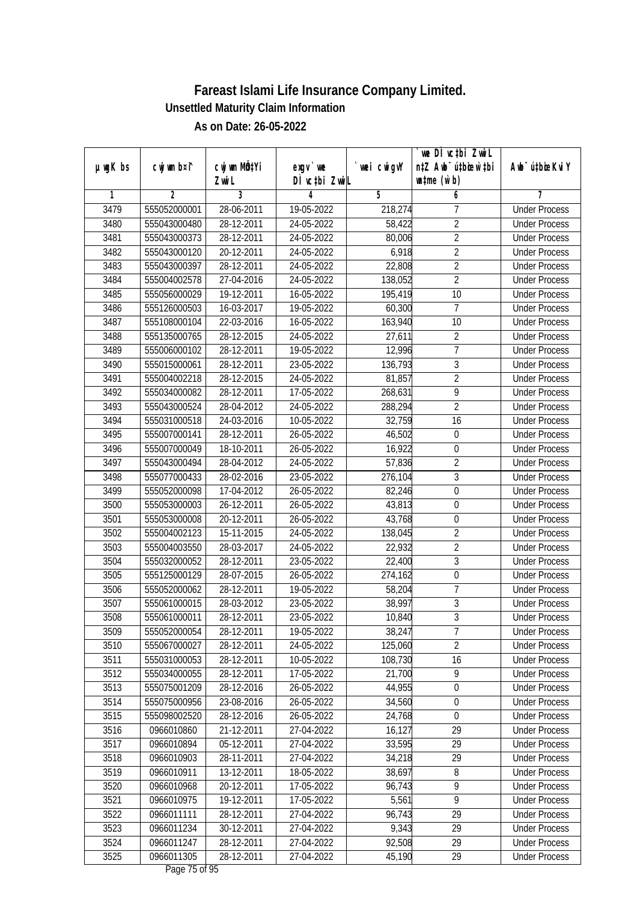|               |                |              |                  |             | we DI vctbi ZwiL                 |                             |
|---------------|----------------|--------------|------------------|-------------|----------------------------------|-----------------------------|
| $µ$ ug $K$ bs | cwj wm b¤i^    | cwj wm MQtYi | $exgV$ we        | `wei cwigvY | n‡Z Awb <sup>-</sup> ú‡bioar`‡bi | Awb <sup>-</sup> ú‡bioeKviY |
|               |                | Zwi L        | DÌ vctbi ZwiL    |             | $\n  untime\n  (u`b)\n$          |                             |
| 1             | $\overline{2}$ | 3            | 4                | 5           | 6                                | 7                           |
| 3479          | 555052000001   | 28-06-2011   | 19-05-2022       | 218,274     | 7                                | <b>Under Process</b>        |
| 3480          | 555043000480   | 28-12-2011   | $24-05-2022$     | 58,422      | $\overline{2}$                   | <b>Under Process</b>        |
| 3481          | 555043000373   | 28-12-2011   | 24-05-2022       | 80,006      | $\overline{2}$                   | <b>Under Process</b>        |
| 3482          | 555043000120   | $20-12-2011$ | 24-05-2022       | 6,918       | $\overline{2}$                   | <b>Under Process</b>        |
| 3483          | 555043000397   | 28-12-2011   | 24-05-2022       | 22,808      | $\overline{2}$                   | <b>Under Process</b>        |
| 3484          | 555004002578   | 27-04-2016   | 24-05-2022       | 138,052     | $\overline{2}$                   | <b>Under Process</b>        |
| 3485          | 555056000029   | 19-12-2011   | $16 - 05 - 2022$ | 195,419     | 10                               | <b>Under Process</b>        |
| 3486          | 555126000503   | 16-03-2017   | 19-05-2022       | 60,300      | 7                                | <b>Under Process</b>        |
| 3487          | 555108000104   | 22-03-2016   | 16-05-2022       | 163,940     | 10                               | <b>Under Process</b>        |
| 3488          | 555135000765   | 28-12-2015   | 24-05-2022       | 27,611      | $\overline{2}$                   | <b>Under Process</b>        |
| 3489          | 555006000102   | 28-12-2011   | 19-05-2022       | 12,996      | $\overline{7}$                   | <b>Under Process</b>        |
| 3490          | 555015000061   | 28-12-2011   | 23-05-2022       | 136,793     | 3                                | <b>Under Process</b>        |
| 3491          | 555004002218   | 28-12-2015   | 24-05-2022       | 81,857      | $\overline{2}$                   | <b>Under Process</b>        |
| 3492          | 555034000082   | 28-12-2011   | 17-05-2022       | 268,631     | 9                                | <b>Under Process</b>        |
| 3493          | 555043000524   | 28-04-2012   | 24-05-2022       | 288,294     | $\overline{2}$                   | <b>Under Process</b>        |
| 3494          | 555031000518   | 24-03-2016   | 10-05-2022       | 32,759      | 16                               | <b>Under Process</b>        |
| 3495          | 555007000141   | 28-12-2011   | 26-05-2022       | 46,502      | $\boldsymbol{0}$                 | <b>Under Process</b>        |
| 3496          | 555007000049   | 18-10-2011   | 26-05-2022       | 16,922      | $\boldsymbol{0}$                 | <b>Under Process</b>        |
| 3497          | 555043000494   | 28-04-2012   | 24-05-2022       | 57,836      | $\overline{2}$                   | <b>Under Process</b>        |
| 3498          | 555077000433   | 28-02-2016   | 23-05-2022       | 276,104     | 3                                | <b>Under Process</b>        |
| 3499          | 555052000098   | 17-04-2012   | 26-05-2022       | 82,246      | $\boldsymbol{0}$                 | <b>Under Process</b>        |
| 3500          | 555053000003   | 26-12-2011   | 26-05-2022       | 43,813      | 0                                | <b>Under Process</b>        |
| 3501          | 555053000008   | 20-12-2011   | 26-05-2022       | 43,768      | $\boldsymbol{0}$                 | <b>Under Process</b>        |
| 3502          | 555004002123   | 15-11-2015   | 24-05-2022       | 138,045     | $\overline{2}$                   | <b>Under Process</b>        |
| 3503          | 555004003550   | 28-03-2017   | 24-05-2022       | 22,932      | $\overline{2}$                   | <b>Under Process</b>        |
| 3504          | 555032000052   | $28-12-2011$ | 23-05-2022       | 22,400      | 3                                | <b>Under Process</b>        |
| 3505          | 555125000129   | 28-07-2015   | 26-05-2022       | 274,162     | $\boldsymbol{0}$                 | <b>Under Process</b>        |
| 3506          | 555052000062   | 28-12-2011   | 19-05-2022       | 58,204      | $\overline{7}$                   | <b>Under Process</b>        |
| 3507          | 555061000015   | 28-03-2012   | 23-05-2022       | 38,997      | 3                                | <b>Under Process</b>        |
| 3508          | 555061000011   | 28-12-2011   | 23-05-2022       | 10,840      | $\overline{3}$                   | <b>Under Process</b>        |
| 3509          | 555052000054   | 28-12-2011   | 19-05-2022       | 38,247      | 7                                | <b>Under Process</b>        |
| 3510          | 555067000027   | 28-12-2011   | 24-05-2022       | 125,060     | $\overline{2}$                   | <b>Under Process</b>        |
| 3511          | 555031000053   | 28-12-2011   | 10-05-2022       | 108,730     | 16                               | <b>Under Process</b>        |
| 3512          | 555034000055   | 28-12-2011   | 17-05-2022       | 21,700      | 9                                | <b>Under Process</b>        |
| 3513          | 555075001209   | 28-12-2016   | 26-05-2022       | 44,955      | $\boldsymbol{0}$                 | <b>Under Process</b>        |
| 3514          | 555075000956   | 23-08-2016   | 26-05-2022       | 34,560      | $\pmb{0}$                        | <b>Under Process</b>        |
| 3515          | 555098002520   | 28-12-2016   | 26-05-2022       | 24,768      | $\boldsymbol{0}$                 | <b>Under Process</b>        |
| 3516          | 0966010860     | 21-12-2011   | 27-04-2022       | 16,127      | 29                               | <b>Under Process</b>        |
| 3517          | 0966010894     | 05-12-2011   | 27-04-2022       | 33,595      | 29                               | <b>Under Process</b>        |
| 3518          | 0966010903     | 28-11-2011   | 27-04-2022       | 34,218      | 29                               | <b>Under Process</b>        |
| 3519          | 0966010911     | 13-12-2011   | 18-05-2022       | 38,697      | 8                                | <b>Under Process</b>        |
| 3520          | 0966010968     | 20-12-2011   | 17-05-2022       | 96,743      | $\overline{9}$                   | <b>Under Process</b>        |
| 3521          | 0966010975     | 19-12-2011   | 17-05-2022       | 5,561       | $\overline{9}$                   | <b>Under Process</b>        |
| 3522          | 0966011111     | 28-12-2011   | 27-04-2022       | 96,743      | 29                               | <b>Under Process</b>        |
| 3523          | 0966011234     | 30-12-2011   | 27-04-2022       | 9,343       | 29                               | <b>Under Process</b>        |
| 3524          | 0966011247     | 28-12-2011   | 27-04-2022       | 92,508      | 29                               | <b>Under Process</b>        |
| 3525          | 0966011305     | 28-12-2011   | 27-04-2022       | 45,190      | 29                               | <b>Under Process</b>        |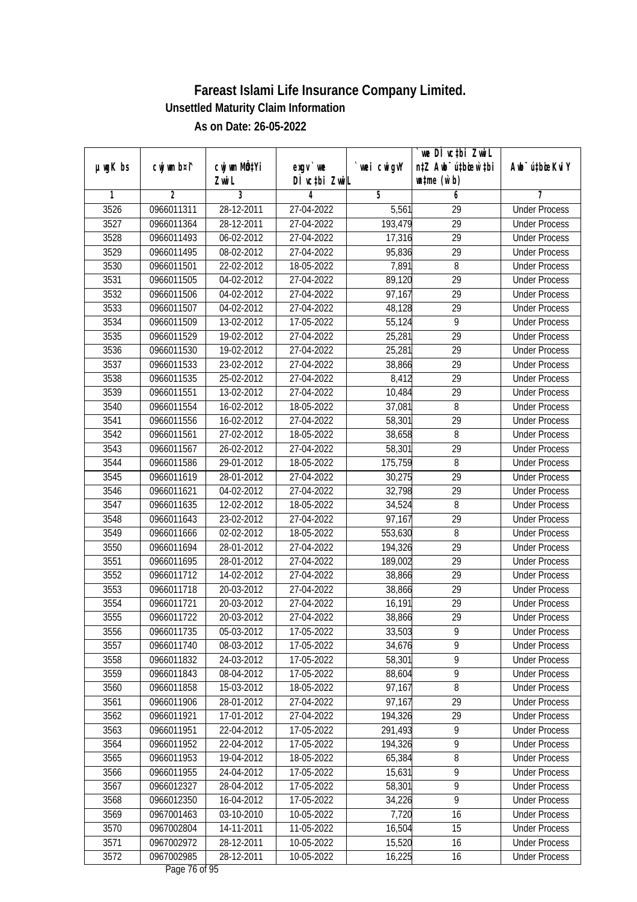|               |             |                                    |                            |             | `we DÌ vc‡bi ZwiL<br>n‡Z Awb <sup>-</sup> ú‡bioar`‡bi |                             |
|---------------|-------------|------------------------------------|----------------------------|-------------|-------------------------------------------------------|-----------------------------|
| $µ$ ug $K$ bs | cwj wm b¤i^ | cwj wm MQ <sup>1</sup> Yi<br>Zwi L | $exgv$ we<br>DÌ vctbi ZwiL | `wei cwigvY | $\n  untime\n  (u`b)\n$                               | Awb <sup>-</sup> ú‡bioeKviY |
| 1             | 2           | 3                                  | 4                          | 5           | 6                                                     | 7                           |
| 3526          | 0966011311  | 28-12-2011                         | 27-04-2022                 | 5,561       | 29                                                    | <b>Under Process</b>        |
| 3527          | 0966011364  | 28-12-2011                         | 27-04-2022                 | 193,479     | 29                                                    | <b>Under Process</b>        |
| 3528          | 0966011493  | 06-02-2012                         | 27-04-2022                 | 17,316      | 29                                                    | <b>Under Process</b>        |
| 3529          | 0966011495  | 08-02-2012                         | 27-04-2022                 | 95,836      | $\overline{29}$                                       | <b>Under Process</b>        |
| 3530          | 0966011501  | $22 - 02 - 2012$                   | 18-05-2022                 | 7,891       | 8                                                     | <b>Under Process</b>        |
| 3531          | 0966011505  | 04-02-2012                         | 27-04-2022                 | 89,120      | $\overline{29}$                                       | <b>Under Process</b>        |
| 3532          | 0966011506  | 04-02-2012                         | 27-04-2022                 | 97,167      | 29                                                    | <b>Under Process</b>        |
| 3533          | 0966011507  | 04-02-2012                         | 27-04-2022                 | 48,128      | $\overline{29}$                                       | <b>Under Process</b>        |
| 3534          | 0966011509  | 13-02-2012                         | 17-05-2022                 | 55,124      | 9                                                     | <b>Under Process</b>        |
| 3535          | 0966011529  | 19-02-2012                         | 27-04-2022                 | 25,281      | 29                                                    | <b>Under Process</b>        |
| 3536          | 0966011530  | 19-02-2012                         | 27-04-2022                 | 25,281      | 29                                                    | <b>Under Process</b>        |
| 3537          | 0966011533  | 23-02-2012                         | 27-04-2022                 | 38,866      | 29                                                    | <b>Under Process</b>        |
| 3538          | 0966011535  | 25-02-2012                         | 27-04-2022                 | 8,412       | $\overline{29}$                                       | <b>Under Process</b>        |
| 3539          | 0966011551  | 13-02-2012                         | 27-04-2022                 | 10,484      | 29                                                    | <b>Under Process</b>        |
| 3540          | 0966011554  | 16-02-2012                         | 18-05-2022                 | 37,081      | 8                                                     | <b>Under Process</b>        |
| 3541          | 0966011556  | 16-02-2012                         | 27-04-2022                 | 58,301      | 29                                                    | <b>Under Process</b>        |
| 3542          | 0966011561  | 27-02-2012                         | 18-05-2022                 | 38,658      | 8                                                     | <b>Under Process</b>        |
| 3543          | 0966011567  | 26-02-2012                         | 27-04-2022                 | 58,301      | 29                                                    | <b>Under Process</b>        |
| 3544          | 0966011586  | 29-01-2012                         | 18-05-2022                 | 175,759     | 8                                                     | <b>Under Process</b>        |
| 3545          | 0966011619  | 28-01-2012                         | 27-04-2022                 | 30,275      | 29                                                    | <b>Under Process</b>        |
| 3546          | 0966011621  | 04-02-2012                         | 27-04-2022                 | 32,798      | 29                                                    | <b>Under Process</b>        |
| 3547          | 0966011635  | $\overline{12} - 02 - 2012$        | 18-05-2022                 | 34,524      | 8                                                     | <b>Under Process</b>        |
| 3548          | 0966011643  | 23-02-2012                         | 27-04-2022                 | 97,167      | 29                                                    | <b>Under Process</b>        |
| 3549          | 0966011666  | 02-02-2012                         | 18-05-2022                 | 553,630     | 8                                                     | <b>Under Process</b>        |
| 3550          | 0966011694  | 28-01-2012                         | 27-04-2022                 | 194,326     | 29                                                    | <b>Under Process</b>        |
| 3551          | 0966011695  | 28-01-2012                         | 27-04-2022                 | 189,002     | 29                                                    | <b>Under Process</b>        |
| 3552          | 0966011712  | 14-02-2012                         | 27-04-2022                 | 38,866      | 29                                                    | <b>Under Process</b>        |
| 3553          | 0966011718  | 20-03-2012                         | 27-04-2022                 | 38,866      | 29                                                    | <b>Under Process</b>        |
| 3554          | 0966011721  | 20-03-2012                         | 27-04-2022                 | 16,191      | 29                                                    | <b>Under Process</b>        |
| 3555          | 0966011722  | 20-03-2012                         | 27-04-2022                 | 38,866      | 29                                                    | <b>Under Process</b>        |
| 3556          | 0966011735  | 05-03-2012                         | 17-05-2022                 | 33,503      | 9                                                     | <b>Under Process</b>        |
| 3557          | 0966011740  | 08-03-2012                         | 17-05-2022                 | 34,676      | 9                                                     | <b>Under Process</b>        |
| 3558          | 0966011832  | 24-03-2012                         | 17-05-2022                 | 58,301      | 9                                                     | <b>Under Process</b>        |
| 3559          | 0966011843  | 08-04-2012                         | 17-05-2022                 | 88,604      | $\overline{9}$                                        | <b>Under Process</b>        |
| 3560          | 0966011858  | 15-03-2012                         | 18-05-2022                 | 97,167      | 8                                                     | <b>Under Process</b>        |
| 3561          | 0966011906  | 28-01-2012                         | 27-04-2022                 | 97,167      | 29                                                    | <b>Under Process</b>        |
| 3562          | 0966011921  | 17-01-2012                         | 27-04-2022                 | 194,326     | 29                                                    | <b>Under Process</b>        |
| 3563          | 0966011951  | 22-04-2012                         | 17-05-2022                 | 291,493     | 9                                                     | <b>Under Process</b>        |
| 3564          | 0966011952  | 22-04-2012                         | 17-05-2022                 | 194,326     | $\overline{9}$                                        | <b>Under Process</b>        |
| 3565          | 0966011953  | 19-04-2012                         | 18-05-2022                 | 65,384      | $\overline{8}$                                        | <b>Under Process</b>        |
| 3566          | 0966011955  | 24-04-2012                         | 17-05-2022                 | 15,631      | $\overline{9}$                                        | <b>Under Process</b>        |
| 3567          | 0966012327  | 28-04-2012                         | 17-05-2022                 | 58,301      | $\overline{9}$                                        | <b>Under Process</b>        |
| 3568          | 0966012350  | 16-04-2012                         | $17 - 05 - 2022$           | 34,226      | $\overline{9}$                                        | <b>Under Process</b>        |
| 3569          | 0967001463  | 03-10-2010                         | 10-05-2022                 | 7,720       | 16                                                    | <b>Under Process</b>        |
| 3570          | 0967002804  | 14-11-2011                         | 11-05-2022                 | 16,504      | $\overline{15}$                                       | <b>Under Process</b>        |
| 3571          | 0967002972  | 28-12-2011                         | 10-05-2022                 | 15,520      | 16                                                    | <b>Under Process</b>        |
| 3572          | 0967002985  | 28-12-2011                         | 10-05-2022                 | 16,225      | 16                                                    | <b>Under Process</b>        |
|               |             |                                    |                            |             |                                                       |                             |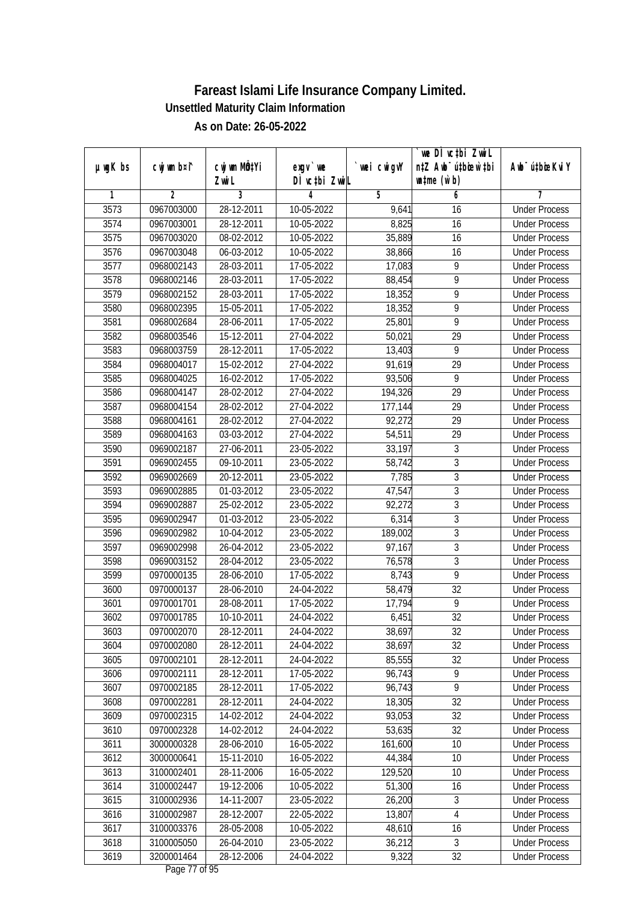| DÌ vctbi ZwiL<br>$\n  untime\n  (u`b)\n$<br>Zwi L<br>3<br>$\overline{2}$<br>5<br>1<br>4<br>6<br>7<br>3573<br>28-12-2011<br><b>Under Process</b><br>0967003000<br>10-05-2022<br>9,641<br>16<br>8,825<br>3574<br>0967003001<br>28-12-2011<br>10-05-2022<br>16<br><b>Under Process</b><br>3575<br>35,889<br>0967003020<br>08-02-2012<br>10-05-2022<br>16<br><b>Under Process</b><br>3576<br>0967003048<br>06-03-2012<br>10-05-2022<br>38,866<br>16<br><b>Under Process</b><br>3577<br>$\overline{9}$<br>0968002143<br>28-03-2011<br>17-05-2022<br>17,083<br><b>Under Process</b><br>3578<br>9<br>0968002146<br>28-03-2011<br>17-05-2022<br>88,454<br><b>Under Process</b><br>3579<br>18,352<br>9<br>0968002152<br>28-03-2011<br>17-05-2022<br><b>Under Process</b><br>$\overline{9}$<br>3580<br>0968002395<br>15-05-2011<br>17-05-2022<br>18,352<br><b>Under Process</b><br>$\overline{9}$<br>3581<br>28-06-2011<br>17-05-2022<br>25,801<br>0968002684<br><b>Under Process</b><br>3582<br>15-12-2011<br>29<br>0968003546<br>27-04-2022<br>50,021<br><b>Under Process</b><br>$\overline{9}$<br>3583<br>0968003759<br>28-12-2011<br>17-05-2022<br>13,403<br><b>Under Process</b><br>91,619<br>29<br>3584<br>27-04-2022<br>0968004017<br>15-02-2012<br><b>Under Process</b><br>$\overline{9}$<br>3585<br>16-02-2012<br>17-05-2022<br>93,506<br>0968004025<br><b>Under Process</b><br>3586<br>29<br>0968004147<br>28-02-2012<br>27-04-2022<br>194,326<br><b>Under Process</b><br>3587<br>0968004154<br>28-02-2012<br>27-04-2022<br>177,144<br>29<br><b>Under Process</b><br>29<br>3588<br>0968004161<br>28-02-2012<br>27-04-2022<br>92,272<br><b>Under Process</b><br>3589<br>0968004163<br>03-03-2012<br>27-04-2022<br>54,511<br>29<br><b>Under Process</b><br>$\sqrt{3}$<br>3590<br>27-06-2011<br>23-05-2022<br>0969002187<br>33,197<br><b>Under Process</b><br>$\overline{3}$<br>3591<br>09-10-2011<br>23-05-2022<br>58,742<br>0969002455<br><b>Under Process</b><br>$\mathfrak z$<br>3592<br>20-12-2011<br>7,785<br>0969002669<br>23-05-2022<br><b>Under Process</b><br>$\overline{3}$<br>3593<br>47,547<br>0969002885<br>01-03-2012<br>23-05-2022<br><b>Under Process</b><br>$\sqrt{3}$<br>3594<br>92,272<br>0969002887<br>25-02-2012<br>23-05-2022<br><b>Under Process</b><br>$\mathfrak{Z}$<br>6,314<br>3595<br>23-05-2022<br>0969002947<br>01-03-2012<br><b>Under Process</b><br>$\mathfrak z$<br>3596<br>0969002982<br>10-04-2012<br>23-05-2022<br>189,002<br><b>Under Process</b><br>$\overline{3}$<br>3597<br>26-04-2012<br>23-05-2022<br>0969002998<br>97,167<br><b>Under Process</b><br>$\overline{3}$<br>3598<br>0969003152<br>28-04-2012<br>23-05-2022<br>76,578<br><b>Under Process</b><br>9<br>3599<br>0970000135<br>28-06-2010<br>17-05-2022<br>8,743<br><b>Under Process</b><br>32<br>3600<br>28-06-2010<br>24-04-2022<br>58,479<br>0970000137<br><b>Under Process</b><br>$\overline{9}$<br>3601<br>0970001701<br>28-08-2011<br>17-05-2022<br>17,794<br><b>Under Process</b><br>32<br>3602<br>0970001785<br>10-10-2011<br>24-04-2022<br>6,451<br><b>Under Process</b><br>3603<br>0970002070<br>28-12-2011<br>24-04-2022<br>38,697<br>32<br><b>Under Process</b><br>0970002080<br>28-12-2011<br>32<br>3604<br>24-04-2022<br>38,697<br><b>Under Process</b><br>3605<br>85,555<br>32<br>0970002101<br>28-12-2011<br>24-04-2022<br><b>Under Process</b><br>$\overline{9}$<br>3606<br>0970002111<br>28-12-2011<br>17-05-2022<br>96,743<br><b>Under Process</b><br>$\overline{9}$<br>3607<br>96,743<br>0970002185<br>28-12-2011<br>17-05-2022<br><b>Under Process</b><br>18,305<br>3608<br>0970002281<br>28-12-2011<br>24-04-2022<br>32<br><b>Under Process</b><br>3609<br>0970002315<br>93,053<br>32<br>14-02-2012<br>24-04-2022<br><b>Under Process</b><br>$\overline{32}$<br>3610<br>0970002328<br>53,635<br>14-02-2012<br>24-04-2022<br><b>Under Process</b><br>161,600<br>10<br>3611<br>3000000328<br>28-06-2010<br>16-05-2022<br><b>Under Process</b><br>3612<br>3000000641<br>15-11-2010<br>16-05-2022<br>44,384<br>10<br><b>Under Process</b><br>3613<br>3100002401<br>28-11-2006<br>16-05-2022<br>129,520<br><b>Under Process</b><br>10<br>3614<br>3100002447<br>19-12-2006<br>10-05-2022<br>51,300<br>16<br><b>Under Process</b><br>$\sqrt{3}$<br>3615<br>3100002936<br>14-11-2007<br>23-05-2022<br>26,200<br><b>Under Process</b><br>3616<br>13,807<br>4<br>3100002987<br>28-12-2007<br>22-05-2022<br><b>Under Process</b><br>3617<br>3100003376<br>28-05-2008<br>10-05-2022<br>48,610<br>16<br><b>Under Process</b><br>$\overline{3}$<br>3618<br>3100005050<br>26-04-2010<br>23-05-2022<br>36,212<br><b>Under Process</b><br>3619<br>3200001464<br>28-12-2006<br>9,322<br>32<br>24-04-2022<br><b>Under Process</b> |               |             |              |           |            | we DI vctbi ZwiL<br>n‡Z Awb <sup>-</sup> ú‡bioen`‡bi |                             |
|--------------------------------------------------------------------------------------------------------------------------------------------------------------------------------------------------------------------------------------------------------------------------------------------------------------------------------------------------------------------------------------------------------------------------------------------------------------------------------------------------------------------------------------------------------------------------------------------------------------------------------------------------------------------------------------------------------------------------------------------------------------------------------------------------------------------------------------------------------------------------------------------------------------------------------------------------------------------------------------------------------------------------------------------------------------------------------------------------------------------------------------------------------------------------------------------------------------------------------------------------------------------------------------------------------------------------------------------------------------------------------------------------------------------------------------------------------------------------------------------------------------------------------------------------------------------------------------------------------------------------------------------------------------------------------------------------------------------------------------------------------------------------------------------------------------------------------------------------------------------------------------------------------------------------------------------------------------------------------------------------------------------------------------------------------------------------------------------------------------------------------------------------------------------------------------------------------------------------------------------------------------------------------------------------------------------------------------------------------------------------------------------------------------------------------------------------------------------------------------------------------------------------------------------------------------------------------------------------------------------------------------------------------------------------------------------------------------------------------------------------------------------------------------------------------------------------------------------------------------------------------------------------------------------------------------------------------------------------------------------------------------------------------------------------------------------------------------------------------------------------------------------------------------------------------------------------------------------------------------------------------------------------------------------------------------------------------------------------------------------------------------------------------------------------------------------------------------------------------------------------------------------------------------------------------------------------------------------------------------------------------------------------------------------------------------------------------------------------------------------------------------------------------------------------------------------------------------------------------------------------------------------------------------------------------------------------------------------------------------------------------------------------------------------------------------------------------------------------------------------------------------------------------------------------------------------------------------------------------------------------------------------------------------------------------------------------------------------------------------------------------------------------------------------------------------------------------------------------------------------------------------------------------------------------------------------------------------------------------------------------------------------------------------------------------------------------------------------------------------|---------------|-------------|--------------|-----------|------------|------------------------------------------------------|-----------------------------|
|                                                                                                                                                                                                                                                                                                                                                                                                                                                                                                                                                                                                                                                                                                                                                                                                                                                                                                                                                                                                                                                                                                                                                                                                                                                                                                                                                                                                                                                                                                                                                                                                                                                                                                                                                                                                                                                                                                                                                                                                                                                                                                                                                                                                                                                                                                                                                                                                                                                                                                                                                                                                                                                                                                                                                                                                                                                                                                                                                                                                                                                                                                                                                                                                                                                                                                                                                                                                                                                                                                                                                                                                                                                                                                                                                                                                                                                                                                                                                                                                                                                                                                                                                                                                                                                                                                                                                                                                                                                                                                                                                                                                                                                                                                                                      | $µ$ ug $K$ bs | cwj wm b¤i^ | cwj wm MQtYi | $exgV$ we | wei cwigvY |                                                      | Awb <sup>-</sup> ú‡bioeKviY |
|                                                                                                                                                                                                                                                                                                                                                                                                                                                                                                                                                                                                                                                                                                                                                                                                                                                                                                                                                                                                                                                                                                                                                                                                                                                                                                                                                                                                                                                                                                                                                                                                                                                                                                                                                                                                                                                                                                                                                                                                                                                                                                                                                                                                                                                                                                                                                                                                                                                                                                                                                                                                                                                                                                                                                                                                                                                                                                                                                                                                                                                                                                                                                                                                                                                                                                                                                                                                                                                                                                                                                                                                                                                                                                                                                                                                                                                                                                                                                                                                                                                                                                                                                                                                                                                                                                                                                                                                                                                                                                                                                                                                                                                                                                                                      |               |             |              |           |            |                                                      |                             |
|                                                                                                                                                                                                                                                                                                                                                                                                                                                                                                                                                                                                                                                                                                                                                                                                                                                                                                                                                                                                                                                                                                                                                                                                                                                                                                                                                                                                                                                                                                                                                                                                                                                                                                                                                                                                                                                                                                                                                                                                                                                                                                                                                                                                                                                                                                                                                                                                                                                                                                                                                                                                                                                                                                                                                                                                                                                                                                                                                                                                                                                                                                                                                                                                                                                                                                                                                                                                                                                                                                                                                                                                                                                                                                                                                                                                                                                                                                                                                                                                                                                                                                                                                                                                                                                                                                                                                                                                                                                                                                                                                                                                                                                                                                                                      |               |             |              |           |            |                                                      |                             |
|                                                                                                                                                                                                                                                                                                                                                                                                                                                                                                                                                                                                                                                                                                                                                                                                                                                                                                                                                                                                                                                                                                                                                                                                                                                                                                                                                                                                                                                                                                                                                                                                                                                                                                                                                                                                                                                                                                                                                                                                                                                                                                                                                                                                                                                                                                                                                                                                                                                                                                                                                                                                                                                                                                                                                                                                                                                                                                                                                                                                                                                                                                                                                                                                                                                                                                                                                                                                                                                                                                                                                                                                                                                                                                                                                                                                                                                                                                                                                                                                                                                                                                                                                                                                                                                                                                                                                                                                                                                                                                                                                                                                                                                                                                                                      |               |             |              |           |            |                                                      |                             |
|                                                                                                                                                                                                                                                                                                                                                                                                                                                                                                                                                                                                                                                                                                                                                                                                                                                                                                                                                                                                                                                                                                                                                                                                                                                                                                                                                                                                                                                                                                                                                                                                                                                                                                                                                                                                                                                                                                                                                                                                                                                                                                                                                                                                                                                                                                                                                                                                                                                                                                                                                                                                                                                                                                                                                                                                                                                                                                                                                                                                                                                                                                                                                                                                                                                                                                                                                                                                                                                                                                                                                                                                                                                                                                                                                                                                                                                                                                                                                                                                                                                                                                                                                                                                                                                                                                                                                                                                                                                                                                                                                                                                                                                                                                                                      |               |             |              |           |            |                                                      |                             |
|                                                                                                                                                                                                                                                                                                                                                                                                                                                                                                                                                                                                                                                                                                                                                                                                                                                                                                                                                                                                                                                                                                                                                                                                                                                                                                                                                                                                                                                                                                                                                                                                                                                                                                                                                                                                                                                                                                                                                                                                                                                                                                                                                                                                                                                                                                                                                                                                                                                                                                                                                                                                                                                                                                                                                                                                                                                                                                                                                                                                                                                                                                                                                                                                                                                                                                                                                                                                                                                                                                                                                                                                                                                                                                                                                                                                                                                                                                                                                                                                                                                                                                                                                                                                                                                                                                                                                                                                                                                                                                                                                                                                                                                                                                                                      |               |             |              |           |            |                                                      |                             |
|                                                                                                                                                                                                                                                                                                                                                                                                                                                                                                                                                                                                                                                                                                                                                                                                                                                                                                                                                                                                                                                                                                                                                                                                                                                                                                                                                                                                                                                                                                                                                                                                                                                                                                                                                                                                                                                                                                                                                                                                                                                                                                                                                                                                                                                                                                                                                                                                                                                                                                                                                                                                                                                                                                                                                                                                                                                                                                                                                                                                                                                                                                                                                                                                                                                                                                                                                                                                                                                                                                                                                                                                                                                                                                                                                                                                                                                                                                                                                                                                                                                                                                                                                                                                                                                                                                                                                                                                                                                                                                                                                                                                                                                                                                                                      |               |             |              |           |            |                                                      |                             |
|                                                                                                                                                                                                                                                                                                                                                                                                                                                                                                                                                                                                                                                                                                                                                                                                                                                                                                                                                                                                                                                                                                                                                                                                                                                                                                                                                                                                                                                                                                                                                                                                                                                                                                                                                                                                                                                                                                                                                                                                                                                                                                                                                                                                                                                                                                                                                                                                                                                                                                                                                                                                                                                                                                                                                                                                                                                                                                                                                                                                                                                                                                                                                                                                                                                                                                                                                                                                                                                                                                                                                                                                                                                                                                                                                                                                                                                                                                                                                                                                                                                                                                                                                                                                                                                                                                                                                                                                                                                                                                                                                                                                                                                                                                                                      |               |             |              |           |            |                                                      |                             |
|                                                                                                                                                                                                                                                                                                                                                                                                                                                                                                                                                                                                                                                                                                                                                                                                                                                                                                                                                                                                                                                                                                                                                                                                                                                                                                                                                                                                                                                                                                                                                                                                                                                                                                                                                                                                                                                                                                                                                                                                                                                                                                                                                                                                                                                                                                                                                                                                                                                                                                                                                                                                                                                                                                                                                                                                                                                                                                                                                                                                                                                                                                                                                                                                                                                                                                                                                                                                                                                                                                                                                                                                                                                                                                                                                                                                                                                                                                                                                                                                                                                                                                                                                                                                                                                                                                                                                                                                                                                                                                                                                                                                                                                                                                                                      |               |             |              |           |            |                                                      |                             |
|                                                                                                                                                                                                                                                                                                                                                                                                                                                                                                                                                                                                                                                                                                                                                                                                                                                                                                                                                                                                                                                                                                                                                                                                                                                                                                                                                                                                                                                                                                                                                                                                                                                                                                                                                                                                                                                                                                                                                                                                                                                                                                                                                                                                                                                                                                                                                                                                                                                                                                                                                                                                                                                                                                                                                                                                                                                                                                                                                                                                                                                                                                                                                                                                                                                                                                                                                                                                                                                                                                                                                                                                                                                                                                                                                                                                                                                                                                                                                                                                                                                                                                                                                                                                                                                                                                                                                                                                                                                                                                                                                                                                                                                                                                                                      |               |             |              |           |            |                                                      |                             |
|                                                                                                                                                                                                                                                                                                                                                                                                                                                                                                                                                                                                                                                                                                                                                                                                                                                                                                                                                                                                                                                                                                                                                                                                                                                                                                                                                                                                                                                                                                                                                                                                                                                                                                                                                                                                                                                                                                                                                                                                                                                                                                                                                                                                                                                                                                                                                                                                                                                                                                                                                                                                                                                                                                                                                                                                                                                                                                                                                                                                                                                                                                                                                                                                                                                                                                                                                                                                                                                                                                                                                                                                                                                                                                                                                                                                                                                                                                                                                                                                                                                                                                                                                                                                                                                                                                                                                                                                                                                                                                                                                                                                                                                                                                                                      |               |             |              |           |            |                                                      |                             |
|                                                                                                                                                                                                                                                                                                                                                                                                                                                                                                                                                                                                                                                                                                                                                                                                                                                                                                                                                                                                                                                                                                                                                                                                                                                                                                                                                                                                                                                                                                                                                                                                                                                                                                                                                                                                                                                                                                                                                                                                                                                                                                                                                                                                                                                                                                                                                                                                                                                                                                                                                                                                                                                                                                                                                                                                                                                                                                                                                                                                                                                                                                                                                                                                                                                                                                                                                                                                                                                                                                                                                                                                                                                                                                                                                                                                                                                                                                                                                                                                                                                                                                                                                                                                                                                                                                                                                                                                                                                                                                                                                                                                                                                                                                                                      |               |             |              |           |            |                                                      |                             |
|                                                                                                                                                                                                                                                                                                                                                                                                                                                                                                                                                                                                                                                                                                                                                                                                                                                                                                                                                                                                                                                                                                                                                                                                                                                                                                                                                                                                                                                                                                                                                                                                                                                                                                                                                                                                                                                                                                                                                                                                                                                                                                                                                                                                                                                                                                                                                                                                                                                                                                                                                                                                                                                                                                                                                                                                                                                                                                                                                                                                                                                                                                                                                                                                                                                                                                                                                                                                                                                                                                                                                                                                                                                                                                                                                                                                                                                                                                                                                                                                                                                                                                                                                                                                                                                                                                                                                                                                                                                                                                                                                                                                                                                                                                                                      |               |             |              |           |            |                                                      |                             |
|                                                                                                                                                                                                                                                                                                                                                                                                                                                                                                                                                                                                                                                                                                                                                                                                                                                                                                                                                                                                                                                                                                                                                                                                                                                                                                                                                                                                                                                                                                                                                                                                                                                                                                                                                                                                                                                                                                                                                                                                                                                                                                                                                                                                                                                                                                                                                                                                                                                                                                                                                                                                                                                                                                                                                                                                                                                                                                                                                                                                                                                                                                                                                                                                                                                                                                                                                                                                                                                                                                                                                                                                                                                                                                                                                                                                                                                                                                                                                                                                                                                                                                                                                                                                                                                                                                                                                                                                                                                                                                                                                                                                                                                                                                                                      |               |             |              |           |            |                                                      |                             |
|                                                                                                                                                                                                                                                                                                                                                                                                                                                                                                                                                                                                                                                                                                                                                                                                                                                                                                                                                                                                                                                                                                                                                                                                                                                                                                                                                                                                                                                                                                                                                                                                                                                                                                                                                                                                                                                                                                                                                                                                                                                                                                                                                                                                                                                                                                                                                                                                                                                                                                                                                                                                                                                                                                                                                                                                                                                                                                                                                                                                                                                                                                                                                                                                                                                                                                                                                                                                                                                                                                                                                                                                                                                                                                                                                                                                                                                                                                                                                                                                                                                                                                                                                                                                                                                                                                                                                                                                                                                                                                                                                                                                                                                                                                                                      |               |             |              |           |            |                                                      |                             |
|                                                                                                                                                                                                                                                                                                                                                                                                                                                                                                                                                                                                                                                                                                                                                                                                                                                                                                                                                                                                                                                                                                                                                                                                                                                                                                                                                                                                                                                                                                                                                                                                                                                                                                                                                                                                                                                                                                                                                                                                                                                                                                                                                                                                                                                                                                                                                                                                                                                                                                                                                                                                                                                                                                                                                                                                                                                                                                                                                                                                                                                                                                                                                                                                                                                                                                                                                                                                                                                                                                                                                                                                                                                                                                                                                                                                                                                                                                                                                                                                                                                                                                                                                                                                                                                                                                                                                                                                                                                                                                                                                                                                                                                                                                                                      |               |             |              |           |            |                                                      |                             |
|                                                                                                                                                                                                                                                                                                                                                                                                                                                                                                                                                                                                                                                                                                                                                                                                                                                                                                                                                                                                                                                                                                                                                                                                                                                                                                                                                                                                                                                                                                                                                                                                                                                                                                                                                                                                                                                                                                                                                                                                                                                                                                                                                                                                                                                                                                                                                                                                                                                                                                                                                                                                                                                                                                                                                                                                                                                                                                                                                                                                                                                                                                                                                                                                                                                                                                                                                                                                                                                                                                                                                                                                                                                                                                                                                                                                                                                                                                                                                                                                                                                                                                                                                                                                                                                                                                                                                                                                                                                                                                                                                                                                                                                                                                                                      |               |             |              |           |            |                                                      |                             |
|                                                                                                                                                                                                                                                                                                                                                                                                                                                                                                                                                                                                                                                                                                                                                                                                                                                                                                                                                                                                                                                                                                                                                                                                                                                                                                                                                                                                                                                                                                                                                                                                                                                                                                                                                                                                                                                                                                                                                                                                                                                                                                                                                                                                                                                                                                                                                                                                                                                                                                                                                                                                                                                                                                                                                                                                                                                                                                                                                                                                                                                                                                                                                                                                                                                                                                                                                                                                                                                                                                                                                                                                                                                                                                                                                                                                                                                                                                                                                                                                                                                                                                                                                                                                                                                                                                                                                                                                                                                                                                                                                                                                                                                                                                                                      |               |             |              |           |            |                                                      |                             |
|                                                                                                                                                                                                                                                                                                                                                                                                                                                                                                                                                                                                                                                                                                                                                                                                                                                                                                                                                                                                                                                                                                                                                                                                                                                                                                                                                                                                                                                                                                                                                                                                                                                                                                                                                                                                                                                                                                                                                                                                                                                                                                                                                                                                                                                                                                                                                                                                                                                                                                                                                                                                                                                                                                                                                                                                                                                                                                                                                                                                                                                                                                                                                                                                                                                                                                                                                                                                                                                                                                                                                                                                                                                                                                                                                                                                                                                                                                                                                                                                                                                                                                                                                                                                                                                                                                                                                                                                                                                                                                                                                                                                                                                                                                                                      |               |             |              |           |            |                                                      |                             |
|                                                                                                                                                                                                                                                                                                                                                                                                                                                                                                                                                                                                                                                                                                                                                                                                                                                                                                                                                                                                                                                                                                                                                                                                                                                                                                                                                                                                                                                                                                                                                                                                                                                                                                                                                                                                                                                                                                                                                                                                                                                                                                                                                                                                                                                                                                                                                                                                                                                                                                                                                                                                                                                                                                                                                                                                                                                                                                                                                                                                                                                                                                                                                                                                                                                                                                                                                                                                                                                                                                                                                                                                                                                                                                                                                                                                                                                                                                                                                                                                                                                                                                                                                                                                                                                                                                                                                                                                                                                                                                                                                                                                                                                                                                                                      |               |             |              |           |            |                                                      |                             |
|                                                                                                                                                                                                                                                                                                                                                                                                                                                                                                                                                                                                                                                                                                                                                                                                                                                                                                                                                                                                                                                                                                                                                                                                                                                                                                                                                                                                                                                                                                                                                                                                                                                                                                                                                                                                                                                                                                                                                                                                                                                                                                                                                                                                                                                                                                                                                                                                                                                                                                                                                                                                                                                                                                                                                                                                                                                                                                                                                                                                                                                                                                                                                                                                                                                                                                                                                                                                                                                                                                                                                                                                                                                                                                                                                                                                                                                                                                                                                                                                                                                                                                                                                                                                                                                                                                                                                                                                                                                                                                                                                                                                                                                                                                                                      |               |             |              |           |            |                                                      |                             |
|                                                                                                                                                                                                                                                                                                                                                                                                                                                                                                                                                                                                                                                                                                                                                                                                                                                                                                                                                                                                                                                                                                                                                                                                                                                                                                                                                                                                                                                                                                                                                                                                                                                                                                                                                                                                                                                                                                                                                                                                                                                                                                                                                                                                                                                                                                                                                                                                                                                                                                                                                                                                                                                                                                                                                                                                                                                                                                                                                                                                                                                                                                                                                                                                                                                                                                                                                                                                                                                                                                                                                                                                                                                                                                                                                                                                                                                                                                                                                                                                                                                                                                                                                                                                                                                                                                                                                                                                                                                                                                                                                                                                                                                                                                                                      |               |             |              |           |            |                                                      |                             |
|                                                                                                                                                                                                                                                                                                                                                                                                                                                                                                                                                                                                                                                                                                                                                                                                                                                                                                                                                                                                                                                                                                                                                                                                                                                                                                                                                                                                                                                                                                                                                                                                                                                                                                                                                                                                                                                                                                                                                                                                                                                                                                                                                                                                                                                                                                                                                                                                                                                                                                                                                                                                                                                                                                                                                                                                                                                                                                                                                                                                                                                                                                                                                                                                                                                                                                                                                                                                                                                                                                                                                                                                                                                                                                                                                                                                                                                                                                                                                                                                                                                                                                                                                                                                                                                                                                                                                                                                                                                                                                                                                                                                                                                                                                                                      |               |             |              |           |            |                                                      |                             |
|                                                                                                                                                                                                                                                                                                                                                                                                                                                                                                                                                                                                                                                                                                                                                                                                                                                                                                                                                                                                                                                                                                                                                                                                                                                                                                                                                                                                                                                                                                                                                                                                                                                                                                                                                                                                                                                                                                                                                                                                                                                                                                                                                                                                                                                                                                                                                                                                                                                                                                                                                                                                                                                                                                                                                                                                                                                                                                                                                                                                                                                                                                                                                                                                                                                                                                                                                                                                                                                                                                                                                                                                                                                                                                                                                                                                                                                                                                                                                                                                                                                                                                                                                                                                                                                                                                                                                                                                                                                                                                                                                                                                                                                                                                                                      |               |             |              |           |            |                                                      |                             |
|                                                                                                                                                                                                                                                                                                                                                                                                                                                                                                                                                                                                                                                                                                                                                                                                                                                                                                                                                                                                                                                                                                                                                                                                                                                                                                                                                                                                                                                                                                                                                                                                                                                                                                                                                                                                                                                                                                                                                                                                                                                                                                                                                                                                                                                                                                                                                                                                                                                                                                                                                                                                                                                                                                                                                                                                                                                                                                                                                                                                                                                                                                                                                                                                                                                                                                                                                                                                                                                                                                                                                                                                                                                                                                                                                                                                                                                                                                                                                                                                                                                                                                                                                                                                                                                                                                                                                                                                                                                                                                                                                                                                                                                                                                                                      |               |             |              |           |            |                                                      |                             |
|                                                                                                                                                                                                                                                                                                                                                                                                                                                                                                                                                                                                                                                                                                                                                                                                                                                                                                                                                                                                                                                                                                                                                                                                                                                                                                                                                                                                                                                                                                                                                                                                                                                                                                                                                                                                                                                                                                                                                                                                                                                                                                                                                                                                                                                                                                                                                                                                                                                                                                                                                                                                                                                                                                                                                                                                                                                                                                                                                                                                                                                                                                                                                                                                                                                                                                                                                                                                                                                                                                                                                                                                                                                                                                                                                                                                                                                                                                                                                                                                                                                                                                                                                                                                                                                                                                                                                                                                                                                                                                                                                                                                                                                                                                                                      |               |             |              |           |            |                                                      |                             |
|                                                                                                                                                                                                                                                                                                                                                                                                                                                                                                                                                                                                                                                                                                                                                                                                                                                                                                                                                                                                                                                                                                                                                                                                                                                                                                                                                                                                                                                                                                                                                                                                                                                                                                                                                                                                                                                                                                                                                                                                                                                                                                                                                                                                                                                                                                                                                                                                                                                                                                                                                                                                                                                                                                                                                                                                                                                                                                                                                                                                                                                                                                                                                                                                                                                                                                                                                                                                                                                                                                                                                                                                                                                                                                                                                                                                                                                                                                                                                                                                                                                                                                                                                                                                                                                                                                                                                                                                                                                                                                                                                                                                                                                                                                                                      |               |             |              |           |            |                                                      |                             |
|                                                                                                                                                                                                                                                                                                                                                                                                                                                                                                                                                                                                                                                                                                                                                                                                                                                                                                                                                                                                                                                                                                                                                                                                                                                                                                                                                                                                                                                                                                                                                                                                                                                                                                                                                                                                                                                                                                                                                                                                                                                                                                                                                                                                                                                                                                                                                                                                                                                                                                                                                                                                                                                                                                                                                                                                                                                                                                                                                                                                                                                                                                                                                                                                                                                                                                                                                                                                                                                                                                                                                                                                                                                                                                                                                                                                                                                                                                                                                                                                                                                                                                                                                                                                                                                                                                                                                                                                                                                                                                                                                                                                                                                                                                                                      |               |             |              |           |            |                                                      |                             |
|                                                                                                                                                                                                                                                                                                                                                                                                                                                                                                                                                                                                                                                                                                                                                                                                                                                                                                                                                                                                                                                                                                                                                                                                                                                                                                                                                                                                                                                                                                                                                                                                                                                                                                                                                                                                                                                                                                                                                                                                                                                                                                                                                                                                                                                                                                                                                                                                                                                                                                                                                                                                                                                                                                                                                                                                                                                                                                                                                                                                                                                                                                                                                                                                                                                                                                                                                                                                                                                                                                                                                                                                                                                                                                                                                                                                                                                                                                                                                                                                                                                                                                                                                                                                                                                                                                                                                                                                                                                                                                                                                                                                                                                                                                                                      |               |             |              |           |            |                                                      |                             |
|                                                                                                                                                                                                                                                                                                                                                                                                                                                                                                                                                                                                                                                                                                                                                                                                                                                                                                                                                                                                                                                                                                                                                                                                                                                                                                                                                                                                                                                                                                                                                                                                                                                                                                                                                                                                                                                                                                                                                                                                                                                                                                                                                                                                                                                                                                                                                                                                                                                                                                                                                                                                                                                                                                                                                                                                                                                                                                                                                                                                                                                                                                                                                                                                                                                                                                                                                                                                                                                                                                                                                                                                                                                                                                                                                                                                                                                                                                                                                                                                                                                                                                                                                                                                                                                                                                                                                                                                                                                                                                                                                                                                                                                                                                                                      |               |             |              |           |            |                                                      |                             |
|                                                                                                                                                                                                                                                                                                                                                                                                                                                                                                                                                                                                                                                                                                                                                                                                                                                                                                                                                                                                                                                                                                                                                                                                                                                                                                                                                                                                                                                                                                                                                                                                                                                                                                                                                                                                                                                                                                                                                                                                                                                                                                                                                                                                                                                                                                                                                                                                                                                                                                                                                                                                                                                                                                                                                                                                                                                                                                                                                                                                                                                                                                                                                                                                                                                                                                                                                                                                                                                                                                                                                                                                                                                                                                                                                                                                                                                                                                                                                                                                                                                                                                                                                                                                                                                                                                                                                                                                                                                                                                                                                                                                                                                                                                                                      |               |             |              |           |            |                                                      |                             |
|                                                                                                                                                                                                                                                                                                                                                                                                                                                                                                                                                                                                                                                                                                                                                                                                                                                                                                                                                                                                                                                                                                                                                                                                                                                                                                                                                                                                                                                                                                                                                                                                                                                                                                                                                                                                                                                                                                                                                                                                                                                                                                                                                                                                                                                                                                                                                                                                                                                                                                                                                                                                                                                                                                                                                                                                                                                                                                                                                                                                                                                                                                                                                                                                                                                                                                                                                                                                                                                                                                                                                                                                                                                                                                                                                                                                                                                                                                                                                                                                                                                                                                                                                                                                                                                                                                                                                                                                                                                                                                                                                                                                                                                                                                                                      |               |             |              |           |            |                                                      |                             |
|                                                                                                                                                                                                                                                                                                                                                                                                                                                                                                                                                                                                                                                                                                                                                                                                                                                                                                                                                                                                                                                                                                                                                                                                                                                                                                                                                                                                                                                                                                                                                                                                                                                                                                                                                                                                                                                                                                                                                                                                                                                                                                                                                                                                                                                                                                                                                                                                                                                                                                                                                                                                                                                                                                                                                                                                                                                                                                                                                                                                                                                                                                                                                                                                                                                                                                                                                                                                                                                                                                                                                                                                                                                                                                                                                                                                                                                                                                                                                                                                                                                                                                                                                                                                                                                                                                                                                                                                                                                                                                                                                                                                                                                                                                                                      |               |             |              |           |            |                                                      |                             |
|                                                                                                                                                                                                                                                                                                                                                                                                                                                                                                                                                                                                                                                                                                                                                                                                                                                                                                                                                                                                                                                                                                                                                                                                                                                                                                                                                                                                                                                                                                                                                                                                                                                                                                                                                                                                                                                                                                                                                                                                                                                                                                                                                                                                                                                                                                                                                                                                                                                                                                                                                                                                                                                                                                                                                                                                                                                                                                                                                                                                                                                                                                                                                                                                                                                                                                                                                                                                                                                                                                                                                                                                                                                                                                                                                                                                                                                                                                                                                                                                                                                                                                                                                                                                                                                                                                                                                                                                                                                                                                                                                                                                                                                                                                                                      |               |             |              |           |            |                                                      |                             |
|                                                                                                                                                                                                                                                                                                                                                                                                                                                                                                                                                                                                                                                                                                                                                                                                                                                                                                                                                                                                                                                                                                                                                                                                                                                                                                                                                                                                                                                                                                                                                                                                                                                                                                                                                                                                                                                                                                                                                                                                                                                                                                                                                                                                                                                                                                                                                                                                                                                                                                                                                                                                                                                                                                                                                                                                                                                                                                                                                                                                                                                                                                                                                                                                                                                                                                                                                                                                                                                                                                                                                                                                                                                                                                                                                                                                                                                                                                                                                                                                                                                                                                                                                                                                                                                                                                                                                                                                                                                                                                                                                                                                                                                                                                                                      |               |             |              |           |            |                                                      |                             |
|                                                                                                                                                                                                                                                                                                                                                                                                                                                                                                                                                                                                                                                                                                                                                                                                                                                                                                                                                                                                                                                                                                                                                                                                                                                                                                                                                                                                                                                                                                                                                                                                                                                                                                                                                                                                                                                                                                                                                                                                                                                                                                                                                                                                                                                                                                                                                                                                                                                                                                                                                                                                                                                                                                                                                                                                                                                                                                                                                                                                                                                                                                                                                                                                                                                                                                                                                                                                                                                                                                                                                                                                                                                                                                                                                                                                                                                                                                                                                                                                                                                                                                                                                                                                                                                                                                                                                                                                                                                                                                                                                                                                                                                                                                                                      |               |             |              |           |            |                                                      |                             |
|                                                                                                                                                                                                                                                                                                                                                                                                                                                                                                                                                                                                                                                                                                                                                                                                                                                                                                                                                                                                                                                                                                                                                                                                                                                                                                                                                                                                                                                                                                                                                                                                                                                                                                                                                                                                                                                                                                                                                                                                                                                                                                                                                                                                                                                                                                                                                                                                                                                                                                                                                                                                                                                                                                                                                                                                                                                                                                                                                                                                                                                                                                                                                                                                                                                                                                                                                                                                                                                                                                                                                                                                                                                                                                                                                                                                                                                                                                                                                                                                                                                                                                                                                                                                                                                                                                                                                                                                                                                                                                                                                                                                                                                                                                                                      |               |             |              |           |            |                                                      |                             |
|                                                                                                                                                                                                                                                                                                                                                                                                                                                                                                                                                                                                                                                                                                                                                                                                                                                                                                                                                                                                                                                                                                                                                                                                                                                                                                                                                                                                                                                                                                                                                                                                                                                                                                                                                                                                                                                                                                                                                                                                                                                                                                                                                                                                                                                                                                                                                                                                                                                                                                                                                                                                                                                                                                                                                                                                                                                                                                                                                                                                                                                                                                                                                                                                                                                                                                                                                                                                                                                                                                                                                                                                                                                                                                                                                                                                                                                                                                                                                                                                                                                                                                                                                                                                                                                                                                                                                                                                                                                                                                                                                                                                                                                                                                                                      |               |             |              |           |            |                                                      |                             |
|                                                                                                                                                                                                                                                                                                                                                                                                                                                                                                                                                                                                                                                                                                                                                                                                                                                                                                                                                                                                                                                                                                                                                                                                                                                                                                                                                                                                                                                                                                                                                                                                                                                                                                                                                                                                                                                                                                                                                                                                                                                                                                                                                                                                                                                                                                                                                                                                                                                                                                                                                                                                                                                                                                                                                                                                                                                                                                                                                                                                                                                                                                                                                                                                                                                                                                                                                                                                                                                                                                                                                                                                                                                                                                                                                                                                                                                                                                                                                                                                                                                                                                                                                                                                                                                                                                                                                                                                                                                                                                                                                                                                                                                                                                                                      |               |             |              |           |            |                                                      |                             |
|                                                                                                                                                                                                                                                                                                                                                                                                                                                                                                                                                                                                                                                                                                                                                                                                                                                                                                                                                                                                                                                                                                                                                                                                                                                                                                                                                                                                                                                                                                                                                                                                                                                                                                                                                                                                                                                                                                                                                                                                                                                                                                                                                                                                                                                                                                                                                                                                                                                                                                                                                                                                                                                                                                                                                                                                                                                                                                                                                                                                                                                                                                                                                                                                                                                                                                                                                                                                                                                                                                                                                                                                                                                                                                                                                                                                                                                                                                                                                                                                                                                                                                                                                                                                                                                                                                                                                                                                                                                                                                                                                                                                                                                                                                                                      |               |             |              |           |            |                                                      |                             |
|                                                                                                                                                                                                                                                                                                                                                                                                                                                                                                                                                                                                                                                                                                                                                                                                                                                                                                                                                                                                                                                                                                                                                                                                                                                                                                                                                                                                                                                                                                                                                                                                                                                                                                                                                                                                                                                                                                                                                                                                                                                                                                                                                                                                                                                                                                                                                                                                                                                                                                                                                                                                                                                                                                                                                                                                                                                                                                                                                                                                                                                                                                                                                                                                                                                                                                                                                                                                                                                                                                                                                                                                                                                                                                                                                                                                                                                                                                                                                                                                                                                                                                                                                                                                                                                                                                                                                                                                                                                                                                                                                                                                                                                                                                                                      |               |             |              |           |            |                                                      |                             |
|                                                                                                                                                                                                                                                                                                                                                                                                                                                                                                                                                                                                                                                                                                                                                                                                                                                                                                                                                                                                                                                                                                                                                                                                                                                                                                                                                                                                                                                                                                                                                                                                                                                                                                                                                                                                                                                                                                                                                                                                                                                                                                                                                                                                                                                                                                                                                                                                                                                                                                                                                                                                                                                                                                                                                                                                                                                                                                                                                                                                                                                                                                                                                                                                                                                                                                                                                                                                                                                                                                                                                                                                                                                                                                                                                                                                                                                                                                                                                                                                                                                                                                                                                                                                                                                                                                                                                                                                                                                                                                                                                                                                                                                                                                                                      |               |             |              |           |            |                                                      |                             |
|                                                                                                                                                                                                                                                                                                                                                                                                                                                                                                                                                                                                                                                                                                                                                                                                                                                                                                                                                                                                                                                                                                                                                                                                                                                                                                                                                                                                                                                                                                                                                                                                                                                                                                                                                                                                                                                                                                                                                                                                                                                                                                                                                                                                                                                                                                                                                                                                                                                                                                                                                                                                                                                                                                                                                                                                                                                                                                                                                                                                                                                                                                                                                                                                                                                                                                                                                                                                                                                                                                                                                                                                                                                                                                                                                                                                                                                                                                                                                                                                                                                                                                                                                                                                                                                                                                                                                                                                                                                                                                                                                                                                                                                                                                                                      |               |             |              |           |            |                                                      |                             |
|                                                                                                                                                                                                                                                                                                                                                                                                                                                                                                                                                                                                                                                                                                                                                                                                                                                                                                                                                                                                                                                                                                                                                                                                                                                                                                                                                                                                                                                                                                                                                                                                                                                                                                                                                                                                                                                                                                                                                                                                                                                                                                                                                                                                                                                                                                                                                                                                                                                                                                                                                                                                                                                                                                                                                                                                                                                                                                                                                                                                                                                                                                                                                                                                                                                                                                                                                                                                                                                                                                                                                                                                                                                                                                                                                                                                                                                                                                                                                                                                                                                                                                                                                                                                                                                                                                                                                                                                                                                                                                                                                                                                                                                                                                                                      |               |             |              |           |            |                                                      |                             |
|                                                                                                                                                                                                                                                                                                                                                                                                                                                                                                                                                                                                                                                                                                                                                                                                                                                                                                                                                                                                                                                                                                                                                                                                                                                                                                                                                                                                                                                                                                                                                                                                                                                                                                                                                                                                                                                                                                                                                                                                                                                                                                                                                                                                                                                                                                                                                                                                                                                                                                                                                                                                                                                                                                                                                                                                                                                                                                                                                                                                                                                                                                                                                                                                                                                                                                                                                                                                                                                                                                                                                                                                                                                                                                                                                                                                                                                                                                                                                                                                                                                                                                                                                                                                                                                                                                                                                                                                                                                                                                                                                                                                                                                                                                                                      |               |             |              |           |            |                                                      |                             |
|                                                                                                                                                                                                                                                                                                                                                                                                                                                                                                                                                                                                                                                                                                                                                                                                                                                                                                                                                                                                                                                                                                                                                                                                                                                                                                                                                                                                                                                                                                                                                                                                                                                                                                                                                                                                                                                                                                                                                                                                                                                                                                                                                                                                                                                                                                                                                                                                                                                                                                                                                                                                                                                                                                                                                                                                                                                                                                                                                                                                                                                                                                                                                                                                                                                                                                                                                                                                                                                                                                                                                                                                                                                                                                                                                                                                                                                                                                                                                                                                                                                                                                                                                                                                                                                                                                                                                                                                                                                                                                                                                                                                                                                                                                                                      |               |             |              |           |            |                                                      |                             |
|                                                                                                                                                                                                                                                                                                                                                                                                                                                                                                                                                                                                                                                                                                                                                                                                                                                                                                                                                                                                                                                                                                                                                                                                                                                                                                                                                                                                                                                                                                                                                                                                                                                                                                                                                                                                                                                                                                                                                                                                                                                                                                                                                                                                                                                                                                                                                                                                                                                                                                                                                                                                                                                                                                                                                                                                                                                                                                                                                                                                                                                                                                                                                                                                                                                                                                                                                                                                                                                                                                                                                                                                                                                                                                                                                                                                                                                                                                                                                                                                                                                                                                                                                                                                                                                                                                                                                                                                                                                                                                                                                                                                                                                                                                                                      |               |             |              |           |            |                                                      |                             |
|                                                                                                                                                                                                                                                                                                                                                                                                                                                                                                                                                                                                                                                                                                                                                                                                                                                                                                                                                                                                                                                                                                                                                                                                                                                                                                                                                                                                                                                                                                                                                                                                                                                                                                                                                                                                                                                                                                                                                                                                                                                                                                                                                                                                                                                                                                                                                                                                                                                                                                                                                                                                                                                                                                                                                                                                                                                                                                                                                                                                                                                                                                                                                                                                                                                                                                                                                                                                                                                                                                                                                                                                                                                                                                                                                                                                                                                                                                                                                                                                                                                                                                                                                                                                                                                                                                                                                                                                                                                                                                                                                                                                                                                                                                                                      |               |             |              |           |            |                                                      |                             |
|                                                                                                                                                                                                                                                                                                                                                                                                                                                                                                                                                                                                                                                                                                                                                                                                                                                                                                                                                                                                                                                                                                                                                                                                                                                                                                                                                                                                                                                                                                                                                                                                                                                                                                                                                                                                                                                                                                                                                                                                                                                                                                                                                                                                                                                                                                                                                                                                                                                                                                                                                                                                                                                                                                                                                                                                                                                                                                                                                                                                                                                                                                                                                                                                                                                                                                                                                                                                                                                                                                                                                                                                                                                                                                                                                                                                                                                                                                                                                                                                                                                                                                                                                                                                                                                                                                                                                                                                                                                                                                                                                                                                                                                                                                                                      |               |             |              |           |            |                                                      |                             |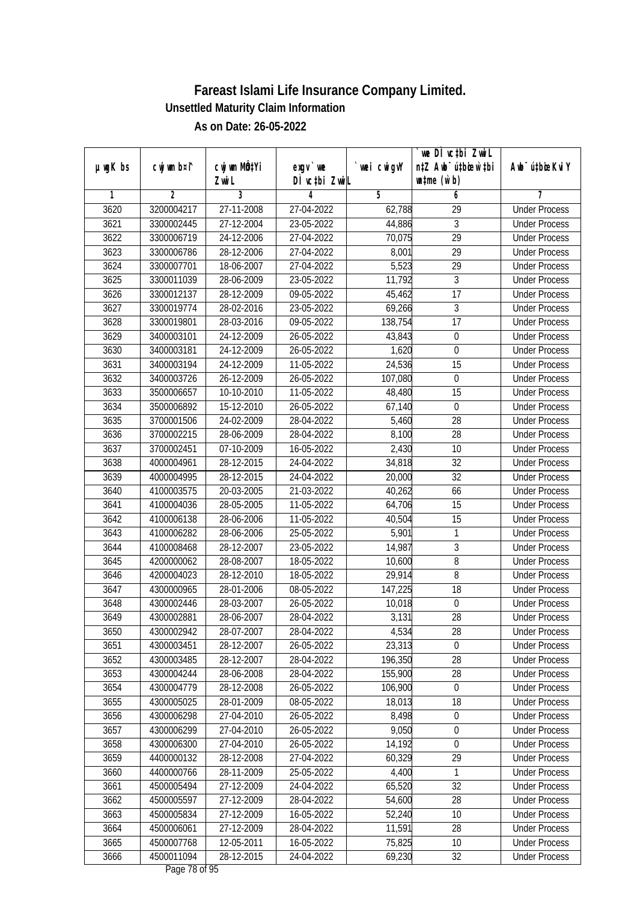| cwj wm MQtYi<br>cwj wm b¤i^<br>wei cwigvY<br>Awb <sup>-</sup> ú‡bioeKviY<br>$µ$ ug $K$ bs<br>$exqu$ we<br>DÌ vctbi ZwiL<br>$\n  untime\n  (u`b)\n$<br>Zwi L<br>3<br>$\overline{2}$<br>5<br>7<br>6<br>1<br>4<br>3620<br>3200004217<br>27-11-2008<br>27-04-2022<br><b>Under Process</b><br>62,788<br>29<br>23-05-2022<br>$\overline{3}$<br>3621<br>3300002445<br>27-12-2004<br>44,886<br><b>Under Process</b><br>3622<br>$\overline{29}$<br>3300006719<br>24-12-2006<br>27-04-2022<br>70,075<br><b>Under Process</b><br>3623<br>3300006786<br>28-12-2006<br>27-04-2022<br>8,001<br>29<br><b>Under Process</b><br>5,523<br>$\overline{29}$<br>3624<br>3300007701<br>18-06-2007<br>27-04-2022<br><b>Under Process</b><br>11,792<br>$\overline{3}$<br>3625<br>3300011039<br>28-06-2009<br>23-05-2022<br><b>Under Process</b><br>$\overline{17}$<br>3626<br>3300012137<br>28-12-2009<br>09-05-2022<br>45,462<br><b>Under Process</b><br>$\overline{3}$<br>3627<br>3300019774<br>28-02-2016<br>23-05-2022<br>69,266<br><b>Under Process</b><br>3628<br>17<br>3300019801<br>28-03-2016<br>09-05-2022<br>138,754<br><b>Under Process</b><br>3629<br>24-12-2009<br>$\boldsymbol{0}$<br>3400003101<br>26-05-2022<br>43,843<br><b>Under Process</b><br>3630<br>3400003181<br>24-12-2009<br>26-05-2022<br>1,620<br>0<br><b>Under Process</b><br>24,536<br>3631<br>24-12-2009<br>15<br>3400003194<br>11-05-2022<br><b>Under Process</b><br>3632<br>26-12-2009<br>26-05-2022<br>107,080<br>$\boldsymbol{0}$<br>3400003726<br><b>Under Process</b><br>3633<br>11-05-2022<br>15<br>3500006657<br>10-10-2010<br>48,480<br><b>Under Process</b><br>3634<br>15-12-2010<br>3500006892<br>26-05-2022<br>67,140<br>$\mathbf 0$<br><b>Under Process</b><br>3635<br>28<br>3700001506<br>24-02-2009<br>28-04-2022<br>5,460<br><b>Under Process</b><br>3636<br>8,100<br>28<br>3700002215<br>28-06-2009<br>28-04-2022<br><b>Under Process</b><br>3637<br>2,430<br>07-10-2009<br>16-05-2022<br>10<br>3700002451<br><b>Under Process</b><br>3638<br>32<br>4000004961<br>28-12-2015<br>24-04-2022<br>34,818<br><b>Under Process</b><br>3639<br>4000004995<br>28-12-2015<br>24-04-2022<br>20,000<br>32<br><b>Under Process</b><br>66<br>3640<br>20-03-2005<br>21-03-2022<br>40,262<br><b>Under Process</b><br>4100003575<br>3641<br>28-05-2005<br>11-05-2022<br>64,706<br>15<br>4100004036<br><b>Under Process</b><br>15<br>3642<br>4100006138<br>11-05-2022<br>40,504<br>28-06-2006<br><b>Under Process</b><br>3643<br>4100006282<br>28-06-2006<br>25-05-2022<br>5,901<br>$\mathbf{1}$<br><b>Under Process</b><br>$\sqrt{3}$<br>3644<br>28-12-2007<br>4100008468<br>23-05-2022<br>14,987<br><b>Under Process</b><br>8<br>3645<br>4200000062<br>28-08-2007<br>10,600<br>18-05-2022<br><b>Under Process</b><br>3646<br>4200004023<br>28-12-2010<br>18-05-2022<br>29,914<br>8<br><b>Under Process</b><br>3647<br>147,225<br>18<br>4300000965<br>28-01-2006<br>08-05-2022<br><b>Under Process</b><br>3648<br>4300002446<br>28-03-2007<br>26-05-2022<br>10,018<br>$\boldsymbol{0}$<br><b>Under Process</b><br>3649<br>3,131<br>28<br>4300002881<br>28-06-2007<br>28-04-2022<br><b>Under Process</b><br>3650<br>4300002942<br>28-07-2007<br>28-04-2022<br>4,534<br>28<br><b>Under Process</b><br>28-12-2007<br>23,313<br>3651<br>4300003451<br>26-05-2022<br>0<br><b>Under Process</b><br>196,350<br>28<br>3652<br>4300003485<br>28-12-2007<br>28-04-2022<br><b>Under Process</b><br>3653<br>155,900<br>28<br>4300004244<br>28-06-2008<br>28-04-2022<br><b>Under Process</b><br>3654<br>4300004779<br>28-12-2008<br>26-05-2022<br>106,900<br><b>Under Process</b><br>0<br>4300005025<br>28-01-2009<br>18,013<br>3655<br>08-05-2022<br>18<br><b>Under Process</b><br>4300006298<br>8,498<br>3656<br>27-04-2010<br>26-05-2022<br>$\pmb{0}$<br><b>Under Process</b><br>27-04-2010<br>9,050<br>0<br>3657<br>4300006299<br>26-05-2022<br><b>Under Process</b><br>$\boldsymbol{0}$<br>3658<br>4300006300<br>27-04-2010<br>26-05-2022<br>14,192<br><b>Under Process</b><br>29<br>3659<br>4400000132<br>28-12-2008<br>27-04-2022<br>60,329<br><b>Under Process</b><br>3660<br>4400000766<br>28-11-2009<br>25-05-2022<br><b>Under Process</b><br>4,400<br>1<br>4500005494<br>27-12-2009<br>24-04-2022<br>65,520<br>32<br>3661<br><b>Under Process</b><br>3662<br>27-12-2009<br>54,600<br>28<br>4500005597<br>28-04-2022<br><b>Under Process</b><br>52,240<br>10<br>3663<br>4500005834<br>27-12-2009<br>16-05-2022<br><b>Under Process</b><br>3664<br>11,591<br>28<br>4500006061<br>27-12-2009<br>28-04-2022<br><b>Under Process</b><br>4500007768<br>3665<br>12-05-2011<br>16-05-2022<br>75,825<br><b>Under Process</b><br>10<br>$\overline{32}$<br>4500011094<br>28-12-2015<br>69,230<br>3666<br>24-04-2022<br><b>Under Process</b> |  |  | we DÌ vc‡bi ZwiL                 |  |
|----------------------------------------------------------------------------------------------------------------------------------------------------------------------------------------------------------------------------------------------------------------------------------------------------------------------------------------------------------------------------------------------------------------------------------------------------------------------------------------------------------------------------------------------------------------------------------------------------------------------------------------------------------------------------------------------------------------------------------------------------------------------------------------------------------------------------------------------------------------------------------------------------------------------------------------------------------------------------------------------------------------------------------------------------------------------------------------------------------------------------------------------------------------------------------------------------------------------------------------------------------------------------------------------------------------------------------------------------------------------------------------------------------------------------------------------------------------------------------------------------------------------------------------------------------------------------------------------------------------------------------------------------------------------------------------------------------------------------------------------------------------------------------------------------------------------------------------------------------------------------------------------------------------------------------------------------------------------------------------------------------------------------------------------------------------------------------------------------------------------------------------------------------------------------------------------------------------------------------------------------------------------------------------------------------------------------------------------------------------------------------------------------------------------------------------------------------------------------------------------------------------------------------------------------------------------------------------------------------------------------------------------------------------------------------------------------------------------------------------------------------------------------------------------------------------------------------------------------------------------------------------------------------------------------------------------------------------------------------------------------------------------------------------------------------------------------------------------------------------------------------------------------------------------------------------------------------------------------------------------------------------------------------------------------------------------------------------------------------------------------------------------------------------------------------------------------------------------------------------------------------------------------------------------------------------------------------------------------------------------------------------------------------------------------------------------------------------------------------------------------------------------------------------------------------------------------------------------------------------------------------------------------------------------------------------------------------------------------------------------------------------------------------------------------------------------------------------------------------------------------------------------------------------------------------------------------------------------------------------------------------------------------------------------------------------------------------------------------------------------------------------------------------------------------------------------------------------------------------------------------------------------------------------------------------------------------------------------------------------------------------------------------------------------------------------------------------------------------------------------------------------------------------------|--|--|----------------------------------|--|
|                                                                                                                                                                                                                                                                                                                                                                                                                                                                                                                                                                                                                                                                                                                                                                                                                                                                                                                                                                                                                                                                                                                                                                                                                                                                                                                                                                                                                                                                                                                                                                                                                                                                                                                                                                                                                                                                                                                                                                                                                                                                                                                                                                                                                                                                                                                                                                                                                                                                                                                                                                                                                                                                                                                                                                                                                                                                                                                                                                                                                                                                                                                                                                                                                                                                                                                                                                                                                                                                                                                                                                                                                                                                                                                                                                                                                                                                                                                                                                                                                                                                                                                                                                                                                                                                                                                                                                                                                                                                                                                                                                                                                                                                                                                                                                                        |  |  | n‡Z Awb <sup>-</sup> ú‡bioar`‡bi |  |
|                                                                                                                                                                                                                                                                                                                                                                                                                                                                                                                                                                                                                                                                                                                                                                                                                                                                                                                                                                                                                                                                                                                                                                                                                                                                                                                                                                                                                                                                                                                                                                                                                                                                                                                                                                                                                                                                                                                                                                                                                                                                                                                                                                                                                                                                                                                                                                                                                                                                                                                                                                                                                                                                                                                                                                                                                                                                                                                                                                                                                                                                                                                                                                                                                                                                                                                                                                                                                                                                                                                                                                                                                                                                                                                                                                                                                                                                                                                                                                                                                                                                                                                                                                                                                                                                                                                                                                                                                                                                                                                                                                                                                                                                                                                                                                                        |  |  |                                  |  |
|                                                                                                                                                                                                                                                                                                                                                                                                                                                                                                                                                                                                                                                                                                                                                                                                                                                                                                                                                                                                                                                                                                                                                                                                                                                                                                                                                                                                                                                                                                                                                                                                                                                                                                                                                                                                                                                                                                                                                                                                                                                                                                                                                                                                                                                                                                                                                                                                                                                                                                                                                                                                                                                                                                                                                                                                                                                                                                                                                                                                                                                                                                                                                                                                                                                                                                                                                                                                                                                                                                                                                                                                                                                                                                                                                                                                                                                                                                                                                                                                                                                                                                                                                                                                                                                                                                                                                                                                                                                                                                                                                                                                                                                                                                                                                                                        |  |  |                                  |  |
|                                                                                                                                                                                                                                                                                                                                                                                                                                                                                                                                                                                                                                                                                                                                                                                                                                                                                                                                                                                                                                                                                                                                                                                                                                                                                                                                                                                                                                                                                                                                                                                                                                                                                                                                                                                                                                                                                                                                                                                                                                                                                                                                                                                                                                                                                                                                                                                                                                                                                                                                                                                                                                                                                                                                                                                                                                                                                                                                                                                                                                                                                                                                                                                                                                                                                                                                                                                                                                                                                                                                                                                                                                                                                                                                                                                                                                                                                                                                                                                                                                                                                                                                                                                                                                                                                                                                                                                                                                                                                                                                                                                                                                                                                                                                                                                        |  |  |                                  |  |
|                                                                                                                                                                                                                                                                                                                                                                                                                                                                                                                                                                                                                                                                                                                                                                                                                                                                                                                                                                                                                                                                                                                                                                                                                                                                                                                                                                                                                                                                                                                                                                                                                                                                                                                                                                                                                                                                                                                                                                                                                                                                                                                                                                                                                                                                                                                                                                                                                                                                                                                                                                                                                                                                                                                                                                                                                                                                                                                                                                                                                                                                                                                                                                                                                                                                                                                                                                                                                                                                                                                                                                                                                                                                                                                                                                                                                                                                                                                                                                                                                                                                                                                                                                                                                                                                                                                                                                                                                                                                                                                                                                                                                                                                                                                                                                                        |  |  |                                  |  |
|                                                                                                                                                                                                                                                                                                                                                                                                                                                                                                                                                                                                                                                                                                                                                                                                                                                                                                                                                                                                                                                                                                                                                                                                                                                                                                                                                                                                                                                                                                                                                                                                                                                                                                                                                                                                                                                                                                                                                                                                                                                                                                                                                                                                                                                                                                                                                                                                                                                                                                                                                                                                                                                                                                                                                                                                                                                                                                                                                                                                                                                                                                                                                                                                                                                                                                                                                                                                                                                                                                                                                                                                                                                                                                                                                                                                                                                                                                                                                                                                                                                                                                                                                                                                                                                                                                                                                                                                                                                                                                                                                                                                                                                                                                                                                                                        |  |  |                                  |  |
|                                                                                                                                                                                                                                                                                                                                                                                                                                                                                                                                                                                                                                                                                                                                                                                                                                                                                                                                                                                                                                                                                                                                                                                                                                                                                                                                                                                                                                                                                                                                                                                                                                                                                                                                                                                                                                                                                                                                                                                                                                                                                                                                                                                                                                                                                                                                                                                                                                                                                                                                                                                                                                                                                                                                                                                                                                                                                                                                                                                                                                                                                                                                                                                                                                                                                                                                                                                                                                                                                                                                                                                                                                                                                                                                                                                                                                                                                                                                                                                                                                                                                                                                                                                                                                                                                                                                                                                                                                                                                                                                                                                                                                                                                                                                                                                        |  |  |                                  |  |
|                                                                                                                                                                                                                                                                                                                                                                                                                                                                                                                                                                                                                                                                                                                                                                                                                                                                                                                                                                                                                                                                                                                                                                                                                                                                                                                                                                                                                                                                                                                                                                                                                                                                                                                                                                                                                                                                                                                                                                                                                                                                                                                                                                                                                                                                                                                                                                                                                                                                                                                                                                                                                                                                                                                                                                                                                                                                                                                                                                                                                                                                                                                                                                                                                                                                                                                                                                                                                                                                                                                                                                                                                                                                                                                                                                                                                                                                                                                                                                                                                                                                                                                                                                                                                                                                                                                                                                                                                                                                                                                                                                                                                                                                                                                                                                                        |  |  |                                  |  |
|                                                                                                                                                                                                                                                                                                                                                                                                                                                                                                                                                                                                                                                                                                                                                                                                                                                                                                                                                                                                                                                                                                                                                                                                                                                                                                                                                                                                                                                                                                                                                                                                                                                                                                                                                                                                                                                                                                                                                                                                                                                                                                                                                                                                                                                                                                                                                                                                                                                                                                                                                                                                                                                                                                                                                                                                                                                                                                                                                                                                                                                                                                                                                                                                                                                                                                                                                                                                                                                                                                                                                                                                                                                                                                                                                                                                                                                                                                                                                                                                                                                                                                                                                                                                                                                                                                                                                                                                                                                                                                                                                                                                                                                                                                                                                                                        |  |  |                                  |  |
|                                                                                                                                                                                                                                                                                                                                                                                                                                                                                                                                                                                                                                                                                                                                                                                                                                                                                                                                                                                                                                                                                                                                                                                                                                                                                                                                                                                                                                                                                                                                                                                                                                                                                                                                                                                                                                                                                                                                                                                                                                                                                                                                                                                                                                                                                                                                                                                                                                                                                                                                                                                                                                                                                                                                                                                                                                                                                                                                                                                                                                                                                                                                                                                                                                                                                                                                                                                                                                                                                                                                                                                                                                                                                                                                                                                                                                                                                                                                                                                                                                                                                                                                                                                                                                                                                                                                                                                                                                                                                                                                                                                                                                                                                                                                                                                        |  |  |                                  |  |
|                                                                                                                                                                                                                                                                                                                                                                                                                                                                                                                                                                                                                                                                                                                                                                                                                                                                                                                                                                                                                                                                                                                                                                                                                                                                                                                                                                                                                                                                                                                                                                                                                                                                                                                                                                                                                                                                                                                                                                                                                                                                                                                                                                                                                                                                                                                                                                                                                                                                                                                                                                                                                                                                                                                                                                                                                                                                                                                                                                                                                                                                                                                                                                                                                                                                                                                                                                                                                                                                                                                                                                                                                                                                                                                                                                                                                                                                                                                                                                                                                                                                                                                                                                                                                                                                                                                                                                                                                                                                                                                                                                                                                                                                                                                                                                                        |  |  |                                  |  |
|                                                                                                                                                                                                                                                                                                                                                                                                                                                                                                                                                                                                                                                                                                                                                                                                                                                                                                                                                                                                                                                                                                                                                                                                                                                                                                                                                                                                                                                                                                                                                                                                                                                                                                                                                                                                                                                                                                                                                                                                                                                                                                                                                                                                                                                                                                                                                                                                                                                                                                                                                                                                                                                                                                                                                                                                                                                                                                                                                                                                                                                                                                                                                                                                                                                                                                                                                                                                                                                                                                                                                                                                                                                                                                                                                                                                                                                                                                                                                                                                                                                                                                                                                                                                                                                                                                                                                                                                                                                                                                                                                                                                                                                                                                                                                                                        |  |  |                                  |  |
|                                                                                                                                                                                                                                                                                                                                                                                                                                                                                                                                                                                                                                                                                                                                                                                                                                                                                                                                                                                                                                                                                                                                                                                                                                                                                                                                                                                                                                                                                                                                                                                                                                                                                                                                                                                                                                                                                                                                                                                                                                                                                                                                                                                                                                                                                                                                                                                                                                                                                                                                                                                                                                                                                                                                                                                                                                                                                                                                                                                                                                                                                                                                                                                                                                                                                                                                                                                                                                                                                                                                                                                                                                                                                                                                                                                                                                                                                                                                                                                                                                                                                                                                                                                                                                                                                                                                                                                                                                                                                                                                                                                                                                                                                                                                                                                        |  |  |                                  |  |
|                                                                                                                                                                                                                                                                                                                                                                                                                                                                                                                                                                                                                                                                                                                                                                                                                                                                                                                                                                                                                                                                                                                                                                                                                                                                                                                                                                                                                                                                                                                                                                                                                                                                                                                                                                                                                                                                                                                                                                                                                                                                                                                                                                                                                                                                                                                                                                                                                                                                                                                                                                                                                                                                                                                                                                                                                                                                                                                                                                                                                                                                                                                                                                                                                                                                                                                                                                                                                                                                                                                                                                                                                                                                                                                                                                                                                                                                                                                                                                                                                                                                                                                                                                                                                                                                                                                                                                                                                                                                                                                                                                                                                                                                                                                                                                                        |  |  |                                  |  |
|                                                                                                                                                                                                                                                                                                                                                                                                                                                                                                                                                                                                                                                                                                                                                                                                                                                                                                                                                                                                                                                                                                                                                                                                                                                                                                                                                                                                                                                                                                                                                                                                                                                                                                                                                                                                                                                                                                                                                                                                                                                                                                                                                                                                                                                                                                                                                                                                                                                                                                                                                                                                                                                                                                                                                                                                                                                                                                                                                                                                                                                                                                                                                                                                                                                                                                                                                                                                                                                                                                                                                                                                                                                                                                                                                                                                                                                                                                                                                                                                                                                                                                                                                                                                                                                                                                                                                                                                                                                                                                                                                                                                                                                                                                                                                                                        |  |  |                                  |  |
|                                                                                                                                                                                                                                                                                                                                                                                                                                                                                                                                                                                                                                                                                                                                                                                                                                                                                                                                                                                                                                                                                                                                                                                                                                                                                                                                                                                                                                                                                                                                                                                                                                                                                                                                                                                                                                                                                                                                                                                                                                                                                                                                                                                                                                                                                                                                                                                                                                                                                                                                                                                                                                                                                                                                                                                                                                                                                                                                                                                                                                                                                                                                                                                                                                                                                                                                                                                                                                                                                                                                                                                                                                                                                                                                                                                                                                                                                                                                                                                                                                                                                                                                                                                                                                                                                                                                                                                                                                                                                                                                                                                                                                                                                                                                                                                        |  |  |                                  |  |
|                                                                                                                                                                                                                                                                                                                                                                                                                                                                                                                                                                                                                                                                                                                                                                                                                                                                                                                                                                                                                                                                                                                                                                                                                                                                                                                                                                                                                                                                                                                                                                                                                                                                                                                                                                                                                                                                                                                                                                                                                                                                                                                                                                                                                                                                                                                                                                                                                                                                                                                                                                                                                                                                                                                                                                                                                                                                                                                                                                                                                                                                                                                                                                                                                                                                                                                                                                                                                                                                                                                                                                                                                                                                                                                                                                                                                                                                                                                                                                                                                                                                                                                                                                                                                                                                                                                                                                                                                                                                                                                                                                                                                                                                                                                                                                                        |  |  |                                  |  |
|                                                                                                                                                                                                                                                                                                                                                                                                                                                                                                                                                                                                                                                                                                                                                                                                                                                                                                                                                                                                                                                                                                                                                                                                                                                                                                                                                                                                                                                                                                                                                                                                                                                                                                                                                                                                                                                                                                                                                                                                                                                                                                                                                                                                                                                                                                                                                                                                                                                                                                                                                                                                                                                                                                                                                                                                                                                                                                                                                                                                                                                                                                                                                                                                                                                                                                                                                                                                                                                                                                                                                                                                                                                                                                                                                                                                                                                                                                                                                                                                                                                                                                                                                                                                                                                                                                                                                                                                                                                                                                                                                                                                                                                                                                                                                                                        |  |  |                                  |  |
|                                                                                                                                                                                                                                                                                                                                                                                                                                                                                                                                                                                                                                                                                                                                                                                                                                                                                                                                                                                                                                                                                                                                                                                                                                                                                                                                                                                                                                                                                                                                                                                                                                                                                                                                                                                                                                                                                                                                                                                                                                                                                                                                                                                                                                                                                                                                                                                                                                                                                                                                                                                                                                                                                                                                                                                                                                                                                                                                                                                                                                                                                                                                                                                                                                                                                                                                                                                                                                                                                                                                                                                                                                                                                                                                                                                                                                                                                                                                                                                                                                                                                                                                                                                                                                                                                                                                                                                                                                                                                                                                                                                                                                                                                                                                                                                        |  |  |                                  |  |
|                                                                                                                                                                                                                                                                                                                                                                                                                                                                                                                                                                                                                                                                                                                                                                                                                                                                                                                                                                                                                                                                                                                                                                                                                                                                                                                                                                                                                                                                                                                                                                                                                                                                                                                                                                                                                                                                                                                                                                                                                                                                                                                                                                                                                                                                                                                                                                                                                                                                                                                                                                                                                                                                                                                                                                                                                                                                                                                                                                                                                                                                                                                                                                                                                                                                                                                                                                                                                                                                                                                                                                                                                                                                                                                                                                                                                                                                                                                                                                                                                                                                                                                                                                                                                                                                                                                                                                                                                                                                                                                                                                                                                                                                                                                                                                                        |  |  |                                  |  |
|                                                                                                                                                                                                                                                                                                                                                                                                                                                                                                                                                                                                                                                                                                                                                                                                                                                                                                                                                                                                                                                                                                                                                                                                                                                                                                                                                                                                                                                                                                                                                                                                                                                                                                                                                                                                                                                                                                                                                                                                                                                                                                                                                                                                                                                                                                                                                                                                                                                                                                                                                                                                                                                                                                                                                                                                                                                                                                                                                                                                                                                                                                                                                                                                                                                                                                                                                                                                                                                                                                                                                                                                                                                                                                                                                                                                                                                                                                                                                                                                                                                                                                                                                                                                                                                                                                                                                                                                                                                                                                                                                                                                                                                                                                                                                                                        |  |  |                                  |  |
|                                                                                                                                                                                                                                                                                                                                                                                                                                                                                                                                                                                                                                                                                                                                                                                                                                                                                                                                                                                                                                                                                                                                                                                                                                                                                                                                                                                                                                                                                                                                                                                                                                                                                                                                                                                                                                                                                                                                                                                                                                                                                                                                                                                                                                                                                                                                                                                                                                                                                                                                                                                                                                                                                                                                                                                                                                                                                                                                                                                                                                                                                                                                                                                                                                                                                                                                                                                                                                                                                                                                                                                                                                                                                                                                                                                                                                                                                                                                                                                                                                                                                                                                                                                                                                                                                                                                                                                                                                                                                                                                                                                                                                                                                                                                                                                        |  |  |                                  |  |
|                                                                                                                                                                                                                                                                                                                                                                                                                                                                                                                                                                                                                                                                                                                                                                                                                                                                                                                                                                                                                                                                                                                                                                                                                                                                                                                                                                                                                                                                                                                                                                                                                                                                                                                                                                                                                                                                                                                                                                                                                                                                                                                                                                                                                                                                                                                                                                                                                                                                                                                                                                                                                                                                                                                                                                                                                                                                                                                                                                                                                                                                                                                                                                                                                                                                                                                                                                                                                                                                                                                                                                                                                                                                                                                                                                                                                                                                                                                                                                                                                                                                                                                                                                                                                                                                                                                                                                                                                                                                                                                                                                                                                                                                                                                                                                                        |  |  |                                  |  |
|                                                                                                                                                                                                                                                                                                                                                                                                                                                                                                                                                                                                                                                                                                                                                                                                                                                                                                                                                                                                                                                                                                                                                                                                                                                                                                                                                                                                                                                                                                                                                                                                                                                                                                                                                                                                                                                                                                                                                                                                                                                                                                                                                                                                                                                                                                                                                                                                                                                                                                                                                                                                                                                                                                                                                                                                                                                                                                                                                                                                                                                                                                                                                                                                                                                                                                                                                                                                                                                                                                                                                                                                                                                                                                                                                                                                                                                                                                                                                                                                                                                                                                                                                                                                                                                                                                                                                                                                                                                                                                                                                                                                                                                                                                                                                                                        |  |  |                                  |  |
|                                                                                                                                                                                                                                                                                                                                                                                                                                                                                                                                                                                                                                                                                                                                                                                                                                                                                                                                                                                                                                                                                                                                                                                                                                                                                                                                                                                                                                                                                                                                                                                                                                                                                                                                                                                                                                                                                                                                                                                                                                                                                                                                                                                                                                                                                                                                                                                                                                                                                                                                                                                                                                                                                                                                                                                                                                                                                                                                                                                                                                                                                                                                                                                                                                                                                                                                                                                                                                                                                                                                                                                                                                                                                                                                                                                                                                                                                                                                                                                                                                                                                                                                                                                                                                                                                                                                                                                                                                                                                                                                                                                                                                                                                                                                                                                        |  |  |                                  |  |
|                                                                                                                                                                                                                                                                                                                                                                                                                                                                                                                                                                                                                                                                                                                                                                                                                                                                                                                                                                                                                                                                                                                                                                                                                                                                                                                                                                                                                                                                                                                                                                                                                                                                                                                                                                                                                                                                                                                                                                                                                                                                                                                                                                                                                                                                                                                                                                                                                                                                                                                                                                                                                                                                                                                                                                                                                                                                                                                                                                                                                                                                                                                                                                                                                                                                                                                                                                                                                                                                                                                                                                                                                                                                                                                                                                                                                                                                                                                                                                                                                                                                                                                                                                                                                                                                                                                                                                                                                                                                                                                                                                                                                                                                                                                                                                                        |  |  |                                  |  |
|                                                                                                                                                                                                                                                                                                                                                                                                                                                                                                                                                                                                                                                                                                                                                                                                                                                                                                                                                                                                                                                                                                                                                                                                                                                                                                                                                                                                                                                                                                                                                                                                                                                                                                                                                                                                                                                                                                                                                                                                                                                                                                                                                                                                                                                                                                                                                                                                                                                                                                                                                                                                                                                                                                                                                                                                                                                                                                                                                                                                                                                                                                                                                                                                                                                                                                                                                                                                                                                                                                                                                                                                                                                                                                                                                                                                                                                                                                                                                                                                                                                                                                                                                                                                                                                                                                                                                                                                                                                                                                                                                                                                                                                                                                                                                                                        |  |  |                                  |  |
|                                                                                                                                                                                                                                                                                                                                                                                                                                                                                                                                                                                                                                                                                                                                                                                                                                                                                                                                                                                                                                                                                                                                                                                                                                                                                                                                                                                                                                                                                                                                                                                                                                                                                                                                                                                                                                                                                                                                                                                                                                                                                                                                                                                                                                                                                                                                                                                                                                                                                                                                                                                                                                                                                                                                                                                                                                                                                                                                                                                                                                                                                                                                                                                                                                                                                                                                                                                                                                                                                                                                                                                                                                                                                                                                                                                                                                                                                                                                                                                                                                                                                                                                                                                                                                                                                                                                                                                                                                                                                                                                                                                                                                                                                                                                                                                        |  |  |                                  |  |
|                                                                                                                                                                                                                                                                                                                                                                                                                                                                                                                                                                                                                                                                                                                                                                                                                                                                                                                                                                                                                                                                                                                                                                                                                                                                                                                                                                                                                                                                                                                                                                                                                                                                                                                                                                                                                                                                                                                                                                                                                                                                                                                                                                                                                                                                                                                                                                                                                                                                                                                                                                                                                                                                                                                                                                                                                                                                                                                                                                                                                                                                                                                                                                                                                                                                                                                                                                                                                                                                                                                                                                                                                                                                                                                                                                                                                                                                                                                                                                                                                                                                                                                                                                                                                                                                                                                                                                                                                                                                                                                                                                                                                                                                                                                                                                                        |  |  |                                  |  |
|                                                                                                                                                                                                                                                                                                                                                                                                                                                                                                                                                                                                                                                                                                                                                                                                                                                                                                                                                                                                                                                                                                                                                                                                                                                                                                                                                                                                                                                                                                                                                                                                                                                                                                                                                                                                                                                                                                                                                                                                                                                                                                                                                                                                                                                                                                                                                                                                                                                                                                                                                                                                                                                                                                                                                                                                                                                                                                                                                                                                                                                                                                                                                                                                                                                                                                                                                                                                                                                                                                                                                                                                                                                                                                                                                                                                                                                                                                                                                                                                                                                                                                                                                                                                                                                                                                                                                                                                                                                                                                                                                                                                                                                                                                                                                                                        |  |  |                                  |  |
|                                                                                                                                                                                                                                                                                                                                                                                                                                                                                                                                                                                                                                                                                                                                                                                                                                                                                                                                                                                                                                                                                                                                                                                                                                                                                                                                                                                                                                                                                                                                                                                                                                                                                                                                                                                                                                                                                                                                                                                                                                                                                                                                                                                                                                                                                                                                                                                                                                                                                                                                                                                                                                                                                                                                                                                                                                                                                                                                                                                                                                                                                                                                                                                                                                                                                                                                                                                                                                                                                                                                                                                                                                                                                                                                                                                                                                                                                                                                                                                                                                                                                                                                                                                                                                                                                                                                                                                                                                                                                                                                                                                                                                                                                                                                                                                        |  |  |                                  |  |
|                                                                                                                                                                                                                                                                                                                                                                                                                                                                                                                                                                                                                                                                                                                                                                                                                                                                                                                                                                                                                                                                                                                                                                                                                                                                                                                                                                                                                                                                                                                                                                                                                                                                                                                                                                                                                                                                                                                                                                                                                                                                                                                                                                                                                                                                                                                                                                                                                                                                                                                                                                                                                                                                                                                                                                                                                                                                                                                                                                                                                                                                                                                                                                                                                                                                                                                                                                                                                                                                                                                                                                                                                                                                                                                                                                                                                                                                                                                                                                                                                                                                                                                                                                                                                                                                                                                                                                                                                                                                                                                                                                                                                                                                                                                                                                                        |  |  |                                  |  |
|                                                                                                                                                                                                                                                                                                                                                                                                                                                                                                                                                                                                                                                                                                                                                                                                                                                                                                                                                                                                                                                                                                                                                                                                                                                                                                                                                                                                                                                                                                                                                                                                                                                                                                                                                                                                                                                                                                                                                                                                                                                                                                                                                                                                                                                                                                                                                                                                                                                                                                                                                                                                                                                                                                                                                                                                                                                                                                                                                                                                                                                                                                                                                                                                                                                                                                                                                                                                                                                                                                                                                                                                                                                                                                                                                                                                                                                                                                                                                                                                                                                                                                                                                                                                                                                                                                                                                                                                                                                                                                                                                                                                                                                                                                                                                                                        |  |  |                                  |  |
|                                                                                                                                                                                                                                                                                                                                                                                                                                                                                                                                                                                                                                                                                                                                                                                                                                                                                                                                                                                                                                                                                                                                                                                                                                                                                                                                                                                                                                                                                                                                                                                                                                                                                                                                                                                                                                                                                                                                                                                                                                                                                                                                                                                                                                                                                                                                                                                                                                                                                                                                                                                                                                                                                                                                                                                                                                                                                                                                                                                                                                                                                                                                                                                                                                                                                                                                                                                                                                                                                                                                                                                                                                                                                                                                                                                                                                                                                                                                                                                                                                                                                                                                                                                                                                                                                                                                                                                                                                                                                                                                                                                                                                                                                                                                                                                        |  |  |                                  |  |
|                                                                                                                                                                                                                                                                                                                                                                                                                                                                                                                                                                                                                                                                                                                                                                                                                                                                                                                                                                                                                                                                                                                                                                                                                                                                                                                                                                                                                                                                                                                                                                                                                                                                                                                                                                                                                                                                                                                                                                                                                                                                                                                                                                                                                                                                                                                                                                                                                                                                                                                                                                                                                                                                                                                                                                                                                                                                                                                                                                                                                                                                                                                                                                                                                                                                                                                                                                                                                                                                                                                                                                                                                                                                                                                                                                                                                                                                                                                                                                                                                                                                                                                                                                                                                                                                                                                                                                                                                                                                                                                                                                                                                                                                                                                                                                                        |  |  |                                  |  |
|                                                                                                                                                                                                                                                                                                                                                                                                                                                                                                                                                                                                                                                                                                                                                                                                                                                                                                                                                                                                                                                                                                                                                                                                                                                                                                                                                                                                                                                                                                                                                                                                                                                                                                                                                                                                                                                                                                                                                                                                                                                                                                                                                                                                                                                                                                                                                                                                                                                                                                                                                                                                                                                                                                                                                                                                                                                                                                                                                                                                                                                                                                                                                                                                                                                                                                                                                                                                                                                                                                                                                                                                                                                                                                                                                                                                                                                                                                                                                                                                                                                                                                                                                                                                                                                                                                                                                                                                                                                                                                                                                                                                                                                                                                                                                                                        |  |  |                                  |  |
|                                                                                                                                                                                                                                                                                                                                                                                                                                                                                                                                                                                                                                                                                                                                                                                                                                                                                                                                                                                                                                                                                                                                                                                                                                                                                                                                                                                                                                                                                                                                                                                                                                                                                                                                                                                                                                                                                                                                                                                                                                                                                                                                                                                                                                                                                                                                                                                                                                                                                                                                                                                                                                                                                                                                                                                                                                                                                                                                                                                                                                                                                                                                                                                                                                                                                                                                                                                                                                                                                                                                                                                                                                                                                                                                                                                                                                                                                                                                                                                                                                                                                                                                                                                                                                                                                                                                                                                                                                                                                                                                                                                                                                                                                                                                                                                        |  |  |                                  |  |
|                                                                                                                                                                                                                                                                                                                                                                                                                                                                                                                                                                                                                                                                                                                                                                                                                                                                                                                                                                                                                                                                                                                                                                                                                                                                                                                                                                                                                                                                                                                                                                                                                                                                                                                                                                                                                                                                                                                                                                                                                                                                                                                                                                                                                                                                                                                                                                                                                                                                                                                                                                                                                                                                                                                                                                                                                                                                                                                                                                                                                                                                                                                                                                                                                                                                                                                                                                                                                                                                                                                                                                                                                                                                                                                                                                                                                                                                                                                                                                                                                                                                                                                                                                                                                                                                                                                                                                                                                                                                                                                                                                                                                                                                                                                                                                                        |  |  |                                  |  |
|                                                                                                                                                                                                                                                                                                                                                                                                                                                                                                                                                                                                                                                                                                                                                                                                                                                                                                                                                                                                                                                                                                                                                                                                                                                                                                                                                                                                                                                                                                                                                                                                                                                                                                                                                                                                                                                                                                                                                                                                                                                                                                                                                                                                                                                                                                                                                                                                                                                                                                                                                                                                                                                                                                                                                                                                                                                                                                                                                                                                                                                                                                                                                                                                                                                                                                                                                                                                                                                                                                                                                                                                                                                                                                                                                                                                                                                                                                                                                                                                                                                                                                                                                                                                                                                                                                                                                                                                                                                                                                                                                                                                                                                                                                                                                                                        |  |  |                                  |  |
|                                                                                                                                                                                                                                                                                                                                                                                                                                                                                                                                                                                                                                                                                                                                                                                                                                                                                                                                                                                                                                                                                                                                                                                                                                                                                                                                                                                                                                                                                                                                                                                                                                                                                                                                                                                                                                                                                                                                                                                                                                                                                                                                                                                                                                                                                                                                                                                                                                                                                                                                                                                                                                                                                                                                                                                                                                                                                                                                                                                                                                                                                                                                                                                                                                                                                                                                                                                                                                                                                                                                                                                                                                                                                                                                                                                                                                                                                                                                                                                                                                                                                                                                                                                                                                                                                                                                                                                                                                                                                                                                                                                                                                                                                                                                                                                        |  |  |                                  |  |
|                                                                                                                                                                                                                                                                                                                                                                                                                                                                                                                                                                                                                                                                                                                                                                                                                                                                                                                                                                                                                                                                                                                                                                                                                                                                                                                                                                                                                                                                                                                                                                                                                                                                                                                                                                                                                                                                                                                                                                                                                                                                                                                                                                                                                                                                                                                                                                                                                                                                                                                                                                                                                                                                                                                                                                                                                                                                                                                                                                                                                                                                                                                                                                                                                                                                                                                                                                                                                                                                                                                                                                                                                                                                                                                                                                                                                                                                                                                                                                                                                                                                                                                                                                                                                                                                                                                                                                                                                                                                                                                                                                                                                                                                                                                                                                                        |  |  |                                  |  |
|                                                                                                                                                                                                                                                                                                                                                                                                                                                                                                                                                                                                                                                                                                                                                                                                                                                                                                                                                                                                                                                                                                                                                                                                                                                                                                                                                                                                                                                                                                                                                                                                                                                                                                                                                                                                                                                                                                                                                                                                                                                                                                                                                                                                                                                                                                                                                                                                                                                                                                                                                                                                                                                                                                                                                                                                                                                                                                                                                                                                                                                                                                                                                                                                                                                                                                                                                                                                                                                                                                                                                                                                                                                                                                                                                                                                                                                                                                                                                                                                                                                                                                                                                                                                                                                                                                                                                                                                                                                                                                                                                                                                                                                                                                                                                                                        |  |  |                                  |  |
|                                                                                                                                                                                                                                                                                                                                                                                                                                                                                                                                                                                                                                                                                                                                                                                                                                                                                                                                                                                                                                                                                                                                                                                                                                                                                                                                                                                                                                                                                                                                                                                                                                                                                                                                                                                                                                                                                                                                                                                                                                                                                                                                                                                                                                                                                                                                                                                                                                                                                                                                                                                                                                                                                                                                                                                                                                                                                                                                                                                                                                                                                                                                                                                                                                                                                                                                                                                                                                                                                                                                                                                                                                                                                                                                                                                                                                                                                                                                                                                                                                                                                                                                                                                                                                                                                                                                                                                                                                                                                                                                                                                                                                                                                                                                                                                        |  |  |                                  |  |
|                                                                                                                                                                                                                                                                                                                                                                                                                                                                                                                                                                                                                                                                                                                                                                                                                                                                                                                                                                                                                                                                                                                                                                                                                                                                                                                                                                                                                                                                                                                                                                                                                                                                                                                                                                                                                                                                                                                                                                                                                                                                                                                                                                                                                                                                                                                                                                                                                                                                                                                                                                                                                                                                                                                                                                                                                                                                                                                                                                                                                                                                                                                                                                                                                                                                                                                                                                                                                                                                                                                                                                                                                                                                                                                                                                                                                                                                                                                                                                                                                                                                                                                                                                                                                                                                                                                                                                                                                                                                                                                                                                                                                                                                                                                                                                                        |  |  |                                  |  |
|                                                                                                                                                                                                                                                                                                                                                                                                                                                                                                                                                                                                                                                                                                                                                                                                                                                                                                                                                                                                                                                                                                                                                                                                                                                                                                                                                                                                                                                                                                                                                                                                                                                                                                                                                                                                                                                                                                                                                                                                                                                                                                                                                                                                                                                                                                                                                                                                                                                                                                                                                                                                                                                                                                                                                                                                                                                                                                                                                                                                                                                                                                                                                                                                                                                                                                                                                                                                                                                                                                                                                                                                                                                                                                                                                                                                                                                                                                                                                                                                                                                                                                                                                                                                                                                                                                                                                                                                                                                                                                                                                                                                                                                                                                                                                                                        |  |  |                                  |  |
|                                                                                                                                                                                                                                                                                                                                                                                                                                                                                                                                                                                                                                                                                                                                                                                                                                                                                                                                                                                                                                                                                                                                                                                                                                                                                                                                                                                                                                                                                                                                                                                                                                                                                                                                                                                                                                                                                                                                                                                                                                                                                                                                                                                                                                                                                                                                                                                                                                                                                                                                                                                                                                                                                                                                                                                                                                                                                                                                                                                                                                                                                                                                                                                                                                                                                                                                                                                                                                                                                                                                                                                                                                                                                                                                                                                                                                                                                                                                                                                                                                                                                                                                                                                                                                                                                                                                                                                                                                                                                                                                                                                                                                                                                                                                                                                        |  |  |                                  |  |
|                                                                                                                                                                                                                                                                                                                                                                                                                                                                                                                                                                                                                                                                                                                                                                                                                                                                                                                                                                                                                                                                                                                                                                                                                                                                                                                                                                                                                                                                                                                                                                                                                                                                                                                                                                                                                                                                                                                                                                                                                                                                                                                                                                                                                                                                                                                                                                                                                                                                                                                                                                                                                                                                                                                                                                                                                                                                                                                                                                                                                                                                                                                                                                                                                                                                                                                                                                                                                                                                                                                                                                                                                                                                                                                                                                                                                                                                                                                                                                                                                                                                                                                                                                                                                                                                                                                                                                                                                                                                                                                                                                                                                                                                                                                                                                                        |  |  |                                  |  |
|                                                                                                                                                                                                                                                                                                                                                                                                                                                                                                                                                                                                                                                                                                                                                                                                                                                                                                                                                                                                                                                                                                                                                                                                                                                                                                                                                                                                                                                                                                                                                                                                                                                                                                                                                                                                                                                                                                                                                                                                                                                                                                                                                                                                                                                                                                                                                                                                                                                                                                                                                                                                                                                                                                                                                                                                                                                                                                                                                                                                                                                                                                                                                                                                                                                                                                                                                                                                                                                                                                                                                                                                                                                                                                                                                                                                                                                                                                                                                                                                                                                                                                                                                                                                                                                                                                                                                                                                                                                                                                                                                                                                                                                                                                                                                                                        |  |  |                                  |  |
|                                                                                                                                                                                                                                                                                                                                                                                                                                                                                                                                                                                                                                                                                                                                                                                                                                                                                                                                                                                                                                                                                                                                                                                                                                                                                                                                                                                                                                                                                                                                                                                                                                                                                                                                                                                                                                                                                                                                                                                                                                                                                                                                                                                                                                                                                                                                                                                                                                                                                                                                                                                                                                                                                                                                                                                                                                                                                                                                                                                                                                                                                                                                                                                                                                                                                                                                                                                                                                                                                                                                                                                                                                                                                                                                                                                                                                                                                                                                                                                                                                                                                                                                                                                                                                                                                                                                                                                                                                                                                                                                                                                                                                                                                                                                                                                        |  |  |                                  |  |
|                                                                                                                                                                                                                                                                                                                                                                                                                                                                                                                                                                                                                                                                                                                                                                                                                                                                                                                                                                                                                                                                                                                                                                                                                                                                                                                                                                                                                                                                                                                                                                                                                                                                                                                                                                                                                                                                                                                                                                                                                                                                                                                                                                                                                                                                                                                                                                                                                                                                                                                                                                                                                                                                                                                                                                                                                                                                                                                                                                                                                                                                                                                                                                                                                                                                                                                                                                                                                                                                                                                                                                                                                                                                                                                                                                                                                                                                                                                                                                                                                                                                                                                                                                                                                                                                                                                                                                                                                                                                                                                                                                                                                                                                                                                                                                                        |  |  |                                  |  |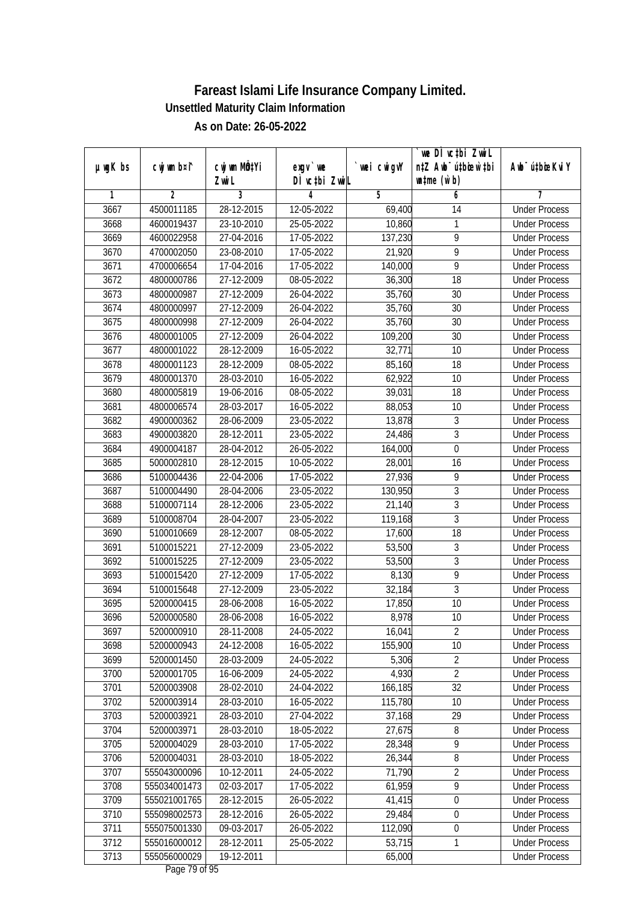|               |                |                       |                            |            | we DI vctbi ZwiL                                            |                             |
|---------------|----------------|-----------------------|----------------------------|------------|-------------------------------------------------------------|-----------------------------|
| $µ$ ug $K$ bs | cwj wm b¤i^    | cwj wm MQtYi<br>Zwi L | $exgV$ we<br>DÌ vctbi ZwiL | wei cwigvY | n‡Z Awb <sup>-</sup> ú‡bioen`‡bi<br>$\n  untime\n  (u`b)\n$ | Awb <sup>-</sup> ú‡bioeKviY |
| 1             | $\overline{2}$ | 3                     | 4                          | 5          | 6                                                           | 7                           |
| 3667          | 4500011185     | 28-12-2015            | 12-05-2022                 | 69,400     | 14                                                          | <b>Under Process</b>        |
| 3668          | 4600019437     | 23-10-2010            | 25-05-2022                 | 10,860     | 1                                                           | <b>Under Process</b>        |
| 3669          | 4600022958     | 27-04-2016            | 17-05-2022                 | 137,230    | $\overline{9}$                                              | <b>Under Process</b>        |
| 3670          | 4700002050     | 23-08-2010            | 17-05-2022                 | 21,920     | 9                                                           | <b>Under Process</b>        |
| 3671          | 4700006654     | 17-04-2016            | 17-05-2022                 | 140,000    | $\overline{9}$                                              | <b>Under Process</b>        |
| 3672          | 4800000786     | 27-12-2009            | 08-05-2022                 | 36,300     | $\overline{18}$                                             | <b>Under Process</b>        |
| 3673          | 4800000987     | 27-12-2009            | 26-04-2022                 | 35,760     | 30                                                          | <b>Under Process</b>        |
| 3674          | 4800000997     | 27-12-2009            | 26-04-2022                 | 35,760     | 30                                                          | <b>Under Process</b>        |
| 3675          | 4800000998     | 27-12-2009            | 26-04-2022                 | 35,760     | 30                                                          | <b>Under Process</b>        |
| 3676          | 4800001005     | 27-12-2009            | 26-04-2022                 | 109,200    | 30                                                          | <b>Under Process</b>        |
| 3677          | 4800001022     | 28-12-2009            | 16-05-2022                 | 32,771     | $\overline{10}$                                             | <b>Under Process</b>        |
| 3678          | 4800001123     | 28-12-2009            | 08-05-2022                 | 85,160     | 18                                                          | <b>Under Process</b>        |
| 3679          | 4800001370     | 28-03-2010            | 16-05-2022                 | 62,922     | 10                                                          | <b>Under Process</b>        |
| 3680          | 4800005819     | 19-06-2016            | 08-05-2022                 | 39,031     | 18                                                          | <b>Under Process</b>        |
| 3681          | 4800006574     | 28-03-2017            | 16-05-2022                 | 88,053     | 10                                                          | <b>Under Process</b>        |
| 3682          | 4900000362     | 28-06-2009            | 23-05-2022                 | 13,878     | $\mathfrak z$                                               | <b>Under Process</b>        |
| 3683          | 4900003820     | 28-12-2011            | 23-05-2022                 | 24,486     | $\mathfrak z$                                               | <b>Under Process</b>        |
| 3684          | 4900004187     | 28-04-2012            | 26-05-2022                 | 164,000    | $\mathbf 0$                                                 | <b>Under Process</b>        |
| 3685          | 5000002810     | 28-12-2015            | 10-05-2022                 | 28,001     | 16                                                          | <b>Under Process</b>        |
| 3686          | 5100004436     | 22-04-2006            | 17-05-2022                 | 27,936     | 9                                                           | <b>Under Process</b>        |
| 3687          | 5100004490     | 28-04-2006            | 23-05-2022                 | 130,950    | $\mathfrak{Z}$                                              | <b>Under Process</b>        |
| 3688          | 5100007114     | 28-12-2006            | 23-05-2022                 | 21,140     | $\sqrt{3}$                                                  | <b>Under Process</b>        |
| 3689          | 5100008704     | 28-04-2007            | 23-05-2022                 | 119,168    | $\mathfrak{Z}$                                              | <b>Under Process</b>        |
| 3690          | 5100010669     | 28-12-2007            | 08-05-2022                 | 17,600     | 18                                                          | <b>Under Process</b>        |
| 3691          | 5100015221     | 27-12-2009            | 23-05-2022                 | 53,500     | $\sqrt{3}$                                                  | <b>Under Process</b>        |
| 3692          | 5100015225     | 27-12-2009            | 23-05-2022                 | 53,500     | $\overline{3}$                                              | <b>Under Process</b>        |
| 3693          | 5100015420     | 27-12-2009            | 17-05-2022                 | 8,130      | 9                                                           | <b>Under Process</b>        |
| 3694          | 5100015648     | 27-12-2009            | 23-05-2022                 | 32,184     | 3                                                           | <b>Under Process</b>        |
| 3695          | 5200000415     | 28-06-2008            | 16-05-2022                 | 17,850     | 10                                                          | <b>Under Process</b>        |
| 3696          | 5200000580     | 28-06-2008            | 16-05-2022                 | 8,978      | 10                                                          | <b>Under Process</b>        |
| 3697          | 5200000910     | 28-11-2008            | 24-05-2022                 | 16,041     | 2                                                           | <b>Under Process</b>        |
| 3698          | 5200000943     | 24-12-2008            | 16-05-2022                 | 155,900    | 10                                                          | <b>Under Process</b>        |
| 3699          | 5200001450     | 28-03-2009            | 24-05-2022                 | 5,306      | $\overline{2}$                                              | <b>Under Process</b>        |
| 3700          | 5200001705     | 16-06-2009            | 24-05-2022                 | 4,930      | $\overline{2}$                                              | <b>Under Process</b>        |
| 3701          | 5200003908     | 28-02-2010            | 24-04-2022                 | 166,185    | 32                                                          | <b>Under Process</b>        |
| 3702          | 5200003914     | 28-03-2010            | 16-05-2022                 | 115,780    | 10                                                          | <b>Under Process</b>        |
| 3703          | 5200003921     | 28-03-2010            | 27-04-2022                 | 37,168     | 29                                                          | <b>Under Process</b>        |
| 3704          | 5200003971     | 28-03-2010            | 18-05-2022                 | 27,675     | 8                                                           | <b>Under Process</b>        |
| 3705          | 5200004029     | 28-03-2010            | 17-05-2022                 | 28,348     | $\overline{9}$                                              | <b>Under Process</b>        |
| 3706          | 5200004031     | 28-03-2010            | 18-05-2022                 | 26,344     | 8                                                           | <b>Under Process</b>        |
| 3707          | 555043000096   | 10-12-2011            | 24-05-2022                 | 71,790     | $\sqrt{2}$                                                  | <b>Under Process</b>        |
| 3708          | 555034001473   | 02-03-2017            | 17-05-2022                 | 61,959     | $\overline{9}$                                              | <b>Under Process</b>        |
| 3709          | 555021001765   | 28-12-2015            | 26-05-2022                 | 41,415     | $\boldsymbol{0}$                                            | <b>Under Process</b>        |
| 3710          | 555098002573   | 28-12-2016            | 26-05-2022                 | 29,484     | $\boldsymbol{0}$                                            | <b>Under Process</b>        |
| 3711          | 555075001330   | 09-03-2017            | 26-05-2022                 | 112,090    | $\boldsymbol{0}$                                            | <b>Under Process</b>        |
| 3712          | 555016000012   | 28-12-2011            | 25-05-2022                 | 53,715     | $\mathbf{1}$                                                | <b>Under Process</b>        |
| 3713          | 555056000029   | 19-12-2011            |                            |            |                                                             |                             |
|               |                |                       |                            | 65,000     |                                                             | <b>Under Process</b>        |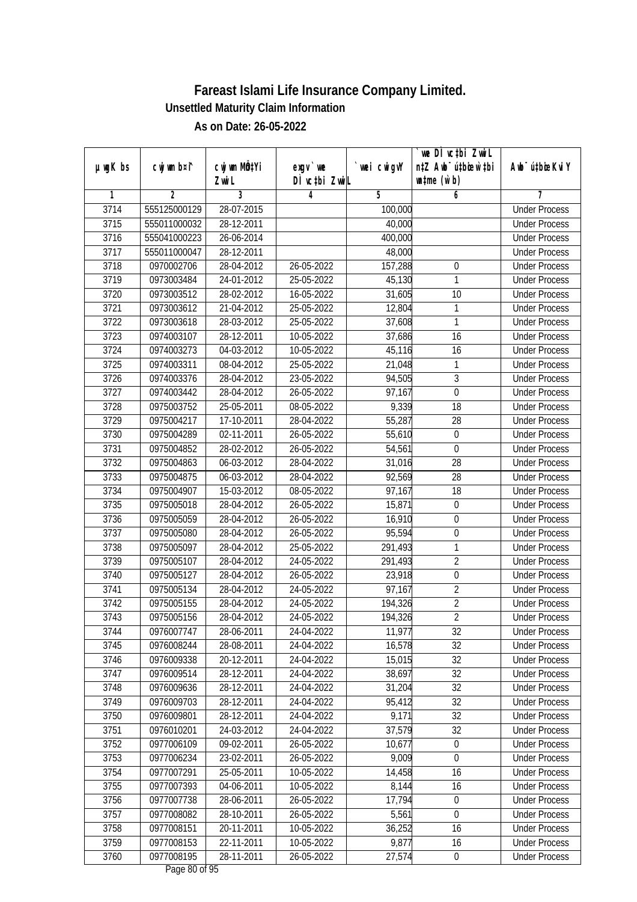|               |                |              |               |            | `we DÌ vc‡bi ZwwiL               |                             |
|---------------|----------------|--------------|---------------|------------|----------------------------------|-----------------------------|
| $µ$ ug $K$ bs | cwj wm b¤i^    | cwj wm MQtYi | exgv `we      | wei cwigvY | n‡Z Awb <sup>-</sup> ú‡bioen`‡bi | Awb <sup>-</sup> ú‡bioeKviY |
|               |                | Zwi L        | DÌ vcțbi ZwiL |            | $\n  untime\n  (u`b)\n$          |                             |
| 1             | $\overline{2}$ | 3            | 4             | 5          | 6                                | 7                           |
| 3714          | 555125000129   | 28-07-2015   |               | 100,000    |                                  | <b>Under Process</b>        |
| 3715          | 555011000032   | 28-12-2011   |               | 40,000     |                                  | <b>Under Process</b>        |
| 3716          | 555041000223   | 26-06-2014   |               | 400,000    |                                  | <b>Under Process</b>        |
| 3717          | 555011000047   | 28-12-2011   |               | 48,000     |                                  | <b>Under Process</b>        |
| 3718          | 0970002706     | 28-04-2012   | 26-05-2022    | 157,288    | $\boldsymbol{0}$                 | <b>Under Process</b>        |
| 3719          | 0973003484     | 24-01-2012   | 25-05-2022    | 45,130     | 1                                | <b>Under Process</b>        |
| 3720          | 0973003512     | 28-02-2012   | 16-05-2022    | 31,605     | $\overline{10}$                  | <b>Under Process</b>        |
| 3721          | 0973003612     | 21-04-2012   | 25-05-2022    | 12,804     | 1                                | <b>Under Process</b>        |
| 3722          | 0973003618     | 28-03-2012   | 25-05-2022    | 37,608     | 1                                | <b>Under Process</b>        |
| 3723          | 0974003107     | 28-12-2011   | 10-05-2022    | 37,686     | 16                               | <b>Under Process</b>        |
| 3724          | 0974003273     | 04-03-2012   | 10-05-2022    | 45,116     | 16                               | <b>Under Process</b>        |
| 3725          | 0974003311     | 08-04-2012   | 25-05-2022    | 21,048     | 1                                | <b>Under Process</b>        |
| 3726          | 0974003376     | 28-04-2012   | 23-05-2022    | 94,505     | $\sqrt{3}$                       | <b>Under Process</b>        |
| 3727          | 0974003442     | 28-04-2012   | 26-05-2022    | 97,167     | $\mathbf 0$                      | <b>Under Process</b>        |
| 3728          | 0975003752     | 25-05-2011   | 08-05-2022    | 9,339      | 18                               | <b>Under Process</b>        |
| 3729          | 0975004217     | 17-10-2011   | 28-04-2022    | 55,287     | 28                               | <b>Under Process</b>        |
| 3730          | 0975004289     | 02-11-2011   | 26-05-2022    | 55,610     | $\boldsymbol{0}$                 | <b>Under Process</b>        |
| 3731          | 0975004852     | 28-02-2012   | 26-05-2022    | 54,561     | $\mathbf 0$                      | <b>Under Process</b>        |
| 3732          | 0975004863     | 06-03-2012   | 28-04-2022    | 31,016     | 28                               | <b>Under Process</b>        |
| 3733          | 0975004875     | 06-03-2012   | 28-04-2022    | 92,569     | 28                               | <b>Under Process</b>        |
| 3734          | 0975004907     | 15-03-2012   | 08-05-2022    | 97,167     | 18                               | <b>Under Process</b>        |
| 3735          | 0975005018     | 28-04-2012   | 26-05-2022    | 15,871     | $\boldsymbol{0}$                 | <b>Under Process</b>        |
| 3736          | 0975005059     | 28-04-2012   | 26-05-2022    | 16,910     | $\boldsymbol{0}$                 | <b>Under Process</b>        |
| 3737          | 0975005080     | 28-04-2012   | 26-05-2022    | 95,594     | $\boldsymbol{0}$                 | <b>Under Process</b>        |
| 3738          | 0975005097     | 28-04-2012   | 25-05-2022    | 291,493    | 1                                | <b>Under Process</b>        |
| 3739          | 0975005107     | 28-04-2012   | 24-05-2022    | 291,493    | $\overline{2}$                   | <b>Under Process</b>        |
| 3740          | 0975005127     | 28-04-2012   | 26-05-2022    | 23,918     | $\boldsymbol{0}$                 | <b>Under Process</b>        |
| 3741          | 0975005134     | 28-04-2012   | 24-05-2022    | 97,167     | $\overline{2}$                   | <b>Under Process</b>        |
| 3742          | 0975005155     | 28-04-2012   | 24-05-2022    | 194,326    | $\overline{2}$                   | <b>Under Process</b>        |
| 3743          | 0975005156     | 28-04-2012   | 24-05-2022    | 194,326    | $\overline{2}$                   | <b>Under Process</b>        |
| 3744          | 0976007747     | 28-06-2011   | 24-04-2022    | 11,977     | 32                               | <b>Under Process</b>        |
| 3745          | 0976008244     | 28-08-2011   | 24-04-2022    | 16,578     | 32                               | <b>Under Process</b>        |
| 3746          | 0976009338     | 20-12-2011   | 24-04-2022    | 15,015     | 32                               | <b>Under Process</b>        |
| 3747          | 0976009514     | 28-12-2011   | 24-04-2022    | 38,697     | 32                               | <b>Under Process</b>        |
| 3748          | 0976009636     | 28-12-2011   | 24-04-2022    | 31,204     | 32                               | <b>Under Process</b>        |
| 3749          | 0976009703     | 28-12-2011   | 24-04-2022    | 95,412     | 32                               | <b>Under Process</b>        |
| 3750          | 0976009801     | 28-12-2011   | 24-04-2022    | 9,171      | 32                               | <b>Under Process</b>        |
| 3751          | 0976010201     | 24-03-2012   | 24-04-2022    | 37,579     | 32                               | <b>Under Process</b>        |
| 3752          | 0977006109     | 09-02-2011   | 26-05-2022    | 10,677     | $\boldsymbol{0}$                 | <b>Under Process</b>        |
| 3753          | 0977006234     | 23-02-2011   | 26-05-2022    | 9,009      | 0                                | <b>Under Process</b>        |
| 3754          | 0977007291     | 25-05-2011   | 10-05-2022    | 14,458     | 16                               | <b>Under Process</b>        |
| 3755          | 0977007393     | 04-06-2011   | 10-05-2022    | 8,144      | 16                               | <b>Under Process</b>        |
| 3756          | 0977007738     | 28-06-2011   | 26-05-2022    | 17,794     | $\boldsymbol{0}$                 | <b>Under Process</b>        |
| 3757          | 0977008082     | 28-10-2011   | 26-05-2022    | 5,561      | $\boldsymbol{0}$                 | <b>Under Process</b>        |
| 3758          | 0977008151     | 20-11-2011   | 10-05-2022    | 36,252     | 16                               | <b>Under Process</b>        |
| 3759          | 0977008153     | 22-11-2011   | 10-05-2022    | 9,877      | 16                               | <b>Under Process</b>        |
| 3760          | 0977008195     | 28-11-2011   | 26-05-2022    | 27,574     | $\boldsymbol{0}$                 | <b>Under Process</b>        |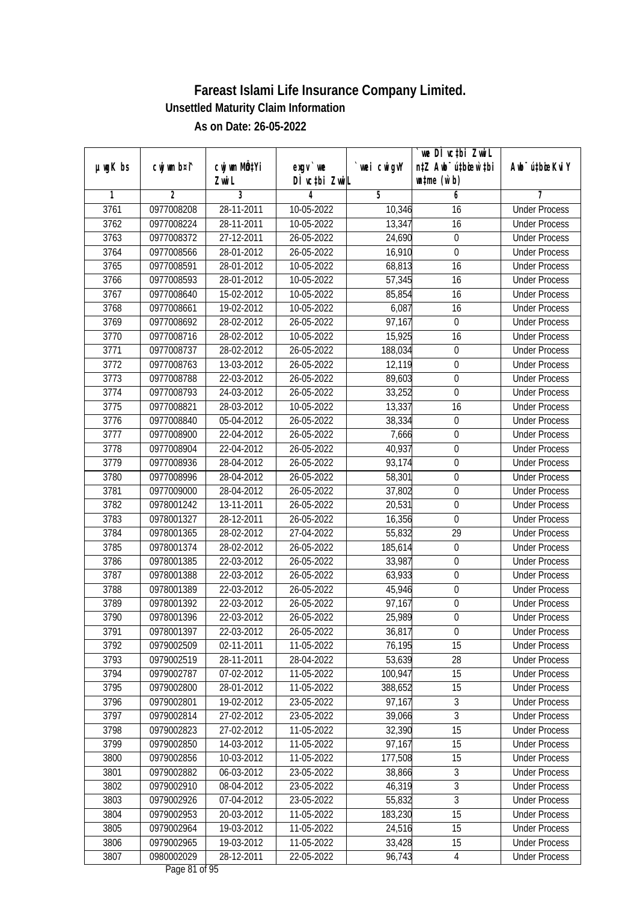|               |                |                       |                           |            | we DI vctbi ZwiL<br>n‡Z Awb <sup>-</sup> ú‡bicen`‡bi |                             |
|---------------|----------------|-----------------------|---------------------------|------------|------------------------------------------------------|-----------------------------|
| $µ$ ug $K$ bs | cwj wm b¤i^    | cwj wm MQtYi<br>Zwi L | exgv `we<br>DÌ vctbi ZwiL | wei cwigvY | $\n  untime\n  (u`b)\n$                              | Awb <sup>-</sup> ú‡bioeKviY |
| 1             | $\overline{2}$ | 3                     | 4                         | 5          | 6                                                    | 7                           |
| 3761          | 0977008208     | 28-11-2011            | 10-05-2022                | 10,346     | 16                                                   | <b>Under Process</b>        |
| 3762          | 0977008224     | 28-11-2011            | 10-05-2022                | 13,347     | 16                                                   | <b>Under Process</b>        |
| 3763          | 0977008372     | 27-12-2011            | 26-05-2022                | 24,690     | $\boldsymbol{0}$                                     | <b>Under Process</b>        |
| 3764          | 0977008566     | 28-01-2012            | 26-05-2022                | 16,910     | $\boldsymbol{0}$                                     | <b>Under Process</b>        |
| 3765          | 0977008591     | 28-01-2012            | 10-05-2022                | 68,813     | 16                                                   | <b>Under Process</b>        |
| 3766          | 0977008593     | 28-01-2012            | 10-05-2022                | 57,345     | 16                                                   | <b>Under Process</b>        |
| 3767          | 0977008640     | 15-02-2012            | 10-05-2022                | 85,854     | 16                                                   | <b>Under Process</b>        |
| 3768          | 0977008661     | 19-02-2012            | 10-05-2022                | 6,087      | 16                                                   | <b>Under Process</b>        |
| 3769          | 0977008692     | 28-02-2012            | 26-05-2022                | 97,167     | $\boldsymbol{0}$                                     | <b>Under Process</b>        |
| 3770          | 0977008716     | 28-02-2012            | 10-05-2022                | 15,925     | 16                                                   | <b>Under Process</b>        |
| 3771          | 0977008737     | 28-02-2012            | 26-05-2022                | 188,034    | $\boldsymbol{0}$                                     | <b>Under Process</b>        |
| 3772          | 0977008763     | 13-03-2012            | 26-05-2022                | 12,119     | $\boldsymbol{0}$                                     | <b>Under Process</b>        |
| 3773          | 0977008788     | 22-03-2012            | 26-05-2022                | 89,603     | $\overline{0}$                                       | <b>Under Process</b>        |
| 3774          | 0977008793     | 24-03-2012            | 26-05-2022                | 33,252     | 0                                                    | <b>Under Process</b>        |
| 3775          | 0977008821     | 28-03-2012            | 10-05-2022                | 13,337     | 16                                                   | <b>Under Process</b>        |
| 3776          | 0977008840     | 05-04-2012            | 26-05-2022                | 38,334     | $\boldsymbol{0}$                                     | <b>Under Process</b>        |
| 3777          | 0977008900     | 22-04-2012            | 26-05-2022                | 7,666      | $\boldsymbol{0}$                                     | <b>Under Process</b>        |
| 3778          | 0977008904     | 22-04-2012            | 26-05-2022                | 40,937     | $\boldsymbol{0}$                                     | <b>Under Process</b>        |
| 3779          | 0977008936     | 28-04-2012            | 26-05-2022                | 93,174     | $\boldsymbol{0}$                                     | <b>Under Process</b>        |
| 3780          | 0977008996     | 28-04-2012            | 26-05-2022                | 58,301     | $\boldsymbol{0}$                                     | <b>Under Process</b>        |
| 3781          | 0977009000     | 28-04-2012            | 26-05-2022                | 37,802     | $\boldsymbol{0}$                                     | <b>Under Process</b>        |
| 3782          | 0978001242     | 13-11-2011            | 26-05-2022                | 20,531     | $\boldsymbol{0}$                                     | <b>Under Process</b>        |
| 3783          | 0978001327     | 28-12-2011            | 26-05-2022                | 16,356     | $\boldsymbol{0}$                                     | <b>Under Process</b>        |
| 3784          | 0978001365     | 28-02-2012            | 27-04-2022                | 55,832     | 29                                                   | <b>Under Process</b>        |
| 3785          | 0978001374     | 28-02-2012            | 26-05-2022                | 185,614    | $\boldsymbol{0}$                                     | <b>Under Process</b>        |
| 3786          | 0978001385     | 22-03-2012            | 26-05-2022                | 33,987     | $\mathbf 0$                                          | <b>Under Process</b>        |
| 3787          | 0978001388     | 22-03-2012            | 26-05-2022                | 63,933     | $\mathbf 0$                                          | <b>Under Process</b>        |
| 3788          | 0978001389     | 22-03-2012            | 26-05-2022                | 45,946     | $\boldsymbol{0}$                                     | <b>Under Process</b>        |
| 3789          | 0978001392     | 22-03-2012            | 26-05-2022                | 97,167     | $\boldsymbol{0}$                                     | <b>Under Process</b>        |
| 3790          | 0978001396     | 22-03-2012            | 26-05-2022                | 25,989     | $\boldsymbol{0}$                                     | <b>Under Process</b>        |
| 3791          | 0978001397     | 22-03-2012            | 26-05-2022                | 36,817     | $\boldsymbol{0}$                                     | <b>Under Process</b>        |
| 3792          | 0979002509     | 02-11-2011            | 11-05-2022                | 76,195     | 15                                                   | <b>Under Process</b>        |
| 3793          | 0979002519     | 28-11-2011            | 28-04-2022                | 53,639     | 28                                                   | <b>Under Process</b>        |
| 3794          | 0979002787     | 07-02-2012            | 11-05-2022                | 100,947    | 15                                                   | <b>Under Process</b>        |
| 3795          | 0979002800     | 28-01-2012            | 11-05-2022                | 388,652    | 15                                                   | <b>Under Process</b>        |
| 3796          | 0979002801     | 19-02-2012            | 23-05-2022                | 97,167     | 3                                                    | <b>Under Process</b>        |
| 3797          | 0979002814     | 27-02-2012            | 23-05-2022                | 39,066     | $\overline{3}$                                       | <b>Under Process</b>        |
| 3798          | 0979002823     | 27-02-2012            | 11-05-2022                | 32,390     | 15                                                   | <b>Under Process</b>        |
| 3799          | 0979002850     | 14-03-2012            | 11-05-2022                | 97,167     | 15                                                   | <b>Under Process</b>        |
| 3800          | 0979002856     | 10-03-2012            | 11-05-2022                | 177,508    | 15                                                   | <b>Under Process</b>        |
| 3801          | 0979002882     | 06-03-2012            | 23-05-2022                | 38,866     | 3                                                    | <b>Under Process</b>        |
| 3802          | 0979002910     | 08-04-2012            | 23-05-2022                | 46,319     | $\overline{3}$                                       | <b>Under Process</b>        |
| 3803          | 0979002926     | 07-04-2012            | 23-05-2022                | 55,832     | $\overline{3}$                                       | <b>Under Process</b>        |
| 3804          | 0979002953     | 20-03-2012            | 11-05-2022                | 183,230    | $\overline{15}$                                      | <b>Under Process</b>        |
| 3805          | 0979002964     | 19-03-2012            | 11-05-2022                | 24,516     | 15                                                   | <b>Under Process</b>        |
| 3806          | 0979002965     | 19-03-2012            | 11-05-2022                | 33,428     | 15                                                   | <b>Under Process</b>        |
| 3807          | 0980002029     | 28-12-2011            | 22-05-2022                | 96,743     | $\overline{4}$                                       | <b>Under Process</b>        |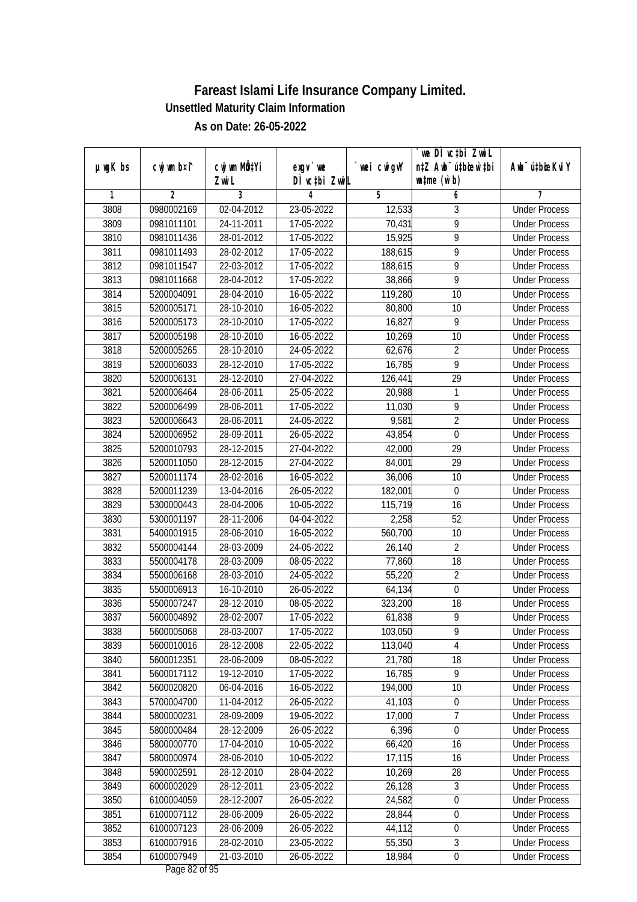|               |                |                           |                  |             | we DI vctbi ZwiL                 |                             |
|---------------|----------------|---------------------------|------------------|-------------|----------------------------------|-----------------------------|
| $µ$ ug $K$ bs | cwj wm b¤i^    | cwj wm MQ <sup>1</sup> Yi | $exgv$ we        | `wei cwigvY | n‡Z Awb <sup>-</sup> ú‡bicen`‡bi | Awb <sup>-</sup> ú‡bioeKviY |
|               |                | Zwi L                     | DÌ vctbi ZwiL    |             | $\n  untime\n  (u`b)\n$          |                             |
| 1             | $\overline{2}$ | 3                         | 4                | 5           | 6                                | 7                           |
| 3808          | 0980002169     | 02-04-2012                | 23-05-2022       | 12,533      | 3                                | <b>Under Process</b>        |
| 3809          | 0981011101     | 24-11-2011                | $17 - 05 - 2022$ | 70,431      | $\overline{9}$                   | <b>Under Process</b>        |
| 3810          | 0981011436     | 28-01-2012                | 17-05-2022       | 15,925      | 9                                | <b>Under Process</b>        |
| 3811          | 0981011493     | 28-02-2012                | 17-05-2022       | 188,615     | 9                                | <b>Under Process</b>        |
| 3812          | 0981011547     | 22-03-2012                | 17-05-2022       | 188,615     | $\overline{9}$                   | <b>Under Process</b>        |
| 3813          | 0981011668     | 28-04-2012                | 17-05-2022       | 38,866      | 9                                | <b>Under Process</b>        |
| 3814          | 5200004091     | 28-04-2010                | $16 - 05 - 2022$ | 119,280     | 10                               | <b>Under Process</b>        |
| 3815          | 5200005171     | 28-10-2010                | 16-05-2022       | 80,800      | 10                               | <b>Under Process</b>        |
| 3816          | 5200005173     | 28-10-2010                | 17-05-2022       | 16,827      | $\overline{9}$                   | <b>Under Process</b>        |
| 3817          | 5200005198     | 28-10-2010                | 16-05-2022       | 10,269      | 10                               | <b>Under Process</b>        |
| 3818          | 5200005265     | 28-10-2010                | 24-05-2022       | 62,676      | $\overline{2}$                   | <b>Under Process</b>        |
| 3819          | 5200006033     | 28-12-2010                | 17-05-2022       | 16,785      | 9                                | <b>Under Process</b>        |
| 3820          | 5200006131     | 28-12-2010                | 27-04-2022       | 126,441     | $\overline{29}$                  | <b>Under Process</b>        |
| 3821          | 5200006464     | 28-06-2011                | 25-05-2022       | 20,988      | $\mathbf{1}$                     | <b>Under Process</b>        |
| 3822          | 5200006499     | 28-06-2011                | 17-05-2022       | 11,030      | 9                                | <b>Under Process</b>        |
| 3823          | 5200006643     | 28-06-2011                | 24-05-2022       | 9,581       | $\overline{2}$                   | <b>Under Process</b>        |
| 3824          | 5200006952     | 28-09-2011                | 26-05-2022       | 43,854      | 0                                | <b>Under Process</b>        |
| 3825          | 5200010793     | 28-12-2015                | 27-04-2022       | 42,000      | 29                               | <b>Under Process</b>        |
| 3826          | 5200011050     | 28-12-2015                | 27-04-2022       | 84,001      | 29                               | <b>Under Process</b>        |
| 3827          | 5200011174     | 28-02-2016                | 16-05-2022       | 36,006      | 10                               | <b>Under Process</b>        |
| 3828          | 5200011239     | 13-04-2016                | 26-05-2022       | 182,001     | $\mathbf 0$                      | <b>Under Process</b>        |
| 3829          | 5300000443     | 28-04-2006                | 10-05-2022       | 115,719     | 16                               | <b>Under Process</b>        |
| 3830          | 5300001197     | 28-11-2006                | 04-04-2022       | 2,258       | 52                               | <b>Under Process</b>        |
| 3831          | 5400001915     | 28-06-2010                | 16-05-2022       | 560,700     | 10                               | <b>Under Process</b>        |
| 3832          | 5500004144     | 28-03-2009                | 24-05-2022       | 26,140      | $\sqrt{2}$                       | <b>Under Process</b>        |
| 3833          | 5500004178     | 28-03-2009                | 08-05-2022       | 77,860      | 18                               | <b>Under Process</b>        |
| 3834          | 5500006168     | 28-03-2010                | 24-05-2022       | 55,220      | $\overline{2}$                   | <b>Under Process</b>        |
| 3835          | 5500006913     | 16-10-2010                | 26-05-2022       | 64,134      | $\pmb{0}$                        | <b>Under Process</b>        |
| 3836          | 5500007247     | 28-12-2010                | 08-05-2022       | 323,200     | 18                               | <b>Under Process</b>        |
| 3837          | 5600004892     | 28-02-2007                | 17-05-2022       | 61,838      | 9                                | <b>Under Process</b>        |
| 3838          | 5600005068     | 28-03-2007                | 17-05-2022       | 103,050     | 9                                | <b>Under Process</b>        |
| 3839          | 5600010016     | 28-12-2008                | 22-05-2022       | 113,040     | 4                                | <b>Under Process</b>        |
| 3840          | 5600012351     | 28-06-2009                | 08-05-2022       | 21,780      | 18                               | <b>Under Process</b>        |
| 3841          | 5600017112     | 19-12-2010                | 17-05-2022       | 16,785      | $\overline{9}$                   | <b>Under Process</b>        |
| 3842          | 5600020820     | 06-04-2016                | 16-05-2022       | 194,000     | 10                               | <b>Under Process</b>        |
| 3843          | 5700004700     | 11-04-2012                | 26-05-2022       | 41,103      | $\pmb{0}$                        | <b>Under Process</b>        |
| 3844          | 5800000231     | 28-09-2009                | 19-05-2022       | 17,000      | 7                                | <b>Under Process</b>        |
| 3845          | 5800000484     | 28-12-2009                | 26-05-2022       | 6,396       | 0                                | <b>Under Process</b>        |
| 3846          | 5800000770     | 17-04-2010                | 10-05-2022       | 66,420      | 16                               | <b>Under Process</b>        |
| 3847          | 5800000974     | 28-06-2010                | 10-05-2022       | 17,115      | 16                               | <b>Under Process</b>        |
| 3848          | 5900002591     | 28-12-2010                | 28-04-2022       | 10,269      | 28                               | <b>Under Process</b>        |
| 3849          | 6000002029     | 28-12-2011                | 23-05-2022       | 26,128      | 3                                | <b>Under Process</b>        |
| 3850          | 6100004059     | 28-12-2007                | 26-05-2022       | 24,582      | $\boldsymbol{0}$                 | <b>Under Process</b>        |
| 3851          | 6100007112     | 28-06-2009                | 26-05-2022       | 28,844      | $\boldsymbol{0}$                 | <b>Under Process</b>        |
| 3852          | 6100007123     | 28-06-2009                | 26-05-2022       | 44,112      | $\boldsymbol{0}$                 | <b>Under Process</b>        |
| 3853          | 6100007916     | 28-02-2010                | 23-05-2022       | 55,350      | $\overline{3}$                   | <b>Under Process</b>        |
| 3854          | 6100007949     | 21-03-2010                | 26-05-2022       | 18,984      | $\pmb{0}$                        | <b>Under Process</b>        |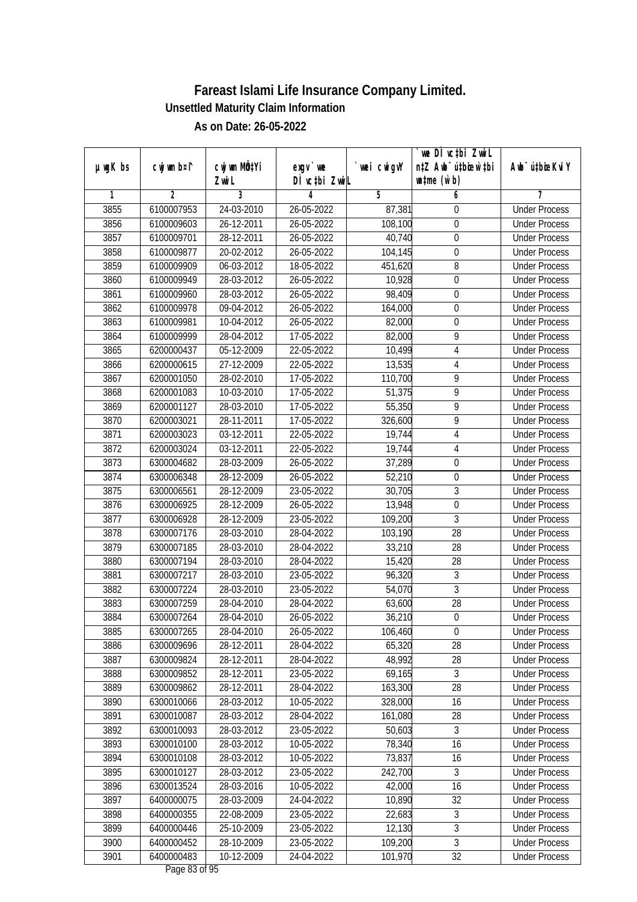| $µ$ ug $K$ bs | cwj wm b¤i^ | cwj wm MQtYi | $exqu$ we     | wei cwigvY | we DI vctbi ZwiL<br>n‡Z Awb <sup>-</sup> ú‡biosw`‡bi | Awb <sup>-</sup> ú‡bioeKviY |
|---------------|-------------|--------------|---------------|------------|------------------------------------------------------|-----------------------------|
|               |             | Zwi L        | DÌ vctbi ZwiL |            | $\n  untime\n  (u`b)\n$                              |                             |
| 1             | 2           | 3            | 4             | 5          | 6                                                    |                             |
| 3855          | 6100007953  | 24-03-2010   | 26-05-2022    | 87,381     | $\boldsymbol{0}$                                     | <b>Under Process</b>        |
| 3856          | 6100009603  | 26-12-2011   | 26-05-2022    | 108,100    | $\boldsymbol{0}$                                     | <b>Under Process</b>        |
| 3857          | 6100009701  | 28-12-2011   | 26-05-2022    | 40,740     | $\boldsymbol{0}$                                     | <b>Under Process</b>        |
| 3858          | 6100009877  | 20-02-2012   | 26-05-2022    | 104,145    | $\mathbf 0$                                          | <b>Under Process</b>        |
| 3859          | 6100009909  | 06-03-2012   | 18-05-2022    | 451,620    | 8                                                    | <b>Under Process</b>        |
| 3860          | 6100009949  | 28-03-2012   | 26-05-2022    | 10,928     | $\boldsymbol{0}$                                     | <b>Under Process</b>        |
| 3861          | 6100009960  | 28-03-2012   | 26-05-2022    | 98,409     | $\boldsymbol{0}$                                     | <b>Under Process</b>        |
| 3862          | 6100009978  | 09-04-2012   | 26-05-2022    | 164,000    | $\boldsymbol{0}$                                     | <b>Under Process</b>        |
| 3863          | 6100009981  | 10-04-2012   | 26-05-2022    | 82,000     | $\boldsymbol{0}$                                     | <b>Under Process</b>        |
| 3864          | 6100009999  | 28-04-2012   | 17-05-2022    | 82,000     | 9                                                    | <b>Under Process</b>        |
| 3865          | 6200000437  | 05-12-2009   | 22-05-2022    | 10,499     | $\overline{4}$                                       | <b>Under Process</b>        |
| 3866          | 6200000615  | 27-12-2009   | 22-05-2022    | 13,535     | $\overline{\mathbf{4}}$                              | <b>Under Process</b>        |
| 3867          | 6200001050  | 28-02-2010   | 17-05-2022    | 110,700    | $\overline{9}$                                       | <b>Under Process</b>        |
| 3868          | 6200001083  | 10-03-2010   | 17-05-2022    | 51,375     | 9                                                    | <b>Under Process</b>        |
| 3869          | 6200001127  | 28-03-2010   | 17-05-2022    | 55,350     | 9                                                    | <b>Under Process</b>        |
| 3870          | 6200003021  | 28-11-2011   | 17-05-2022    | 326,600    | 9                                                    | <b>Under Process</b>        |
| 3871          | 6200003023  | 03-12-2011   | 22-05-2022    | 19,744     | $\overline{\mathbf{4}}$                              | <b>Under Process</b>        |
| 3872          | 6200003024  | 03-12-2011   | 22-05-2022    | 19,744     | $\overline{4}$                                       | <b>Under Process</b>        |
| 3873          | 6300004682  | 28-03-2009   | 26-05-2022    | 37,289     | $\boldsymbol{0}$                                     | <b>Under Process</b>        |
| 3874          | 6300006348  | 28-12-2009   | 26-05-2022    | 52,210     | $\mathbf 0$                                          | <b>Under Process</b>        |
| 3875          | 6300006561  | 28-12-2009   | 23-05-2022    | 30,705     | $\mathfrak{Z}$                                       | <b>Under Process</b>        |
| 3876          | 6300006925  | 28-12-2009   | 26-05-2022    | 13,948     | $\boldsymbol{0}$                                     | <b>Under Process</b>        |
| 3877          | 6300006928  | 28-12-2009   | 23-05-2022    | 109,200    | $\mathfrak{Z}$                                       | <b>Under Process</b>        |
| 3878          | 6300007176  | 28-03-2010   | 28-04-2022    | 103,190    | 28                                                   | <b>Under Process</b>        |
| 3879          | 6300007185  | 28-03-2010   | 28-04-2022    | 33,210     | 28                                                   | <b>Under Process</b>        |
| 3880          | 6300007194  | 28-03-2010   | 28-04-2022    | 15,420     | 28                                                   | <b>Under Process</b>        |
| 3881          | 6300007217  | 28-03-2010   | 23-05-2022    | 96,320     | 3                                                    | <b>Under Process</b>        |
| 3882          | 6300007224  | 28-03-2010   | 23-05-2022    | 54,070     | $\overline{3}$                                       | <b>Under Process</b>        |
| 3883          | 6300007259  | 28-04-2010   | 28-04-2022    | 63,600     | 28                                                   | <b>Under Process</b>        |
| 3884          | 6300007264  | 28-04-2010   | 26-05-2022    | 36,210     | $\boldsymbol{0}$                                     | <b>Under Process</b>        |
| 3885          | 6300007265  | 28-04-2010   | 26-05-2022    | 106,460    | $\mathbf 0$                                          | <b>Under Process</b>        |
| 3886          | 6300009696  | 28-12-2011   | 28-04-2022    | 65,320     | 28                                                   | <b>Under Process</b>        |
| 3887          | 6300009824  | 28-12-2011   | 28-04-2022    | 48,992     | 28                                                   | <b>Under Process</b>        |
| 3888          | 6300009852  | 28-12-2011   | 23-05-2022    | 69,165     | $\overline{3}$                                       | <b>Under Process</b>        |
| 3889          | 6300009862  | 28-12-2011   | 28-04-2022    | 163,300    | 28                                                   | <b>Under Process</b>        |
| 3890          | 6300010066  | 28-03-2012   | 10-05-2022    | 328,000    | 16                                                   | <b>Under Process</b>        |
| 3891          | 6300010087  | 28-03-2012   | 28-04-2022    | 161,080    | 28                                                   | <b>Under Process</b>        |
| 3892          | 6300010093  | 28-03-2012   | 23-05-2022    | 50,603     | 3                                                    | <b>Under Process</b>        |
| 3893          | 6300010100  | 28-03-2012   | 10-05-2022    | 78,340     | 16                                                   | <b>Under Process</b>        |
| 3894          | 6300010108  | 28-03-2012   | 10-05-2022    | 73,837     | 16                                                   | <b>Under Process</b>        |
| 3895          | 6300010127  | 28-03-2012   | 23-05-2022    | 242,700    | 3                                                    | <b>Under Process</b>        |
| 3896          | 6300013524  | 28-03-2016   | 10-05-2022    | 42,000     | 16                                                   | <b>Under Process</b>        |
| 3897          | 6400000075  | 28-03-2009   | 24-04-2022    | 10,890     | 32                                                   | <b>Under Process</b>        |
| 3898          | 6400000355  | 22-08-2009   | 23-05-2022    | 22,683     | 3                                                    | <b>Under Process</b>        |
| 3899          | 6400000446  | 25-10-2009   | 23-05-2022    | 12,130     | $\sqrt{3}$                                           | <b>Under Process</b>        |
| 3900          | 6400000452  | 28-10-2009   | 23-05-2022    | 109,200    | $\overline{3}$                                       | <b>Under Process</b>        |
| 3901          | 6400000483  | 10-12-2009   | 24-04-2022    | 101,970    | 32                                                   | <b>Under Process</b>        |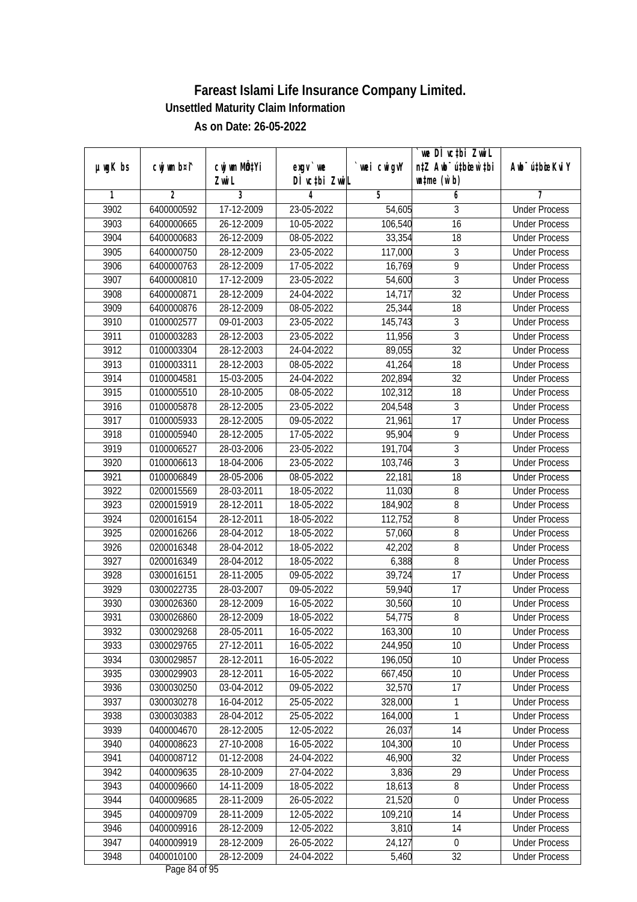|               |                |                           |                    |                   | we DI vctbi Zwil                 |                             |
|---------------|----------------|---------------------------|--------------------|-------------------|----------------------------------|-----------------------------|
| $µ$ ug $K$ bs | cwj wm b¤i^    | cwj wm MQ <sup>1</sup> Yi | $exgv$ we          | `wei cwigvY       | n‡Z Awb <sup>-</sup> ú‡bioen`‡bi | Awb <sup>-</sup> ú‡bioeKviY |
| 1             | $\overline{2}$ | Zwi L<br>3                | DÌ vctbi ZwiL<br>4 | 5                 | $\n  untime\n  (u`b)\n$<br>6     | 7                           |
| 3902          | 6400000592     | 17-12-2009                | 23-05-2022         | 54,605            | 3                                | <b>Under Process</b>        |
| 3903          | 6400000665     | 26-12-2009                | $10-05-2022$       | 106,540           | $\overline{16}$                  | <b>Under Process</b>        |
| 3904          | 6400000683     | 26-12-2009                | 08-05-2022         | 33,354            | 18                               | <b>Under Process</b>        |
| 3905          | 6400000750     | 28-12-2009                | 23-05-2022         | 117,000           | 3                                | <b>Under Process</b>        |
| 3906          | 6400000763     | 28-12-2009                | 17-05-2022         | 16,769            | $\overline{9}$                   | <b>Under Process</b>        |
| 3907          | 6400000810     | 17-12-2009                | 23-05-2022         | 54,600            | 3                                | <b>Under Process</b>        |
| 3908          | 6400000871     | 28-12-2009                | 24-04-2022         | 14,717            | $\overline{32}$                  | <b>Under Process</b>        |
| 3909          | 6400000876     | 28-12-2009                | 08-05-2022         |                   | $\overline{18}$                  | <b>Under Process</b>        |
| 3910          |                |                           |                    | 25,344<br>145,743 | $\overline{3}$                   | <b>Under Process</b>        |
|               | 0100002577     | 09-01-2003                | 23-05-2022         |                   |                                  |                             |
| 3911          | 0100003283     | 28-12-2003                | 23-05-2022         | 11,956            | $\overline{3}$                   | <b>Under Process</b>        |
| 3912          | 0100003304     | 28-12-2003                | 24-04-2022         | 89,055            | $\overline{32}$                  | <b>Under Process</b>        |
| 3913          | 0100003311     | 28-12-2003                | 08-05-2022         | 41,264            | 18                               | <b>Under Process</b>        |
| 3914          | 0100004581     | 15-03-2005                | 24-04-2022         | 202,894           | $\overline{32}$                  | <b>Under Process</b>        |
| 3915          | 0100005510     | 28-10-2005                | 08-05-2022         | 102,312           | 18                               | <b>Under Process</b>        |
| 3916          | 0100005878     | 28-12-2005                | 23-05-2022         | 204,548           | 3                                | <b>Under Process</b>        |
| 3917          | 0100005933     | 28-12-2005                | 09-05-2022         | 21,961            | 17                               | <b>Under Process</b>        |
| 3918          | 0100005940     | 28-12-2005                | 17-05-2022         | 95,904            | 9                                | <b>Under Process</b>        |
| 3919          | 0100006527     | 28-03-2006                | 23-05-2022         | 191,704           | 3                                | <b>Under Process</b>        |
| 3920          | 0100006613     | 18-04-2006                | 23-05-2022         | 103,746           | $\overline{3}$                   | <b>Under Process</b>        |
| 3921          | 0100006849     | 28-05-2006                | 08-05-2022         | 22,181            | 18                               | <b>Under Process</b>        |
| 3922          | 0200015569     | 28-03-2011                | 18-05-2022         | 11,030            | 8                                | <b>Under Process</b>        |
| 3923          | 0200015919     | 28-12-2011                | 18-05-2022         | 184,902           | 8                                | <b>Under Process</b>        |
| 3924          | 0200016154     | 28-12-2011                | 18-05-2022         | 112,752           | 8                                | <b>Under Process</b>        |
| 3925          | 0200016266     | 28-04-2012                | 18-05-2022         | 57,060            | 8                                | <b>Under Process</b>        |
| 3926          | 0200016348     | 28-04-2012                | 18-05-2022         | 42,202            | 8                                | <b>Under Process</b>        |
| 3927          | 0200016349     | 28-04-2012                | 18-05-2022         | 6,388             | 8                                | <b>Under Process</b>        |
| 3928          | 0300016151     | 28-11-2005                | 09-05-2022         | 39,724            | 17                               | <b>Under Process</b>        |
| 3929          | 0300022735     | 28-03-2007                | 09-05-2022         | 59,940            | 17                               | <b>Under Process</b>        |
| 3930          | 0300026360     | 28-12-2009                | 16-05-2022         | 30,560            | 10                               | <b>Under Process</b>        |
| 3931          | 0300026860     | 28-12-2009                | 18-05-2022         | 54,775            | 8                                | <b>Under Process</b>        |
| 3932          | 0300029268     | 28-05-2011                | 16-05-2022         | 163,300           | 10                               | <b>Under Process</b>        |
| 3933          | 0300029765     | 27-12-2011                | 16-05-2022         | 244,950           | 10                               | <b>Under Process</b>        |
| 3934          | 0300029857     | 28-12-2011                | 16-05-2022         | 196,050           | 10                               | <b>Under Process</b>        |
| 3935          | 0300029903     | 28-12-2011                | 16-05-2022         | 667,450           | 10                               | <b>Under Process</b>        |
| 3936          | 0300030250     | 03-04-2012                | 09-05-2022         | 32,570            | 17                               | <b>Under Process</b>        |
| 3937          | 0300030278     | 16-04-2012                | 25-05-2022         | 328,000           | 1                                | <b>Under Process</b>        |
| 3938          | 0300030383     | 28-04-2012                | 25-05-2022         | 164,000           | 1                                | <b>Under Process</b>        |
| 3939          | 0400004670     | 28-12-2005                | 12-05-2022         | 26,037            | 14                               | <b>Under Process</b>        |
| 3940          | 0400008623     | 27-10-2008                | 16-05-2022         | 104, 300          | 10                               | <b>Under Process</b>        |
| 3941          | 0400008712     | 01-12-2008                | 24-04-2022         | 46,900            | 32                               | <b>Under Process</b>        |
| 3942          | 0400009635     | 28-10-2009                | 27-04-2022         | 3,836             | 29                               | <b>Under Process</b>        |
| 3943          | 0400009660     | 14-11-2009                | 18-05-2022         | 18,613            | 8                                | <b>Under Process</b>        |
| 3944          | 0400009685     | 28-11-2009                | 26-05-2022         | 21,520            | 0                                | <b>Under Process</b>        |
| 3945          | 0400009709     | 28-11-2009                | 12-05-2022         | 109,210           | 14                               | <b>Under Process</b>        |
| 3946          | 0400009916     | 28-12-2009                | 12-05-2022         | 3,810             | 14                               | <b>Under Process</b>        |
| 3947          | 0400009919     | 28-12-2009                | 26-05-2022         | 24,127            | 0                                | <b>Under Process</b>        |
| 3948          | 0400010100     | 28-12-2009                | 24-04-2022         | 5,460             | 32                               | <b>Under Process</b>        |
|               |                |                           |                    |                   |                                  |                             |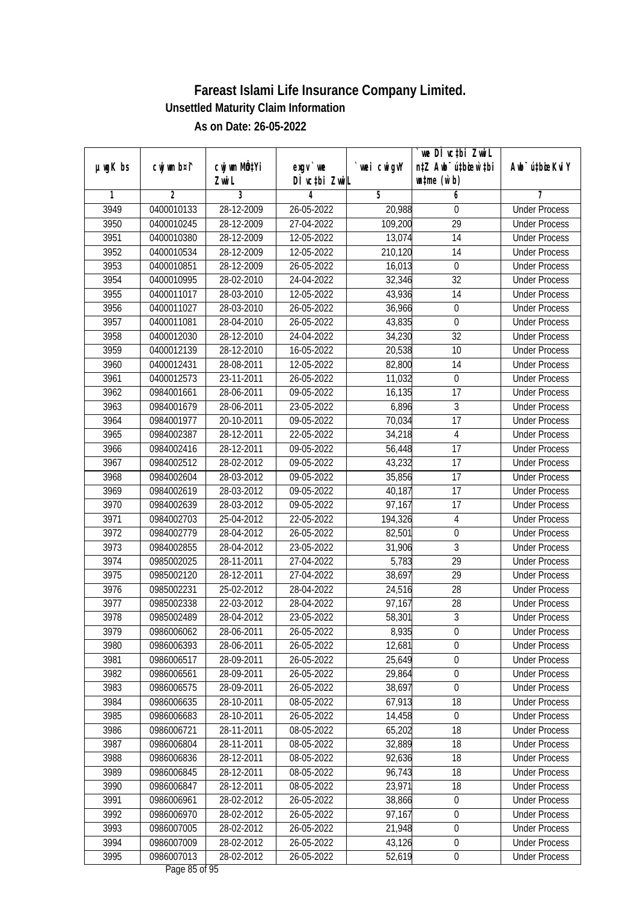|               |                          |                          |                           |                  | we DI vctbi ZwiL                                            |                                              |
|---------------|--------------------------|--------------------------|---------------------------|------------------|-------------------------------------------------------------|----------------------------------------------|
| $µ$ ug $K$ bs | cwj wm b¤i^              | cwj wm MQtYi<br>Zwi L    | exgv `we<br>DÌ vctbi ZwiL | wei cwigvY       | n‡Z Awb <sup>-</sup> ú‡bicen`‡bi<br>$\n  untime\n  (u`b)\n$ | Awb <sup>-</sup> ú‡bioeKviY                  |
| 1             | $\overline{2}$           | 3                        | 4                         | 5                | 6                                                           | 7                                            |
| 3949          | 0400010133               | 28-12-2009               | 26-05-2022                | 20,988           | $\mathbf 0$                                                 | <b>Under Process</b>                         |
| 3950          | 0400010245               | 28-12-2009               | 27-04-2022                | 109,200          | $\overline{29}$                                             | <b>Under Process</b>                         |
| 3951          | 0400010380               | 28-12-2009               | 12-05-2022                | 13,074           | $\overline{14}$                                             | <b>Under Process</b>                         |
| 3952          | 0400010534               | 28-12-2009               | 12-05-2022                | 210,120          | 14                                                          | <b>Under Process</b>                         |
| 3953          | 0400010851               | 28-12-2009               | 26-05-2022                | 16,013           | $\mathbf 0$                                                 | <b>Under Process</b>                         |
| 3954          | 0400010995               | 28-02-2010               | 24-04-2022                | 32,346           | $\overline{32}$                                             | <b>Under Process</b>                         |
| 3955          | 0400011017               | 28-03-2010               | 12-05-2022                | 43,936           | 14                                                          | <b>Under Process</b>                         |
| 3956          | 0400011027               | 28-03-2010               | 26-05-2022                | 36,966           | $\boldsymbol{0}$                                            | <b>Under Process</b>                         |
| 3957          | 0400011081               | 28-04-2010               | 26-05-2022                | 43,835           | $\boldsymbol{0}$                                            | <b>Under Process</b>                         |
| 3958          | 0400012030               | 28-12-2010               | 24-04-2022                | 34,230           | 32                                                          | <b>Under Process</b>                         |
| 3959          | 0400012139               | 28-12-2010               | 16-05-2022                | 20,538           | 10                                                          | <b>Under Process</b>                         |
| 3960          | 0400012431               | 28-08-2011               | 12-05-2022                | 82,800           | 14                                                          | <b>Under Process</b>                         |
| 3961          | 0400012573               | 23-11-2011               | 26-05-2022                | 11,032           | $\boldsymbol{0}$                                            | <b>Under Process</b>                         |
| 3962          | 0984001661               | 28-06-2011               | 09-05-2022                | 16,135           | 17                                                          | <b>Under Process</b>                         |
| 3963          | 0984001679               | 28-06-2011               | 23-05-2022                | 6,896            | $\sqrt{3}$                                                  | <b>Under Process</b>                         |
| 3964          | 0984001977               | 20-10-2011               | 09-05-2022                | 70,034           | 17                                                          | <b>Under Process</b>                         |
| 3965          | 0984002387               | 28-12-2011               | 22-05-2022                | 34,218           | $\sqrt{4}$                                                  | <b>Under Process</b>                         |
| 3966          | 0984002416               | 28-12-2011               | 09-05-2022                | 56,448           | 17                                                          | <b>Under Process</b>                         |
| 3967          | 0984002512               | 28-02-2012               | 09-05-2022                | 43,232           | 17                                                          | <b>Under Process</b>                         |
| 3968          | 0984002604               | 28-03-2012               | 09-05-2022                | 35,856           | 17                                                          | <b>Under Process</b>                         |
| 3969          | 0984002619               | 28-03-2012               | 09-05-2022                | 40,187           | 17                                                          | <b>Under Process</b>                         |
| 3970          | 0984002639               | 28-03-2012               | 09-05-2022                | 97,167           | 17                                                          | <b>Under Process</b>                         |
| 3971          | 0984002703               | 25-04-2012               | 22-05-2022                | 194,326          | $\overline{4}$                                              | <b>Under Process</b>                         |
| 3972          | 0984002779               | 28-04-2012               | 26-05-2022                |                  | $\boldsymbol{0}$                                            | <b>Under Process</b>                         |
| 3973          | 0984002855               | 28-04-2012               | 23-05-2022                | 82,501<br>31,906 | 3                                                           | <b>Under Process</b>                         |
| 3974          | 0985002025               | 28-11-2011               | 27-04-2022                | 5,783            | 29                                                          | <b>Under Process</b>                         |
| 3975          |                          | 28-12-2011               | 27-04-2022                | 38,697           | 29                                                          | <b>Under Process</b>                         |
|               | 0985002120               |                          |                           |                  | 28                                                          |                                              |
| 3976          | 0985002231<br>0985002338 | 25-02-2012               | 28-04-2022<br>28-04-2022  | 24,516           |                                                             | <b>Under Process</b><br><b>Under Process</b> |
| 3977          |                          | 22-03-2012               |                           | 97,167           | 28<br>$\overline{3}$                                        | <b>Under Process</b>                         |
| 3978          | 0985002489               | 28-04-2012               | 23-05-2022                | 58,301           |                                                             |                                              |
| 3979          | 0986006062               | 28-06-2011               | 26-05-2022                | 8,935            | $\boldsymbol{0}$                                            | <b>Under Process</b>                         |
| 3980          | 0986006393               | 28-06-2011               | 26-05-2022                | 12,681           | $\boldsymbol{0}$                                            | <b>Under Process</b>                         |
| 3981          | 0986006517<br>0986006561 | 28-09-2011               | 26-05-2022                | 25,649           | $\boldsymbol{0}$<br>$\overline{0}$                          | <b>Under Process</b>                         |
| 3982          | 0986006575               | 28-09-2011<br>28-09-2011 | 26-05-2022                | 29,864           |                                                             | <b>Under Process</b>                         |
| 3983          |                          |                          | 26-05-2022                | 38,697           | $\boldsymbol{0}$                                            | <b>Under Process</b>                         |
| 3984          | 0986006635               | 28-10-2011               | 08-05-2022                | 67,913           | 18                                                          | <b>Under Process</b>                         |
| 3985          | 0986006683               | 28-10-2011               | 26-05-2022                | 14,458           | $\boldsymbol{0}$                                            | <b>Under Process</b>                         |
| 3986          | 0986006721               | 28-11-2011               | 08-05-2022                | 65,202           | 18                                                          | <b>Under Process</b>                         |
| 3987          | 0986006804               | 28-11-2011               | 08-05-2022                | 32,889           | 18                                                          | <b>Under Process</b>                         |
| 3988          | 0986006836               | 28-12-2011               | 08-05-2022                | 92,636           | 18                                                          | <b>Under Process</b>                         |
| 3989          | 0986006845               | 28-12-2011               | 08-05-2022                | 96,743           | 18                                                          | <b>Under Process</b>                         |
| 3990          | 0986006847               | 28-12-2011               | 08-05-2022                | 23,971           | 18                                                          | <b>Under Process</b>                         |
| 3991          | 0986006961               | 28-02-2012               | 26-05-2022                | 38,866           | $\boldsymbol{0}$                                            | <b>Under Process</b>                         |
| 3992          | 0986006970               | 28-02-2012               | 26-05-2022                | 97,167           | $\boldsymbol{0}$                                            | <b>Under Process</b>                         |
| 3993          | 0986007005               | 28-02-2012               | 26-05-2022                | 21,948           | $\boldsymbol{0}$                                            | <b>Under Process</b>                         |
| 3994          | 0986007009               | 28-02-2012               | 26-05-2022                | 43,126           | $\boldsymbol{0}$                                            | <b>Under Process</b>                         |
| 3995          | 0986007013               | 28-02-2012               | 26-05-2022                | 52,619           | $\pmb{0}$                                                   | <b>Under Process</b>                         |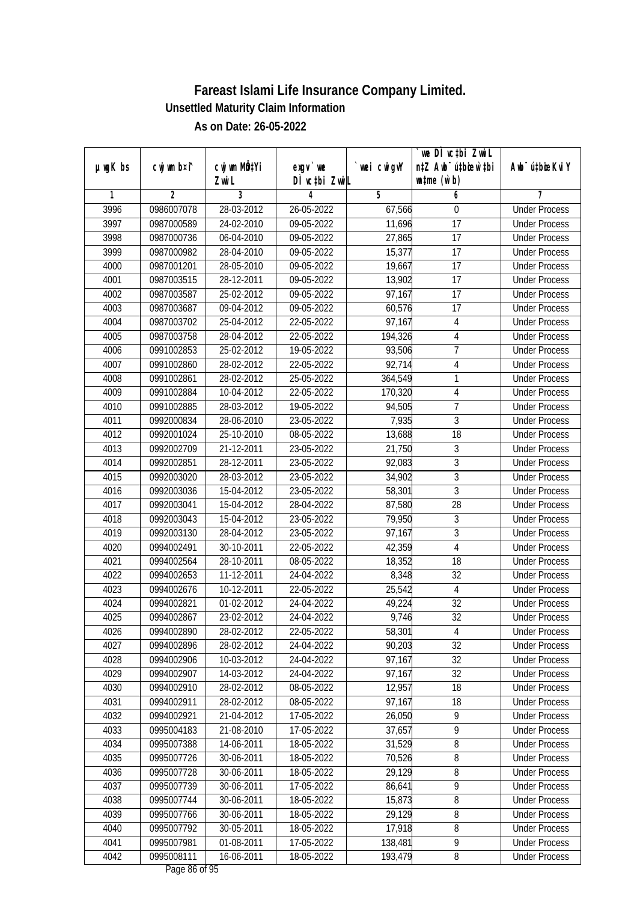| $µ$ ug $K$ bs | cwj wm b¤i^ | cwj wm MQtYi | exgv `we      | wei cwigvY | `we DÌ vc‡bi ZwiL<br>n‡Z Awb <sup>-</sup> ú‡bioen`‡bi | Awb <sup>-</sup> ú‡bioeKviY |
|---------------|-------------|--------------|---------------|------------|-------------------------------------------------------|-----------------------------|
|               |             | Zwi L        | DÌ vctbi ZwiL |            | $\n  untime\n  (u`b)\n$                               |                             |
| 1             | 2           | 3            | 4             | 5          | 6                                                     | 7                           |
| 3996          | 0986007078  | 28-03-2012   | 26-05-2022    | 67,566     | 0                                                     | <b>Under Process</b>        |
| 3997          | 0987000589  | 24-02-2010   | 09-05-2022    | 11,696     | $\overline{17}$                                       | <b>Under Process</b>        |
| 3998          | 0987000736  | 06-04-2010   | 09-05-2022    | 27,865     | 17                                                    | <b>Under Process</b>        |
| 3999          | 0987000982  | 28-04-2010   | 09-05-2022    | 15,377     | 17                                                    | <b>Under Process</b>        |
| 4000          | 0987001201  | 28-05-2010   | 09-05-2022    | 19,667     | 17                                                    | <b>Under Process</b>        |
| 4001          | 0987003515  | 28-12-2011   | 09-05-2022    | 13,902     | $\overline{17}$                                       | <b>Under Process</b>        |
| 4002          | 0987003587  | 25-02-2012   | 09-05-2022    | 97,167     | $\overline{17}$                                       | <b>Under Process</b>        |
| 4003          | 0987003687  | 09-04-2012   | 09-05-2022    | 60,576     | 17                                                    | <b>Under Process</b>        |
| 4004          | 0987003702  | 25-04-2012   | 22-05-2022    | 97,167     | $\overline{4}$                                        | <b>Under Process</b>        |
| 4005          | 0987003758  | 28-04-2012   | 22-05-2022    | 194,326    | 4                                                     | <b>Under Process</b>        |
| 4006          | 0991002853  | 25-02-2012   | 19-05-2022    | 93,506     | $\overline{7}$                                        | <b>Under Process</b>        |
| 4007          | 0991002860  | 28-02-2012   | 22-05-2022    | 92,714     | $\overline{4}$                                        | <b>Under Process</b>        |
| 4008          | 0991002861  | 28-02-2012   | 25-05-2022    | 364,549    | 1                                                     | <b>Under Process</b>        |
| 4009          | 0991002884  | 10-04-2012   | 22-05-2022    | 170,320    | $\overline{4}$                                        | <b>Under Process</b>        |
| 4010          | 0991002885  | 28-03-2012   | 19-05-2022    | 94,505     | $\overline{1}$                                        | <b>Under Process</b>        |
| 4011          | 0992000834  | 28-06-2010   | 23-05-2022    | 7,935      | $\overline{3}$                                        | <b>Under Process</b>        |
| 4012          | 0992001024  | 25-10-2010   | 08-05-2022    | 13,688     | 18                                                    | <b>Under Process</b>        |
| 4013          | 0992002709  | 21-12-2011   | 23-05-2022    | 21,750     | $\sqrt{3}$                                            | <b>Under Process</b>        |
| 4014          | 0992002851  | 28-12-2011   | 23-05-2022    | 92,083     | $\sqrt{3}$                                            | <b>Under Process</b>        |
| 4015          | 0992003020  | 28-03-2012   | 23-05-2022    | 34,902     | $\overline{3}$                                        | <b>Under Process</b>        |
| 4016          | 0992003036  | 15-04-2012   | 23-05-2022    | 58,301     | $\overline{3}$                                        | <b>Under Process</b>        |
| 4017          | 0992003041  | 15-04-2012   | 28-04-2022    | 87,580     | 28                                                    | <b>Under Process</b>        |
| 4018          | 0992003043  | 15-04-2012   | 23-05-2022    | 79,950     | 3                                                     | <b>Under Process</b>        |
| 4019          | 0992003130  | 28-04-2012   | 23-05-2022    | 97,167     | $\mathfrak{Z}$                                        | <b>Under Process</b>        |
| 4020          | 0994002491  | 30-10-2011   | 22-05-2022    | 42,359     | $\overline{4}$                                        | <b>Under Process</b>        |
| 4021          | 0994002564  | 28-10-2011   | 08-05-2022    | 18,352     | 18                                                    | <b>Under Process</b>        |
| 4022          | 0994002653  | 11-12-2011   | 24-04-2022    | 8,348      | 32                                                    | <b>Under Process</b>        |
| 4023          | 0994002676  | 10-12-2011   | 22-05-2022    | 25,542     | $\overline{4}$                                        | <b>Under Process</b>        |
| 4024          | 0994002821  | 01-02-2012   | 24-04-2022    | 49,224     | 32                                                    | <b>Under Process</b>        |
| 4025          | 0994002867  | 23-02-2012   | 24-04-2022    | 9,746      | 32                                                    | <b>Under Process</b>        |
| 4026          | 0994002890  | 28-02-2012   | 22-05-2022    | 58,301     | 4                                                     | <b>Under Process</b>        |
| 4027          | 0994002896  | 28-02-2012   | 24-04-2022    | 90,203     | 32                                                    | <b>Under Process</b>        |
| 4028          | 0994002906  | 10-03-2012   | 24-04-2022    | 97,167     | 32                                                    | <b>Under Process</b>        |
| 4029          | 0994002907  | 14-03-2012   | 24-04-2022    | 97,167     | 32                                                    | <b>Under Process</b>        |
| 4030          | 0994002910  | 28-02-2012   | 08-05-2022    | 12,957     | 18                                                    | <b>Under Process</b>        |
| 4031          | 0994002911  | 28-02-2012   | 08-05-2022    | 97,167     | 18                                                    | <b>Under Process</b>        |
| 4032          | 0994002921  | 21-04-2012   | 17-05-2022    | 26,050     | 9                                                     | <b>Under Process</b>        |
| 4033          | 0995004183  | 21-08-2010   | 17-05-2022    | 37,657     | 9                                                     | <b>Under Process</b>        |
| 4034          | 0995007388  | 14-06-2011   | 18-05-2022    | 31,529     | $\, 8$                                                | <b>Under Process</b>        |
| 4035          | 0995007726  | 30-06-2011   | 18-05-2022    | 70,526     | $\overline{8}$                                        | <b>Under Process</b>        |
| 4036          | 0995007728  | 30-06-2011   | 18-05-2022    | 29,129     | $\overline{8}$                                        | <b>Under Process</b>        |
| 4037          | 0995007739  | 30-06-2011   | 17-05-2022    | 86,641     | $\overline{9}$                                        | <b>Under Process</b>        |
| 4038          | 0995007744  | 30-06-2011   | 18-05-2022    | 15,873     | $\overline{8}$                                        | <b>Under Process</b>        |
| 4039          | 0995007766  | 30-06-2011   | 18-05-2022    | 29,129     | 8                                                     | <b>Under Process</b>        |
| 4040          | 0995007792  | 30-05-2011   | 18-05-2022    | 17,918     | $\overline{8}$                                        | <b>Under Process</b>        |
| 4041          | 0995007981  | 01-08-2011   | 17-05-2022    | 138,481    | $\overline{9}$                                        | <b>Under Process</b>        |
| 4042          | 0995008111  | 16-06-2011   | 18-05-2022    | 193,479    | 8                                                     | <b>Under Process</b>        |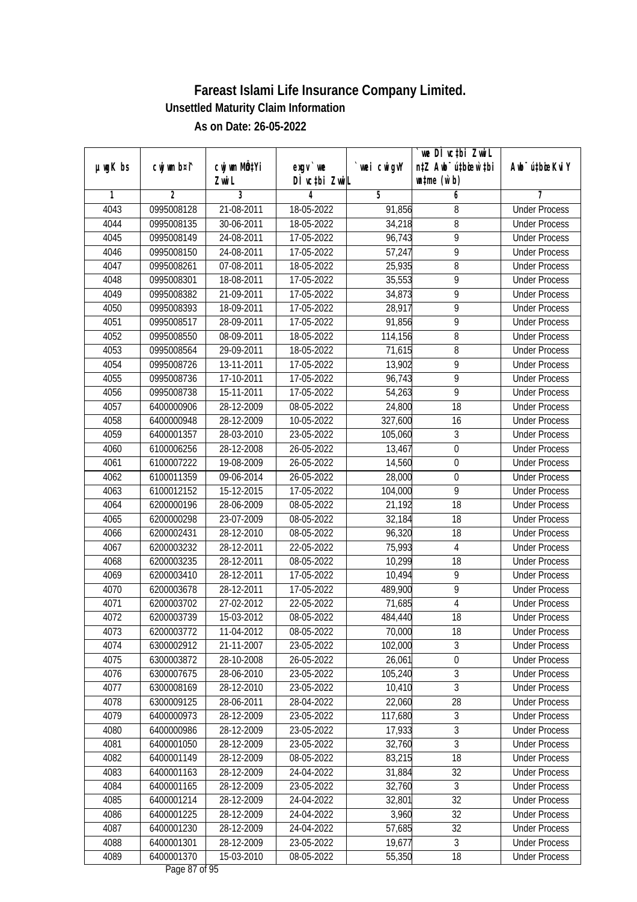|               |                |                             |                  |             | we DI vctbi Zwil                 |                             |
|---------------|----------------|-----------------------------|------------------|-------------|----------------------------------|-----------------------------|
| $µ$ ug $K$ bs | cwj wm b¤i^    | cwj wm MQ <sup>1</sup> Yi   | $exgV$ we        | `wei cwigvY | n‡Z Awb <sup>-</sup> ú‡bioen`‡bi | Awb <sup>-</sup> ú‡bioeKviY |
|               |                | Zwi L                       | DÌ vctbi ZwiL    |             | $\n  untime\n  (u`b)\n$          |                             |
| 1             | $\overline{2}$ | 3                           | 4                | 5           | 6                                | 7                           |
| 4043          | 0995008128     | 21-08-2011                  | 18-05-2022       | 91,856      | 8                                | <b>Under Process</b>        |
| 4044          | 0995008135     | 30-06-2011                  | 18-05-2022       | 34,218      | 8                                | <b>Under Process</b>        |
| 4045          | 0995008149     | 24-08-2011                  | 17-05-2022       | 96,743      | $\overline{9}$                   | <b>Under Process</b>        |
| 4046          | 0995008150     | 24-08-2011                  | 17-05-2022       | 57,247      | 9                                | <b>Under Process</b>        |
| 4047          | 0995008261     | 07-08-2011                  | 18-05-2022       | 25,935      | 8                                | <b>Under Process</b>        |
| 4048          | 0995008301     | 18-08-2011                  | 17-05-2022       | 35,553      | 9                                | <b>Under Process</b>        |
| 4049          | 0995008382     | 21-09-2011                  | $17 - 05 - 2022$ | 34,873      | 9                                | <b>Under Process</b>        |
| 4050          | 0995008393     | 18-09-2011                  | 17-05-2022       | 28,917      | 9                                | <b>Under Process</b>        |
| 4051          | 0995008517     | 28-09-2011                  | 17-05-2022       | 91,856      | $\overline{9}$                   | <b>Under Process</b>        |
| 4052          | 0995008550     | 08-09-2011                  | 18-05-2022       | 114,156     | 8                                | <b>Under Process</b>        |
| 4053          | 0995008564     | 29-09-2011                  | 18-05-2022       | 71,615      | 8                                | <b>Under Process</b>        |
| 4054          | 0995008726     | 13-11-2011                  | 17-05-2022       | 13,902      | 9                                | <b>Under Process</b>        |
| 4055          | 0995008736     | 17-10-2011                  | 17-05-2022       | 96,743      | $\overline{9}$                   | <b>Under Process</b>        |
| 4056          | 0995008738     | 15-11-2011                  | 17-05-2022       | 54,263      | 9                                | <b>Under Process</b>        |
| 4057          | 6400000906     | 28-12-2009                  | 08-05-2022       | 24,800      | 18                               | <b>Under Process</b>        |
| 4058          | 6400000948     | 28-12-2009                  | 10-05-2022       | 327,600     | 16                               | <b>Under Process</b>        |
| 4059          | 6400001357     | 28-03-2010                  | 23-05-2022       | 105,060     | 3                                | <b>Under Process</b>        |
| 4060          | 6100006256     | 28-12-2008                  | 26-05-2022       | 13,467      | $\overline{0}$                   | <b>Under Process</b>        |
| 4061          | 6100007222     | 19-08-2009                  | 26-05-2022       | 14,560      | $\boldsymbol{0}$                 | <b>Under Process</b>        |
| 4062          | 6100011359     | 09-06-2014                  | 26-05-2022       | 28,000      | $\boldsymbol{0}$                 | <b>Under Process</b>        |
| 4063          | 6100012152     | $\overline{15} - 12 - 2015$ | 17-05-2022       | 104,000     | 9                                | <b>Under Process</b>        |
| 4064          | 6200000196     | 28-06-2009                  | 08-05-2022       | 21,192      | 18                               | <b>Under Process</b>        |
| 4065          | 6200000298     | 23-07-2009                  | 08-05-2022       | 32,184      | 18                               | <b>Under Process</b>        |
| 4066          | 6200002431     | 28-12-2010                  | 08-05-2022       | 96,320      | 18                               | <b>Under Process</b>        |
| 4067          | 6200003232     | 28-12-2011                  | 22-05-2022       | 75,993      | $\overline{4}$                   | <b>Under Process</b>        |
| 4068          | 6200003235     | 28-12-2011                  | 08-05-2022       | 10,299      | 18                               | <b>Under Process</b>        |
| 4069          | 6200003410     | 28-12-2011                  | 17-05-2022       | 10,494      | 9                                | <b>Under Process</b>        |
| 4070          | 6200003678     | 28-12-2011                  | 17-05-2022       | 489,900     | 9                                | <b>Under Process</b>        |
| 4071          | 6200003702     | 27-02-2012                  | 22-05-2022       | 71,685      | $\overline{4}$                   | <b>Under Process</b>        |
| 4072          | 6200003739     | 15-03-2012                  | 08-05-2022       | 484,440     | 18                               | <b>Under Process</b>        |
| 4073          | 6200003772     | 11-04-2012                  | 08-05-2022       | 70,000      | 18                               | <b>Under Process</b>        |
| 4074          | 6300002912     | 21-11-2007                  | 23-05-2022       | 102,000     | 3                                | <b>Under Process</b>        |
| 4075          | 6300003872     | 28-10-2008                  | 26-05-2022       | 26,061      | $\boldsymbol{0}$                 | <b>Under Process</b>        |
| 4076          | 6300007675     | 28-06-2010                  | 23-05-2022       | 105,240     | $\overline{3}$                   | <b>Under Process</b>        |
| 4077          | 6300008169     | 28-12-2010                  | 23-05-2022       | 10,410      | $\overline{3}$                   | <b>Under Process</b>        |
| 4078          | 6300009125     | 28-06-2011                  | 28-04-2022       | 22,060      | 28                               | <b>Under Process</b>        |
| 4079          | 6400000973     | 28-12-2009                  | 23-05-2022       | 117,680     | $\overline{3}$                   | <b>Under Process</b>        |
| 4080          | 6400000986     | 28-12-2009                  | 23-05-2022       | 17,933      | $\overline{3}$                   | <b>Under Process</b>        |
| 4081          | 6400001050     | 28-12-2009                  | 23-05-2022       | 32,760      | $\overline{3}$                   | <b>Under Process</b>        |
| 4082          | 6400001149     | 28-12-2009                  | 08-05-2022       | 83,215      | 18                               | <b>Under Process</b>        |
| 4083          | 6400001163     | 28-12-2009                  | 24-04-2022       | 31,884      | 32                               | <b>Under Process</b>        |
| 4084          | 6400001165     | 28-12-2009                  | 23-05-2022       | 32,760      | 3                                | <b>Under Process</b>        |
| 4085          | 6400001214     | 28-12-2009                  | 24-04-2022       | 32,801      | $\overline{32}$                  | <b>Under Process</b>        |
| 4086          | 6400001225     | 28-12-2009                  | 24-04-2022       | 3,960       | 32                               | <b>Under Process</b>        |
| 4087          | 6400001230     | 28-12-2009                  | 24-04-2022       | 57,685      | 32                               | <b>Under Process</b>        |
| 4088          | 6400001301     | 28-12-2009                  | 23-05-2022       | 19,677      | $\mathfrak{Z}$                   | <b>Under Process</b>        |
| 4089          | 6400001370     | 15-03-2010                  | 08-05-2022       | 55,350      | 18                               | <b>Under Process</b>        |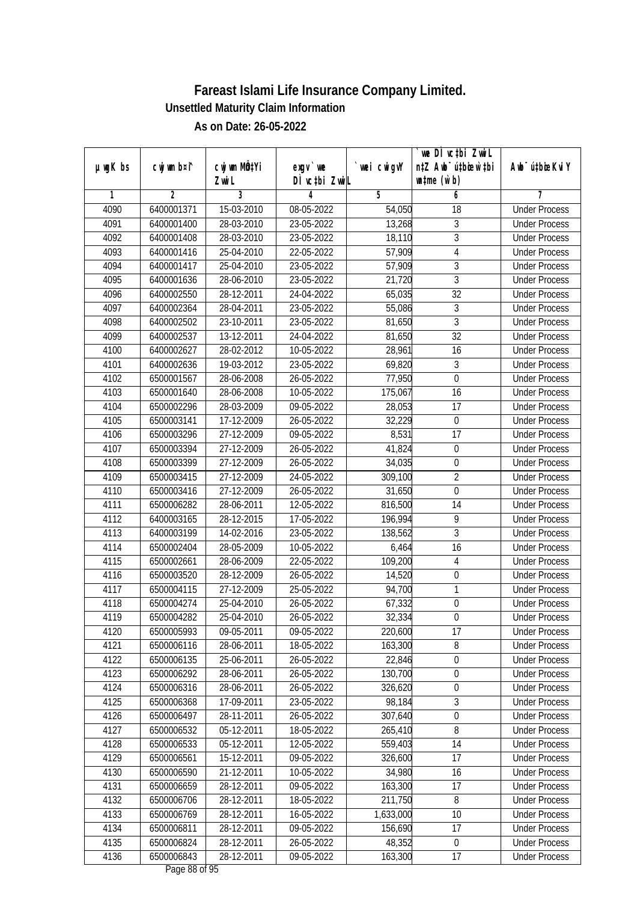|               | cwj wm b¤i^    | cwj wm MÖ¢Yi     |                            |            | we DI vctbi ZwiL<br>n‡Z Awb <sup>-</sup> ú‡bioen`‡bi | Awb <sup>-</sup> ú‡bioeKviY |
|---------------|----------------|------------------|----------------------------|------------|------------------------------------------------------|-----------------------------|
| $µ$ ug $K$ bs |                | Zwi L            | $exgV$ we<br>DÌ vctbi ZwiL | wei cwigvY | $\n  untime\n  (u`b)\n$                              |                             |
| 1             | $\overline{2}$ | 3                | 4                          | 5          | 6                                                    | 7                           |
| 4090          | 6400001371     | 15-03-2010       | 08-05-2022                 | 54,050     | $\overline{18}$                                      | <b>Under Process</b>        |
| 4091          | 6400001400     | 28-03-2010       | 23-05-2022                 | 13,268     | 3                                                    | <b>Under Process</b>        |
| 4092          | 6400001408     | 28-03-2010       | 23-05-2022                 | 18,110     | $\overline{3}$                                       | <b>Under Process</b>        |
| 4093          | 6400001416     | 25-04-2010       | 22-05-2022                 | 57,909     | $\overline{4}$                                       | <b>Under Process</b>        |
| 4094          | 6400001417     | 25-04-2010       | 23-05-2022                 | 57,909     | $\overline{3}$                                       | <b>Under Process</b>        |
| 4095          | 6400001636     | 28-06-2010       | 23-05-2022                 | 21,720     | $\overline{3}$                                       | <b>Under Process</b>        |
| 4096          | 6400002550     | 28-12-2011       | 24-04-2022                 | 65,035     | $\overline{32}$                                      | <b>Under Process</b>        |
| 4097          | 6400002364     | 28-04-2011       | 23-05-2022                 | 55,086     | $\sqrt{3}$                                           | <b>Under Process</b>        |
| 4098          | 6400002502     | 23-10-2011       | 23-05-2022                 | 81,650     | $\overline{3}$                                       | <b>Under Process</b>        |
| 4099          | 6400002537     | 13-12-2011       | 24-04-2022                 | 81,650     | 32                                                   | <b>Under Process</b>        |
| 4100          | 6400002627     | 28-02-2012       | 10-05-2022                 | 28,961     | 16                                                   | <b>Under Process</b>        |
| 4101          | 6400002636     | 19-03-2012       | 23-05-2022                 | 69,820     | $\sqrt{3}$                                           | <b>Under Process</b>        |
| 4102          | 6500001567     | 28-06-2008       | 26-05-2022                 | 77,950     | $\overline{0}$                                       | <b>Under Process</b>        |
| 4103          | 6500001640     | 28-06-2008       | 10-05-2022                 | 175,067    | 16                                                   | <b>Under Process</b>        |
| 4104          | 6500002296     | 28-03-2009       | 09-05-2022                 | 28,053     | 17                                                   | <b>Under Process</b>        |
| 4105          | 6500003141     | 17-12-2009       | 26-05-2022                 | 32,229     | $\boldsymbol{0}$                                     | <b>Under Process</b>        |
| 4106          | 6500003296     | 27-12-2009       | 09-05-2022                 | 8,531      | 17                                                   | <b>Under Process</b>        |
| 4107          | 6500003394     | 27-12-2009       | 26-05-2022                 | 41,824     | $\boldsymbol{0}$                                     | <b>Under Process</b>        |
| 4108          | 6500003399     | 27-12-2009       | 26-05-2022                 | 34,035     | $\boldsymbol{0}$                                     | <b>Under Process</b>        |
| 4109          | 6500003415     | 27-12-2009       | 24-05-2022                 | 309,100    | $\overline{2}$                                       | <b>Under Process</b>        |
| 4110          | 6500003416     | $27 - 12 - 2009$ | 26-05-2022                 | 31,650     | $\mathbf 0$                                          | <b>Under Process</b>        |
| 4111          | 6500006282     | 28-06-2011       | 12-05-2022                 | 816,500    | 14                                                   | <b>Under Process</b>        |
| 4112          | 6400003165     | 28-12-2015       | 17-05-2022                 | 196,994    | 9                                                    | <b>Under Process</b>        |
| 4113          | 6400003199     | 14-02-2016       | 23-05-2022                 | 138,562    | $\mathfrak{Z}$                                       | <b>Under Process</b>        |
| 4114          | 6500002404     | 28-05-2009       | 10-05-2022                 | 6,464      | 16                                                   | <b>Under Process</b>        |
| 4115          | 6500002661     | 28-06-2009       | 22-05-2022                 | 109,200    | 4                                                    | <b>Under Process</b>        |
| 4116          | 6500003520     | 28-12-2009       | 26-05-2022                 | 14,520     | $\boldsymbol{0}$                                     | <b>Under Process</b>        |
| 4117          | 6500004115     | 27-12-2009       | 25-05-2022                 | 94,700     | 1                                                    | <b>Under Process</b>        |
| 4118          | 6500004274     | 25-04-2010       | 26-05-2022                 | 67,332     | $\boldsymbol{0}$                                     | <b>Under Process</b>        |
| 4119          | 6500004282     | 25-04-2010       | 26-05-2022                 | 32,334     | $\boldsymbol{0}$                                     | <b>Under Process</b>        |
| 4120          | 6500005993     | 09-05-2011       | 09-05-2022                 | 220,600    | 17                                                   | <b>Under Process</b>        |
| 4121          | 6500006116     | 28-06-2011       | 18-05-2022                 | 163,300    | 8                                                    | <b>Under Process</b>        |
| 4122          | 6500006135     | 25-06-2011       | 26-05-2022                 | 22,846     | $\boldsymbol{0}$                                     | <b>Under Process</b>        |
| 4123          | 6500006292     | 28-06-2011       | 26-05-2022                 | 130,700    | $\overline{0}$                                       | <b>Under Process</b>        |
| 4124          | 6500006316     | 28-06-2011       | 26-05-2022                 | 326,620    | $\boldsymbol{0}$                                     | <b>Under Process</b>        |
| 4125          | 6500006368     | 17-09-2011       | 23-05-2022                 | 98,184     | 3                                                    | <b>Under Process</b>        |
| 4126          | 6500006497     | 28-11-2011       | 26-05-2022                 | 307,640    | $\boldsymbol{0}$                                     | <b>Under Process</b>        |
| 4127          | 6500006532     | 05-12-2011       | 18-05-2022                 | 265,410    | $\overline{8}$                                       | <b>Under Process</b>        |
| 4128          | 6500006533     | 05-12-2011       | 12-05-2022                 | 559,403    | 14                                                   | <b>Under Process</b>        |
| 4129          | 6500006561     | 15-12-2011       | 09-05-2022                 | 326,600    | 17                                                   | <b>Under Process</b>        |
| 4130          | 6500006590     | 21-12-2011       | 10-05-2022                 | 34,980     | 16                                                   | <b>Under Process</b>        |
| 4131          | 6500006659     | 28-12-2011       | 09-05-2022                 | 163,300    | 17                                                   | <b>Under Process</b>        |
| 4132          | 6500006706     | 28-12-2011       | 18-05-2022                 | 211,750    | 8                                                    | <b>Under Process</b>        |
| 4133          | 6500006769     | 28-12-2011       | 16-05-2022                 | 1,633,000  | 10                                                   | <b>Under Process</b>        |
| 4134          | 6500006811     | 28-12-2011       | 09-05-2022                 | 156,690    | 17                                                   | <b>Under Process</b>        |
| 4135          | 6500006824     | 28-12-2011       | 26-05-2022                 | 48,352     | $\boldsymbol{0}$                                     | <b>Under Process</b>        |
| 4136          | 6500006843     | 28-12-2011       | 09-05-2022                 | 163,300    | 17                                                   | <b>Under Process</b>        |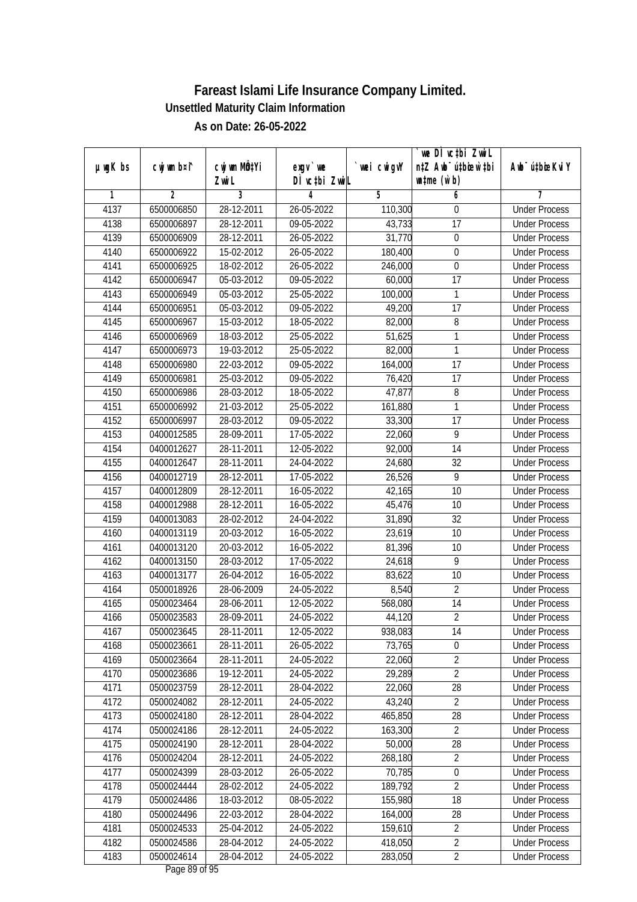|               |                          |              |                    |                   | we DI vctbi ZwiL                 |                                              |
|---------------|--------------------------|--------------|--------------------|-------------------|----------------------------------|----------------------------------------------|
| $µ$ ug $K$ bs | cwj wm b¤i^              | cwj wm MÖ¢Yi | $exgV$ we          | wei cwigvY        | n‡Z Awb <sup>-</sup> ú‡bicen`‡bi | Awb <sup>-</sup> ú‡bioeKviY                  |
| 1             | $\overline{2}$           | Zwi L<br>3   | DÌ vctbi ZwiL<br>4 | 5                 | $\n  untime\n  (u`b)\n$<br>6     | 7                                            |
| 4137          | 6500006850               | 28-12-2011   | 26-05-2022         | 110,300           | $\boldsymbol{0}$                 | <b>Under Process</b>                         |
| 4138          | 6500006897               | 28-12-2011   | 09-05-2022         | 43,733            | $\overline{17}$                  | <b>Under Process</b>                         |
| 4139          | 6500006909               | 28-12-2011   | 26-05-2022         | 31,770            | $\overline{0}$                   | <b>Under Process</b>                         |
| 4140          |                          |              |                    |                   | $\boldsymbol{0}$                 | <b>Under Process</b>                         |
|               | 6500006922<br>6500006925 | 15-02-2012   | 26-05-2022         | 180,400           | $\boldsymbol{0}$                 | <b>Under Process</b>                         |
| 4141<br>4142  |                          | 18-02-2012   | 26-05-2022         | 246,000           | $\overline{17}$                  | <b>Under Process</b>                         |
|               | 6500006947               | 05-03-2012   | 09-05-2022         | 60,000<br>100,000 |                                  |                                              |
| 4143          | 6500006949<br>6500006951 | 05-03-2012   | 25-05-2022         |                   | $\mathbf{1}$<br>17               | <b>Under Process</b><br><b>Under Process</b> |
| 4144          |                          | 05-03-2012   | 09-05-2022         | 49,200            |                                  |                                              |
| 4145          | 6500006967               | 15-03-2012   | 18-05-2022         | 82,000            | 8                                | <b>Under Process</b>                         |
| 4146          | 6500006969               | 18-03-2012   | 25-05-2022         | 51,625            | 1                                | <b>Under Process</b>                         |
| 4147          | 6500006973               | 19-03-2012   | 25-05-2022         | 82,000            | 1                                | <b>Under Process</b>                         |
| 4148          | 6500006980               | 22-03-2012   | 09-05-2022         | 164,000           | 17                               | <b>Under Process</b>                         |
| 4149          | 6500006981               | 25-03-2012   | 09-05-2022         | 76,420            | $\overline{17}$                  | <b>Under Process</b>                         |
| 4150          | 6500006986               | 28-03-2012   | 18-05-2022         | 47,877            | 8                                | <b>Under Process</b>                         |
| 4151          | 6500006992               | 21-03-2012   | 25-05-2022         | 161,880           | 1                                | <b>Under Process</b>                         |
| 4152          | 6500006997               | 28-03-2012   | 09-05-2022         | 33,300            | 17                               | <b>Under Process</b>                         |
| 4153          | 0400012585               | 28-09-2011   | 17-05-2022         | 22,060            | 9                                | <b>Under Process</b>                         |
| 4154          | 0400012627               | 28-11-2011   | 12-05-2022         | 92,000            | 14                               | <b>Under Process</b>                         |
| 4155          | 0400012647               | 28-11-2011   | 24-04-2022         | 24,680            | 32                               | <b>Under Process</b>                         |
| 4156          | 0400012719               | 28-12-2011   | 17-05-2022         | 26,526            | 9                                | <b>Under Process</b>                         |
| 4157          | 0400012809               | 28-12-2011   | 16-05-2022         | 42,165            | 10                               | <b>Under Process</b>                         |
| 4158          | 0400012988               | 28-12-2011   | 16-05-2022         | 45,476            | 10                               | <b>Under Process</b>                         |
| 4159          | 0400013083               | 28-02-2012   | 24-04-2022         | 31,890            | 32                               | <b>Under Process</b>                         |
| 4160          | 0400013119               | 20-03-2012   | 16-05-2022         | 23,619            | 10                               | <b>Under Process</b>                         |
| 4161          | 0400013120               | 20-03-2012   | 16-05-2022         | 81,396            | 10                               | <b>Under Process</b>                         |
| 4162          | 0400013150               | 28-03-2012   | 17-05-2022         | 24,618            | 9                                | <b>Under Process</b>                         |
| 4163          | 0400013177               | 26-04-2012   | 16-05-2022         | 83,622            | 10                               | <b>Under Process</b>                         |
| 4164          | 0500018926               | 28-06-2009   | 24-05-2022         | 8,540             | $\overline{2}$                   | <b>Under Process</b>                         |
| 4165          | 0500023464               | 28-06-2011   | 12-05-2022         | 568,080           | 14                               | <b>Under Process</b>                         |
| 4166          | 0500023583               | 28-09-2011   | 24-05-2022         | 44,120            | $\overline{2}$                   | <b>Under Process</b>                         |
| 4167          | 0500023645               | 28-11-2011   | 12-05-2022         | 938,083           | 14                               | <b>Under Process</b>                         |
| 4168          | 0500023661               | 28-11-2011   | 26-05-2022         | 73,765            | $\mathbf 0$                      | <b>Under Process</b>                         |
| 4169          | 0500023664               | 28-11-2011   | 24-05-2022         | 22,060            | $\overline{2}$                   | <b>Under Process</b>                         |
| 4170          | 0500023686               | 19-12-2011   | 24-05-2022         | 29,289            | $\overline{2}$                   | <b>Under Process</b>                         |
| 4171          | 0500023759               | 28-12-2011   | 28-04-2022         | 22,060            | 28                               | <b>Under Process</b>                         |
| 4172          | 0500024082               | 28-12-2011   | 24-05-2022         | 43,240            | $\overline{2}$                   | <b>Under Process</b>                         |
| 4173          | 0500024180               | 28-12-2011   | 28-04-2022         | 465,850           | 28                               | <b>Under Process</b>                         |
| 4174          | 0500024186               | 28-12-2011   | 24-05-2022         | 163,300           | $\overline{2}$                   | <b>Under Process</b>                         |
| 4175          | 0500024190               | 28-12-2011   | 28-04-2022         | 50,000            | 28                               | <b>Under Process</b>                         |
| 4176          | 0500024204               | 28-12-2011   | 24-05-2022         | 268,180           | $\overline{2}$                   | <b>Under Process</b>                         |
| 4177          | 0500024399               | 28-03-2012   | 26-05-2022         | 70,785            | $\pmb{0}$                        | <b>Under Process</b>                         |
| 4178          | 0500024444               | 28-02-2012   | 24-05-2022         | 189,792           | $\overline{2}$                   | <b>Under Process</b>                         |
| 4179          | 0500024486               | 18-03-2012   | 08-05-2022         | 155,980           | 18                               | <b>Under Process</b>                         |
| 4180          | 0500024496               | 22-03-2012   | 28-04-2022         | 164,000           | 28                               | <b>Under Process</b>                         |
| 4181          | 0500024533               | 25-04-2012   | 24-05-2022         | 159,610           | $\overline{2}$                   | <b>Under Process</b>                         |
| 4182          | 0500024586               | 28-04-2012   | 24-05-2022         | 418,050           | $\overline{2}$                   | <b>Under Process</b>                         |
| 4183          | 0500024614               | 28-04-2012   | 24-05-2022         | 283,050           | $\overline{2}$                   | <b>Under Process</b>                         |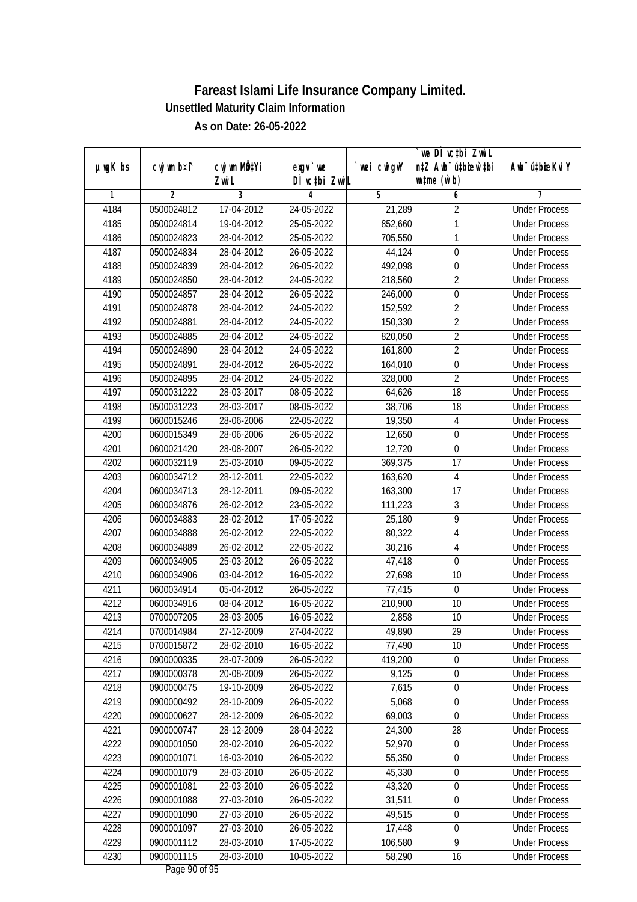|               |                |                       |                           |                    | we DI vctbi ZwiL                                            |                             |
|---------------|----------------|-----------------------|---------------------------|--------------------|-------------------------------------------------------------|-----------------------------|
| $µ$ ug $K$ bs | cwj wm b¤i^    | cwj wm MÖ¢Yi<br>Zwi L | exgv `we<br>DÌ vctbi ZwiL | wei cwigvY         | n‡Z Awb <sup>-</sup> ú‡bioar`‡bi<br>$\n  untime\n  (u`b)\n$ | Awb <sup>-</sup> ú‡bioeKviY |
| 1             | $\overline{2}$ | 3                     | 4                         | 5                  | 6                                                           | 7                           |
| 4184          | 0500024812     | 17-04-2012            | 24-05-2022                | 21,289             | $\overline{2}$                                              | <b>Under Process</b>        |
| 4185          | 0500024814     | 19-04-2012            | 25-05-2022                | 852,660            | 1                                                           | <b>Under Process</b>        |
| 4186          | 0500024823     | 28-04-2012            | 25-05-2022                | 705,550            | 1                                                           | <b>Under Process</b>        |
| 4187          | 0500024834     | 28-04-2012            | 26-05-2022                | 44,124             | $\boldsymbol{0}$                                            | <b>Under Process</b>        |
| 4188          | 0500024839     | 28-04-2012            | 26-05-2022                | 492,098            | $\mathbf 0$                                                 | <b>Under Process</b>        |
| 4189          | 0500024850     | 28-04-2012            | 24-05-2022                | 218,560            | $\overline{2}$                                              | <b>Under Process</b>        |
| 4190          | 0500024857     | 28-04-2012            | $26 - 05 - 2022$          | 246,000            | $\overline{0}$                                              | <b>Under Process</b>        |
| 4191          | 0500024878     | 28-04-2012            | 24-05-2022                | 152,592            | $\overline{2}$                                              | <b>Under Process</b>        |
| 4192          | 0500024881     | 28-04-2012            | 24-05-2022                | 150,330            | $\overline{2}$                                              | <b>Under Process</b>        |
| 4193          | 0500024885     | 28-04-2012            | 24-05-2022                | 820,050            | $\overline{2}$                                              | <b>Under Process</b>        |
| 4194          | 0500024890     | 28-04-2012            | 24-05-2022                | 161,800            | $\overline{2}$                                              | <b>Under Process</b>        |
| 4195          | 0500024891     | 28-04-2012            | 26-05-2022                |                    | $\boldsymbol{0}$                                            | <b>Under Process</b>        |
| 4196          | 0500024895     | 28-04-2012            | 24-05-2022                | 164,010<br>328,000 | $\overline{2}$                                              | <b>Under Process</b>        |
|               |                |                       |                           |                    |                                                             |                             |
| 4197          | 0500031222     | 28-03-2017            | 08-05-2022                | 64,626             | 18                                                          | <b>Under Process</b>        |
| 4198          | 0500031223     | 28-03-2017            | 08-05-2022                | 38,706             | 18                                                          | <b>Under Process</b>        |
| 4199          | 0600015246     | 28-06-2006            | 22-05-2022                | 19,350             | $\overline{4}$                                              | <b>Under Process</b>        |
| 4200          | 0600015349     | 28-06-2006            | 26-05-2022                | 12,650             | $\mathbf 0$                                                 | <b>Under Process</b>        |
| 4201          | 0600021420     | 28-08-2007            | 26-05-2022                | 12,720             | $\boldsymbol{0}$                                            | <b>Under Process</b>        |
| 4202          | 0600032119     | 25-03-2010            | 09-05-2022                | 369,375            | 17                                                          | <b>Under Process</b>        |
| 4203          | 0600034712     | 28-12-2011            | 22-05-2022                | 163,620            | 4                                                           | <b>Under Process</b>        |
| 4204          | 0600034713     | 28-12-2011            | 09-05-2022                | 163,300            | 17                                                          | <b>Under Process</b>        |
| 4205          | 0600034876     | 26-02-2012            | 23-05-2022                | 111,223            | 3                                                           | <b>Under Process</b>        |
| 4206          | 0600034883     | 28-02-2012            | 17-05-2022                | 25,180             | $\overline{9}$                                              | <b>Under Process</b>        |
| 4207          | 0600034888     | 26-02-2012            | 22-05-2022                | 80,322             | $\overline{4}$                                              | <b>Under Process</b>        |
| 4208          | 0600034889     | 26-02-2012            | 22-05-2022                | 30,216             | $\overline{4}$                                              | <b>Under Process</b>        |
| 4209          | 0600034905     | 25-03-2012            | 26-05-2022                | 47,418             | $\mathbf 0$                                                 | <b>Under Process</b>        |
| 4210          | 0600034906     | 03-04-2012            | 16-05-2022                | 27,698             | 10                                                          | <b>Under Process</b>        |
| 4211          | 0600034914     | 05-04-2012            | 26-05-2022                | 77,415             | $\boldsymbol{0}$                                            | <b>Under Process</b>        |
| 4212          | 0600034916     | 08-04-2012            | 16-05-2022                | 210,900            | 10                                                          | <b>Under Process</b>        |
| 4213          | 0700007205     | 28-03-2005            | 16-05-2022                | 2,858              | 10                                                          | <b>Under Process</b>        |
| 4214          | 0700014984     | 27-12-2009            | 27-04-2022                | 49,890             | 29                                                          | <b>Under Process</b>        |
| 4215          | 0700015872     | 28-02-2010            | 16-05-2022                | 77,490             | 10                                                          | <b>Under Process</b>        |
| 4216          | 0900000335     | 28-07-2009            | 26-05-2022                | 419,200            | $\boldsymbol{0}$                                            | <b>Under Process</b>        |
| 4217          | 0900000378     | 20-08-2009            | 26-05-2022                | 9,125              | $\overline{0}$                                              | <b>Under Process</b>        |
| 4218          | 0900000475     | 19-10-2009            | 26-05-2022                | 7,615              | $\boldsymbol{0}$                                            | <b>Under Process</b>        |
| 4219          | 0900000492     | 28-10-2009            | 26-05-2022                | 5,068              | 0                                                           | <b>Under Process</b>        |
| 4220          | 0900000627     | 28-12-2009            | 26-05-2022                | 69,003             | $\boldsymbol{0}$                                            | <b>Under Process</b>        |
| 4221          | 0900000747     | 28-12-2009            | 28-04-2022                | 24,300             | 28                                                          | <b>Under Process</b>        |
| 4222          | 0900001050     | 28-02-2010            | 26-05-2022                | 52,970             | $\boldsymbol{0}$                                            | <b>Under Process</b>        |
| 4223          | 0900001071     | 16-03-2010            | 26-05-2022                | 55,350             | $\boldsymbol{0}$                                            | <b>Under Process</b>        |
| 4224          | 0900001079     | 28-03-2010            | 26-05-2022                | 45,330             | 0                                                           | <b>Under Process</b>        |
| 4225          | 0900001081     | 22-03-2010            | 26-05-2022                | 43,320             | $\boldsymbol{0}$                                            | <b>Under Process</b>        |
| 4226          | 0900001088     | 27-03-2010            | 26-05-2022                | 31,511             | $\boldsymbol{0}$                                            | <b>Under Process</b>        |
| 4227          | 0900001090     | 27-03-2010            | 26-05-2022                | 49,515             | $\boldsymbol{0}$                                            | <b>Under Process</b>        |
| 4228          | 0900001097     | 27-03-2010            | 26-05-2022                | 17,448             | $\boldsymbol{0}$                                            | <b>Under Process</b>        |
| 4229          | 0900001112     | 28-03-2010            | 17-05-2022                | 106,580            | $\overline{9}$                                              | <b>Under Process</b>        |
| 4230          | 0900001115     | 28-03-2010            | 10-05-2022                | 58,290             | 16                                                          | <b>Under Process</b>        |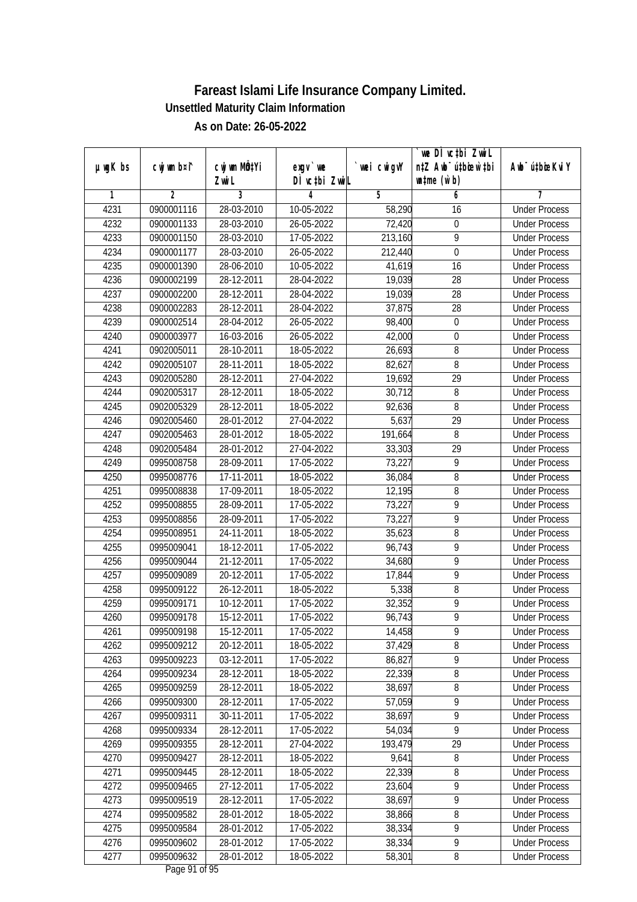|               |                | cwj wm MÖ¢Yi |                            |            | we DI vctbi ZwiL<br>n‡Z Awb <sup>-</sup> ú‡bioen`‡bi | Awb <sup>-</sup> ú‡bioeKviY |
|---------------|----------------|--------------|----------------------------|------------|------------------------------------------------------|-----------------------------|
| $µ$ ug $K$ bs | cwj wm b¤i^    | Zwi L        | $exgV$ we<br>DÌ vctbi ZwiL | wei cwigvY | $\n  untime\n  (u`b)\n$                              |                             |
| 1             | $\overline{2}$ | 3            | 4                          | 5          | 6                                                    | 7                           |
| 4231          | 0900001116     | 28-03-2010   | 10-05-2022                 | 58,290     | 16                                                   | <b>Under Process</b>        |
| 4232          | 0900001133     | 28-03-2010   | 26-05-2022                 | 72,420     | $\boldsymbol{0}$                                     | <b>Under Process</b>        |
| 4233          | 0900001150     | 28-03-2010   | 17-05-2022                 | 213,160    | $\overline{9}$                                       | <b>Under Process</b>        |
| 4234          | 0900001177     | 28-03-2010   | 26-05-2022                 | 212,440    | $\boldsymbol{0}$                                     | <b>Under Process</b>        |
| 4235          | 0900001390     | 28-06-2010   | 10-05-2022                 | 41,619     | 16                                                   | <b>Under Process</b>        |
| 4236          | 0900002199     | 28-12-2011   | 28-04-2022                 | 19,039     | $\overline{28}$                                      | <b>Under Process</b>        |
| 4237          | 0900002200     | 28-12-2011   | 28-04-2022                 | 19,039     | 28                                                   | <b>Under Process</b>        |
| 4238          | 0900002283     | 28-12-2011   | 28-04-2022                 | 37,875     | 28                                                   | <b>Under Process</b>        |
| 4239          | 0900002514     | 28-04-2012   | 26-05-2022                 | 98,400     | $\boldsymbol{0}$                                     | <b>Under Process</b>        |
| 4240          | 0900003977     | 16-03-2016   | 26-05-2022                 | 42,000     | $\boldsymbol{0}$                                     | <b>Under Process</b>        |
| 4241          | 0902005011     | 28-10-2011   | 18-05-2022                 | 26,693     | 8                                                    | <b>Under Process</b>        |
| 4242          | 0902005107     | 28-11-2011   | 18-05-2022                 | 82,627     | $\, 8$                                               | <b>Under Process</b>        |
| 4243          | 0902005280     | 28-12-2011   | 27-04-2022                 | 19,692     | $\overline{29}$                                      | <b>Under Process</b>        |
| 4244          | 0902005317     | 28-12-2011   | 18-05-2022                 | 30,712     | 8                                                    | <b>Under Process</b>        |
| 4245          | 0902005329     | 28-12-2011   | 18-05-2022                 | 92,636     | $\, 8$                                               | <b>Under Process</b>        |
| 4246          | 0902005460     | 28-01-2012   | 27-04-2022                 | 5,637      | 29                                                   | <b>Under Process</b>        |
| 4247          | 0902005463     | 28-01-2012   | 18-05-2022                 | 191,664    | $\, 8$                                               | <b>Under Process</b>        |
| 4248          | 0902005484     | 28-01-2012   | 27-04-2022                 | 33,303     | 29                                                   | <b>Under Process</b>        |
| 4249          | 0995008758     | 28-09-2011   | 17-05-2022                 | 73,227     | 9                                                    | <b>Under Process</b>        |
| 4250          | 0995008776     | 17-11-2011   | 18-05-2022                 | 36,084     | 8                                                    | <b>Under Process</b>        |
| 4251          | 0995008838     | 17-09-2011   | 18-05-2022                 | 12,195     | 8                                                    | <b>Under Process</b>        |
| 4252          | 0995008855     | 28-09-2011   | 17-05-2022                 | 73,227     | 9                                                    | <b>Under Process</b>        |
| 4253          | 0995008856     | 28-09-2011   | 17-05-2022                 | 73,227     | $\overline{9}$                                       | <b>Under Process</b>        |
| 4254          | 0995008951     | 24-11-2011   | 18-05-2022                 | 35,623     | $\, 8$                                               | <b>Under Process</b>        |
| 4255          | 0995009041     | 18-12-2011   | 17-05-2022                 | 96,743     | 9                                                    | <b>Under Process</b>        |
| 4256          | 0995009044     | 21-12-2011   | 17-05-2022                 | 34,680     | 9                                                    | <b>Under Process</b>        |
| 4257          | 0995009089     | 20-12-2011   | 17-05-2022                 | 17,844     | 9                                                    | <b>Under Process</b>        |
| 4258          | 0995009122     | 26-12-2011   | 18-05-2022                 | 5,338      | 8                                                    | <b>Under Process</b>        |
| 4259          | 0995009171     | 10-12-2011   | 17-05-2022                 | 32,352     | $\overline{9}$                                       | <b>Under Process</b>        |
| 4260          | 0995009178     | 15-12-2011   | 17-05-2022                 | 96,743     | $\overline{9}$                                       | <b>Under Process</b>        |
| 4261          | 0995009198     | 15-12-2011   | 17-05-2022                 | 14,458     | 9                                                    | <b>Under Process</b>        |
| 4262          | 0995009212     | 20-12-2011   | 18-05-2022                 | 37,429     | 8                                                    | <b>Under Process</b>        |
| 4263          | 0995009223     | 03-12-2011   | 17-05-2022                 | 86,827     | 9                                                    | <b>Under Process</b>        |
| 4264          | 0995009234     | 28-12-2011   | 18-05-2022                 | 22,339     | $\overline{8}$                                       | <b>Under Process</b>        |
| 4265          | 0995009259     | 28-12-2011   | 18-05-2022                 | 38,697     | 8                                                    | <b>Under Process</b>        |
| 4266          | 0995009300     | 28-12-2011   | 17-05-2022                 | 57,059     | 9                                                    | <b>Under Process</b>        |
| 4267          | 0995009311     | 30-11-2011   | 17-05-2022                 | 38,697     | $\overline{9}$                                       | <b>Under Process</b>        |
| 4268          | 0995009334     | 28-12-2011   | 17-05-2022                 | 54,034     | $\overline{9}$                                       | <b>Under Process</b>        |
| 4269          | 0995009355     | 28-12-2011   | 27-04-2022                 | 193,479    | 29                                                   | <b>Under Process</b>        |
| 4270          | 0995009427     | 28-12-2011   | 18-05-2022                 | 9,641      | 8                                                    | <b>Under Process</b>        |
| 4271          | 0995009445     | 28-12-2011   | 18-05-2022                 | 22,339     | 8                                                    | <b>Under Process</b>        |
| 4272          | 0995009465     | 27-12-2011   | 17-05-2022                 | 23,604     | $\overline{9}$                                       | <b>Under Process</b>        |
| 4273          | 0995009519     | 28-12-2011   | 17-05-2022                 | 38,697     | $\overline{9}$                                       | <b>Under Process</b>        |
| 4274          | 0995009582     | 28-01-2012   | 18-05-2022                 | 38,866     | $\overline{\bf 8}$                                   | <b>Under Process</b>        |
| 4275          | 0995009584     | 28-01-2012   | 17-05-2022                 | 38,334     | $\overline{9}$                                       | <b>Under Process</b>        |
| 4276          | 0995009602     | 28-01-2012   | 17-05-2022                 | 38,334     | $\overline{9}$                                       | <b>Under Process</b>        |
| 4277          | 0995009632     | 28-01-2012   | 18-05-2022                 | 58,301     | 8                                                    | <b>Under Process</b>        |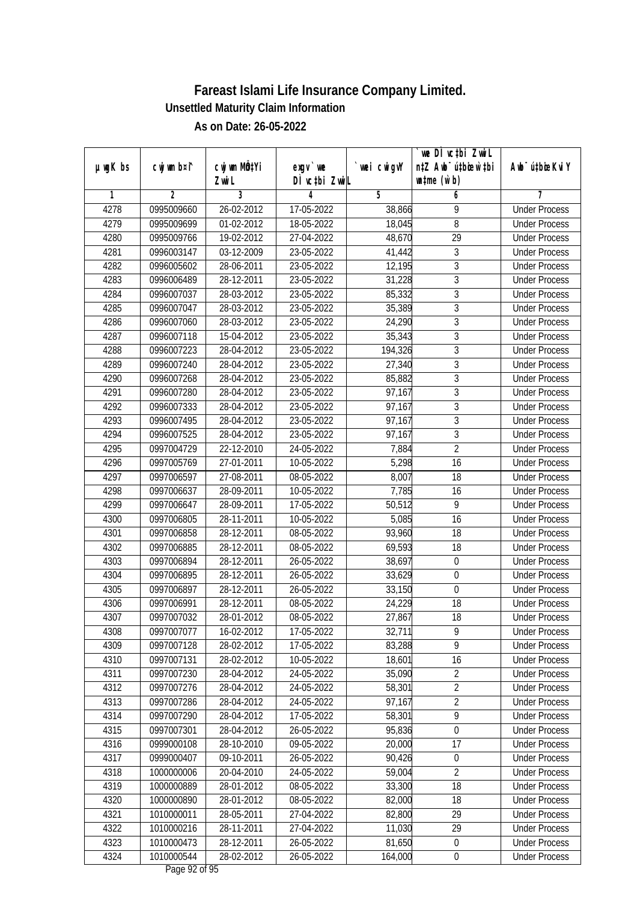|               |                          |                          |                    |                  | we DI vctbi ZwiL                 |                             |
|---------------|--------------------------|--------------------------|--------------------|------------------|----------------------------------|-----------------------------|
| $µ$ ug $K$ bs | cwj wm b¤i^              | cwj wm MQtYi             | exgv `we           | wei cwigvY       | n‡Z Awb <sup>-</sup> ú‡bicen`‡bi | Awb <sup>-</sup> ú‡bioeKviY |
| 1             | $\overline{2}$           | Zwi L<br>3               | DÌ vctbi ZwiL<br>4 | 5                | $\n  untime\n  (u`b)\n$<br>6     | 7                           |
| 4278          | 0995009660               | 26-02-2012               | 17-05-2022         | 38,866           | 9                                | <b>Under Process</b>        |
| 4279          | 0995009699               | 01-02-2012               | 18-05-2022         |                  | $\overline{8}$                   | <b>Under Process</b>        |
| 4280          | 0995009766               | 19-02-2012               | 27-04-2022         | 18,045<br>48,670 | $\overline{29}$                  | <b>Under Process</b>        |
|               |                          | $03-12-2009$             |                    |                  |                                  | <b>Under Process</b>        |
| 4281<br>4282  | 0996003147               |                          | 23-05-2022         | 41,442<br>12,195 | 3<br>$\overline{3}$              | <b>Under Process</b>        |
| 4283          | 0996005602               | 28-06-2011<br>28-12-2011 | 23-05-2022         | 31,228           |                                  |                             |
|               | 0996006489               |                          | 23-05-2022         |                  | $\overline{3}$                   | <b>Under Process</b>        |
| 4284          | 0996007037<br>0996007047 | 28-03-2012               | 23-05-2022         | 85,332           | $\overline{3}$<br>$\overline{3}$ | <b>Under Process</b>        |
| 4285          |                          | 28-03-2012               | 23-05-2022         | 35,389           | $\overline{3}$                   | <b>Under Process</b>        |
| 4286          | 0996007060               | 28-03-2012               | 23-05-2022         | 24,290           |                                  | <b>Under Process</b>        |
| 4287          | 0996007118               | 15-04-2012               | 23-05-2022         | 35,343           | $\mathfrak{Z}$                   | <b>Under Process</b>        |
| 4288          | 0996007223               | 28-04-2012               | 23-05-2022         | 194,326          | $\overline{3}$                   | <b>Under Process</b>        |
| 4289          | 0996007240               | 28-04-2012               | 23-05-2022         | 27,340           | $\sqrt{3}$                       | <b>Under Process</b>        |
| 4290          | 0996007268               | 28-04-2012               | 23-05-2022         | 85,882           | $\overline{3}$                   | <b>Under Process</b>        |
| 4291          | 0996007280               | 28-04-2012               | 23-05-2022         | 97,167           | $\sqrt{3}$                       | <b>Under Process</b>        |
| 4292          | 0996007333               | 28-04-2012               | 23-05-2022         | 97,167           | $\overline{3}$                   | <b>Under Process</b>        |
| 4293          | 0996007495               | 28-04-2012               | 23-05-2022         | 97,167           | $\overline{3}$                   | <b>Under Process</b>        |
| 4294          | 0996007525               | 28-04-2012               | 23-05-2022         | 97,167           | $\mathfrak z$                    | <b>Under Process</b>        |
| 4295          | 0997004729               | 22-12-2010               | 24-05-2022         | 7,884            | $\overline{2}$                   | <b>Under Process</b>        |
| 4296          | 0997005769               | 27-01-2011               | 10-05-2022         | 5,298            | 16                               | <b>Under Process</b>        |
| 4297          | 0997006597               | 27-08-2011               | 08-05-2022         | 8,007            | 18                               | <b>Under Process</b>        |
| 4298          | 0997006637               | 28-09-2011               | 10-05-2022         | 7,785            | 16                               | <b>Under Process</b>        |
| 4299          | 0997006647               | 28-09-2011               | 17-05-2022         | 50,512           | 9                                | <b>Under Process</b>        |
| 4300          | 0997006805               | 28-11-2011               | 10-05-2022         | 5,085            | 16                               | <b>Under Process</b>        |
| 4301          | 0997006858               | 28-12-2011               | 08-05-2022         | 93,960           | 18                               | <b>Under Process</b>        |
| 4302          | 0997006885               | 28-12-2011               | 08-05-2022         | 69,593           | 18                               | <b>Under Process</b>        |
| 4303          | 0997006894               | 28-12-2011               | 26-05-2022         | 38,697           | $\mathbf 0$                      | <b>Under Process</b>        |
| 4304          | 0997006895               | 28-12-2011               | 26-05-2022         | 33,629           | 0                                | <b>Under Process</b>        |
| 4305          | 0997006897               | 28-12-2011               | 26-05-2022         | 33,150           | $\boldsymbol{0}$                 | <b>Under Process</b>        |
| 4306          | 0997006991               | 28-12-2011               | 08-05-2022         | 24,229           | 18                               | <b>Under Process</b>        |
| 4307          | 0997007032               | 28-01-2012               | 08-05-2022         | 27,867           | 18                               | <b>Under Process</b>        |
| 4308          | 0997007077               | 16-02-2012               | 17-05-2022         | 32,711           | 9                                | <b>Under Process</b>        |
| 4309          | 0997007128               | 28-02-2012               | 17-05-2022         | 83,288           | 9                                | <b>Under Process</b>        |
| 4310          | 0997007131               | 28-02-2012               | 10-05-2022         | 18,601           | 16                               | <b>Under Process</b>        |
| 4311          | 0997007230               | 28-04-2012               | 24-05-2022         | 35,090           | $\overline{2}$                   | <b>Under Process</b>        |
| 4312          | 0997007276               | 28-04-2012               | 24-05-2022         | 58,301           | $\overline{2}$                   | <b>Under Process</b>        |
| 4313          | 0997007286               | 28-04-2012               | 24-05-2022         | 97,167           | $\overline{2}$                   | <b>Under Process</b>        |
| 4314          | 0997007290               | 28-04-2012               | 17-05-2022         | 58,301           | $\overline{9}$                   | <b>Under Process</b>        |
| 4315          | 0997007301               | 28-04-2012               | 26-05-2022         | 95,836           | $\mathbf 0$                      | <b>Under Process</b>        |
| 4316          | 0999000108               | 28-10-2010               | 09-05-2022         | 20,000           | 17                               | <b>Under Process</b>        |
| 4317          | 0999000407               | 09-10-2011               | 26-05-2022         | 90,426           | $\boldsymbol{0}$                 | <b>Under Process</b>        |
| 4318          | 1000000006               | 20-04-2010               | 24-05-2022         | 59,004           | 2                                | <b>Under Process</b>        |
| 4319          | 1000000889               | 28-01-2012               | 08-05-2022         | 33,300           | 18                               | <b>Under Process</b>        |
| 4320          | 1000000890               | 28-01-2012               | 08-05-2022         | 82,000           | 18                               | <b>Under Process</b>        |
| 4321          | 1010000011               | 28-05-2011               | 27-04-2022         | 82,800           | 29                               | <b>Under Process</b>        |
| 4322          | 1010000216               | 28-11-2011               | 27-04-2022         | 11,030           | 29                               | <b>Under Process</b>        |
| 4323          | 1010000473               | 28-12-2011               | 26-05-2022         | 81,650           | $\boldsymbol{0}$                 | <b>Under Process</b>        |
| 4324          | 1010000544               | 28-02-2012               | 26-05-2022         | 164,000          | $\pmb{0}$                        | <b>Under Process</b>        |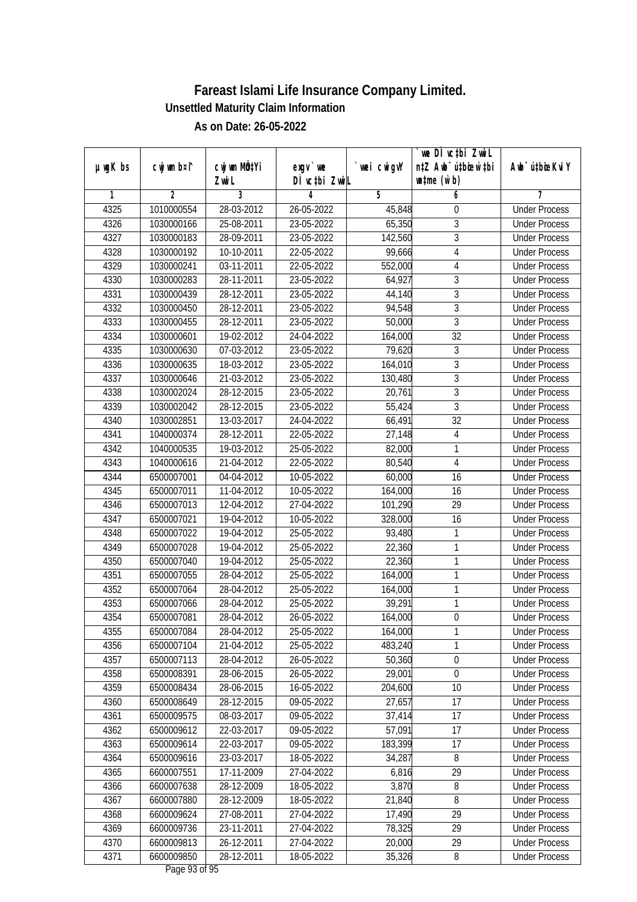| n‡Z Awb <sup>-</sup> ú‡bicen`‡bi<br>cwj wm b¤i^<br>cwj wm MÖ¢Yi<br>$µ$ ug $K$ bs<br>wei cwigvY<br>$exgV$ we |                             |
|-------------------------------------------------------------------------------------------------------------|-----------------------------|
|                                                                                                             | Awb <sup>-</sup> ú‡bioeKviY |
| DÌ vctbi ZwiL<br>$\n  untime\n  (u`b)\n$<br>Zwi L                                                           |                             |
| 3<br>$\overline{2}$<br>5<br>1<br>4<br>6                                                                     | 7                           |
| 4325<br>1010000554<br>28-03-2012<br>26-05-2022<br>45,848<br>$\boldsymbol{0}$                                | <b>Under Process</b>        |
| $\overline{3}$<br>4326<br>1030000166<br>25-08-2011<br>23-05-2022<br>65,350                                  | <b>Under Process</b>        |
| $\overline{3}$<br>4327<br>1030000183<br>28-09-2011<br>23-05-2022<br>142,560                                 | <b>Under Process</b>        |
| 4328<br>1030000192<br>10-10-2011<br>22-05-2022<br>99,666<br>$\overline{4}$                                  | <b>Under Process</b>        |
| 4329<br>1030000241<br>03-11-2011<br>22-05-2022<br>552,000<br>$\overline{4}$                                 | <b>Under Process</b>        |
| $\overline{3}$<br>28-11-2011<br>4330<br>1030000283<br>23-05-2022<br>64,927                                  | <b>Under Process</b>        |
| $\overline{3}$<br>4331<br>1030000439<br>28-12-2011<br>23-05-2022<br>44,140                                  | <b>Under Process</b>        |
| $\overline{3}$<br>4332<br>1030000450<br>28-12-2011<br>23-05-2022<br>94,548                                  | <b>Under Process</b>        |
| $\overline{3}$<br>4333<br>28-12-2011<br>23-05-2022<br>1030000455<br>50,000                                  | <b>Under Process</b>        |
| 4334<br>$19-02-2012$<br>32<br>1030000601<br>24-04-2022<br>164,000                                           | <b>Under Process</b>        |
| 4335<br>3<br>1030000630<br>07-03-2012<br>23-05-2022<br>79,620                                               | <b>Under Process</b>        |
| $\sqrt{3}$<br>4336<br>18-03-2012<br>23-05-2022<br>164,010<br>1030000635                                     | <b>Under Process</b>        |
| $\overline{3}$<br>4337<br>21-03-2012<br>23-05-2022<br>130,480<br>1030000646                                 | <b>Under Process</b>        |
| $\overline{3}$<br>4338<br>1030002024<br>28-12-2015<br>23-05-2022<br>20,761                                  | <b>Under Process</b>        |
| $\overline{3}$<br>4339<br>1030002042<br>28-12-2015<br>23-05-2022<br>55,424                                  | <b>Under Process</b>        |
| $\overline{32}$<br>4340<br>1030002851<br>13-03-2017<br>24-04-2022<br>66,491                                 | <b>Under Process</b>        |
| 28-12-2011<br>4341<br>1040000374<br>22-05-2022<br>27,148<br>$\overline{4}$                                  | <b>Under Process</b>        |
| $\mathbf{1}$<br>4342<br>1040000535<br>19-03-2012<br>25-05-2022<br>82,000                                    | <b>Under Process</b>        |
| $\overline{4}$<br>4343<br>21-04-2012<br>22-05-2022<br>80,540<br>1040000616                                  | <b>Under Process</b>        |
| 4344<br>04-04-2012<br>10-05-2022<br>6500007001<br>60,000<br>16                                              | <b>Under Process</b>        |
| 4345<br>16<br>6500007011<br>11-04-2012<br>10-05-2022<br>164,000                                             | <b>Under Process</b>        |
| 29<br>4346<br>12-04-2012<br>101,290<br>6500007013<br>27-04-2022                                             | <b>Under Process</b>        |
| 16<br>4347<br>19-04-2012<br>10-05-2022<br>328,000<br>6500007021                                             | <b>Under Process</b>        |
| 4348<br>6500007022<br>19-04-2012<br>25-05-2022<br>$\mathbf{1}$<br>93,480                                    | <b>Under Process</b>        |
| $\mathbf{1}$<br>4349<br>6500007028<br>19-04-2012<br>25-05-2022<br>22,360                                    | <b>Under Process</b>        |
| $\mathbf{1}$<br>4350<br>6500007040<br>19-04-2012<br>25-05-2022<br>22,360                                    | <b>Under Process</b>        |
| $\mathbf{1}$<br>4351<br>6500007055<br>28-04-2012<br>25-05-2022<br>164,000                                   | <b>Under Process</b>        |
| 1<br>4352<br>28-04-2012<br>25-05-2022<br>6500007064<br>164,000                                              | <b>Under Process</b>        |
| 4353<br>$\mathbf{1}$<br>6500007066<br>28-04-2012<br>25-05-2022<br>39,291                                    | <b>Under Process</b>        |
| 4354<br>$\boldsymbol{0}$<br>6500007081<br>28-04-2012<br>26-05-2022<br>164,000                               | <b>Under Process</b>        |
| 4355<br>6500007084<br>28-04-2012<br>25-05-2022<br>164,000<br>1                                              | <b>Under Process</b>        |
| 1<br>6500007104<br>21-04-2012<br>483,240<br>4356<br>25-05-2022                                              | <b>Under Process</b>        |
| 4357<br>50,360<br>$\boldsymbol{0}$<br>6500007113<br>28-04-2012<br>26-05-2022                                | <b>Under Process</b>        |
| $\overline{0}$<br>4358<br>29,001<br>6500008391<br>28-06-2015<br>26-05-2022                                  | <b>Under Process</b>        |
| 4359<br>6500008434<br>28-06-2015<br>16-05-2022<br>204,600<br>10                                             | <b>Under Process</b>        |
| 27,657<br>4360<br>6500008649<br>28-12-2015<br>09-05-2022<br>17                                              | <b>Under Process</b>        |
| 37,414<br>17<br>4361<br>6500009575<br>08-03-2017<br>09-05-2022                                              | <b>Under Process</b>        |
| 17<br>4362<br>22-03-2017<br>09-05-2022<br>57,091<br>6500009612                                              | <b>Under Process</b>        |
| 183,399<br>17<br>4363<br>6500009614<br>22-03-2017<br>09-05-2022                                             | <b>Under Process</b>        |
| 4364<br>6500009616<br>23-03-2017<br>18-05-2022<br>34,287<br>8                                               | <b>Under Process</b>        |
| 4365<br>6600007551<br>17-11-2009<br>27-04-2022<br>6,816<br>29                                               | <b>Under Process</b>        |
| $\overline{8}$<br>6600007638<br>28-12-2009<br>18-05-2022<br>3,870<br>4366                                   | <b>Under Process</b>        |
| 4367<br>6600007880<br>28-12-2009<br>21,840<br>8<br>18-05-2022                                               | <b>Under Process</b>        |
| 17,490<br>29<br>4368<br>6600009624<br>27-08-2011<br>27-04-2022                                              | <b>Under Process</b>        |
| 4369<br>29<br>6600009736<br>23-11-2011<br>27-04-2022<br>78,325                                              | <b>Under Process</b>        |
| 4370<br>6600009813<br>26-12-2011<br>20,000<br>29<br>27-04-2022                                              | <b>Under Process</b>        |
| 4371<br>6600009850<br>28-12-2011<br>35,326<br>18-05-2022<br>8                                               | <b>Under Process</b>        |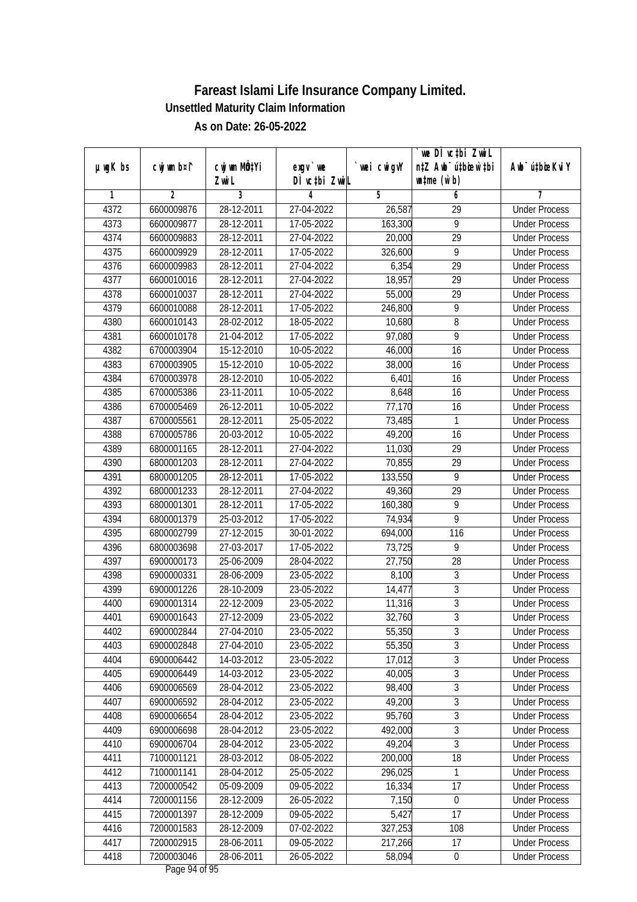| DÌ vctbi ZwiL<br>$\n  untime\n  (u`b)\n$<br>Zwi L<br>3<br>$\overline{2}$<br>5<br>6<br>1<br>4<br>7<br>4372<br>28-12-2011<br><b>Under Process</b><br>6600009876<br>27-04-2022<br>26,587<br>$\overline{29}$<br>$\overline{9}$<br>4373<br>28-12-2011<br>17-05-2022<br>163,300<br>6600009877<br><b>Under Process</b><br>4374<br>$\overline{29}$<br>6600009883<br>28-12-2011<br>27-04-2022<br>20,000<br><b>Under Process</b><br>4375<br>28-12-2011<br>17-05-2022<br>326,600<br>9<br>6600009929<br><b>Under Process</b><br>4376<br>$\overline{29}$<br>6600009983<br>28-12-2011<br>27-04-2022<br>6,354<br><b>Under Process</b><br>$\overline{29}$<br>4377<br>6600010016<br>28-12-2011<br>27-04-2022<br>18,957<br><b>Under Process</b><br>4378<br>28-12-2011<br>27-04-2022<br>55,000<br>29<br>6600010037<br><b>Under Process</b><br>4379<br>9<br>6600010088<br>28-12-2011<br>17-05-2022<br>246,800<br><b>Under Process</b><br>$\overline{8}$<br>4380<br>6600010143<br>28-02-2012<br>18-05-2022<br>10,680<br><b>Under Process</b><br>9<br>4381<br>6600010178<br>21-04-2012<br>17-05-2022<br>97,080<br><b>Under Process</b><br>$\overline{16}$<br>4382<br>6700003904<br>15-12-2010<br>10-05-2022<br>46,000<br><b>Under Process</b><br>4383<br>38,000<br>16<br>6700003905<br>15-12-2010<br>10-05-2022<br><b>Under Process</b><br>4384<br>$\overline{16}$<br>6700003978<br>28-12-2010<br>10-05-2022<br>6,401<br><b>Under Process</b><br>4385<br>23-11-2011<br>10-05-2022<br>8,648<br>16<br>6700005386<br><b>Under Process</b><br>4386<br>6700005469<br>26-12-2011<br>10-05-2022<br>77,170<br>16<br><b>Under Process</b><br>4387<br>6700005561<br>28-12-2011<br>25-05-2022<br>73,485<br>1<br><b>Under Process</b><br>49,200<br>4388<br>6700005786<br>20-03-2012<br>10-05-2022<br>16<br><b>Under Process</b><br>29<br>4389<br>28-12-2011<br>27-04-2022<br>11,030<br>6800001165<br><b>Under Process</b><br>29<br>4390<br>6800001203<br>28-12-2011<br>27-04-2022<br>70,855<br><b>Under Process</b><br>4391<br>9<br>6800001205<br>28-12-2011<br>17-05-2022<br>133,550<br><b>Under Process</b><br>29<br>4392<br>6800001233<br>28-12-2011<br>27-04-2022<br>49,360<br><b>Under Process</b><br>4393<br>17-05-2022<br>160,380<br>9<br>6800001301<br>28-12-2011<br><b>Under Process</b><br>$\overline{9}$<br>4394<br>6800001379<br>25-03-2012<br>17-05-2022<br>74,934<br><b>Under Process</b><br>4395<br>6800002799<br>27-12-2015<br>30-01-2022<br>694,000<br>116<br><b>Under Process</b><br>4396<br>73,725<br>9<br>6800003698<br>27-03-2017<br>17-05-2022<br><b>Under Process</b><br>4397<br>6900000173<br>25-06-2009<br>28-04-2022<br>27,750<br>28<br><b>Under Process</b><br>3<br>4398<br>6900000331<br>28-06-2009<br>23-05-2022<br>8,100<br><b>Under Process</b><br>$\overline{3}$<br>4399<br>6900001226<br>28-10-2009<br>23-05-2022<br>14,477<br><b>Under Process</b><br>$\overline{3}$<br>4400<br>6900001314<br>22-12-2009<br>23-05-2022<br>11,316<br><b>Under Process</b><br>$\overline{3}$<br>4401<br>6900001643<br>27-12-2009<br>23-05-2022<br>32,760<br><b>Under Process</b><br>4402<br>6900002844<br>27-04-2010<br>23-05-2022<br>55,350<br>3<br><b>Under Process</b><br>$\overline{3}$<br>6900002848<br>27-04-2010<br>23-05-2022<br>55,350<br>4403<br><b>Under Process</b><br>$\overline{3}$<br>17,012<br>4404<br>6900006442<br>14-03-2012<br>23-05-2022<br><b>Under Process</b><br>$\overline{3}$<br>4405<br>40,005<br>6900006449<br>14-03-2012<br>23-05-2022<br><b>Under Process</b><br>$\overline{3}$<br>4406<br>98,400<br>6900006569<br>28-04-2012<br>23-05-2022<br><b>Under Process</b><br>3<br>4407<br>49,200<br>6900006592<br>28-04-2012<br>23-05-2022<br><b>Under Process</b><br>$\overline{3}$<br>95,760<br>4408<br>6900006654<br>28-04-2012<br>23-05-2022<br><b>Under Process</b><br>$\overline{3}$<br>4409<br>6900006698<br>492,000<br>28-04-2012<br>23-05-2022<br><b>Under Process</b><br>$\overline{3}$<br>49,204<br>4410<br>6900006704<br>28-04-2012<br>23-05-2022<br><b>Under Process</b><br>200,000<br>18<br>4411<br>7100001121<br>28-03-2012<br>08-05-2022<br><b>Under Process</b><br>4412<br>7100001141<br>28-04-2012<br>25-05-2022<br>296,025<br><b>Under Process</b><br>1<br>4413<br>7200000542<br>05-09-2009<br>16,334<br>17<br>09-05-2022<br><b>Under Process</b><br>4414<br>7200001156<br>28-12-2009<br>7,150<br>$\boldsymbol{0}$<br>26-05-2022<br><b>Under Process</b><br>$\overline{17}$<br>28-12-2009<br>5,427<br>4415<br>7200001397<br>09-05-2022<br><b>Under Process</b><br>4416<br>327,253<br>7200001583<br>28-12-2009<br>07-02-2022<br>108<br><b>Under Process</b><br>4417<br>7200002915<br>28-06-2011<br>09-05-2022<br>217,266<br>17<br><b>Under Process</b><br>58,094 |               |             |                           |            |             | we DI vctbi ZwiL                 |                             |
|------------------------------------------------------------------------------------------------------------------------------------------------------------------------------------------------------------------------------------------------------------------------------------------------------------------------------------------------------------------------------------------------------------------------------------------------------------------------------------------------------------------------------------------------------------------------------------------------------------------------------------------------------------------------------------------------------------------------------------------------------------------------------------------------------------------------------------------------------------------------------------------------------------------------------------------------------------------------------------------------------------------------------------------------------------------------------------------------------------------------------------------------------------------------------------------------------------------------------------------------------------------------------------------------------------------------------------------------------------------------------------------------------------------------------------------------------------------------------------------------------------------------------------------------------------------------------------------------------------------------------------------------------------------------------------------------------------------------------------------------------------------------------------------------------------------------------------------------------------------------------------------------------------------------------------------------------------------------------------------------------------------------------------------------------------------------------------------------------------------------------------------------------------------------------------------------------------------------------------------------------------------------------------------------------------------------------------------------------------------------------------------------------------------------------------------------------------------------------------------------------------------------------------------------------------------------------------------------------------------------------------------------------------------------------------------------------------------------------------------------------------------------------------------------------------------------------------------------------------------------------------------------------------------------------------------------------------------------------------------------------------------------------------------------------------------------------------------------------------------------------------------------------------------------------------------------------------------------------------------------------------------------------------------------------------------------------------------------------------------------------------------------------------------------------------------------------------------------------------------------------------------------------------------------------------------------------------------------------------------------------------------------------------------------------------------------------------------------------------------------------------------------------------------------------------------------------------------------------------------------------------------------------------------------------------------------------------------------------------------------------------------------------------------------------------------------------------------------------------------------------------------------------------------------------------------------------------------------------------------------------------------------------------------------------------------------------------------------------------------------------------------------------------------------------------------------------------------------------------------------------------------------------------------------------------------------------------------------------------------------------------------------------------------------------------------|---------------|-------------|---------------------------|------------|-------------|----------------------------------|-----------------------------|
|                                                                                                                                                                                                                                                                                                                                                                                                                                                                                                                                                                                                                                                                                                                                                                                                                                                                                                                                                                                                                                                                                                                                                                                                                                                                                                                                                                                                                                                                                                                                                                                                                                                                                                                                                                                                                                                                                                                                                                                                                                                                                                                                                                                                                                                                                                                                                                                                                                                                                                                                                                                                                                                                                                                                                                                                                                                                                                                                                                                                                                                                                                                                                                                                                                                                                                                                                                                                                                                                                                                                                                                                                                                                                                                                                                                                                                                                                                                                                                                                                                                                                                                                                                                                                                                                                                                                                                                                                                                                                                                                                                                                                                                                                          | $µ$ ug $K$ bs | cwj wm b¤i^ | cwj wm MQ <sup>1</sup> Yi | $exgV$ we  | `wei cwigvY | n‡Z Awb <sup>-</sup> ú‡bicen`‡bi | Awb <sup>-</sup> ú‡bioeKviY |
|                                                                                                                                                                                                                                                                                                                                                                                                                                                                                                                                                                                                                                                                                                                                                                                                                                                                                                                                                                                                                                                                                                                                                                                                                                                                                                                                                                                                                                                                                                                                                                                                                                                                                                                                                                                                                                                                                                                                                                                                                                                                                                                                                                                                                                                                                                                                                                                                                                                                                                                                                                                                                                                                                                                                                                                                                                                                                                                                                                                                                                                                                                                                                                                                                                                                                                                                                                                                                                                                                                                                                                                                                                                                                                                                                                                                                                                                                                                                                                                                                                                                                                                                                                                                                                                                                                                                                                                                                                                                                                                                                                                                                                                                                          |               |             |                           |            |             |                                  |                             |
|                                                                                                                                                                                                                                                                                                                                                                                                                                                                                                                                                                                                                                                                                                                                                                                                                                                                                                                                                                                                                                                                                                                                                                                                                                                                                                                                                                                                                                                                                                                                                                                                                                                                                                                                                                                                                                                                                                                                                                                                                                                                                                                                                                                                                                                                                                                                                                                                                                                                                                                                                                                                                                                                                                                                                                                                                                                                                                                                                                                                                                                                                                                                                                                                                                                                                                                                                                                                                                                                                                                                                                                                                                                                                                                                                                                                                                                                                                                                                                                                                                                                                                                                                                                                                                                                                                                                                                                                                                                                                                                                                                                                                                                                                          |               |             |                           |            |             |                                  |                             |
|                                                                                                                                                                                                                                                                                                                                                                                                                                                                                                                                                                                                                                                                                                                                                                                                                                                                                                                                                                                                                                                                                                                                                                                                                                                                                                                                                                                                                                                                                                                                                                                                                                                                                                                                                                                                                                                                                                                                                                                                                                                                                                                                                                                                                                                                                                                                                                                                                                                                                                                                                                                                                                                                                                                                                                                                                                                                                                                                                                                                                                                                                                                                                                                                                                                                                                                                                                                                                                                                                                                                                                                                                                                                                                                                                                                                                                                                                                                                                                                                                                                                                                                                                                                                                                                                                                                                                                                                                                                                                                                                                                                                                                                                                          |               |             |                           |            |             |                                  |                             |
|                                                                                                                                                                                                                                                                                                                                                                                                                                                                                                                                                                                                                                                                                                                                                                                                                                                                                                                                                                                                                                                                                                                                                                                                                                                                                                                                                                                                                                                                                                                                                                                                                                                                                                                                                                                                                                                                                                                                                                                                                                                                                                                                                                                                                                                                                                                                                                                                                                                                                                                                                                                                                                                                                                                                                                                                                                                                                                                                                                                                                                                                                                                                                                                                                                                                                                                                                                                                                                                                                                                                                                                                                                                                                                                                                                                                                                                                                                                                                                                                                                                                                                                                                                                                                                                                                                                                                                                                                                                                                                                                                                                                                                                                                          |               |             |                           |            |             |                                  |                             |
|                                                                                                                                                                                                                                                                                                                                                                                                                                                                                                                                                                                                                                                                                                                                                                                                                                                                                                                                                                                                                                                                                                                                                                                                                                                                                                                                                                                                                                                                                                                                                                                                                                                                                                                                                                                                                                                                                                                                                                                                                                                                                                                                                                                                                                                                                                                                                                                                                                                                                                                                                                                                                                                                                                                                                                                                                                                                                                                                                                                                                                                                                                                                                                                                                                                                                                                                                                                                                                                                                                                                                                                                                                                                                                                                                                                                                                                                                                                                                                                                                                                                                                                                                                                                                                                                                                                                                                                                                                                                                                                                                                                                                                                                                          |               |             |                           |            |             |                                  |                             |
|                                                                                                                                                                                                                                                                                                                                                                                                                                                                                                                                                                                                                                                                                                                                                                                                                                                                                                                                                                                                                                                                                                                                                                                                                                                                                                                                                                                                                                                                                                                                                                                                                                                                                                                                                                                                                                                                                                                                                                                                                                                                                                                                                                                                                                                                                                                                                                                                                                                                                                                                                                                                                                                                                                                                                                                                                                                                                                                                                                                                                                                                                                                                                                                                                                                                                                                                                                                                                                                                                                                                                                                                                                                                                                                                                                                                                                                                                                                                                                                                                                                                                                                                                                                                                                                                                                                                                                                                                                                                                                                                                                                                                                                                                          |               |             |                           |            |             |                                  |                             |
|                                                                                                                                                                                                                                                                                                                                                                                                                                                                                                                                                                                                                                                                                                                                                                                                                                                                                                                                                                                                                                                                                                                                                                                                                                                                                                                                                                                                                                                                                                                                                                                                                                                                                                                                                                                                                                                                                                                                                                                                                                                                                                                                                                                                                                                                                                                                                                                                                                                                                                                                                                                                                                                                                                                                                                                                                                                                                                                                                                                                                                                                                                                                                                                                                                                                                                                                                                                                                                                                                                                                                                                                                                                                                                                                                                                                                                                                                                                                                                                                                                                                                                                                                                                                                                                                                                                                                                                                                                                                                                                                                                                                                                                                                          |               |             |                           |            |             |                                  |                             |
|                                                                                                                                                                                                                                                                                                                                                                                                                                                                                                                                                                                                                                                                                                                                                                                                                                                                                                                                                                                                                                                                                                                                                                                                                                                                                                                                                                                                                                                                                                                                                                                                                                                                                                                                                                                                                                                                                                                                                                                                                                                                                                                                                                                                                                                                                                                                                                                                                                                                                                                                                                                                                                                                                                                                                                                                                                                                                                                                                                                                                                                                                                                                                                                                                                                                                                                                                                                                                                                                                                                                                                                                                                                                                                                                                                                                                                                                                                                                                                                                                                                                                                                                                                                                                                                                                                                                                                                                                                                                                                                                                                                                                                                                                          |               |             |                           |            |             |                                  |                             |
|                                                                                                                                                                                                                                                                                                                                                                                                                                                                                                                                                                                                                                                                                                                                                                                                                                                                                                                                                                                                                                                                                                                                                                                                                                                                                                                                                                                                                                                                                                                                                                                                                                                                                                                                                                                                                                                                                                                                                                                                                                                                                                                                                                                                                                                                                                                                                                                                                                                                                                                                                                                                                                                                                                                                                                                                                                                                                                                                                                                                                                                                                                                                                                                                                                                                                                                                                                                                                                                                                                                                                                                                                                                                                                                                                                                                                                                                                                                                                                                                                                                                                                                                                                                                                                                                                                                                                                                                                                                                                                                                                                                                                                                                                          |               |             |                           |            |             |                                  |                             |
|                                                                                                                                                                                                                                                                                                                                                                                                                                                                                                                                                                                                                                                                                                                                                                                                                                                                                                                                                                                                                                                                                                                                                                                                                                                                                                                                                                                                                                                                                                                                                                                                                                                                                                                                                                                                                                                                                                                                                                                                                                                                                                                                                                                                                                                                                                                                                                                                                                                                                                                                                                                                                                                                                                                                                                                                                                                                                                                                                                                                                                                                                                                                                                                                                                                                                                                                                                                                                                                                                                                                                                                                                                                                                                                                                                                                                                                                                                                                                                                                                                                                                                                                                                                                                                                                                                                                                                                                                                                                                                                                                                                                                                                                                          |               |             |                           |            |             |                                  |                             |
|                                                                                                                                                                                                                                                                                                                                                                                                                                                                                                                                                                                                                                                                                                                                                                                                                                                                                                                                                                                                                                                                                                                                                                                                                                                                                                                                                                                                                                                                                                                                                                                                                                                                                                                                                                                                                                                                                                                                                                                                                                                                                                                                                                                                                                                                                                                                                                                                                                                                                                                                                                                                                                                                                                                                                                                                                                                                                                                                                                                                                                                                                                                                                                                                                                                                                                                                                                                                                                                                                                                                                                                                                                                                                                                                                                                                                                                                                                                                                                                                                                                                                                                                                                                                                                                                                                                                                                                                                                                                                                                                                                                                                                                                                          |               |             |                           |            |             |                                  |                             |
|                                                                                                                                                                                                                                                                                                                                                                                                                                                                                                                                                                                                                                                                                                                                                                                                                                                                                                                                                                                                                                                                                                                                                                                                                                                                                                                                                                                                                                                                                                                                                                                                                                                                                                                                                                                                                                                                                                                                                                                                                                                                                                                                                                                                                                                                                                                                                                                                                                                                                                                                                                                                                                                                                                                                                                                                                                                                                                                                                                                                                                                                                                                                                                                                                                                                                                                                                                                                                                                                                                                                                                                                                                                                                                                                                                                                                                                                                                                                                                                                                                                                                                                                                                                                                                                                                                                                                                                                                                                                                                                                                                                                                                                                                          |               |             |                           |            |             |                                  |                             |
|                                                                                                                                                                                                                                                                                                                                                                                                                                                                                                                                                                                                                                                                                                                                                                                                                                                                                                                                                                                                                                                                                                                                                                                                                                                                                                                                                                                                                                                                                                                                                                                                                                                                                                                                                                                                                                                                                                                                                                                                                                                                                                                                                                                                                                                                                                                                                                                                                                                                                                                                                                                                                                                                                                                                                                                                                                                                                                                                                                                                                                                                                                                                                                                                                                                                                                                                                                                                                                                                                                                                                                                                                                                                                                                                                                                                                                                                                                                                                                                                                                                                                                                                                                                                                                                                                                                                                                                                                                                                                                                                                                                                                                                                                          |               |             |                           |            |             |                                  |                             |
|                                                                                                                                                                                                                                                                                                                                                                                                                                                                                                                                                                                                                                                                                                                                                                                                                                                                                                                                                                                                                                                                                                                                                                                                                                                                                                                                                                                                                                                                                                                                                                                                                                                                                                                                                                                                                                                                                                                                                                                                                                                                                                                                                                                                                                                                                                                                                                                                                                                                                                                                                                                                                                                                                                                                                                                                                                                                                                                                                                                                                                                                                                                                                                                                                                                                                                                                                                                                                                                                                                                                                                                                                                                                                                                                                                                                                                                                                                                                                                                                                                                                                                                                                                                                                                                                                                                                                                                                                                                                                                                                                                                                                                                                                          |               |             |                           |            |             |                                  |                             |
|                                                                                                                                                                                                                                                                                                                                                                                                                                                                                                                                                                                                                                                                                                                                                                                                                                                                                                                                                                                                                                                                                                                                                                                                                                                                                                                                                                                                                                                                                                                                                                                                                                                                                                                                                                                                                                                                                                                                                                                                                                                                                                                                                                                                                                                                                                                                                                                                                                                                                                                                                                                                                                                                                                                                                                                                                                                                                                                                                                                                                                                                                                                                                                                                                                                                                                                                                                                                                                                                                                                                                                                                                                                                                                                                                                                                                                                                                                                                                                                                                                                                                                                                                                                                                                                                                                                                                                                                                                                                                                                                                                                                                                                                                          |               |             |                           |            |             |                                  |                             |
|                                                                                                                                                                                                                                                                                                                                                                                                                                                                                                                                                                                                                                                                                                                                                                                                                                                                                                                                                                                                                                                                                                                                                                                                                                                                                                                                                                                                                                                                                                                                                                                                                                                                                                                                                                                                                                                                                                                                                                                                                                                                                                                                                                                                                                                                                                                                                                                                                                                                                                                                                                                                                                                                                                                                                                                                                                                                                                                                                                                                                                                                                                                                                                                                                                                                                                                                                                                                                                                                                                                                                                                                                                                                                                                                                                                                                                                                                                                                                                                                                                                                                                                                                                                                                                                                                                                                                                                                                                                                                                                                                                                                                                                                                          |               |             |                           |            |             |                                  |                             |
|                                                                                                                                                                                                                                                                                                                                                                                                                                                                                                                                                                                                                                                                                                                                                                                                                                                                                                                                                                                                                                                                                                                                                                                                                                                                                                                                                                                                                                                                                                                                                                                                                                                                                                                                                                                                                                                                                                                                                                                                                                                                                                                                                                                                                                                                                                                                                                                                                                                                                                                                                                                                                                                                                                                                                                                                                                                                                                                                                                                                                                                                                                                                                                                                                                                                                                                                                                                                                                                                                                                                                                                                                                                                                                                                                                                                                                                                                                                                                                                                                                                                                                                                                                                                                                                                                                                                                                                                                                                                                                                                                                                                                                                                                          |               |             |                           |            |             |                                  |                             |
|                                                                                                                                                                                                                                                                                                                                                                                                                                                                                                                                                                                                                                                                                                                                                                                                                                                                                                                                                                                                                                                                                                                                                                                                                                                                                                                                                                                                                                                                                                                                                                                                                                                                                                                                                                                                                                                                                                                                                                                                                                                                                                                                                                                                                                                                                                                                                                                                                                                                                                                                                                                                                                                                                                                                                                                                                                                                                                                                                                                                                                                                                                                                                                                                                                                                                                                                                                                                                                                                                                                                                                                                                                                                                                                                                                                                                                                                                                                                                                                                                                                                                                                                                                                                                                                                                                                                                                                                                                                                                                                                                                                                                                                                                          |               |             |                           |            |             |                                  |                             |
|                                                                                                                                                                                                                                                                                                                                                                                                                                                                                                                                                                                                                                                                                                                                                                                                                                                                                                                                                                                                                                                                                                                                                                                                                                                                                                                                                                                                                                                                                                                                                                                                                                                                                                                                                                                                                                                                                                                                                                                                                                                                                                                                                                                                                                                                                                                                                                                                                                                                                                                                                                                                                                                                                                                                                                                                                                                                                                                                                                                                                                                                                                                                                                                                                                                                                                                                                                                                                                                                                                                                                                                                                                                                                                                                                                                                                                                                                                                                                                                                                                                                                                                                                                                                                                                                                                                                                                                                                                                                                                                                                                                                                                                                                          |               |             |                           |            |             |                                  |                             |
|                                                                                                                                                                                                                                                                                                                                                                                                                                                                                                                                                                                                                                                                                                                                                                                                                                                                                                                                                                                                                                                                                                                                                                                                                                                                                                                                                                                                                                                                                                                                                                                                                                                                                                                                                                                                                                                                                                                                                                                                                                                                                                                                                                                                                                                                                                                                                                                                                                                                                                                                                                                                                                                                                                                                                                                                                                                                                                                                                                                                                                                                                                                                                                                                                                                                                                                                                                                                                                                                                                                                                                                                                                                                                                                                                                                                                                                                                                                                                                                                                                                                                                                                                                                                                                                                                                                                                                                                                                                                                                                                                                                                                                                                                          |               |             |                           |            |             |                                  |                             |
|                                                                                                                                                                                                                                                                                                                                                                                                                                                                                                                                                                                                                                                                                                                                                                                                                                                                                                                                                                                                                                                                                                                                                                                                                                                                                                                                                                                                                                                                                                                                                                                                                                                                                                                                                                                                                                                                                                                                                                                                                                                                                                                                                                                                                                                                                                                                                                                                                                                                                                                                                                                                                                                                                                                                                                                                                                                                                                                                                                                                                                                                                                                                                                                                                                                                                                                                                                                                                                                                                                                                                                                                                                                                                                                                                                                                                                                                                                                                                                                                                                                                                                                                                                                                                                                                                                                                                                                                                                                                                                                                                                                                                                                                                          |               |             |                           |            |             |                                  |                             |
|                                                                                                                                                                                                                                                                                                                                                                                                                                                                                                                                                                                                                                                                                                                                                                                                                                                                                                                                                                                                                                                                                                                                                                                                                                                                                                                                                                                                                                                                                                                                                                                                                                                                                                                                                                                                                                                                                                                                                                                                                                                                                                                                                                                                                                                                                                                                                                                                                                                                                                                                                                                                                                                                                                                                                                                                                                                                                                                                                                                                                                                                                                                                                                                                                                                                                                                                                                                                                                                                                                                                                                                                                                                                                                                                                                                                                                                                                                                                                                                                                                                                                                                                                                                                                                                                                                                                                                                                                                                                                                                                                                                                                                                                                          |               |             |                           |            |             |                                  |                             |
|                                                                                                                                                                                                                                                                                                                                                                                                                                                                                                                                                                                                                                                                                                                                                                                                                                                                                                                                                                                                                                                                                                                                                                                                                                                                                                                                                                                                                                                                                                                                                                                                                                                                                                                                                                                                                                                                                                                                                                                                                                                                                                                                                                                                                                                                                                                                                                                                                                                                                                                                                                                                                                                                                                                                                                                                                                                                                                                                                                                                                                                                                                                                                                                                                                                                                                                                                                                                                                                                                                                                                                                                                                                                                                                                                                                                                                                                                                                                                                                                                                                                                                                                                                                                                                                                                                                                                                                                                                                                                                                                                                                                                                                                                          |               |             |                           |            |             |                                  |                             |
|                                                                                                                                                                                                                                                                                                                                                                                                                                                                                                                                                                                                                                                                                                                                                                                                                                                                                                                                                                                                                                                                                                                                                                                                                                                                                                                                                                                                                                                                                                                                                                                                                                                                                                                                                                                                                                                                                                                                                                                                                                                                                                                                                                                                                                                                                                                                                                                                                                                                                                                                                                                                                                                                                                                                                                                                                                                                                                                                                                                                                                                                                                                                                                                                                                                                                                                                                                                                                                                                                                                                                                                                                                                                                                                                                                                                                                                                                                                                                                                                                                                                                                                                                                                                                                                                                                                                                                                                                                                                                                                                                                                                                                                                                          |               |             |                           |            |             |                                  |                             |
|                                                                                                                                                                                                                                                                                                                                                                                                                                                                                                                                                                                                                                                                                                                                                                                                                                                                                                                                                                                                                                                                                                                                                                                                                                                                                                                                                                                                                                                                                                                                                                                                                                                                                                                                                                                                                                                                                                                                                                                                                                                                                                                                                                                                                                                                                                                                                                                                                                                                                                                                                                                                                                                                                                                                                                                                                                                                                                                                                                                                                                                                                                                                                                                                                                                                                                                                                                                                                                                                                                                                                                                                                                                                                                                                                                                                                                                                                                                                                                                                                                                                                                                                                                                                                                                                                                                                                                                                                                                                                                                                                                                                                                                                                          |               |             |                           |            |             |                                  |                             |
|                                                                                                                                                                                                                                                                                                                                                                                                                                                                                                                                                                                                                                                                                                                                                                                                                                                                                                                                                                                                                                                                                                                                                                                                                                                                                                                                                                                                                                                                                                                                                                                                                                                                                                                                                                                                                                                                                                                                                                                                                                                                                                                                                                                                                                                                                                                                                                                                                                                                                                                                                                                                                                                                                                                                                                                                                                                                                                                                                                                                                                                                                                                                                                                                                                                                                                                                                                                                                                                                                                                                                                                                                                                                                                                                                                                                                                                                                                                                                                                                                                                                                                                                                                                                                                                                                                                                                                                                                                                                                                                                                                                                                                                                                          |               |             |                           |            |             |                                  |                             |
|                                                                                                                                                                                                                                                                                                                                                                                                                                                                                                                                                                                                                                                                                                                                                                                                                                                                                                                                                                                                                                                                                                                                                                                                                                                                                                                                                                                                                                                                                                                                                                                                                                                                                                                                                                                                                                                                                                                                                                                                                                                                                                                                                                                                                                                                                                                                                                                                                                                                                                                                                                                                                                                                                                                                                                                                                                                                                                                                                                                                                                                                                                                                                                                                                                                                                                                                                                                                                                                                                                                                                                                                                                                                                                                                                                                                                                                                                                                                                                                                                                                                                                                                                                                                                                                                                                                                                                                                                                                                                                                                                                                                                                                                                          |               |             |                           |            |             |                                  |                             |
|                                                                                                                                                                                                                                                                                                                                                                                                                                                                                                                                                                                                                                                                                                                                                                                                                                                                                                                                                                                                                                                                                                                                                                                                                                                                                                                                                                                                                                                                                                                                                                                                                                                                                                                                                                                                                                                                                                                                                                                                                                                                                                                                                                                                                                                                                                                                                                                                                                                                                                                                                                                                                                                                                                                                                                                                                                                                                                                                                                                                                                                                                                                                                                                                                                                                                                                                                                                                                                                                                                                                                                                                                                                                                                                                                                                                                                                                                                                                                                                                                                                                                                                                                                                                                                                                                                                                                                                                                                                                                                                                                                                                                                                                                          |               |             |                           |            |             |                                  |                             |
|                                                                                                                                                                                                                                                                                                                                                                                                                                                                                                                                                                                                                                                                                                                                                                                                                                                                                                                                                                                                                                                                                                                                                                                                                                                                                                                                                                                                                                                                                                                                                                                                                                                                                                                                                                                                                                                                                                                                                                                                                                                                                                                                                                                                                                                                                                                                                                                                                                                                                                                                                                                                                                                                                                                                                                                                                                                                                                                                                                                                                                                                                                                                                                                                                                                                                                                                                                                                                                                                                                                                                                                                                                                                                                                                                                                                                                                                                                                                                                                                                                                                                                                                                                                                                                                                                                                                                                                                                                                                                                                                                                                                                                                                                          |               |             |                           |            |             |                                  |                             |
|                                                                                                                                                                                                                                                                                                                                                                                                                                                                                                                                                                                                                                                                                                                                                                                                                                                                                                                                                                                                                                                                                                                                                                                                                                                                                                                                                                                                                                                                                                                                                                                                                                                                                                                                                                                                                                                                                                                                                                                                                                                                                                                                                                                                                                                                                                                                                                                                                                                                                                                                                                                                                                                                                                                                                                                                                                                                                                                                                                                                                                                                                                                                                                                                                                                                                                                                                                                                                                                                                                                                                                                                                                                                                                                                                                                                                                                                                                                                                                                                                                                                                                                                                                                                                                                                                                                                                                                                                                                                                                                                                                                                                                                                                          |               |             |                           |            |             |                                  |                             |
|                                                                                                                                                                                                                                                                                                                                                                                                                                                                                                                                                                                                                                                                                                                                                                                                                                                                                                                                                                                                                                                                                                                                                                                                                                                                                                                                                                                                                                                                                                                                                                                                                                                                                                                                                                                                                                                                                                                                                                                                                                                                                                                                                                                                                                                                                                                                                                                                                                                                                                                                                                                                                                                                                                                                                                                                                                                                                                                                                                                                                                                                                                                                                                                                                                                                                                                                                                                                                                                                                                                                                                                                                                                                                                                                                                                                                                                                                                                                                                                                                                                                                                                                                                                                                                                                                                                                                                                                                                                                                                                                                                                                                                                                                          |               |             |                           |            |             |                                  |                             |
|                                                                                                                                                                                                                                                                                                                                                                                                                                                                                                                                                                                                                                                                                                                                                                                                                                                                                                                                                                                                                                                                                                                                                                                                                                                                                                                                                                                                                                                                                                                                                                                                                                                                                                                                                                                                                                                                                                                                                                                                                                                                                                                                                                                                                                                                                                                                                                                                                                                                                                                                                                                                                                                                                                                                                                                                                                                                                                                                                                                                                                                                                                                                                                                                                                                                                                                                                                                                                                                                                                                                                                                                                                                                                                                                                                                                                                                                                                                                                                                                                                                                                                                                                                                                                                                                                                                                                                                                                                                                                                                                                                                                                                                                                          |               |             |                           |            |             |                                  |                             |
|                                                                                                                                                                                                                                                                                                                                                                                                                                                                                                                                                                                                                                                                                                                                                                                                                                                                                                                                                                                                                                                                                                                                                                                                                                                                                                                                                                                                                                                                                                                                                                                                                                                                                                                                                                                                                                                                                                                                                                                                                                                                                                                                                                                                                                                                                                                                                                                                                                                                                                                                                                                                                                                                                                                                                                                                                                                                                                                                                                                                                                                                                                                                                                                                                                                                                                                                                                                                                                                                                                                                                                                                                                                                                                                                                                                                                                                                                                                                                                                                                                                                                                                                                                                                                                                                                                                                                                                                                                                                                                                                                                                                                                                                                          |               |             |                           |            |             |                                  |                             |
|                                                                                                                                                                                                                                                                                                                                                                                                                                                                                                                                                                                                                                                                                                                                                                                                                                                                                                                                                                                                                                                                                                                                                                                                                                                                                                                                                                                                                                                                                                                                                                                                                                                                                                                                                                                                                                                                                                                                                                                                                                                                                                                                                                                                                                                                                                                                                                                                                                                                                                                                                                                                                                                                                                                                                                                                                                                                                                                                                                                                                                                                                                                                                                                                                                                                                                                                                                                                                                                                                                                                                                                                                                                                                                                                                                                                                                                                                                                                                                                                                                                                                                                                                                                                                                                                                                                                                                                                                                                                                                                                                                                                                                                                                          |               |             |                           |            |             |                                  |                             |
|                                                                                                                                                                                                                                                                                                                                                                                                                                                                                                                                                                                                                                                                                                                                                                                                                                                                                                                                                                                                                                                                                                                                                                                                                                                                                                                                                                                                                                                                                                                                                                                                                                                                                                                                                                                                                                                                                                                                                                                                                                                                                                                                                                                                                                                                                                                                                                                                                                                                                                                                                                                                                                                                                                                                                                                                                                                                                                                                                                                                                                                                                                                                                                                                                                                                                                                                                                                                                                                                                                                                                                                                                                                                                                                                                                                                                                                                                                                                                                                                                                                                                                                                                                                                                                                                                                                                                                                                                                                                                                                                                                                                                                                                                          |               |             |                           |            |             |                                  |                             |
|                                                                                                                                                                                                                                                                                                                                                                                                                                                                                                                                                                                                                                                                                                                                                                                                                                                                                                                                                                                                                                                                                                                                                                                                                                                                                                                                                                                                                                                                                                                                                                                                                                                                                                                                                                                                                                                                                                                                                                                                                                                                                                                                                                                                                                                                                                                                                                                                                                                                                                                                                                                                                                                                                                                                                                                                                                                                                                                                                                                                                                                                                                                                                                                                                                                                                                                                                                                                                                                                                                                                                                                                                                                                                                                                                                                                                                                                                                                                                                                                                                                                                                                                                                                                                                                                                                                                                                                                                                                                                                                                                                                                                                                                                          |               |             |                           |            |             |                                  |                             |
|                                                                                                                                                                                                                                                                                                                                                                                                                                                                                                                                                                                                                                                                                                                                                                                                                                                                                                                                                                                                                                                                                                                                                                                                                                                                                                                                                                                                                                                                                                                                                                                                                                                                                                                                                                                                                                                                                                                                                                                                                                                                                                                                                                                                                                                                                                                                                                                                                                                                                                                                                                                                                                                                                                                                                                                                                                                                                                                                                                                                                                                                                                                                                                                                                                                                                                                                                                                                                                                                                                                                                                                                                                                                                                                                                                                                                                                                                                                                                                                                                                                                                                                                                                                                                                                                                                                                                                                                                                                                                                                                                                                                                                                                                          |               |             |                           |            |             |                                  |                             |
|                                                                                                                                                                                                                                                                                                                                                                                                                                                                                                                                                                                                                                                                                                                                                                                                                                                                                                                                                                                                                                                                                                                                                                                                                                                                                                                                                                                                                                                                                                                                                                                                                                                                                                                                                                                                                                                                                                                                                                                                                                                                                                                                                                                                                                                                                                                                                                                                                                                                                                                                                                                                                                                                                                                                                                                                                                                                                                                                                                                                                                                                                                                                                                                                                                                                                                                                                                                                                                                                                                                                                                                                                                                                                                                                                                                                                                                                                                                                                                                                                                                                                                                                                                                                                                                                                                                                                                                                                                                                                                                                                                                                                                                                                          |               |             |                           |            |             |                                  |                             |
|                                                                                                                                                                                                                                                                                                                                                                                                                                                                                                                                                                                                                                                                                                                                                                                                                                                                                                                                                                                                                                                                                                                                                                                                                                                                                                                                                                                                                                                                                                                                                                                                                                                                                                                                                                                                                                                                                                                                                                                                                                                                                                                                                                                                                                                                                                                                                                                                                                                                                                                                                                                                                                                                                                                                                                                                                                                                                                                                                                                                                                                                                                                                                                                                                                                                                                                                                                                                                                                                                                                                                                                                                                                                                                                                                                                                                                                                                                                                                                                                                                                                                                                                                                                                                                                                                                                                                                                                                                                                                                                                                                                                                                                                                          |               |             |                           |            |             |                                  |                             |
|                                                                                                                                                                                                                                                                                                                                                                                                                                                                                                                                                                                                                                                                                                                                                                                                                                                                                                                                                                                                                                                                                                                                                                                                                                                                                                                                                                                                                                                                                                                                                                                                                                                                                                                                                                                                                                                                                                                                                                                                                                                                                                                                                                                                                                                                                                                                                                                                                                                                                                                                                                                                                                                                                                                                                                                                                                                                                                                                                                                                                                                                                                                                                                                                                                                                                                                                                                                                                                                                                                                                                                                                                                                                                                                                                                                                                                                                                                                                                                                                                                                                                                                                                                                                                                                                                                                                                                                                                                                                                                                                                                                                                                                                                          |               |             |                           |            |             |                                  |                             |
|                                                                                                                                                                                                                                                                                                                                                                                                                                                                                                                                                                                                                                                                                                                                                                                                                                                                                                                                                                                                                                                                                                                                                                                                                                                                                                                                                                                                                                                                                                                                                                                                                                                                                                                                                                                                                                                                                                                                                                                                                                                                                                                                                                                                                                                                                                                                                                                                                                                                                                                                                                                                                                                                                                                                                                                                                                                                                                                                                                                                                                                                                                                                                                                                                                                                                                                                                                                                                                                                                                                                                                                                                                                                                                                                                                                                                                                                                                                                                                                                                                                                                                                                                                                                                                                                                                                                                                                                                                                                                                                                                                                                                                                                                          |               |             |                           |            |             |                                  |                             |
|                                                                                                                                                                                                                                                                                                                                                                                                                                                                                                                                                                                                                                                                                                                                                                                                                                                                                                                                                                                                                                                                                                                                                                                                                                                                                                                                                                                                                                                                                                                                                                                                                                                                                                                                                                                                                                                                                                                                                                                                                                                                                                                                                                                                                                                                                                                                                                                                                                                                                                                                                                                                                                                                                                                                                                                                                                                                                                                                                                                                                                                                                                                                                                                                                                                                                                                                                                                                                                                                                                                                                                                                                                                                                                                                                                                                                                                                                                                                                                                                                                                                                                                                                                                                                                                                                                                                                                                                                                                                                                                                                                                                                                                                                          |               |             |                           |            |             |                                  |                             |
|                                                                                                                                                                                                                                                                                                                                                                                                                                                                                                                                                                                                                                                                                                                                                                                                                                                                                                                                                                                                                                                                                                                                                                                                                                                                                                                                                                                                                                                                                                                                                                                                                                                                                                                                                                                                                                                                                                                                                                                                                                                                                                                                                                                                                                                                                                                                                                                                                                                                                                                                                                                                                                                                                                                                                                                                                                                                                                                                                                                                                                                                                                                                                                                                                                                                                                                                                                                                                                                                                                                                                                                                                                                                                                                                                                                                                                                                                                                                                                                                                                                                                                                                                                                                                                                                                                                                                                                                                                                                                                                                                                                                                                                                                          |               |             |                           |            |             |                                  |                             |
|                                                                                                                                                                                                                                                                                                                                                                                                                                                                                                                                                                                                                                                                                                                                                                                                                                                                                                                                                                                                                                                                                                                                                                                                                                                                                                                                                                                                                                                                                                                                                                                                                                                                                                                                                                                                                                                                                                                                                                                                                                                                                                                                                                                                                                                                                                                                                                                                                                                                                                                                                                                                                                                                                                                                                                                                                                                                                                                                                                                                                                                                                                                                                                                                                                                                                                                                                                                                                                                                                                                                                                                                                                                                                                                                                                                                                                                                                                                                                                                                                                                                                                                                                                                                                                                                                                                                                                                                                                                                                                                                                                                                                                                                                          |               |             |                           |            |             |                                  |                             |
|                                                                                                                                                                                                                                                                                                                                                                                                                                                                                                                                                                                                                                                                                                                                                                                                                                                                                                                                                                                                                                                                                                                                                                                                                                                                                                                                                                                                                                                                                                                                                                                                                                                                                                                                                                                                                                                                                                                                                                                                                                                                                                                                                                                                                                                                                                                                                                                                                                                                                                                                                                                                                                                                                                                                                                                                                                                                                                                                                                                                                                                                                                                                                                                                                                                                                                                                                                                                                                                                                                                                                                                                                                                                                                                                                                                                                                                                                                                                                                                                                                                                                                                                                                                                                                                                                                                                                                                                                                                                                                                                                                                                                                                                                          |               |             |                           |            |             |                                  |                             |
|                                                                                                                                                                                                                                                                                                                                                                                                                                                                                                                                                                                                                                                                                                                                                                                                                                                                                                                                                                                                                                                                                                                                                                                                                                                                                                                                                                                                                                                                                                                                                                                                                                                                                                                                                                                                                                                                                                                                                                                                                                                                                                                                                                                                                                                                                                                                                                                                                                                                                                                                                                                                                                                                                                                                                                                                                                                                                                                                                                                                                                                                                                                                                                                                                                                                                                                                                                                                                                                                                                                                                                                                                                                                                                                                                                                                                                                                                                                                                                                                                                                                                                                                                                                                                                                                                                                                                                                                                                                                                                                                                                                                                                                                                          |               |             |                           |            |             |                                  |                             |
|                                                                                                                                                                                                                                                                                                                                                                                                                                                                                                                                                                                                                                                                                                                                                                                                                                                                                                                                                                                                                                                                                                                                                                                                                                                                                                                                                                                                                                                                                                                                                                                                                                                                                                                                                                                                                                                                                                                                                                                                                                                                                                                                                                                                                                                                                                                                                                                                                                                                                                                                                                                                                                                                                                                                                                                                                                                                                                                                                                                                                                                                                                                                                                                                                                                                                                                                                                                                                                                                                                                                                                                                                                                                                                                                                                                                                                                                                                                                                                                                                                                                                                                                                                                                                                                                                                                                                                                                                                                                                                                                                                                                                                                                                          |               |             |                           |            |             |                                  |                             |
|                                                                                                                                                                                                                                                                                                                                                                                                                                                                                                                                                                                                                                                                                                                                                                                                                                                                                                                                                                                                                                                                                                                                                                                                                                                                                                                                                                                                                                                                                                                                                                                                                                                                                                                                                                                                                                                                                                                                                                                                                                                                                                                                                                                                                                                                                                                                                                                                                                                                                                                                                                                                                                                                                                                                                                                                                                                                                                                                                                                                                                                                                                                                                                                                                                                                                                                                                                                                                                                                                                                                                                                                                                                                                                                                                                                                                                                                                                                                                                                                                                                                                                                                                                                                                                                                                                                                                                                                                                                                                                                                                                                                                                                                                          |               |             |                           |            |             |                                  |                             |
|                                                                                                                                                                                                                                                                                                                                                                                                                                                                                                                                                                                                                                                                                                                                                                                                                                                                                                                                                                                                                                                                                                                                                                                                                                                                                                                                                                                                                                                                                                                                                                                                                                                                                                                                                                                                                                                                                                                                                                                                                                                                                                                                                                                                                                                                                                                                                                                                                                                                                                                                                                                                                                                                                                                                                                                                                                                                                                                                                                                                                                                                                                                                                                                                                                                                                                                                                                                                                                                                                                                                                                                                                                                                                                                                                                                                                                                                                                                                                                                                                                                                                                                                                                                                                                                                                                                                                                                                                                                                                                                                                                                                                                                                                          | 4418          | 7200003046  | 28-06-2011                | 26-05-2022 |             | 0                                | <b>Under Process</b>        |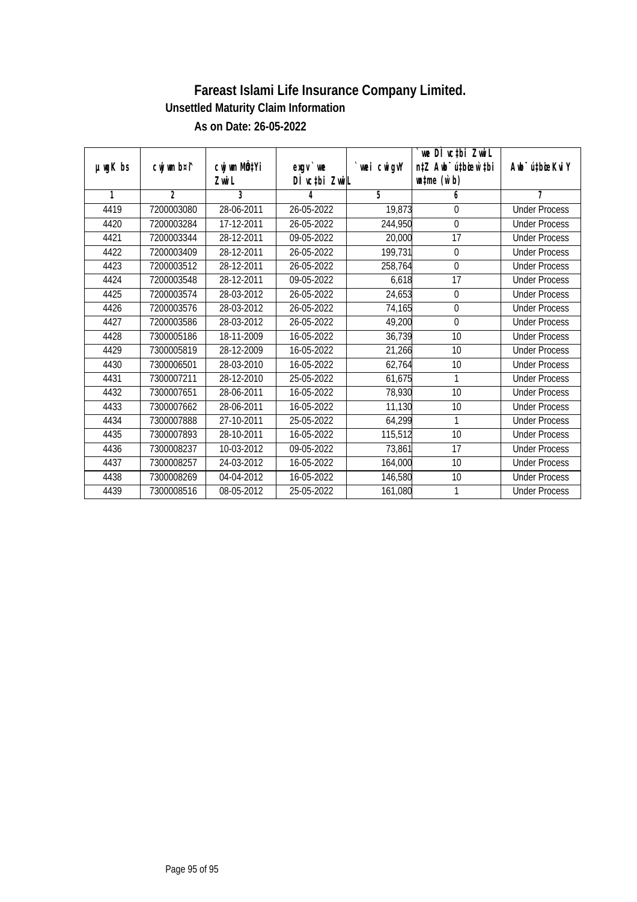| $µ$ mg $K$ bs | cwj wm b¤i^    | cwj wm MÖ‡Yi<br>Zwi L | $exgV$ we<br>DÌ vctbi ZwiL | `wei cwigvY | we DI vctbi ZwiL<br>n‡Z Awb <sup>-</sup> ú‡bioen`‡bi<br>$\n  un \uparrow me \left(\vec{v}, b\right)$ | Awb <sup>-</sup> ú‡bioeKviY |
|---------------|----------------|-----------------------|----------------------------|-------------|------------------------------------------------------------------------------------------------------|-----------------------------|
| 1             | $\overline{2}$ | 3                     | 4                          | 5           | 6                                                                                                    | 7                           |
| 4419          | 7200003080     | 28-06-2011            | 26-05-2022                 | 19,873      | 0                                                                                                    | <b>Under Process</b>        |
| 4420          | 7200003284     | 17-12-2011            | 26-05-2022                 | 244,950     | 0                                                                                                    | <b>Under Process</b>        |
| 4421          | 7200003344     | 28-12-2011            | 09-05-2022                 | 20,000      | 17                                                                                                   | <b>Under Process</b>        |
| 4422          | 7200003409     | 28-12-2011            | 26-05-2022                 | 199,731     | 0                                                                                                    | <b>Under Process</b>        |
| 4423          | 7200003512     | 28-12-2011            | 26-05-2022                 | 258,764     | $\mathbf 0$                                                                                          | <b>Under Process</b>        |
| 4424          | 7200003548     | 28-12-2011            | 09-05-2022                 | 6,618       | 17                                                                                                   | <b>Under Process</b>        |
| 4425          | 7200003574     | 28-03-2012            | 26-05-2022                 | 24,653      | $\boldsymbol{0}$                                                                                     | <b>Under Process</b>        |
| 4426          | 7200003576     | 28-03-2012            | 26-05-2022                 | 74,165      | $\overline{0}$                                                                                       | <b>Under Process</b>        |
| 4427          | 7200003586     | 28-03-2012            | 26-05-2022                 | 49,200      | $\mathbf 0$                                                                                          | <b>Under Process</b>        |
| 4428          | 7300005186     | 18-11-2009            | 16-05-2022                 | 36,739      | 10                                                                                                   | <b>Under Process</b>        |
| 4429          | 7300005819     | 28-12-2009            | 16-05-2022                 | 21,266      | 10                                                                                                   | <b>Under Process</b>        |
| 4430          | 7300006501     | 28-03-2010            | 16-05-2022                 | 62,764      | 10                                                                                                   | <b>Under Process</b>        |
| 4431          | 7300007211     | 28-12-2010            | 25-05-2022                 | 61,675      | 1                                                                                                    | <b>Under Process</b>        |
| 4432          | 7300007651     | 28-06-2011            | 16-05-2022                 | 78,930      | 10                                                                                                   | <b>Under Process</b>        |
| 4433          | 7300007662     | 28-06-2011            | 16-05-2022                 | 11,130      | 10                                                                                                   | <b>Under Process</b>        |
| 4434          | 7300007888     | 27-10-2011            | 25-05-2022                 | 64,299      | $\mathbf{1}$                                                                                         | <b>Under Process</b>        |
| 4435          | 7300007893     | 28-10-2011            | 16-05-2022                 | 115,512     | 10                                                                                                   | <b>Under Process</b>        |
| 4436          | 7300008237     | 10-03-2012            | 09-05-2022                 | 73,861      | 17                                                                                                   | <b>Under Process</b>        |
| 4437          | 7300008257     | 24-03-2012            | 16-05-2022                 | 164,000     | 10                                                                                                   | <b>Under Process</b>        |
| 4438          | 7300008269     | 04-04-2012            | 16-05-2022                 | 146,580     | 10                                                                                                   | <b>Under Process</b>        |
| 4439          | 7300008516     | 08-05-2012            | 25-05-2022                 | 161,080     | 1                                                                                                    | <b>Under Process</b>        |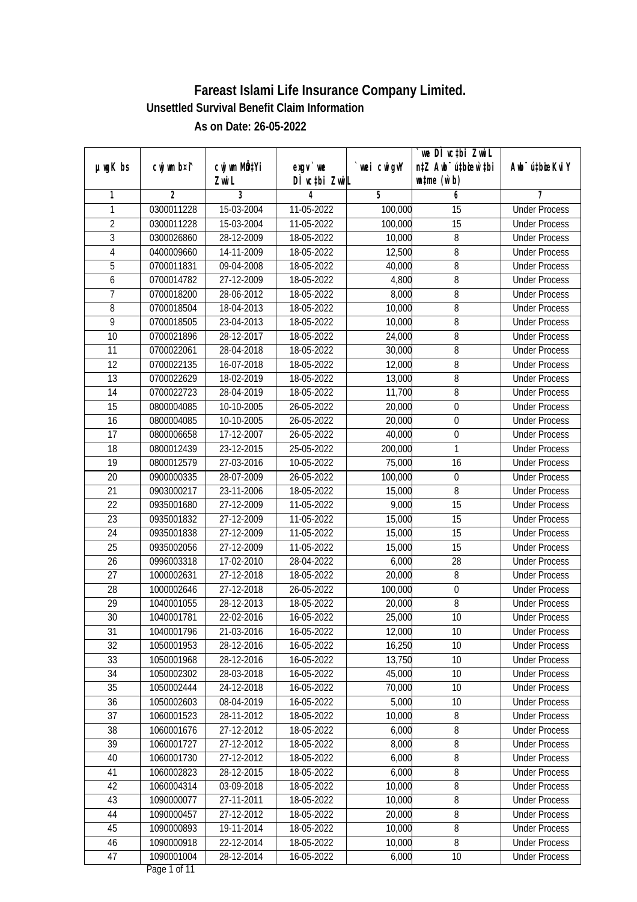|                 |                |                       |                            |            | we DI vctbi ZwiL                                            |                             |
|-----------------|----------------|-----------------------|----------------------------|------------|-------------------------------------------------------------|-----------------------------|
| $µ$ ug $K$ bs   | cwj wm b¤i^    | cwj wm MQtYi<br>Zwi L | $exqu$ we<br>DÌ vctbi ZwiL | wei cwigvY | n‡Z Awb <sup>-</sup> ú‡bioar`‡bi<br>$\n  untime\n  (u`b)\n$ | Awb <sup>-</sup> ú‡bioeKviY |
| 1               | $\overline{2}$ | 3                     | 4                          | 5          | 6                                                           | 7                           |
| 1               | 0300011228     | 15-03-2004            | 11-05-2022                 | 100,000    | 15                                                          | <b>Under Process</b>        |
| $\overline{2}$  | 0300011228     | 15-03-2004            | 11-05-2022                 | 100,000    | $\overline{15}$                                             | <b>Under Process</b>        |
| $\overline{3}$  | 0300026860     | 28-12-2009            | 18-05-2022                 | 10,000     | $\overline{8}$                                              | <b>Under Process</b>        |
| $\overline{4}$  | 0400009660     | 14-11-2009            | 18-05-2022                 | 12,500     | 8                                                           | <b>Under Process</b>        |
| 5               | 0700011831     | 09-04-2008            | 18-05-2022                 | 40,000     | $\overline{8}$                                              | <b>Under Process</b>        |
| 6               | 0700014782     | 27-12-2009            | 18-05-2022                 | 4,800      | 8                                                           | <b>Under Process</b>        |
| $\overline{7}$  | 0700018200     | 28-06-2012            | 18-05-2022                 | 8,000      | $\overline{8}$                                              | <b>Under Process</b>        |
| 8               | 0700018504     | 18-04-2013            | 18-05-2022                 | 10,000     | 8                                                           | <b>Under Process</b>        |
| 9               | 0700018505     | 23-04-2013            | 18-05-2022                 | 10,000     | 8                                                           | <b>Under Process</b>        |
| 10              | 0700021896     | 28-12-2017            | 18-05-2022                 | 24,000     | 8                                                           | <b>Under Process</b>        |
| $\overline{11}$ | 0700022061     | 28-04-2018            | 18-05-2022                 | 30,000     | 8                                                           | <b>Under Process</b>        |
| 12              | 0700022135     | 16-07-2018            | 18-05-2022                 | 12,000     | $\overline{8}$                                              | <b>Under Process</b>        |
| $\overline{13}$ | 0700022629     | 18-02-2019            | 18-05-2022                 | 13,000     | $\overline{8}$                                              | <b>Under Process</b>        |
| 14              | 0700022723     | 28-04-2019            | 18-05-2022                 | 11,700     | 8                                                           | <b>Under Process</b>        |
| 15              | 0800004085     | 10-10-2005            | 26-05-2022                 | 20,000     | $\mathbf 0$                                                 | <b>Under Process</b>        |
| 16              | 0800004085     | 10-10-2005            | 26-05-2022                 | 20,000     | 0                                                           | <b>Under Process</b>        |
| 17              | 0800006658     | 17-12-2007            | 26-05-2022                 | 40,000     | $\boldsymbol{0}$                                            | <b>Under Process</b>        |
| 18              | 0800012439     | 23-12-2015            | 25-05-2022                 | 200,000    | 1                                                           | <b>Under Process</b>        |
| 19              | 0800012579     | 27-03-2016            | 10-05-2022                 | 75,000     | 16                                                          | <b>Under Process</b>        |
| 20              | 0900000335     | 28-07-2009            | 26-05-2022                 | 100,000    | $\boldsymbol{0}$                                            | <b>Under Process</b>        |
| 21              | 0903000217     | 23-11-2006            | 18-05-2022                 | 15,000     | 8                                                           | <b>Under Process</b>        |
| 22              | 0935001680     | 27-12-2009            | 11-05-2022                 | 9,000      | 15                                                          | <b>Under Process</b>        |
| 23              | 0935001832     | 27-12-2009            | 11-05-2022                 | 15,000     | 15                                                          | <b>Under Process</b>        |
| 24              | 0935001838     | 27-12-2009            | 11-05-2022                 | 15,000     | 15                                                          | <b>Under Process</b>        |
| 25              | 0935002056     | $27 - 12 - 2009$      | 11-05-2022                 | 15,000     | 15                                                          | <b>Under Process</b>        |
| 26              | 0996003318     | 17-02-2010            | 28-04-2022                 | 6,000      | 28                                                          | <b>Under Process</b>        |
| 27              | 1000002631     | 27-12-2018            | 18-05-2022                 | 20,000     | 8                                                           | <b>Under Process</b>        |
| 28              | 1000002646     | 27-12-2018            | 26-05-2022                 | 100,000    | $\overline{0}$                                              | <b>Under Process</b>        |
| 29              | 1040001055     | 28-12-2013            | 18-05-2022                 | 20,000     | $\, 8$                                                      | <b>Under Process</b>        |
| 30              | 1040001781     | 22-02-2016            | 16-05-2022                 | 25,000     | 10                                                          | <b>Under Process</b>        |
| 31              | 1040001796     | 21-03-2016            | 16-05-2022                 | 12,000     | 10                                                          | <b>Under Process</b>        |
| 32              | 1050001953     | 28-12-2016            | 16-05-2022                 | 16,250     | 10                                                          | <b>Under Process</b>        |
| 33              | 1050001968     | 28-12-2016            | 16-05-2022                 | 13,750     | 10                                                          | <b>Under Process</b>        |
| 34              | 1050002302     | 28-03-2018            | 16-05-2022                 | 45,000     | 10                                                          | <b>Under Process</b>        |
| 35              | 1050002444     | 24-12-2018            | 16-05-2022                 | 70,000     | 10                                                          | <b>Under Process</b>        |
| 36              | 1050002603     | 08-04-2019            | 16-05-2022                 | 5,000      | 10                                                          | <b>Under Process</b>        |
| 37              | 1060001523     | 28-11-2012            | 18-05-2022                 | 10,000     | 8                                                           | <b>Under Process</b>        |
| 38              | 1060001676     | 27-12-2012            | 18-05-2022                 | 6,000      | 8                                                           | <b>Under Process</b>        |
| 39              | 1060001727     | 27-12-2012            | 18-05-2022                 | 8,000      | 8                                                           | <b>Under Process</b>        |
| 40              | 1060001730     | 27-12-2012            | 18-05-2022                 | 6,000      | 8                                                           | <b>Under Process</b>        |
| 41              | 1060002823     | 28-12-2015            | 18-05-2022                 | 6,000      | 8                                                           | <b>Under Process</b>        |
| 42              | 1060004314     | 03-09-2018            | 18-05-2022                 | 10,000     | 8                                                           | <b>Under Process</b>        |
| 43              | 1090000077     | 27-11-2011            | 18-05-2022                 | 10,000     | 8                                                           | <b>Under Process</b>        |
| 44              | 1090000457     | 27-12-2012            | 18-05-2022                 | 20,000     | 8                                                           | <b>Under Process</b>        |
| 45              | 1090000893     | 19-11-2014            | 18-05-2022                 | 10,000     | 8                                                           | <b>Under Process</b>        |
| 46              | 1090000918     | 22-12-2014            | 18-05-2022                 | 10,000     | 8                                                           | <b>Under Process</b>        |
| 47              | 1090001004     | 28-12-2014            | 16-05-2022                 | 6,000      | 10                                                          | <b>Under Process</b>        |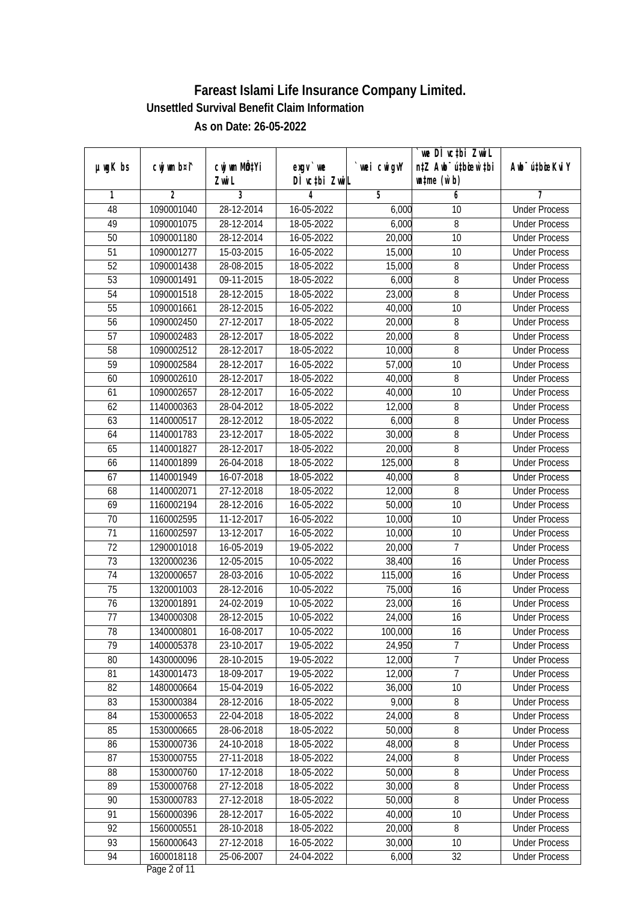| µwgK bs         | cwj wm b¤i^ | cwj wm MQtYi | $exqu$ we     | `wei cwigvY | we DI vctbi ZwiL<br>n‡Z Awb <sup>-</sup> ú‡bioar`‡bi | Awb <sup>-</sup> ú‡bioeKviY |
|-----------------|-------------|--------------|---------------|-------------|------------------------------------------------------|-----------------------------|
|                 |             | Zwi L        | DÌ vctbi ZwiL |             | $\n  untime\n  (u`b)\n$                              |                             |
| 1               | 2           | 3            | 4             | 5           | 6                                                    | 7                           |
| 48              | 1090001040  | 28-12-2014   | 16-05-2022    | 6,000       | 10                                                   | <b>Under Process</b>        |
| 49              | 1090001075  | 28-12-2014   | 18-05-2022    | 6,000       | 8                                                    | <b>Under Process</b>        |
| 50              | 1090001180  | 28-12-2014   | 16-05-2022    | 20,000      | $\overline{10}$                                      | <b>Under Process</b>        |
| $\overline{51}$ | 1090001277  | 15-03-2015   | 16-05-2022    | 15,000      | $\overline{10}$                                      | <b>Under Process</b>        |
| 52              | 1090001438  | 28-08-2015   | 18-05-2022    | 15,000      | 8                                                    | <b>Under Process</b>        |
| 53              | 1090001491  | 09-11-2015   | 18-05-2022    | 6,000       | 8                                                    | <b>Under Process</b>        |
| 54              | 1090001518  | 28-12-2015   | 18-05-2022    | 23,000      | $\overline{8}$                                       | <b>Under Process</b>        |
| 55              | 1090001661  | 28-12-2015   | 16-05-2022    | 40,000      | $\overline{10}$                                      | <b>Under Process</b>        |
| 56              | 1090002450  | 27-12-2017   | 18-05-2022    | 20,000      | 8                                                    | <b>Under Process</b>        |
| 57              | 1090002483  | 28-12-2017   | 18-05-2022    | 20,000      | 8                                                    | <b>Under Process</b>        |
| 58              | 1090002512  | 28-12-2017   | 18-05-2022    | 10,000      | 8                                                    | <b>Under Process</b>        |
| 59              | 1090002584  | 28-12-2017   | 16-05-2022    | 57,000      | 10                                                   | <b>Under Process</b>        |
| 60              | 1090002610  | 28-12-2017   | 18-05-2022    | 40,000      | 8                                                    | <b>Under Process</b>        |
| 61              | 1090002657  | 28-12-2017   | 16-05-2022    | 40,000      | 10                                                   | <b>Under Process</b>        |
| 62              | 1140000363  | 28-04-2012   | 18-05-2022    | 12,000      | 8                                                    | <b>Under Process</b>        |
| 63              | 1140000517  | 28-12-2012   | 18-05-2022    | 6,000       | 8                                                    | <b>Under Process</b>        |
| 64              | 1140001783  | 23-12-2017   | 18-05-2022    | 30,000      | 8                                                    | <b>Under Process</b>        |
| 65              | 1140001827  | 28-12-2017   | 18-05-2022    | 20,000      | $\overline{8}$                                       | <b>Under Process</b>        |
| 66              | 1140001899  | 26-04-2018   | 18-05-2022    | 125,000     | 8                                                    | <b>Under Process</b>        |
| 67              | 1140001949  | 16-07-2018   | 18-05-2022    | 40,000      | 8                                                    | <b>Under Process</b>        |
| 68              | 1140002071  | 27-12-2018   | 18-05-2022    | 12,000      | 8                                                    | <b>Under Process</b>        |
| 69              | 1160002194  | 28-12-2016   | 16-05-2022    | 50,000      | 10                                                   | <b>Under Process</b>        |
| 70              | 1160002595  | 11-12-2017   | 16-05-2022    | 10,000      | 10                                                   | <b>Under Process</b>        |
| 71              | 1160002597  | 13-12-2017   | 16-05-2022    | 10,000      | 10                                                   | <b>Under Process</b>        |
| 72              | 1290001018  | 16-05-2019   | 19-05-2022    | 20,000      | 7                                                    | <b>Under Process</b>        |
| 73              | 1320000236  | 12-05-2015   | 10-05-2022    | 38,400      | 16                                                   | <b>Under Process</b>        |
| 74              | 1320000657  | 28-03-2016   | 10-05-2022    | 115,000     | 16                                                   | <b>Under Process</b>        |
| 75              | 1320001003  | 28-12-2016   | 10-05-2022    | 75,000      | 16                                                   | <b>Under Process</b>        |
| 76              | 1320001891  | 24-02-2019   | 10-05-2022    | 23,000      | 16                                                   | <b>Under Process</b>        |
| 77              | 1340000308  | 28-12-2015   | 10-05-2022    | 24,000      | 16                                                   | <b>Under Process</b>        |
| 78              | 1340000801  | 16-08-2017   | 10-05-2022    | 100,000     | 16                                                   | <b>Under Process</b>        |
| 79              | 1400005378  | 23-10-2017   | 19-05-2022    | 24,950      | $\overline{7}$                                       | <b>Under Process</b>        |
| 80              | 1430000096  | 28-10-2015   | 19-05-2022    | 12,000      | $\overline{7}$                                       | <b>Under Process</b>        |
| 81              | 1430001473  | 18-09-2017   | 19-05-2022    | 12,000      | $\overline{7}$                                       | <b>Under Process</b>        |
| 82              | 1480000664  | 15-04-2019   | 16-05-2022    | 36,000      | 10                                                   | <b>Under Process</b>        |
| 83              | 1530000384  | 28-12-2016   | 18-05-2022    | 9,000       | 8                                                    | <b>Under Process</b>        |
| 84              | 1530000653  | 22-04-2018   | 18-05-2022    | 24,000      | 8                                                    | <b>Under Process</b>        |
| 85              | 1530000665  | 28-06-2018   | 18-05-2022    | 50,000      | 8                                                    | <b>Under Process</b>        |
| 86              | 1530000736  | 24-10-2018   | 18-05-2022    | 48,000      | $\overline{8}$                                       | <b>Under Process</b>        |
| 87              | 1530000755  | 27-11-2018   | 18-05-2022    | 24,000      | 8                                                    | <b>Under Process</b>        |
| 88              | 1530000760  | 17-12-2018   | 18-05-2022    | 50,000      | 8                                                    | <b>Under Process</b>        |
| 89              | 1530000768  | 27-12-2018   | 18-05-2022    | 30,000      | $\overline{8}$                                       | <b>Under Process</b>        |
| 90              | 1530000783  | 27-12-2018   | 18-05-2022    | 50,000      | $\overline{8}$                                       | <b>Under Process</b>        |
| 91              | 1560000396  | 28-12-2017   | 16-05-2022    | 40,000      | $\overline{10}$                                      | <b>Under Process</b>        |
| 92              | 1560000551  | 28-10-2018   | 18-05-2022    | 20,000      | 8                                                    | <b>Under Process</b>        |
| 93              | 1560000643  | 27-12-2018   | 16-05-2022    | 30,000      | 10                                                   | <b>Under Process</b>        |
| 94              | 1600018118  | 25-06-2007   | 24-04-2022    | 6,000       | $\overline{32}$                                      | <b>Under Process</b>        |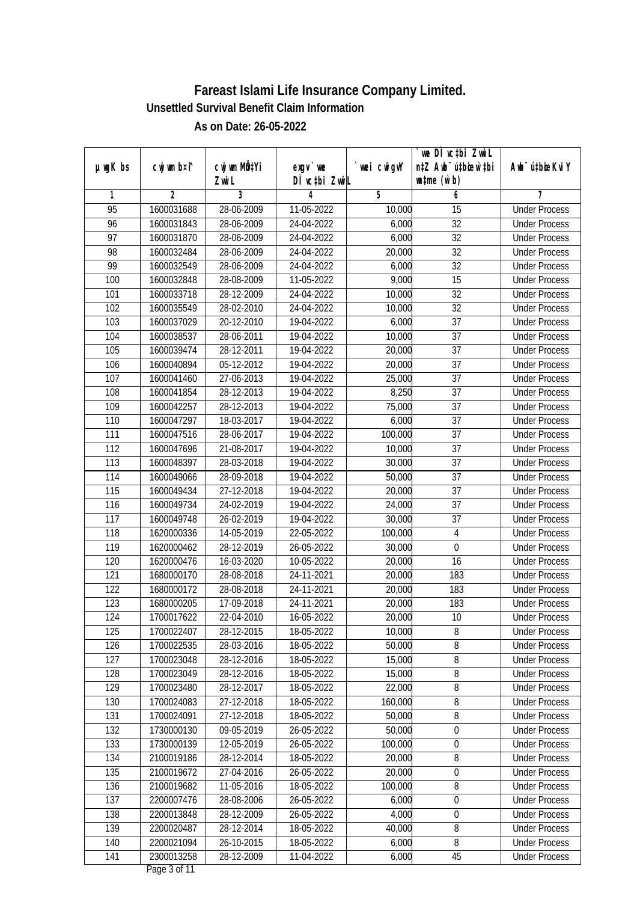|                 |             |                       |                            |             | we DI vctbi ZwiL                                            |                             |
|-----------------|-------------|-----------------------|----------------------------|-------------|-------------------------------------------------------------|-----------------------------|
| µwgK bs         | cwj wm b¤i^ | cwj wm MQtYi<br>Zwi L | $exqu$ we<br>DÌ vctbi ZwiL | `wei cwigvY | n‡Z Awb <sup>-</sup> ú‡bioar`‡bi<br>$\n  untime\n  (u`b)\n$ | Awb <sup>-</sup> ú‡bioeKviY |
| 1               | 2           | 3                     | 4                          | 5           | 6                                                           | 7                           |
| 95              | 1600031688  | 28-06-2009            | 11-05-2022                 | 10,000      | 15                                                          | <b>Under Process</b>        |
| 96              | 1600031843  | 28-06-2009            | 24-04-2022                 | 6,000       | $\overline{32}$                                             | <b>Under Process</b>        |
| $\overline{97}$ | 1600031870  | 28-06-2009            | 24-04-2022                 | 6,000       | $\overline{32}$                                             | <b>Under Process</b>        |
| 98              | 1600032484  | 28-06-2009            | 24-04-2022                 | 20,000      | $\overline{32}$                                             | <b>Under Process</b>        |
| 99              | 1600032549  | 28-06-2009            | 24-04-2022                 | 6,000       | $\overline{32}$                                             | <b>Under Process</b>        |
| 100             | 1600032848  | 28-08-2009            | 11-05-2022                 | 9,000       | 15                                                          | <b>Under Process</b>        |
| 101             | 1600033718  | 28-12-2009            | 24-04-2022                 | 10,000      | $\overline{32}$                                             | <b>Under Process</b>        |
| 102             | 1600035549  | 28-02-2010            | 24-04-2022                 | 10,000      | $\overline{32}$                                             | <b>Under Process</b>        |
| 103             | 1600037029  | 20-12-2010            | 19-04-2022                 | 6,000       | $\overline{37}$                                             | <b>Under Process</b>        |
| 104             | 1600038537  | 28-06-2011            | 19-04-2022                 | 10,000      | 37                                                          | <b>Under Process</b>        |
| 105             | 1600039474  | 28-12-2011            | 19-04-2022                 | 20,000      | $\overline{37}$                                             | <b>Under Process</b>        |
| 106             | 1600040894  | 05-12-2012            | 19-04-2022                 | 20,000      | 37                                                          | <b>Under Process</b>        |
| 107             | 1600041460  | 27-06-2013            | 19-04-2022                 | 25,000      | $\overline{37}$                                             | <b>Under Process</b>        |
| 108             | 1600041854  | 28-12-2013            | 19-04-2022                 | 8,250       | 37                                                          | <b>Under Process</b>        |
| 109             | 1600042257  | 28-12-2013            | 19-04-2022                 | 75,000      | 37                                                          | <b>Under Process</b>        |
| 110             | 1600047297  | 18-03-2017            | 19-04-2022                 | 6,000       | 37                                                          | <b>Under Process</b>        |
| 111             | 1600047516  | 28-06-2017            | 19-04-2022                 | 100,000     | 37                                                          | <b>Under Process</b>        |
| 112             | 1600047696  | 21-08-2017            | 19-04-2022                 | 10,000      | 37                                                          | <b>Under Process</b>        |
| 113             | 1600048397  | 28-03-2018            | 19-04-2022                 | 30,000      | 37                                                          | <b>Under Process</b>        |
| 114             | 1600049066  | 28-09-2018            | 19-04-2022                 | 50,000      | 37                                                          | <b>Under Process</b>        |
| 115             | 1600049434  | 27-12-2018            | 19-04-2022                 | 20,000      | 37                                                          | <b>Under Process</b>        |
| 116             | 1600049734  | 24-02-2019            | 19-04-2022                 | 24,000      | 37                                                          | <b>Under Process</b>        |
| 117             | 1600049748  | 26-02-2019            | 19-04-2022                 | 30,000      | $\overline{37}$                                             | <b>Under Process</b>        |
| 118             | 1620000336  | 14-05-2019            | 22-05-2022                 | 100,000     | $\overline{4}$                                              | <b>Under Process</b>        |
| 119             | 1620000462  | 28-12-2019            | 26-05-2022                 | 30,000      | $\boldsymbol{0}$                                            | <b>Under Process</b>        |
| 120             | 1620000476  | 16-03-2020            | 10-05-2022                 | 20,000      | 16                                                          | <b>Under Process</b>        |
| 121             | 1680000170  | 28-08-2018            | 24-11-2021                 | 20,000      | 183                                                         | <b>Under Process</b>        |
| 122             | 1680000172  | 28-08-2018            | 24-11-2021                 | 20,000      | 183                                                         | <b>Under Process</b>        |
| 123             | 1680000205  | 17-09-2018            | 24-11-2021                 | 20,000      | 183                                                         | <b>Under Process</b>        |
| 124             | 1700017622  | 22-04-2010            | 16-05-2022                 | 20,000      | 10                                                          | <b>Under Process</b>        |
| 125             | 1700022407  | 28-12-2015            | 18-05-2022                 | 10,000      | 8                                                           | <b>Under Process</b>        |
| 126             | 1700022535  | 28-03-2016            | 18-05-2022                 | 50,000      | 8                                                           | <b>Under Process</b>        |
| 127             | 1700023048  | 28-12-2016            | 18-05-2022                 | 15,000      | $8\,$                                                       | <b>Under Process</b>        |
| 128             | 1700023049  | 28-12-2016            | 18-05-2022                 | 15,000      | $\bf 8$                                                     | <b>Under Process</b>        |
| 129             | 1700023480  | 28-12-2017            | 18-05-2022                 | 22,000      | 8                                                           | <b>Under Process</b>        |
| 130             | 1700024083  | $27 - 12 - 2018$      | 18-05-2022                 | 160,000     | 8                                                           | <b>Under Process</b>        |
| 131             | 1700024091  | 27-12-2018            | 18-05-2022                 | 50,000      | 8                                                           | <b>Under Process</b>        |
| 132             | 1730000130  | 09-05-2019            | 26-05-2022                 | 50,000      | $\boldsymbol{0}$                                            | <b>Under Process</b>        |
| 133             | 1730000139  | 12-05-2019            | 26-05-2022                 | 100,000     | $\boldsymbol{0}$                                            | <b>Under Process</b>        |
| 134             | 2100019186  | 28-12-2014            | 18-05-2022                 | 20,000      | 8                                                           | <b>Under Process</b>        |
| 135             | 2100019672  | 27-04-2016            | 26-05-2022                 | 20,000      | $\boldsymbol{0}$                                            | <b>Under Process</b>        |
| 136             | 2100019682  | 11-05-2016            | 18-05-2022                 | 100,000     | $\overline{8}$                                              | <b>Under Process</b>        |
| 137             | 2200007476  | 28-08-2006            | 26-05-2022                 | 6,000       | $\boldsymbol{0}$                                            | <b>Under Process</b>        |
| 138             | 2200013848  | 28-12-2009            | 26-05-2022                 | 4,000       | $\overline{0}$                                              | <b>Under Process</b>        |
| 139             | 2200020487  | 28-12-2014            | 18-05-2022                 | 40,000      | 8                                                           | <b>Under Process</b>        |
| 140             | 2200021094  | 26-10-2015            | 18-05-2022                 | 6,000       | 8                                                           | <b>Under Process</b>        |
| 141             | 2300013258  | 28-12-2009            | 11-04-2022                 | 6,000       | 45                                                          | <b>Under Process</b>        |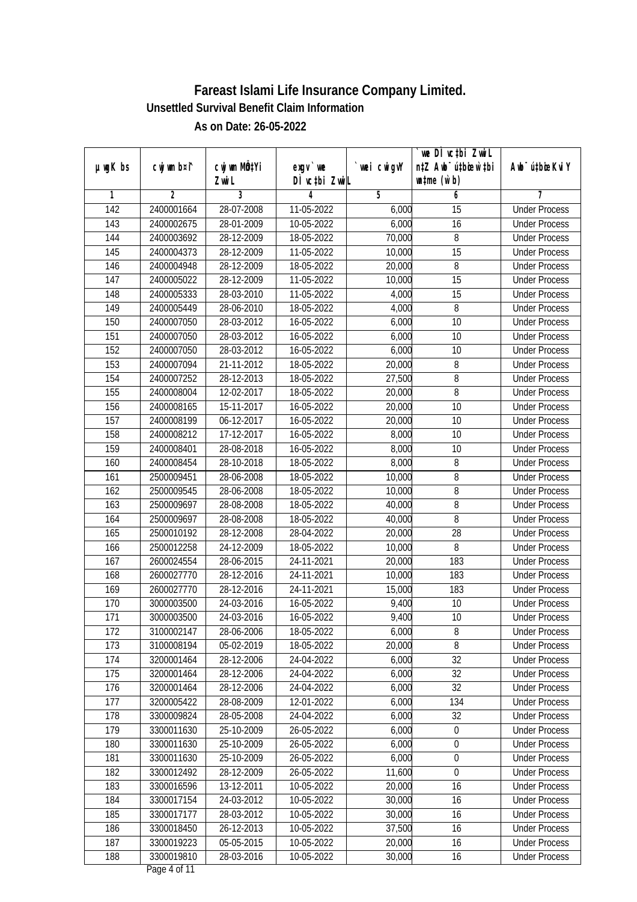|                  |                |              |               |                | we DI vctbi Zwil                 |                             |
|------------------|----------------|--------------|---------------|----------------|----------------------------------|-----------------------------|
| $µ$ ug $K$ bs    | cwj wm b¤i^    | cwj wm MQtYi | $exgV$ we     | `wei cwigvY    | n‡Z Awb <sup>-</sup> ú‡bioar`‡bi | Awb <sup>-</sup> ú‡bioeKviY |
|                  |                | Zwi L        | DÌ vctbi ZwiL |                | $\n  untime\n  (u`b)\n$          |                             |
| 1                | $\overline{2}$ | 3            | 4             | $\overline{5}$ | 6                                | 7                           |
| $\overline{142}$ | 2400001664     | 28-07-2008   | 11-05-2022    | 6,000          | $\overline{15}$                  | <b>Under Process</b>        |
| 143              | 2400002675     | 28-01-2009   | 10-05-2022    | 6,000          | 16                               | <b>Under Process</b>        |
| 144              | 2400003692     | 28-12-2009   | 18-05-2022    | 70,000         | 8                                | <b>Under Process</b>        |
| 145              | 2400004373     | 28-12-2009   | 11-05-2022    | 10,000         | $\overline{15}$                  | <b>Under Process</b>        |
| 146              | 2400004948     | 28-12-2009   | 18-05-2022    | 20,000         | $\overline{8}$                   | <b>Under Process</b>        |
| 147              | 2400005022     | 28-12-2009   | 11-05-2022    | 10,000         | 15                               | <b>Under Process</b>        |
| 148              | 2400005333     | 28-03-2010   | 11-05-2022    | 4,000          | 15                               | <b>Under Process</b>        |
| 149              | 2400005449     | 28-06-2010   | 18-05-2022    | 4,000          | 8                                | <b>Under Process</b>        |
| 150              | 2400007050     | 28-03-2012   | 16-05-2022    | 6,000          | 10                               | <b>Under Process</b>        |
| 151              | 2400007050     | 28-03-2012   | 16-05-2022    | 6,000          | 10                               | <b>Under Process</b>        |
| 152              | 2400007050     | 28-03-2012   | 16-05-2022    | 6,000          | $\overline{10}$                  | <b>Under Process</b>        |
| 153              | 2400007094     | 21-11-2012   | 18-05-2022    | 20,000         | 8                                | <b>Under Process</b>        |
| 154              | 2400007252     | 28-12-2013   | 18-05-2022    | 27,500         | $\overline{8}$                   | <b>Under Process</b>        |
| 155              | 2400008004     | 12-02-2017   | 18-05-2022    | 20,000         | 8                                | <b>Under Process</b>        |
| 156              | 2400008165     | 15-11-2017   | 16-05-2022    | 20,000         | 10                               | <b>Under Process</b>        |
| 157              | 2400008199     | 06-12-2017   | 16-05-2022    | 20,000         | 10                               | <b>Under Process</b>        |
| 158              | 2400008212     | 17-12-2017   | 16-05-2022    | 8,000          | 10                               | <b>Under Process</b>        |
| 159              | 2400008401     | 28-08-2018   | 16-05-2022    | 8,000          | 10                               | <b>Under Process</b>        |
| 160              | 2400008454     | 28-10-2018   | 18-05-2022    | 8,000          | 8                                | <b>Under Process</b>        |
| 161              | 2500009451     | 28-06-2008   | 18-05-2022    | 10,000         | 8                                | <b>Under Process</b>        |
| 162              | 2500009545     | 28-06-2008   | 18-05-2022    | 10,000         | 8                                | <b>Under Process</b>        |
| 163              | 2500009697     | 28-08-2008   | 18-05-2022    | 40,000         | 8                                | <b>Under Process</b>        |
| 164              | 2500009697     | 28-08-2008   | 18-05-2022    | 40,000         | 8                                | <b>Under Process</b>        |
| 165              | 2500010192     | 28-12-2008   | 28-04-2022    | 20,000         | 28                               | <b>Under Process</b>        |
| 166              | 2500012258     | 24-12-2009   | 18-05-2022    | 10,000         | 8                                | <b>Under Process</b>        |
| 167              | 2600024554     | 28-06-2015   | 24-11-2021    | 20,000         | 183                              | <b>Under Process</b>        |
| 168              | 2600027770     | 28-12-2016   | 24-11-2021    | 10,000         | 183                              | <b>Under Process</b>        |
| 169              | 2600027770     | 28-12-2016   | 24-11-2021    | 15,000         | 183                              | <b>Under Process</b>        |
| 170              | 3000003500     | 24-03-2016   | 16-05-2022    | 9,400          | 10                               | <b>Under Process</b>        |
| 171              | 3000003500     | 24-03-2016   | 16-05-2022    | 9,400          | 10                               | <b>Under Process</b>        |
| 172              | 3100002147     | 28-06-2006   | 18-05-2022    | 6,000          | 8                                | <b>Under Process</b>        |
| 173              | 3100008194     | 05-02-2019   | 18-05-2022    | 20,000         | $\overline{8}$                   | <b>Under Process</b>        |
| 174              | 3200001464     | 28-12-2006   | 24-04-2022    | 6,000          | 32                               | <b>Under Process</b>        |
| 175              | 3200001464     | 28-12-2006   | 24-04-2022    | 6,000          | 32                               | <b>Under Process</b>        |
| 176              | 3200001464     | 28-12-2006   | 24-04-2022    | 6,000          | 32                               | <b>Under Process</b>        |
| 177              | 3200005422     | 28-08-2009   | 12-01-2022    | 6,000          | 134                              | <b>Under Process</b>        |
| 178              | 3300009824     | 28-05-2008   | 24-04-2022    | 6,000          | 32                               | <b>Under Process</b>        |
| 179              | 3300011630     | 25-10-2009   | 26-05-2022    | 6,000          | $\boldsymbol{0}$                 | <b>Under Process</b>        |
| 180              | 3300011630     | 25-10-2009   | 26-05-2022    | 6,000          | $\boldsymbol{0}$                 | <b>Under Process</b>        |
| 181              | 3300011630     | 25-10-2009   | 26-05-2022    | 6,000          | $\boldsymbol{0}$                 | <b>Under Process</b>        |
| 182              | 3300012492     | 28-12-2009   | 26-05-2022    | 11,600         | 0                                | <b>Under Process</b>        |
| 183              | 3300016596     | 13-12-2011   | 10-05-2022    | 20,000         | 16                               | <b>Under Process</b>        |
| 184              | 3300017154     | 24-03-2012   | 10-05-2022    | 30,000         | 16                               | <b>Under Process</b>        |
| 185              | 3300017177     | 28-03-2012   | 10-05-2022    | 30,000         | 16                               | <b>Under Process</b>        |
| 186              | 3300018450     | 26-12-2013   | 10-05-2022    | 37,500         | 16                               | <b>Under Process</b>        |
| 187              | 3300019223     | 05-05-2015   | 10-05-2022    | 20,000         | 16                               | <b>Under Process</b>        |
| 188              | 3300019810     | 28-03-2016   | 10-05-2022    | 30,000         | 16                               | <b>Under Process</b>        |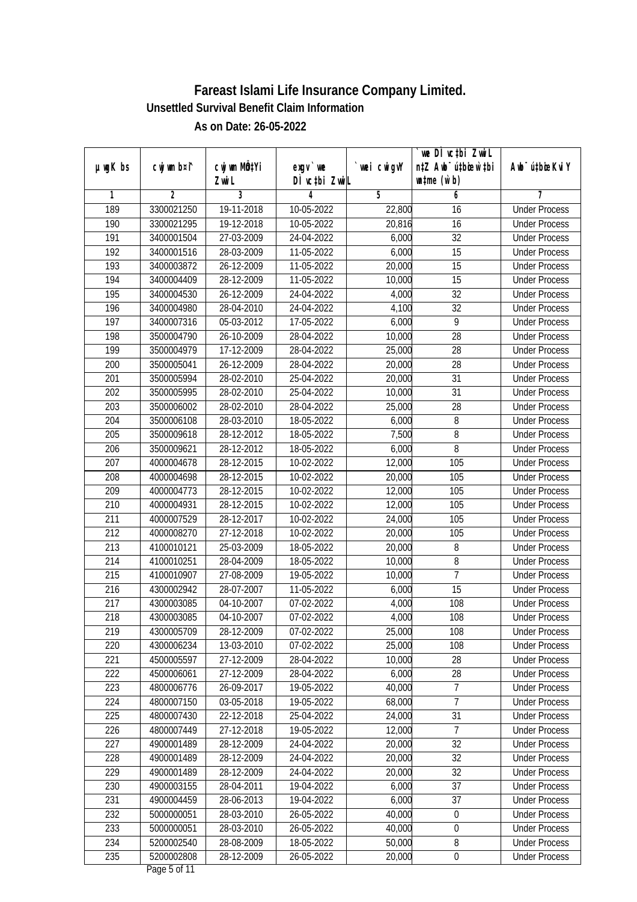|                  |             |                                    |                            |            | we DI vctbi ZwiL                                    |                             |
|------------------|-------------|------------------------------------|----------------------------|------------|-----------------------------------------------------|-----------------------------|
| µwgK bs          | cwj wm b¤i^ | Cwj wm MQ <sup>1</sup> Yi<br>Zwi L | $exqu$ we<br>DÌ vctbi ZwiL | wei cwigvY | n‡Z Awb <sup>-</sup> ú‡bicen`‡bi<br>$w$ tme $(w b)$ | Awb <sup>-</sup> ú‡bioeKviY |
| 1                | 2           | 3                                  | 4                          | 5          | 6                                                   | 7                           |
| 189              | 3300021250  | 19-11-2018                         | 10-05-2022                 | 22,800     | 16                                                  | <b>Under Process</b>        |
| 190              | 3300021295  | 19-12-2018                         | 10-05-2022                 | 20,816     | 16                                                  | <b>Under Process</b>        |
| 191              | 3400001504  | 27-03-2009                         | 24-04-2022                 | 6,000      | $\overline{32}$                                     | <b>Under Process</b>        |
| 192              | 3400001516  | 28-03-2009                         | 11-05-2022                 | 6,000      | $\overline{15}$                                     | <b>Under Process</b>        |
| 193              | 3400003872  | 26-12-2009                         | 11-05-2022                 | 20,000     | $\overline{15}$                                     | <b>Under Process</b>        |
| 194              | 3400004409  | 28-12-2009                         | 11-05-2022                 | 10,000     | 15                                                  | <b>Under Process</b>        |
| 195              | 3400004530  | 26-12-2009                         | 24-04-2022                 | 4,000      | $\overline{32}$                                     | <b>Under Process</b>        |
| 196              | 3400004980  | 28-04-2010                         | 24-04-2022                 | 4,100      | 32                                                  | <b>Under Process</b>        |
| $\overline{197}$ | 3400007316  | 05-03-2012                         | 17-05-2022                 | 6,000      | $\overline{9}$                                      | <b>Under Process</b>        |
| 198              | 3500004790  | 26-10-2009                         | 28-04-2022                 | 10,000     | 28                                                  | <b>Under Process</b>        |
| 199              | 3500004979  | 17-12-2009                         | 28-04-2022                 | 25,000     | $\overline{28}$                                     | <b>Under Process</b>        |
| 200              | 3500005041  | 26-12-2009                         | 28-04-2022                 | 20,000     | 28                                                  | <b>Under Process</b>        |
| $\overline{201}$ | 3500005994  | 28-02-2010                         | 25-04-2022                 | 20,000     | $\overline{31}$                                     | <b>Under Process</b>        |
| 202              | 3500005995  | 28-02-2010                         | 25-04-2022                 | 10,000     | 31                                                  | <b>Under Process</b>        |
| 203              | 3500006002  | 28-02-2010                         | 28-04-2022                 | 25,000     | 28                                                  | <b>Under Process</b>        |
| 204              | 3500006108  | 28-03-2010                         | 18-05-2022                 | 6,000      | 8                                                   | <b>Under Process</b>        |
| 205              | 3500009618  | 28-12-2012                         | 18-05-2022                 | 7,500      | 8                                                   | <b>Under Process</b>        |
| 206              | 3500009621  | 28-12-2012                         | 18-05-2022                 | 6,000      | $\, 8$                                              | <b>Under Process</b>        |
| 207              | 4000004678  | 28-12-2015                         | 10-02-2022                 | 12,000     | 105                                                 | <b>Under Process</b>        |
| 208              | 4000004698  | 28-12-2015                         | 10-02-2022                 | 20,000     | 105                                                 | <b>Under Process</b>        |
| 209              | 4000004773  | 28-12-2015                         | 10-02-2022                 | 12,000     | 105                                                 | <b>Under Process</b>        |
| 210              | 4000004931  | 28-12-2015                         | 10-02-2022                 | 12,000     | 105                                                 | <b>Under Process</b>        |
| 211              | 4000007529  | 28-12-2017                         | 10-02-2022                 | 24,000     | 105                                                 | <b>Under Process</b>        |
| 212              | 4000008270  | 27-12-2018                         | 10-02-2022                 | 20,000     | 105                                                 | <b>Under Process</b>        |
| 213              | 4100010121  | 25-03-2009                         | 18-05-2022                 | 20,000     | 8                                                   | <b>Under Process</b>        |
| 214              | 4100010251  | 28-04-2009                         | 18-05-2022                 | 10,000     | 8                                                   | <b>Under Process</b>        |
| 215              | 4100010907  | 27-08-2009                         | 19-05-2022                 | 10,000     | $\overline{1}$                                      | <b>Under Process</b>        |
| 216              | 4300002942  | 28-07-2007                         | 11-05-2022                 | 6,000      | $\overline{15}$                                     | <b>Under Process</b>        |
| 217              | 4300003085  | 04-10-2007                         | 07-02-2022                 | 4,000      | 108                                                 | <b>Under Process</b>        |
| 218              | 4300003085  | 04-10-2007                         | 07-02-2022                 | 4,000      | 108                                                 | <b>Under Process</b>        |
| 219              | 4300005709  | 28-12-2009                         | 07-02-2022                 | 25,000     | 108                                                 | <b>Under Process</b>        |
| 220              | 4300006234  | 13-03-2010                         | 07-02-2022                 | 25,000     | 108                                                 | <b>Under Process</b>        |
| 221              | 4500005597  | 27-12-2009                         | 28-04-2022                 | 10,000     | 28                                                  | <b>Under Process</b>        |
| 222              | 4500006061  | 27-12-2009                         | 28-04-2022                 | 6,000      | 28                                                  | <b>Under Process</b>        |
| 223              | 4800006776  | 26-09-2017                         | 19-05-2022                 | 40,000     | 7                                                   | <b>Under Process</b>        |
| 224              | 4800007150  | 03-05-2018                         | 19-05-2022                 | 68,000     | $\overline{7}$                                      | <b>Under Process</b>        |
| 225              | 4800007430  | 22-12-2018                         | 25-04-2022                 | 24,000     | 31                                                  | <b>Under Process</b>        |
| 226              | 4800007449  | 27-12-2018                         | 19-05-2022                 | 12,000     | $\overline{7}$                                      | <b>Under Process</b>        |
| 227              | 4900001489  | 28-12-2009                         | 24-04-2022                 | 20,000     | 32                                                  | <b>Under Process</b>        |
| 228              | 4900001489  | 28-12-2009                         | 24-04-2022                 | 20,000     | 32                                                  | <b>Under Process</b>        |
| 229              | 4900001489  | 28-12-2009                         | 24-04-2022                 | 20,000     | 32                                                  | <b>Under Process</b>        |
| 230              | 4900003155  | 28-04-2011                         | 19-04-2022                 | 6,000      | $\overline{37}$                                     | <b>Under Process</b>        |
| 231              | 4900004459  | 28-06-2013                         | 19-04-2022                 | 6,000      | $\overline{37}$                                     | <b>Under Process</b>        |
| 232              | 5000000051  | 28-03-2010                         | 26-05-2022                 | 40,000     | $\boldsymbol{0}$                                    | <b>Under Process</b>        |
| 233              | 5000000051  | 28-03-2010                         | 26-05-2022                 | 40,000     | 0                                                   | <b>Under Process</b>        |
| 234              | 5200002540  | 28-08-2009                         | 18-05-2022                 | 50,000     | 8                                                   | <b>Under Process</b>        |
| 235              | 5200002808  | 28-12-2009                         | 26-05-2022                 | 20,000     | $\boldsymbol{0}$                                    | <b>Under Process</b>        |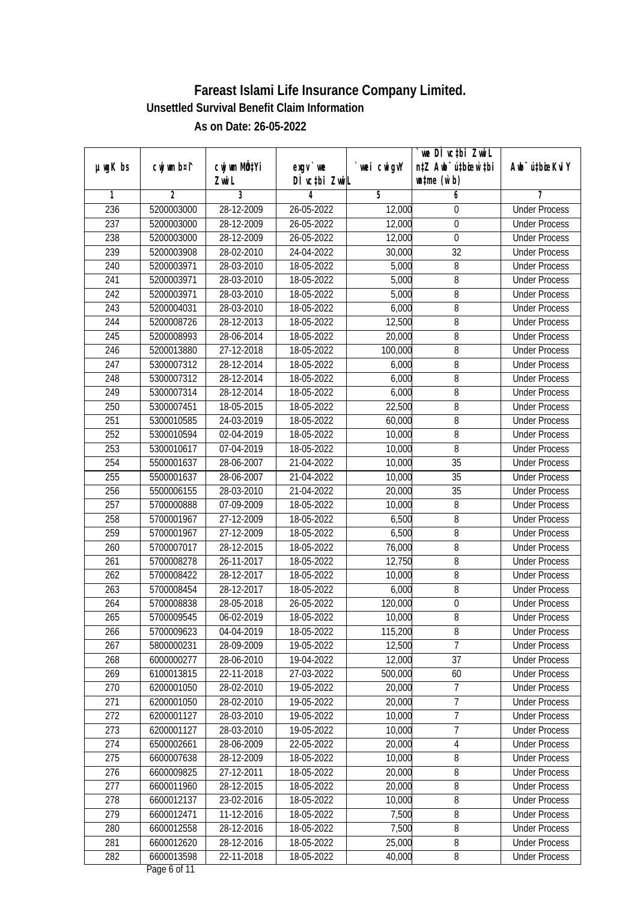|                  |                |              |               |            | we DÌ vc‡bi ZwiL                 |                             |
|------------------|----------------|--------------|---------------|------------|----------------------------------|-----------------------------|
| $µ$ ug $K$ bs    | cwj wm b¤i^    | cwj wm MQtYi | $exqu$ we     | wei cwigvY | n‡Z Awb <sup>-</sup> ú‡bioar`‡bi | Awb <sup>-</sup> ú‡bioeKviY |
|                  |                | Zwi L        | DÌ vctbi ZwiL |            | $\n  untime\n  (u`b)\n$          |                             |
| 1                | $\overline{2}$ | 3            | 4             | 5          | 6                                | 7                           |
| 236              | 5200003000     | 28-12-2009   | 26-05-2022    | 12,000     | 0                                | <b>Under Process</b>        |
| 237              | 5200003000     | 28-12-2009   | 26-05-2022    | 12,000     | $\boldsymbol{0}$                 | <b>Under Process</b>        |
| 238              | 5200003000     | 28-12-2009   | 26-05-2022    | 12,000     | $\boldsymbol{0}$                 | <b>Under Process</b>        |
| 239              | 5200003908     | 28-02-2010   | 24-04-2022    | 30,000     | $\overline{32}$                  | <b>Under Process</b>        |
| 240              | 5200003971     | 28-03-2010   | 18-05-2022    | 5,000      | 8                                | <b>Under Process</b>        |
| 241              | 5200003971     | 28-03-2010   | 18-05-2022    | 5,000      | 8                                | <b>Under Process</b>        |
| $\overline{242}$ | 5200003971     | 28-03-2010   | 18-05-2022    | 5,000      | $\overline{8}$                   | <b>Under Process</b>        |
| $\overline{243}$ | 5200004031     | 28-03-2010   | 18-05-2022    | 6,000      | $\overline{8}$                   | <b>Under Process</b>        |
| 244              | 5200008726     | 28-12-2013   | 18-05-2022    | 12,500     | 8                                | <b>Under Process</b>        |
| 245              | 5200008993     | 28-06-2014   | 18-05-2022    | 20,000     | 8                                | <b>Under Process</b>        |
| 246              | 5200013880     | 27-12-2018   | 18-05-2022    | 100,000    | 8                                | <b>Under Process</b>        |
| 247              | 5300007312     | 28-12-2014   | 18-05-2022    | 6,000      | $\, 8$                           | <b>Under Process</b>        |
| 248              | 5300007312     | 28-12-2014   | 18-05-2022    | 6,000      | 8                                | <b>Under Process</b>        |
| 249              | 5300007314     | 28-12-2014   | 18-05-2022    | 6,000      | 8                                | <b>Under Process</b>        |
| 250              | 5300007451     | 18-05-2015   | 18-05-2022    | 22,500     | 8                                | <b>Under Process</b>        |
| 251              | 5300010585     | 24-03-2019   | 18-05-2022    | 60,000     | 8                                | <b>Under Process</b>        |
| 252              | 5300010594     | 02-04-2019   | 18-05-2022    | 10,000     | 8                                | <b>Under Process</b>        |
| 253              | 5300010617     | 07-04-2019   | 18-05-2022    | 10,000     | $\overline{8}$                   | <b>Under Process</b>        |
| 254              | 5500001637     | 28-06-2007   | 21-04-2022    | 10,000     | 35                               | <b>Under Process</b>        |
| 255              | 5500001637     | 28-06-2007   | 21-04-2022    | 10,000     | 35                               | <b>Under Process</b>        |
| 256              | 5500006155     | 28-03-2010   | 21-04-2022    | 20,000     | 35                               | <b>Under Process</b>        |
| 257              | 5700000888     | 07-09-2009   | 18-05-2022    | 10,000     | $\, 8$                           | <b>Under Process</b>        |
| 258              | 5700001967     | 27-12-2009   | 18-05-2022    | 6,500      | $\, 8$                           | <b>Under Process</b>        |
| 259              | 5700001967     | 27-12-2009   | 18-05-2022    | 6,500      | 8                                | <b>Under Process</b>        |
| 260              | 5700007017     | 28-12-2015   | 18-05-2022    | 76,000     | $\, 8$                           | <b>Under Process</b>        |
| 261              | 5700008278     | 26-11-2017   | 18-05-2022    | 12,750     | 8                                | <b>Under Process</b>        |
| 262              | 5700008422     | 28-12-2017   | 18-05-2022    | 10,000     | 8                                | <b>Under Process</b>        |
| 263              | 5700008454     | 28-12-2017   | 18-05-2022    | 6,000      | 8                                | <b>Under Process</b>        |
| 264              | 5700008838     | 28-05-2018   | 26-05-2022    | 120,000    | $\boldsymbol{0}$                 | <b>Under Process</b>        |
| 265              | 5700009545     | 06-02-2019   | 18-05-2022    | 10,000     | 8                                | <b>Under Process</b>        |
| 266              | 5700009623     | 04-04-2019   | 18-05-2022    | 115,200    | $\, 8$                           | <b>Under Process</b>        |
| 267              | 5800000231     | 28-09-2009   | 19-05-2022    | 12,500     | $\overline{7}$                   | <b>Under Process</b>        |
| 268              | 6000000277     | 28-06-2010   | 19-04-2022    | 12,000     | 37                               | <b>Under Process</b>        |
| 269              | 6100013815     | 22-11-2018   | 27-03-2022    | 500,000    | 60                               | <b>Under Process</b>        |
| 270              | 6200001050     | 28-02-2010   | 19-05-2022    | 20,000     | 7                                | <b>Under Process</b>        |
| 271              | 6200001050     | 28-02-2010   | 19-05-2022    | 20,000     | 7                                | <b>Under Process</b>        |
| 272              | 6200001127     | 28-03-2010   | 19-05-2022    | 10,000     | $\overline{7}$                   | <b>Under Process</b>        |
| 273              | 6200001127     | 28-03-2010   | 19-05-2022    | 10,000     | $\overline{1}$                   | <b>Under Process</b>        |
| 274              | 6500002661     | 28-06-2009   | 22-05-2022    | 20,000     | 4                                | <b>Under Process</b>        |
| 275              | 6600007638     | 28-12-2009   | 18-05-2022    | 10,000     | 8                                | <b>Under Process</b>        |
| 276              | 6600009825     | 27-12-2011   | 18-05-2022    | 20,000     | 8                                | <b>Under Process</b>        |
| 277              | 6600011960     | 28-12-2015   | 18-05-2022    | 20,000     | 8                                | <b>Under Process</b>        |
| 278              | 6600012137     | 23-02-2016   | 18-05-2022    | 10,000     | 8                                | <b>Under Process</b>        |
| 279              | 6600012471     | 11-12-2016   | 18-05-2022    | 7,500      | 8                                | <b>Under Process</b>        |
| 280              | 6600012558     | 28-12-2016   | 18-05-2022    | 7,500      | $\overline{8}$                   | <b>Under Process</b>        |
| 281              | 6600012620     | 28-12-2016   | 18-05-2022    | 25,000     | 8                                | <b>Under Process</b>        |
| 282              | 6600013598     | 22-11-2018   | 18-05-2022    | 40,000     | 8                                | <b>Under Process</b>        |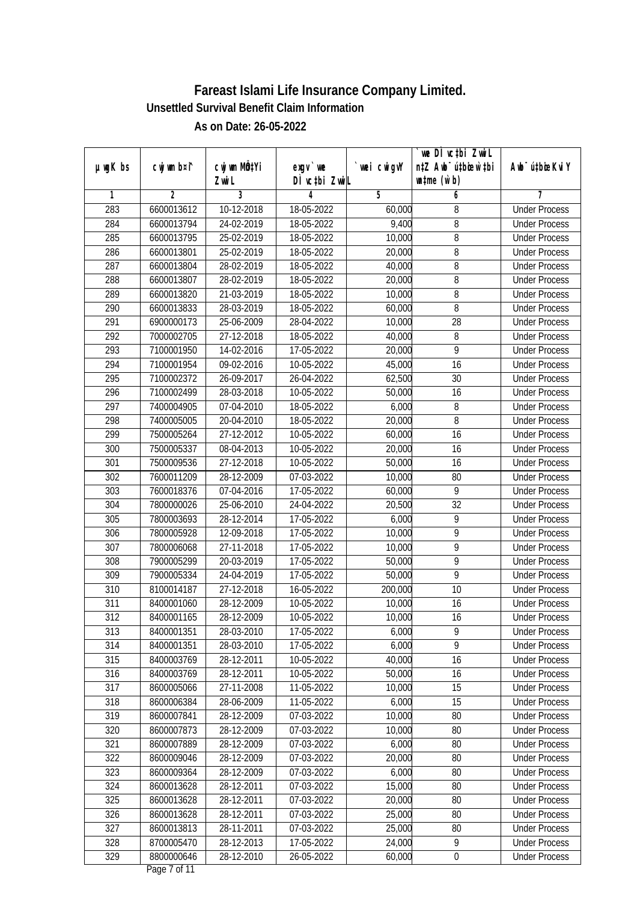|         |             |                       |                            |             | we DI vctbi ZwiL                                            |                             |
|---------|-------------|-----------------------|----------------------------|-------------|-------------------------------------------------------------|-----------------------------|
| µwgK bs | cwj wm b¤i^ | cwj wm MQtYi<br>Zwi L | $exqu$ we<br>DÌ vctbi ZwiL | `wei cwigvY | n‡Z Awb <sup>-</sup> ú‡bioar`‡bi<br>$\n  untime\n  (u`b)\n$ | Awb <sup>-</sup> ú‡bioeKviY |
| 1       | 2           | 3                     | 4                          | 5           | 6                                                           | 7                           |
| 283     | 6600013612  | 10-12-2018            | 18-05-2022                 | 60,000      | 8                                                           | <b>Under Process</b>        |
| 284     | 6600013794  | 24-02-2019            | 18-05-2022                 | 9,400       | 8                                                           | <b>Under Process</b>        |
| 285     | 6600013795  | 25-02-2019            | 18-05-2022                 | 10,000      | $\overline{8}$                                              | <b>Under Process</b>        |
| 286     | 6600013801  | 25-02-2019            | 18-05-2022                 | 20,000      | 8                                                           | <b>Under Process</b>        |
| 287     | 6600013804  | 28-02-2019            | 18-05-2022                 | 40,000      | 8                                                           | <b>Under Process</b>        |
| 288     | 6600013807  | 28-02-2019            | 18-05-2022                 | 20,000      | 8                                                           | <b>Under Process</b>        |
| 289     | 6600013820  | 21-03-2019            | 18-05-2022                 | 10,000      | 8                                                           | <b>Under Process</b>        |
| 290     | 6600013833  | 28-03-2019            | 18-05-2022                 | 60,000      | 8                                                           | <b>Under Process</b>        |
| 291     | 6900000173  | 25-06-2009            | 28-04-2022                 | 10,000      | $\overline{28}$                                             | <b>Under Process</b>        |
| 292     | 7000002705  | 27-12-2018            | 18-05-2022                 | 40,000      | 8                                                           | <b>Under Process</b>        |
| 293     | 7100001950  | 14-02-2016            | 17-05-2022                 | 20,000      | 9                                                           | <b>Under Process</b>        |
| 294     | 7100001954  | 09-02-2016            | 10-05-2022                 | 45,000      | 16                                                          | <b>Under Process</b>        |
| 295     | 7100002372  | 26-09-2017            | 26-04-2022                 | 62,500      | $\overline{30}$                                             | <b>Under Process</b>        |
| 296     | 7100002499  | 28-03-2018            | 10-05-2022                 | 50,000      | 16                                                          | <b>Under Process</b>        |
| 297     | 7400004905  | 07-04-2010            | 18-05-2022                 | 6,000       | 8                                                           | <b>Under Process</b>        |
| 298     | 7400005005  | 20-04-2010            | 18-05-2022                 | 20,000      | 8                                                           | <b>Under Process</b>        |
| 299     | 7500005264  | 27-12-2012            | 10-05-2022                 | 60,000      | 16                                                          | <b>Under Process</b>        |
| 300     | 7500005337  | 08-04-2013            | 10-05-2022                 | 20,000      | 16                                                          | <b>Under Process</b>        |
| 301     | 7500009536  | 27-12-2018            | 10-05-2022                 | 50,000      | 16                                                          | <b>Under Process</b>        |
| 302     | 7600011209  | 28-12-2009            | 07-03-2022                 | 10,000      | 80                                                          | <b>Under Process</b>        |
| 303     | 7600018376  | 07-04-2016            | 17-05-2022                 | 60,000      | 9                                                           | <b>Under Process</b>        |
| 304     | 7800000026  | 25-06-2010            | 24-04-2022                 | 20,500      | 32                                                          | <b>Under Process</b>        |
| 305     | 7800003693  | 28-12-2014            | 17-05-2022                 | 6,000       | 9                                                           | <b>Under Process</b>        |
| 306     | 7800005928  | 12-09-2018            | 17-05-2022                 | 10,000      | 9                                                           | <b>Under Process</b>        |
| 307     | 7800006068  | 27-11-2018            | 17-05-2022                 | 10,000      | 9                                                           | <b>Under Process</b>        |
| 308     | 7900005299  | 20-03-2019            | 17-05-2022                 | 50,000      | 9                                                           | <b>Under Process</b>        |
| 309     | 7900005334  | 24-04-2019            | 17-05-2022                 | 50,000      | 9                                                           | <b>Under Process</b>        |
| 310     | 8100014187  | 27-12-2018            | 16-05-2022                 | 200,000     | 10                                                          | <b>Under Process</b>        |
| 311     | 8400001060  | 28-12-2009            | 10-05-2022                 | 10,000      | 16                                                          | <b>Under Process</b>        |
| 312     | 8400001165  | 28-12-2009            | 10-05-2022                 | 10,000      | 16                                                          | <b>Under Process</b>        |
| 313     | 8400001351  | 28-03-2010            | 17-05-2022                 | 6,000       | 9                                                           | <b>Under Process</b>        |
| 314     | 8400001351  | 28-03-2010            | 17-05-2022                 | 6,000       | 9                                                           | <b>Under Process</b>        |
| 315     | 8400003769  | 28-12-2011            | 10-05-2022                 | 40,000      | 16                                                          | <b>Under Process</b>        |
| 316     | 8400003769  | 28-12-2011            | 10-05-2022                 | 50,000      | 16                                                          | <b>Under Process</b>        |
| 317     | 8600005066  | 27-11-2008            | 11-05-2022                 | 10,000      | 15                                                          | <b>Under Process</b>        |
| 318     | 8600006384  | 28-06-2009            | 11-05-2022                 | 6,000       | 15                                                          | <b>Under Process</b>        |
| 319     | 8600007841  | 28-12-2009            | 07-03-2022                 | 10,000      | 80                                                          | <b>Under Process</b>        |
| 320     | 8600007873  | 28-12-2009            | 07-03-2022                 | 10,000      | 80                                                          | <b>Under Process</b>        |
| 321     | 8600007889  | 28-12-2009            | 07-03-2022                 | 6,000       | 80                                                          | <b>Under Process</b>        |
| 322     | 8600009046  | 28-12-2009            | 07-03-2022                 | 20,000      | 80                                                          | <b>Under Process</b>        |
| 323     | 8600009364  | 28-12-2009            | 07-03-2022                 | 6,000       | 80                                                          | <b>Under Process</b>        |
| 324     | 8600013628  | 28-12-2011            | 07-03-2022                 | 15,000      | 80                                                          | <b>Under Process</b>        |
| 325     | 8600013628  | 28-12-2011            | 07-03-2022                 | 20,000      | 80                                                          | <b>Under Process</b>        |
| 326     | 8600013628  | 28-12-2011            | 07-03-2022                 | 25,000      | 80                                                          | <b>Under Process</b>        |
| 327     | 8600013813  | 28-11-2011            | 07-03-2022                 | 25,000      | 80                                                          | <b>Under Process</b>        |
| 328     | 8700005470  | 28-12-2013            | 17-05-2022                 | 24,000      | 9                                                           | <b>Under Process</b>        |
| 329     | 8800000646  | 28-12-2010            | 26-05-2022                 | 60,000      | $\pmb{0}$                                                   | <b>Under Process</b>        |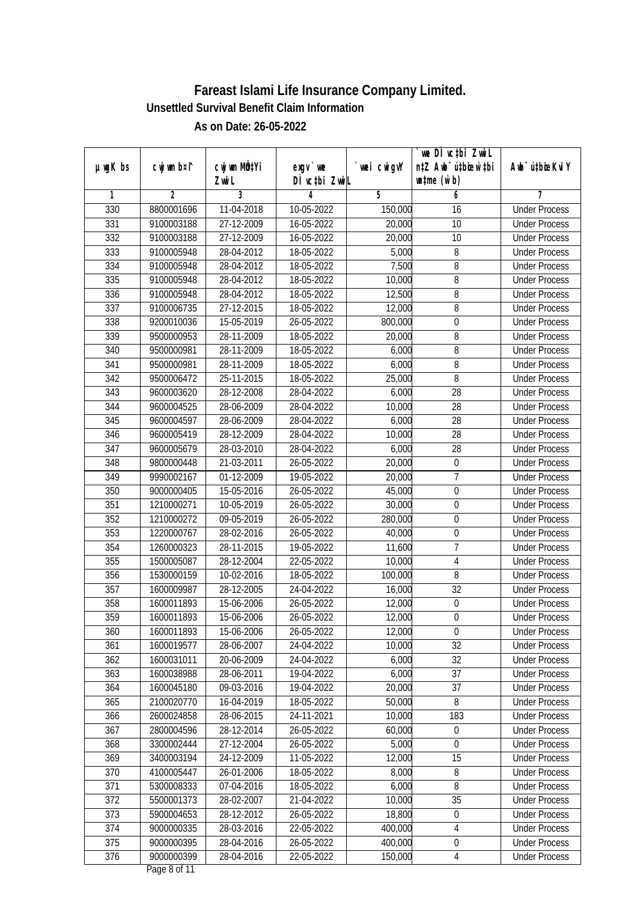| µwgK bs          | cwj wm b¤i^ | cwj wm MQtYi | $exqu$ we     | wei cwigvY | we DI vctbi ZwiL<br>n‡Z Awb <sup>-</sup> ú‡bioen`‡bi | Awb <sup>-</sup> ú‡bioeKviY |
|------------------|-------------|--------------|---------------|------------|------------------------------------------------------|-----------------------------|
|                  |             | Zwi L        | DÌ vctbi ZwiL |            | $w$ tme $(w b)$                                      |                             |
| 1                | 2           | 3            | 4             | 5          | 6                                                    | 7                           |
| 330              | 8800001696  | 11-04-2018   | 10-05-2022    | 150,000    | 16                                                   | <b>Under Process</b>        |
| 331              | 9100003188  | 27-12-2009   | 16-05-2022    | 20,000     | $\overline{10}$                                      | <b>Under Process</b>        |
| 332              | 9100003188  | 27-12-2009   | 16-05-2022    | 20,000     | 10                                                   | <b>Under Process</b>        |
| 333              | 9100005948  | 28-04-2012   | 18-05-2022    | 5,000      | 8                                                    | <b>Under Process</b>        |
| 334              | 9100005948  | 28-04-2012   | 18-05-2022    | 7,500      | 8                                                    | <b>Under Process</b>        |
| 335              | 9100005948  | 28-04-2012   | 18-05-2022    | 10,000     | 8                                                    | <b>Under Process</b>        |
| 336              | 9100005948  | 28-04-2012   | 18-05-2022    | 12,500     | $\overline{8}$                                       | <b>Under Process</b>        |
| 337              | 9100006735  | 27-12-2015   | 18-05-2022    | 12,000     | 8                                                    | <b>Under Process</b>        |
| 338              | 9200010036  | 15-05-2019   | 26-05-2022    | 800,000    | 0                                                    | <b>Under Process</b>        |
| 339              | 9500000953  | 28-11-2009   | 18-05-2022    | 20,000     | 8                                                    | <b>Under Process</b>        |
| 340              | 9500000981  | 28-11-2009   | 18-05-2022    | 6,000      | 8                                                    | <b>Under Process</b>        |
| 341              | 9500000981  | 28-11-2009   | 18-05-2022    | 6,000      | $\, 8$                                               | <b>Under Process</b>        |
| $\overline{342}$ | 9500006472  | 25-11-2015   | 18-05-2022    | 25,000     | $\overline{8}$                                       | <b>Under Process</b>        |
| 343              | 9600003620  | 28-12-2008   | 28-04-2022    | 6,000      | 28                                                   | <b>Under Process</b>        |
| 344              | 9600004525  | 28-06-2009   | 28-04-2022    | 10,000     | 28                                                   | <b>Under Process</b>        |
| 345              | 9600004597  | 28-06-2009   | 28-04-2022    | 6,000      | 28                                                   | <b>Under Process</b>        |
| 346              | 9600005419  | 28-12-2009   | 28-04-2022    | 10,000     | 28                                                   | <b>Under Process</b>        |
| 347              | 9600005679  | 28-03-2010   | 28-04-2022    | 6,000      | 28                                                   | <b>Under Process</b>        |
| 348              | 9800000448  | 21-03-2011   | 26-05-2022    | 20,000     | $\boldsymbol{0}$                                     | <b>Under Process</b>        |
| 349              | 9990002167  | 01-12-2009   | 19-05-2022    | 20,000     | $\overline{1}$                                       | <b>Under Process</b>        |
| 350              | 9000000405  | 15-05-2016   | 26-05-2022    | 45,000     | 0                                                    | <b>Under Process</b>        |
| 351              | 1210000271  | 10-05-2019   | 26-05-2022    | 30,000     | $\boldsymbol{0}$                                     | <b>Under Process</b>        |
| 352              | 1210000272  | 09-05-2019   | 26-05-2022    | 280,000    | $\boldsymbol{0}$                                     | <b>Under Process</b>        |
| 353              | 1220000767  | 28-02-2016   | 26-05-2022    | 40,000     | $\boldsymbol{0}$                                     | <b>Under Process</b>        |
| 354              | 1260000323  | 28-11-2015   | 19-05-2022    | 11,600     | $\overline{7}$                                       | <b>Under Process</b>        |
| 355              | 1500005087  | 28-12-2004   | 22-05-2022    | 10,000     | 4                                                    | <b>Under Process</b>        |
| 356              | 1530000159  | 10-02-2016   | 18-05-2022    | 100,000    | $\, 8$                                               | <b>Under Process</b>        |
| 357              | 1600009987  | 28-12-2005   | 24-04-2022    | 16,000     | 32                                                   | <b>Under Process</b>        |
| 358              | 1600011893  | 15-06-2006   | 26-05-2022    | 12,000     | $\boldsymbol{0}$                                     | <b>Under Process</b>        |
| 359              | 1600011893  | 15-06-2006   | 26-05-2022    | 12,000     | $\boldsymbol{0}$                                     | <b>Under Process</b>        |
| 360              | 1600011893  | 15-06-2006   | 26-05-2022    | 12,000     | $\boldsymbol{0}$                                     | <b>Under Process</b>        |
| 361              | 1600019577  | 28-06-2007   | 24-04-2022    | 10,000     | 32                                                   | <b>Under Process</b>        |
| 362              | 1600031011  | 20-06-2009   | 24-04-2022    | 6,000      | 32                                                   | <b>Under Process</b>        |
| 363              | 1600038988  | 28-06-2011   | 19-04-2022    | 6,000      | 37                                                   | <b>Under Process</b>        |
| 364              | 1600045180  | 09-03-2016   | 19-04-2022    | 20,000     | 37                                                   | <b>Under Process</b>        |
| 365              | 2100020770  | 16-04-2019   | 18-05-2022    | 50,000     | 8                                                    | <b>Under Process</b>        |
| 366              | 2600024858  | 28-06-2015   | 24-11-2021    | 10,000     | 183                                                  | <b>Under Process</b>        |
| 367              | 2800004596  | 28-12-2014   | 26-05-2022    | 60,000     | $\boldsymbol{0}$                                     | <b>Under Process</b>        |
| 368              | 3300002444  | 27-12-2004   | 26-05-2022    | 5,000      | $\boldsymbol{0}$                                     | <b>Under Process</b>        |
| 369              | 3400003194  | 24-12-2009   | 11-05-2022    | 12,000     | 15                                                   | <b>Under Process</b>        |
| 370              | 4100005447  | 26-01-2006   | 18-05-2022    | 8,000      | 8                                                    | <b>Under Process</b>        |
| 371              | 5300008333  | 07-04-2016   | $18-05-2022$  | 6,000      | 8                                                    | <b>Under Process</b>        |
| 372              | 5500001373  | 28-02-2007   | 21-04-2022    | 10,000     | $\overline{35}$                                      | <b>Under Process</b>        |
| 373              | 5900004653  | 28-12-2012   | 26-05-2022    | 18,800     | $\boldsymbol{0}$                                     | <b>Under Process</b>        |
| 374              | 9000000335  | 28-03-2016   | 22-05-2022    | 400,000    | 4                                                    | <b>Under Process</b>        |
| 375              | 9000000395  | 28-04-2016   | 26-05-2022    | 400,000    | $\pmb{0}$                                            | <b>Under Process</b>        |
| 376              | 9000000399  | 28-04-2016   | 22-05-2022    | 150,000    | $\overline{4}$                                       | <b>Under Process</b>        |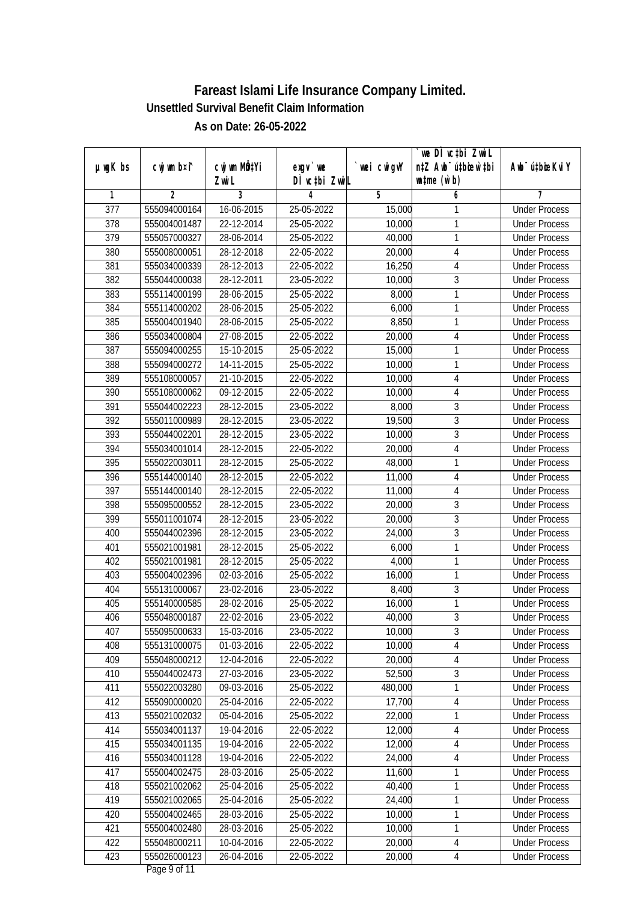|                  |                |                  |               |            | `we DÌ vc‡bi ZwwiL               |                             |
|------------------|----------------|------------------|---------------|------------|----------------------------------|-----------------------------|
| $µ$ ug $K$ bs    | cwj wm b¤i^    | cwj wm MQtYi     | $exgV$ we     | wei cwigvY | n‡Z Awb <sup>-</sup> ú‡bioen`‡bi | Awb <sup>-</sup> ú‡bioeKviY |
|                  |                | Zwi L            | DÌ vctbi ZwiL |            | $\n  untime\n  (u`b)\n$          |                             |
| 1                | $\overline{2}$ | 3                | 4             | 5          | 6                                | 7                           |
| $\overline{377}$ | 555094000164   | 16-06-2015       | 25-05-2022    | 15,000     | 1                                | <b>Under Process</b>        |
| $\overline{378}$ | 555004001487   | 22-12-2014       | 25-05-2022    | 10,000     | 1                                | <b>Under Process</b>        |
| 379              | 555057000327   | 28-06-2014       | 25-05-2022    | 40,000     | $\mathbf{1}$                     | <b>Under Process</b>        |
| 380              | 555008000051   | 28-12-2018       | 22-05-2022    | 20,000     | $\overline{4}$                   | <b>Under Process</b>        |
| 381              | 555034000339   | 28-12-2013       | 22-05-2022    | 16,250     | $\overline{4}$                   | <b>Under Process</b>        |
| 382              | 555044000038   | 28-12-2011       | 23-05-2022    | 10,000     | $\overline{3}$                   | <b>Under Process</b>        |
| 383              | 555114000199   | 28-06-2015       | 25-05-2022    | 8,000      | $\overline{1}$                   | <b>Under Process</b>        |
| 384              | 555114000202   | 28-06-2015       | 25-05-2022    | 6,000      | $\mathbf{1}$                     | <b>Under Process</b>        |
| 385              | 555004001940   | 28-06-2015       | 25-05-2022    | 8,850      | 1                                | <b>Under Process</b>        |
| 386              | 555034000804   | $27 - 08 - 2015$ | 22-05-2022    | 20,000     | $\overline{\mathbf{4}}$          | <b>Under Process</b>        |
| 387              | 555094000255   | 15-10-2015       | 25-05-2022    | 15,000     | $\mathbf{1}$                     | <b>Under Process</b>        |
| 388              | 555094000272   | 14-11-2015       | 25-05-2022    | 10,000     | $\mathbf{1}$                     | <b>Under Process</b>        |
| 389              | 555108000057   | 21-10-2015       | 22-05-2022    | 10,000     | 4                                | <b>Under Process</b>        |
| 390              | 555108000062   | 09-12-2015       | 22-05-2022    | 10,000     | 4                                | <b>Under Process</b>        |
| 391              | 555044002223   | 28-12-2015       | 23-05-2022    | 8,000      | $\mathfrak{Z}$                   | <b>Under Process</b>        |
| 392              | 555011000989   | 28-12-2015       | 23-05-2022    | 19,500     | $\overline{3}$                   | <b>Under Process</b>        |
| 393              | 555044002201   | 28-12-2015       | 23-05-2022    | 10,000     | $\overline{3}$                   | <b>Under Process</b>        |
| 394              | 555034001014   | 28-12-2015       | 22-05-2022    | 20,000     | $\overline{4}$                   | <b>Under Process</b>        |
| 395              | 555022003011   | 28-12-2015       | 25-05-2022    | 48,000     | 1                                | <b>Under Process</b>        |
| 396              | 555144000140   | 28-12-2015       | 22-05-2022    | 11,000     | $\overline{4}$                   | <b>Under Process</b>        |
| 397              | 555144000140   | 28-12-2015       | 22-05-2022    | 11,000     | $\overline{4}$                   | <b>Under Process</b>        |
| 398              | 555095000552   | 28-12-2015       | 23-05-2022    | 20,000     | $\sqrt{3}$                       | <b>Under Process</b>        |
| 399              | 555011001074   | 28-12-2015       | 23-05-2022    | 20,000     | $\mathfrak{Z}$                   | <b>Under Process</b>        |
| 400              | 555044002396   | 28-12-2015       | 23-05-2022    | 24,000     | $\overline{3}$                   | <b>Under Process</b>        |
| 401              | 555021001981   | 28-12-2015       | 25-05-2022    | 6,000      | $\mathbf{1}$                     | <b>Under Process</b>        |
| 402              | 555021001981   | 28-12-2015       | 25-05-2022    | 4,000      | 1                                | <b>Under Process</b>        |
| 403              | 555004002396   | 02-03-2016       | 25-05-2022    | 16,000     | 1                                | <b>Under Process</b>        |
| 404              | 555131000067   | 23-02-2016       | 23-05-2022    | 8,400      | 3                                | <b>Under Process</b>        |
| 405              | 555140000585   | 28-02-2016       | 25-05-2022    | 16,000     | $\mathbf{1}$                     | <b>Under Process</b>        |
| 406              | 555048000187   | 22-02-2016       | 23-05-2022    | 40,000     | $\overline{3}$                   | <b>Under Process</b>        |
| 407              | 555095000633   | 15-03-2016       | 23-05-2022    | 10,000     | 3                                | <b>Under Process</b>        |
| 408              | 555131000075   | 01-03-2016       | 22-05-2022    | 10,000     | 4                                | <b>Under Process</b>        |
| 409              | 555048000212   | 12-04-2016       | 22-05-2022    | 20,000     | 4                                | <b>Under Process</b>        |
| 410              | 555044002473   | 27-03-2016       | 23-05-2022    | 52,500     | $\overline{3}$                   | <b>Under Process</b>        |
| 411              | 555022003280   | 09-03-2016       | 25-05-2022    | 480,000    | $\mathbf{1}$                     | <b>Under Process</b>        |
| 412              | 555090000020   | 25-04-2016       | 22-05-2022    | 17,700     | $\overline{4}$                   | <b>Under Process</b>        |
| 413              | 555021002032   | 05-04-2016       | 25-05-2022    | 22,000     | 1                                | <b>Under Process</b>        |
| 414              | 555034001137   | 19-04-2016       | 22-05-2022    | 12,000     | 4                                | <b>Under Process</b>        |
| 415              | 555034001135   | 19-04-2016       | 22-05-2022    | 12,000     | $\overline{4}$                   | <b>Under Process</b>        |
| 416              | 555034001128   | 19-04-2016       | 22-05-2022    | 24,000     | $\overline{4}$                   | <b>Under Process</b>        |
| 417              | 555004002475   | 28-03-2016       | 25-05-2022    | 11,600     | 1                                | <b>Under Process</b>        |
| 418              | 555021002062   | 25-04-2016       | 25-05-2022    | 40,400     | 1                                | <b>Under Process</b>        |
| 419              | 555021002065   | 25-04-2016       | 25-05-2022    | 24,400     | $\mathbf{1}$                     | <b>Under Process</b>        |
| 420              | 555004002465   | 28-03-2016       | 25-05-2022    | 10,000     | 1                                | <b>Under Process</b>        |
| 421              | 555004002480   | 28-03-2016       | 25-05-2022    | 10,000     | $\mathbf{1}$                     | <b>Under Process</b>        |
| 422              | 555048000211   | 10-04-2016       | 22-05-2022    | 20,000     | 4                                | <b>Under Process</b>        |
| 423              | 555026000123   | 26-04-2016       | 22-05-2022    | 20,000     | $\overline{4}$                   | <b>Under Process</b>        |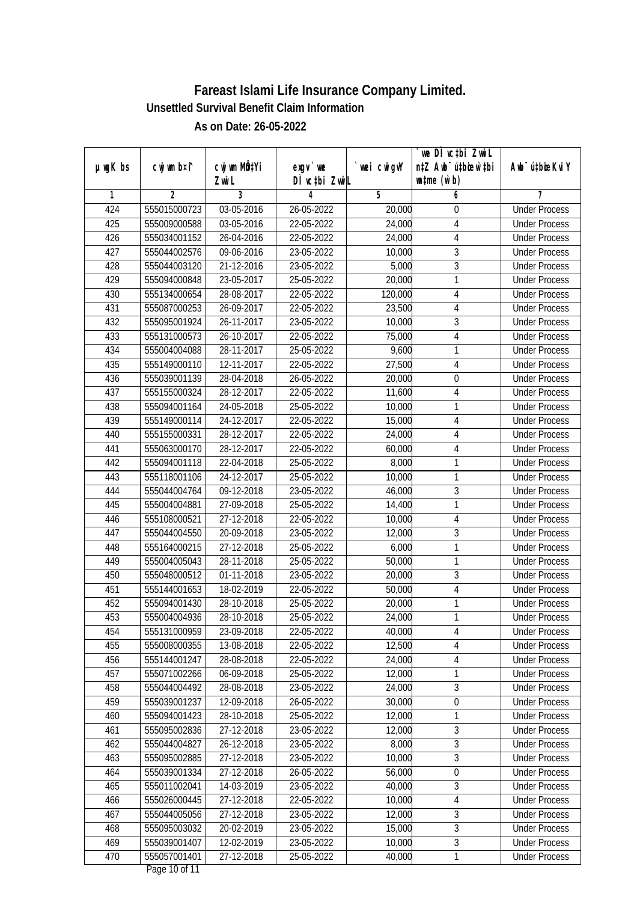| $µ$ ug $K$ bs | cwj wm b¤i^    | cwj wm MQtYi | $exqu$ we        | wei cwigvY | we DI vctbi ZwiL<br>n‡Z Awb <sup>-</sup> ú‡bioar`‡bi | Awb <sup>-</sup> ú‡bioeKviY |
|---------------|----------------|--------------|------------------|------------|------------------------------------------------------|-----------------------------|
|               |                | Zwi L        | DÌ vctbi ZwiL    |            | $\n  untime\n  (u`b)\n$                              |                             |
| 1             | $\overline{2}$ | 3            | 4                | 5          | 6                                                    | 7                           |
| 424           | 555015000723   | 03-05-2016   | 26-05-2022       | 20,000     | $\boldsymbol{0}$                                     | <b>Under Process</b>        |
| 425           | 555009000588   | 03-05-2016   | 22-05-2022       | 24,000     | $\overline{4}$                                       | <b>Under Process</b>        |
| 426           | 555034001152   | 26-04-2016   | 22-05-2022       | 24,000     | $\overline{4}$                                       | <b>Under Process</b>        |
| 427           | 555044002576   | 09-06-2016   | 23-05-2022       | 10,000     | $\sqrt{3}$                                           | <b>Under Process</b>        |
| 428           | 555044003120   | 21-12-2016   | 23-05-2022       | 5,000      | $\overline{3}$                                       | <b>Under Process</b>        |
| 429           | 555094000848   | 23-05-2017   | 25-05-2022       | 20,000     | 1                                                    | <b>Under Process</b>        |
| 430           | 555134000654   | 28-08-2017   | 22-05-2022       | 120,000    | $\overline{4}$                                       | <b>Under Process</b>        |
| 431           | 555087000253   | 26-09-2017   | 22-05-2022       | 23,500     | $\overline{4}$                                       | <b>Under Process</b>        |
| 432           | 555095001924   | 26-11-2017   | 23-05-2022       | 10,000     | $\overline{3}$                                       | <b>Under Process</b>        |
| 433           | 555131000573   | 26-10-2017   | 22-05-2022       | 75,000     | $\overline{4}$                                       | <b>Under Process</b>        |
| 434           | 555004004088   | 28-11-2017   | 25-05-2022       | 9,600      | 1                                                    | <b>Under Process</b>        |
| 435           | 555149000110   | 12-11-2017   | 22-05-2022       | 27,500     | $\overline{4}$                                       | <b>Under Process</b>        |
| 436           | 555039001139   | 28-04-2018   | 26-05-2022       | 20,000     | $\boldsymbol{0}$                                     | <b>Under Process</b>        |
| 437           | 555155000324   | 28-12-2017   | 22-05-2022       | 11,600     | 4                                                    | <b>Under Process</b>        |
| 438           | 555094001164   | 24-05-2018   | $25 - 05 - 2022$ | 10,000     | 1                                                    | <b>Under Process</b>        |
| 439           | 555149000114   | 24-12-2017   | 22-05-2022       | 15,000     | 4                                                    | <b>Under Process</b>        |
| 440           | 555155000331   | 28-12-2017   | 22-05-2022       | 24,000     | $\overline{4}$                                       | <b>Under Process</b>        |
| 441           | 555063000170   | 28-12-2017   | 22-05-2022       | 60,000     | $\overline{4}$                                       | <b>Under Process</b>        |
| 442           | 555094001118   | 22-04-2018   | 25-05-2022       | 8,000      | 1                                                    | <b>Under Process</b>        |
| 443           | 555118001106   | 24-12-2017   | 25-05-2022       | 10,000     | $\mathbf{1}$                                         | <b>Under Process</b>        |
| 444           | 555044004764   | 09-12-2018   | 23-05-2022       | 46,000     | $\mathfrak{Z}$                                       | <b>Under Process</b>        |
| 445           | 555004004881   | 27-09-2018   | 25-05-2022       | 14,400     | 1                                                    | <b>Under Process</b>        |
| 446           | 555108000521   | 27-12-2018   | 22-05-2022       | 10,000     | $\overline{4}$                                       | <b>Under Process</b>        |
| 447           | 555044004550   | 20-09-2018   | 23-05-2022       | 12,000     | $\overline{3}$                                       | <b>Under Process</b>        |
| 448           | 555164000215   | 27-12-2018   | 25-05-2022       | 6,000      | $\mathbf{1}$                                         | <b>Under Process</b>        |
| 449           | 555004005043   | 28-11-2018   | 25-05-2022       | 50,000     | $\mathbf{1}$                                         | <b>Under Process</b>        |
| 450           | 555048000512   | 01-11-2018   | 23-05-2022       | 20,000     | $\sqrt{3}$                                           | <b>Under Process</b>        |
| 451           | 555144001653   | 18-02-2019   | 22-05-2022       | 50,000     | $\overline{4}$                                       | <b>Under Process</b>        |
| 452           | 555094001430   | 28-10-2018   | 25-05-2022       | 20,000     | 1                                                    | <b>Under Process</b>        |
| 453           | 555004004936   | 28-10-2018   | 25-05-2022       | 24,000     | 1                                                    | <b>Under Process</b>        |
| 454           | 555131000959   | 23-09-2018   | 22-05-2022       | 40,000     | 4                                                    | <b>Under Process</b>        |
| 455           | 555008000355   | 13-08-2018   | 22-05-2022       | 12,500     | 4                                                    | <b>Under Process</b>        |
| 456           | 555144001247   | 28-08-2018   | 22-05-2022       | 24,000     | 4                                                    | <b>Under Process</b>        |
| 457           | 555071002266   | 06-09-2018   | 25-05-2022       | 12,000     | $\mathbf{1}$                                         | <b>Under Process</b>        |
| 458           | 555044004492   | 28-08-2018   | 23-05-2022       | 24,000     | $\sqrt{3}$                                           | <b>Under Process</b>        |
| 459           | 555039001237   | 12-09-2018   | 26-05-2022       | 30,000     | $\boldsymbol{0}$                                     | <b>Under Process</b>        |
| 460           | 555094001423   | 28-10-2018   | 25-05-2022       | 12,000     | 1                                                    | <b>Under Process</b>        |
| 461           | 555095002836   | 27-12-2018   | 23-05-2022       | 12,000     | $\sqrt{3}$                                           | <b>Under Process</b>        |
| 462           | 555044004827   | 26-12-2018   | 23-05-2022       | 8,000      | $\overline{3}$                                       | <b>Under Process</b>        |
| 463           | 555095002885   | 27-12-2018   | 23-05-2022       | 10,000     | $\overline{3}$                                       | <b>Under Process</b>        |
| 464           | 555039001334   | 27-12-2018   | 26-05-2022       | 56,000     | $\boldsymbol{0}$                                     | <b>Under Process</b>        |
| 465           | 555011002041   | 14-03-2019   | 23-05-2022       | 40,000     | $\overline{3}$                                       | <b>Under Process</b>        |
| 466           | 555026000445   | 27-12-2018   | 22-05-2022       | 10,000     | $\overline{4}$                                       | <b>Under Process</b>        |
| 467           | 555044005056   | 27-12-2018   | 23-05-2022       | 12,000     | $\overline{3}$                                       | <b>Under Process</b>        |
| 468           | 555095003032   | 20-02-2019   | 23-05-2022       | 15,000     | $\sqrt{3}$                                           | <b>Under Process</b>        |
| 469           | 555039001407   | 12-02-2019   | 23-05-2022       | 10,000     | $\overline{3}$                                       | <b>Under Process</b>        |
| 470           | 555057001401   | 27-12-2018   | 25-05-2022       | 40,000     | $\mathbf{1}$                                         | <b>Under Process</b>        |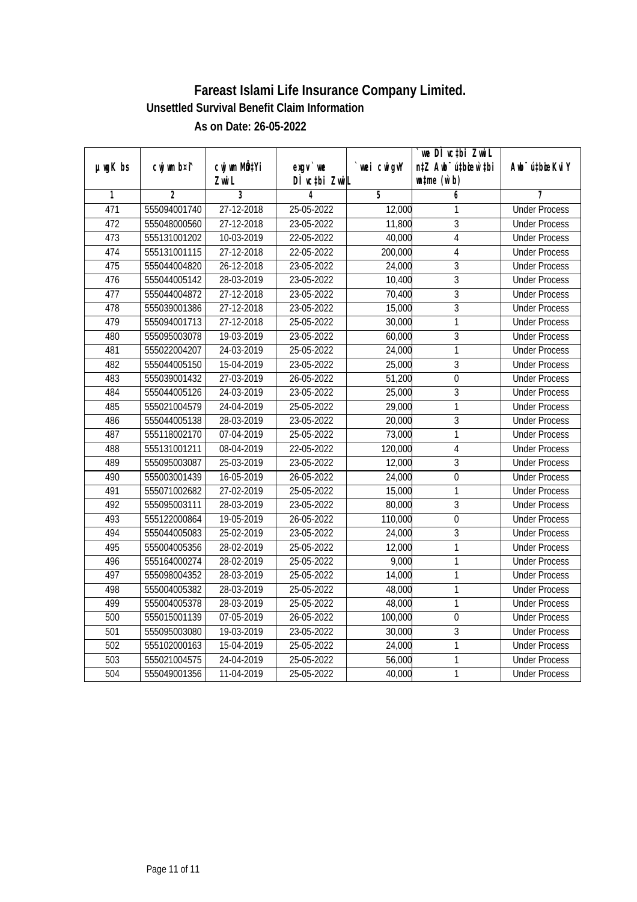|               |                |                           |               |                | we DI vctbi ZwiL                 |                              |
|---------------|----------------|---------------------------|---------------|----------------|----------------------------------|------------------------------|
| $µ$ ug $K$ bs | cwj wm b¤i^    | cwj wm MQ <sup>1</sup> Yi | $exgV$ we     | wei cwigvY     | n‡Z Awb <sup>-</sup> ú‡bioen`‡bi | Aub <sup>-</sup> ú‡biosKvi Y |
|               |                | Zwi L                     | DÌ vctbi ZwiL |                | $\n  untime\n  (u`b)\n$          |                              |
| 1             | $\overline{2}$ | $\overline{3}$            | 4             | $\overline{5}$ | 6                                | 7                            |
| 471           | 555094001740   | 27-12-2018                | 25-05-2022    | 12,000         | 1                                | <b>Under Process</b>         |
| 472           | 555048000560   | 27-12-2018                | 23-05-2022    | 11,800         | $\overline{3}$                   | <b>Under Process</b>         |
| 473           | 555131001202   | 10-03-2019                | 22-05-2022    | 40,000         | $\overline{4}$                   | <b>Under Process</b>         |
| 474           | 555131001115   | 27-12-2018                | 22-05-2022    | 200,000        | $\overline{4}$                   | <b>Under Process</b>         |
| 475           | 555044004820   | 26-12-2018                | 23-05-2022    | 24,000         | $\overline{3}$                   | <b>Under Process</b>         |
| 476           | 555044005142   | 28-03-2019                | 23-05-2022    | 10,400         | $\overline{3}$                   | <b>Under Process</b>         |
| 477           | 555044004872   | 27-12-2018                | 23-05-2022    | 70,400         | $\overline{3}$                   | <b>Under Process</b>         |
| 478           | 555039001386   | 27-12-2018                | 23-05-2022    | 15,000         | $\overline{3}$                   | <b>Under Process</b>         |
| 479           | 555094001713   | 27-12-2018                | 25-05-2022    | 30,000         | $\overline{1}$                   | <b>Under Process</b>         |
| 480           | 555095003078   | 19-03-2019                | 23-05-2022    | 60,000         | $\overline{3}$                   | <b>Under Process</b>         |
| 481           | 555022004207   | 24-03-2019                | 25-05-2022    | 24,000         | 1                                | <b>Under Process</b>         |
| 482           | 555044005150   | 15-04-2019                | 23-05-2022    | 25,000         | $\overline{3}$                   | <b>Under Process</b>         |
| 483           | 555039001432   | 27-03-2019                | 26-05-2022    | 51,200         | $\boldsymbol{0}$                 | <b>Under Process</b>         |
| 484           | 555044005126   | 24-03-2019                | 23-05-2022    | 25,000         | $\overline{3}$                   | <b>Under Process</b>         |
| 485           | 555021004579   | 24-04-2019                | 25-05-2022    | 29,000         | 1                                | <b>Under Process</b>         |
| 486           | 555044005138   | 28-03-2019                | 23-05-2022    | 20,000         | 3                                | <b>Under Process</b>         |
| 487           | 555118002170   | 07-04-2019                | 25-05-2022    | 73,000         | 1                                | <b>Under Process</b>         |
| 488           | 555131001211   | 08-04-2019                | 22-05-2022    | 120,000        | $\overline{4}$                   | <b>Under Process</b>         |
| 489           | 555095003087   | 25-03-2019                | 23-05-2022    | 12,000         | $\overline{3}$                   | <b>Under Process</b>         |
| 490           | 555003001439   | 16-05-2019                | 26-05-2022    | 24,000         | $\mathbf 0$                      | <b>Under Process</b>         |
| 491           | 555071002682   | 27-02-2019                | 25-05-2022    | 15,000         | 1                                | <b>Under Process</b>         |
| 492           | 555095003111   | 28-03-2019                | 23-05-2022    | 80,000         | $\overline{3}$                   | <b>Under Process</b>         |
| 493           | 555122000864   | 19-05-2019                | 26-05-2022    | 110,000        | $\boldsymbol{0}$                 | <b>Under Process</b>         |
| 494           | 555044005083   | 25-02-2019                | 23-05-2022    | 24,000         | $\overline{3}$                   | <b>Under Process</b>         |
| 495           | 555004005356   | 28-02-2019                | 25-05-2022    | 12,000         | 1                                | <b>Under Process</b>         |
| 496           | 555164000274   | 28-02-2019                | 25-05-2022    | 9,000          | $\mathbf{1}$                     | <b>Under Process</b>         |
| 497           | 555098004352   | 28-03-2019                | 25-05-2022    | 14,000         | 1                                | <b>Under Process</b>         |
| 498           | 555004005382   | 28-03-2019                | 25-05-2022    | 48,000         | 1                                | <b>Under Process</b>         |
| 499           | 555004005378   | 28-03-2019                | 25-05-2022    | 48,000         | $\overline{1}$                   | <b>Under Process</b>         |
| 500           | 555015001139   | 07-05-2019                | 26-05-2022    | 100,000        | $\mathbf 0$                      | <b>Under Process</b>         |
| 501           | 555095003080   | 19-03-2019                | 23-05-2022    | 30,000         | $\overline{3}$                   | <b>Under Process</b>         |
| 502           | 555102000163   | 15-04-2019                | 25-05-2022    | 24,000         | 1                                | <b>Under Process</b>         |
| 503           | 555021004575   | 24-04-2019                | 25-05-2022    | 56,000         | 1                                | <b>Under Process</b>         |
| 504           | 555049001356   | 11-04-2019                | 25-05-2022    | 40,000         | 1                                | <b>Under Process</b>         |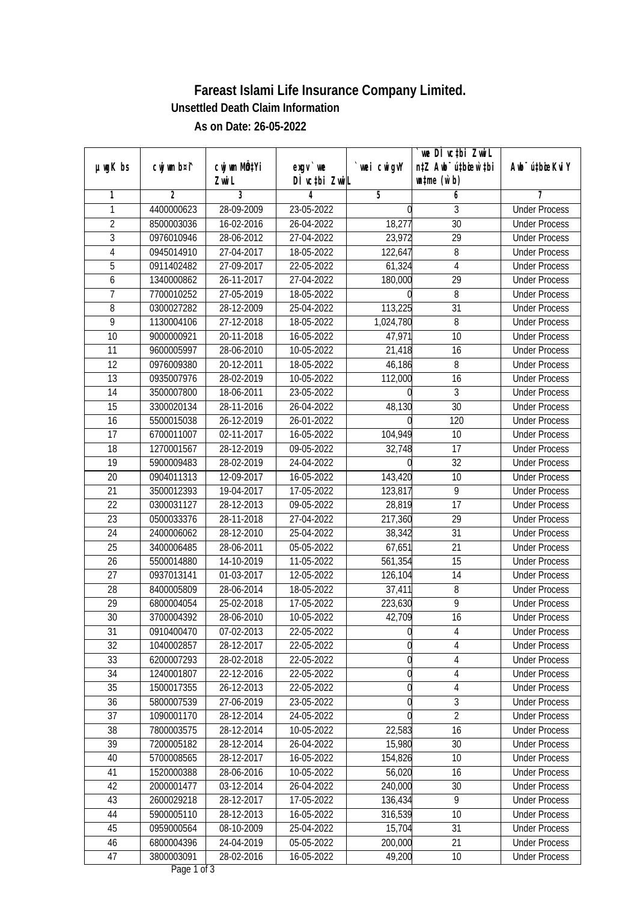|                 |                |                |                  |                | we DI vctbi ZwiL                             |                             |
|-----------------|----------------|----------------|------------------|----------------|----------------------------------------------|-----------------------------|
| $µ$ ug $K$ bs   | cwj wm b¤i^    | cwj wm MQtYi   | $exgV$ we        | wei cwigvY     | n‡Z Awb <sup>-</sup> ú‡bioen`‡bi             | Awb <sup>-</sup> ú‡bioeKviY |
|                 |                | Zwi L          | DÌ vctbi ZwiL    |                | $\n  un \uparrow me \left(\vec{v}, b\right)$ |                             |
| 1               | $\overline{2}$ | $\overline{3}$ | 4                | $\overline{5}$ | 6                                            | 7                           |
| 1               | 4400000623     | 28-09-2009     | 23-05-2022       | 0              | 3                                            | <b>Under Process</b>        |
| $\overline{2}$  | 8500003036     | 16-02-2016     | 26-04-2022       | 18,277         | $\overline{30}$                              | <b>Under Process</b>        |
| $\overline{3}$  | 0976010946     | 28-06-2012     | 27-04-2022       | 23,972         | $\overline{29}$                              | <b>Under Process</b>        |
| 4               | 0945014910     | 27-04-2017     | 18-05-2022       | 122,647        | 8                                            | <b>Under Process</b>        |
| $\overline{5}$  | 0911402482     | 27-09-2017     | 22-05-2022       | 61,324         | $\overline{4}$                               | <b>Under Process</b>        |
| 6               | 1340000862     | 26-11-2017     | 27-04-2022       | 180,000        | $\overline{29}$                              | <b>Under Process</b>        |
| 7               | 7700010252     | 27-05-2019     | 18-05-2022       |                | 8                                            | <b>Under Process</b>        |
| 8               | 0300027282     | 28-12-2009     | 25-04-2022       | 113,225        | 31                                           | <b>Under Process</b>        |
| $\overline{9}$  | 1130004106     | 27-12-2018     | 18-05-2022       | 1,024,780      | 8                                            | <b>Under Process</b>        |
| 10              | 9000000921     | 20-11-2018     | 16-05-2022       | 47,971         | 10                                           | <b>Under Process</b>        |
| $\overline{11}$ | 9600005997     | 28-06-2010     | 10-05-2022       | 21,418         | $\overline{16}$                              | <b>Under Process</b>        |
| 12              | 0976009380     | 20-12-2011     | 18-05-2022       | 46,186         | 8                                            | <b>Under Process</b>        |
| $\overline{13}$ | 0935007976     | 28-02-2019     | 10-05-2022       | 112,000        | $\overline{16}$                              | <b>Under Process</b>        |
| 14              | 3500007800     | 18-06-2011     | 23-05-2022       |                | 3                                            | <b>Under Process</b>        |
| 15              | 3300020134     | 28-11-2016     | 26-04-2022       | 48,130         | 30                                           | <b>Under Process</b>        |
| 16              | 5500015038     | 26-12-2019     | 26-01-2022       |                | 120                                          | <b>Under Process</b>        |
| 17              | 6700011007     | 02-11-2017     | 16-05-2022       | 104,949        | 10                                           | <b>Under Process</b>        |
| 18              | 1270001567     | 28-12-2019     | $09 - 05 - 2022$ | 32,748         | 17                                           | <b>Under Process</b>        |
| 19              | 5900009483     | 28-02-2019     | 24-04-2022       |                | 32                                           | <b>Under Process</b>        |
| 20              | 0904011313     | 12-09-2017     | 16-05-2022       | 143,420        | 10                                           | <b>Under Process</b>        |
| 21              | 3500012393     | 19-04-2017     | 17-05-2022       | 123,817        | 9                                            | <b>Under Process</b>        |
| 22              | 0300031127     | 28-12-2013     | 09-05-2022       | 28,819         | 17                                           | <b>Under Process</b>        |
| 23              | 0500033376     | 28-11-2018     | 27-04-2022       | 217,360        | 29                                           | <b>Under Process</b>        |
| 24              | 2400006062     | 28-12-2010     | 25-04-2022       | 38,342         | 31                                           | <b>Under Process</b>        |
| 25              | 3400006485     | 28-06-2011     | 05-05-2022       | 67,651         | 21                                           | <b>Under Process</b>        |
| 26              | 5500014880     | 14-10-2019     | 11-05-2022       | 561,354        | 15                                           | <b>Under Process</b>        |
| 27              | 0937013141     | 01-03-2017     | 12-05-2022       | 126,104        | 14                                           | <b>Under Process</b>        |
| 28              | 8400005809     | 28-06-2014     | 18-05-2022       | 37,411         | 8                                            | <b>Under Process</b>        |
| 29              | 6800004054     | 25-02-2018     | 17-05-2022       | 223,630        | $\overline{9}$                               | <b>Under Process</b>        |
| 30              | 3700004392     | 28-06-2010     | 10-05-2022       | 42,709         | 16                                           | <b>Under Process</b>        |
| 31              | 0910400470     | 07-02-2013     | 22-05-2022       | 0              | 4                                            | <b>Under Process</b>        |
| 32              | 1040002857     | 28-12-2017     | 22-05-2022       | O              | 4                                            | <b>Under Process</b>        |
| 33              | 6200007293     | 28-02-2018     | 22-05-2022       | 0              | 4                                            | <b>Under Process</b>        |
| 34              | 1240001807     | 22-12-2016     | 22-05-2022       | $\mathbf 0$    | $\overline{4}$                               | <b>Under Process</b>        |
| 35              | 1500017355     | 26-12-2013     | 22-05-2022       | 0              | 4                                            | <b>Under Process</b>        |
| 36              | 5800007539     | 27-06-2019     | 23-05-2022       | 0              | $\mathfrak{Z}$                               | <b>Under Process</b>        |
| 37              | 1090001170     | 28-12-2014     | 24-05-2022       | 0              | $\overline{2}$                               | <b>Under Process</b>        |
| 38              | 7800003575     | 28-12-2014     | 10-05-2022       | 22,583         | 16                                           | <b>Under Process</b>        |
| 39              | 7200005182     | 28-12-2014     | 26-04-2022       | 15,980         | 30                                           | <b>Under Process</b>        |
| 40              | 5700008565     | 28-12-2017     | 16-05-2022       | 154,826        | 10                                           | <b>Under Process</b>        |
| 41              | 1520000388     | 28-06-2016     | 10-05-2022       | 56,020         | 16                                           | <b>Under Process</b>        |
| 42              | 2000001477     | 03-12-2014     | 26-04-2022       | 240,000        | 30                                           | <b>Under Process</b>        |
| 43              | 2600029218     | 28-12-2017     | 17-05-2022       | 136,434        | $\overline{9}$                               | <b>Under Process</b>        |
| 44              | 5900005110     | 28-12-2013     | 16-05-2022       | 316,539        | 10                                           | <b>Under Process</b>        |
| 45              | 0959000564     | 08-10-2009     | 25-04-2022       | 15,704         | 31                                           | <b>Under Process</b>        |
| 46              | 6800004396     | 24-04-2019     | 05-05-2022       | 200,000        | 21                                           | <b>Under Process</b>        |
| 47              | 3800003091     | 28-02-2016     | 16-05-2022       | 49,200         | 10                                           | <b>Under Process</b>        |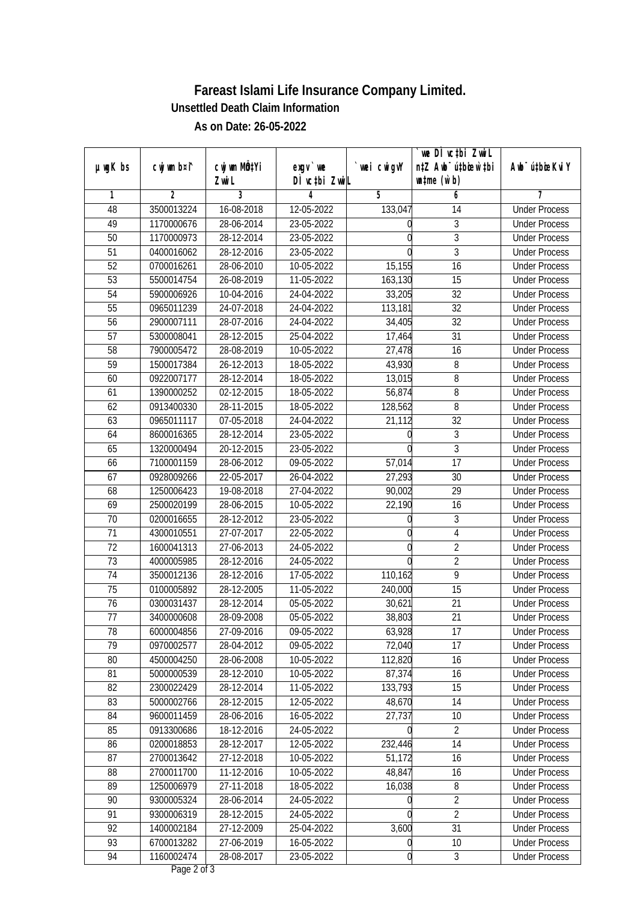|               |                |                |               |            | we DI vctbi ZwiL                             |                             |
|---------------|----------------|----------------|---------------|------------|----------------------------------------------|-----------------------------|
| $µ$ ug $K$ bs | cwj wm b¤i^    | cwj wm MQtYi   | $exgV$ we     | wei cwigvY | n‡Z Awb <sup>-</sup> ú‡bioar`‡bi             | Awb <sup>-</sup> ú‡bioeKviY |
|               |                | Zwi L          | DÌ vctbi ZwiL |            | $\n  un \uparrow me \left(\vec{v}, b\right)$ |                             |
| 1             | $\overline{2}$ | $\overline{3}$ | 4             | 5          | 6                                            | 7                           |
| 48            | 3500013224     | 16-08-2018     | 12-05-2022    | 133,047    | 14                                           | <b>Under Process</b>        |
| 49            | 1170000676     | 28-06-2014     | 23-05-2022    | 0          | 3                                            | <b>Under Process</b>        |
| 50            | 1170000973     | 28-12-2014     | 23-05-2022    | 0          | $\overline{3}$                               | <b>Under Process</b>        |
| 51            | 0400016062     | 28-12-2016     | 23-05-2022    | U          | $\overline{3}$                               | <b>Under Process</b>        |
| 52            | 0700016261     | 28-06-2010     | 10-05-2022    | 15,155     | $\overline{16}$                              | <b>Under Process</b>        |
| 53            | 5500014754     | 26-08-2019     | 11-05-2022    | 163,130    | $\overline{15}$                              | <b>Under Process</b>        |
| 54            | 5900006926     | 10-04-2016     | 24-04-2022    | 33,205     | $\overline{32}$                              | <b>Under Process</b>        |
| 55            | 0965011239     | 24-07-2018     | 24-04-2022    | 113,181    | $\overline{32}$                              | <b>Under Process</b>        |
| 56            | 2900007111     | 28-07-2016     | 24-04-2022    | 34,405     | $\overline{32}$                              | <b>Under Process</b>        |
| 57            | 5300008041     | 28-12-2015     | 25-04-2022    | 17,464     | $\overline{31}$                              | <b>Under Process</b>        |
| 58            | 7900005472     | 28-08-2019     | 10-05-2022    | 27,478     | $\overline{16}$                              | <b>Under Process</b>        |
| 59            | 1500017384     | 26-12-2013     | 18-05-2022    | 43,930     | 8                                            | <b>Under Process</b>        |
| 60            | 0922007177     | 28-12-2014     | 18-05-2022    | 13,015     | $\overline{8}$                               | <b>Under Process</b>        |
| 61            | 1390000252     | 02-12-2015     | 18-05-2022    | 56,874     | 8                                            | <b>Under Process</b>        |
| 62            | 0913400330     | 28-11-2015     | 18-05-2022    | 128,562    | 8                                            | <b>Under Process</b>        |
| 63            | 0965011117     | 07-05-2018     | 24-04-2022    | 21,112     | $\overline{32}$                              | <b>Under Process</b>        |
| 64            | 8600016365     | 28-12-2014     | 23-05-2022    | 0          | $\overline{3}$                               | <b>Under Process</b>        |
| 65            | 1320000494     | 20-12-2015     | 23-05-2022    | 0          | $\overline{3}$                               | <b>Under Process</b>        |
| 66            | 7100001159     | 28-06-2012     | 09-05-2022    | 57,014     | 17                                           | <b>Under Process</b>        |
| 67            | 0928009266     | 22-05-2017     | 26-04-2022    | 27,293     | 30                                           | <b>Under Process</b>        |
| 68            | 1250006423     | 19-08-2018     | 27-04-2022    | 90,002     | 29                                           | <b>Under Process</b>        |
| 69            | 2500020199     | 28-06-2015     | 10-05-2022    | 22,190     | 16                                           | <b>Under Process</b>        |
| 70            | 0200016655     | 28-12-2012     | 23-05-2022    | 0          | 3                                            | <b>Under Process</b>        |
| 71            | 4300010551     | 27-07-2017     | 22-05-2022    | 0          | $\overline{4}$                               | <b>Under Process</b>        |
| 72            | 1600041313     | 27-06-2013     | 24-05-2022    | 0          | $\sqrt{2}$                                   | <b>Under Process</b>        |
| 73            | 4000005985     | 28-12-2016     | 24-05-2022    | 0          | $\overline{2}$                               | <b>Under Process</b>        |
| 74            | 3500012136     | 28-12-2016     | 17-05-2022    | 110,162    | 9                                            | <b>Under Process</b>        |
| 75            | 0100005892     | 28-12-2005     | 11-05-2022    | 240,000    | 15                                           | <b>Under Process</b>        |
| 76            | 0300031437     | 28-12-2014     | 05-05-2022    | 30,621     | 21                                           | <b>Under Process</b>        |
| 77            | 3400000608     | 28-09-2008     | 05-05-2022    | 38,803     | 21                                           | <b>Under Process</b>        |
| 78            | 6000004856     | 27-09-2016     | 09-05-2022    | 63,928     | 17                                           | <b>Under Process</b>        |
| 79            | 0970002577     | 28-04-2012     | 09-05-2022    | 72,040     | 17                                           | <b>Under Process</b>        |
| 80            | 4500004250     | 28-06-2008     | 10-05-2022    | 112,820    | 16                                           | <b>Under Process</b>        |
| 81            | 5000000539     | 28-12-2010     | 10-05-2022    | 87,374     | 16                                           | <b>Under Process</b>        |
| 82            | 2300022429     | 28-12-2014     | 11-05-2022    | 133,793    | 15                                           | <b>Under Process</b>        |
| 83            | 5000002766     | 28-12-2015     | 12-05-2022    | 48,670     | 14                                           | <b>Under Process</b>        |
| 84            | 9600011459     | 28-06-2016     | 16-05-2022    | 27,737     | 10                                           | <b>Under Process</b>        |
| 85            | 0913300686     | 18-12-2016     | 24-05-2022    | 0          | $\overline{2}$                               | <b>Under Process</b>        |
| 86            | 0200018853     | 28-12-2017     | 12-05-2022    | 232,446    | 14                                           | <b>Under Process</b>        |
| 87            | 2700013642     | 27-12-2018     | 10-05-2022    | 51,172     | 16                                           | <b>Under Process</b>        |
| 88            | 2700011700     | 11-12-2016     | 10-05-2022    | 48,847     | 16                                           | <b>Under Process</b>        |
| 89            | 1250006979     | 27-11-2018     | 18-05-2022    | 16,038     | 8                                            | <b>Under Process</b>        |
| 90            | 9300005324     | 28-06-2014     | 24-05-2022    |            | $\overline{2}$                               | <b>Under Process</b>        |
| 91            | 9300006319     | 28-12-2015     | 24-05-2022    |            | $\overline{2}$                               | <b>Under Process</b>        |
| 92            | 1400002184     | 27-12-2009     | 25-04-2022    | 3,600      | 31                                           | <b>Under Process</b>        |
| 93            | 6700013282     | 27-06-2019     | 16-05-2022    | 0          | 10                                           | <b>Under Process</b>        |
| 94            | 1160002474     | 28-08-2017     | 23-05-2022    | 0          | $\mathfrak{Z}$                               | <b>Under Process</b>        |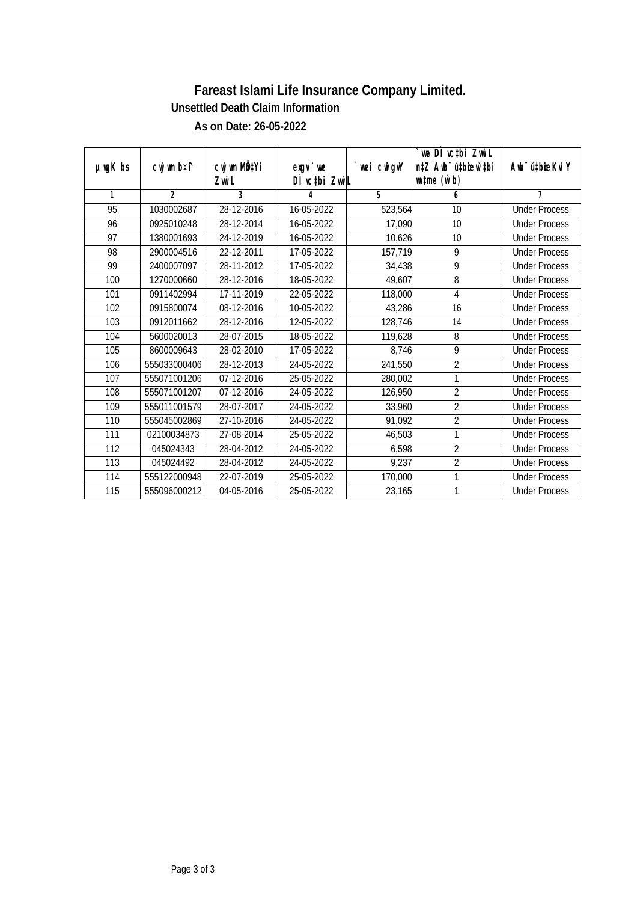## **Fareast Islami Life Insurance Company Limited. As on Date: 26-05-2022 Unsettled Death Claim Information**

| $µ$ mg $K$ bs | cwj wm b¤i^    | cwj wm MÖ‡Yi<br>Zwi L | $exgV$ we<br>DÌ vctbi ZwiL | `wei cwigvY | we DI vctbi ZwiL<br>n‡Z Awb <sup>-</sup> ú‡bioen`‡bi<br>$\n  un \uparrow me \left(\vec{v}, b\right)$ | Awb <sup>-</sup> ú‡bioeKviY |
|---------------|----------------|-----------------------|----------------------------|-------------|------------------------------------------------------------------------------------------------------|-----------------------------|
| $\mathbf{1}$  | $\overline{2}$ | 3                     | 4                          | 5           | 6                                                                                                    | 7                           |
| 95            | 1030002687     | 28-12-2016            | 16-05-2022                 | 523,564     | 10                                                                                                   | <b>Under Process</b>        |
| 96            | 0925010248     | 28-12-2014            | 16-05-2022                 | 17,090      | 10                                                                                                   | <b>Under Process</b>        |
| 97            | 1380001693     | 24-12-2019            | 16-05-2022                 | 10,626      | 10                                                                                                   | <b>Under Process</b>        |
| 98            | 2900004516     | 22-12-2011            | 17-05-2022                 | 157,719     | 9                                                                                                    | <b>Under Process</b>        |
| 99            | 2400007097     | 28-11-2012            | 17-05-2022                 | 34,438      | 9                                                                                                    | <b>Under Process</b>        |
| 100           | 1270000660     | 28-12-2016            | 18-05-2022                 | 49,607      | 8                                                                                                    | <b>Under Process</b>        |
| 101           | 0911402994     | 17-11-2019            | 22-05-2022                 | 118,000     | 4                                                                                                    | <b>Under Process</b>        |
| 102           | 0915800074     | 08-12-2016            | 10-05-2022                 | 43,286      | 16                                                                                                   | <b>Under Process</b>        |
| 103           | 0912011662     | 28-12-2016            | 12-05-2022                 | 128,746     | $\overline{14}$                                                                                      | <b>Under Process</b>        |
| 104           | 5600020013     | 28-07-2015            | 18-05-2022                 | 119,628     | 8                                                                                                    | <b>Under Process</b>        |
| 105           | 8600009643     | 28-02-2010            | 17-05-2022                 | 8,746       | 9                                                                                                    | <b>Under Process</b>        |
| 106           | 555033000406   | 28-12-2013            | 24-05-2022                 | 241,550     | $\overline{2}$                                                                                       | <b>Under Process</b>        |
| 107           | 555071001206   | 07-12-2016            | 25-05-2022                 | 280,002     | 1                                                                                                    | <b>Under Process</b>        |
| 108           | 555071001207   | 07-12-2016            | 24-05-2022                 | 126,950     | $\overline{2}$                                                                                       | <b>Under Process</b>        |
| 109           | 555011001579   | 28-07-2017            | 24-05-2022                 | 33,960      | $\overline{2}$                                                                                       | <b>Under Process</b>        |
| 110           | 555045002869   | 27-10-2016            | 24-05-2022                 | 91,092      | $\overline{2}$                                                                                       | <b>Under Process</b>        |
| 111           | 02100034873    | 27-08-2014            | 25-05-2022                 | 46,503      | 1                                                                                                    | <b>Under Process</b>        |
| 112           | 045024343      | 28-04-2012            | 24-05-2022                 | 6,598       | $\overline{2}$                                                                                       | <b>Under Process</b>        |
| 113           | 045024492      | 28-04-2012            | 24-05-2022                 | 9,237       | $\overline{2}$                                                                                       | <b>Under Process</b>        |
| 114           | 555122000948   | 22-07-2019            | 25-05-2022                 | 170,000     | 1                                                                                                    | <b>Under Process</b>        |
| 115           | 555096000212   | 04-05-2016            | 25-05-2022                 | 23,165      | 1                                                                                                    | <b>Under Process</b>        |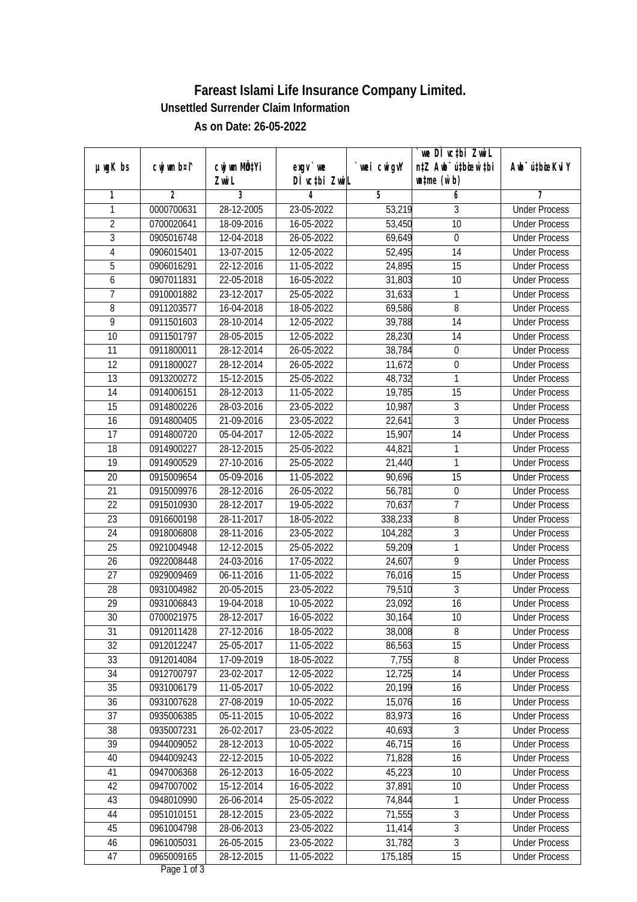## **Fareast Islami Life Insurance Company Limited. As on Date: 26-05-2022 Unsettled Surrender Claim Information**

|                 |                |                           |                           |             | `we DÌ vc‡bi Zwwi∟               |                              |
|-----------------|----------------|---------------------------|---------------------------|-------------|----------------------------------|------------------------------|
| $µ$ ug $K$ bs   | cwj wm b¤i^    | cwj wm MQ <sup>1</sup> Yi | $exgV$ we                 | `wei cwigvY | n‡Z Awb <sup>-</sup> ú‡bioar`‡bi | Aub <sup>-</sup> ú‡bioeKvi Y |
|                 |                | Zwi L                     | DÌ vctbi ZwiL             |             | $\n  untime\n  (u`b)\n$          |                              |
| 1               | $\overline{2}$ | $\overline{3}$            | 4                         | 5           | 6                                | 7                            |
| 1               | 0000700631     | 28-12-2005                | 23-05-2022                | 53,219      | 3                                | <b>Under Process</b>         |
| $\overline{2}$  | 0700020641     | 18-09-2016                | 16-05-2022                | 53,450      | $\overline{10}$                  | <b>Under Process</b>         |
| $\overline{3}$  | 0905016748     | 12-04-2018                | 26-05-2022                | 69,649      | $\boldsymbol{0}$                 | <b>Under Process</b>         |
| 4               | 0906015401     | 13-07-2015                | 12-05-2022                | 52,495      | 14                               | <b>Under Process</b>         |
| 5               | 0906016291     | 22-12-2016                | 11-05-2022                | 24,895      | $\overline{15}$                  | <b>Under Process</b>         |
| 6               | 0907011831     | 22-05-2018                | 16-05-2022                | 31,803      | 10                               | <b>Under Process</b>         |
| 7               | 0910001882     | 23-12-2017                | 25-05-2022                | 31,633      | 1                                | <b>Under Process</b>         |
| 8               | 0911203577     | 16-04-2018                | 18-05-2022                | 69,586      | 8                                | <b>Under Process</b>         |
| 9               | 0911501603     | 28-10-2014                | 12-05-2022                | 39,788      | 14                               | <b>Under Process</b>         |
| 10              | 0911501797     | 28-05-2015                | 12-05-2022                | 28,230      | 14                               | <b>Under Process</b>         |
| $\overline{11}$ | 0911800011     | 28-12-2014                | 26-05-2022                | 38,784      | 0                                | <b>Under Process</b>         |
| 12              | 0911800027     | 28-12-2014                | 26-05-2022                | 11,672      | $\boldsymbol{0}$                 | <b>Under Process</b>         |
| 13              | 0913200272     | 15-12-2015                | 25-05-2022                | 48,732      | 1                                | <b>Under Process</b>         |
| 14              | 0914006151     | 28-12-2013                | 11-05-2022                | 19,785      | 15                               | <b>Under Process</b>         |
| 15              | 0914800226     | 28-03-2016                | 23-05-2022                | 10,987      | 3                                | <b>Under Process</b>         |
| 16              | 0914800405     | 21-09-2016                | $23 - 05 - 2022$          | 22,641      | $\overline{3}$                   | <b>Under Process</b>         |
| 17              | 0914800720     | 05-04-2017                | 12-05-2022                | 15,907      | 14                               | <b>Under Process</b>         |
| 18              | 0914900227     | 28-12-2015                | 25-05-2022                | 44,821      | 1                                | <b>Under Process</b>         |
| 19              | 0914900529     | 27-10-2016                | 25-05-2022                | 21,440      | 1                                | <b>Under Process</b>         |
| 20              | 0915009654     | 05-09-2016                | 11-05-2022                | 90,696      | 15                               | <b>Under Process</b>         |
| 21              | 0915009976     | 28-12-2016                | 26-05-2022                | 56,781      | 0                                | <b>Under Process</b>         |
| 22              | 0915010930     | 28-12-2017                | 19-05-2022                | 70,637      | $\overline{1}$                   | <b>Under Process</b>         |
| 23              | 0916600198     | 28-11-2017                | 18-05-2022                | 338,233     | 8                                | <b>Under Process</b>         |
| 24              | 0918006808     | 28-11-2016                | 23-05-2022                | 104,282     | $\overline{3}$                   | <b>Under Process</b>         |
| 25              | 0921004948     | 12-12-2015                | 25-05-2022                | 59,209      | 1                                | <b>Under Process</b>         |
| 26              | 0922008448     | 24-03-2016                | 17-05-2022                | 24,607      | 9                                | <b>Under Process</b>         |
| 27              | 0929009469     | 06-11-2016                | 11-05-2022                | 76,016      | 15                               | <b>Under Process</b>         |
| 28              | 0931004982     | 20-05-2015                | 23-05-2022                | 79,510      | $\overline{3}$                   | <b>Under Process</b>         |
| 29              | 0931006843     | 19-04-2018                | 10-05-2022                | 23,092      | 16                               | <b>Under Process</b>         |
| 30              | 0700021975     | 28-12-2017                | 16-05-2022                | 30,164      | 10                               | <b>Under Process</b>         |
| 31              | 0912011428     | 27-12-2016                | 18-05-2022                | 38,008      | 8                                | <b>Under Process</b>         |
| 32              | 0912012247     | 25-05-2017                | 11-05-2022                | 86,563      | 15                               | <b>Under Process</b>         |
| 33              | 0912014084     | 17-09-2019                | 18-05-2022                | 7,755       | 8                                | <b>Under Process</b>         |
| 34              | 0912700797     | 23-02-2017                | 12-05-2022                | 12,725      | 14                               | <b>Under Process</b>         |
| 35              | 0931006179     | 11-05-2017                | 10-05-2022                | 20,199      | 16                               | <b>Under Process</b>         |
| 36              | 0931007628     | 27-08-2019                | 10-05-2022                | 15,076      | 16                               | <b>Under Process</b>         |
| 37              | 0935006385     | 05-11-2015                | $\overline{10-05} - 2022$ | 83,973      | 16                               | <b>Under Process</b>         |
| 38              | 0935007231     | 26-02-2017                | 23-05-2022                | 40,693      | 3                                | <b>Under Process</b>         |
| 39              | 0944009052     | 28-12-2013                | 10-05-2022                | 46,715      | $\overline{16}$                  | <b>Under Process</b>         |
| 40              | 0944009243     | 22-12-2015                | 10-05-2022                | 71,828      | 16                               | <b>Under Process</b>         |
| 41              | 0947006368     | 26-12-2013                | 16-05-2022                | 45,223      | 10                               | <b>Under Process</b>         |
| 42              | 0947007002     | 15-12-2014                | 16-05-2022                | 37,891      | 10                               | <b>Under Process</b>         |
| 43              | 0948010990     | 26-06-2014                | 25-05-2022                | 74,844      | $\mathbf{1}$                     | <b>Under Process</b>         |
| 44              | 0951010151     | 28-12-2015                | 23-05-2022                | 71,555      | 3                                | <b>Under Process</b>         |
| 45              | 0961004798     | 28-06-2013                | 23-05-2022                | 11,414      | $\overline{3}$                   | <b>Under Process</b>         |
| 46              | 0961005031     | 26-05-2015                | 23-05-2022                | 31,782      | $\overline{3}$                   | <b>Under Process</b>         |
| 47              | 0965009165     | 28-12-2015                | 11-05-2022                | 175,185     | $\overline{15}$                  | <b>Under Process</b>         |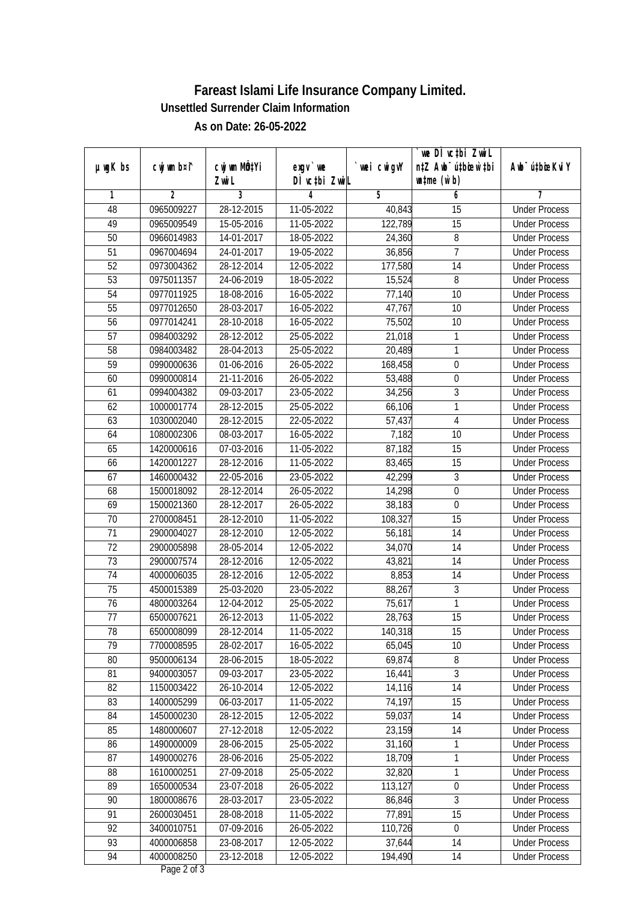## **Fareast Islami Life Insurance Company Limited. As on Date: 26-05-2022 Unsettled Surrender Claim Information**

|                 |                |              |               |             | we DI vctbi ZwiL                 |                             |
|-----------------|----------------|--------------|---------------|-------------|----------------------------------|-----------------------------|
| $µ$ ug $K$ bs   | cwj wm b¤i^    | cwj wm MQtYi | $exgV$ we     | `wei cwigvY | n‡Z Awb <sup>-</sup> ú‡bioen`‡bi | Awb <sup>-</sup> ú‡bioeKviY |
|                 |                | Zwi L        | DÌ vctbi ZwiL |             | $\n  untime\n  (u`b)\n$          |                             |
| 1               | $\overline{2}$ | 3            | 4             | 5           | 6                                | 7                           |
| 48              | 0965009227     | 28-12-2015   | 11-05-2022    | 40,843      | 15                               | <b>Under Process</b>        |
| 49              | 0965009549     | 15-05-2016   | 11-05-2022    | 122,789     | 15                               | <b>Under Process</b>        |
| 50              | 0966014983     | 14-01-2017   | 18-05-2022    | 24,360      | 8                                | <b>Under Process</b>        |
| $\overline{51}$ | 0967004694     | 24-01-2017   | 19-05-2022    | 36,856      | $\overline{7}$                   | <b>Under Process</b>        |
| 52              | 0973004362     | 28-12-2014   | 12-05-2022    | 177,580     | $\overline{14}$                  | <b>Under Process</b>        |
| 53              | 0975011357     | 24-06-2019   | 18-05-2022    | 15,524      | 8                                | <b>Under Process</b>        |
| 54              | 0977011925     | 18-08-2016   | 16-05-2022    | 77,140      | $\overline{10}$                  | <b>Under Process</b>        |
| 55              | 0977012650     | 28-03-2017   | 16-05-2022    | 47,767      | 10                               | <b>Under Process</b>        |
| 56              | 0977014241     | 28-10-2018   | 16-05-2022    | 75,502      | 10                               | <b>Under Process</b>        |
| 57              | 0984003292     | 28-12-2012   | 25-05-2022    | 21,018      | 1                                | <b>Under Process</b>        |
| 58              | 0984003482     | 28-04-2013   | 25-05-2022    | 20,489      | 1                                | <b>Under Process</b>        |
| 59              | 0990000636     | 01-06-2016   | 26-05-2022    | 168,458     | $\boldsymbol{0}$                 | <b>Under Process</b>        |
| 60              | 0990000814     | 21-11-2016   | 26-05-2022    | 53,488      | $\boldsymbol{0}$                 | <b>Under Process</b>        |
| 61              | 0994004382     | 09-03-2017   | 23-05-2022    | 34,256      | 3                                | <b>Under Process</b>        |
| 62              | 1000001774     | 28-12-2015   | 25-05-2022    | 66,106      | 1                                | <b>Under Process</b>        |
| 63              | 1030002040     | 28-12-2015   | 22-05-2022    | 57,437      | $\overline{\mathbf{4}}$          | <b>Under Process</b>        |
| 64              | 1080002306     | 08-03-2017   | 16-05-2022    | 7,182       | 10                               | <b>Under Process</b>        |
| 65              | 1420000616     | 07-03-2016   | 11-05-2022    | 87,182      | 15                               | <b>Under Process</b>        |
| 66              | 1420001227     | 28-12-2016   | 11-05-2022    | 83,465      | 15                               | <b>Under Process</b>        |
| 67              | 1460000432     | 22-05-2016   | 23-05-2022    | 42,299      | 3                                | <b>Under Process</b>        |
| 68              | 1500018092     | 28-12-2014   | 26-05-2022    | 14,298      | $\mathbf 0$                      | <b>Under Process</b>        |
| 69              | 1500021360     | 28-12-2017   | 26-05-2022    | 38,183      | $\boldsymbol{0}$                 | <b>Under Process</b>        |
| 70              | 2700008451     | 28-12-2010   | 11-05-2022    | 108,327     | $\overline{15}$                  | <b>Under Process</b>        |
| 71              | 2900004027     | 28-12-2010   | 12-05-2022    | 56,181      | 14                               | <b>Under Process</b>        |
| 72              | 2900005898     | 28-05-2014   | 12-05-2022    | 34,070      | 14                               | <b>Under Process</b>        |
| 73              | 2900007574     | 28-12-2016   | 12-05-2022    | 43,821      | 14                               | <b>Under Process</b>        |
| 74              | 4000006035     | 28-12-2016   | 12-05-2022    | 8,853       | 14                               | <b>Under Process</b>        |
| 75              | 4500015389     | 25-03-2020   | 23-05-2022    | 88,267      | $\overline{3}$                   | <b>Under Process</b>        |
| 76              | 4800003264     | 12-04-2012   | 25-05-2022    | 75,617      | $\mathbf{1}$                     | <b>Under Process</b>        |
| 77              | 6500007621     | 26-12-2013   | 11-05-2022    | 28,763      | 15                               | <b>Under Process</b>        |
| 78              | 6500008099     | 28-12-2014   | 11-05-2022    | 140,318     | 15                               | <b>Under Process</b>        |
| 79              | 7700008595     | 28-02-2017   | 16-05-2022    | 65,045      | 10                               | <b>Under Process</b>        |
| 80              | 9500006134     | 28-06-2015   | 18-05-2022    | 69,874      | 8                                | <b>Under Process</b>        |
| 81              | 9400003057     | 09-03-2017   | 23-05-2022    | 16,441      | $\overline{3}$                   | <b>Under Process</b>        |
| 82              | 1150003422     | 26-10-2014   | 12-05-2022    | 14,116      | 14                               | <b>Under Process</b>        |
| 83              | 1400005299     | 06-03-2017   | 11-05-2022    | 74,197      | 15                               | <b>Under Process</b>        |
| 84              | 1450000230     | 28-12-2015   | 12-05-2022    | 59,037      | 14                               | <b>Under Process</b>        |
| 85              | 1480000607     | 27-12-2018   | 12-05-2022    | 23,159      | 14                               | <b>Under Process</b>        |
| 86              | 1490000009     | 28-06-2015   | 25-05-2022    | 31,160      | 1                                | <b>Under Process</b>        |
| 87              | 1490000276     | 28-06-2016   | 25-05-2022    | 18,709      | $\mathbf{1}$                     | <b>Under Process</b>        |
| 88              | 1610000251     | 27-09-2018   | 25-05-2022    | 32,820      | 1                                | <b>Under Process</b>        |
| 89              | 1650000534     | 23-07-2018   | 26-05-2022    | 113,127     | $\boldsymbol{0}$                 | <b>Under Process</b>        |
| 90              | 1800008676     | 28-03-2017   | 23-05-2022    | 86,846      | 3                                | <b>Under Process</b>        |
| 91              | 2600030451     | 28-08-2018   | 11-05-2022    | 77,891      | $\overline{15}$                  | <b>Under Process</b>        |
| 92              | 3400010751     | 07-09-2016   | 26-05-2022    | 110,726     | $\pmb{0}$                        | <b>Under Process</b>        |
| 93              | 4000006858     | 23-08-2017   | 12-05-2022    | 37,644      | 14                               | <b>Under Process</b>        |
| 94              | 4000008250     | 23-12-2018   | 12-05-2022    | 194,490     | 14                               | <b>Under Process</b>        |